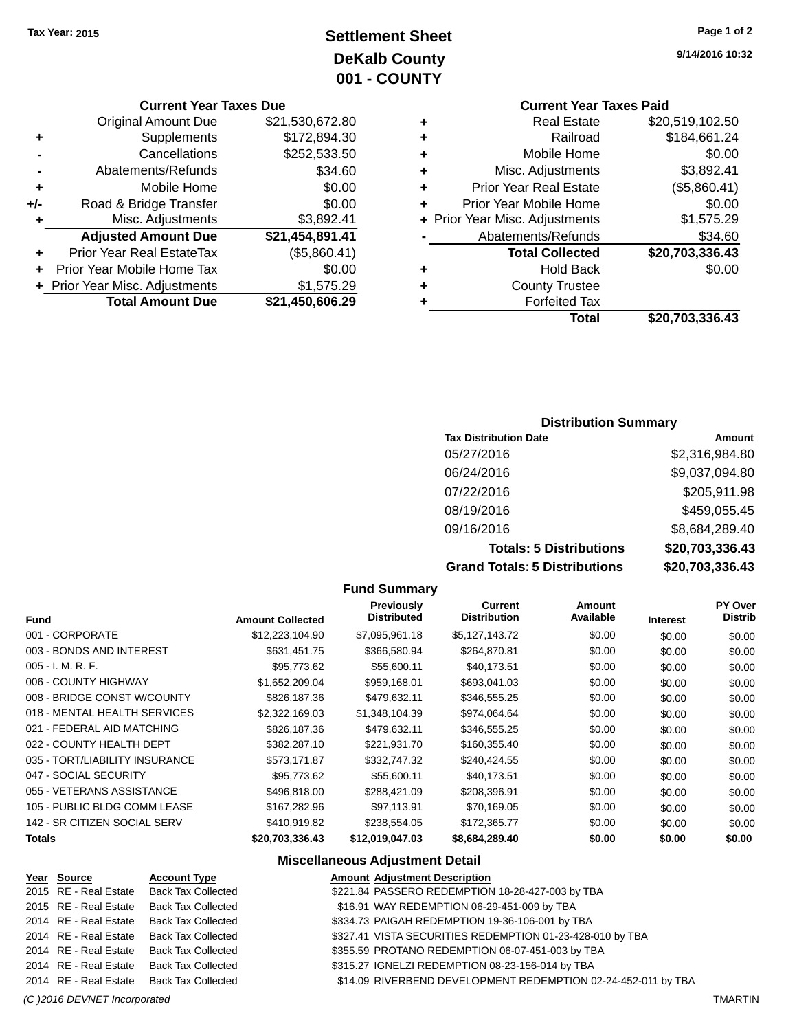**9/14/2016 10:32**

## **Settlement Sheet Tax Year: 2015 Page 1 of 2 DeKalb County 001 - COUNTY**

#### **Current Year Taxes Due**

|     | <b>Original Amount Due</b>     | \$21,530,672.80 |
|-----|--------------------------------|-----------------|
| ٠   | Supplements                    | \$172,894.30    |
|     | Cancellations                  | \$252,533.50    |
|     | Abatements/Refunds             | \$34.60         |
| ٠   | Mobile Home                    | \$0.00          |
| +/- | Road & Bridge Transfer         | \$0.00          |
| ٠   | Misc. Adjustments              | \$3,892.41      |
|     | <b>Adjusted Amount Due</b>     | \$21,454,891.41 |
| ÷   | Prior Year Real EstateTax      | (\$5,860.41)    |
|     | Prior Year Mobile Home Tax     | \$0.00          |
|     | + Prior Year Misc. Adjustments | \$1,575.29      |
|     | <b>Total Amount Due</b>        | \$21,450,606.29 |

## **Current Year Taxes Paid**

|   | <b>Real Estate</b>             | \$20,519,102.50 |
|---|--------------------------------|-----------------|
|   | Railroad                       | \$184,661.24    |
| ٠ | Mobile Home                    | \$0.00          |
| ٠ | Misc. Adjustments              | \$3,892.41      |
| ٠ | <b>Prior Year Real Estate</b>  | (\$5,860.41)    |
| ٠ | Prior Year Mobile Home         | \$0.00          |
|   | + Prior Year Misc. Adjustments | \$1,575.29      |
|   | Abatements/Refunds             | \$34.60         |
|   | <b>Total Collected</b>         | \$20,703,336.43 |
| ٠ | <b>Hold Back</b>               | \$0.00          |
| ٠ | <b>County Trustee</b>          |                 |
|   |                                |                 |
| ٠ | <b>Forfeited Tax</b>           |                 |
|   | Total                          | \$20,703,336.43 |

#### **Distribution Summary**

| <b>Tax Distribution Date</b>         | Amount          |
|--------------------------------------|-----------------|
| 05/27/2016                           | \$2,316,984.80  |
| 06/24/2016                           | \$9,037,094.80  |
| 07/22/2016                           | \$205,911.98    |
| 08/19/2016                           | \$459,055.45    |
| 09/16/2016                           | \$8,684,289.40  |
| <b>Totals: 5 Distributions</b>       | \$20,703,336.43 |
| <b>Grand Totals: 5 Distributions</b> | \$20,703,336.43 |

#### **Fund Summary Fund Interest Amount Collected Distributed PY Over Distrib Amount Available Current Distribution Previously** 001 - CORPORATE \$12,223,104.90 \$7,095,961.18 \$5,127,143.72 \$0.00 \$0.00 \$0.00 003 - BONDS AND INTEREST  $$631,451.75$   $$366,580.94$   $$264,870.81$   $$0.00$   $$0.00$   $$0.00$ 005 - I. M. R. F. \$95,773.62 \$55,600.11 \$40,173.51 \$0.00 \$0.00 \$0.00 006 - COUNTY HIGHWAY **\$1,652,209.04** \$959,168.01 \$693,041.03 \$0.00 \$0.00 \$0.00 \$0.00 008 - BRIDGE CONST W/COUNTY  $$826,187.36$   $$479,632.11$   $$346,555.25$   $$0.00$   $$0.00$   $$0.00$ 018 - MENTAL HEALTH SERVICES  $$2,322,169.03$   $$1,348,104.39$   $$974,064.64$   $$0.00$   $$0.00$   $$0.00$ 021 - FEDERAL AID MATCHING \$826,187.36 \$479,632.11 \$346,555.25 \$0.00 \$0.00 \$0.00 022 - COUNTY HEALTH DEPT  $$382,287.10$  \$221,931.70 \$160,355.40 \$0.00 \$0.00 \$0.00 \$0.00 035 - TORT/LIABILITY INSURANCE \$573,171.87 \$332,747.32 \$240,424.55 \$0.00 \$0.00 \$0.00 \$0.00 047 - SOCIAL SECURITY 60.00 \$95,773.62 \$55,600.11 \$40,173.51 \$0.00 \$0.00 \$0.00 \$0.00 055 - VETERANS ASSISTANCE \$496,818.00 \$288,421.09 \$208,396.91 \$0.00 \$0.00 \$0.00 105 - PUBLIC BLDG COMM LEASE \$167,282.96 \$97,113.91 \$70,169.05 \$0.00 \$0.00 \$0.00 \$0.00 142 - SR CITIZEN SOCIAL SERV \$410,919.82 \$238,554.05 \$172,365.77 \$0.00 \$0.00 \$0.00 \$0.00 **Totals \$20,703,336.43 \$12,019,047.03 \$8,684,289.40 \$0.00 \$0.00 \$0.00**

#### **Miscellaneous Adjustment Detail**

| Year Source           | <b>Account Type</b>                      | <b>Amount Adjustment Description</b>                          |
|-----------------------|------------------------------------------|---------------------------------------------------------------|
| 2015 RE - Real Estate | <b>Back Tax Collected</b>                | \$221.84 PASSERO REDEMPTION 18-28-427-003 by TBA              |
| 2015 RE - Real Estate | <b>Back Tax Collected</b>                | \$16.91 WAY REDEMPTION 06-29-451-009 by TBA                   |
| 2014 RE - Real Estate | <b>Back Tax Collected</b>                | \$334.73 PAIGAH REDEMPTION 19-36-106-001 by TBA               |
|                       | 2014 RE - Real Estate Back Tax Collected | \$327.41 VISTA SECURITIES REDEMPTION 01-23-428-010 by TBA     |
| 2014 RE - Real Estate | <b>Back Tax Collected</b>                | \$355.59 PROTANO REDEMPTION 06-07-451-003 by TBA              |
| 2014 RE - Real Estate | <b>Back Tax Collected</b>                | \$315.27 IGNELZI REDEMPTION 08-23-156-014 by TBA              |
|                       | 2014 RE - Real Estate Back Tax Collected | \$14.09 RIVERBEND DEVELOPMENT REDEMPTION 02-24-452-011 by TBA |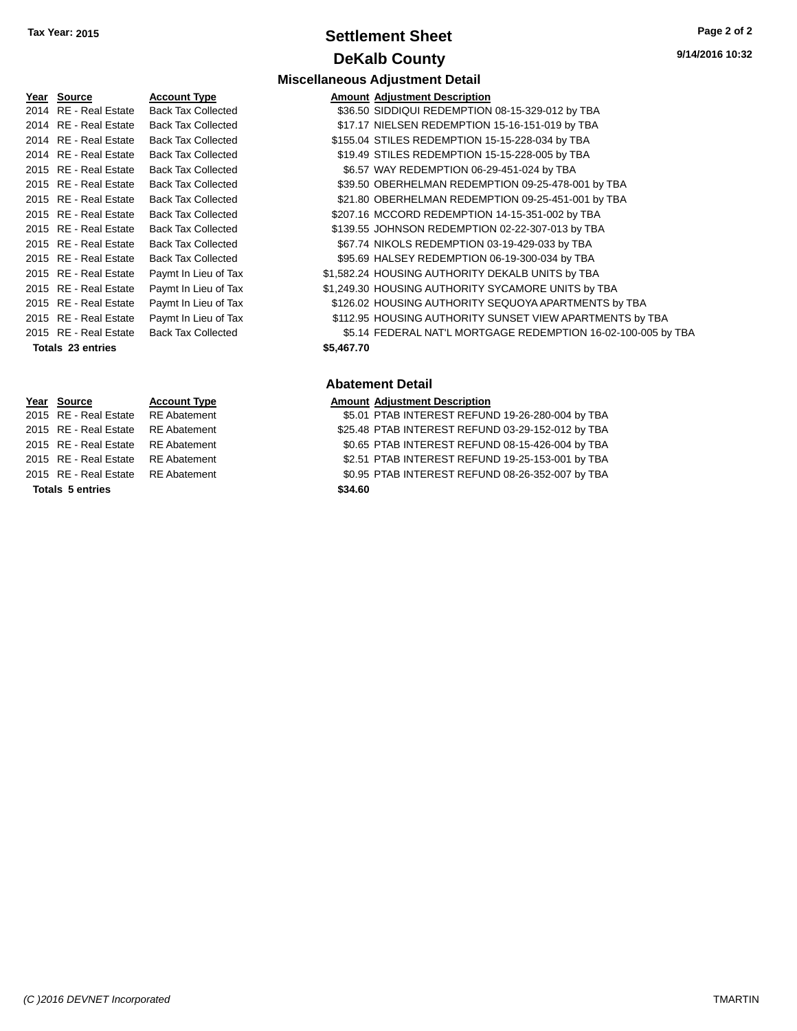## **Settlement Sheet Tax Year: 2015 Page 2 of 2 DeKalb County**

Collected **336.50 SIDDIQUI REDEMPTION 08-15-329-012 by TBA** Collected  $$17.17$  NIELSEN REDEMPTION 15-16-151-019 by TBA

**Miscellaneous Adjustment Detail**

**Type Amount Adjustment Description** 

| Year | Source                   | Account  |
|------|--------------------------|----------|
| 2014 | RE - Real Estate         | Back Tax |
| 2014 | RE - Real Estate         | Back Tax |
| 2014 | RE - Real Estate         | Back Tax |
| 2014 | RE - Real Estate         | Back Tax |
| 2015 | RE - Real Estate         | Back Tax |
| 2015 | <b>RE</b> - Real Estate  | Back Tax |
| 2015 | RE - Real Estate         | Back Tax |
| 2015 | RE - Real Estate         | Back Tax |
| 2015 | RE - Real Estate         | Back Tax |
| 2015 | RE - Real Estate         | Back Tax |
| 2015 | RE - Real Estate         | Back Tax |
| 2015 | RE - Real Estate         | Paymt In |
| 2015 | RE - Real Estate         | Paymt In |
| 2015 | RE - Real Estate         | Paymt In |
| 2015 | RE - Real Estate         | Paymt In |
| 2015 | RF - Real Estate         | Back Tax |
|      | <b>Totals 23 entries</b> |          |
|      |                          |          |
|      |                          |          |
|      |                          |          |

**Totals \$34.60 5 entries**

Collected  $$155.04$  STILES REDEMPTION 15-15-228-034 by TBA 2014 Collected S19.49 STILES REDEMPTION 15-15-228-005 by TBA 2016 Collected 56.57 WAY REDEMPTION 06-29-451-024 by TBA Collected **339.50 OBERHELMAN REDEMPTION 09-25-478-001 by TBA** Collected  $$21.80$  OBERHELMAN REDEMPTION 09-25-451-001 by TBA Collected \$207.16 MCCORD REDEMPTION 14-15-351-002 by TBA Collected \$139.55 JOHNSON REDEMPTION 02-22-307-013 by TBA 2016 Collected \$67.74 NIKOLS REDEMPTION 03-19-429-033 by TBA Collected **395.69 HALSEY REDEMPTION 06-19-300-034 by TBA** Lieu of Tax  $$1,582.24$  HOUSING AUTHORITY DEKALB UNITS by TBA Lieu of Tax  $$1,249.30$  HOUSING AUTHORITY SYCAMORE UNITS by TBA Lieu of Tax  $$126.02$  HOUSING AUTHORITY SEQUOYA APARTMENTS by TBA Lieu of Tax  $$112.95$  HOUSING AUTHORITY SUNSET VIEW APARTMENTS by TBA 2016 Collected **35.14 FEDERAL NAT'L MORTGAGE REDEMPTION 16-02-100-005 by TBA Totals \$5,467.70 23 entries Abatement Detail**

#### **Year Source Account Type Amount Adjustment Description**

2015 RE - Real Estate RE Abatement \$5.01 PTAB INTEREST REFUND 19-26-280-004 by TBA 2015 RE - Real Estate RE Abatement \$25.48 PTAB INTEREST REFUND 03-29-152-012 by TBA 2015 RE - Real Estate RE Abatement \$0.65 PTAB INTEREST REFUND 08-15-426-004 by TBA 2015 RE - Real Estate RE Abatement \$2.51 PTAB INTEREST REFUND 19-25-153-001 by TBA 2015 RE - Real Estate RE Abatement \$0.95 PTAB INTEREST REFUND 08-26-352-007 by TBA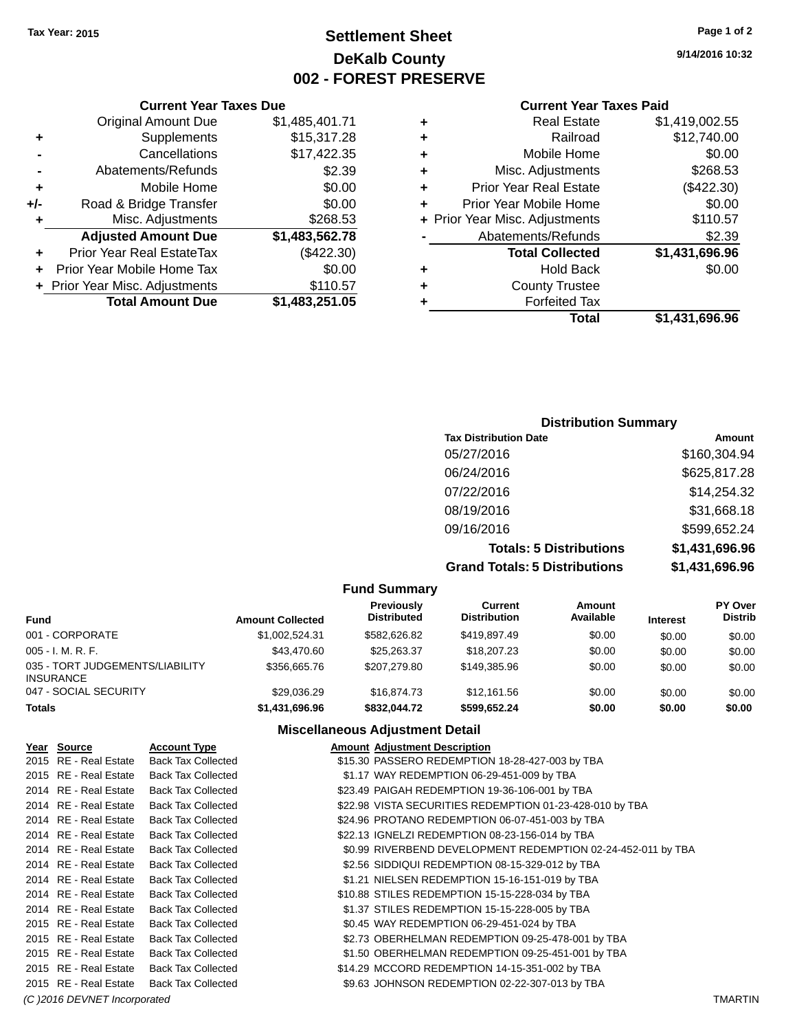## **Settlement Sheet Tax Year: 2015 Page 1 of 2 DeKalb County 002 - FOREST PRESERVE**

**9/14/2016 10:32**

#### **Current Year Taxes Paid**

| ٠ | Real Estate                    | \$1,419,002.55 |
|---|--------------------------------|----------------|
| ٠ | Railroad                       | \$12,740.00    |
| ٠ | Mobile Home                    | \$0.00         |
| ٠ | Misc. Adjustments              | \$268.53       |
| ٠ | <b>Prior Year Real Estate</b>  | (\$422.30)     |
| ٠ | Prior Year Mobile Home         | \$0.00         |
|   | + Prior Year Misc. Adjustments | \$110.57       |
|   | Abatements/Refunds             | \$2.39         |
|   | <b>Total Collected</b>         | \$1,431,696.96 |
| ٠ | <b>Hold Back</b>               | \$0.00         |
| ٠ | <b>County Trustee</b>          |                |
|   | <b>Forfeited Tax</b>           |                |
|   | Total                          | \$1,431,696.96 |

#### **Current Year Taxes Due** Original Amount Due \$1,485,401.71 **+** Supplements \$15,317.28 **-** Cancellations \$17,422.35 **-** Abatements/Refunds \$2.39 **+** Mobile Home \$0.00 **+/-** Road & Bridge Transfer \$0.00 **+** Misc. Adjustments \$268.53 **Adjusted Amount Due \$1,483,562.78 +** Prior Year Real EstateTax (\$422.30) **+** Prior Year Mobile Home Tax \$0.00 **+ Prior Year Misc. Adjustments \$110.57 Total Amount Due \$1,483,251.05**

## **Distribution Summary Tax Distribution Date Amount** 05/27/2016 \$160,304.94 06/24/2016 \$625,817.28 07/22/2016 \$14,254.32 08/19/2016 \$31,668.18 09/16/2016 \$599,652.24 **Totals: 5 Distributions \$1,431,696.96**

**Grand Totals: 5 Distributions \$1,431,696.96**

| ibutions |  |
|----------|--|
|----------|--|

| <b>Fund Summary</b>                                 |                         |                                  |                                |                     |                 |                           |
|-----------------------------------------------------|-------------------------|----------------------------------|--------------------------------|---------------------|-----------------|---------------------------|
| <b>Fund</b>                                         | <b>Amount Collected</b> | Previously<br><b>Distributed</b> | Current<br><b>Distribution</b> | Amount<br>Available | <b>Interest</b> | PY Over<br><b>Distrib</b> |
| 001 - CORPORATE                                     | \$1,002,524.31          | \$582,626.82                     | \$419,897.49                   | \$0.00              | \$0.00          | \$0.00                    |
| $005 - I. M. R. F.$                                 | \$43,470.60             | \$25.263.37                      | \$18,207.23                    | \$0.00              | \$0.00          | \$0.00                    |
| 035 - TORT JUDGEMENTS/LIABILITY<br><b>INSURANCE</b> | \$356,665.76            | \$207.279.80                     | \$149,385,96                   | \$0.00              | \$0.00          | \$0.00                    |
| 047 - SOCIAL SECURITY                               | \$29.036.29             | \$16,874.73                      | \$12.161.56                    | \$0.00              | \$0.00          | \$0.00                    |
| <b>Totals</b>                                       | \$1,431,696.96          | \$832,044.72                     | \$599,652.24                   | \$0.00              | \$0.00          | \$0.00                    |

#### **Miscellaneous Adjustment Detail**

| Year Source           | <b>Account Type</b>       | <b>Amount Adjustment Description</b>                         |
|-----------------------|---------------------------|--------------------------------------------------------------|
| 2015 RE - Real Estate | <b>Back Tax Collected</b> | \$15.30 PASSERO REDEMPTION 18-28-427-003 by TBA              |
| 2015 RE - Real Estate | <b>Back Tax Collected</b> | \$1.17 WAY REDEMPTION 06-29-451-009 by TBA                   |
| 2014 RE - Real Estate | <b>Back Tax Collected</b> | \$23.49 PAIGAH REDEMPTION 19-36-106-001 by TBA               |
| 2014 RE - Real Estate | <b>Back Tax Collected</b> | \$22.98 VISTA SECURITIES REDEMPTION 01-23-428-010 by TBA     |
| 2014 RE - Real Estate | <b>Back Tax Collected</b> | \$24.96 PROTANO REDEMPTION 06-07-451-003 by TBA              |
| 2014 RE - Real Estate | <b>Back Tax Collected</b> | \$22.13 IGNELZI REDEMPTION 08-23-156-014 by TBA              |
| 2014 RE - Real Estate | <b>Back Tax Collected</b> | \$0.99 RIVERBEND DEVELOPMENT REDEMPTION 02-24-452-011 by TBA |
| 2014 RE - Real Estate | <b>Back Tax Collected</b> | \$2.56 SIDDIQUI REDEMPTION 08-15-329-012 by TBA              |
| 2014 RE - Real Estate | <b>Back Tax Collected</b> | \$1.21 NIELSEN REDEMPTION 15-16-151-019 by TBA               |
| 2014 RE - Real Estate | <b>Back Tax Collected</b> | \$10.88 STILES REDEMPTION 15-15-228-034 by TBA               |
| 2014 RE - Real Estate | <b>Back Tax Collected</b> | \$1.37 STILES REDEMPTION 15-15-228-005 by TBA                |
| 2015 RE - Real Estate | <b>Back Tax Collected</b> | \$0.45 WAY REDEMPTION 06-29-451-024 by TBA                   |
| 2015 RE - Real Estate | <b>Back Tax Collected</b> | \$2.73 OBERHELMAN REDEMPTION 09-25-478-001 by TBA            |
| 2015 RE - Real Estate | <b>Back Tax Collected</b> | \$1.50 OBERHELMAN REDEMPTION 09-25-451-001 by TBA            |
| 2015 RE - Real Estate | <b>Back Tax Collected</b> | \$14.29 MCCORD REDEMPTION 14-15-351-002 by TBA               |
| 2015 RE - Real Estate | <b>Back Tax Collected</b> | \$9.63 JOHNSON REDEMPTION 02-22-307-013 by TBA               |

*(C )2016 DEVNET Incorporated* TMARTIN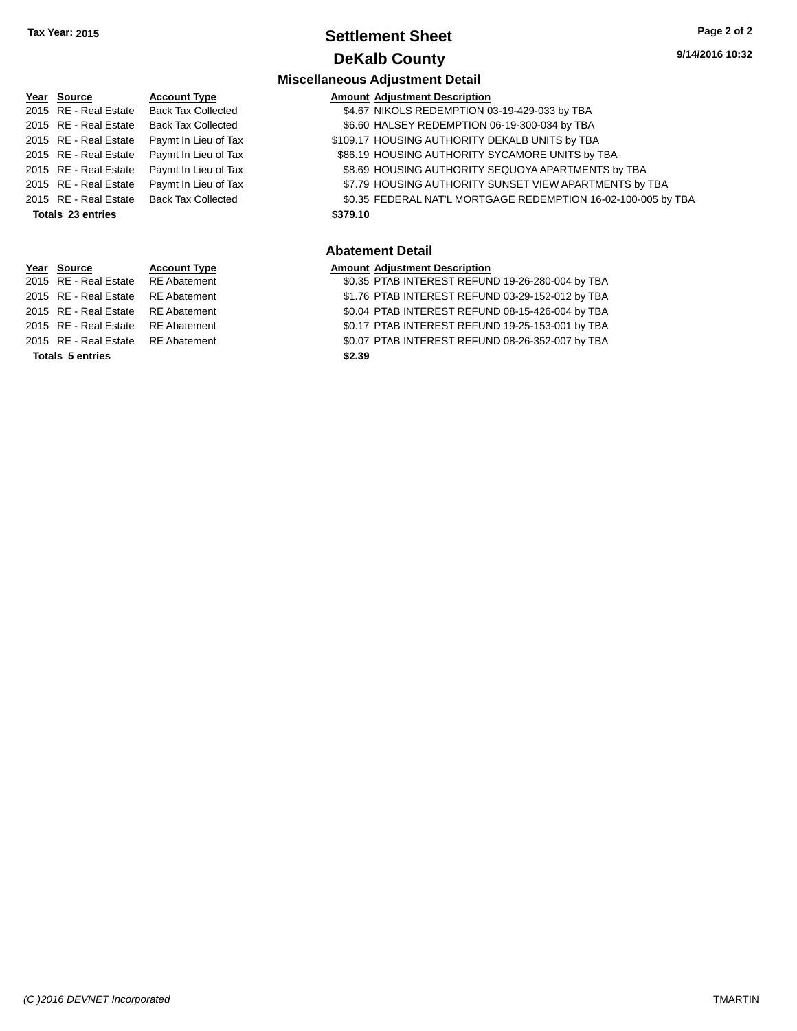## **Settlement Sheet Tax Year: 2015 Page 2 of 2 DeKalb County**

#### **Miscellaneous Adjustment Detail Year** Source **Account Type Account Adjustment Description** 2015 RE - Real Estate Back Tax Collected \$4.67 NIKOLS REDEMPTION 03-19-429-033 by TBA 2015 RE - Real Estate Back Tax Collected \$6.60 HALSEY REDEMPTION 06-19-300-034 by TBA 2015 RE - Real Estate Paymt In Lieu of Tax S109.17 HOUSING AUTHORITY DEKALB UNITS by TBA 2015 RE - Real Estate Paymt In Lieu of Tax S86.19 HOUSING AU THORITY SYCAMORE UNITS by TBA 2015 RE - Real Estate Paymt In Lieu of Tax \$8.69 HOUSING AUTHORITY SEQUOYA APARTMENTS by TBA 2015 RE - Real Estate Paymt In Lieu of Tax \$7.79 HOUSING AUTHORITY SUNSET VIEW APARTMENTS by TBA 2015 RE - Real Estate Back Tax Collected \$0.35 FEDERAL NAT'L MORTGAGE REDEMPTION 16-02-100-005 by TBA **Totals \$379.10 23 entries Abatement Detail Year Source <b>Account Type**

|                         | <b>IVAI VUULUU</b>    | <u>AUCULIL IN</u> |  |  |  |
|-------------------------|-----------------------|-------------------|--|--|--|
|                         | 2015 RE - Real Estate | <b>RE</b> Abatem  |  |  |  |
|                         | 2015 RE - Real Estate | <b>RE</b> Abatem  |  |  |  |
|                         | 2015 RE - Real Estate | <b>RE</b> Abatem  |  |  |  |
|                         | 2015 RE - Real Estate | <b>RE</b> Abatem  |  |  |  |
|                         | 2015 RE - Real Estate | <b>RE</b> Abatem  |  |  |  |
| <b>Totals 5 entries</b> |                       |                   |  |  |  |

| 2015 RE - Real Estate RE Abatement |        | \$0.35 PTAB INTEREST REFUND 19-26-280-004 by TBA |  |  |
|------------------------------------|--------|--------------------------------------------------|--|--|
| 2015 RE - Real Estate RE Abatement |        | \$1.76 PTAB INTEREST REFUND 03-29-152-012 by TBA |  |  |
| 2015 RE - Real Estate RE Abatement |        | \$0.04 PTAB INTEREST REFUND 08-15-426-004 by TBA |  |  |
| 2015 RE - Real Estate RE Abatement |        | \$0.17 PTAB INTEREST REFUND 19-25-153-001 by TBA |  |  |
| 2015 RE - Real Estate RE Abatement |        | \$0.07 PTAB INTEREST REFUND 08-26-352-007 by TBA |  |  |
| <b>Totals 5 entries</b>            | \$2.39 |                                                  |  |  |
|                                    |        |                                                  |  |  |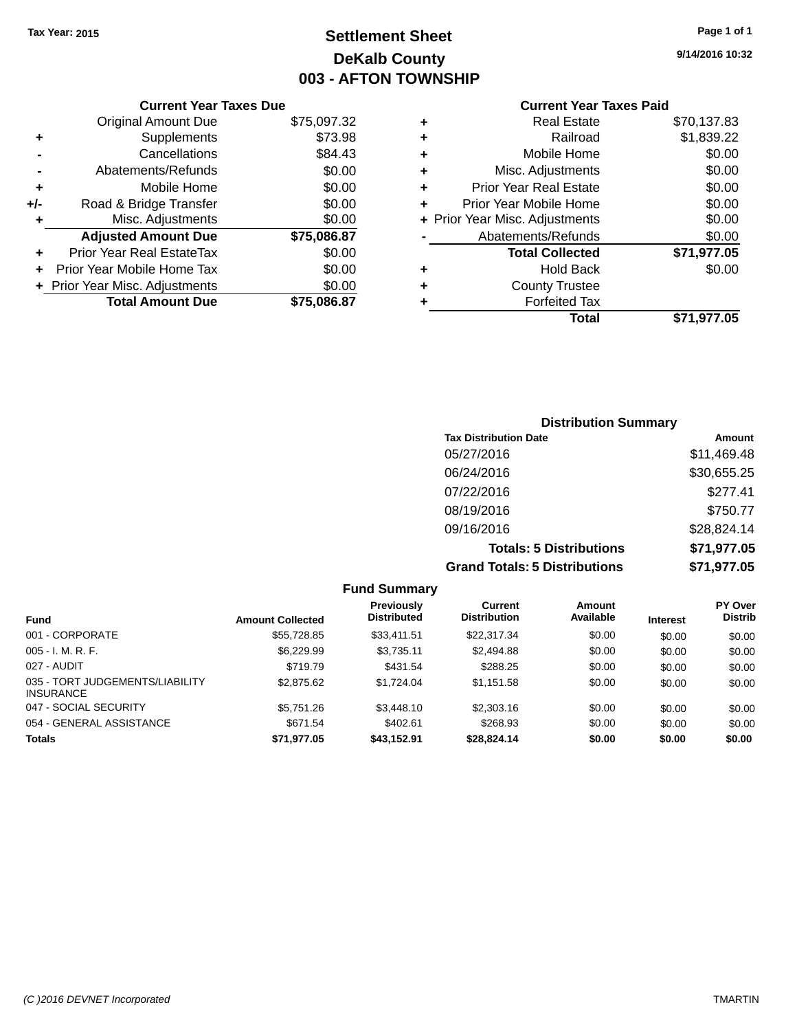## **Settlement Sheet Tax Year: 2015 Page 1 of 1 DeKalb County 003 - AFTON TOWNSHIP**

**9/14/2016 10:32**

## **Current Year Taxes Paid**

|       | <b>Current Year Taxes Due</b>  |             |
|-------|--------------------------------|-------------|
|       | <b>Original Amount Due</b>     | \$75,097.32 |
| ٠     | Supplements                    | \$73.98     |
|       | Cancellations                  | \$84.43     |
|       | Abatements/Refunds             | \$0.00      |
| ٠     | Mobile Home                    | \$0.00      |
| $+/-$ | Road & Bridge Transfer         | \$0.00      |
| ٠     | Misc. Adjustments              | \$0.00      |
|       | <b>Adjusted Amount Due</b>     | \$75,086.87 |
| ÷     | Prior Year Real EstateTax      | \$0.00      |
|       | Prior Year Mobile Home Tax     | \$0.00      |
|       | + Prior Year Misc. Adjustments | \$0.00      |
|       | <b>Total Amount Due</b>        | \$75,086,87 |
|       |                                |             |

| <b>Real Estate</b>             | \$70,137.83 |
|--------------------------------|-------------|
| Railroad                       | \$1,839.22  |
| Mobile Home                    | \$0.00      |
| Misc. Adjustments              | \$0.00      |
| <b>Prior Year Real Estate</b>  | \$0.00      |
| Prior Year Mobile Home         | \$0.00      |
| + Prior Year Misc. Adjustments | \$0.00      |
| Abatements/Refunds             | \$0.00      |
| <b>Total Collected</b>         | \$71,977.05 |
| <b>Hold Back</b>               | \$0.00      |
| <b>County Trustee</b>          |             |
| <b>Forfeited Tax</b>           |             |
| Total                          | \$71,977.05 |
|                                |             |

| <b>Distribution Summary</b>          |             |
|--------------------------------------|-------------|
| <b>Tax Distribution Date</b>         | Amount      |
| 05/27/2016                           | \$11,469.48 |
| 06/24/2016                           | \$30,655.25 |
| 07/22/2016                           | \$277.41    |
| 08/19/2016                           | \$750.77    |
| 09/16/2016                           | \$28,824.14 |
| <b>Totals: 5 Distributions</b>       | \$71,977.05 |
| <b>Grand Totals: 5 Distributions</b> | \$71,977.05 |

|                                                     |                         | <b>Fund Summary</b>                     |                                |                     |                 |                                  |
|-----------------------------------------------------|-------------------------|-----------------------------------------|--------------------------------|---------------------|-----------------|----------------------------------|
| <b>Fund</b>                                         | <b>Amount Collected</b> | <b>Previously</b><br><b>Distributed</b> | Current<br><b>Distribution</b> | Amount<br>Available | <b>Interest</b> | <b>PY Over</b><br><b>Distrib</b> |
| 001 - CORPORATE                                     | \$55,728.85             | \$33.411.51                             | \$22,317.34                    | \$0.00              | \$0.00          | \$0.00                           |
| $005 - I. M. R. F.$                                 | \$6,229.99              | \$3.735.11                              | \$2,494.88                     | \$0.00              | \$0.00          | \$0.00                           |
| 027 - AUDIT                                         | \$719.79                | \$431.54                                | \$288.25                       | \$0.00              | \$0.00          | \$0.00                           |
| 035 - TORT JUDGEMENTS/LIABILITY<br><b>INSURANCE</b> | \$2,875.62              | \$1.724.04                              | \$1,151.58                     | \$0.00              | \$0.00          | \$0.00                           |
| 047 - SOCIAL SECURITY                               | \$5,751.26              | \$3,448.10                              | \$2,303.16                     | \$0.00              | \$0.00          | \$0.00                           |
| 054 - GENERAL ASSISTANCE                            | \$671.54                | \$402.61                                | \$268.93                       | \$0.00              | \$0.00          | \$0.00                           |
| <b>Totals</b>                                       | \$71,977.05             | \$43,152.91                             | \$28,824.14                    | \$0.00              | \$0.00          | \$0.00                           |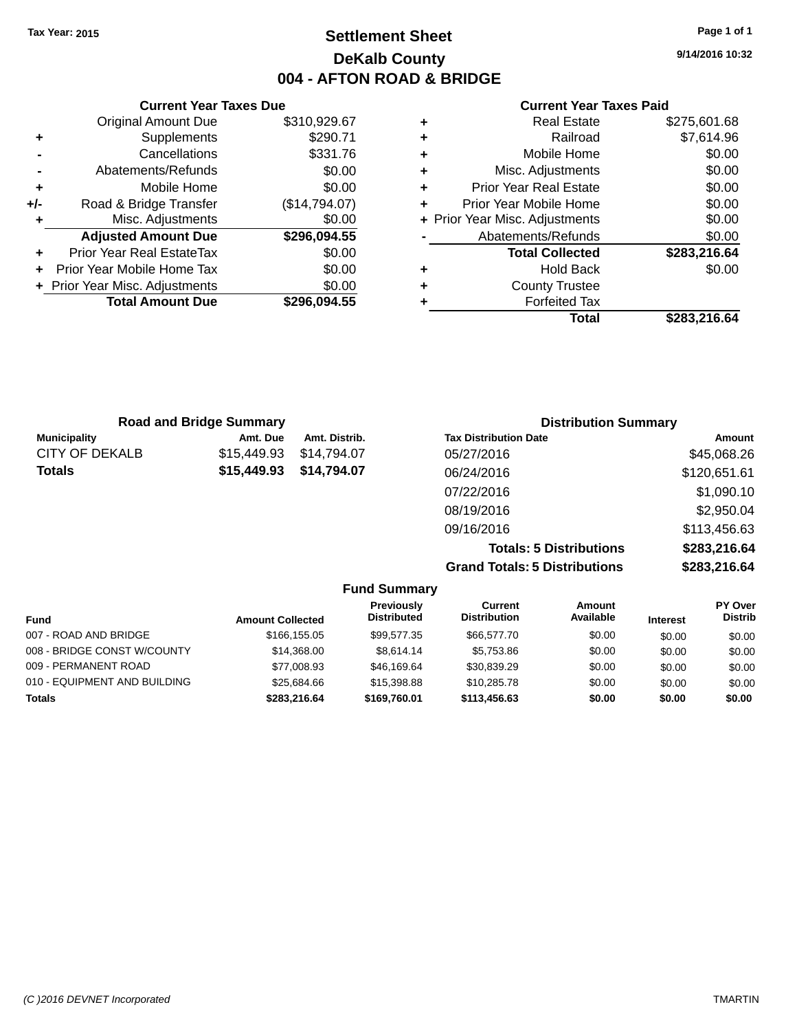## **Settlement Sheet Tax Year: 2015 Page 1 of 1 DeKalb County 004 - AFTON ROAD & BRIDGE**

**9/14/2016 10:32**

| \$310,929.67<br>\$290.71 |
|--------------------------|
|                          |
|                          |
| \$331.76                 |
| \$0.00                   |
| \$0.00                   |
| (\$14,794.07)            |
| \$0.00                   |
| \$296,094.55             |
| \$0.00                   |
| \$0.00                   |
| \$0.00                   |
| \$296,094.55             |
|                          |

#### **Current Year Taxes Paid**

|   | <b>Real Estate</b>             | \$275,601.68 |
|---|--------------------------------|--------------|
| ٠ | Railroad                       | \$7,614.96   |
| ٠ | Mobile Home                    | \$0.00       |
| ٠ | Misc. Adjustments              | \$0.00       |
| ٠ | <b>Prior Year Real Estate</b>  | \$0.00       |
| ٠ | Prior Year Mobile Home         | \$0.00       |
|   | + Prior Year Misc. Adjustments | \$0.00       |
|   | Abatements/Refunds             | \$0.00       |
|   | <b>Total Collected</b>         | \$283,216.64 |
| ٠ | Hold Back                      | \$0.00       |
| ٠ | <b>County Trustee</b>          |              |
| ٠ | <b>Forfeited Tax</b>           |              |
|   | Total                          | \$283,216.64 |
|   |                                |              |

|                       | <b>Road and Bridge Summary</b> |               | <b>Distribution Summary</b>    |              |
|-----------------------|--------------------------------|---------------|--------------------------------|--------------|
| <b>Municipality</b>   | Amt. Due                       | Amt. Distrib. | <b>Tax Distribution Date</b>   | Amount       |
| <b>CITY OF DEKALB</b> | \$15,449.93                    | \$14.794.07   | 05/27/2016                     | \$45,068.26  |
| <b>Totals</b>         | \$15,449.93                    | \$14,794.07   | 06/24/2016                     | \$120,651.61 |
|                       |                                |               | 07/22/2016                     | \$1,090.10   |
|                       |                                |               | 08/19/2016                     | \$2,950.04   |
|                       |                                |               | 09/16/2016                     | \$113,456.63 |
|                       |                                |               | <b>Totals: 5 Distributions</b> | \$283,216.64 |

**Grand Totals: 5 Distributions \$283,216.64**

|                              |                         | <b>Fund Summary</b>              |                                |                     |                 |                           |
|------------------------------|-------------------------|----------------------------------|--------------------------------|---------------------|-----------------|---------------------------|
| <b>Fund</b>                  | <b>Amount Collected</b> | Previously<br><b>Distributed</b> | Current<br><b>Distribution</b> | Amount<br>Available | <b>Interest</b> | PY Over<br><b>Distrib</b> |
| 007 - ROAD AND BRIDGE        | \$166,155,05            | \$99.577.35                      | \$66,577.70                    | \$0.00              | \$0.00          | \$0.00                    |
| 008 - BRIDGE CONST W/COUNTY  | \$14.368.00             | \$8.614.14                       | \$5.753.86                     | \$0.00              | \$0.00          | \$0.00                    |
| 009 - PERMANENT ROAD         | \$77,008.93             | \$46,169.64                      | \$30,839.29                    | \$0.00              | \$0.00          | \$0.00                    |
| 010 - EQUIPMENT AND BUILDING | \$25,684.66             | \$15,398.88                      | \$10,285.78                    | \$0.00              | \$0.00          | \$0.00                    |
| <b>Totals</b>                | \$283.216.64            | \$169,760.01                     | \$113,456.63                   | \$0.00              | \$0.00          | \$0.00                    |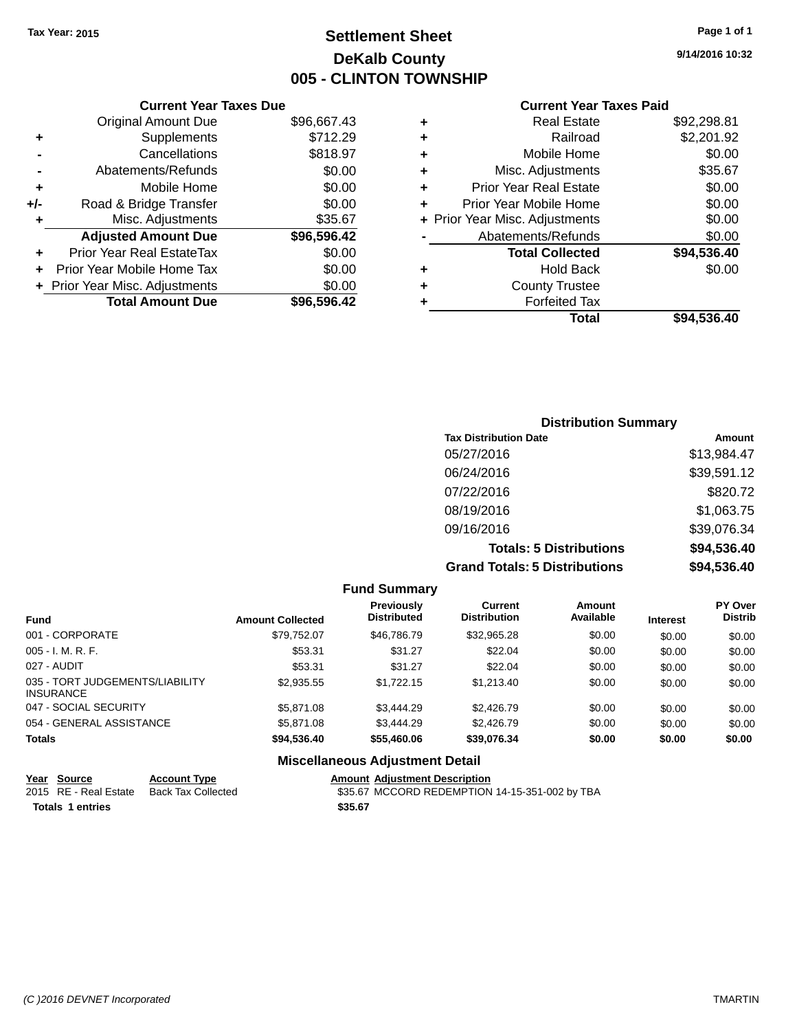## **Settlement Sheet Tax Year: 2015 Page 1 of 1 DeKalb County 005 - CLINTON TOWNSHIP**

**9/14/2016 10:32**

|     | <b>Current Year Taxes Due</b>  |             |
|-----|--------------------------------|-------------|
|     | <b>Original Amount Due</b>     | \$96,667.43 |
| ٠   | Supplements                    | \$712.29    |
|     | Cancellations                  | \$818.97    |
|     | Abatements/Refunds             | \$0.00      |
| ٠   | Mobile Home                    | \$0.00      |
| +/- | Road & Bridge Transfer         | \$0.00      |
| ٠   | Misc. Adjustments              | \$35.67     |
|     | <b>Adjusted Amount Due</b>     | \$96,596.42 |
| ٠   | Prior Year Real EstateTax      | \$0.00      |
|     | Prior Year Mobile Home Tax     | \$0.00      |
|     | + Prior Year Misc. Adjustments | \$0.00      |
|     | <b>Total Amount Due</b>        | \$96,596.42 |
|     |                                |             |

## **Current Year Taxes Paid**

| ٠ | <b>Real Estate</b>             | \$92,298.81 |
|---|--------------------------------|-------------|
| ٠ | Railroad                       | \$2,201.92  |
| ٠ | Mobile Home                    | \$0.00      |
| ٠ | Misc. Adjustments              | \$35.67     |
| ٠ | <b>Prior Year Real Estate</b>  | \$0.00      |
| ٠ | Prior Year Mobile Home         | \$0.00      |
|   | + Prior Year Misc. Adjustments | \$0.00      |
|   | Abatements/Refunds             | \$0.00      |
|   | <b>Total Collected</b>         | \$94,536.40 |
| ٠ | <b>Hold Back</b>               | \$0.00      |
| ٠ | <b>County Trustee</b>          |             |
| ٠ | <b>Forfeited Tax</b>           |             |
|   | Total                          | \$94,536.40 |
|   |                                |             |

### **Distribution Summary Tax Distribution Date Amount** 05/27/2016 \$13,984.47 06/24/2016 \$39,591.12 07/22/2016 \$820.72 08/19/2016 \$1,063.75 09/16/2016 \$39,076.34 **Totals: 5 Distributions \$94,536.40 Grand Totals: 5 Distributions \$94,536.40**

|                                                     |                         | <b>Fund Summary</b>                     |                                |                     |                 |                                  |
|-----------------------------------------------------|-------------------------|-----------------------------------------|--------------------------------|---------------------|-----------------|----------------------------------|
| <b>Fund</b>                                         | <b>Amount Collected</b> | <b>Previously</b><br><b>Distributed</b> | Current<br><b>Distribution</b> | Amount<br>Available | <b>Interest</b> | <b>PY Over</b><br><b>Distrib</b> |
| 001 - CORPORATE                                     | \$79.752.07             | \$46,786,79                             | \$32,965.28                    | \$0.00              | \$0.00          | \$0.00                           |
| $005 - I. M. R. F.$                                 | \$53.31                 | \$31.27                                 | \$22.04                        | \$0.00              | \$0.00          | \$0.00                           |
| 027 - AUDIT                                         | \$53.31                 | \$31.27                                 | \$22.04                        | \$0.00              | \$0.00          | \$0.00                           |
| 035 - TORT JUDGEMENTS/LIABILITY<br><b>INSURANCE</b> | \$2.935.55              | \$1.722.15                              | \$1,213,40                     | \$0.00              | \$0.00          | \$0.00                           |
| 047 - SOCIAL SECURITY                               | \$5,871,08              | \$3,444.29                              | \$2,426.79                     | \$0.00              | \$0.00          | \$0.00                           |
| 054 - GENERAL ASSISTANCE                            | \$5,871,08              | \$3,444.29                              | \$2,426.79                     | \$0.00              | \$0.00          | \$0.00                           |
| <b>Totals</b>                                       | \$94,536.40             | \$55,460.06                             | \$39,076.34                    | \$0.00              | \$0.00          | \$0.00                           |
|                                                     |                         | <b>Miscellaneous Adjustment Detail</b>  |                                |                     |                 |                                  |

|                         | <u>Year Source</u>    | <b>Account Type</b> | <b>Amount Adjustment Description</b>           |  |
|-------------------------|-----------------------|---------------------|------------------------------------------------|--|
|                         | 2015 RE - Real Estate | Back Tax Collected  | \$35.67 MCCORD REDEMPTION 14-15-351-002 by TBA |  |
| <b>Totals 1 entries</b> |                       |                     | \$35.67                                        |  |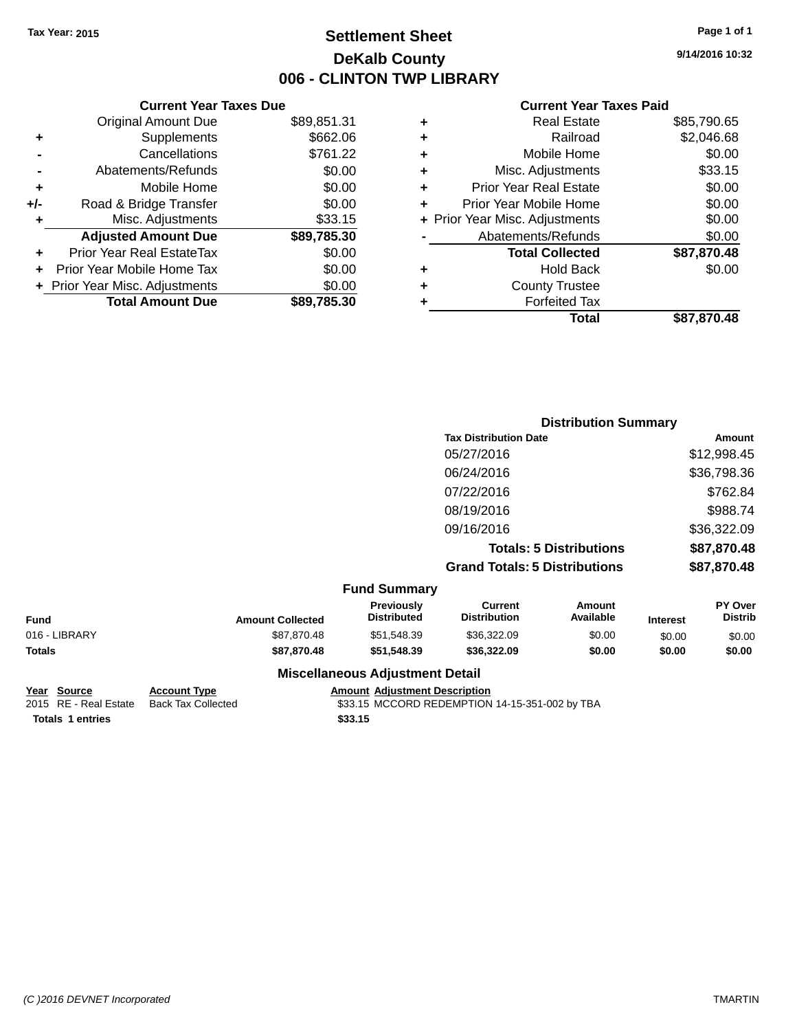## **Settlement Sheet Tax Year: 2015 Page 1 of 1 DeKalb County 006 - CLINTON TWP LIBRARY**

**9/14/2016 10:32**

#### **Current Year Taxes Paid**

| <b>Current Year Taxes Due</b>  |             |
|--------------------------------|-------------|
| <b>Original Amount Due</b>     | \$89,851.31 |
| Supplements                    | \$662.06    |
| Cancellations                  | \$761.22    |
| Abatements/Refunds             | \$0.00      |
| Mobile Home                    | \$0.00      |
| Road & Bridge Transfer         | \$0.00      |
| Misc. Adjustments              | \$33.15     |
| <b>Adjusted Amount Due</b>     | \$89,785.30 |
| Prior Year Real EstateTax      | \$0.00      |
| Prior Year Mobile Home Tax     | \$0.00      |
| + Prior Year Misc. Adjustments | \$0.00      |
| <b>Total Amount Due</b>        | \$89.785.30 |
|                                |             |

|   | <b>Real Estate</b>             | \$85,790.65 |
|---|--------------------------------|-------------|
| ٠ | Railroad                       | \$2,046.68  |
| ٠ | Mobile Home                    | \$0.00      |
| ٠ | Misc. Adjustments              | \$33.15     |
| ٠ | <b>Prior Year Real Estate</b>  | \$0.00      |
| ÷ | Prior Year Mobile Home         | \$0.00      |
|   | + Prior Year Misc. Adjustments | \$0.00      |
|   | Abatements/Refunds             | \$0.00      |
|   | <b>Total Collected</b>         | \$87,870.48 |
| ٠ | <b>Hold Back</b>               | \$0.00      |
| ٠ | <b>County Trustee</b>          |             |
| ٠ | <b>Forfeited Tax</b>           |             |
|   | Total                          | \$87,870.48 |
|   |                                |             |

|                     |                                      | <b>Distribution Summary</b> |  |  |
|---------------------|--------------------------------------|-----------------------------|--|--|
|                     | <b>Tax Distribution Date</b>         | Amount                      |  |  |
|                     | 05/27/2016                           | \$12,998.45                 |  |  |
|                     | 06/24/2016                           | \$36,798.36                 |  |  |
|                     | 07/22/2016                           | \$762.84                    |  |  |
|                     | 08/19/2016                           | \$988.74                    |  |  |
|                     | 09/16/2016                           | \$36,322.09                 |  |  |
|                     | <b>Totals: 5 Distributions</b>       | \$87,870.48                 |  |  |
|                     | <b>Grand Totals: 5 Distributions</b> | \$87,870.48                 |  |  |
| <b>Fund Summary</b> |                                      |                             |  |  |
| Previously          | Current                              | <b>PY Over</b><br>Amount    |  |  |

| Fund          | <b>Amount Collected</b> | <b>Previously</b><br><b>Distributed</b> | Current<br><b>Distribution</b> | Amount<br>Available | <b>Interest</b> | <b>PY Over</b><br><b>Distrib</b> |
|---------------|-------------------------|-----------------------------------------|--------------------------------|---------------------|-----------------|----------------------------------|
| 016 - LIBRARY | \$87.870.48             | \$51.548.39                             | \$36,322.09                    | \$0.00              | \$0.00          | \$0.00                           |
| Totals        | \$87,870,48             | \$51,548,39                             | \$36,322.09                    | \$0.00              | \$0.00          | \$0.00                           |
|               |                         | Miccollangeus Adjustment Detail         |                                |                     |                 |                                  |

**Year Source Account Type Amount Adjustment Description**<br>2015 RE - Real Estate Back Tax Collected \$33.15 MCCORD REDEMPTION **Totals \$33.15 1 entries**

**Miscellaneous Adjustment Detail**

 $$33.15$  MCCORD REDEMPTION 14-15-351-002 by TBA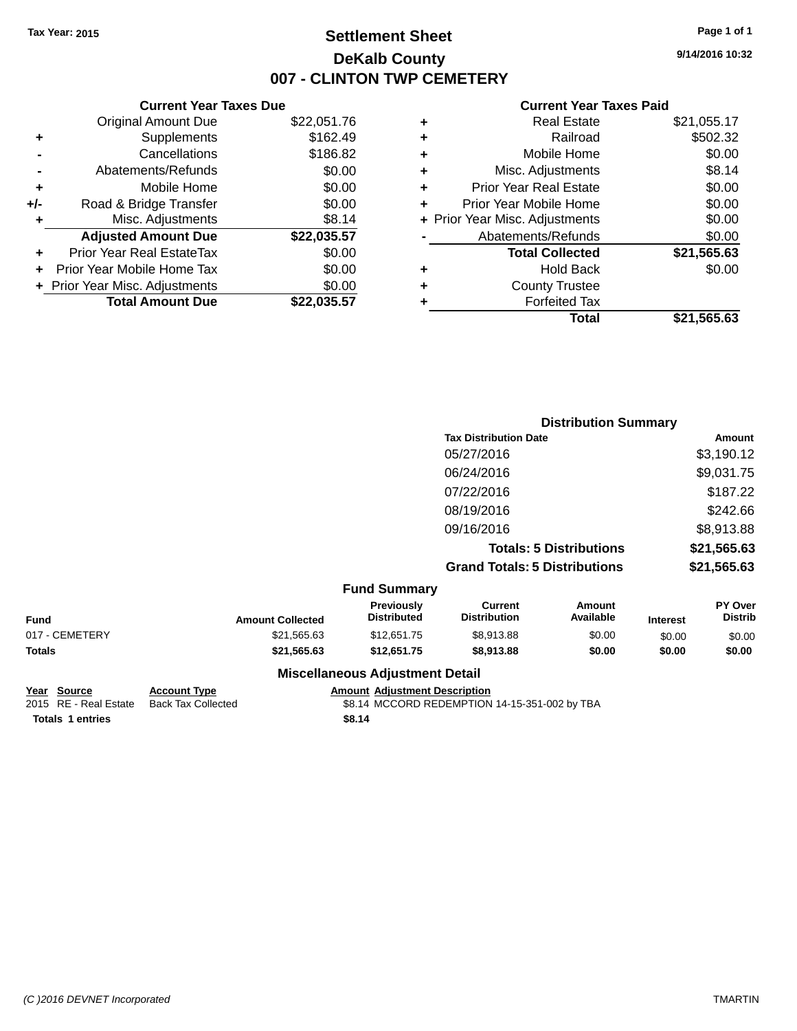## **Settlement Sheet Tax Year: 2015 Page 1 of 1 DeKalb County 007 - CLINTON TWP CEMETERY**

**9/14/2016 10:32**

#### **Current Year Taxes Paid**

|     | <b>Current Year Taxes Due</b>  |             |
|-----|--------------------------------|-------------|
|     | <b>Original Amount Due</b>     | \$22,051.76 |
| ٠   | Supplements                    | \$162.49    |
|     | Cancellations                  | \$186.82    |
|     | Abatements/Refunds             | \$0.00      |
| ٠   | Mobile Home                    | \$0.00      |
| +/- | Road & Bridge Transfer         | \$0.00      |
|     | Misc. Adjustments              | \$8.14      |
|     | <b>Adjusted Amount Due</b>     | \$22,035.57 |
| ٠   | Prior Year Real EstateTax      | \$0.00      |
|     | Prior Year Mobile Home Tax     | \$0.00      |
|     | + Prior Year Misc. Adjustments | \$0.00      |
|     | <b>Total Amount Due</b>        | \$22.035.57 |
|     |                                |             |

|   | <b>Real Estate</b>             | \$21,055.17 |
|---|--------------------------------|-------------|
| ٠ | Railroad                       | \$502.32    |
| ٠ | Mobile Home                    | \$0.00      |
| ٠ | Misc. Adjustments              | \$8.14      |
| ٠ | <b>Prior Year Real Estate</b>  | \$0.00      |
| ٠ | Prior Year Mobile Home         | \$0.00      |
|   | + Prior Year Misc. Adjustments | \$0.00      |
|   | Abatements/Refunds             | \$0.00      |
|   | <b>Total Collected</b>         | \$21,565.63 |
| ٠ | <b>Hold Back</b>               | \$0.00      |
| ٠ | <b>County Trustee</b>          |             |
| ٠ | <b>Forfeited Tax</b>           |             |
|   | Total                          | \$21,565.63 |
|   |                                |             |

| <b>Distribution Summary</b>          |             |
|--------------------------------------|-------------|
| <b>Tax Distribution Date</b>         | Amount      |
| 05/27/2016                           | \$3,190.12  |
| 06/24/2016                           | \$9,031.75  |
| 07/22/2016                           | \$187.22    |
| 08/19/2016                           | \$242.66    |
| 09/16/2016                           | \$8,913.88  |
| <b>Totals: 5 Distributions</b>       | \$21,565.63 |
| <b>Grand Totals: 5 Distributions</b> | \$21,565.63 |
|                                      |             |

|                |                         | <b>Fund Summary</b>                    |                                |                     |                 |                                  |
|----------------|-------------------------|----------------------------------------|--------------------------------|---------------------|-----------------|----------------------------------|
| Fund           | <b>Amount Collected</b> | <b>Previously</b><br>Distributed       | Current<br><b>Distribution</b> | Amount<br>Available | <b>Interest</b> | <b>PY Over</b><br><b>Distrib</b> |
| 017 - CEMETERY | \$21,565.63             | \$12,651.75                            | \$8.913.88                     | \$0.00              | \$0.00          | \$0.00                           |
| Totals         | \$21.565.63             | \$12,651.75                            | \$8,913,88                     | \$0.00              | \$0.00          | \$0.00                           |
|                |                         | <b>Miscellaneous Adjustment Detail</b> |                                |                     |                 |                                  |

# **Totals \$8.14 1 entries**

**Year Source Account Type Amount Adjustment Description** \$8.14 MCCORD REDEMPTION 14-15-351-002 by TBA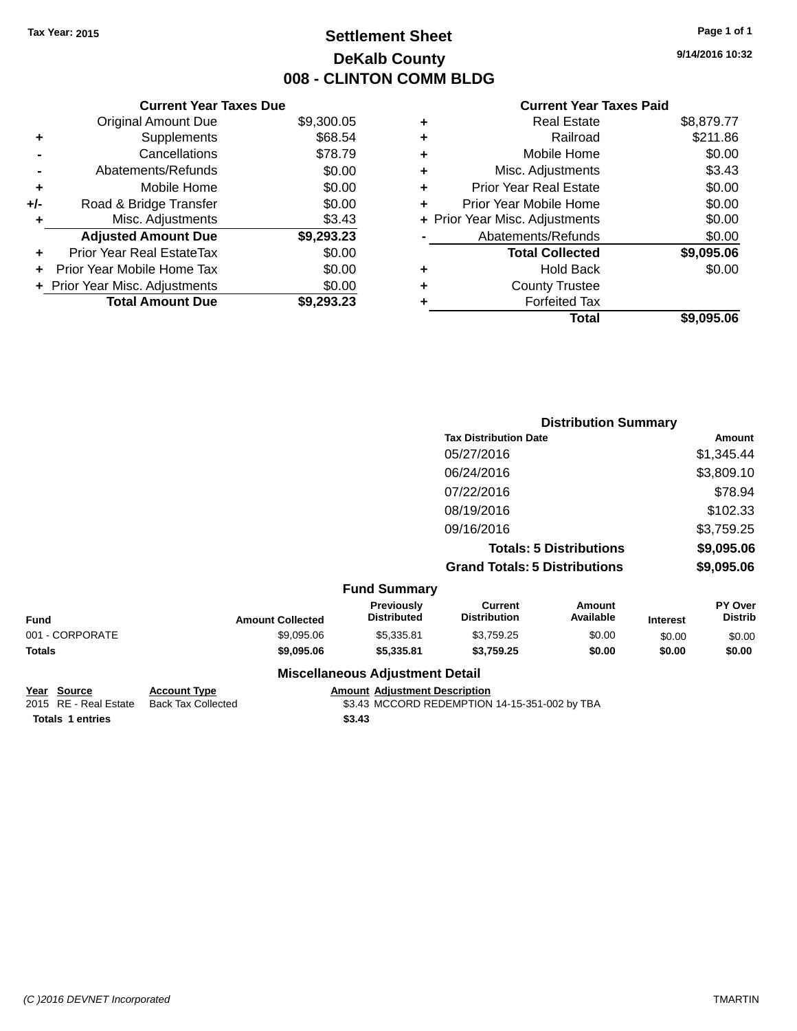## **Settlement Sheet Tax Year: 2015 Page 1 of 1 DeKalb County 008 - CLINTON COMM BLDG**

**9/14/2016 10:32**

#### **Current Year Taxes Paid**

|     | <b>Current Year Taxes Due</b>  |            |
|-----|--------------------------------|------------|
|     | <b>Original Amount Due</b>     | \$9,300.05 |
| ٠   | Supplements                    | \$68.54    |
|     | Cancellations                  | \$78.79    |
|     | Abatements/Refunds             | \$0.00     |
| ٠   | Mobile Home                    | \$0.00     |
| +/- | Road & Bridge Transfer         | \$0.00     |
|     | Misc. Adjustments              | \$3.43     |
|     | <b>Adjusted Amount Due</b>     | \$9,293.23 |
| ÷   | Prior Year Real EstateTax      | \$0.00     |
| ÷   | Prior Year Mobile Home Tax     | \$0.00     |
|     | + Prior Year Misc. Adjustments | \$0.00     |
|     | <b>Total Amount Due</b>        | \$9.293.23 |

|   | <b>Real Estate</b>             | \$8,879.77 |
|---|--------------------------------|------------|
| ÷ | Railroad                       | \$211.86   |
| ٠ | Mobile Home                    | \$0.00     |
| ٠ | Misc. Adjustments              | \$3.43     |
| ٠ | <b>Prior Year Real Estate</b>  | \$0.00     |
| ÷ | Prior Year Mobile Home         | \$0.00     |
|   | + Prior Year Misc. Adjustments | \$0.00     |
|   | Abatements/Refunds             | \$0.00     |
|   | <b>Total Collected</b>         | \$9,095.06 |
| ٠ | <b>Hold Back</b>               | \$0.00     |
|   | <b>County Trustee</b>          |            |
| ٠ | <b>Forfeited Tax</b>           |            |
|   | Total                          | \$9,095.06 |
|   |                                |            |

|                     | <b>Distribution Summary</b>          |            |  |
|---------------------|--------------------------------------|------------|--|
|                     | <b>Tax Distribution Date</b>         | Amount     |  |
|                     | 05/27/2016                           | \$1,345.44 |  |
|                     | 06/24/2016                           | \$3,809.10 |  |
|                     | 07/22/2016                           | \$78.94    |  |
|                     | 08/19/2016                           | \$102.33   |  |
|                     | 09/16/2016                           | \$3,759.25 |  |
|                     | <b>Totals: 5 Distributions</b>       | \$9,095.06 |  |
|                     | <b>Grand Totals: 5 Distributions</b> | \$9,095.06 |  |
| <b>Fund Summary</b> |                                      |            |  |

| Fund            | <b>Amount Collected</b> | <b>Previously</b><br><b>Distributed</b> | Current<br><b>Distribution</b> | Amount<br>Available | <b>Interest</b> | <b>PY Over</b><br><b>Distrib</b> |
|-----------------|-------------------------|-----------------------------------------|--------------------------------|---------------------|-----------------|----------------------------------|
| 001 - CORPORATE | \$9,095,06              | \$5.335.81                              | \$3.759.25                     | \$0.00              | \$0.00          | \$0.00                           |
| Totals          | \$9,095,06              | \$5.335.81                              | \$3.759.25                     | \$0.00              | \$0.00          | \$0.00                           |
|                 |                         | <b>Miscellaneous Adjustment Detail</b>  |                                |                     |                 |                                  |

**Totals \$3.43 1 entries**

**Year Source Account Type Amount Adjustment Description** \$3.43 MCCORD REDEMPTION 14-15-351-002 by TBA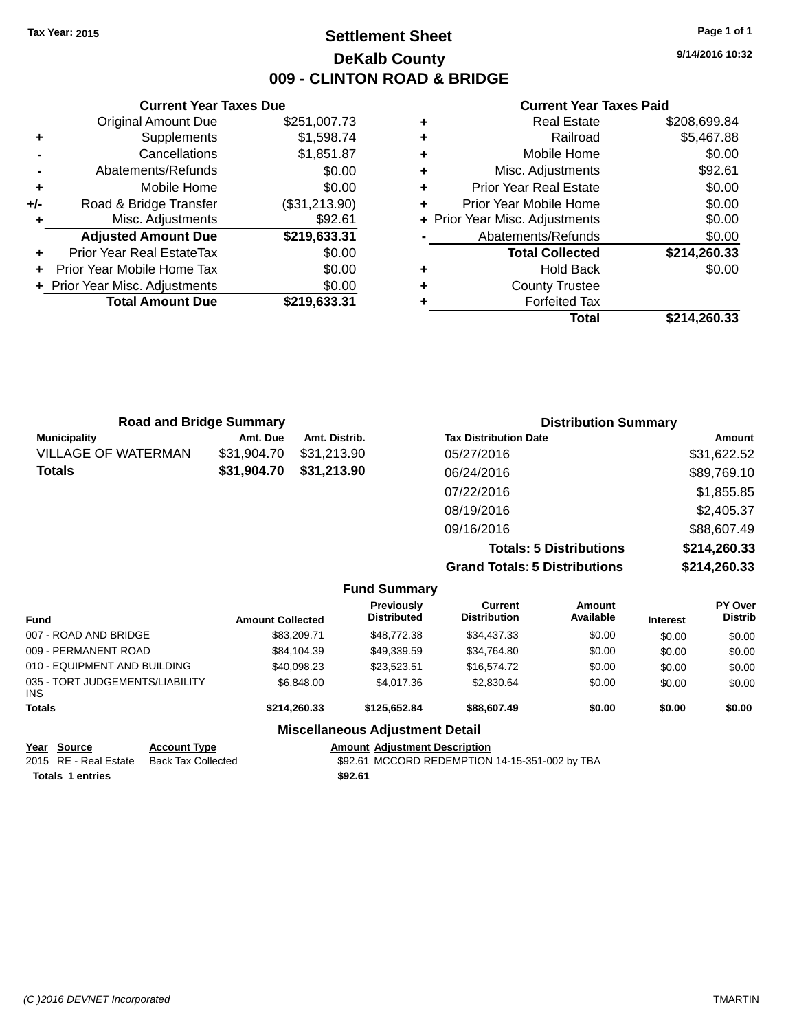## **Settlement Sheet Tax Year: 2015 Page 1 of 1 DeKalb County 009 - CLINTON ROAD & BRIDGE**

**9/14/2016 10:32**

#### **Current Year Taxes Paid**

|     | <b>Current Year Taxes Due</b>  |               |  |  |  |
|-----|--------------------------------|---------------|--|--|--|
|     | <b>Original Amount Due</b>     | \$251,007.73  |  |  |  |
| ٠   | Supplements                    | \$1,598.74    |  |  |  |
|     | Cancellations                  | \$1,851.87    |  |  |  |
|     | Abatements/Refunds             | \$0.00        |  |  |  |
| ٠   | Mobile Home                    | \$0.00        |  |  |  |
| +/- | Road & Bridge Transfer         | (\$31,213.90) |  |  |  |
| ٠   | \$92.61<br>Misc. Adjustments   |               |  |  |  |
|     | <b>Adjusted Amount Due</b>     | \$219,633.31  |  |  |  |
|     | Prior Year Real EstateTax      | \$0.00        |  |  |  |
|     | Prior Year Mobile Home Tax     | \$0.00        |  |  |  |
|     | + Prior Year Misc. Adjustments | \$0.00        |  |  |  |
|     | <b>Total Amount Due</b>        | \$219,633.31  |  |  |  |
|     |                                |               |  |  |  |

|   | Total                          | \$214,260.33 |
|---|--------------------------------|--------------|
| ٠ | <b>Forfeited Tax</b>           |              |
| ٠ | <b>County Trustee</b>          |              |
| ٠ | <b>Hold Back</b>               | \$0.00       |
|   | <b>Total Collected</b>         | \$214,260.33 |
|   | Abatements/Refunds             | \$0.00       |
|   | + Prior Year Misc. Adjustments | \$0.00       |
| ÷ | Prior Year Mobile Home         | \$0.00       |
| ٠ | <b>Prior Year Real Estate</b>  | \$0.00       |
| ٠ | Misc. Adjustments              | \$92.61      |
| ٠ | Mobile Home                    | \$0.00       |
| ٠ | Railroad                       | \$5,467.88   |
| ٠ | <b>Real Estate</b>             | \$208,699.84 |

| <b>Road and Bridge Summary</b> |             |               | <b>Distribution Summary</b>    |              |  |
|--------------------------------|-------------|---------------|--------------------------------|--------------|--|
| <b>Municipality</b>            | Amt. Due    | Amt. Distrib. | <b>Tax Distribution Date</b>   | Amount       |  |
| VILLAGE OF WATERMAN            | \$31.904.70 | \$31.213.90   | 05/27/2016                     | \$31,622.52  |  |
| Totals                         | \$31,904.70 | \$31,213.90   | 06/24/2016                     | \$89,769.10  |  |
|                                |             |               | 07/22/2016                     | \$1,855.85   |  |
|                                |             |               | 08/19/2016                     | \$2,405.37   |  |
|                                |             |               | 09/16/2016                     | \$88,607.49  |  |
|                                |             |               | <b>Totals: 5 Distributions</b> | \$214,260.33 |  |

**Grand Totals: 5 Distributions \$214,260.33**

|                                         |                         | <b>Fund Summary</b>                     |                                |                            |                 |                                  |
|-----------------------------------------|-------------------------|-----------------------------------------|--------------------------------|----------------------------|-----------------|----------------------------------|
| <b>Fund</b>                             | <b>Amount Collected</b> | <b>Previously</b><br><b>Distributed</b> | Current<br><b>Distribution</b> | <b>Amount</b><br>Available | <b>Interest</b> | <b>PY Over</b><br><b>Distrib</b> |
| 007 - ROAD AND BRIDGE                   | \$83,209.71             | \$48,772.38                             | \$34.437.33                    | \$0.00                     | \$0.00          | \$0.00                           |
| 009 - PERMANENT ROAD                    | \$84,104.39             | \$49,339.59                             | \$34,764.80                    | \$0.00                     | \$0.00          | \$0.00                           |
| 010 - EQUIPMENT AND BUILDING            | \$40,098.23             | \$23.523.51                             | \$16,574.72                    | \$0.00                     | \$0.00          | \$0.00                           |
| 035 - TORT JUDGEMENTS/LIABILITY<br>INS. | \$6.848.00              | \$4,017.36                              | \$2,830.64                     | \$0.00                     | \$0.00          | \$0.00                           |
| <b>Totals</b>                           | \$214.260.33            | \$125,652,84                            | \$88,607.49                    | \$0.00                     | \$0.00          | \$0.00                           |
|                                         |                         | <b>Miscellaneous Adjustment Detail</b>  |                                |                            |                 |                                  |

| Year Source             | <b>Account Type</b>       |
|-------------------------|---------------------------|
| 2015 RE - Real Estate   | <b>Back Tax Collected</b> |
| <b>Totals 1 entries</b> |                           |

**Amount Adjustment Description** \$92.61 MCCORD REDEMPTION 14-15-351-002 by TBA<br>\$92.61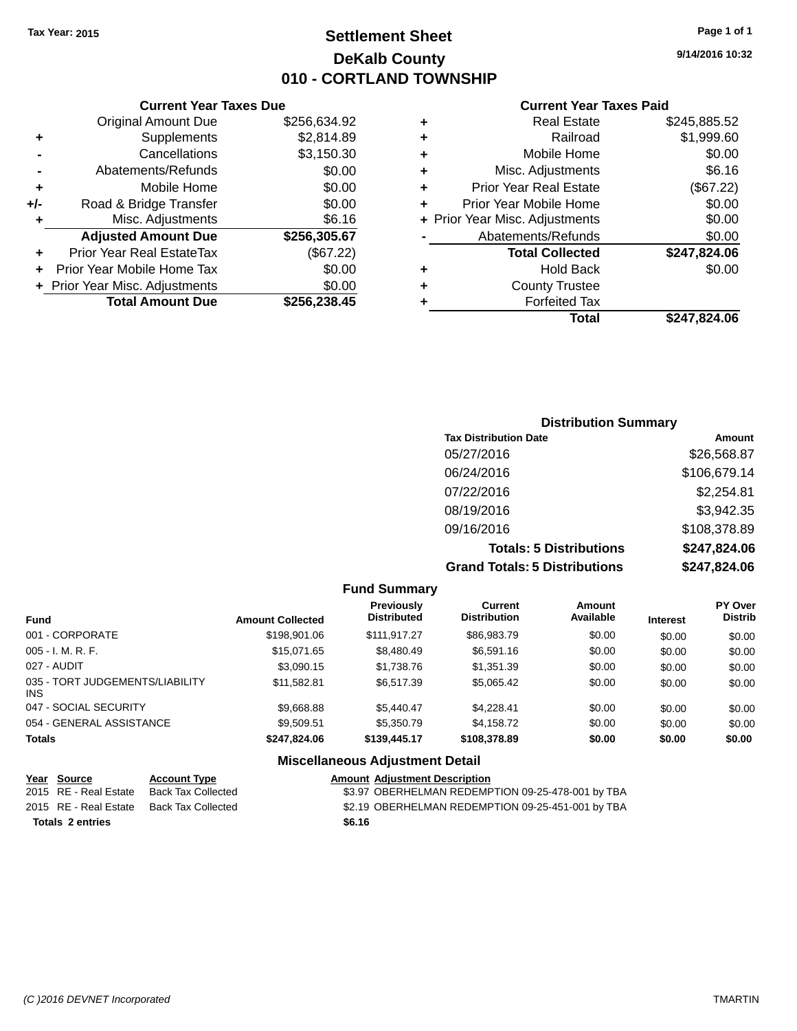## **Settlement Sheet Tax Year: 2015 Page 1 of 1 DeKalb County 010 - CORTLAND TOWNSHIP**

**9/14/2016 10:32**

#### **Current Year Taxes Paid**

|     | <b>Current Year Taxes Due</b>  |              |   |
|-----|--------------------------------|--------------|---|
|     | <b>Original Amount Due</b>     | \$256,634.92 | ٠ |
| ٠   | Supplements                    | \$2,814.89   | ٠ |
|     | Cancellations                  | \$3,150.30   | ٠ |
|     | Abatements/Refunds             | \$0.00       | ٠ |
|     | Mobile Home                    | \$0.00       | ٠ |
| +/- | Road & Bridge Transfer         | \$0.00       | ٠ |
|     | Misc. Adjustments              | \$6.16       | ٠ |
|     | <b>Adjusted Amount Due</b>     | \$256,305.67 |   |
| ٠   | Prior Year Real EstateTax      | (\$67.22)    |   |
|     | Prior Year Mobile Home Tax     | \$0.00       |   |
|     | + Prior Year Misc. Adjustments | \$0.00       | ٠ |
|     | <b>Total Amount Due</b>        | \$256,238.45 |   |
|     |                                |              |   |

| ٠ | <b>Real Estate</b>             | \$245,885.52 |
|---|--------------------------------|--------------|
| ٠ | Railroad                       | \$1,999.60   |
| ٠ | Mobile Home                    | \$0.00       |
| ٠ | Misc. Adjustments              | \$6.16       |
| ٠ | <b>Prior Year Real Estate</b>  | (\$67.22)    |
| ٠ | Prior Year Mobile Home         | \$0.00       |
|   | + Prior Year Misc. Adjustments | \$0.00       |
|   | Abatements/Refunds             | \$0.00       |
|   | <b>Total Collected</b>         | \$247,824.06 |
| ٠ | <b>Hold Back</b>               | \$0.00       |
| ٠ | <b>County Trustee</b>          |              |
| ٠ | <b>Forfeited Tax</b>           |              |
|   | Total                          | \$247.824.06 |
|   |                                |              |

### **Distribution Summary Tax Distribution Date Amount** 05/27/2016 \$26,568.87 06/24/2016 \$106,679.14 07/22/2016 \$2,254.81 08/19/2016 \$3,942.35 09/16/2016 \$108,378.89 **Totals: 5 Distributions \$247,824.06 Grand Totals: 5 Distributions \$247,824.06**

|                                         |                         | <b>Fund Summary</b>                     |                                |                            |                 |                           |
|-----------------------------------------|-------------------------|-----------------------------------------|--------------------------------|----------------------------|-----------------|---------------------------|
| <b>Fund</b>                             | <b>Amount Collected</b> | <b>Previously</b><br><b>Distributed</b> | Current<br><b>Distribution</b> | <b>Amount</b><br>Available | <b>Interest</b> | PY Over<br><b>Distrib</b> |
| 001 - CORPORATE                         | \$198,901.06            | \$111.917.27                            | \$86,983.79                    | \$0.00                     | \$0.00          | \$0.00                    |
| $005 - I. M. R. F.$                     | \$15.071.65             | \$8,480.49                              | \$6,591.16                     | \$0.00                     | \$0.00          | \$0.00                    |
| 027 - AUDIT                             | \$3,090.15              | \$1,738.76                              | \$1,351.39                     | \$0.00                     | \$0.00          | \$0.00                    |
| 035 - TORT JUDGEMENTS/LIABILITY<br>INS. | \$11.582.81             | \$6,517.39                              | \$5.065.42                     | \$0.00                     | \$0.00          | \$0.00                    |
| 047 - SOCIAL SECURITY                   | \$9,668.88              | \$5.440.47                              | \$4.228.41                     | \$0.00                     | \$0.00          | \$0.00                    |
| 054 - GENERAL ASSISTANCE                | \$9.509.51              | \$5,350.79                              | \$4.158.72                     | \$0.00                     | \$0.00          | \$0.00                    |
| <b>Totals</b>                           | \$247.824.06            | \$139,445.17                            | \$108,378.89                   | \$0.00                     | \$0.00          | \$0.00                    |
|                                         |                         | <b>Miscellaneous Adjustment Detail</b>  |                                |                            |                 |                           |

| Year Source             | <b>Account Type</b> | <b>Amount Adjustment Description</b>              |
|-------------------------|---------------------|---------------------------------------------------|
| 2015 RE - Real Estate   | Back Tax Collected  | \$3.97 OBERHELMAN REDEMPTION 09-25-478-001 by TBA |
| 2015 RE - Real Estate   | Back Tax Collected  | \$2.19 OBERHELMAN REDEMPTION 09-25-451-001 by TBA |
| <b>Totals 2 entries</b> |                     | \$6.16                                            |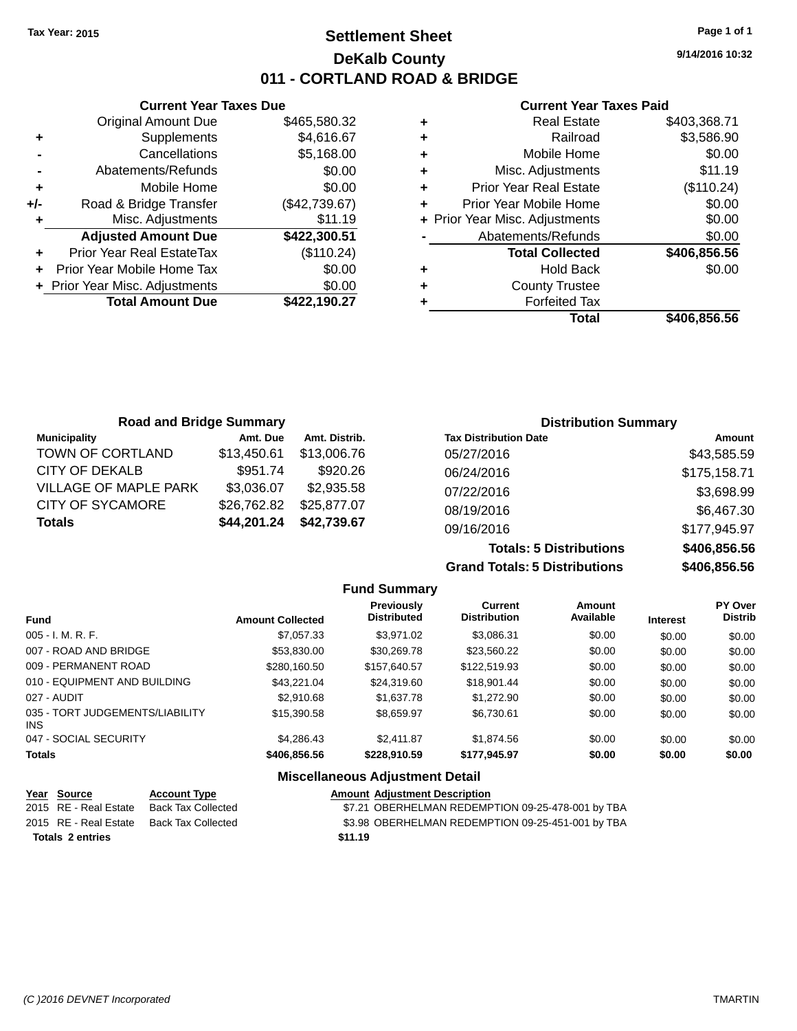## **Settlement Sheet Tax Year: 2015 Page 1 of 1 DeKalb County 011 - CORTLAND ROAD & BRIDGE**

**9/14/2016 10:32**

#### **Current Year Taxes Paid**

|       | <b>Current Year Taxes Due</b>  |               |
|-------|--------------------------------|---------------|
|       | <b>Original Amount Due</b>     | \$465,580.32  |
| ٠     | Supplements                    | \$4,616.67    |
|       | Cancellations                  | \$5,168.00    |
|       | Abatements/Refunds             | \$0.00        |
| ٠     | Mobile Home                    | \$0.00        |
| $+/-$ | Road & Bridge Transfer         | (\$42,739.67) |
|       | Misc. Adjustments              | \$11.19       |
|       | <b>Adjusted Amount Due</b>     | \$422,300.51  |
| ٠     | Prior Year Real EstateTax      | (\$110.24)    |
|       | Prior Year Mobile Home Tax     | \$0.00        |
|       | + Prior Year Misc. Adjustments | \$0.00        |
|       | <b>Total Amount Due</b>        | \$422,190.27  |
|       |                                |               |

|   | Total                          | \$406.856.56 |
|---|--------------------------------|--------------|
|   | <b>Forfeited Tax</b>           |              |
| ٠ | <b>County Trustee</b>          |              |
| ٠ | <b>Hold Back</b>               | \$0.00       |
|   | <b>Total Collected</b>         | \$406,856.56 |
|   | Abatements/Refunds             | \$0.00       |
|   | + Prior Year Misc. Adjustments | \$0.00       |
| ٠ | Prior Year Mobile Home         | \$0.00       |
| ٠ | <b>Prior Year Real Estate</b>  | (\$110.24)   |
| ٠ | Misc. Adjustments              | \$11.19      |
| ٠ | Mobile Home                    | \$0.00       |
| ٠ | Railroad                       | \$3,586.90   |
| ٠ | <b>Real Estate</b>             | \$403,368.71 |

| <b>Road and Bridge Summary</b> |             |               | <b>Distribution Summary</b>    |              |
|--------------------------------|-------------|---------------|--------------------------------|--------------|
| <b>Municipality</b>            | Amt. Due    | Amt. Distrib. | <b>Tax Distribution Date</b>   | Amount       |
| <b>TOWN OF CORTLAND</b>        | \$13.450.61 | \$13,006.76   | 05/27/2016                     | \$43,585.59  |
| <b>CITY OF DEKALB</b>          | \$951.74    | \$920.26      | 06/24/2016                     | \$175,158.71 |
| <b>VILLAGE OF MAPLE PARK</b>   | \$3,036.07  | \$2,935.58    | 07/22/2016                     | \$3,698.99   |
| CITY OF SYCAMORE               | \$26,762.82 | \$25,877.07   | 08/19/2016                     | \$6,467.30   |
| <b>Totals</b>                  | \$44,201.24 | \$42,739.67   | 09/16/2016                     | \$177,945.97 |
|                                |             |               | <b>Totals: 5 Distributions</b> | \$406,856.56 |

**Grand Totals: 5 Distributions** 

| \$406,856.56 |
|--------------|
| \$406,856.56 |
|              |

|                                         |                         | <b>Fund Summary</b>              |                                       |                            |                 |                                  |
|-----------------------------------------|-------------------------|----------------------------------|---------------------------------------|----------------------------|-----------------|----------------------------------|
| <b>Fund</b>                             | <b>Amount Collected</b> | Previously<br><b>Distributed</b> | <b>Current</b><br><b>Distribution</b> | <b>Amount</b><br>Available | <b>Interest</b> | <b>PY Over</b><br><b>Distrib</b> |
| 005 - I. M. R. F.                       | \$7.057.33              | \$3.971.02                       | \$3,086.31                            | \$0.00                     | \$0.00          | \$0.00                           |
| 007 - ROAD AND BRIDGE                   | \$53,830,00             | \$30.269.78                      | \$23.560.22                           | \$0.00                     | \$0.00          | \$0.00                           |
| 009 - PERMANENT ROAD                    | \$280.160.50            | \$157.640.57                     | \$122,519.93                          | \$0.00                     | \$0.00          | \$0.00                           |
| 010 - EQUIPMENT AND BUILDING            | \$43.221.04             | \$24,319.60                      | \$18.901.44                           | \$0.00                     | \$0.00          | \$0.00                           |
| 027 - AUDIT                             | \$2.910.68              | \$1,637.78                       | \$1.272.90                            | \$0.00                     | \$0.00          | \$0.00                           |
| 035 - TORT JUDGEMENTS/LIABILITY<br>INS. | \$15,390.58             | \$8.659.97                       | \$6.730.61                            | \$0.00                     | \$0.00          | \$0.00                           |
| 047 - SOCIAL SECURITY                   | \$4.286.43              | \$2.411.87                       | \$1.874.56                            | \$0.00                     | \$0.00          | \$0.00                           |
| <b>Totals</b>                           | \$406,856,56            | \$228,910.59                     | \$177,945.97                          | \$0.00                     | \$0.00          | \$0.00                           |
|                                         |                         |                                  |                                       |                            |                 |                                  |

#### **Miscellaneous Adjustment Detail**

| Year Source           | <b>Account Type</b>       | <b>Amount Adjustment Description</b>              |
|-----------------------|---------------------------|---------------------------------------------------|
| 2015 RE - Real Estate | <b>Back Tax Collected</b> | \$7.21 OBERHELMAN REDEMPTION 09-25-478-001 by TBA |
| 2015 RE - Real Estate | Back Tax Collected        | \$3.98 OBERHELMAN REDEMPTION 09-25-451-001 by TBA |
| Totals 2 entries      |                           | \$11.19                                           |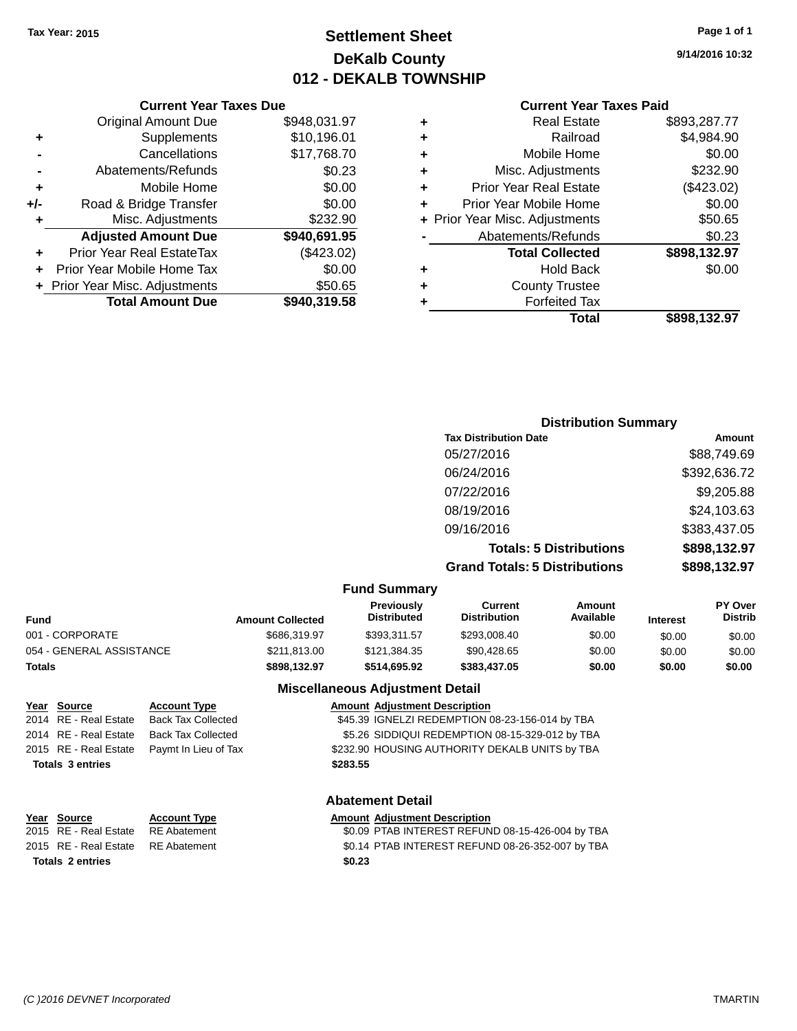## **Settlement Sheet Tax Year: 2015 Page 1 of 1 DeKalb County 012 - DEKALB TOWNSHIP**

**9/14/2016 10:32**

| <b>Current Year Taxes Paid</b> |  |  |  |
|--------------------------------|--|--|--|
|--------------------------------|--|--|--|

|     | <b>Original Amount Due</b>       | \$948,031.97 |            |     |
|-----|----------------------------------|--------------|------------|-----|
|     | Supplements                      | \$10,196.01  | ٠          |     |
|     | Cancellations                    | \$17,768.70  | ٠          |     |
|     | Abatements/Refunds               | \$0.23       | ٠          |     |
|     | Mobile Home                      | \$0.00       |            | Р   |
| +/- | Road & Bridge Transfer           | \$0.00       |            | Pri |
| ٠   | Misc. Adjustments                | \$232.90     | + Prior Ye |     |
|     | <b>Adjusted Amount Due</b>       | \$940,691.95 |            |     |
|     | <b>Prior Year Real EstateTax</b> | (\$423.02)   |            |     |
|     | Prior Year Mobile Home Tax       | \$0.00       | ٠          |     |
|     | + Prior Year Misc. Adjustments   | \$50.65      |            |     |
|     | <b>Total Amount Due</b>          | \$940,319.58 |            |     |
|     |                                  |              |            |     |

**Current Year Taxes Due**

|   | <b>Real Estate</b>             | \$893,287.77 |
|---|--------------------------------|--------------|
| ٠ | Railroad                       | \$4,984.90   |
| ٠ | Mobile Home                    | \$0.00       |
| ٠ | Misc. Adjustments              | \$232.90     |
| ٠ | <b>Prior Year Real Estate</b>  | (\$423.02)   |
| ÷ | Prior Year Mobile Home         | \$0.00       |
|   | + Prior Year Misc. Adjustments | \$50.65      |
|   | Abatements/Refunds             | \$0.23       |
|   | <b>Total Collected</b>         | \$898,132.97 |
| ٠ | <b>Hold Back</b>               | \$0.00       |
| ٠ | <b>County Trustee</b>          |              |
|   | <b>Forfeited Tax</b>           |              |
|   | Total                          | \$898.132.97 |
|   |                                |              |

| <b>Distribution Summary</b>          |              |
|--------------------------------------|--------------|
| <b>Tax Distribution Date</b>         | Amount       |
| 05/27/2016                           | \$88,749.69  |
| 06/24/2016                           | \$392,636.72 |
| 07/22/2016                           | \$9,205.88   |
| 08/19/2016                           | \$24,103.63  |
| 09/16/2016                           | \$383,437.05 |
| <b>Totals: 5 Distributions</b>       | \$898,132.97 |
| <b>Grand Totals: 5 Distributions</b> | \$898,132.97 |

|  |  | <b>Fund Summary</b> |
|--|--|---------------------|
|--|--|---------------------|

| Fund                     | <b>Amount Collected</b> | <b>Previously</b><br><b>Distributed</b> | Current<br><b>Distribution</b> | Amount<br>Available | <b>Interest</b> | <b>PY Over</b><br><b>Distrib</b> |  |
|--------------------------|-------------------------|-----------------------------------------|--------------------------------|---------------------|-----------------|----------------------------------|--|
| 001 - CORPORATE          | \$686,319.97            | \$393.311.57                            | \$293,008.40                   | \$0.00              | \$0.00          | \$0.00                           |  |
| 054 - GENERAL ASSISTANCE | \$211,813.00            | \$121,384.35                            | \$90,428.65                    | \$0.00              | \$0.00          | \$0.00                           |  |
| Totals                   | \$898.132.97            | \$514.695.92                            | \$383,437.05                   | \$0.00              | \$0.00          | \$0.00                           |  |

#### **Miscellaneous Adjustment Detail**

**Year Source Account Type Amount Adjustment Description**<br>2014 RE - Real Estate Back Tax Collected \$45.39 IGNELZI REDEMPTION ( \$45.39 IGNELZI REDEMPTION 08-23-156-014 by TBA 2014 RE - Real Estate Back Tax Collected \$5.26 SIDDIQUI REDEMPTION 08-15-329-012 by TBA 2015 RE - Real Estate Paymt In Lieu of Tax S232.90 HOUSING AUTHORITY DEKALB UNITS by TBA **Totals \$283.55 3 entries**

#### **Abatement Detail**

# **Year Source Account Type Amount Adjustment Description**<br>2015 RE - Real Estate RE Abatement **Amount 1988** And Amount REFUN

\$0.09 PTAB INTEREST REFUND 08-15-426-004 by TBA 2015 RE - Real Estate RE Abatement \$0.14 PTAB INTEREST REFUND 08-26-352-007 by TBA **Totals \$0.23 2 entries**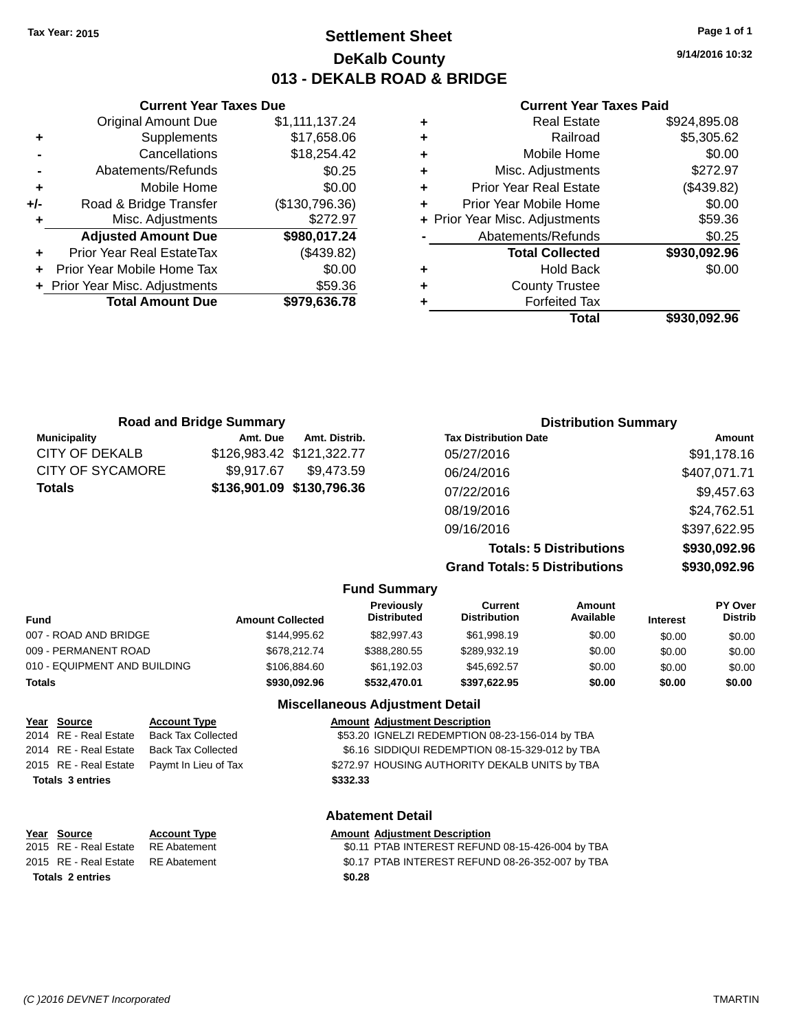## **Settlement Sheet Tax Year: 2015 Page 1 of 1 DeKalb County 013 - DEKALB ROAD & BRIDGE**

**9/14/2016 10:32**

#### **Current Year Taxes Paid**

| ٠ | <b>Real Estate</b>             | \$924,895.08 |
|---|--------------------------------|--------------|
| ٠ | Railroad                       | \$5,305.62   |
| ٠ | Mobile Home                    | \$0.00       |
| ٠ | Misc. Adjustments              | \$272.97     |
| ٠ | <b>Prior Year Real Estate</b>  | (\$439.82)   |
| ٠ | Prior Year Mobile Home         | \$0.00       |
|   | + Prior Year Misc. Adjustments | \$59.36      |
|   | Abatements/Refunds             | \$0.25       |
|   | <b>Total Collected</b>         | \$930,092.96 |
| ٠ | <b>Hold Back</b>               | \$0.00       |
| ٠ | <b>County Trustee</b>          |              |
|   | <b>Forfeited Tax</b>           |              |
|   | Total                          | \$930.092.96 |

|     | <b>Current Year Taxes Due</b>  |                |
|-----|--------------------------------|----------------|
|     | <b>Original Amount Due</b>     | \$1,111,137.24 |
| ٠   | Supplements                    | \$17,658.06    |
|     | Cancellations                  | \$18,254.42    |
|     | Abatements/Refunds             | \$0.25         |
| ٠   | Mobile Home                    | \$0.00         |
| +/- | Road & Bridge Transfer         | (\$130,796.36) |
| ٠   | Misc. Adjustments              | \$272.97       |
|     | <b>Adjusted Amount Due</b>     | \$980,017.24   |
|     | Prior Year Real EstateTax      | (\$439.82)     |
|     | Prior Year Mobile Home Tax     | \$0.00         |
|     | + Prior Year Misc. Adjustments | \$59.36        |
|     | <b>Total Amount Due</b>        | \$979,636.78   |
|     |                                |                |

| <b>Road and Bridge Summary</b> |            | <b>Distribution Summary</b> |                                      |              |
|--------------------------------|------------|-----------------------------|--------------------------------------|--------------|
| <b>Municipality</b>            | Amt. Due   | Amt. Distrib.               | <b>Tax Distribution Date</b>         | Amount       |
| CITY OF DEKALB                 |            | \$126,983.42 \$121,322.77   | 05/27/2016                           | \$91,178.16  |
| <b>CITY OF SYCAMORE</b>        | \$9,917.67 | \$9,473.59                  | 06/24/2016                           | \$407,071.71 |
| <b>Totals</b>                  |            | \$136,901.09 \$130,796.36   | 07/22/2016                           | \$9,457.63   |
|                                |            |                             | 08/19/2016                           | \$24,762.51  |
|                                |            |                             | 09/16/2016                           | \$397,622.95 |
|                                |            |                             | <b>Totals: 5 Distributions</b>       | \$930,092.96 |
|                                |            |                             | <b>Grand Totals: 5 Distributions</b> | \$930,092.96 |

|                              |                         | <b>Fund Summary</b>                    |                                |                     |                 |                           |
|------------------------------|-------------------------|----------------------------------------|--------------------------------|---------------------|-----------------|---------------------------|
| <b>Fund</b>                  | <b>Amount Collected</b> | Previously<br><b>Distributed</b>       | Current<br><b>Distribution</b> | Amount<br>Available | <b>Interest</b> | PY Over<br><b>Distrib</b> |
| 007 - ROAD AND BRIDGE        | \$144.995.62            | \$82,997.43                            | \$61,998.19                    | \$0.00              | \$0.00          | \$0.00                    |
| 009 - PERMANENT ROAD         | \$678.212.74            | \$388,280.55                           | \$289,932.19                   | \$0.00              | \$0.00          | \$0.00                    |
| 010 - EQUIPMENT AND BUILDING | \$106.884.60            | \$61.192.03                            | \$45.692.57                    | \$0.00              | \$0.00          | \$0.00                    |
| <b>Totals</b>                | \$930,092.96            | \$532,470.01                           | \$397.622.95                   | \$0.00              | \$0.00          | \$0.00                    |
|                              |                         | <b>Miscellaneous Adjustment Detail</b> |                                |                     |                 |                           |

| Year Source             | <b>Account Type</b>                        |          | <b>Amount Adjustment Description</b>            |
|-------------------------|--------------------------------------------|----------|-------------------------------------------------|
| 2014 RE - Real Estate   | <b>Back Tax Collected</b>                  |          | \$53.20 IGNELZI REDEMPTION 08-23-156-014 by TBA |
| 2014 RE - Real Estate   | <b>Back Tax Collected</b>                  |          | \$6.16 SIDDIQUI REDEMPTION 08-15-329-012 by TBA |
|                         | 2015 RE - Real Estate Paymt In Lieu of Tax |          | \$272.97 HOUSING AUTHORITY DEKALB UNITS by TBA  |
| <b>Totals 3 entries</b> |                                            | \$332.33 |                                                 |
|                         |                                            |          |                                                 |

| Year Source                        | <b>Account Type</b> |        | <b>Amount Adjustment Description</b> |
|------------------------------------|---------------------|--------|--------------------------------------|
| 2015 RE - Real Estate RE Abatement |                     |        | \$0.11 PTAB INTEREST REFUN           |
| 2015 RE - Real Estate RE Abatement |                     |        | \$0.17 PTAB INTEREST REFUN           |
| <b>Totals 2 entries</b>            |                     | \$0.28 |                                      |

### **Abatement Detail**

\$0.11 PTAB INTEREST REFUND 08-15-426-004 by TBA 2015 RE - Real Estate RE Abatement \$0.17 PTAB INTEREST REFUND 08-26-352-007 by TBA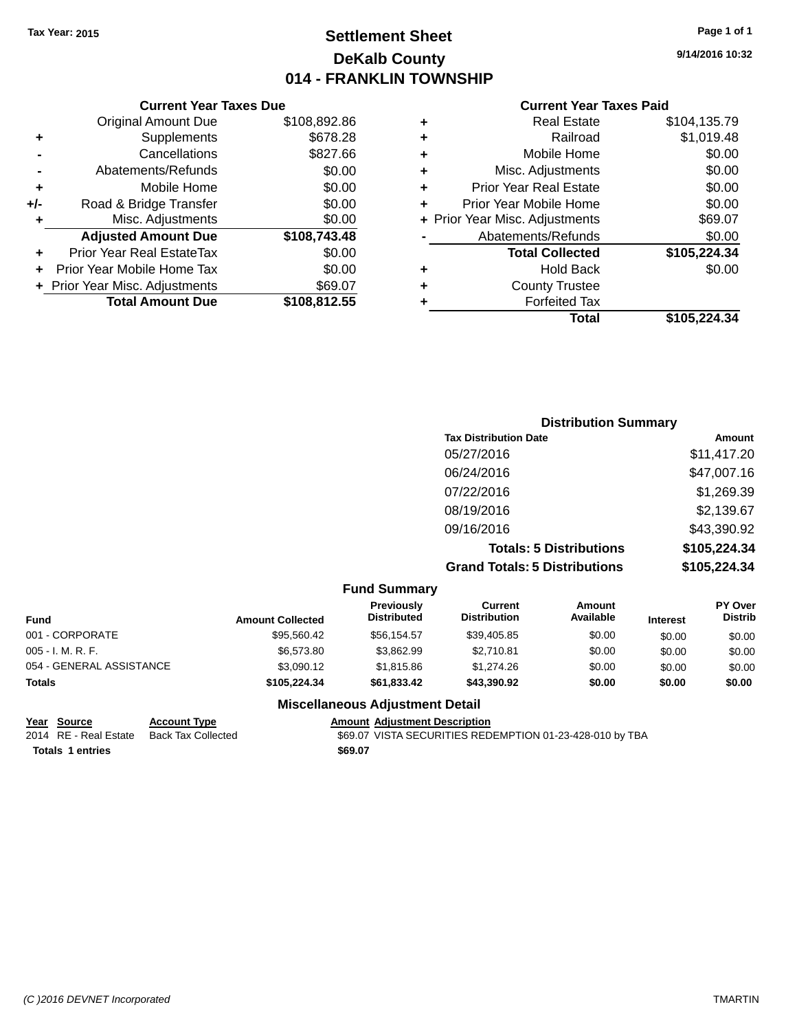## **Settlement Sheet Tax Year: 2015 Page 1 of 1 DeKalb County 014 - FRANKLIN TOWNSHIP**

**9/14/2016 10:32**

#### **Current Year Taxes Paid**

|       | <b>Current Year Taxes Due</b>  |              |
|-------|--------------------------------|--------------|
|       | <b>Original Amount Due</b>     | \$108,892.86 |
| ٠     | Supplements                    | \$678.28     |
|       | Cancellations                  | \$827.66     |
|       | Abatements/Refunds             | \$0.00       |
| ٠     | Mobile Home                    | \$0.00       |
| $+/-$ | Road & Bridge Transfer         | \$0.00       |
| ٠     | Misc. Adjustments              | \$0.00       |
|       | <b>Adjusted Amount Due</b>     | \$108,743.48 |
| ٠     | Prior Year Real EstateTax      | \$0.00       |
|       | Prior Year Mobile Home Tax     | \$0.00       |
|       | + Prior Year Misc. Adjustments | \$69.07      |
|       | <b>Total Amount Due</b>        | \$108,812.55 |
|       |                                |              |

| ٠ | <b>Real Estate</b>             | \$104.135.79 |
|---|--------------------------------|--------------|
| ٠ | Railroad                       | \$1,019.48   |
| ÷ | Mobile Home                    | \$0.00       |
| ٠ | Misc. Adjustments              | \$0.00       |
| ٠ | <b>Prior Year Real Estate</b>  | \$0.00       |
| ٠ | Prior Year Mobile Home         | \$0.00       |
|   | + Prior Year Misc. Adjustments | \$69.07      |
|   | Abatements/Refunds             | \$0.00       |
|   | <b>Total Collected</b>         | \$105,224.34 |
| ٠ | <b>Hold Back</b>               | \$0.00       |
| ٠ | <b>County Trustee</b>          |              |
| ٠ | <b>Forfeited Tax</b>           |              |
|   | Total                          | \$105.224.34 |
|   |                                |              |

| <b>Distribution Summary</b>          |              |
|--------------------------------------|--------------|
| <b>Tax Distribution Date</b>         | Amount       |
| 05/27/2016                           | \$11,417.20  |
| 06/24/2016                           | \$47,007.16  |
| 07/22/2016                           | \$1,269.39   |
| 08/19/2016                           | \$2,139.67   |
| 09/16/2016                           | \$43,390.92  |
| <b>Totals: 5 Distributions</b>       | \$105,224.34 |
| <b>Grand Totals: 5 Distributions</b> | \$105,224.34 |

|                          |                         | <b>Fund Summary</b>              |                                       |                     |                 |                                  |
|--------------------------|-------------------------|----------------------------------|---------------------------------------|---------------------|-----------------|----------------------------------|
| <b>Fund</b>              | <b>Amount Collected</b> | Previously<br><b>Distributed</b> | <b>Current</b><br><b>Distribution</b> | Amount<br>Available | <b>Interest</b> | <b>PY Over</b><br><b>Distrib</b> |
| 001 - CORPORATE          | \$95,560.42             | \$56,154.57                      | \$39,405.85                           | \$0.00              | \$0.00          | \$0.00                           |
| $005 - I. M. R. F.$      | \$6,573.80              | \$3,862.99                       | \$2.710.81                            | \$0.00              | \$0.00          | \$0.00                           |
| 054 - GENERAL ASSISTANCE | \$3,090.12              | \$1.815.86                       | \$1.274.26                            | \$0.00              | \$0.00          | \$0.00                           |
| <b>Totals</b>            | \$105,224,34            | \$61,833.42                      | \$43,390.92                           | \$0.00              | \$0.00          | \$0.00                           |

### **Miscellaneous Adjustment Detail**

**<u>Year Source</u> Account Type<br>
2014 RE - Real Estate Back Tax Collected** 

**Totals 1 entries** \$69.07

Amount Adjustment Description<br>\$69.07 VISTA SECURITIES REDEMPTION 01-23-428-010 by TBA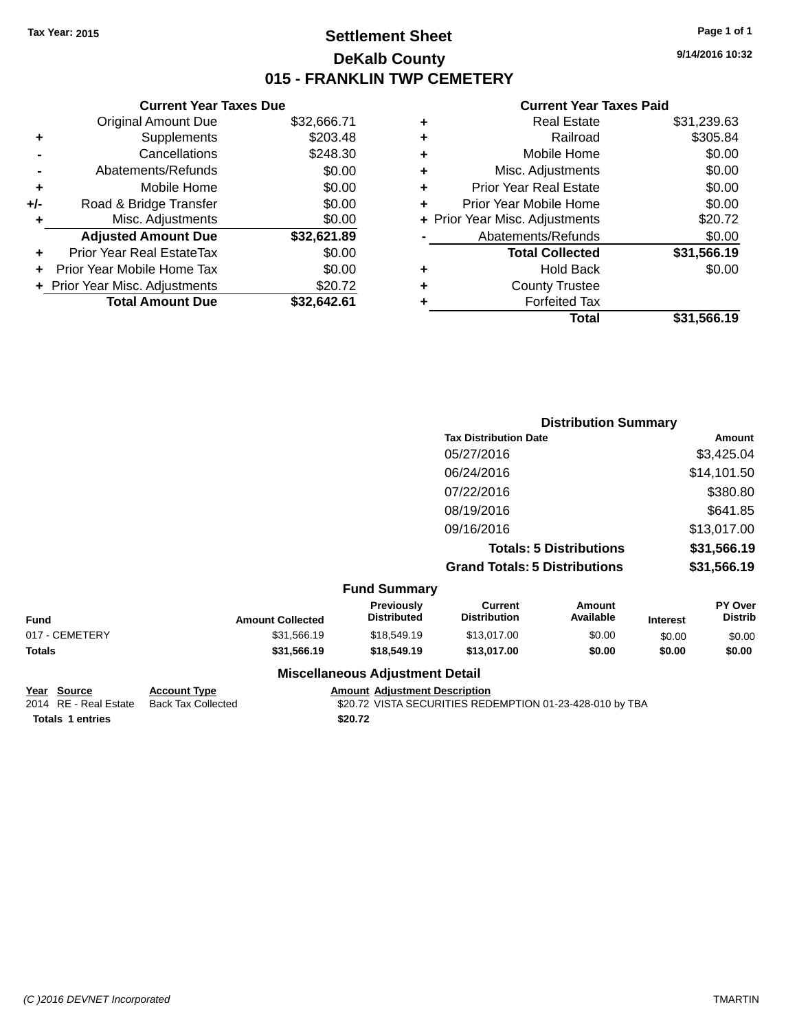## **Settlement Sheet Tax Year: 2015 Page 1 of 1 DeKalb County 015 - FRANKLIN TWP CEMETERY**

**9/14/2016 10:32**

#### **Current Year Taxes Paid**

|     | <b>Current Year Taxes Due</b>  |             |  |  |  |  |  |
|-----|--------------------------------|-------------|--|--|--|--|--|
|     | <b>Original Amount Due</b>     | \$32,666.71 |  |  |  |  |  |
| ٠   | Supplements                    | \$203.48    |  |  |  |  |  |
|     | Cancellations                  | \$248.30    |  |  |  |  |  |
|     | Abatements/Refunds             | \$0.00      |  |  |  |  |  |
| ٠   | Mobile Home                    | \$0.00      |  |  |  |  |  |
| +/- | Road & Bridge Transfer         | \$0.00      |  |  |  |  |  |
| ٠   | Misc. Adjustments              | \$0.00      |  |  |  |  |  |
|     | <b>Adjusted Amount Due</b>     | \$32,621.89 |  |  |  |  |  |
|     | Prior Year Real EstateTax      | \$0.00      |  |  |  |  |  |
|     | Prior Year Mobile Home Tax     | \$0.00      |  |  |  |  |  |
|     | + Prior Year Misc. Adjustments | \$20.72     |  |  |  |  |  |
|     | <b>Total Amount Due</b>        | \$32,642.61 |  |  |  |  |  |
|     |                                |             |  |  |  |  |  |

|   | <b>Real Estate</b>             | \$31,239.63 |
|---|--------------------------------|-------------|
| ٠ | Railroad                       | \$305.84    |
| ٠ | Mobile Home                    | \$0.00      |
| ٠ | Misc. Adjustments              | \$0.00      |
| ٠ | <b>Prior Year Real Estate</b>  | \$0.00      |
| ٠ | Prior Year Mobile Home         | \$0.00      |
|   | + Prior Year Misc. Adjustments | \$20.72     |
|   | Abatements/Refunds             | \$0.00      |
|   | <b>Total Collected</b>         | \$31,566.19 |
|   | <b>Hold Back</b>               | \$0.00      |
| ٠ | <b>County Trustee</b>          |             |
|   | <b>Forfeited Tax</b>           |             |
|   | Total                          | \$31,566.19 |
|   |                                |             |

|                     | <b>Distribution Summary</b>          |             |
|---------------------|--------------------------------------|-------------|
|                     | <b>Tax Distribution Date</b>         | Amount      |
|                     | 05/27/2016                           | \$3,425.04  |
|                     | 06/24/2016                           | \$14,101.50 |
|                     | 07/22/2016                           | \$380.80    |
|                     | 08/19/2016                           | \$641.85    |
|                     | 09/16/2016                           | \$13,017.00 |
|                     | <b>Totals: 5 Distributions</b>       | \$31,566.19 |
|                     | <b>Grand Totals: 5 Distributions</b> | \$31,566.19 |
| <b>Fund Summary</b> |                                      |             |

|                |                         | <b>Fully Sullillialy</b>               |                                |                            |                 |                                  |
|----------------|-------------------------|----------------------------------------|--------------------------------|----------------------------|-----------------|----------------------------------|
| <b>Fund</b>    | <b>Amount Collected</b> | <b>Previously</b><br>Distributed       | Current<br><b>Distribution</b> | <b>Amount</b><br>Available | <b>Interest</b> | <b>PY Over</b><br><b>Distrib</b> |
| 017 - CEMETERY | \$31,566.19             | \$18,549.19                            | \$13,017.00                    | \$0.00                     | \$0.00          | \$0.00                           |
| Totals         | \$31,566,19             | \$18,549.19                            | \$13,017.00                    | \$0.00                     | \$0.00          | \$0.00                           |
|                |                         | <b>Miscellaneous Adjustment Detail</b> |                                |                            |                 |                                  |

# **Year Source Account Type Amount Adjustment Description**

\$20.72 VISTA SECURITIES REDEMPTION 01-23-428-010 by TBA **Totals \$20.72 1 entries**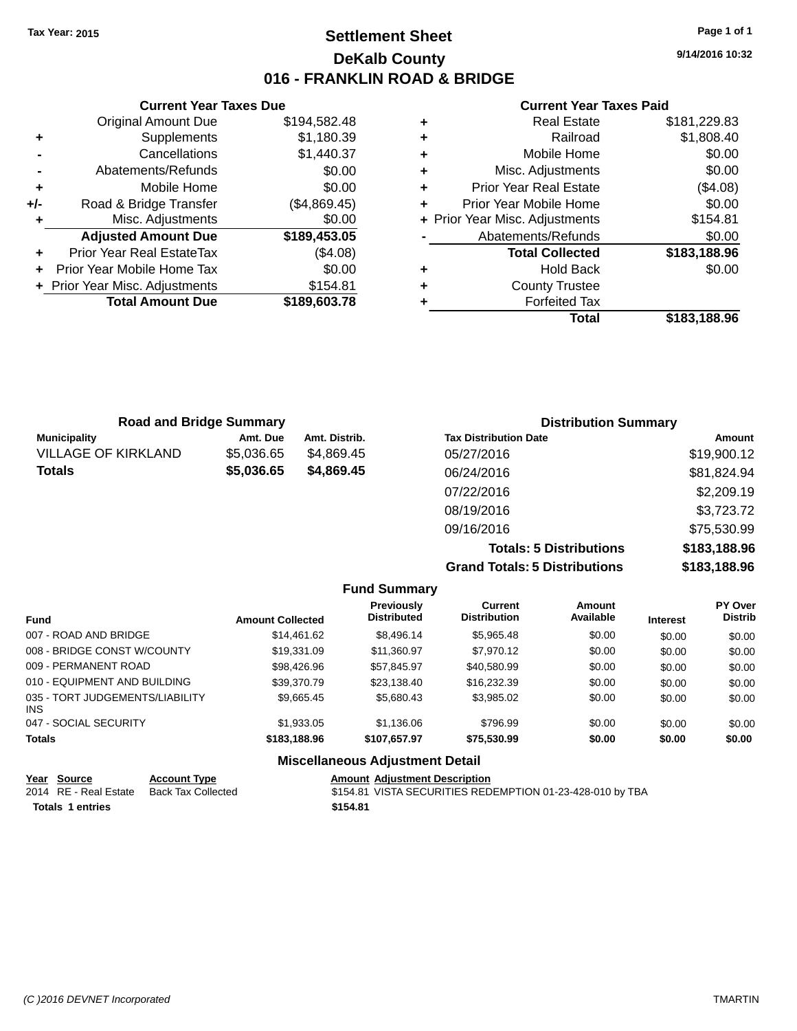## **Settlement Sheet Tax Year: 2015 Page 1 of 1 DeKalb County 016 - FRANKLIN ROAD & BRIDGE**

**9/14/2016 10:32**

#### **Current Year Taxes Paid**

|     | <b>Current Year Taxes Due</b>  |              |  |
|-----|--------------------------------|--------------|--|
|     | <b>Original Amount Due</b>     | \$194,582.48 |  |
| ٠   | Supplements                    | \$1,180.39   |  |
|     | \$1,440.37<br>Cancellations    |              |  |
|     | Abatements/Refunds             | \$0.00       |  |
| ٠   | Mobile Home                    | \$0.00       |  |
| +/- | Road & Bridge Transfer         | (\$4,869.45) |  |
| ٠   | Misc. Adjustments              | \$0.00       |  |
|     | <b>Adjusted Amount Due</b>     | \$189,453.05 |  |
|     | Prior Year Real EstateTax      | (\$4.08)     |  |
|     | Prior Year Mobile Home Tax     | \$0.00       |  |
|     | + Prior Year Misc. Adjustments | \$154.81     |  |
|     | <b>Total Amount Due</b>        | \$189,603.78 |  |
|     |                                |              |  |

| ٠ | <b>Real Estate</b>             | \$181,229.83 |
|---|--------------------------------|--------------|
| ٠ | Railroad                       | \$1,808.40   |
| ٠ | Mobile Home                    | \$0.00       |
| ٠ | Misc. Adjustments              | \$0.00       |
| ٠ | <b>Prior Year Real Estate</b>  | (\$4.08)     |
| ٠ | Prior Year Mobile Home         | \$0.00       |
|   | + Prior Year Misc. Adjustments | \$154.81     |
|   | Abatements/Refunds             | \$0.00       |
|   | <b>Total Collected</b>         | \$183,188.96 |
| ٠ | <b>Hold Back</b>               | \$0.00       |
| ٠ | <b>County Trustee</b>          |              |
|   | <b>Forfeited Tax</b>           |              |
|   | Total                          | \$183.188.96 |

| <b>Road and Bridge Summary</b> |            |               | <b>Distribution Summary</b>  |             |  |
|--------------------------------|------------|---------------|------------------------------|-------------|--|
| <b>Municipality</b>            | Amt. Due   | Amt. Distrib. | <b>Tax Distribution Date</b> | Amount      |  |
| <b>VILLAGE OF KIRKLAND</b>     | \$5,036.65 | \$4.869.45    | 05/27/2016                   | \$19,900.12 |  |
| <b>Totals</b>                  | \$5,036.65 | \$4,869.45    | 06/24/2016                   | \$81,824.94 |  |
|                                |            |               | 07/22/2016                   | \$2,209.19  |  |
|                                |            |               | 08/19/2016                   | \$3,723.72  |  |
|                                |            |               |                              |             |  |

09/16/2016 \$75,530.99 **Totals: 5 Distributions \$183,188.96 Grand Totals: 5 Distributions \$183,188.96**

|                                         |                         | <b>Fund Summary</b>                    |                                       |                     |                 |                                  |
|-----------------------------------------|-------------------------|----------------------------------------|---------------------------------------|---------------------|-----------------|----------------------------------|
| <b>Fund</b>                             | <b>Amount Collected</b> | Previously<br><b>Distributed</b>       | <b>Current</b><br><b>Distribution</b> | Amount<br>Available | <b>Interest</b> | <b>PY Over</b><br><b>Distrib</b> |
| 007 - ROAD AND BRIDGE                   | \$14.461.62             | \$8,496.14                             | \$5,965.48                            | \$0.00              | \$0.00          | \$0.00                           |
| 008 - BRIDGE CONST W/COUNTY             | \$19,331.09             | \$11,360.97                            | \$7,970.12                            | \$0.00              | \$0.00          | \$0.00                           |
| 009 - PERMANENT ROAD                    | \$98.426.96             | \$57,845.97                            | \$40.580.99                           | \$0.00              | \$0.00          | \$0.00                           |
| 010 - EQUIPMENT AND BUILDING            | \$39,370.79             | \$23.138.40                            | \$16.232.39                           | \$0.00              | \$0.00          | \$0.00                           |
| 035 - TORT JUDGEMENTS/LIABILITY<br>INS. | \$9.665.45              | \$5.680.43                             | \$3,985.02                            | \$0.00              | \$0.00          | \$0.00                           |
| 047 - SOCIAL SECURITY                   | \$1.933.05              | \$1.136.06                             | \$796.99                              | \$0.00              | \$0.00          | \$0.00                           |
| <b>Totals</b>                           | \$183,188,96            | \$107.657.97                           | \$75,530.99                           | \$0.00              | \$0.00          | \$0.00                           |
|                                         |                         | <b>Miscellaneous Adjustment Detail</b> |                                       |                     |                 |                                  |

| <u>Year Source</u>      | <b>Account Type</b> | <b>Amount Adjustment Description</b>                      |
|-------------------------|---------------------|-----------------------------------------------------------|
| 2014 RE - Real Estate   | Back Tax Collected  | \$154.81 VISTA SECURITIES REDEMPTION 01-23-428-010 by TBA |
| <b>Totals 1 entries</b> |                     | \$154.81                                                  |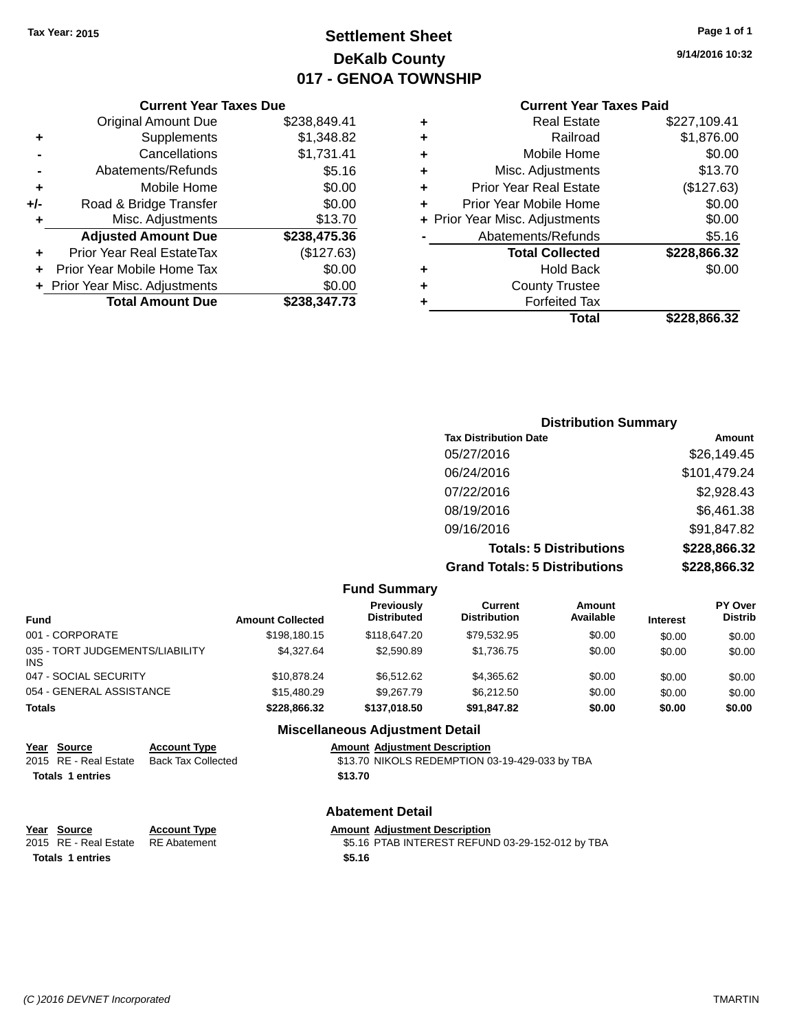## **Settlement Sheet Tax Year: 2015 Page 1 of 1 DeKalb County 017 - GENOA TOWNSHIP**

**9/14/2016 10:32**

#### **Current Year Taxes Paid**

|     | <b>Current Year Taxes Due</b>            |              |  |  |  |
|-----|------------------------------------------|--------------|--|--|--|
|     | <b>Original Amount Due</b>               | \$238,849.41 |  |  |  |
| ٠   | Supplements                              | \$1,348.82   |  |  |  |
|     | Cancellations                            | \$1,731.41   |  |  |  |
|     | Abatements/Refunds                       | \$5.16       |  |  |  |
| ٠   | Mobile Home                              | \$0.00       |  |  |  |
| +/- | Road & Bridge Transfer                   | \$0.00       |  |  |  |
| ۰   | Misc. Adjustments                        | \$13.70      |  |  |  |
|     | <b>Adjusted Amount Due</b>               | \$238,475.36 |  |  |  |
|     | Prior Year Real EstateTax                | (\$127.63)   |  |  |  |
|     | Prior Year Mobile Home Tax               | \$0.00       |  |  |  |
|     | \$0.00<br>+ Prior Year Misc. Adjustments |              |  |  |  |
|     | <b>Total Amount Due</b>                  | \$238,347.73 |  |  |  |

| ٠ | <b>Real Estate</b>             | \$227,109.41 |
|---|--------------------------------|--------------|
| ٠ | Railroad                       | \$1,876.00   |
| ٠ | Mobile Home                    | \$0.00       |
| ٠ | Misc. Adjustments              | \$13.70      |
| ٠ | <b>Prior Year Real Estate</b>  | (\$127.63)   |
| ٠ | Prior Year Mobile Home         | \$0.00       |
|   | + Prior Year Misc. Adjustments | \$0.00       |
|   | Abatements/Refunds             | \$5.16       |
|   | <b>Total Collected</b>         | \$228,866.32 |
| ٠ | <b>Hold Back</b>               | \$0.00       |
| ٠ | <b>County Trustee</b>          |              |
| ٠ | <b>Forfeited Tax</b>           |              |
|   | Total                          | \$228.866.32 |
|   |                                |              |

| <b>Distribution Summary</b>          |              |
|--------------------------------------|--------------|
| <b>Tax Distribution Date</b>         | Amount       |
| 05/27/2016                           | \$26,149.45  |
| 06/24/2016                           | \$101,479.24 |
| 07/22/2016                           | \$2,928.43   |
| 08/19/2016                           | \$6,461.38   |
| 09/16/2016                           | \$91,847.82  |
| <b>Totals: 5 Distributions</b>       | \$228,866.32 |
| <b>Grand Totals: 5 Distributions</b> | \$228,866.32 |

|                                               |                         | <b>Fund Summary</b>                     |                                |                     |                 |                                  |
|-----------------------------------------------|-------------------------|-----------------------------------------|--------------------------------|---------------------|-----------------|----------------------------------|
| <b>Fund</b>                                   | <b>Amount Collected</b> | <b>Previously</b><br><b>Distributed</b> | Current<br><b>Distribution</b> | Amount<br>Available | <b>Interest</b> | <b>PY Over</b><br><b>Distrib</b> |
| 001 - CORPORATE                               | \$198,180.15            | \$118,647.20                            | \$79.532.95                    | \$0.00              | \$0.00          | \$0.00                           |
| 035 - TORT JUDGEMENTS/LIABILITY<br><b>INS</b> | \$4,327.64              | \$2,590.89                              | \$1,736.75                     | \$0.00              | \$0.00          | \$0.00                           |
| 047 - SOCIAL SECURITY                         | \$10.878.24             | \$6.512.62                              | \$4,365.62                     | \$0.00              | \$0.00          | \$0.00                           |
| 054 - GENERAL ASSISTANCE                      | \$15.480.29             | \$9,267.79                              | \$6,212,50                     | \$0.00              | \$0.00          | \$0.00                           |
| <b>Totals</b>                                 | \$228.866.32            | \$137.018.50                            | \$91,847.82                    | \$0.00              | \$0.00          | \$0.00                           |
|                                               |                         | <b>Miscellaneous Adjustment Detail</b>  |                                |                     |                 |                                  |

#### **Miscellaneous Adjustment Detail**

|                         | Year Source           | <b>Account Type</b>       | <b>Amount Adjustment Description</b>           |
|-------------------------|-----------------------|---------------------------|------------------------------------------------|
|                         | 2015 RE - Real Estate | <b>Back Tax Collected</b> | \$13.70 NIKOLS REDEMPTION 03-19-429-033 by TBA |
| <b>Totals 1 entries</b> |                       |                           | \$13.70                                        |
|                         |                       |                           |                                                |
|                         |                       |                           |                                                |

### **Abatement Detail**

#### **Year** Source **Account Type Account Adjustment Description**

2015 RE - Real Estate RE Abatement **\$5.16 PTAB INTEREST REFUND 03-29-152-012 by TBA Totals \$5.16 1 entries**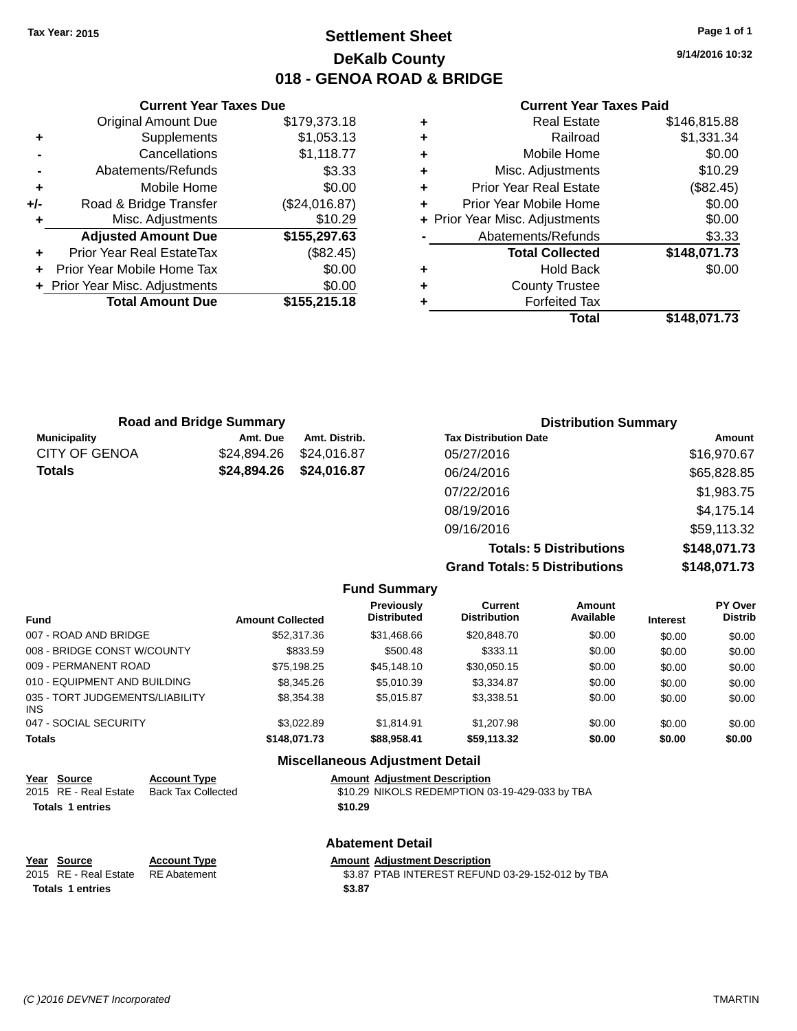## **Settlement Sheet Tax Year: 2015 Page 1 of 1 DeKalb County 018 - GENOA ROAD & BRIDGE**

**9/14/2016 10:32**

#### **Current Year Taxes Paid**

|       | <b>Current Year Taxes Due</b>  |               |  |  |
|-------|--------------------------------|---------------|--|--|
|       | <b>Original Amount Due</b>     | \$179,373.18  |  |  |
| ٠     | Supplements                    | \$1,053.13    |  |  |
|       | Cancellations                  | \$1,118.77    |  |  |
|       | Abatements/Refunds             | \$3.33        |  |  |
| ٠     | Mobile Home                    | \$0.00        |  |  |
| $+/-$ | Road & Bridge Transfer         | (\$24,016.87) |  |  |
|       | Misc. Adjustments              | \$10.29       |  |  |
|       | <b>Adjusted Amount Due</b>     | \$155,297.63  |  |  |
|       | Prior Year Real EstateTax      | (\$82.45)     |  |  |
|       | Prior Year Mobile Home Tax     | \$0.00        |  |  |
|       | + Prior Year Misc. Adjustments | \$0.00        |  |  |
|       | <b>Total Amount Due</b>        | \$155,215.18  |  |  |
|       |                                |               |  |  |

| ٠ | <b>Real Estate</b>             | \$146,815.88 |
|---|--------------------------------|--------------|
| ٠ | Railroad                       | \$1,331.34   |
| ٠ | Mobile Home                    | \$0.00       |
| ٠ | Misc. Adjustments              | \$10.29      |
| ٠ | Prior Year Real Estate         | (\$82.45)    |
| ٠ | Prior Year Mobile Home         | \$0.00       |
|   | + Prior Year Misc. Adjustments | \$0.00       |
|   | Abatements/Refunds             | \$3.33       |
|   | <b>Total Collected</b>         | \$148,071.73 |
| ٠ | <b>Hold Back</b>               | \$0.00       |
| ٠ | <b>County Trustee</b>          |              |
| ٠ | <b>Forfeited Tax</b>           |              |
|   | Total                          | \$148,071.73 |
|   |                                |              |

| <b>Road and Bridge Summary</b> |             |               | <b>Distribution Summary</b>    |              |  |
|--------------------------------|-------------|---------------|--------------------------------|--------------|--|
| <b>Municipality</b>            | Amt. Due    | Amt. Distrib. | <b>Tax Distribution Date</b>   | Amount       |  |
| <b>CITY OF GENOA</b>           | \$24.894.26 | \$24,016.87   | 05/27/2016                     | \$16,970.67  |  |
| <b>Totals</b>                  | \$24,894.26 | \$24,016.87   | 06/24/2016                     | \$65,828.85  |  |
|                                |             |               | 07/22/2016                     | \$1,983.75   |  |
|                                |             |               | 08/19/2016                     | \$4,175.14   |  |
|                                |             |               | 09/16/2016                     | \$59,113.32  |  |
|                                |             |               | <b>Totals: 5 Distributions</b> | \$148,071.73 |  |

**Grand Totals: 5 Distributions \$148,071.73**

|                                         |                         | <b>Fund Summary</b>              |                                       |                            |                 |                                  |
|-----------------------------------------|-------------------------|----------------------------------|---------------------------------------|----------------------------|-----------------|----------------------------------|
| <b>Fund</b>                             | <b>Amount Collected</b> | Previously<br><b>Distributed</b> | <b>Current</b><br><b>Distribution</b> | <b>Amount</b><br>Available | <b>Interest</b> | <b>PY Over</b><br><b>Distrib</b> |
| 007 - ROAD AND BRIDGE                   | \$52,317.36             | \$31,468.66                      | \$20,848.70                           | \$0.00                     | \$0.00          | \$0.00                           |
| 008 - BRIDGE CONST W/COUNTY             | \$833.59                | \$500.48                         | \$333.11                              | \$0.00                     | \$0.00          | \$0.00                           |
| 009 - PERMANENT ROAD                    | \$75,198.25             | \$45,148,10                      | \$30,050.15                           | \$0.00                     | \$0.00          | \$0.00                           |
| 010 - EQUIPMENT AND BUILDING            | \$8,345.26              | \$5.010.39                       | \$3.334.87                            | \$0.00                     | \$0.00          | \$0.00                           |
| 035 - TORT JUDGEMENTS/LIABILITY<br>INS. | \$8,354.38              | \$5.015.87                       | \$3,338.51                            | \$0.00                     | \$0.00          | \$0.00                           |
| 047 - SOCIAL SECURITY                   | \$3.022.89              | \$1.814.91                       | \$1,207.98                            | \$0.00                     | \$0.00          | \$0.00                           |
| <b>Totals</b>                           | \$148,071.73            | \$88,958.41                      | \$59,113.32                           | \$0.00                     | \$0.00          | \$0.00                           |

|                                      |                                                  | <b>Miscellaneous Adjustment Detail</b>                                                 |
|--------------------------------------|--------------------------------------------------|----------------------------------------------------------------------------------------|
| Year Source<br>2015 RE - Real Estate | <b>Account Type</b><br><b>Back Tax Collected</b> | <b>Amount Adjustment Description</b><br>\$10.29 NIKOLS REDEMPTION 03-19-429-033 by TBA |
| <b>Totals 1 entries</b>              |                                                  | \$10.29                                                                                |
|                                      |                                                  | <b>Abatement Detail</b>                                                                |
| Year Source                          | <b>Account Type</b>                              | <b>Amount Adjustment Description</b>                                                   |
| 2015 RE - Real Estate                | <b>RE</b> Abatement                              | \$3.87 PTAB INTEREST REFUND 03-29-152-012 by TBA                                       |
| <b>Totals 1 entries</b>              |                                                  | \$3.87                                                                                 |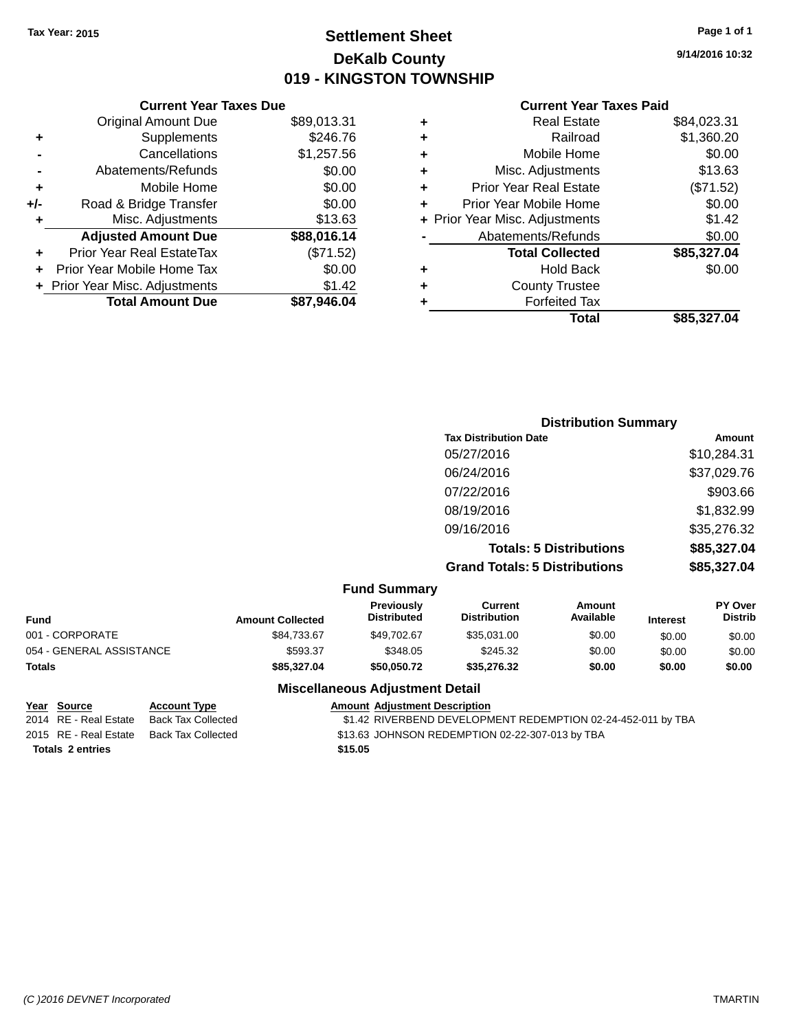## **Settlement Sheet Tax Year: 2015 Page 1 of 1 DeKalb County 019 - KINGSTON TOWNSHIP**

**9/14/2016 10:32**

#### **Current Year Taxes Paid**

|     | <b>Current Year Taxes Due</b>  |             |
|-----|--------------------------------|-------------|
|     | <b>Original Amount Due</b>     | \$89,013.31 |
| ٠   | Supplements                    | \$246.76    |
|     | Cancellations                  | \$1,257.56  |
|     | Abatements/Refunds             | \$0.00      |
| ٠   | Mobile Home                    | \$0.00      |
| +/- | Road & Bridge Transfer         | \$0.00      |
|     | Misc. Adjustments              | \$13.63     |
|     | <b>Adjusted Amount Due</b>     | \$88,016.14 |
| ٠   | Prior Year Real EstateTax      | (\$71.52)   |
|     | Prior Year Mobile Home Tax     | \$0.00      |
|     | + Prior Year Misc. Adjustments | \$1.42      |
|     | <b>Total Amount Due</b>        | \$87.946.04 |
|     |                                |             |

| ٠ | <b>Real Estate</b>             | \$84,023.31 |
|---|--------------------------------|-------------|
| ٠ | Railroad                       | \$1,360.20  |
| ٠ | Mobile Home                    | \$0.00      |
| ٠ | Misc. Adjustments              | \$13.63     |
| ٠ | <b>Prior Year Real Estate</b>  | (\$71.52)   |
| ÷ | Prior Year Mobile Home         | \$0.00      |
|   | + Prior Year Misc. Adjustments | \$1.42      |
|   | Abatements/Refunds             | \$0.00      |
|   | <b>Total Collected</b>         | \$85,327.04 |
| ٠ | <b>Hold Back</b>               | \$0.00      |
| ٠ | <b>County Trustee</b>          |             |
| ٠ | <b>Forfeited Tax</b>           |             |
|   | Total                          | \$85,327.04 |
|   |                                |             |

| <b>Distribution Summary</b>          |             |
|--------------------------------------|-------------|
| <b>Tax Distribution Date</b>         | Amount      |
| 05/27/2016                           | \$10,284.31 |
| 06/24/2016                           | \$37,029.76 |
| 07/22/2016                           | \$903.66    |
| 08/19/2016                           | \$1,832.99  |
| 09/16/2016                           | \$35,276.32 |
| <b>Totals: 5 Distributions</b>       | \$85,327.04 |
| <b>Grand Totals: 5 Distributions</b> | \$85,327.04 |

| <b>Fund Summary</b> |  |
|---------------------|--|
|---------------------|--|

| <b>Fund</b>              | <b>Amount Collected</b> | <b>Previously</b><br><b>Distributed</b> | Current<br><b>Distribution</b> | Amount<br>Available | <b>Interest</b> | <b>PY Over</b><br><b>Distrib</b> |
|--------------------------|-------------------------|-----------------------------------------|--------------------------------|---------------------|-----------------|----------------------------------|
| 001 - CORPORATE          | \$84,733.67             | \$49,702.67                             | \$35.031.00                    | \$0.00              | \$0.00          | \$0.00                           |
| 054 - GENERAL ASSISTANCE | \$593.37                | \$348.05                                | \$245.32                       | \$0.00              | \$0.00          | \$0.00                           |
| <b>Totals</b>            | \$85.327.04             | \$50.050.72                             | \$35,276,32                    | \$0.00              | \$0.00          | \$0.00                           |

**Totals \$15.05 2 entries**

#### **Miscellaneous Adjustment Detail**

#### **Year Source Account Type Amount Adjustment Description**<br>2014 RE - Real Estate Back Tax Collected \$1.42 RIVERBEND DEVELOPM \$1.42 RIVERBEND DEVELOPMENT REDEMPTION 02-24-452-011 by TBA 2015 RE - Real Estate Back Tax Collected \$13.63 JOHNSON REDEMPTION 02-22-307-013 by TBA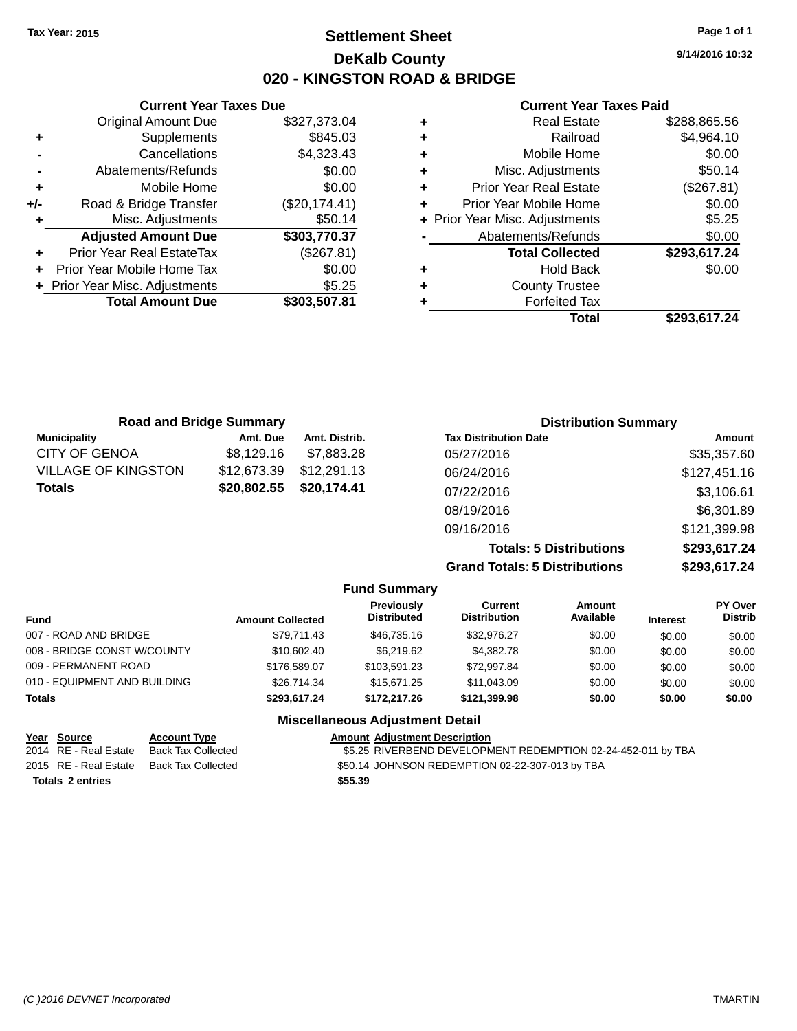## **Settlement Sheet Tax Year: 2015 Page 1 of 1 DeKalb County 020 - KINGSTON ROAD & BRIDGE**

**9/14/2016 10:32**

#### **Current Year Taxes Paid**

|     | <b>Current Year Taxes Due</b>    |               |
|-----|----------------------------------|---------------|
|     | <b>Original Amount Due</b>       | \$327,373.04  |
| ٠   | Supplements                      | \$845.03      |
|     | Cancellations                    | \$4,323.43    |
|     | Abatements/Refunds               | \$0.00        |
| ٠   | Mobile Home                      | \$0.00        |
| +/- | Road & Bridge Transfer           | (\$20,174.41) |
| ٠   | Misc. Adjustments                | \$50.14       |
|     | <b>Adjusted Amount Due</b>       | \$303,770.37  |
| ٠   | <b>Prior Year Real EstateTax</b> | (\$267.81)    |
|     | Prior Year Mobile Home Tax       | \$0.00        |
|     | + Prior Year Misc. Adjustments   | \$5.25        |
|     | <b>Total Amount Due</b>          | \$303,507.81  |
|     |                                  |               |

| ٠ | <b>Real Estate</b>             | \$288,865.56 |
|---|--------------------------------|--------------|
| ٠ | Railroad                       | \$4,964.10   |
| ٠ | Mobile Home                    | \$0.00       |
| ٠ | Misc. Adjustments              | \$50.14      |
| ٠ | <b>Prior Year Real Estate</b>  | (\$267.81)   |
| ÷ | Prior Year Mobile Home         | \$0.00       |
|   | + Prior Year Misc. Adjustments | \$5.25       |
|   | Abatements/Refunds             | \$0.00       |
|   | <b>Total Collected</b>         | \$293,617.24 |
| ٠ | <b>Hold Back</b>               | \$0.00       |
| ٠ | <b>County Trustee</b>          |              |
| ٠ | <b>Forfeited Tax</b>           |              |
|   | Total                          | \$293,617.24 |
|   |                                |              |

| <b>Road and Bridge Summary</b> |             |               | <b>Distribution Summary</b>          |              |  |
|--------------------------------|-------------|---------------|--------------------------------------|--------------|--|
| <b>Municipality</b>            | Amt. Due    | Amt. Distrib. | <b>Tax Distribution Date</b>         | Amount       |  |
| CITY OF GENOA                  | \$8,129.16  | \$7,883.28    | 05/27/2016                           | \$35,357.60  |  |
| VILLAGE OF KINGSTON            | \$12,673.39 | \$12,291.13   | 06/24/2016                           | \$127,451.16 |  |
| Totals                         | \$20,802.55 | \$20,174.41   | 07/22/2016                           | \$3,106.61   |  |
|                                |             |               | 08/19/2016                           | \$6,301.89   |  |
|                                |             |               | 09/16/2016                           | \$121,399.98 |  |
|                                |             |               | <b>Totals: 5 Distributions</b>       | \$293,617.24 |  |
|                                |             |               | <b>Grand Totals: 5 Distributions</b> | \$293,617.24 |  |

|                              |                         | <b>Fund Summary</b>                     |                                |                     |                 |                           |
|------------------------------|-------------------------|-----------------------------------------|--------------------------------|---------------------|-----------------|---------------------------|
| <b>Fund</b>                  | <b>Amount Collected</b> | <b>Previously</b><br><b>Distributed</b> | Current<br><b>Distribution</b> | Amount<br>Available | <b>Interest</b> | PY Over<br><b>Distrib</b> |
| 007 - ROAD AND BRIDGE        | \$79.711.43             | \$46,735,16                             | \$32,976.27                    | \$0.00              | \$0.00          | \$0.00                    |
| 008 - BRIDGE CONST W/COUNTY  | \$10,602,40             | \$6.219.62                              | \$4,382.78                     | \$0.00              | \$0.00          | \$0.00                    |
| 009 - PERMANENT ROAD         | \$176,589.07            | \$103.591.23                            | \$72,997.84                    | \$0.00              | \$0.00          | \$0.00                    |
| 010 - EQUIPMENT AND BUILDING | \$26.714.34             | \$15,671,25                             | \$11,043,09                    | \$0.00              | \$0.00          | \$0.00                    |
| <b>Totals</b>                | \$293.617.24            | \$172,217.26                            | \$121.399.98                   | \$0.00              | \$0.00          | \$0.00                    |
|                              |                         | <b>Miscellaneous Adjustment Detail</b>  |                                |                     |                 |                           |

| Year Source             | <b>Account Type</b> | <b>Amount Adjustment Description</b>                         |
|-------------------------|---------------------|--------------------------------------------------------------|
| 2014 RE - Real Estate   | Back Tax Collected  | \$5.25 RIVERBEND DEVELOPMENT REDEMPTION 02-24-452-011 by TBA |
| 2015 RE - Real Estate   | Back Tax Collected  | \$50.14 JOHNSON REDEMPTION 02-22-307-013 by TBA              |
| <b>Totals 2 entries</b> |                     | \$55.39                                                      |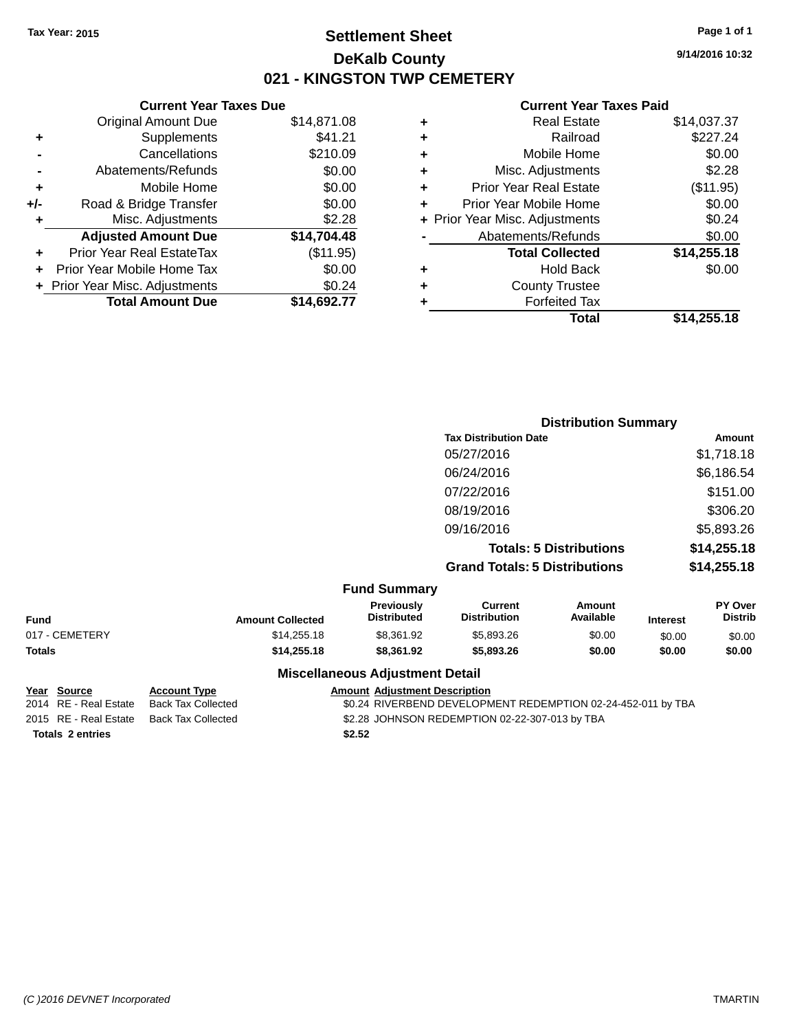## **Settlement Sheet Tax Year: 2015 Page 1 of 1 DeKalb County 021 - KINGSTON TWP CEMETERY**

**9/14/2016 10:32**

#### **Current Year Taxes Paid**

|     | <b>Current Year Taxes Due</b>  |             |
|-----|--------------------------------|-------------|
|     | <b>Original Amount Due</b>     | \$14,871.08 |
| ٠   | Supplements                    | \$41.21     |
|     | Cancellations                  | \$210.09    |
|     | Abatements/Refunds             | \$0.00      |
| ٠   | Mobile Home                    | \$0.00      |
| +/- | Road & Bridge Transfer         | \$0.00      |
|     | Misc. Adjustments              | \$2.28      |
|     | <b>Adjusted Amount Due</b>     | \$14,704.48 |
| ٠   | Prior Year Real EstateTax      | (\$11.95)   |
|     | Prior Year Mobile Home Tax     | \$0.00      |
|     | + Prior Year Misc. Adjustments | \$0.24      |
|     | <b>Total Amount Due</b>        | \$14,692.77 |
|     |                                |             |

|   | <b>Real Estate</b>             | \$14,037.37 |
|---|--------------------------------|-------------|
| ٠ | Railroad                       | \$227.24    |
| ٠ | Mobile Home                    | \$0.00      |
| ٠ | Misc. Adjustments              | \$2.28      |
| ٠ | <b>Prior Year Real Estate</b>  | (\$11.95)   |
| ÷ | Prior Year Mobile Home         | \$0.00      |
|   | + Prior Year Misc. Adjustments | \$0.24      |
|   | Abatements/Refunds             | \$0.00      |
|   | <b>Total Collected</b>         | \$14,255.18 |
| ٠ | <b>Hold Back</b>               | \$0.00      |
| ٠ | <b>County Trustee</b>          |             |
| ٠ | <b>Forfeited Tax</b>           |             |
|   | Total                          | \$14,255.18 |
|   |                                |             |

|                                 | <b>Distribution Summary</b>          |             |
|---------------------------------|--------------------------------------|-------------|
|                                 | <b>Tax Distribution Date</b>         | Amount      |
|                                 | 05/27/2016                           | \$1,718.18  |
|                                 | 06/24/2016                           | \$6,186.54  |
|                                 | 07/22/2016                           | \$151.00    |
|                                 | 08/19/2016                           | \$306.20    |
|                                 | 09/16/2016                           | \$5,893.26  |
|                                 | <b>Totals: 5 Distributions</b>       | \$14,255.18 |
|                                 | <b>Grand Totals: 5 Distributions</b> | \$14,255.18 |
| $E_{t}$ and $E_{t}$ and $E_{t}$ |                                      |             |

|                |                         | <b>Fund Summary</b>                    |                                |                     |                 |                                  |
|----------------|-------------------------|----------------------------------------|--------------------------------|---------------------|-----------------|----------------------------------|
| <b>Fund</b>    | <b>Amount Collected</b> | Previously<br><b>Distributed</b>       | Current<br><b>Distribution</b> | Amount<br>Available | <b>Interest</b> | <b>PY Over</b><br><b>Distrib</b> |
| 017 - CEMETERY | \$14,255.18             | \$8.361.92                             | \$5,893,26                     | \$0.00              | \$0.00          | \$0.00                           |
| Totals         | \$14,255.18             | \$8.361.92                             | \$5,893,26                     | \$0.00              | \$0.00          | \$0.00                           |
|                |                         | <b>Miscellaneous Adjustment Detail</b> |                                |                     |                 |                                  |

**Totals \$2.52 2 entries**

**Year** Source **Account Type Account Type Amount Adjustment Description** 

2014 RE - Real Estate Back Tax Collected 50.24 RIVERBEND DEVELOPMENT REDEMPTION 02-24-452-011 by TBA

2015 RE - Real Estate Back Tax Collected \$2.28 JOHNSON REDEMPTION 02-22-307-013 by TBA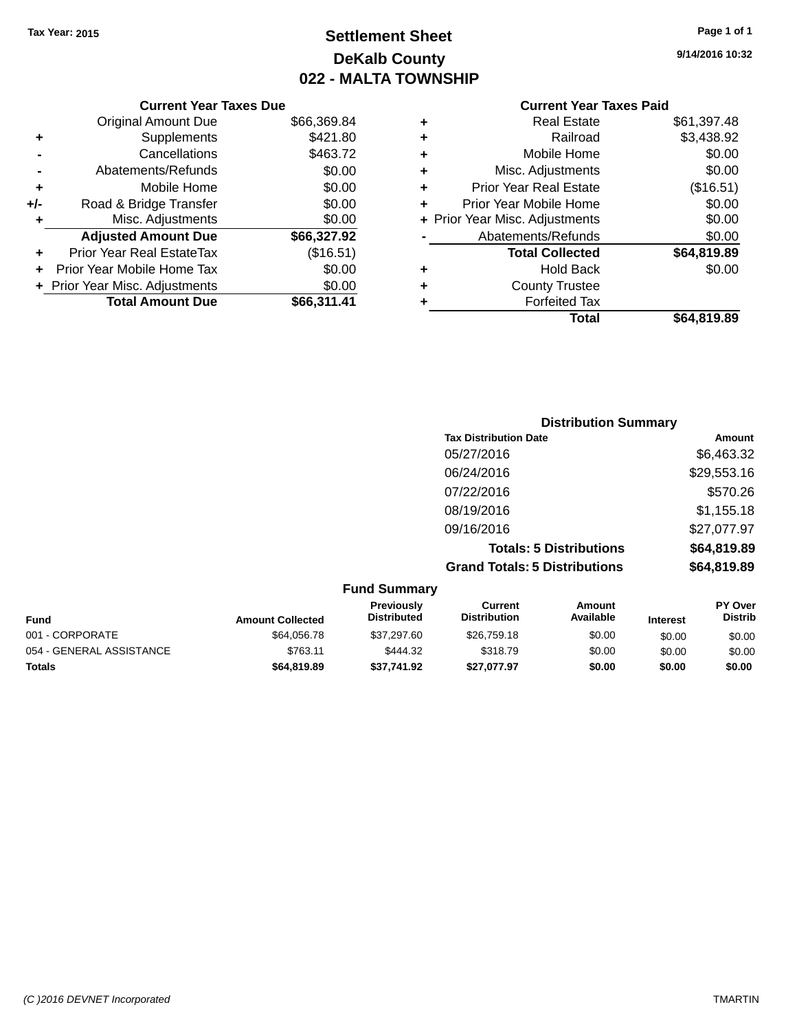## **Settlement Sheet Tax Year: 2015 Page 1 of 1 DeKalb County 022 - MALTA TOWNSHIP**

**9/14/2016 10:32**

## **Current Year Taxes Paid**

|     | <b>Current Year Taxes Due</b>  |             |  |
|-----|--------------------------------|-------------|--|
|     | <b>Original Amount Due</b>     | \$66,369.84 |  |
| ٠   | Supplements                    | \$421.80    |  |
|     | Cancellations                  | \$463.72    |  |
|     | Abatements/Refunds             | \$0.00      |  |
| ٠   | Mobile Home                    | \$0.00      |  |
| +/- | Road & Bridge Transfer         | \$0.00      |  |
| ٠   | Misc. Adjustments              | \$0.00      |  |
|     | <b>Adjusted Amount Due</b>     | \$66,327.92 |  |
| ٠   | Prior Year Real EstateTax      | (\$16.51)   |  |
|     | Prior Year Mobile Home Tax     | \$0.00      |  |
|     | + Prior Year Misc. Adjustments | \$0.00      |  |
|     | <b>Total Amount Due</b>        | \$66.311.41 |  |
|     |                                |             |  |

|   | <b>Real Estate</b>             | \$61,397.48 |
|---|--------------------------------|-------------|
| ٠ | Railroad                       | \$3,438.92  |
| ٠ | Mobile Home                    | \$0.00      |
| ٠ | Misc. Adjustments              | \$0.00      |
| ٠ | <b>Prior Year Real Estate</b>  | (\$16.51)   |
| ÷ | Prior Year Mobile Home         | \$0.00      |
|   | + Prior Year Misc. Adjustments | \$0.00      |
|   | Abatements/Refunds             | \$0.00      |
|   | <b>Total Collected</b>         | \$64,819.89 |
| ٠ | <b>Hold Back</b>               | \$0.00      |
| ٠ | <b>County Trustee</b>          |             |
| ٠ | <b>Forfeited Tax</b>           |             |
|   | Total                          | \$64,819.89 |
|   |                                |             |

| <b>Distribution Summary</b>          |             |
|--------------------------------------|-------------|
| <b>Tax Distribution Date</b>         | Amount      |
| 05/27/2016                           | \$6,463.32  |
| 06/24/2016                           | \$29,553.16 |
| 07/22/2016                           | \$570.26    |
| 08/19/2016                           | \$1,155.18  |
| 09/16/2016                           | \$27,077.97 |
| <b>Totals: 5 Distributions</b>       | \$64,819.89 |
| <b>Grand Totals: 5 Distributions</b> | \$64,819.89 |

| <b>Fund Summary</b>      |                         |                                  |                                |                     |                 |                                  |
|--------------------------|-------------------------|----------------------------------|--------------------------------|---------------------|-----------------|----------------------------------|
| <b>Fund</b>              | <b>Amount Collected</b> | Previously<br><b>Distributed</b> | Current<br><b>Distribution</b> | Amount<br>Available | <b>Interest</b> | <b>PY Over</b><br><b>Distrib</b> |
| 001 - CORPORATE          | \$64.056.78             | \$37,297.60                      | \$26,759.18                    | \$0.00              | \$0.00          | \$0.00                           |
| 054 - GENERAL ASSISTANCE | \$763.11                | \$444.32                         | \$318.79                       | \$0.00              | \$0.00          | \$0.00                           |
| <b>Totals</b>            | \$64,819.89             | \$37,741.92                      | \$27.077.97                    | \$0.00              | \$0.00          | \$0.00                           |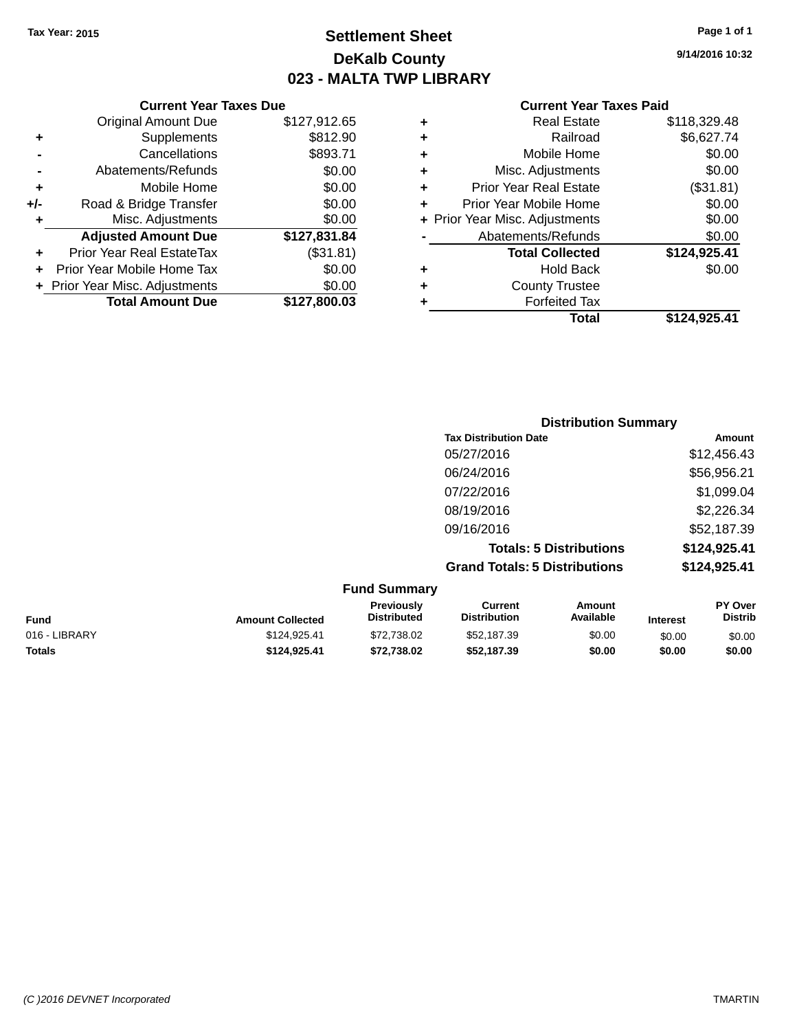## **Settlement Sheet Tax Year: 2015 Page 1 of 1 DeKalb County 023 - MALTA TWP LIBRARY**

**9/14/2016 10:32**

#### **Current Year Taxes Paid**

|     | <b>Current Year Taxes Due</b>  |              |   |                    |
|-----|--------------------------------|--------------|---|--------------------|
|     | <b>Original Amount Due</b>     | \$127,912.65 | ٠ |                    |
|     | <b>Supplements</b>             | \$812.90     | ٠ |                    |
|     | Cancellations                  | \$893.71     | ٠ |                    |
|     | Abatements/Refunds             | \$0.00       | ٠ |                    |
|     | Mobile Home                    | \$0.00       |   | Prio               |
| +/- | Road & Bridge Transfer         | \$0.00       |   | Prior <sup>'</sup> |
| ٠   | Misc. Adjustments              | \$0.00       |   | + Prior Year       |
|     | <b>Adjusted Amount Due</b>     | \$127,831.84 |   | Abi                |
|     | Prior Year Real EstateTax      | (\$31.81)    |   |                    |
|     | Prior Year Mobile Home Tax     | \$0.00       | ٠ |                    |
|     | + Prior Year Misc. Adjustments | \$0.00       |   |                    |
|     | <b>Total Amount Due</b>        | \$127,800.03 |   |                    |
|     |                                |              |   |                    |

|   | <b>Real Estate</b>             | \$118,329.48 |
|---|--------------------------------|--------------|
| ٠ | Railroad                       | \$6,627.74   |
| ٠ | Mobile Home                    | \$0.00       |
| ٠ | Misc. Adjustments              | \$0.00       |
| ٠ | <b>Prior Year Real Estate</b>  | (\$31.81)    |
| ٠ | Prior Year Mobile Home         | \$0.00       |
|   | + Prior Year Misc. Adjustments | \$0.00       |
|   | Abatements/Refunds             | \$0.00       |
|   | <b>Total Collected</b>         | \$124,925.41 |
| ٠ | <b>Hold Back</b>               | \$0.00       |
|   | <b>County Trustee</b>          |              |
|   | <b>Forfeited Tax</b>           |              |
|   | Total                          | \$124,925.41 |
|   |                                |              |

| <b>Distribution Summary</b>          |              |
|--------------------------------------|--------------|
| <b>Tax Distribution Date</b>         | Amount       |
| 05/27/2016                           | \$12,456.43  |
| 06/24/2016                           | \$56,956.21  |
| 07/22/2016                           | \$1,099.04   |
| 08/19/2016                           | \$2,226.34   |
| 09/16/2016                           | \$52,187.39  |
| <b>Totals: 5 Distributions</b>       | \$124,925.41 |
| <b>Grand Totals: 5 Distributions</b> | \$124,925.41 |

| <b>Fund Summary</b> |                         |                                  |                                |                     |                 |                           |
|---------------------|-------------------------|----------------------------------|--------------------------------|---------------------|-----------------|---------------------------|
| <b>Fund</b>         | <b>Amount Collected</b> | Previously<br><b>Distributed</b> | Current<br><b>Distribution</b> | Amount<br>Available | <b>Interest</b> | PY Over<br><b>Distrib</b> |
| 016 - LIBRARY       | \$124.925.41            | \$72,738.02                      | \$52,187.39                    | \$0.00              | \$0.00          | \$0.00                    |
| <b>Totals</b>       | \$124.925.41            | \$72,738.02                      | \$52,187.39                    | \$0.00              | \$0.00          | \$0.00                    |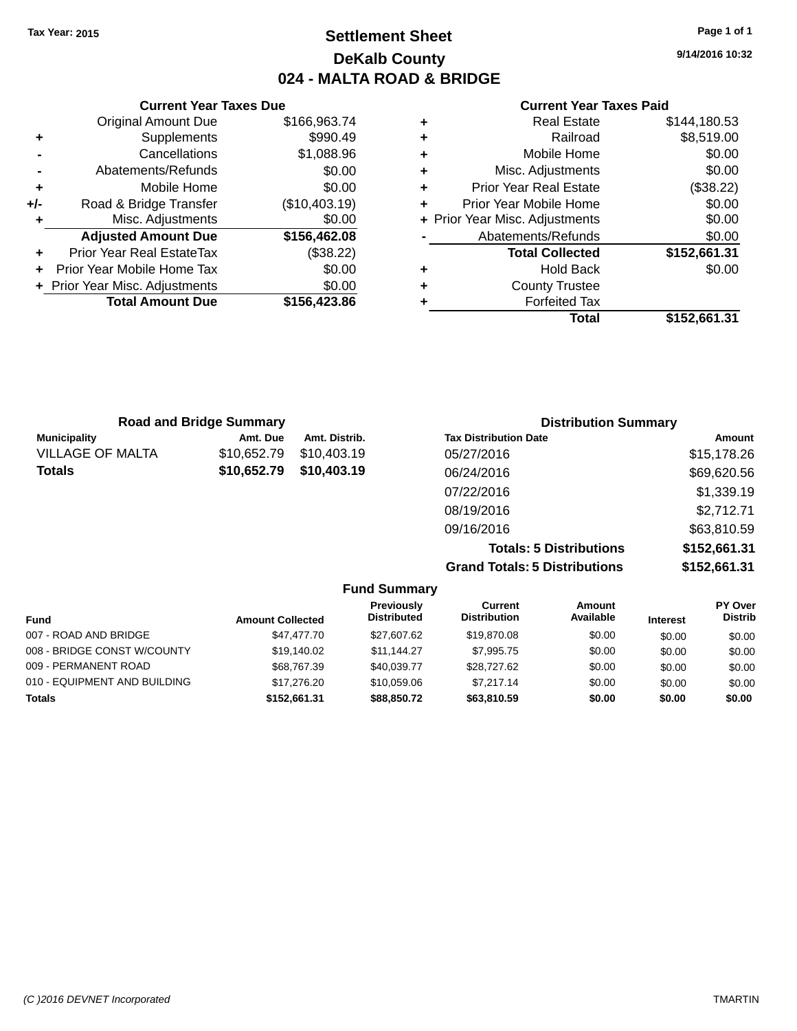## **Settlement Sheet Tax Year: 2015 Page 1 of 1 DeKalb County 024 - MALTA ROAD & BRIDGE**

**9/14/2016 10:32**

#### **Current Year Taxes Paid**

|     | <b>Current Year Taxes Due</b>    |               |
|-----|----------------------------------|---------------|
|     | <b>Original Amount Due</b>       | \$166,963.74  |
| ٠   | Supplements                      | \$990.49      |
|     | Cancellations                    | \$1,088.96    |
|     | Abatements/Refunds               | \$0.00        |
| ٠   | Mobile Home                      | \$0.00        |
| +/- | Road & Bridge Transfer           | (\$10,403.19) |
| ٠   | Misc. Adjustments                | \$0.00        |
|     | <b>Adjusted Amount Due</b>       | \$156,462.08  |
| ٠   | <b>Prior Year Real EstateTax</b> | (\$38.22)     |
|     | Prior Year Mobile Home Tax       | \$0.00        |
|     | + Prior Year Misc. Adjustments   | \$0.00        |
|     | <b>Total Amount Due</b>          | \$156,423.86  |
|     |                                  |               |

| ٠ | <b>Real Estate</b>             | \$144,180.53 |
|---|--------------------------------|--------------|
| ٠ | Railroad                       | \$8,519.00   |
| ٠ | Mobile Home                    | \$0.00       |
| ٠ | Misc. Adjustments              | \$0.00       |
| ٠ | <b>Prior Year Real Estate</b>  | (\$38.22)    |
| ٠ | Prior Year Mobile Home         | \$0.00       |
|   | + Prior Year Misc. Adjustments | \$0.00       |
|   | Abatements/Refunds             | \$0.00       |
|   | <b>Total Collected</b>         | \$152,661.31 |
| ٠ | <b>Hold Back</b>               | \$0.00       |
| ٠ | <b>County Trustee</b>          |              |
| ٠ | <b>Forfeited Tax</b>           |              |
|   | Total                          | \$152,661.31 |
|   |                                |              |

| <b>Road and Bridge Summary</b> |             |               | <b>Distribution Summary</b>    |              |  |
|--------------------------------|-------------|---------------|--------------------------------|--------------|--|
| <b>Municipality</b>            | Amt. Due    | Amt. Distrib. | <b>Tax Distribution Date</b>   | Amount       |  |
| <b>VILLAGE OF MALTA</b>        | \$10,652.79 | \$10,403.19   | 05/27/2016                     | \$15,178.26  |  |
| <b>Totals</b>                  | \$10,652.79 | \$10,403.19   | 06/24/2016                     | \$69,620.56  |  |
|                                |             |               | 07/22/2016                     | \$1,339.19   |  |
|                                |             |               | 08/19/2016                     | \$2,712.71   |  |
|                                |             |               | 09/16/2016                     | \$63,810.59  |  |
|                                |             |               | <b>Totals: 5 Distributions</b> | \$152,661.31 |  |

**Grand Totals: 5 Distributions \$152,661.31**

|                              |                         | <b>Fund Summary</b>              |                                |                     |                 |                                  |
|------------------------------|-------------------------|----------------------------------|--------------------------------|---------------------|-----------------|----------------------------------|
| <b>Fund</b>                  | <b>Amount Collected</b> | Previously<br><b>Distributed</b> | Current<br><b>Distribution</b> | Amount<br>Available | <b>Interest</b> | <b>PY Over</b><br><b>Distrib</b> |
| 007 - ROAD AND BRIDGE        | \$47,477.70             | \$27.607.62                      | \$19,870.08                    | \$0.00              | \$0.00          | \$0.00                           |
| 008 - BRIDGE CONST W/COUNTY  | \$19.140.02             | \$11.144.27                      | \$7.995.75                     | \$0.00              | \$0.00          | \$0.00                           |
| 009 - PERMANENT ROAD         | \$68,767.39             | \$40.039.77                      | \$28,727.62                    | \$0.00              | \$0.00          | \$0.00                           |
| 010 - EQUIPMENT AND BUILDING | \$17,276,20             | \$10.059.06                      | \$7.217.14                     | \$0.00              | \$0.00          | \$0.00                           |
| <b>Totals</b>                | \$152.661.31            | \$88,850,72                      | \$63,810.59                    | \$0.00              | \$0.00          | \$0.00                           |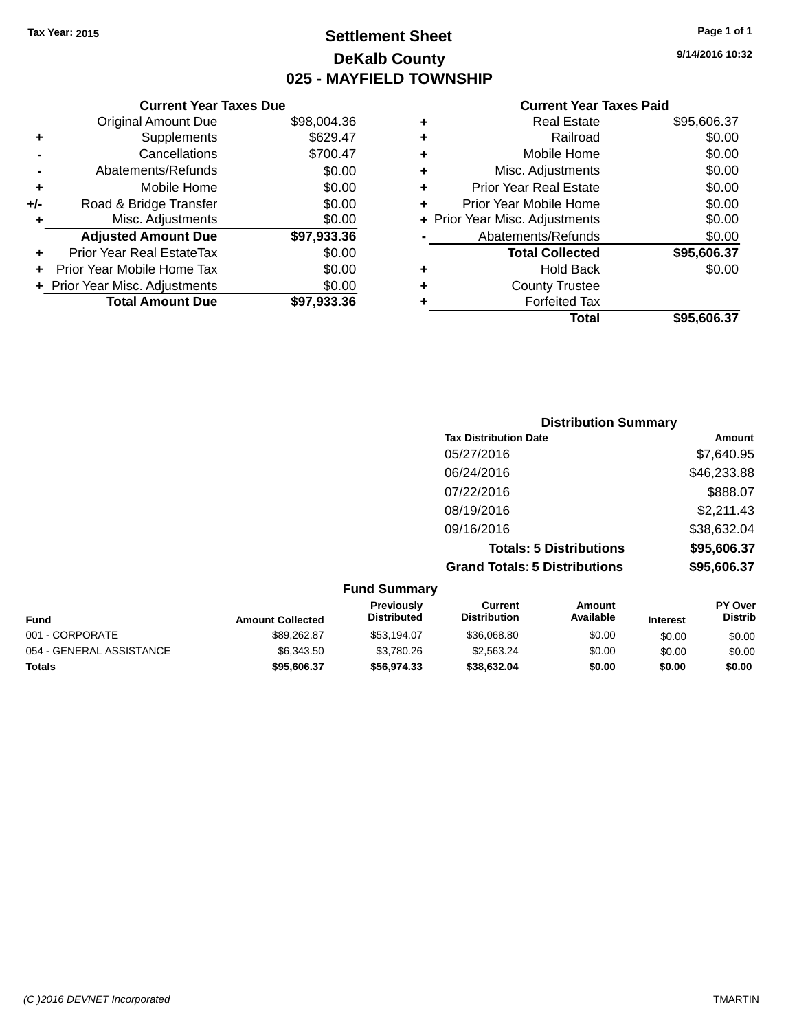**Current Year Taxes Due** Original Amount Due \$98,004.36

**Adjusted Amount Due \$97,933.36**

**Total Amount Due \$97,933.36**

**+** Supplements \$629.47 **-** Cancellations \$700.47 **-** Abatements/Refunds \$0.00 **+** Mobile Home \$0.00 **+/-** Road & Bridge Transfer \$0.00 **+** Misc. Adjustments \$0.00

**+** Prior Year Real EstateTax \$0.00 **+** Prior Year Mobile Home Tax \$0.00 **+ Prior Year Misc. Adjustments**  $$0.00$ 

## **Settlement Sheet Tax Year: 2015 Page 1 of 1 DeKalb County 025 - MAYFIELD TOWNSHIP**

**9/14/2016 10:32**

#### **Current Year Taxes Paid**

| ٠ | <b>Real Estate</b>             | \$95,606.37 |
|---|--------------------------------|-------------|
| ٠ | Railroad                       | \$0.00      |
| ٠ | Mobile Home                    | \$0.00      |
| ٠ | Misc. Adjustments              | \$0.00      |
| ٠ | <b>Prior Year Real Estate</b>  | \$0.00      |
| ÷ | Prior Year Mobile Home         | \$0.00      |
|   | + Prior Year Misc. Adjustments | \$0.00      |
|   | Abatements/Refunds             | \$0.00      |
|   | <b>Total Collected</b>         | \$95,606.37 |
| ٠ | <b>Hold Back</b>               | \$0.00      |
| ÷ | <b>County Trustee</b>          |             |
|   | <b>Forfeited Tax</b>           |             |
|   | Total                          | \$95.606.37 |

## **Distribution Summary Tax Distribution Date Amount** 05/27/2016 \$7,640.95 06/24/2016 \$46,233.88 07/22/2016 \$888.07 08/19/2016 \$2,211.43 09/16/2016 \$38,632.04 **Totals: 5 Distributions \$95,606.37 Grand Totals: 5 Distributions \$95,606.37**

|                          |                         | <b>Fund Summary</b>              |                                |                     |                 |                                  |
|--------------------------|-------------------------|----------------------------------|--------------------------------|---------------------|-----------------|----------------------------------|
| <b>Fund</b>              | <b>Amount Collected</b> | Previously<br><b>Distributed</b> | Current<br><b>Distribution</b> | Amount<br>Available | <b>Interest</b> | <b>PY Over</b><br><b>Distrib</b> |
| 001 - CORPORATE          | \$89,262.87             | \$53.194.07                      | \$36,068.80                    | \$0.00              | \$0.00          | \$0.00                           |
| 054 - GENERAL ASSISTANCE | \$6,343.50              | \$3.780.26                       | \$2,563.24                     | \$0.00              | \$0.00          | \$0.00                           |
| <b>Totals</b>            | \$95,606.37             | \$56,974.33                      | \$38,632,04                    | \$0.00              | \$0.00          | \$0.00                           |

### *(C )2016 DEVNET Incorporated* TMARTIN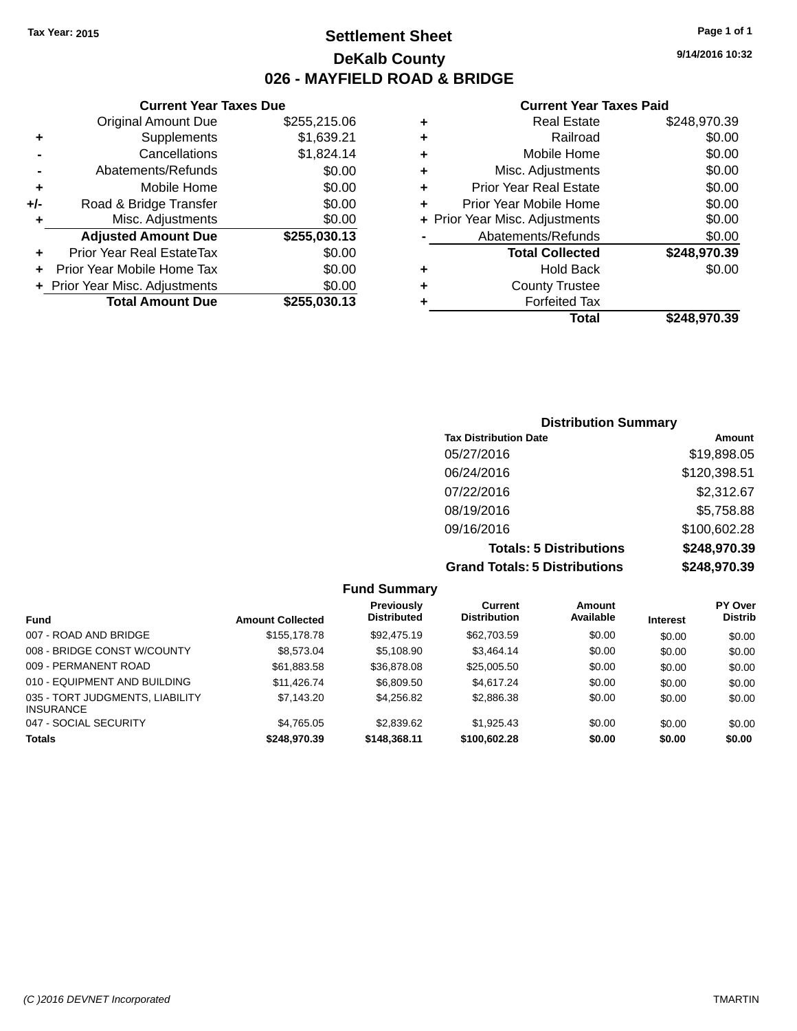## **Settlement Sheet Tax Year: 2015 Page 1 of 1 DeKalb County 026 - MAYFIELD ROAD & BRIDGE**

**Current Year Taxes Due**

|     | <b>Original Amount Due</b>       | \$255,215.06 |
|-----|----------------------------------|--------------|
| ٠   | Supplements                      | \$1,639.21   |
|     | Cancellations                    | \$1,824.14   |
|     | Abatements/Refunds               | \$0.00       |
| ٠   | Mobile Home                      | \$0.00       |
| +/- | Road & Bridge Transfer           | \$0.00       |
| ٠   | Misc. Adjustments                | \$0.00       |
|     | <b>Adjusted Amount Due</b>       | \$255,030.13 |
|     | <b>Prior Year Real EstateTax</b> | \$0.00       |
|     | Prior Year Mobile Home Tax       | \$0.00       |
|     | + Prior Year Misc. Adjustments   | \$0.00       |
|     | <b>Total Amount Due</b>          | \$255,030.13 |

#### **Current Year Taxes Paid**

| ٠ | <b>Real Estate</b>             | \$248,970.39 |
|---|--------------------------------|--------------|
| ٠ | Railroad                       | \$0.00       |
| ٠ | Mobile Home                    | \$0.00       |
| ٠ | Misc. Adjustments              | \$0.00       |
| ٠ | <b>Prior Year Real Estate</b>  | \$0.00       |
| ٠ | Prior Year Mobile Home         | \$0.00       |
|   | + Prior Year Misc. Adjustments | \$0.00       |
|   | Abatements/Refunds             | \$0.00       |
|   | <b>Total Collected</b>         | \$248,970.39 |
| ٠ | <b>Hold Back</b>               | \$0.00       |
| ٠ | <b>County Trustee</b>          |              |
| ٠ | <b>Forfeited Tax</b>           |              |
|   | Total                          | \$248,970.39 |
|   |                                |              |

| <b>Distribution Summary</b>          |              |  |  |  |  |  |
|--------------------------------------|--------------|--|--|--|--|--|
| <b>Tax Distribution Date</b>         | Amount       |  |  |  |  |  |
| 05/27/2016                           | \$19,898.05  |  |  |  |  |  |
| 06/24/2016                           | \$120,398.51 |  |  |  |  |  |
| 07/22/2016                           | \$2,312.67   |  |  |  |  |  |
| 08/19/2016                           | \$5,758.88   |  |  |  |  |  |
| 09/16/2016                           | \$100,602.28 |  |  |  |  |  |
| <b>Totals: 5 Distributions</b>       | \$248,970.39 |  |  |  |  |  |
| <b>Grand Totals: 5 Distributions</b> | \$248,970.39 |  |  |  |  |  |

|                                                     |                         | <b>Fund Summary</b>              |                                       |                     |                 |                           |
|-----------------------------------------------------|-------------------------|----------------------------------|---------------------------------------|---------------------|-----------------|---------------------------|
| <b>Fund</b>                                         | <b>Amount Collected</b> | Previously<br><b>Distributed</b> | <b>Current</b><br><b>Distribution</b> | Amount<br>Available | <b>Interest</b> | PY Over<br><b>Distrib</b> |
| 007 - ROAD AND BRIDGE                               | \$155,178.78            | \$92,475.19                      | \$62,703.59                           | \$0.00              | \$0.00          | \$0.00                    |
| 008 - BRIDGE CONST W/COUNTY                         | \$8,573,04              | \$5.108.90                       | \$3,464.14                            | \$0.00              | \$0.00          | \$0.00                    |
| 009 - PERMANENT ROAD                                | \$61,883.58             | \$36,878.08                      | \$25,005.50                           | \$0.00              | \$0.00          | \$0.00                    |
| 010 - EQUIPMENT AND BUILDING                        | \$11.426.74             | \$6,809.50                       | \$4,617.24                            | \$0.00              | \$0.00          | \$0.00                    |
| 035 - TORT JUDGMENTS, LIABILITY<br><b>INSURANCE</b> | \$7,143.20              | \$4.256.82                       | \$2,886.38                            | \$0.00              | \$0.00          | \$0.00                    |
| 047 - SOCIAL SECURITY                               | \$4,765.05              | \$2,839.62                       | \$1,925.43                            | \$0.00              | \$0.00          | \$0.00                    |
| Totals                                              | \$248,970.39            | \$148,368.11                     | \$100,602.28                          | \$0.00              | \$0.00          | \$0.00                    |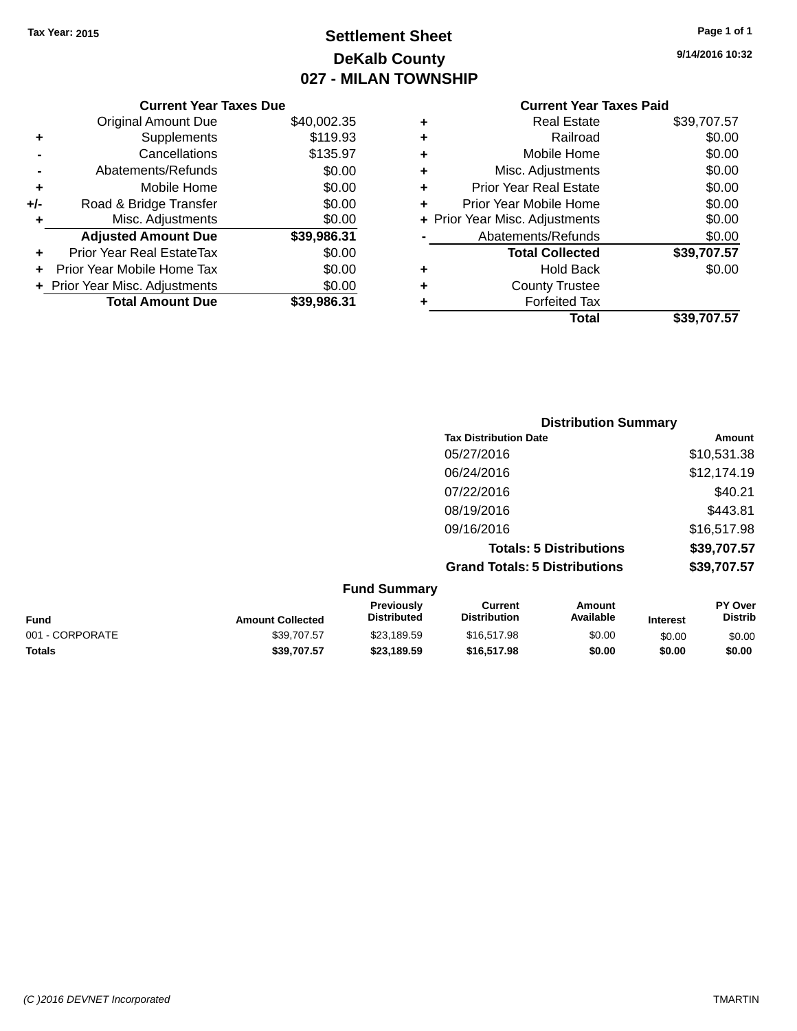## **Settlement Sheet Tax Year: 2015 Page 1 of 1 DeKalb County 027 - MILAN TOWNSHIP**

**9/14/2016 10:32**

| <b>Current Year Taxes Paid</b> |  |  |
|--------------------------------|--|--|
|                                |  |  |

|       | <b>Current Year Taxes Due</b>            |             |  |
|-------|------------------------------------------|-------------|--|
|       | <b>Original Amount Due</b>               | \$40,002.35 |  |
| ٠     | Supplements                              | \$119.93    |  |
|       | Cancellations                            | \$135.97    |  |
|       | Abatements/Refunds                       | \$0.00      |  |
| ٠     | Mobile Home                              | \$0.00      |  |
| $+/-$ | Road & Bridge Transfer                   | \$0.00      |  |
| ٠     | Misc. Adjustments                        | \$0.00      |  |
|       | <b>Adjusted Amount Due</b>               | \$39,986.31 |  |
| ٠     | Prior Year Real EstateTax                | \$0.00      |  |
| ÷     | Prior Year Mobile Home Tax               | \$0.00      |  |
|       | \$0.00<br>+ Prior Year Misc. Adjustments |             |  |
|       | <b>Total Amount Due</b>                  | \$39,986.31 |  |
|       |                                          |             |  |

|   | <b>Real Estate</b>             | \$39,707.57 |
|---|--------------------------------|-------------|
| ٠ | Railroad                       | \$0.00      |
| ٠ | Mobile Home                    | \$0.00      |
| ٠ | Misc. Adjustments              | \$0.00      |
| ٠ | <b>Prior Year Real Estate</b>  | \$0.00      |
| ٠ | Prior Year Mobile Home         | \$0.00      |
|   | + Prior Year Misc. Adjustments | \$0.00      |
|   | Abatements/Refunds             | \$0.00      |
|   | <b>Total Collected</b>         | \$39,707.57 |
| ٠ | <b>Hold Back</b>               | \$0.00      |
| ٠ | <b>County Trustee</b>          |             |
| ٠ | <b>Forfeited Tax</b>           |             |
|   | Total                          | \$39.707.57 |
|   |                                |             |

|                              | <b>Distribution Summary</b>          |             |
|------------------------------|--------------------------------------|-------------|
| <b>Tax Distribution Date</b> |                                      | Amount      |
| 05/27/2016                   |                                      | \$10,531.38 |
| 06/24/2016                   |                                      | \$12,174.19 |
| 07/22/2016                   |                                      | \$40.21     |
| 08/19/2016                   |                                      | \$443.81    |
| 09/16/2016                   |                                      | \$16,517.98 |
|                              | <b>Totals: 5 Distributions</b>       | \$39,707.57 |
|                              | <b>Grand Totals: 5 Distributions</b> | \$39,707.57 |
| Eund Cummony                 |                                      |             |

| <b>Amount Collected</b> | <b>Previously</b><br><b>Distributed</b> | Current<br><b>Distribution</b> | Amount<br>Available | <b>Interest</b> | <b>PY Over</b><br><b>Distrib</b> |
|-------------------------|-----------------------------------------|--------------------------------|---------------------|-----------------|----------------------------------|
| \$39,707.57             | \$23.189.59                             | \$16,517.98                    | \$0.00              | \$0.00          | \$0.00                           |
| \$39,707.57             | \$23,189.59                             | \$16,517.98                    | \$0.00              | \$0.00          | \$0.00                           |
|                         |                                         | <b>Fund Summary</b>            |                     |                 |                                  |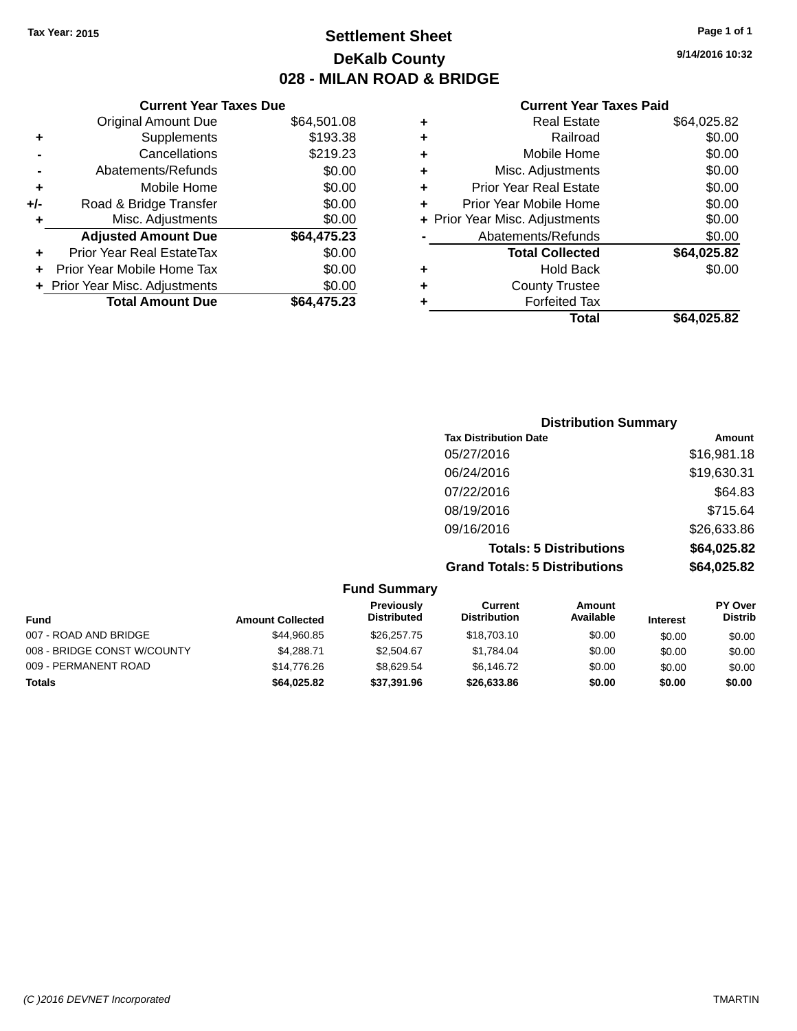## **Settlement Sheet Tax Year: 2015 Page 1 of 1 DeKalb County 028 - MILAN ROAD & BRIDGE**

**9/14/2016 10:32**

#### **Current Year Taxes Paid**

|     | <b>Current Year Taxes Due</b>  |             |  |  |  |
|-----|--------------------------------|-------------|--|--|--|
|     | <b>Original Amount Due</b>     | \$64,501.08 |  |  |  |
| ٠   | Supplements                    | \$193.38    |  |  |  |
|     | Cancellations                  | \$219.23    |  |  |  |
|     | Abatements/Refunds             | \$0.00      |  |  |  |
| ٠   | Mobile Home                    | \$0.00      |  |  |  |
| +/- | Road & Bridge Transfer         | \$0.00      |  |  |  |
| ٠   | Misc. Adjustments              | \$0.00      |  |  |  |
|     | <b>Adjusted Amount Due</b>     | \$64,475.23 |  |  |  |
| ٠   | Prior Year Real EstateTax      | \$0.00      |  |  |  |
|     | Prior Year Mobile Home Tax     | \$0.00      |  |  |  |
|     | + Prior Year Misc. Adjustments | \$0.00      |  |  |  |
|     | <b>Total Amount Due</b>        | \$64.475.23 |  |  |  |
|     |                                |             |  |  |  |

| ٠ | <b>Real Estate</b>             | \$64,025.82 |
|---|--------------------------------|-------------|
| ٠ | Railroad                       | \$0.00      |
| ٠ | Mobile Home                    | \$0.00      |
| ٠ | Misc. Adjustments              | \$0.00      |
| ٠ | <b>Prior Year Real Estate</b>  | \$0.00      |
| ÷ | Prior Year Mobile Home         | \$0.00      |
|   | + Prior Year Misc. Adjustments | \$0.00      |
|   | Abatements/Refunds             | \$0.00      |
|   | <b>Total Collected</b>         | \$64,025.82 |
| ٠ | Hold Back                      | \$0.00      |
| ٠ | <b>County Trustee</b>          |             |
| ٠ | <b>Forfeited Tax</b>           |             |
|   | Total                          | \$64,025.82 |
|   |                                |             |

| <b>Distribution Summary</b>          |             |
|--------------------------------------|-------------|
| <b>Tax Distribution Date</b>         | Amount      |
| 05/27/2016                           | \$16,981.18 |
| 06/24/2016                           | \$19,630.31 |
| 07/22/2016                           | \$64.83     |
| 08/19/2016                           | \$715.64    |
| 09/16/2016                           | \$26,633.86 |
| <b>Totals: 5 Distributions</b>       | \$64,025.82 |
| <b>Grand Totals: 5 Distributions</b> | \$64,025.82 |

|                             |                         | <b>Fund Summary</b>              |                                |                     |                 |                                  |
|-----------------------------|-------------------------|----------------------------------|--------------------------------|---------------------|-----------------|----------------------------------|
| <b>Fund</b>                 | <b>Amount Collected</b> | Previously<br><b>Distributed</b> | Current<br><b>Distribution</b> | Amount<br>Available | <b>Interest</b> | <b>PY Over</b><br><b>Distrib</b> |
| 007 - ROAD AND BRIDGE       | \$44,960.85             | \$26,257,75                      | \$18,703.10                    | \$0.00              | \$0.00          | \$0.00                           |
| 008 - BRIDGE CONST W/COUNTY | \$4.288.71              | \$2,504.67                       | \$1,784.04                     | \$0.00              | \$0.00          | \$0.00                           |
| 009 - PERMANENT ROAD        | \$14,776,26             | \$8.629.54                       | \$6,146.72                     | \$0.00              | \$0.00          | \$0.00                           |
| <b>Totals</b>               | \$64.025.82             | \$37.391.96                      | \$26,633,86                    | \$0.00              | \$0.00          | \$0.00                           |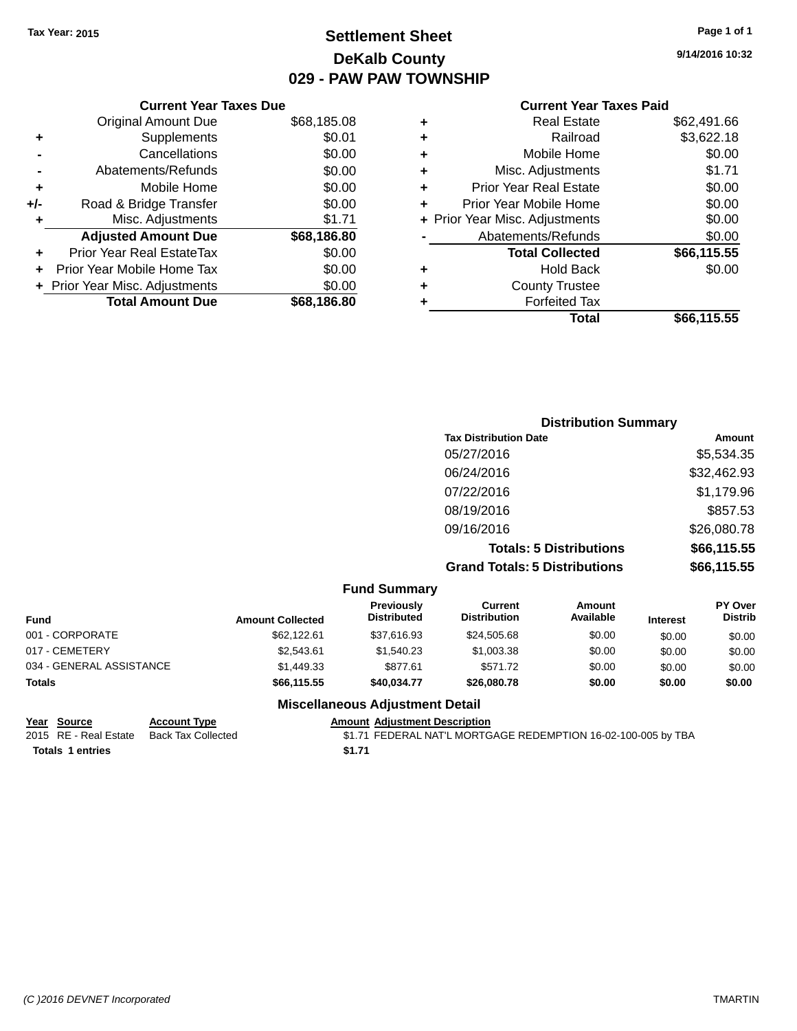## **Settlement Sheet Tax Year: 2015 Page 1 of 1 DeKalb County 029 - PAW PAW TOWNSHIP**

**9/14/2016 10:32**

### **Current Year Taxes Paid**

|     | <b>Current Year Taxes Due</b>  |             |  |  |  |
|-----|--------------------------------|-------------|--|--|--|
|     | <b>Original Amount Due</b>     | \$68,185.08 |  |  |  |
| ٠   | Supplements                    | \$0.01      |  |  |  |
|     | Cancellations                  | \$0.00      |  |  |  |
|     | Abatements/Refunds             | \$0.00      |  |  |  |
| ٠   | Mobile Home                    | \$0.00      |  |  |  |
| +/- | Road & Bridge Transfer         | \$0.00      |  |  |  |
| ٠   | Misc. Adjustments              | \$1.71      |  |  |  |
|     | <b>Adjusted Amount Due</b>     | \$68,186.80 |  |  |  |
| ÷   | Prior Year Real EstateTax      | \$0.00      |  |  |  |
|     | Prior Year Mobile Home Tax     | \$0.00      |  |  |  |
|     | + Prior Year Misc. Adjustments | \$0.00      |  |  |  |
|     | <b>Total Amount Due</b>        | \$68.186.80 |  |  |  |
|     |                                |             |  |  |  |

|   | <b>Real Estate</b>             | \$62,491.66 |
|---|--------------------------------|-------------|
| ٠ | Railroad                       | \$3,622.18  |
| ٠ | Mobile Home                    | \$0.00      |
| ٠ | Misc. Adjustments              | \$1.71      |
| ٠ | <b>Prior Year Real Estate</b>  | \$0.00      |
| ÷ | Prior Year Mobile Home         | \$0.00      |
|   | + Prior Year Misc. Adjustments | \$0.00      |
|   | Abatements/Refunds             | \$0.00      |
|   | <b>Total Collected</b>         | \$66,115.55 |
| ٠ | <b>Hold Back</b>               | \$0.00      |
| ٠ | <b>County Trustee</b>          |             |
| ٠ | <b>Forfeited Tax</b>           |             |
|   | Total                          | \$66,115.55 |
|   |                                |             |

| <b>Distribution Summary</b>          |             |
|--------------------------------------|-------------|
| <b>Tax Distribution Date</b>         | Amount      |
| 05/27/2016                           | \$5,534.35  |
| 06/24/2016                           | \$32,462.93 |
| 07/22/2016                           | \$1,179.96  |
| 08/19/2016                           | \$857.53    |
| 09/16/2016                           | \$26,080.78 |
| <b>Totals: 5 Distributions</b>       | \$66,115.55 |
| <b>Grand Totals: 5 Distributions</b> | \$66,115.55 |

|                          |                         | <b>Fund Summary</b>                     |                                |                     |                 |                                  |
|--------------------------|-------------------------|-----------------------------------------|--------------------------------|---------------------|-----------------|----------------------------------|
| <b>Fund</b>              | <b>Amount Collected</b> | <b>Previously</b><br><b>Distributed</b> | Current<br><b>Distribution</b> | Amount<br>Available | <b>Interest</b> | <b>PY Over</b><br><b>Distrib</b> |
| 001 - CORPORATE          | \$62,122,61             | \$37.616.93                             | \$24,505.68                    | \$0.00              | \$0.00          | \$0.00                           |
| 017 - CEMETERY           | \$2,543.61              | \$1,540.23                              | \$1,003.38                     | \$0.00              | \$0.00          | \$0.00                           |
| 034 - GENERAL ASSISTANCE | \$1,449.33              | \$877.61                                | \$571.72                       | \$0.00              | \$0.00          | \$0.00                           |
| <b>Totals</b>            | \$66,115.55             | \$40.034.77                             | \$26,080,78                    | \$0.00              | \$0.00          | \$0.00                           |

### **Miscellaneous Adjustment Detail**

| Year Source             | <b>Account Type</b> |        | <b>Amount Adiustment Description</b> |
|-------------------------|---------------------|--------|--------------------------------------|
| 2015 RE - Real Estate   | Back Tax Collected  |        | \$1.71 FEDERAL NAT'L MORTG           |
| <b>Totals 1 entries</b> |                     | \$1.71 |                                      |

2015 RE - Real Estate Back Tax Collected MORTGAGE REDERAL NAT'L MORTGAGE REDEMPTION 16-02-100-005 by TBA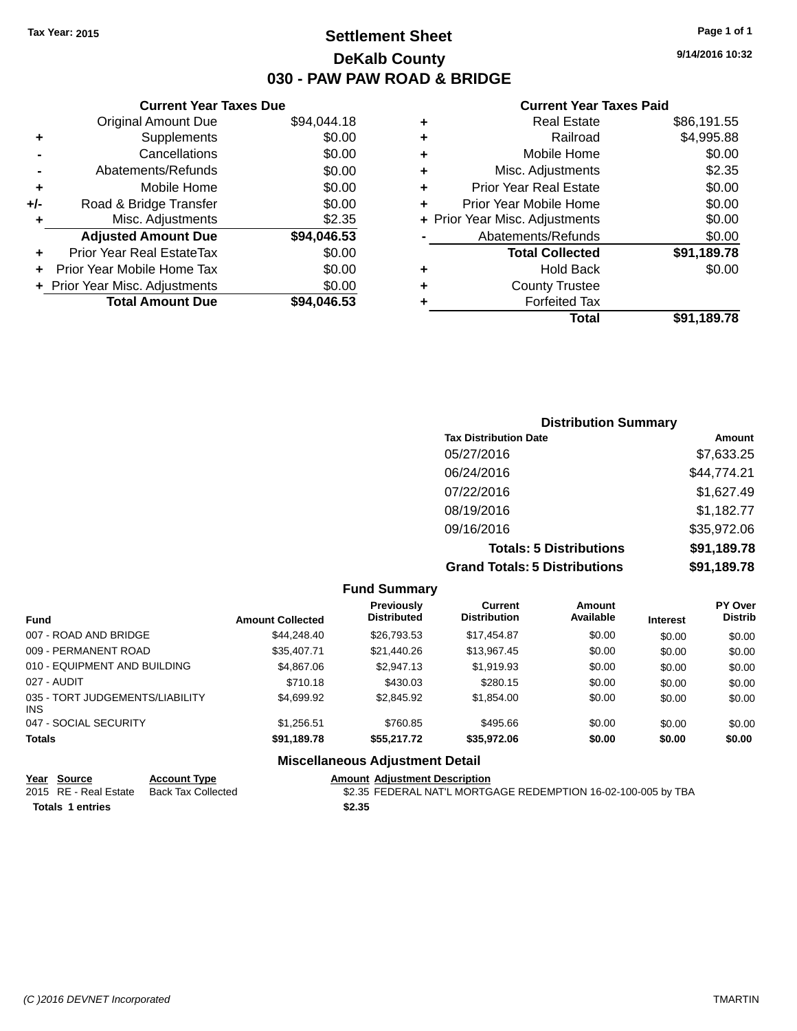## **Settlement Sheet Tax Year: 2015 Page 1 of 1 DeKalb County 030 - PAW PAW ROAD & BRIDGE**

**9/14/2016 10:32**

#### **Current Year Taxes Paid**

|     | <b>Current Year Taxes Due</b>  |             |
|-----|--------------------------------|-------------|
|     | <b>Original Amount Due</b>     | \$94,044.18 |
| ٠   | Supplements                    | \$0.00      |
|     | Cancellations                  | \$0.00      |
|     | Abatements/Refunds             | \$0.00      |
| ٠   | Mobile Home                    | \$0.00      |
| +/- | Road & Bridge Transfer         | \$0.00      |
| ٠   | Misc. Adjustments              | \$2.35      |
|     | <b>Adjusted Amount Due</b>     | \$94,046.53 |
| ÷   | Prior Year Real EstateTax      | \$0.00      |
|     | Prior Year Mobile Home Tax     | \$0.00      |
|     | + Prior Year Misc. Adjustments | \$0.00      |
|     | <b>Total Amount Due</b>        | \$94,046.53 |
|     |                                |             |

| ٠ | <b>Real Estate</b>             | \$86,191.55 |
|---|--------------------------------|-------------|
| ٠ | Railroad                       | \$4,995.88  |
| ٠ | Mobile Home                    | \$0.00      |
| ٠ | Misc. Adjustments              | \$2.35      |
| ٠ | <b>Prior Year Real Estate</b>  | \$0.00      |
| ÷ | Prior Year Mobile Home         | \$0.00      |
|   | + Prior Year Misc. Adjustments | \$0.00      |
|   | Abatements/Refunds             | \$0.00      |
|   | <b>Total Collected</b>         | \$91,189.78 |
| ٠ | <b>Hold Back</b>               | \$0.00      |
| ٠ | <b>County Trustee</b>          |             |
| ٠ | <b>Forfeited Tax</b>           |             |
|   | Total                          | \$91,189.78 |
|   |                                |             |

| <b>Distribution Summary</b>          |             |
|--------------------------------------|-------------|
| <b>Tax Distribution Date</b>         | Amount      |
| 05/27/2016                           | \$7,633.25  |
| 06/24/2016                           | \$44,774.21 |
| 07/22/2016                           | \$1,627.49  |
| 08/19/2016                           | \$1,182.77  |
| 09/16/2016                           | \$35,972.06 |
| <b>Totals: 5 Distributions</b>       | \$91,189.78 |
| <b>Grand Totals: 5 Distributions</b> | \$91,189.78 |

|                                         |                         | <b>Fund Summary</b>                     |                                       |                     |                 |                                  |
|-----------------------------------------|-------------------------|-----------------------------------------|---------------------------------------|---------------------|-----------------|----------------------------------|
| <b>Fund</b>                             | <b>Amount Collected</b> | <b>Previously</b><br><b>Distributed</b> | <b>Current</b><br><b>Distribution</b> | Amount<br>Available | <b>Interest</b> | <b>PY Over</b><br><b>Distrib</b> |
| 007 - ROAD AND BRIDGE                   | \$44,248,40             | \$26,793.53                             | \$17,454.87                           | \$0.00              | \$0.00          | \$0.00                           |
| 009 - PERMANENT ROAD                    | \$35,407.71             | \$21,440.26                             | \$13,967.45                           | \$0.00              | \$0.00          | \$0.00                           |
| 010 - EQUIPMENT AND BUILDING            | \$4,867.06              | \$2,947.13                              | \$1,919.93                            | \$0.00              | \$0.00          | \$0.00                           |
| 027 - AUDIT                             | \$710.18                | \$430.03                                | \$280.15                              | \$0.00              | \$0.00          | \$0.00                           |
| 035 - TORT JUDGEMENTS/LIABILITY<br>INS. | \$4,699.92              | \$2,845.92                              | \$1,854.00                            | \$0.00              | \$0.00          | \$0.00                           |
| 047 - SOCIAL SECURITY                   | \$1,256.51              | \$760.85                                | \$495.66                              | \$0.00              | \$0.00          | \$0.00                           |
| <b>Totals</b>                           | \$91,189.78             | \$55,217.72                             | \$35,972.06                           | \$0.00              | \$0.00          | \$0.00                           |
|                                         | --- --                  |                                         |                                       |                     |                 |                                  |

#### **Miscellaneous Adjustment Detail Year Source Account Type Amount Adjustment Description**

| <u><b>IGUI OVUICE</b></u> | AGGANIL INDE                             | AND MILL AGNOSING IN DESCRIPTION                              |
|---------------------------|------------------------------------------|---------------------------------------------------------------|
|                           | 2015 RE - Real Estate Back Tax Collected | \$2.35 FEDERAL NAT'L MORTGAGE REDEMPTION 16-02-100-005 by TBA |
| <b>Totals 1 entries</b>   |                                          | \$2.35                                                        |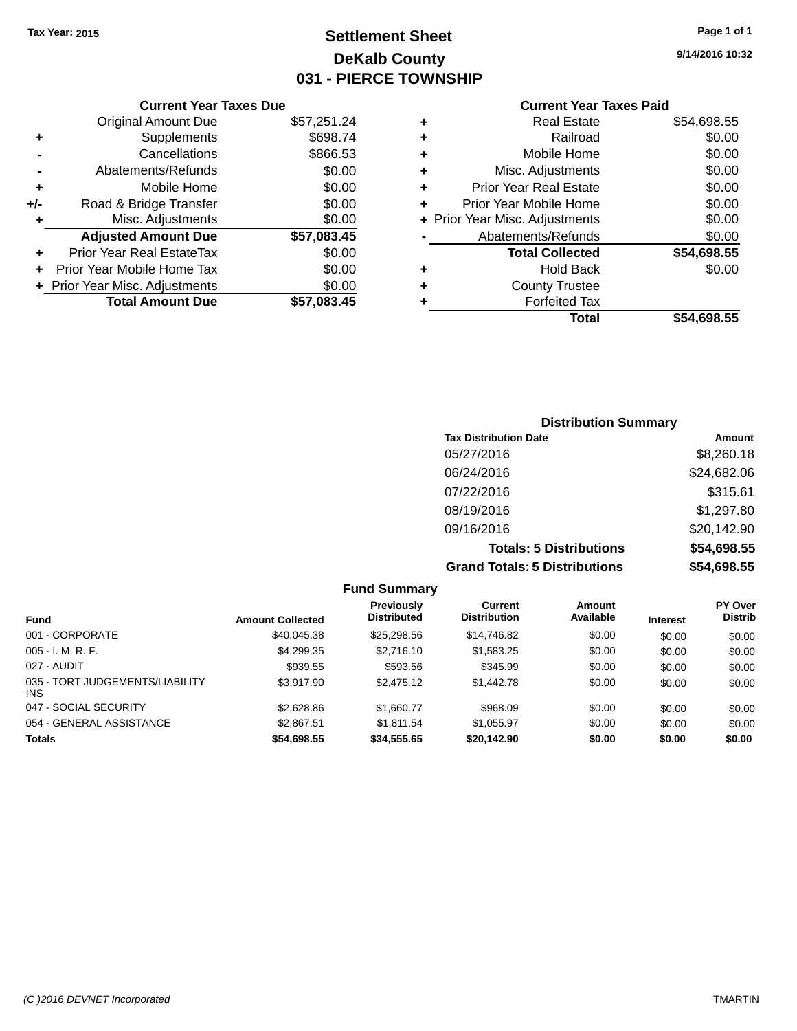## **Settlement Sheet Tax Year: 2015 Page 1 of 1 DeKalb County 031 - PIERCE TOWNSHIP**

**9/14/2016 10:32**

## **Current Year Taxes Paid**

|     | <b>Current Year Taxes Due</b>  |             |
|-----|--------------------------------|-------------|
|     | <b>Original Amount Due</b>     | \$57,251.24 |
| ٠   | Supplements                    | \$698.74    |
|     | Cancellations                  | \$866.53    |
|     | Abatements/Refunds             | \$0.00      |
| ٠   | Mobile Home                    | \$0.00      |
| +/- | Road & Bridge Transfer         | \$0.00      |
|     | Misc. Adjustments              | \$0.00      |
|     | <b>Adjusted Amount Due</b>     | \$57,083.45 |
| ٠   | Prior Year Real EstateTax      | \$0.00      |
| ÷   | Prior Year Mobile Home Tax     | \$0.00      |
|     | + Prior Year Misc. Adjustments | \$0.00      |
|     | <b>Total Amount Due</b>        | \$57.083.45 |
|     |                                |             |

| ٠ | <b>Real Estate</b>             | \$54,698.55 |
|---|--------------------------------|-------------|
| ٠ | Railroad                       | \$0.00      |
| ٠ | Mobile Home                    | \$0.00      |
| ٠ | Misc. Adjustments              | \$0.00      |
| ٠ | <b>Prior Year Real Estate</b>  | \$0.00      |
| ٠ | Prior Year Mobile Home         | \$0.00      |
|   | + Prior Year Misc. Adjustments | \$0.00      |
|   | Abatements/Refunds             | \$0.00      |
|   | <b>Total Collected</b>         | \$54,698.55 |
| ٠ | Hold Back                      | \$0.00      |
| ٠ | <b>County Trustee</b>          |             |
|   | <b>Forfeited Tax</b>           |             |
|   | Total                          | \$54.698.55 |
|   |                                |             |

| <b>Distribution Summary</b>          |             |  |  |  |
|--------------------------------------|-------------|--|--|--|
| <b>Tax Distribution Date</b>         | Amount      |  |  |  |
| 05/27/2016                           | \$8,260.18  |  |  |  |
| 06/24/2016                           | \$24,682.06 |  |  |  |
| 07/22/2016                           | \$315.61    |  |  |  |
| 08/19/2016                           | \$1,297.80  |  |  |  |
| 09/16/2016                           | \$20,142.90 |  |  |  |
| <b>Totals: 5 Distributions</b>       | \$54,698.55 |  |  |  |
| <b>Grand Totals: 5 Distributions</b> | \$54,698.55 |  |  |  |

|                                         |                         | <b>Fund Summary</b>              |                                |                     |                 |                                  |
|-----------------------------------------|-------------------------|----------------------------------|--------------------------------|---------------------|-----------------|----------------------------------|
| <b>Fund</b>                             | <b>Amount Collected</b> | Previously<br><b>Distributed</b> | Current<br><b>Distribution</b> | Amount<br>Available | <b>Interest</b> | <b>PY Over</b><br><b>Distrib</b> |
| 001 - CORPORATE                         | \$40,045.38             | \$25,298.56                      | \$14,746.82                    | \$0.00              | \$0.00          | \$0.00                           |
| $005 - I. M. R. F.$                     | \$4,299.35              | \$2,716.10                       | \$1,583.25                     | \$0.00              | \$0.00          | \$0.00                           |
| 027 - AUDIT                             | \$939.55                | \$593.56                         | \$345.99                       | \$0.00              | \$0.00          | \$0.00                           |
| 035 - TORT JUDGEMENTS/LIABILITY<br>INS. | \$3,917.90              | \$2,475.12                       | \$1,442.78                     | \$0.00              | \$0.00          | \$0.00                           |
| 047 - SOCIAL SECURITY                   | \$2,628.86              | \$1,660.77                       | \$968.09                       | \$0.00              | \$0.00          | \$0.00                           |
| 054 - GENERAL ASSISTANCE                | \$2,867.51              | \$1.811.54                       | \$1,055.97                     | \$0.00              | \$0.00          | \$0.00                           |
| <b>Totals</b>                           | \$54,698.55             | \$34,555.65                      | \$20,142.90                    | \$0.00              | \$0.00          | \$0.00                           |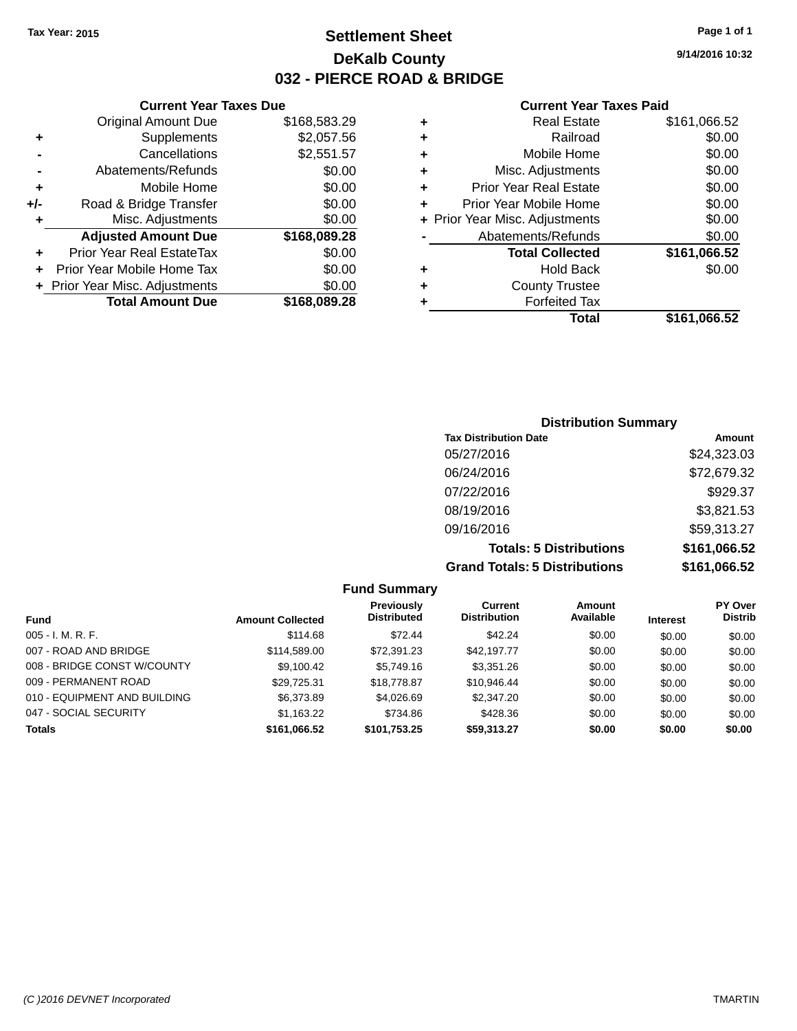## **Settlement Sheet Tax Year: 2015 Page 1 of 1 DeKalb County 032 - PIERCE ROAD & BRIDGE**

#### **Current Year Taxes Due**

| <b>Original Amount Due</b> | \$168,583.29                   |
|----------------------------|--------------------------------|
| Supplements                | \$2,057.56                     |
| Cancellations              | \$2,551.57                     |
| Abatements/Refunds         | \$0.00                         |
| Mobile Home                | \$0.00                         |
| Road & Bridge Transfer     | \$0.00                         |
| Misc. Adjustments          | \$0.00                         |
| <b>Adjusted Amount Due</b> | \$168,089.28                   |
| Prior Year Real EstateTax  | \$0.00                         |
| Prior Year Mobile Home Tax | \$0.00                         |
|                            | \$0.00                         |
| <b>Total Amount Due</b>    | \$168,089.28                   |
|                            | + Prior Year Misc. Adjustments |

#### **Current Year Taxes Paid**

| ٠ | <b>Real Estate</b>             | \$161,066.52 |
|---|--------------------------------|--------------|
| ٠ | Railroad                       | \$0.00       |
| ٠ | Mobile Home                    | \$0.00       |
| ٠ | Misc. Adjustments              | \$0.00       |
| ٠ | <b>Prior Year Real Estate</b>  | \$0.00       |
| ÷ | Prior Year Mobile Home         | \$0.00       |
|   | + Prior Year Misc. Adjustments | \$0.00       |
|   | Abatements/Refunds             | \$0.00       |
|   | <b>Total Collected</b>         | \$161,066.52 |
| ٠ | Hold Back                      | \$0.00       |
| ٠ | <b>County Trustee</b>          |              |
|   | <b>Forfeited Tax</b>           |              |
|   | Total                          | \$161,066.52 |
|   |                                |              |

### **Distribution Summary Tax Distribution Date Amount** 05/27/2016 \$24,323.03 06/24/2016 \$72,679.32 07/22/2016 \$929.37 08/19/2016 \$3,821.53 09/16/2016 \$59,313.27 **Totals: 5 Distributions \$161,066.52 Grand Totals: 5 Distributions \$161,066.52**

| <b>Fund Summary</b>          |                         |                                         |                                |                     |                 |                                  |
|------------------------------|-------------------------|-----------------------------------------|--------------------------------|---------------------|-----------------|----------------------------------|
| <b>Fund</b>                  | <b>Amount Collected</b> | <b>Previously</b><br><b>Distributed</b> | Current<br><b>Distribution</b> | Amount<br>Available | <b>Interest</b> | <b>PY Over</b><br><b>Distrib</b> |
| $005 - I. M. R. F.$          | \$114.68                | \$72.44                                 | \$42.24                        | \$0.00              | \$0.00          | \$0.00                           |
| 007 - ROAD AND BRIDGE        | \$114,589.00            | \$72,391.23                             | \$42,197.77                    | \$0.00              | \$0.00          | \$0.00                           |
| 008 - BRIDGE CONST W/COUNTY  | \$9,100.42              | \$5,749.16                              | \$3,351.26                     | \$0.00              | \$0.00          | \$0.00                           |
| 009 - PERMANENT ROAD         | \$29,725.31             | \$18,778.87                             | \$10,946.44                    | \$0.00              | \$0.00          | \$0.00                           |
| 010 - EQUIPMENT AND BUILDING | \$6,373.89              | \$4,026.69                              | \$2,347.20                     | \$0.00              | \$0.00          | \$0.00                           |
| 047 - SOCIAL SECURITY        | \$1,163.22              | \$734.86                                | \$428.36                       | \$0.00              | \$0.00          | \$0.00                           |
| <b>Totals</b>                | \$161,066.52            | \$101,753.25                            | \$59,313.27                    | \$0.00              | \$0.00          | \$0.00                           |

**9/14/2016 10:32**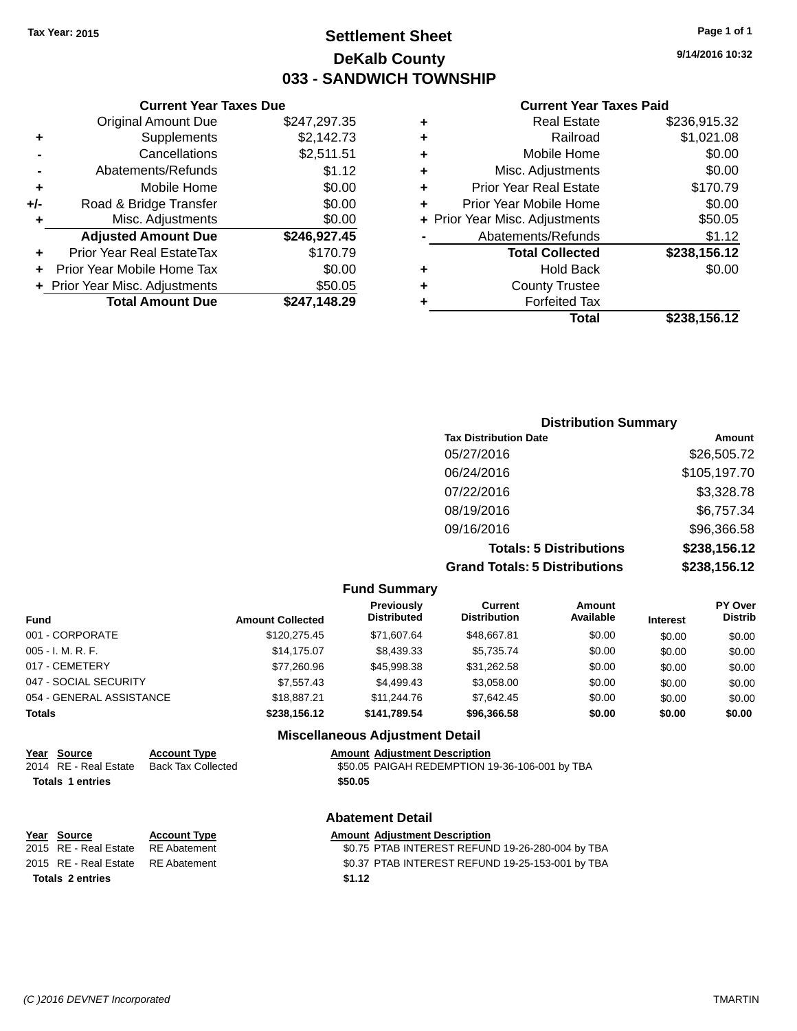## **Settlement Sheet Tax Year: 2015 Page 1 of 1 DeKalb County 033 - SANDWICH TOWNSHIP**

**9/14/2016 10:32**

#### **Current Year Taxes Paid**

|       | <b>Current Year Taxes Due</b>    |              |   |                    |
|-------|----------------------------------|--------------|---|--------------------|
|       | <b>Original Amount Due</b>       | \$247,297.35 |   |                    |
| ٠     | Supplements                      | \$2,142.73   | ٠ |                    |
|       | Cancellations                    | \$2,511.51   | ٠ | N                  |
|       | Abatements/Refunds               | \$1.12       | ٠ | Misc.              |
|       | Mobile Home                      | \$0.00       |   | <b>Prior Year</b>  |
| $+/-$ | Road & Bridge Transfer           | \$0.00       |   | Prior Year N       |
|       | Misc. Adjustments                | \$0.00       |   | + Prior Year Misc. |
|       | <b>Adjusted Amount Due</b>       | \$246,927.45 |   | Abateme            |
|       | <b>Prior Year Real EstateTax</b> | \$170.79     |   | Tota               |
|       | Prior Year Mobile Home Tax       | \$0.00       |   |                    |
|       | + Prior Year Misc. Adjustments   | \$50.05      | ٠ | Co                 |
|       | <b>Total Amount Due</b>          | \$247,148.29 |   |                    |
|       |                                  |              |   |                    |

|   | Real Estate                    | \$236,915.32 |
|---|--------------------------------|--------------|
| ٠ | Railroad                       | \$1,021.08   |
| ٠ | Mobile Home                    | \$0.00       |
| ٠ | Misc. Adjustments              | \$0.00       |
|   | <b>Prior Year Real Estate</b>  | \$170.79     |
|   | Prior Year Mobile Home         | \$0.00       |
|   | + Prior Year Misc. Adjustments | \$50.05      |
|   | Abatements/Refunds             | \$1.12       |
|   | <b>Total Collected</b>         | \$238,156.12 |
|   | Hold Back                      | \$0.00       |
|   | <b>County Trustee</b>          |              |
|   | <b>Forfeited Tax</b>           |              |
|   | Total                          | \$238,156.12 |
|   |                                |              |

| <b>Distribution Summary</b>          |              |
|--------------------------------------|--------------|
| <b>Tax Distribution Date</b>         | Amount       |
| 05/27/2016                           | \$26,505.72  |
| 06/24/2016                           | \$105,197.70 |
| 07/22/2016                           | \$3,328.78   |
| 08/19/2016                           | \$6,757.34   |
| 09/16/2016                           | \$96,366.58  |
| <b>Totals: 5 Distributions</b>       | \$238,156.12 |
| <b>Grand Totals: 5 Distributions</b> | \$238,156.12 |

|                          |                         | <b>Fund Summary</b>                     |                                       |                     |                 |                                  |
|--------------------------|-------------------------|-----------------------------------------|---------------------------------------|---------------------|-----------------|----------------------------------|
| <b>Fund</b>              | <b>Amount Collected</b> | <b>Previously</b><br><b>Distributed</b> | <b>Current</b><br><b>Distribution</b> | Amount<br>Available | <b>Interest</b> | <b>PY Over</b><br><b>Distrib</b> |
| 001 - CORPORATE          | \$120,275.45            | \$71,607.64                             | \$48,667.81                           | \$0.00              | \$0.00          | \$0.00                           |
| 005 - I. M. R. F.        | \$14,175.07             | \$8,439.33                              | \$5,735.74                            | \$0.00              | \$0.00          | \$0.00                           |
| 017 - CEMETERY           | \$77,260.96             | \$45,998.38                             | \$31,262.58                           | \$0.00              | \$0.00          | \$0.00                           |
| 047 - SOCIAL SECURITY    | \$7,557.43              | \$4,499.43                              | \$3,058.00                            | \$0.00              | \$0.00          | \$0.00                           |
| 054 - GENERAL ASSISTANCE | \$18,887.21             | \$11,244.76                             | \$7.642.45                            | \$0.00              | \$0.00          | \$0.00                           |
| <b>Totals</b>            | \$238.156.12            | \$141.789.54                            | \$96,366,58                           | \$0.00              | \$0.00          | \$0.00                           |
|                          |                         | <b>Miscellaneous Adjustment Detail</b>  |                                       |                     |                 |                                  |

# **Year Source Account Type Amount Adjustment Description**

Back Tax Collected **2014 S50.05 PAIGAH REDEMPTION 19-36-106-001 by TBA Totals \$50.05 1 entries**

#### **Abatement Detail**

| Year Source                        | <b>Account Type</b> | Amount |
|------------------------------------|---------------------|--------|
| 2015 RE - Real Estate              | RE Abatement        | \$0.75 |
| 2015 RE - Real Estate RE Abatement |                     | \$0.37 |
| <b>Totals 2 entries</b>            |                     | \$1.12 |

## **Veryon Communism Communism Communism Amount Adjustment Description**

atement <sup>201</sup>1 **End Abatement** \$0.75 PTAB INTEREST REFUND 19-26-280-004 by TBA atement **2016 Real Estate State State State State State State State State State State State State State State S**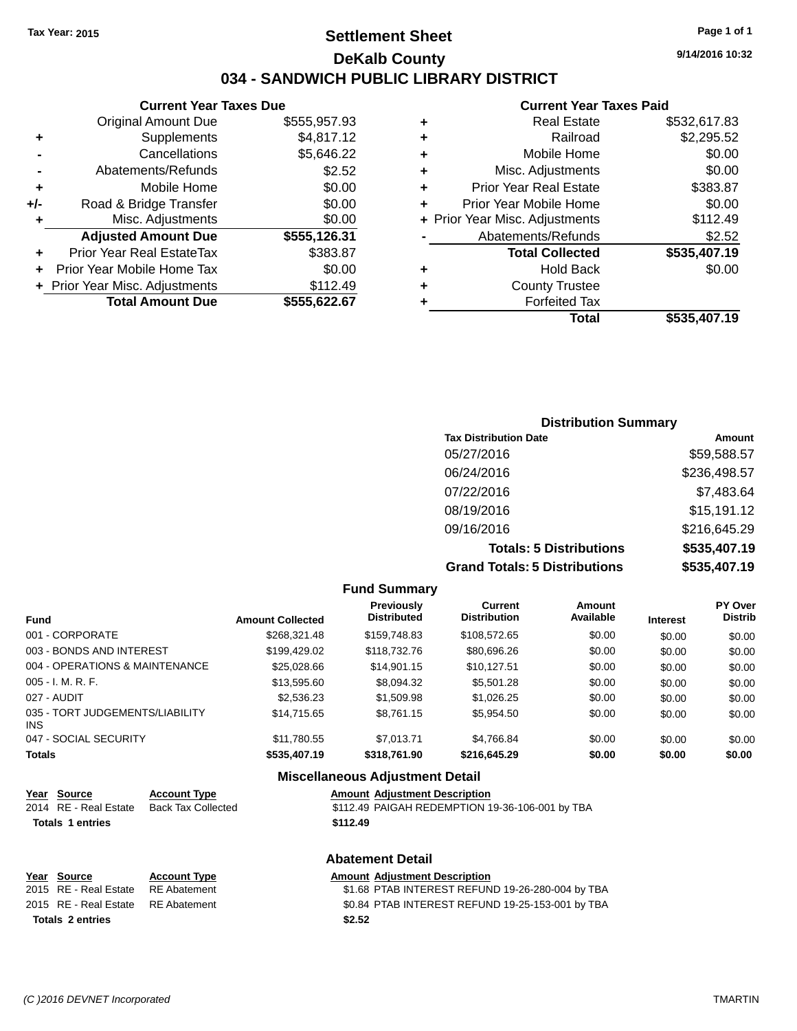## **Settlement Sheet Tax Year: 2015 Page 1 of 1 DeKalb County 034 - SANDWICH PUBLIC LIBRARY DISTRICT**

**9/14/2016 10:32**

## **Current Year Taxes Paid**

|     | <b>Current Year Taxes Due</b>  |              |   |  |  |
|-----|--------------------------------|--------------|---|--|--|
|     | <b>Original Amount Due</b>     | \$555,957.93 |   |  |  |
| ٠   | Supplements                    | \$4,817.12   | ٠ |  |  |
|     | Cancellations                  | \$5,646.22   |   |  |  |
|     | Abatements/Refunds             | \$2.52       | ٠ |  |  |
|     | Mobile Home                    | \$0.00       | ٠ |  |  |
| +/- | Road & Bridge Transfer         | \$0.00       |   |  |  |
|     | Misc. Adjustments              | \$0.00       |   |  |  |
|     | <b>Adjusted Amount Due</b>     | \$555,126.31 |   |  |  |
| ٠   | Prior Year Real EstateTax      | \$383.87     |   |  |  |
|     | Prior Year Mobile Home Tax     | \$0.00       | ٠ |  |  |
|     | + Prior Year Misc. Adjustments | \$112.49     |   |  |  |
|     | <b>Total Amount Due</b>        | \$555,622.67 |   |  |  |
|     |                                |              |   |  |  |

|   | <b>Real Estate</b>             | \$532,617.83 |
|---|--------------------------------|--------------|
| ٠ | Railroad                       | \$2,295.52   |
| ٠ | Mobile Home                    | \$0.00       |
| ٠ | Misc. Adjustments              | \$0.00       |
| ٠ | <b>Prior Year Real Estate</b>  | \$383.87     |
| ÷ | Prior Year Mobile Home         | \$0.00       |
|   | + Prior Year Misc. Adjustments | \$112.49     |
|   | Abatements/Refunds             | \$2.52       |
|   | <b>Total Collected</b>         | \$535,407.19 |
| ٠ | <b>Hold Back</b>               | \$0.00       |
| ٠ | <b>County Trustee</b>          |              |
| ٠ | <b>Forfeited Tax</b>           |              |
|   | Total                          | \$535,407.19 |
|   |                                |              |

### **Distribution Summary Tax Distribution Date Amount** 05/27/2016 \$59,588.57 06/24/2016 \$236,498.57 07/22/2016 \$7,483.64 08/19/2016 \$15,191.12 09/16/2016 \$216,645.29 **Totals: 5 Distributions \$535,407.19 Grand Totals: 5 Distributions \$535,407.19**

|                                         |                         | <b>Fund Summary</b>                     |                                       |                            |                 |                           |
|-----------------------------------------|-------------------------|-----------------------------------------|---------------------------------------|----------------------------|-----------------|---------------------------|
| <b>Fund</b>                             | <b>Amount Collected</b> | <b>Previously</b><br><b>Distributed</b> | <b>Current</b><br><b>Distribution</b> | <b>Amount</b><br>Available | <b>Interest</b> | PY Over<br><b>Distrib</b> |
| 001 - CORPORATE                         | \$268,321,48            | \$159,748.83                            | \$108,572,65                          | \$0.00                     | \$0.00          | \$0.00                    |
| 003 - BONDS AND INTEREST                | \$199.429.02            | \$118,732,76                            | \$80,696.26                           | \$0.00                     | \$0.00          | \$0.00                    |
| 004 - OPERATIONS & MAINTENANCE          | \$25,028,66             | \$14.901.15                             | \$10.127.51                           | \$0.00                     | \$0.00          | \$0.00                    |
| $005 - I. M. R. F.$                     | \$13,595.60             | \$8,094.32                              | \$5,501.28                            | \$0.00                     | \$0.00          | \$0.00                    |
| 027 - AUDIT                             | \$2,536.23              | \$1,509.98                              | \$1.026.25                            | \$0.00                     | \$0.00          | \$0.00                    |
| 035 - TORT JUDGEMENTS/LIABILITY<br>INS. | \$14.715.65             | \$8.761.15                              | \$5,954.50                            | \$0.00                     | \$0.00          | \$0.00                    |
| 047 - SOCIAL SECURITY                   | \$11.780.55             | \$7.013.71                              | \$4.766.84                            | \$0.00                     | \$0.00          | \$0.00                    |
| <b>Totals</b>                           | \$535,407.19            | \$318,761.90                            | \$216,645.29                          | \$0.00                     | \$0.00          | \$0.00                    |
|                                         |                         | Micrallangous Adiustment Detail         |                                       |                            |                 |                           |

#### **Miscellaneous Adjustment Detail Year Source Account Type Amount Adjustment Description**

|                         | <u>Year Source</u>    | <b>Account Type</b> | <b>Amount Adjustment Description</b>            |
|-------------------------|-----------------------|---------------------|-------------------------------------------------|
|                         | 2014 RE - Real Estate | Back Tax Collected  | \$112.49 PAIGAH REDEMPTION 19-36-106-001 by TBA |
| <b>Totals 1 entries</b> |                       |                     | \$112.49                                        |
|                         |                       |                     |                                                 |

#### **Abatement Detail**

|                         | Year Source           | <b>Account Type</b> |  | <b>Amount Adjustment Description</b>             |
|-------------------------|-----------------------|---------------------|--|--------------------------------------------------|
|                         | 2015 RE - Real Estate | RE Abatement        |  | \$1.68 PTAB INTEREST REFUND 19-26-280-004 by TBA |
|                         | 2015 RE - Real Estate | RE Abatement        |  | \$0.84 PTAB INTEREST REFUND 19-25-153-001 by TBA |
| <b>Totals 2 entries</b> |                       | \$2.52              |  |                                                  |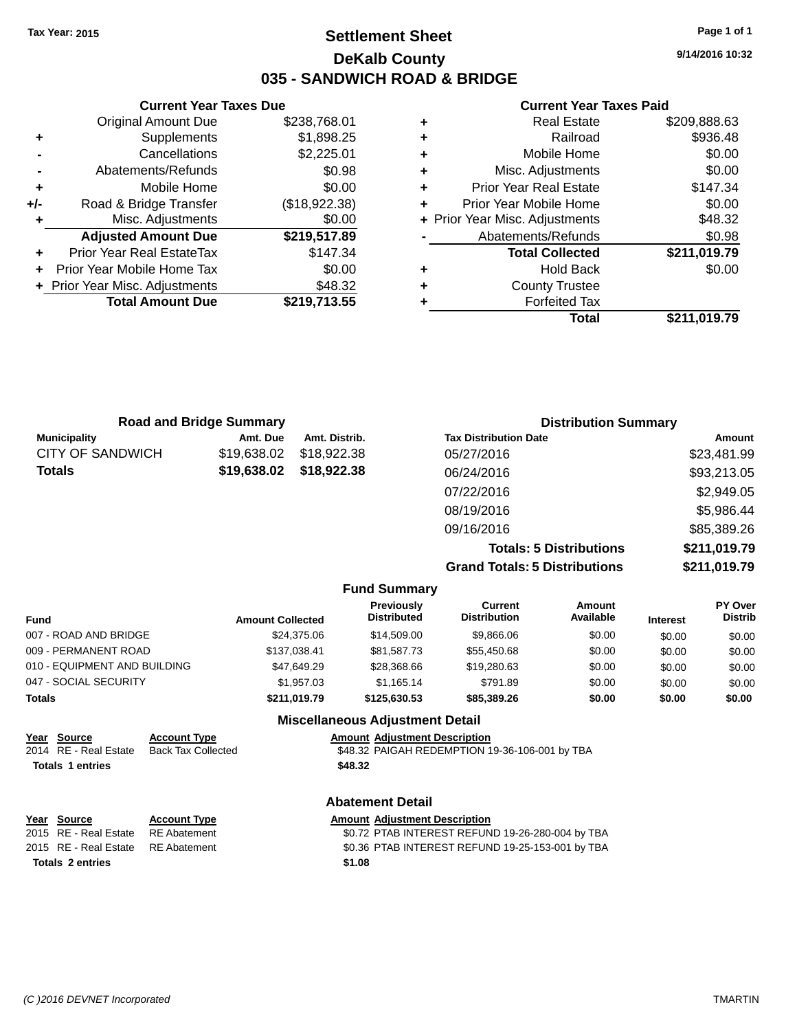## **Settlement Sheet Tax Year: 2015 Page 1 of 1 DeKalb County 035 - SANDWICH ROAD & BRIDGE**

**Current Year Taxes Due** Original Amount Due \$238,768.01 **+** Supplements \$1,898.25 **-** Cancellations \$2,225.01 **-** Abatements/Refunds \$0.98 **+** Mobile Home \$0.00 **+/-** Road & Bridge Transfer (\$18,922.38) **+** Misc. Adjustments \$0.00 **Adjusted Amount Due \$219,517.89 +** Prior Year Real EstateTax \$147.34 **+** Prior Year Mobile Home Tax \$0.00 **+** Prior Year Misc. Adjustments \$48.32 **Total Amount Due \$219,713.55**

#### **Current Year Taxes Paid**

|   | <b>Real Estate</b>             | \$209,888.63 |
|---|--------------------------------|--------------|
| ٠ | Railroad                       | \$936.48     |
| ٠ | Mobile Home                    | \$0.00       |
| ٠ | Misc. Adjustments              | \$0.00       |
|   | <b>Prior Year Real Estate</b>  | \$147.34     |
|   | Prior Year Mobile Home         | \$0.00       |
|   | + Prior Year Misc. Adjustments | \$48.32      |
|   | Abatements/Refunds             | \$0.98       |
|   | <b>Total Collected</b>         | \$211,019.79 |
|   | <b>Hold Back</b>               | \$0.00       |
|   | <b>County Trustee</b>          |              |
|   | <b>Forfeited Tax</b>           |              |
|   | Total                          | \$211,019.79 |
|   |                                |              |

|                         | <b>Road and Bridge Summary</b> |               | <b>Distribution Summary</b>    |              |  |
|-------------------------|--------------------------------|---------------|--------------------------------|--------------|--|
| <b>Municipality</b>     | Amt. Due                       | Amt. Distrib. | <b>Tax Distribution Date</b>   | Amount       |  |
| <b>CITY OF SANDWICH</b> | \$19,638,02                    | \$18,922,38   | 05/27/2016                     | \$23,481.99  |  |
| <b>Totals</b>           | \$19,638.02                    | \$18,922.38   | 06/24/2016                     | \$93,213.05  |  |
|                         |                                |               | 07/22/2016                     | \$2,949.05   |  |
|                         |                                |               | 08/19/2016                     | \$5,986.44   |  |
|                         |                                |               | 09/16/2016                     | \$85,389.26  |  |
|                         |                                |               | <b>Totals: 5 Distributions</b> | \$211,019.79 |  |

**Grand Totals: 5 Distributions \$211,019.79**

|                              |                         | <b>Fund Summary</b>                    |                                |                     |                 |                                  |
|------------------------------|-------------------------|----------------------------------------|--------------------------------|---------------------|-----------------|----------------------------------|
| <b>Fund</b>                  | <b>Amount Collected</b> | <b>Previously</b><br>Distributed       | Current<br><b>Distribution</b> | Amount<br>Available | <b>Interest</b> | <b>PY Over</b><br><b>Distrib</b> |
| 007 - ROAD AND BRIDGE        | \$24.375.06             | \$14,509.00                            | \$9,866.06                     | \$0.00              | \$0.00          | \$0.00                           |
| 009 - PERMANENT ROAD         | \$137,038.41            | \$81,587.73                            | \$55,450.68                    | \$0.00              | \$0.00          | \$0.00                           |
| 010 - EQUIPMENT AND BUILDING | \$47,649.29             | \$28,368,66                            | \$19,280.63                    | \$0.00              | \$0.00          | \$0.00                           |
| 047 - SOCIAL SECURITY        | \$1.957.03              | \$1.165.14                             | \$791.89                       | \$0.00              | \$0.00          | \$0.00                           |
| <b>Totals</b>                | \$211,019.79            | \$125,630.53                           | \$85,389.26                    | \$0.00              | \$0.00          | \$0.00                           |
|                              |                         | <b>Miscellaneous Adjustment Detail</b> |                                |                     |                 |                                  |

| Year Source             | <b>Account Type</b> | <b>Amount Adjustment Description</b>           |
|-------------------------|---------------------|------------------------------------------------|
| 2014 RE - Real Estate   | Back Tax Collected  | \$48.32 PAIGAH REDEMPTION 19-36-106-001 by TBA |
| <b>Totals 1 entries</b> |                     | \$48.32                                        |
|                         |                     | <b>Abatement Detail</b>                        |

| Year Source<br>2015 RE - Real Estate | <b>Account Type</b><br>RE Abatement | <b>Amount Adjustment Description</b><br>\$0.72 PTAB INTEREST REFUND 19-26-280-004 by TBA |
|--------------------------------------|-------------------------------------|------------------------------------------------------------------------------------------|
| 2015 RE - Real Estate RE Abatement   |                                     | \$0.36 PTAB INTEREST REFUND 19-25-153-001 by TBA                                         |
| <b>Totals 2 entries</b>              |                                     | \$1.08                                                                                   |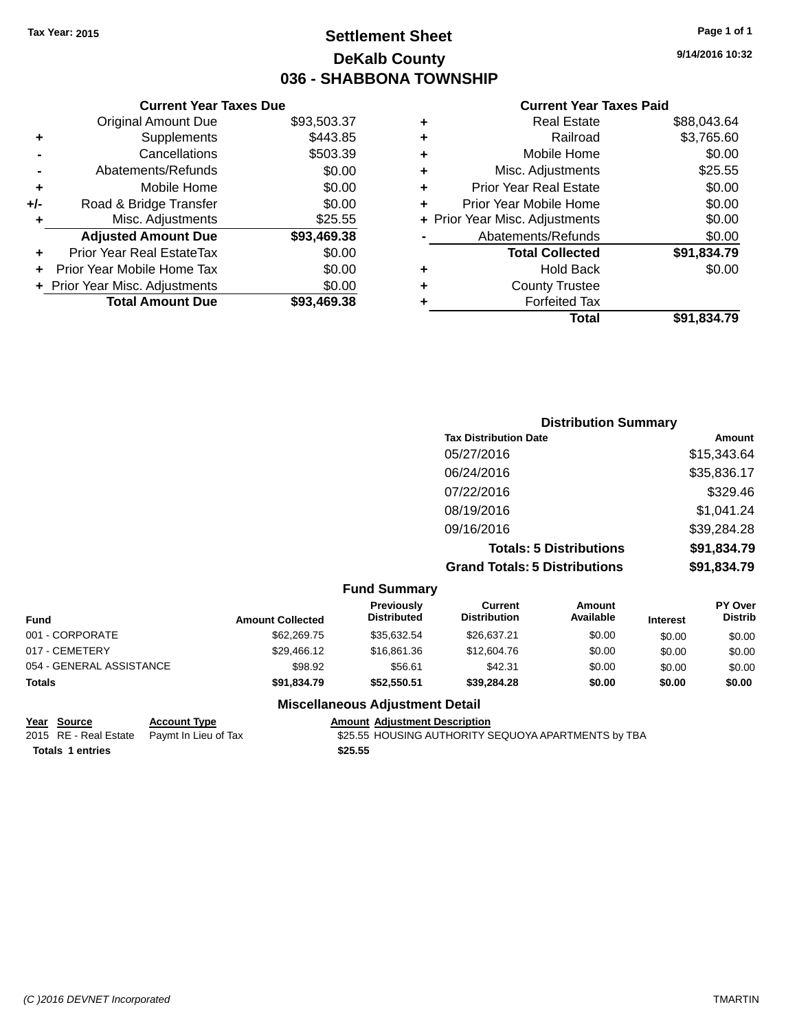## **Settlement Sheet Tax Year: 2015 Page 1 of 1 DeKalb County 036 - SHABBONA TOWNSHIP**

**9/14/2016 10:32**

#### **Current Year Taxes Paid**

|     | <b>Current Year Taxes Due</b>  |             |   |                |
|-----|--------------------------------|-------------|---|----------------|
|     | <b>Original Amount Due</b>     | \$93,503.37 | ٠ |                |
| ٠   | Supplements                    | \$443.85    | ٠ |                |
|     | Cancellations                  | \$503.39    | ٠ |                |
|     | Abatements/Refunds             | \$0.00      | ٠ |                |
|     | Mobile Home                    | \$0.00      |   | Prior          |
| +/- | Road & Bridge Transfer         | \$0.00      |   | Prior Y        |
| ٠   | Misc. Adjustments              | \$25.55     |   | + Prior Year I |
|     | <b>Adjusted Amount Due</b>     | \$93,469.38 |   | Aba            |
|     | Prior Year Real EstateTax      | \$0.00      |   |                |
| ÷   | Prior Year Mobile Home Tax     | \$0.00      | ٠ |                |
|     | + Prior Year Misc. Adjustments | \$0.00      | ٠ |                |
|     | <b>Total Amount Due</b>        | \$93,469.38 |   |                |
|     |                                |             |   |                |

|   | <b>Real Estate</b>             | \$88,043.64 |
|---|--------------------------------|-------------|
| ٠ | Railroad                       | \$3,765.60  |
| ٠ | Mobile Home                    | \$0.00      |
| ٠ | Misc. Adjustments              | \$25.55     |
| ٠ | <b>Prior Year Real Estate</b>  | \$0.00      |
| ٠ | Prior Year Mobile Home         | \$0.00      |
|   | + Prior Year Misc. Adjustments | \$0.00      |
|   | Abatements/Refunds             | \$0.00      |
|   | <b>Total Collected</b>         | \$91,834.79 |
|   | <b>Hold Back</b>               | \$0.00      |
|   | <b>County Trustee</b>          |             |
|   | <b>Forfeited Tax</b>           |             |
|   | Total                          | \$91,834.79 |
|   |                                |             |

| <b>Distribution Summary</b>          |             |
|--------------------------------------|-------------|
| <b>Tax Distribution Date</b>         | Amount      |
| 05/27/2016                           | \$15,343.64 |
| 06/24/2016                           | \$35,836.17 |
| 07/22/2016                           | \$329.46    |
| 08/19/2016                           | \$1,041.24  |
| 09/16/2016                           | \$39,284.28 |
| <b>Totals: 5 Distributions</b>       | \$91,834.79 |
| <b>Grand Totals: 5 Distributions</b> | \$91,834.79 |

|                          |                         | <b>Fund Summary</b>                     |                                |                     |                 |                           |
|--------------------------|-------------------------|-----------------------------------------|--------------------------------|---------------------|-----------------|---------------------------|
| <b>Fund</b>              | <b>Amount Collected</b> | <b>Previously</b><br><b>Distributed</b> | Current<br><b>Distribution</b> | Amount<br>Available | <b>Interest</b> | PY Over<br><b>Distrib</b> |
| 001 - CORPORATE          | \$62,269.75             | \$35.632.54                             | \$26.637.21                    | \$0.00              | \$0.00          | \$0.00                    |
| 017 - CEMETERY           | \$29,466.12             | \$16,861.36                             | \$12,604.76                    | \$0.00              | \$0.00          | \$0.00                    |
| 054 - GENERAL ASSISTANCE | \$98.92                 | \$56.61                                 | \$42.31                        | \$0.00              | \$0.00          | \$0.00                    |
| <b>Totals</b>            | \$91.834.79             | \$52,550.51                             | \$39,284,28                    | \$0.00              | \$0.00          | \$0.00                    |

### **Miscellaneous Adjustment Detail**

| Year Source             | <b>Account Type</b>                        |         | <b>Amount Adiustment Description</b> |
|-------------------------|--------------------------------------------|---------|--------------------------------------|
|                         | 2015 RE - Real Estate Paymt In Lieu of Tax |         | \$25.55 HOUSING AUTHORITY S          |
| <b>Totals 1 entries</b> |                                            | \$25.55 |                                      |

2015 RE - Real Estate Paymt In Lieu of Tax **1.255 SEQUORER AUTHORITY SEQUOYA APARTMENTS** by TBA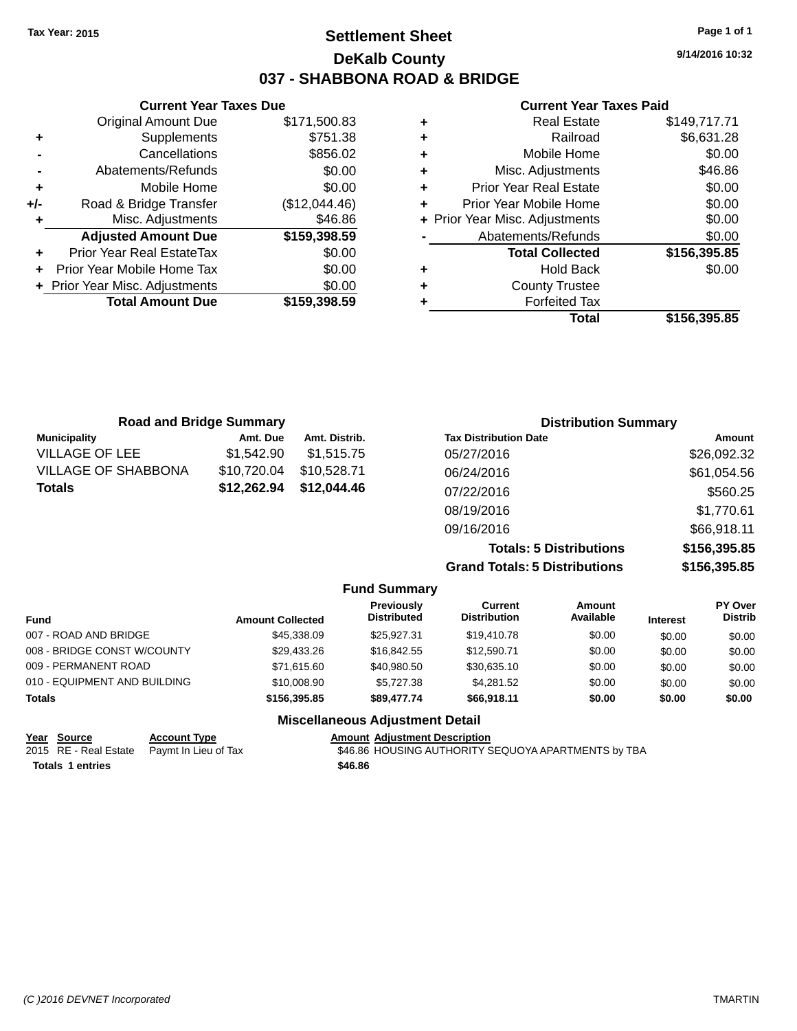## **Settlement Sheet Tax Year: 2015 Page 1 of 1 DeKalb County 037 - SHABBONA ROAD & BRIDGE**

**9/14/2016 10:32**

#### **Current Year Taxes Paid**

| Railroad<br>٠<br>Mobile Home<br>÷<br>Misc. Adjustments<br>÷<br><b>Prior Year Real Estate</b><br>٠<br>Prior Year Mobile Home<br>٠<br>+ Prior Year Misc. Adjustments<br>Abatements/Refunds<br><b>Total Collected</b><br><b>Hold Back</b><br>٠ | ٠ | <b>Real Estate</b>    | \$149,717.71 |
|---------------------------------------------------------------------------------------------------------------------------------------------------------------------------------------------------------------------------------------------|---|-----------------------|--------------|
|                                                                                                                                                                                                                                             |   |                       | \$6,631.28   |
|                                                                                                                                                                                                                                             |   |                       | \$0.00       |
|                                                                                                                                                                                                                                             |   |                       | \$46.86      |
|                                                                                                                                                                                                                                             |   |                       | \$0.00       |
|                                                                                                                                                                                                                                             |   |                       | \$0.00       |
|                                                                                                                                                                                                                                             |   |                       | \$0.00       |
|                                                                                                                                                                                                                                             |   |                       | \$0.00       |
|                                                                                                                                                                                                                                             |   |                       | \$156,395.85 |
|                                                                                                                                                                                                                                             |   |                       | \$0.00       |
|                                                                                                                                                                                                                                             | ٠ | <b>County Trustee</b> |              |
| <b>Forfeited Tax</b>                                                                                                                                                                                                                        |   |                       |              |
| Total                                                                                                                                                                                                                                       |   |                       | \$156.395.85 |

| <b>Road and Bridge Summary</b> |             |               | <b>Distribution Summary</b>    |              |  |
|--------------------------------|-------------|---------------|--------------------------------|--------------|--|
| <b>Municipality</b>            | Amt. Due    | Amt. Distrib. | <b>Tax Distribution Date</b>   | Amount       |  |
| <b>VILLAGE OF LEE</b>          | \$1.542.90  | \$1.515.75    | 05/27/2016                     | \$26,092.32  |  |
| <b>VILLAGE OF SHABBONA</b>     | \$10,720.04 | \$10.528.71   | 06/24/2016                     | \$61,054.56  |  |
| <b>Totals</b>                  | \$12,262.94 | \$12,044.46   | 07/22/2016                     | \$560.25     |  |
|                                |             |               | 08/19/2016                     | \$1,770.61   |  |
|                                |             |               | 09/16/2016                     | \$66,918.11  |  |
|                                |             |               | <b>Totals: 5 Distributions</b> | \$156,395.85 |  |

**Grand Totals: 5 Distributions \$156,395.85**

|                              |                         | <b>Fund Summary</b>                     |                                       |                     |                 |                           |
|------------------------------|-------------------------|-----------------------------------------|---------------------------------------|---------------------|-----------------|---------------------------|
| Fund                         | <b>Amount Collected</b> | <b>Previously</b><br><b>Distributed</b> | <b>Current</b><br><b>Distribution</b> | Amount<br>Available | <b>Interest</b> | PY Over<br><b>Distrib</b> |
| 007 - ROAD AND BRIDGE        | \$45,338,09             | \$25,927.31                             | \$19,410.78                           | \$0.00              | \$0.00          | \$0.00                    |
| 008 - BRIDGE CONST W/COUNTY  | \$29,433.26             | \$16,842.55                             | \$12,590.71                           | \$0.00              | \$0.00          | \$0.00                    |
| 009 - PERMANENT ROAD         | \$71.615.60             | \$40.980.50                             | \$30,635.10                           | \$0.00              | \$0.00          | \$0.00                    |
| 010 - EQUIPMENT AND BUILDING | \$10,008.90             | \$5.727.38                              | \$4,281.52                            | \$0.00              | \$0.00          | \$0.00                    |
| <b>Totals</b>                | \$156,395.85            | \$89,477,74                             | \$66,918.11                           | \$0.00              | \$0.00          | \$0.00                    |
|                              |                         | <b>Miscellaneous Adjustment Detail</b>  |                                       |                     |                 |                           |

**Fund Summary**

| Year Source      | <b>Account Type</b>                        | <b>Amount Adjustment Description</b>                |  |
|------------------|--------------------------------------------|-----------------------------------------------------|--|
|                  | 2015 RE - Real Estate Paymt In Lieu of Tax | \$46.86 HOUSING AUTHORITY SEQUOYA APARTMENTS by TBA |  |
| Totals 1 entries |                                            | \$46.86                                             |  |

#### **+** Mobile Home \$0.00 **+/-** Road & Bridge Transfer (\$12,044.46)

**Current Year Taxes Due** Original Amount Due \$171,500.83

**+** Supplements \$751.38 **-** Cancellations \$856.02 **-** Abatements/Refunds \$0.00

**+** Misc. Adjustments \$46.86

**+** Prior Year Real EstateTax \$0.00 **+** Prior Year Mobile Home Tax \$0.00 **+ Prior Year Misc. Adjustments**  $$0.00$ 

**Adjusted Amount Due \$159,398.59**

**Total Amount Due \$159,398.59**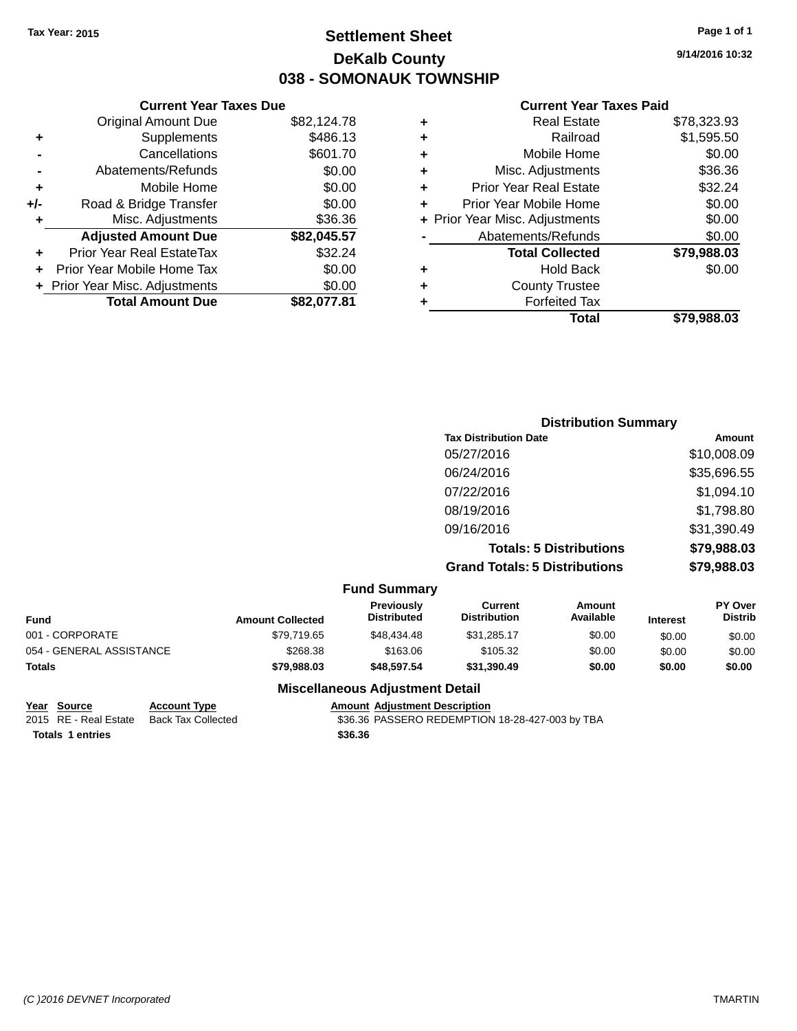## **Settlement Sheet Tax Year: 2015 Page 1 of 1 DeKalb County 038 - SOMONAUK TOWNSHIP**

**9/14/2016 10:32**

#### **Current Year Taxes Paid**

|     | <b>Original Amount Due</b>     | \$82,124.78 |
|-----|--------------------------------|-------------|
| ٠   | Supplements                    | \$486.13    |
|     | Cancellations                  | \$601.70    |
|     | Abatements/Refunds             | \$0.00      |
| ٠   | Mobile Home                    | \$0.00      |
| +/- | Road & Bridge Transfer         | \$0.00      |
|     | Misc. Adjustments              | \$36.36     |
|     | <b>Adjusted Amount Due</b>     | \$82,045.57 |
| ٠   | Prior Year Real EstateTax      | \$32.24     |
|     | Prior Year Mobile Home Tax     | \$0.00      |
|     | + Prior Year Misc. Adjustments | \$0.00      |
|     | <b>Total Amount Due</b>        | \$82.077.81 |
|     |                                |             |

|   | <b>Real Estate</b>             | \$78,323.93 |
|---|--------------------------------|-------------|
| ٠ | Railroad                       | \$1,595.50  |
| ٠ | Mobile Home                    | \$0.00      |
| ٠ | Misc. Adjustments              | \$36.36     |
| ٠ | <b>Prior Year Real Estate</b>  | \$32.24     |
| ÷ | Prior Year Mobile Home         | \$0.00      |
|   | + Prior Year Misc. Adjustments | \$0.00      |
|   | Abatements/Refunds             | \$0.00      |
|   | <b>Total Collected</b>         | \$79,988.03 |
| ٠ | Hold Back                      | \$0.00      |
| ٠ | <b>County Trustee</b>          |             |
| ٠ | <b>Forfeited Tax</b>           |             |
|   | Total                          | \$79,988,03 |
|   |                                |             |

| <b>Distribution Summary</b>          |             |
|--------------------------------------|-------------|
| <b>Tax Distribution Date</b>         | Amount      |
| 05/27/2016                           | \$10,008.09 |
| 06/24/2016                           | \$35,696.55 |
| 07/22/2016                           | \$1,094.10  |
| 08/19/2016                           | \$1,798.80  |
| 09/16/2016                           | \$31,390.49 |
| <b>Totals: 5 Distributions</b>       | \$79,988.03 |
| <b>Grand Totals: 5 Distributions</b> | \$79,988.03 |

|                          |                         | <b>Fund Summary</b>              |                                |                     |                 |                           |
|--------------------------|-------------------------|----------------------------------|--------------------------------|---------------------|-----------------|---------------------------|
| Fund                     | <b>Amount Collected</b> | Previously<br><b>Distributed</b> | Current<br><b>Distribution</b> | Amount<br>Available | <b>Interest</b> | PY Over<br><b>Distrib</b> |
| 001 - CORPORATE          | \$79,719.65             | \$48,434.48                      | \$31.285.17                    | \$0.00              | \$0.00          | \$0.00                    |
| 054 - GENERAL ASSISTANCE | \$268.38                | \$163.06                         | \$105.32                       | \$0.00              | \$0.00          | \$0.00                    |
| <b>Totals</b>            | \$79,988,03             | \$48,597.54                      | \$31,390.49                    | \$0.00              | \$0.00          | \$0.00                    |
|                          |                         |                                  |                                |                     |                 |                           |

#### **Miscellaneous Adjustment Detail**

# **Year Source Account Type Amount Adjustment Description**

\$36.36 PASSERO REDEMPTION 18-28-427-003 by TBA **Totals \$36.36 1 entries**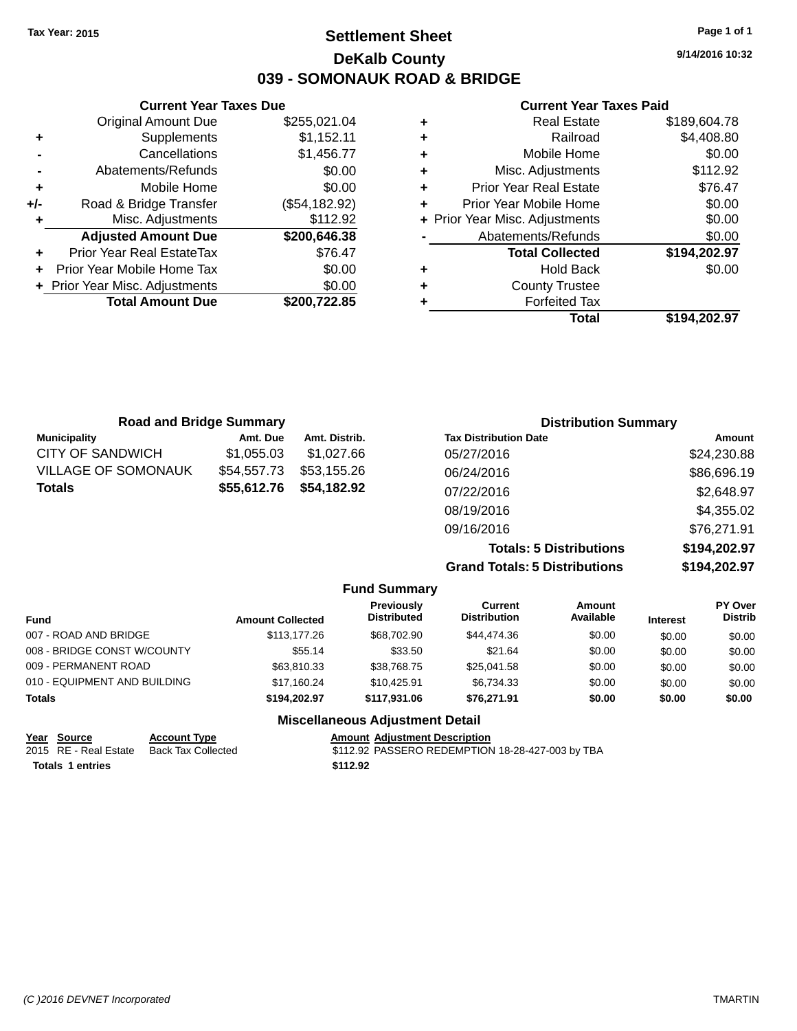## **Settlement Sheet Tax Year: 2015 Page 1 of 1 DeKalb County 039 - SOMONAUK ROAD & BRIDGE**

**9/14/2016 10:32**

#### **Current Year Taxes Paid**

|     | <b>Current Year Taxes Due</b>  |               |
|-----|--------------------------------|---------------|
|     | <b>Original Amount Due</b>     | \$255,021.04  |
| ٠   | Supplements                    | \$1,152.11    |
|     | Cancellations                  | \$1,456.77    |
|     | Abatements/Refunds             | \$0.00        |
| ٠   | Mobile Home                    | \$0.00        |
| +/- | Road & Bridge Transfer         | (\$54,182.92) |
|     | Misc. Adjustments              | \$112.92      |
|     | <b>Adjusted Amount Due</b>     | \$200,646.38  |
|     | Prior Year Real EstateTax      | \$76.47       |
|     | Prior Year Mobile Home Tax     | \$0.00        |
|     | + Prior Year Misc. Adjustments | \$0.00        |
|     | <b>Total Amount Due</b>        | \$200.722.85  |
|     |                                |               |

| <b>Real Estate</b>             | \$189,604.78 |
|--------------------------------|--------------|
| Railroad                       | \$4,408.80   |
| Mobile Home                    | \$0.00       |
| Misc. Adjustments              | \$112.92     |
| <b>Prior Year Real Estate</b>  | \$76.47      |
| Prior Year Mobile Home         | \$0.00       |
| + Prior Year Misc. Adjustments | \$0.00       |
| Abatements/Refunds             | \$0.00       |
| <b>Total Collected</b>         | \$194,202.97 |
| <b>Hold Back</b>               | \$0.00       |
| <b>County Trustee</b>          |              |
| <b>Forfeited Tax</b>           |              |
| Total                          | \$194,202.97 |
|                                |              |

| <b>Road and Bridge Summary</b> |             |               | <b>Distribution Summary</b>  |             |
|--------------------------------|-------------|---------------|------------------------------|-------------|
| <b>Municipality</b>            | Amt. Due    | Amt. Distrib. | <b>Tax Distribution Date</b> | Amount      |
| <b>CITY OF SANDWICH</b>        | \$1,055.03  | \$1.027.66    | 05/27/2016                   | \$24,230.88 |
| <b>VILLAGE OF SOMONAUK</b>     | \$54,557.73 | \$53,155.26   | 06/24/2016                   | \$86,696.19 |
| <b>Totals</b>                  | \$55,612.76 | \$54,182.92   | 07/22/2016                   | \$2,648.97  |
|                                |             |               | 08/19/2016                   | \$4,355.02  |
|                                |             |               | 09/16/2016                   | \$76,271.91 |

**Totals: 5 Distributions \$194,202.97 Grand Totals: 5 Distributions \$194,202.97**

|                                   |                       |                         | <b>Fund Summary</b>                     |                                |                     |                 |                           |
|-----------------------------------|-----------------------|-------------------------|-----------------------------------------|--------------------------------|---------------------|-----------------|---------------------------|
| <b>Fund</b>                       |                       | <b>Amount Collected</b> | <b>Previously</b><br><b>Distributed</b> | Current<br><b>Distribution</b> | Amount<br>Available | <b>Interest</b> | PY Over<br><b>Distrib</b> |
| 007 - ROAD AND BRIDGE             |                       | \$113,177,26            | \$68,702.90                             | \$44,474.36                    | \$0.00              | \$0.00          | \$0.00                    |
| 008 - BRIDGE CONST W/COUNTY       |                       | \$55.14                 | \$33.50                                 | \$21.64                        | \$0.00              | \$0.00          | \$0.00                    |
| 009 - PERMANENT ROAD              |                       | \$63,810.33             | \$38.768.75                             | \$25.041.58                    | \$0.00              | \$0.00          | \$0.00                    |
| 010 - EQUIPMENT AND BUILDING      |                       | \$17.160.24             | \$10.425.91                             | \$6,734.33                     | \$0.00              | \$0.00          | \$0.00                    |
| Totals                            |                       | \$194.202.97            | \$117.931.06                            | \$76.271.91                    | \$0.00              | \$0.00          | \$0.00                    |
|                                   |                       |                         | <b>Miscellaneous Adjustment Detail</b>  |                                |                     |                 |                           |
| $V_{\text{max}}$ $C_{\text{max}}$ | $A$ aaa $\cdots$ Tusa |                         | Amaint, Adjustment Description          |                                |                     |                 |                           |

| rear Source      | <b>ACCOUNT IVDE</b>                      | Amount Adiustment Description                    |
|------------------|------------------------------------------|--------------------------------------------------|
|                  | 2015 RE - Real Estate Back Tax Collected | \$112.92 PASSERO REDEMPTION 18-28-427-003 by TBA |
| Totals 1 entries |                                          | \$112.92                                         |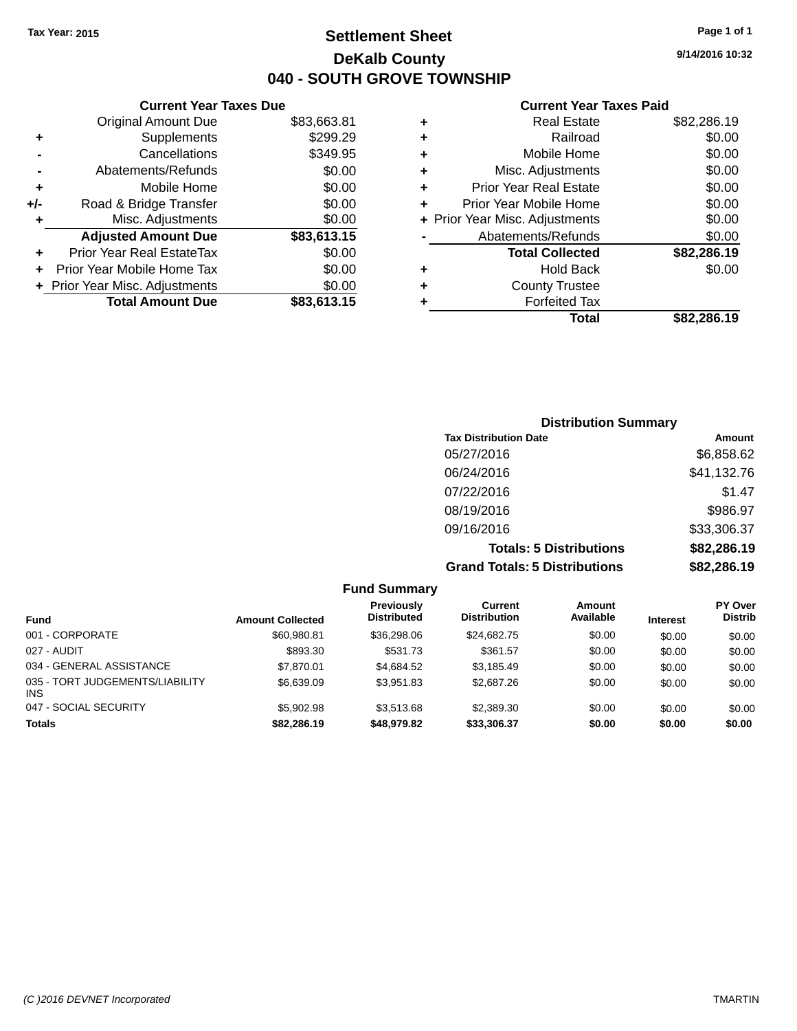## **Settlement Sheet Tax Year: 2015 Page 1 of 1 DeKalb County 040 - SOUTH GROVE TOWNSHIP**

**9/14/2016 10:32**

\$82,286.19

#### **Current Year Taxes Paid**

| \$83,663.81 | ÷ | <b>Real Estate</b>             | \$82,286.19 |
|-------------|---|--------------------------------|-------------|
| \$299.29    | ٠ | Railroad                       | \$0.00      |
| \$349.95    | ÷ | Mobile Home                    | \$0.00      |
| \$0.00      | ÷ | Misc. Adjustments              | \$0.00      |
| \$0.00      | ٠ | <b>Prior Year Real Estate</b>  | \$0.00      |
| \$0.00      | ٠ | Prior Year Mobile Home         | \$0.00      |
| \$0.00      |   | + Prior Year Misc. Adjustments | \$0.00      |
| \$83,613.15 |   | Abatements/Refunds             | \$0.00      |
| \$0.00      |   | <b>Total Collected</b>         | \$82,286.19 |
| \$0.00      | ٠ | <b>Hold Back</b>               | \$0.00      |
| \$0.00      | ٠ | <b>County Trustee</b>          |             |
| \$83,613.15 |   | <b>Forfeited Tax</b>           |             |
|             |   | Total                          | \$82,286.19 |

|     | <b>Current Year Taxes Due</b>  |             |
|-----|--------------------------------|-------------|
|     | <b>Original Amount Due</b>     | \$83,663.81 |
| ٠   | Supplements                    | \$299.29    |
|     | Cancellations                  | \$349.95    |
|     | Abatements/Refunds             | \$0.00      |
| ٠   | Mobile Home                    | \$0.00      |
| +/- | Road & Bridge Transfer         | \$0.00      |
| ٠   | Misc. Adjustments              | \$0.00      |
|     | <b>Adjusted Amount Due</b>     | \$83,613.15 |
|     | Prior Year Real EstateTax      | \$0.00      |
|     | Prior Year Mobile Home Tax     | \$0.00      |
|     | + Prior Year Misc. Adjustments | \$0.00      |
|     | <b>Total Amount Due</b>        | \$83,613.15 |

| <b>Distribution Summary</b>          |             |
|--------------------------------------|-------------|
| <b>Tax Distribution Date</b>         | Amount      |
| 05/27/2016                           | \$6,858.62  |
| 06/24/2016                           | \$41,132.76 |
| 07/22/2016                           | \$1.47      |
| 08/19/2016                           | \$986.97    |
| 09/16/2016                           | \$33,306.37 |
| <b>Totals: 5 Distributions</b>       | \$82,286.19 |
| <b>Grand Totals: 5 Distributions</b> | \$82,286.19 |

|                                         |                         | <b>Fund Summary</b>                     |                                |                     |                 |                                  |
|-----------------------------------------|-------------------------|-----------------------------------------|--------------------------------|---------------------|-----------------|----------------------------------|
| <b>Fund</b>                             | <b>Amount Collected</b> | <b>Previously</b><br><b>Distributed</b> | Current<br><b>Distribution</b> | Amount<br>Available | <b>Interest</b> | <b>PY Over</b><br><b>Distrib</b> |
| 001 - CORPORATE                         | \$60,980.81             | \$36,298.06                             | \$24.682.75                    | \$0.00              | \$0.00          | \$0.00                           |
| 027 - AUDIT                             | \$893.30                | \$531.73                                | \$361.57                       | \$0.00              | \$0.00          | \$0.00                           |
| 034 - GENERAL ASSISTANCE                | \$7,870.01              | \$4.684.52                              | \$3.185.49                     | \$0.00              | \$0.00          | \$0.00                           |
| 035 - TORT JUDGEMENTS/LIABILITY<br>INS. | \$6,639.09              | \$3.951.83                              | \$2,687.26                     | \$0.00              | \$0.00          | \$0.00                           |
| 047 - SOCIAL SECURITY                   | \$5,902.98              | \$3,513,68                              | \$2,389.30                     | \$0.00              | \$0.00          | \$0.00                           |
| Totals                                  | \$82,286.19             | \$48,979.82                             | \$33,306.37                    | \$0.00              | \$0.00          | \$0.00                           |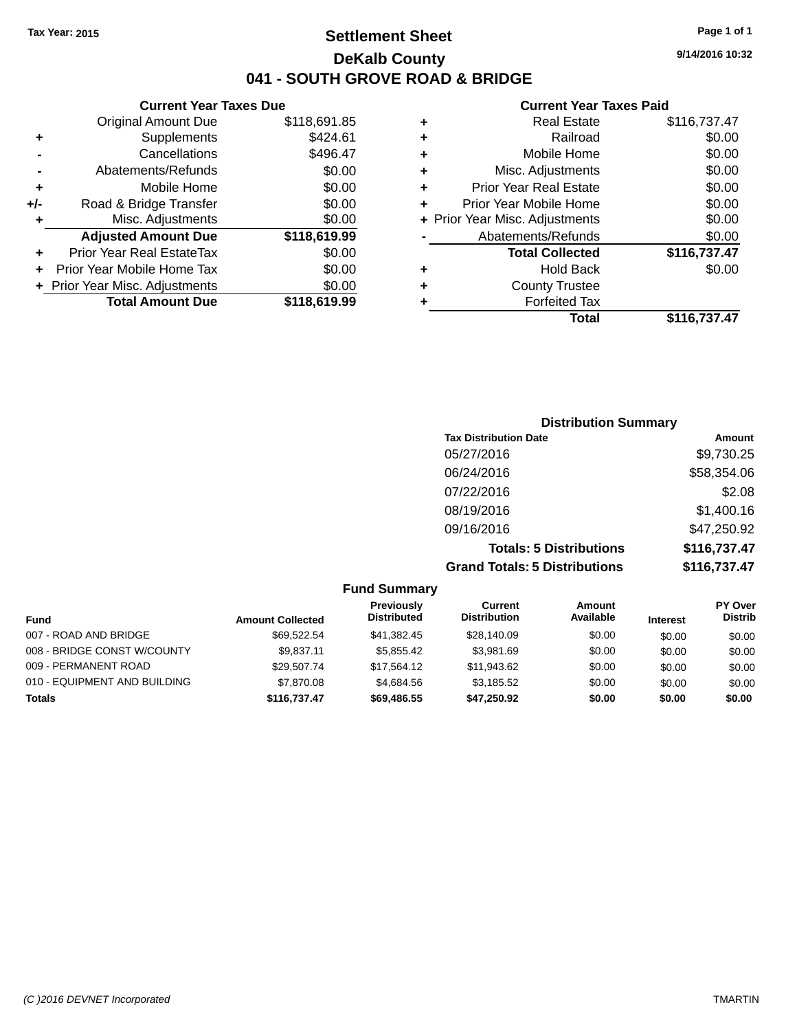## **Settlement Sheet Tax Year: 2015 Page 1 of 1 DeKalb County 041 - SOUTH GROVE ROAD & BRIDGE**

**Current Year Taxes Due**

| <b>Original Amount Due</b>     | \$118,691.85 |
|--------------------------------|--------------|
| Supplements                    | \$424.61     |
| Cancellations                  | \$496.47     |
| Abatements/Refunds             | \$0.00       |
| Mobile Home                    | \$0.00       |
| Road & Bridge Transfer         | \$0.00       |
| Misc. Adjustments              | \$0.00       |
| <b>Adjusted Amount Due</b>     | \$118,619.99 |
| Prior Year Real EstateTax      | \$0.00       |
| Prior Year Mobile Home Tax     | \$0.00       |
| + Prior Year Misc. Adjustments | \$0.00       |
| <b>Total Amount Due</b>        | \$118,619.99 |
|                                |              |

#### **Current Year Taxes Paid**

| ٠ | <b>Real Estate</b>             | \$116,737.47 |
|---|--------------------------------|--------------|
| ٠ | Railroad                       | \$0.00       |
| ٠ | Mobile Home                    | \$0.00       |
| ٠ | Misc. Adjustments              | \$0.00       |
| ٠ | <b>Prior Year Real Estate</b>  | \$0.00       |
| ٠ | Prior Year Mobile Home         | \$0.00       |
|   | + Prior Year Misc. Adjustments | \$0.00       |
|   | Abatements/Refunds             | \$0.00       |
|   | <b>Total Collected</b>         | \$116,737.47 |
| ٠ | <b>Hold Back</b>               | \$0.00       |
| ٠ | <b>County Trustee</b>          |              |
| ٠ | <b>Forfeited Tax</b>           |              |
|   | <b>Total</b>                   | \$116,737.47 |
|   |                                |              |

| <b>Distribution Summary</b>          |              |
|--------------------------------------|--------------|
| <b>Tax Distribution Date</b>         | Amount       |
| 05/27/2016                           | \$9,730.25   |
| 06/24/2016                           | \$58,354.06  |
| 07/22/2016                           | \$2.08       |
| 08/19/2016                           | \$1,400.16   |
| 09/16/2016                           | \$47,250.92  |
| <b>Totals: 5 Distributions</b>       | \$116,737.47 |
| <b>Grand Totals: 5 Distributions</b> | \$116,737.47 |

|                              |                         | <b>Fund Summary</b>                     |                                |                     |                 |                           |
|------------------------------|-------------------------|-----------------------------------------|--------------------------------|---------------------|-----------------|---------------------------|
| <b>Fund</b>                  | <b>Amount Collected</b> | <b>Previously</b><br><b>Distributed</b> | Current<br><b>Distribution</b> | Amount<br>Available | <b>Interest</b> | PY Over<br><b>Distrib</b> |
| 007 - ROAD AND BRIDGE        | \$69.522.54             | \$41,382.45                             | \$28,140.09                    | \$0.00              | \$0.00          | \$0.00                    |
| 008 - BRIDGE CONST W/COUNTY  | \$9,837.11              | \$5,855.42                              | \$3,981.69                     | \$0.00              | \$0.00          | \$0.00                    |
| 009 - PERMANENT ROAD         | \$29,507.74             | \$17.564.12                             | \$11.943.62                    | \$0.00              | \$0.00          | \$0.00                    |
| 010 - EQUIPMENT AND BUILDING | \$7,870,08              | \$4.684.56                              | \$3,185.52                     | \$0.00              | \$0.00          | \$0.00                    |
| <b>Totals</b>                | \$116,737.47            | \$69,486.55                             | \$47,250.92                    | \$0.00              | \$0.00          | \$0.00                    |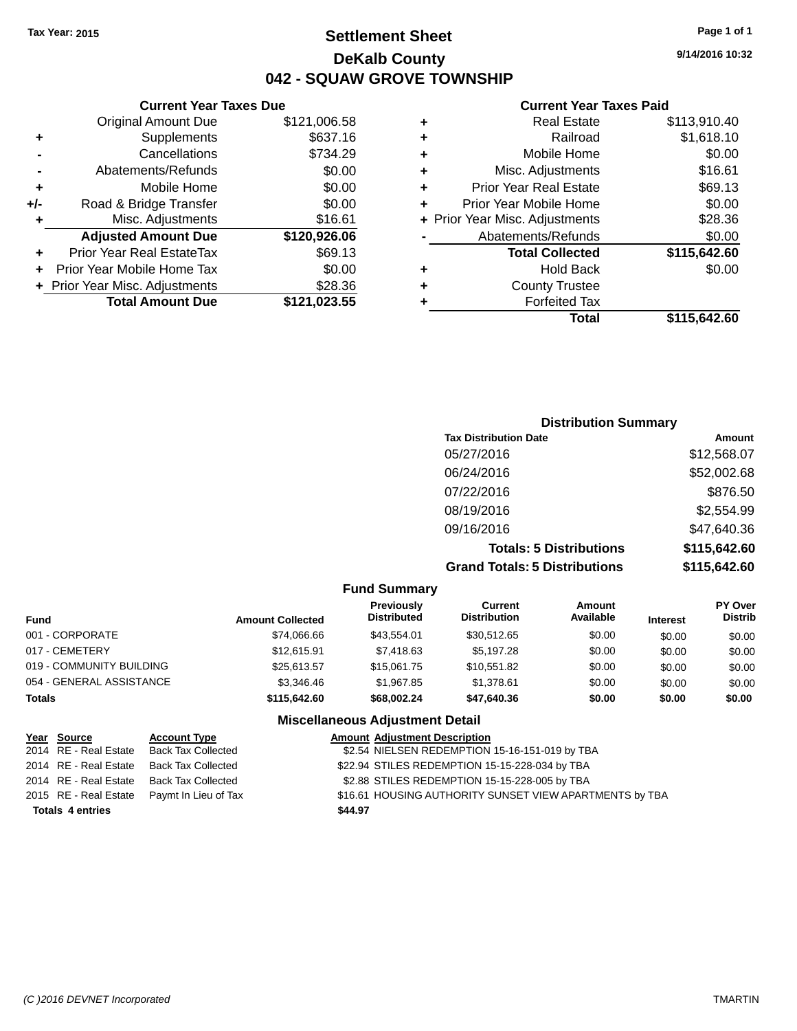## **Settlement Sheet Tax Year: 2015 Page 1 of 1 DeKalb County 042 - SQUAW GROVE TOWNSHIP**

**9/14/2016 10:32**

#### **Current Year Taxes Paid**

| ٠ | <b>Real Estate</b>             | \$113,910.40 |
|---|--------------------------------|--------------|
| ٠ | Railroad                       | \$1,618.10   |
| ÷ | Mobile Home                    | \$0.00       |
| ÷ | Misc. Adjustments              | \$16.61      |
| ٠ | <b>Prior Year Real Estate</b>  | \$69.13      |
| ٠ | Prior Year Mobile Home         | \$0.00       |
|   | + Prior Year Misc. Adjustments | \$28.36      |
|   | Abatements/Refunds             | \$0.00       |
|   | <b>Total Collected</b>         | \$115,642.60 |
| ٠ | <b>Hold Back</b>               | \$0.00       |
| ٠ | <b>County Trustee</b>          |              |
| ٠ | <b>Forfeited Tax</b>           |              |
|   | Total                          | \$115.642.60 |

#### Original Amount Due \$121,006.58 **+** Supplements \$637.16 **-** Cancellations **\$734.29 -** Abatements/Refunds \$0.00 **+** Mobile Home \$0.00 **+/-** Road & Bridge Transfer \$0.00 **+** Misc. Adjustments \$16.61 **Adjusted Amount Due \$120,926.06 +** Prior Year Real EstateTax \$69.13 **+** Prior Year Mobile Home Tax \$0.00 **+** Prior Year Misc. Adjustments \$28.36 **Total Amount Due \$121,023.55**

**Current Year Taxes Due**

### **Distribution Summary Tax Distribution Date Amount** 05/27/2016 \$12,568.07 06/24/2016 \$52,002.68 07/22/2016 \$876.50 08/19/2016 \$2,554.99 09/16/2016 \$47,640.36 **Totals: 5 Distributions \$115,642.60 Grand Totals: 5 Distributions \$115,642.60**

|                          |                         | <b>Fund Summary</b>                     |                                       |                     |                 |                                  |
|--------------------------|-------------------------|-----------------------------------------|---------------------------------------|---------------------|-----------------|----------------------------------|
| Fund                     | <b>Amount Collected</b> | <b>Previously</b><br><b>Distributed</b> | <b>Current</b><br><b>Distribution</b> | Amount<br>Available | <b>Interest</b> | <b>PY Over</b><br><b>Distrib</b> |
| 001 - CORPORATE          | \$74,066.66             | \$43.554.01                             | \$30,512.65                           | \$0.00              | \$0.00          | \$0.00                           |
| 017 - CEMETERY           | \$12,615.91             | \$7,418.63                              | \$5,197.28                            | \$0.00              | \$0.00          | \$0.00                           |
| 019 - COMMUNITY BUILDING | \$25,613.57             | \$15,061.75                             | \$10,551.82                           | \$0.00              | \$0.00          | \$0.00                           |
| 054 - GENERAL ASSISTANCE | \$3,346.46              | \$1,967.85                              | \$1,378.61                            | \$0.00              | \$0.00          | \$0.00                           |
| <b>Totals</b>            | \$115,642,60            | \$68,002.24                             | \$47,640,36                           | \$0.00              | \$0.00          | \$0.00                           |
|                          |                         | <b>Miscellaneous Adjustment Detail</b>  |                                       |                     |                 |                                  |

#### **Year Source Account Type Amount Adjustment Description** 2014 RE - Real Estate Back Tax Collected \$2.54 NIELSEN REDEMPTION 15-16-151-019 by TBA 2014 RE - Real Estate Back Tax Collected \$22.94 STILES REDEMPTION 15-15-228-034 by TBA 2014 RE - Real Estate Back Tax Collected \$2.88 STILES REDEMPTION 15-15-228-005 by TBA 2015 RE - Real Estate Paymt In Lieu of Tax **16.61 HOUSING AUTHORITY SUNSET VIEW APARTMENTS** by TBA **Totals \$44.97 4 entries**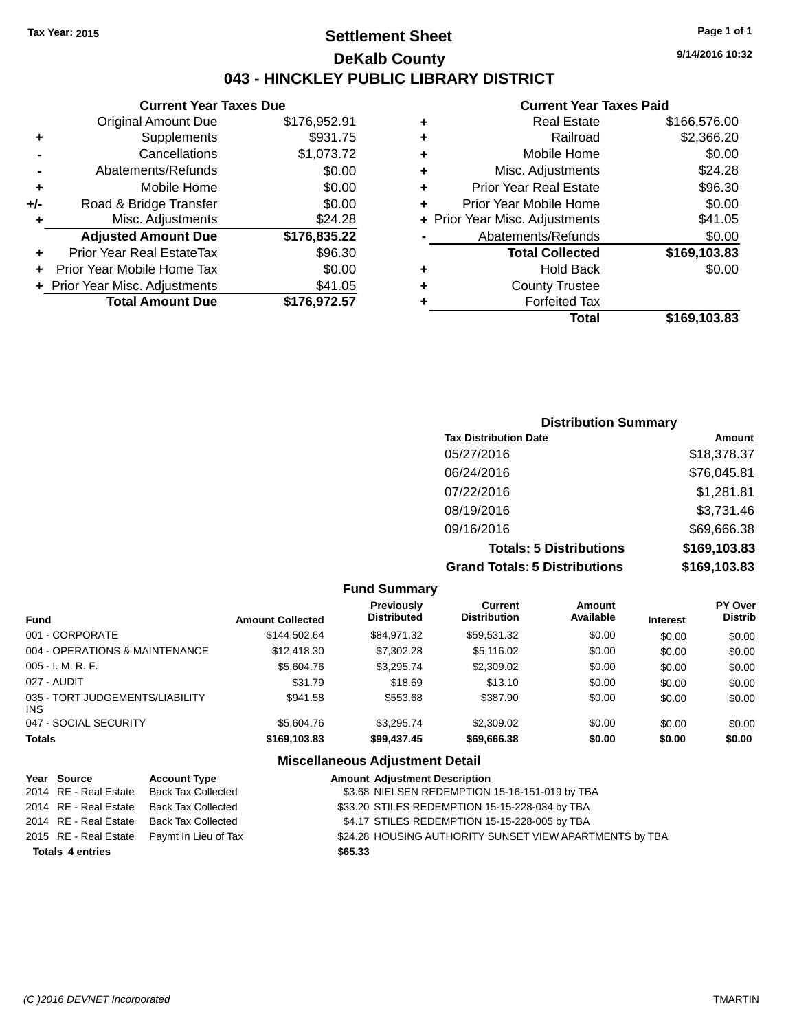## **Settlement Sheet Tax Year: 2015 Page 1 of 1 DeKalb County 043 - HINCKLEY PUBLIC LIBRARY DISTRICT**

**9/14/2016 10:32**

## **Current Year Taxes Paid**

|     | <b>Current Year Taxes Due</b>  |              |
|-----|--------------------------------|--------------|
|     | <b>Original Amount Due</b>     | \$176,952.91 |
| ٠   | Supplements                    | \$931.75     |
|     | Cancellations                  | \$1,073.72   |
|     | Abatements/Refunds             | \$0.00       |
| ٠   | Mobile Home                    | \$0.00       |
| +/- | Road & Bridge Transfer         | \$0.00       |
| ٠   | Misc. Adjustments              | \$24.28      |
|     | <b>Adjusted Amount Due</b>     | \$176,835.22 |
|     | Prior Year Real EstateTax      | \$96.30      |
|     | Prior Year Mobile Home Tax     | \$0.00       |
|     | + Prior Year Misc. Adjustments | \$41.05      |
|     | <b>Total Amount Due</b>        | \$176,972.57 |
|     |                                |              |

| ٠ | <b>Real Estate</b>             | \$166,576.00 |
|---|--------------------------------|--------------|
| ٠ | Railroad                       | \$2,366.20   |
| ٠ | Mobile Home                    | \$0.00       |
| ٠ | Misc. Adjustments              | \$24.28      |
| ٠ | <b>Prior Year Real Estate</b>  | \$96.30      |
|   | Prior Year Mobile Home         | \$0.00       |
|   | + Prior Year Misc. Adjustments | \$41.05      |
|   | Abatements/Refunds             | \$0.00       |
|   | <b>Total Collected</b>         | \$169,103.83 |
| ٠ | Hold Back                      | \$0.00       |
|   | <b>County Trustee</b>          |              |
| ٠ | <b>Forfeited Tax</b>           |              |
|   | Total                          | \$169,103.83 |
|   |                                |              |

| <b>Distribution Summary</b>          |              |
|--------------------------------------|--------------|
| <b>Tax Distribution Date</b>         | Amount       |
| 05/27/2016                           | \$18,378.37  |
| 06/24/2016                           | \$76,045.81  |
| 07/22/2016                           | \$1,281.81   |
| 08/19/2016                           | \$3,731.46   |
| 09/16/2016                           | \$69,666.38  |
| <b>Totals: 5 Distributions</b>       | \$169,103.83 |
| <b>Grand Totals: 5 Distributions</b> | \$169,103.83 |

| <b>Fund Summary</b>                     |                         |                                  |                                |                     |                 |                                  |
|-----------------------------------------|-------------------------|----------------------------------|--------------------------------|---------------------|-----------------|----------------------------------|
| <b>Fund</b>                             | <b>Amount Collected</b> | Previously<br><b>Distributed</b> | Current<br><b>Distribution</b> | Amount<br>Available | <b>Interest</b> | <b>PY Over</b><br><b>Distrib</b> |
| 001 - CORPORATE                         | \$144.502.64            | \$84.971.32                      | \$59.531.32                    | \$0.00              | \$0.00          | \$0.00                           |
| 004 - OPERATIONS & MAINTENANCE          | \$12,418.30             | \$7,302.28                       | \$5,116,02                     | \$0.00              | \$0.00          | \$0.00                           |
| $005 - I. M. R. F.$                     | \$5,604.76              | \$3,295.74                       | \$2,309.02                     | \$0.00              | \$0.00          | \$0.00                           |
| 027 - AUDIT                             | \$31.79                 | \$18.69                          | \$13.10                        | \$0.00              | \$0.00          | \$0.00                           |
| 035 - TORT JUDGEMENTS/LIABILITY<br>INS. | \$941.58                | \$553.68                         | \$387.90                       | \$0.00              | \$0.00          | \$0.00                           |
| 047 - SOCIAL SECURITY                   | \$5,604.76              | \$3.295.74                       | \$2,309.02                     | \$0.00              | \$0.00          | \$0.00                           |
| <b>Totals</b>                           | \$169,103.83            | \$99,437.45                      | \$69,666.38                    | \$0.00              | \$0.00          | \$0.00                           |

#### **Miscellaneous Adjustment Detail**

| Year Source             | <b>Account Type</b>                        |         | <b>Amount Adjustment Description</b>                    |
|-------------------------|--------------------------------------------|---------|---------------------------------------------------------|
| 2014 RE - Real Estate   | Back Tax Collected                         |         | \$3.68 NIELSEN REDEMPTION 15-16-151-019 by TBA          |
| 2014 RE - Real Estate   | <b>Back Tax Collected</b>                  |         | \$33.20 STILES REDEMPTION 15-15-228-034 by TBA          |
| 2014 RE - Real Estate   | <b>Back Tax Collected</b>                  |         | \$4.17 STILES REDEMPTION 15-15-228-005 by TBA           |
|                         | 2015 RE - Real Estate Paymt In Lieu of Tax |         | \$24.28 HOUSING AUTHORITY SUNSET VIEW APARTMENTS by TBA |
| <b>Totals 4 entries</b> |                                            | \$65.33 |                                                         |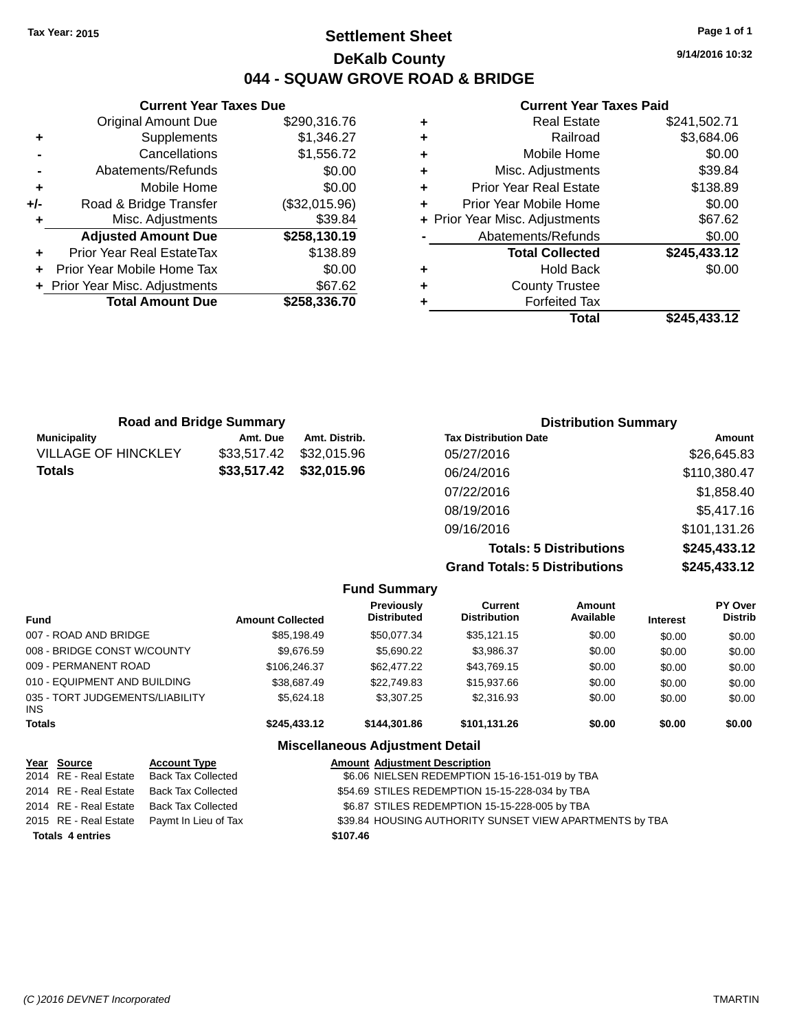## **Settlement Sheet Tax Year: 2015 Page 1 of 1 DeKalb County 044 - SQUAW GROVE ROAD & BRIDGE**

**9/14/2016 10:32**

### **Current Year Taxes Paid**

|       | <b>Current Year Taxes Due</b>           |              |  |  |  |  |  |
|-------|-----------------------------------------|--------------|--|--|--|--|--|
|       | \$290,316.76<br>Original Amount Due     |              |  |  |  |  |  |
| ٠     | \$1,346.27<br>Supplements               |              |  |  |  |  |  |
|       | Cancellations<br>\$1,556.72             |              |  |  |  |  |  |
|       | \$0.00<br>Abatements/Refunds            |              |  |  |  |  |  |
| ٠     | \$0.00<br>Mobile Home                   |              |  |  |  |  |  |
| $+/-$ | (\$32,015.96)<br>Road & Bridge Transfer |              |  |  |  |  |  |
|       | \$39.84<br>Misc. Adjustments            |              |  |  |  |  |  |
|       | <b>Adjusted Amount Due</b>              | \$258,130.19 |  |  |  |  |  |
|       | Prior Year Real EstateTax               | \$138.89     |  |  |  |  |  |
|       | Prior Year Mobile Home Tax              | \$0.00       |  |  |  |  |  |
|       | \$67.62<br>Prior Year Misc. Adjustments |              |  |  |  |  |  |
|       | <b>Total Amount Due</b>                 | \$258,336.70 |  |  |  |  |  |
|       |                                         |              |  |  |  |  |  |

| ٠ | <b>Forfeited Tax</b><br>Total  | \$245,433.12 |
|---|--------------------------------|--------------|
| ٠ | <b>County Trustee</b>          |              |
| ٠ | <b>Hold Back</b>               | \$0.00       |
|   | <b>Total Collected</b>         | \$245,433.12 |
|   | Abatements/Refunds             | \$0.00       |
|   | + Prior Year Misc. Adjustments | \$67.62      |
| ٠ | Prior Year Mobile Home         | \$0.00       |
| ٠ | <b>Prior Year Real Estate</b>  | \$138.89     |
| ٠ | Misc. Adjustments              | \$39.84      |
| ٠ | Mobile Home                    | \$0.00       |
| ٠ | Railroad                       | \$3,684.06   |
| ٠ | <b>Real Estate</b>             | \$241,502.71 |

|                              | <b>Road and Bridge Summary</b> |               | <b>Distribution Summary</b>    |              |
|------------------------------|--------------------------------|---------------|--------------------------------|--------------|
| <b>Municipality</b>          | Amt. Due                       | Amt. Distrib. | <b>Tax Distribution Date</b>   | Amount       |
| <b>VILLAGE OF HINCKLEY</b>   | \$33,517.42                    | \$32,015.96   | 05/27/2016                     | \$26,645.83  |
| \$33,517.42<br><b>Totals</b> | \$32,015.96                    | 06/24/2016    | \$110,380.47                   |              |
|                              |                                |               | 07/22/2016                     | \$1,858.40   |
|                              |                                |               | 08/19/2016                     | \$5,417.16   |
|                              |                                |               | 09/16/2016                     | \$101,131.26 |
|                              |                                |               | <b>Totals: 5 Distributions</b> | \$245,433.12 |

**Grand Totals: 5 Distributions \$245,433.12**

|                                         |                         | <b>Fund Summary</b>                     |                                |                     |                 |                           |
|-----------------------------------------|-------------------------|-----------------------------------------|--------------------------------|---------------------|-----------------|---------------------------|
| <b>Fund</b>                             | <b>Amount Collected</b> | <b>Previously</b><br><b>Distributed</b> | Current<br><b>Distribution</b> | Amount<br>Available | <b>Interest</b> | PY Over<br><b>Distrib</b> |
| 007 - ROAD AND BRIDGE                   | \$85,198.49             | \$50,077.34                             | \$35,121.15                    | \$0.00              | \$0.00          | \$0.00                    |
| 008 - BRIDGE CONST W/COUNTY             | \$9,676.59              | \$5,690.22                              | \$3,986.37                     | \$0.00              | \$0.00          | \$0.00                    |
| 009 - PERMANENT ROAD                    | \$106,246,37            | \$62,477,22                             | \$43.769.15                    | \$0.00              | \$0.00          | \$0.00                    |
| 010 - EQUIPMENT AND BUILDING            | \$38,687.49             | \$22,749.83                             | \$15,937.66                    | \$0.00              | \$0.00          | \$0.00                    |
| 035 - TORT JUDGEMENTS/LIABILITY<br>INS. | \$5,624.18              | \$3,307.25                              | \$2,316.93                     | \$0.00              | \$0.00          | \$0.00                    |
| Totals                                  | \$245,433.12            | \$144.301.86                            | \$101.131.26                   | \$0.00              | \$0.00          | \$0.00                    |
|                                         |                         | <b>Miscellaneous Adjustment Detail</b>  |                                |                     |                 |                           |

| Year Source             | <b>Account Type</b>                        |          | <b>Amount Adjustment Description</b>                    |
|-------------------------|--------------------------------------------|----------|---------------------------------------------------------|
|                         | 2014 RE - Real Estate Back Tax Collected   |          | \$6.06 NIELSEN REDEMPTION 15-16-151-019 by TBA          |
|                         | 2014 RE - Real Estate Back Tax Collected   |          | \$54.69 STILES REDEMPTION 15-15-228-034 by TBA          |
|                         | 2014 RE - Real Estate Back Tax Collected   |          | \$6.87 STILES REDEMPTION 15-15-228-005 by TBA           |
|                         | 2015 RE - Real Estate Paymt In Lieu of Tax |          | \$39.84 HOUSING AUTHORITY SUNSET VIEW APARTMENTS by TBA |
| <b>Totals 4 entries</b> |                                            | \$107.46 |                                                         |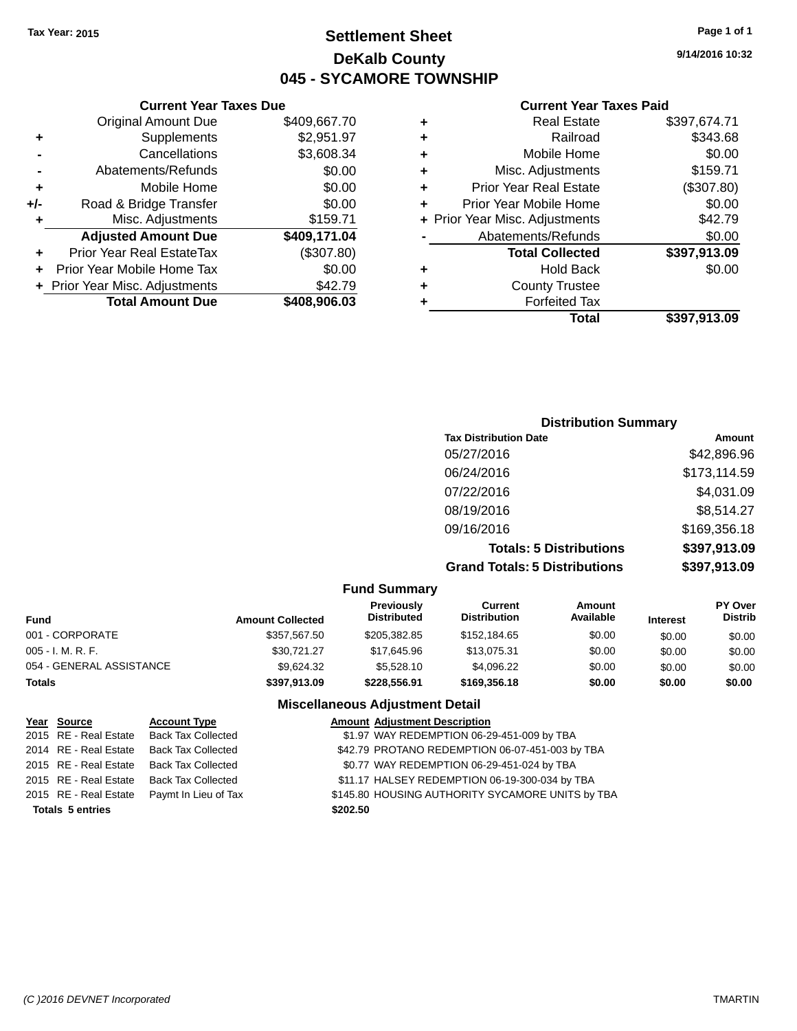## **Settlement Sheet Tax Year: 2015 Page 1 of 1 DeKalb County 045 - SYCAMORE TOWNSHIP**

**9/14/2016 10:32**

#### **Current Year Taxes Paid**

| ٠ | <b>Real Estate</b>             | \$397,674.71 |
|---|--------------------------------|--------------|
| ٠ | Railroad                       | \$343.68     |
| ٠ | Mobile Home                    | \$0.00       |
| ٠ | Misc. Adjustments              | \$159.71     |
| ٠ | <b>Prior Year Real Estate</b>  | (\$307.80)   |
| ÷ | Prior Year Mobile Home         | \$0.00       |
|   | + Prior Year Misc. Adjustments | \$42.79      |
|   | Abatements/Refunds             | \$0.00       |
|   | <b>Total Collected</b>         | \$397,913.09 |
| ٠ | <b>Hold Back</b>               | \$0.00       |
| ٠ | <b>County Trustee</b>          |              |
|   | <b>Forfeited Tax</b>           |              |
|   | Total                          | \$397.913.09 |
|   |                                |              |

|                | <b>Current Year Taxes Due</b>  |              |  |  |  |  |
|----------------|--------------------------------|--------------|--|--|--|--|
|                | <b>Original Amount Due</b>     | \$409,667.70 |  |  |  |  |
| ٠              | Supplements                    | \$2,951.97   |  |  |  |  |
|                | \$3,608.34<br>Cancellations    |              |  |  |  |  |
| $\blacksquare$ | Abatements/Refunds             | \$0.00       |  |  |  |  |
| ٠              | Mobile Home                    | \$0.00       |  |  |  |  |
| +/-            | Road & Bridge Transfer         | \$0.00       |  |  |  |  |
| ٠              | \$159.71<br>Misc. Adjustments  |              |  |  |  |  |
|                | <b>Adjusted Amount Due</b>     | \$409,171.04 |  |  |  |  |
| ٠              | Prior Year Real EstateTax      | (\$307.80)   |  |  |  |  |
| ÷              | Prior Year Mobile Home Tax     | \$0.00       |  |  |  |  |
|                | + Prior Year Misc. Adjustments | \$42.79      |  |  |  |  |
|                | <b>Total Amount Due</b>        | \$408,906.03 |  |  |  |  |

| <b>Distribution Summary</b>          |              |  |  |  |  |
|--------------------------------------|--------------|--|--|--|--|
| <b>Tax Distribution Date</b>         | Amount       |  |  |  |  |
| 05/27/2016                           | \$42,896.96  |  |  |  |  |
| 06/24/2016                           | \$173,114.59 |  |  |  |  |
| 07/22/2016                           | \$4,031.09   |  |  |  |  |
| 08/19/2016                           | \$8,514.27   |  |  |  |  |
| 09/16/2016                           | \$169,356.18 |  |  |  |  |
| <b>Totals: 5 Distributions</b>       | \$397,913.09 |  |  |  |  |
| <b>Grand Totals: 5 Distributions</b> | \$397,913.09 |  |  |  |  |

|                          |                         | <b>Fund Summary</b>              |                                       |                     |                 |                    |
|--------------------------|-------------------------|----------------------------------|---------------------------------------|---------------------|-----------------|--------------------|
| <b>Fund</b>              | <b>Amount Collected</b> | Previously<br><b>Distributed</b> | <b>Current</b><br><b>Distribution</b> | Amount<br>Available | <b>Interest</b> | PY Over<br>Distrib |
| 001 - CORPORATE          | \$357.567.50            | \$205,382.85                     | \$152,184.65                          | \$0.00              | \$0.00          | \$0.00             |
| $005 - I. M. R. F.$      | \$30.721.27             | \$17.645.96                      | \$13.075.31                           | \$0.00              | \$0.00          | \$0.00             |
| 054 - GENERAL ASSISTANCE | \$9.624.32              | \$5,528,10                       | \$4.096.22                            | \$0.00              | \$0.00          | \$0.00             |
| <b>Totals</b>            | \$397.913.09            | \$228,556.91                     | \$169,356,18                          | \$0.00              | \$0.00          | \$0.00             |

#### **Miscellaneous Adjustment Detail**

| Year Source             | <b>Account Type</b>       | <b>Amount Adjustment Description</b>             |
|-------------------------|---------------------------|--------------------------------------------------|
| 2015 RE - Real Estate   | <b>Back Tax Collected</b> | \$1.97 WAY REDEMPTION 06-29-451-009 by TBA       |
| 2014 RE - Real Estate   | <b>Back Tax Collected</b> | \$42.79 PROTANO REDEMPTION 06-07-451-003 by TBA  |
| 2015 RE - Real Estate   | <b>Back Tax Collected</b> | \$0.77 WAY REDEMPTION 06-29-451-024 by TBA       |
| 2015 RE - Real Estate   | <b>Back Tax Collected</b> | \$11.17 HALSEY REDEMPTION 06-19-300-034 by TBA   |
| 2015 RE - Real Estate   | Paymt In Lieu of Tax      | \$145.80 HOUSING AUTHORITY SYCAMORE UNITS by TBA |
| <b>Totals 5 entries</b> |                           | \$202.50                                         |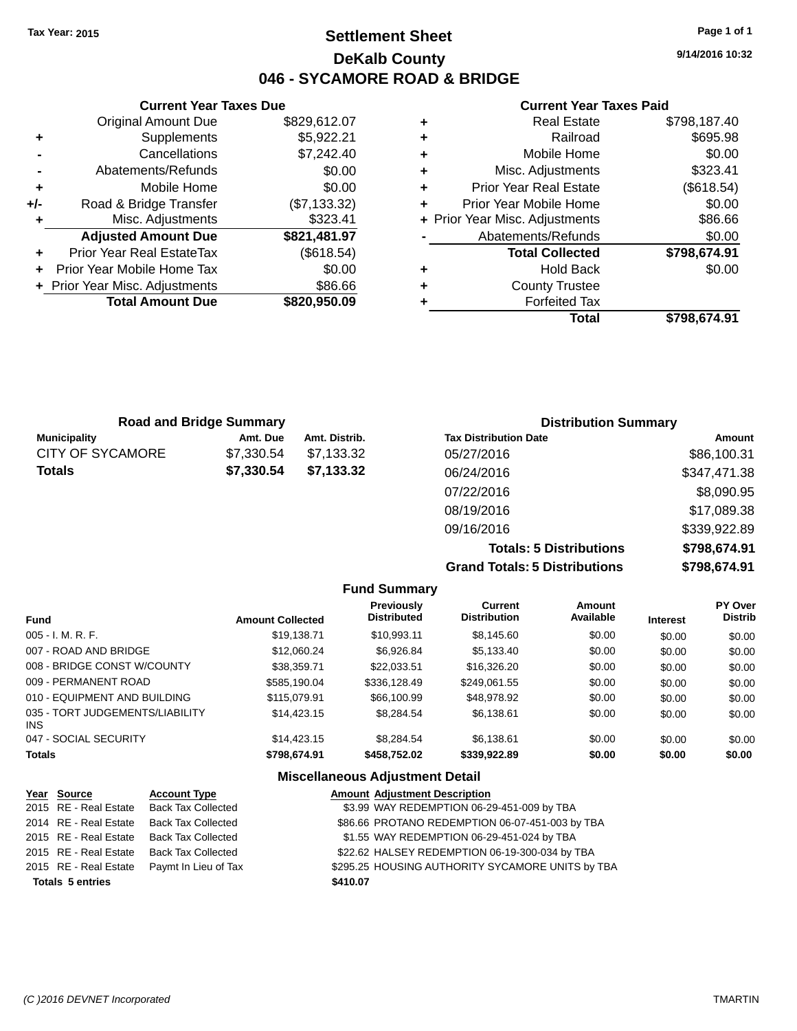**Current Year Taxes Due** Original Amount Due \$829,612.07

**Adjusted Amount Due \$821,481.97**

**Total Amount Due \$820,950.09**

**+** Supplements \$5,922.21 **-** Cancellations \$7,242.40 **-** Abatements/Refunds \$0.00 **+** Mobile Home \$0.00 **+/-** Road & Bridge Transfer (\$7,133.32) **+** Misc. Adjustments \$323.41

**+** Prior Year Real EstateTax (\$618.54) **+** Prior Year Mobile Home Tax \$0.00 **+** Prior Year Misc. Adjustments \$86.66

## **Settlement Sheet Tax Year: 2015 Page 1 of 1 DeKalb County 046 - SYCAMORE ROAD & BRIDGE**

**9/14/2016 10:32**

#### **Current Year Taxes Paid**

| ٠ | <b>Real Estate</b>             | \$798,187.40 |
|---|--------------------------------|--------------|
| ٠ | Railroad                       | \$695.98     |
| ٠ | Mobile Home                    | \$0.00       |
| ٠ | Misc. Adjustments              | \$323.41     |
| ٠ | <b>Prior Year Real Estate</b>  | (\$618.54)   |
| ÷ | Prior Year Mobile Home         | \$0.00       |
|   | + Prior Year Misc. Adjustments | \$86.66      |
|   | Abatements/Refunds             | \$0.00       |
|   | <b>Total Collected</b>         | \$798,674.91 |
| ٠ | <b>Hold Back</b>               | \$0.00       |
| ٠ | <b>County Trustee</b>          |              |
| ٠ | <b>Forfeited Tax</b>           |              |
|   | Total                          | \$798.674.91 |
|   |                                |              |

| <b>Road and Bridge Summary</b> |            |               | <b>Distribution Summary</b>  |              |  |
|--------------------------------|------------|---------------|------------------------------|--------------|--|
| <b>Municipality</b>            | Amt. Due   | Amt. Distrib. | <b>Tax Distribution Date</b> | Amount       |  |
| CITY OF SYCAMORE               | \$7,330.54 | \$7.133.32    | 05/27/2016                   | \$86,100.31  |  |
| <b>Totals</b>                  | \$7,330.54 | \$7,133.32    | 06/24/2016                   | \$347,471.38 |  |
|                                |            |               | 07/22/2016                   | \$8,090.95   |  |
|                                |            |               | 08/19/2016                   | \$17,089.38  |  |

**Grand Totals: 5 Distributions** 

09/16/2016 \$339,922.89

|         | <b>Totals: 5 Distributions</b> | \$798,674.91   |
|---------|--------------------------------|----------------|
|         | <b>Totals: 5 Distributions</b> | \$798,674.91   |
| 'urrant | Amount                         | <b>DV Over</b> |

|                                        |                         | <b>Fund Summary</b>              |                                |                     |                 |                                  |
|----------------------------------------|-------------------------|----------------------------------|--------------------------------|---------------------|-----------------|----------------------------------|
| <b>Fund</b>                            | <b>Amount Collected</b> | Previously<br><b>Distributed</b> | Current<br><b>Distribution</b> | Amount<br>Available | <b>Interest</b> | <b>PY Over</b><br><b>Distrib</b> |
| 005 - I. M. R. F.                      | \$19.138.71             | \$10.993.11                      | \$8.145.60                     | \$0.00              | \$0.00          | \$0.00                           |
| 007 - ROAD AND BRIDGE                  | \$12.060.24             | \$6.926.84                       | \$5.133.40                     | \$0.00              | \$0.00          | \$0.00                           |
| 008 - BRIDGE CONST W/COUNTY            | \$38,359.71             | \$22,033.51                      | \$16,326,20                    | \$0.00              | \$0.00          | \$0.00                           |
| 009 - PERMANENT ROAD                   | \$585.190.04            | \$336,128.49                     | \$249.061.55                   | \$0.00              | \$0.00          | \$0.00                           |
| 010 - EQUIPMENT AND BUILDING           | \$115,079.91            | \$66,100.99                      | \$48.978.92                    | \$0.00              | \$0.00          | \$0.00                           |
| 035 - TORT JUDGEMENTS/LIABILITY<br>INS | \$14,423.15             | \$8.284.54                       | \$6.138.61                     | \$0.00              | \$0.00          | \$0.00                           |
| 047 - SOCIAL SECURITY                  | \$14,423.15             | \$8.284.54                       | \$6.138.61                     | \$0.00              | \$0.00          | \$0.00                           |
| <b>Totals</b>                          | \$798,674.91            | \$458,752.02                     | \$339,922.89                   | \$0.00              | \$0.00          | \$0.00                           |

#### **Miscellaneous Adjustment Detail**

| Year Source             | <b>Account Type</b>       |          | <b>Amount Adjustment Description</b>             |
|-------------------------|---------------------------|----------|--------------------------------------------------|
| 2015 RE - Real Estate   | <b>Back Tax Collected</b> |          | \$3.99 WAY REDEMPTION 06-29-451-009 by TBA       |
| 2014 RE - Real Estate   | <b>Back Tax Collected</b> |          | \$86.66 PROTANO REDEMPTION 06-07-451-003 by TBA  |
| 2015 RE - Real Estate   | <b>Back Tax Collected</b> |          | \$1.55 WAY REDEMPTION 06-29-451-024 by TBA       |
| 2015 RE - Real Estate   | <b>Back Tax Collected</b> |          | \$22.62 HALSEY REDEMPTION 06-19-300-034 by TBA   |
| 2015 RE - Real Estate   | Paymt In Lieu of Tax      |          | \$295.25 HOUSING AUTHORITY SYCAMORE UNITS by TBA |
| <b>Totals 5 entries</b> |                           | \$410.07 |                                                  |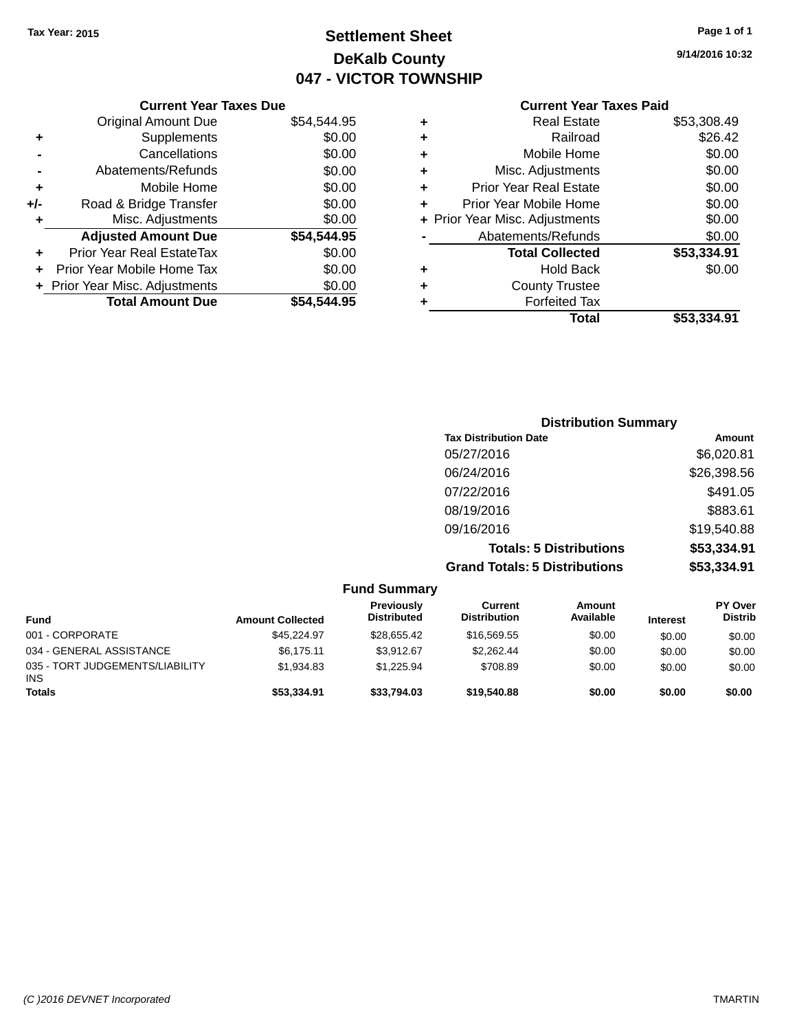## **Settlement Sheet Tax Year: 2015 Page 1 of 1 DeKalb County 047 - VICTOR TOWNSHIP**

**9/14/2016 10:32**

## **Current Year Taxes Paid**

|     | <b>Current Year Taxes Due</b>    |             |  |
|-----|----------------------------------|-------------|--|
|     | <b>Original Amount Due</b>       | \$54,544.95 |  |
| ٠   | Supplements                      | \$0.00      |  |
|     | Cancellations                    | \$0.00      |  |
|     | Abatements/Refunds               | \$0.00      |  |
| ٠   | Mobile Home                      | \$0.00      |  |
| +/- | Road & Bridge Transfer           | \$0.00      |  |
| ٠   | Misc. Adjustments                | \$0.00      |  |
|     | <b>Adjusted Amount Due</b>       | \$54,544.95 |  |
| ٠   | <b>Prior Year Real EstateTax</b> | \$0.00      |  |
|     | Prior Year Mobile Home Tax       | \$0.00      |  |
|     | + Prior Year Misc. Adjustments   | \$0.00      |  |
|     | <b>Total Amount Due</b>          | \$54.544.95 |  |
|     |                                  |             |  |

| ٠ | <b>Real Estate</b>             | \$53,308.49 |
|---|--------------------------------|-------------|
| ٠ | Railroad                       | \$26.42     |
| ٠ | Mobile Home                    | \$0.00      |
| ٠ | Misc. Adjustments              | \$0.00      |
| ٠ | <b>Prior Year Real Estate</b>  | \$0.00      |
| ٠ | Prior Year Mobile Home         | \$0.00      |
|   | + Prior Year Misc. Adjustments | \$0.00      |
|   | Abatements/Refunds             | \$0.00      |
|   | <b>Total Collected</b>         | \$53,334.91 |
| ٠ | <b>Hold Back</b>               | \$0.00      |
| ٠ | <b>County Trustee</b>          |             |
| ٠ | <b>Forfeited Tax</b>           |             |
|   | <b>Total</b>                   | \$53,334.91 |
|   |                                |             |

| <b>Distribution Summary</b>          |             |
|--------------------------------------|-------------|
| <b>Tax Distribution Date</b>         | Amount      |
| 05/27/2016                           | \$6,020.81  |
| 06/24/2016                           | \$26,398.56 |
| 07/22/2016                           | \$491.05    |
| 08/19/2016                           | \$883.61    |
| 09/16/2016                           | \$19,540.88 |
| <b>Totals: 5 Distributions</b>       | \$53,334.91 |
| <b>Grand Totals: 5 Distributions</b> | \$53,334.91 |

|                                               |                         | <b>Fund Summary</b>              |                                |                     |                 |                                  |
|-----------------------------------------------|-------------------------|----------------------------------|--------------------------------|---------------------|-----------------|----------------------------------|
| <b>Fund</b>                                   | <b>Amount Collected</b> | Previously<br><b>Distributed</b> | Current<br><b>Distribution</b> | Amount<br>Available | <b>Interest</b> | <b>PY Over</b><br><b>Distrib</b> |
| 001 - CORPORATE                               | \$45.224.97             | \$28.655.42                      | \$16,569.55                    | \$0.00              | \$0.00          | \$0.00                           |
| 034 - GENERAL ASSISTANCE                      | \$6.175.11              | \$3.912.67                       | \$2,262.44                     | \$0.00              | \$0.00          | \$0.00                           |
| 035 - TORT JUDGEMENTS/LIABILITY<br><b>INS</b> | \$1.934.83              | \$1.225.94                       | \$708.89                       | \$0.00              | \$0.00          | \$0.00                           |
| <b>Totals</b>                                 | \$53,334.91             | \$33.794.03                      | \$19,540.88                    | \$0.00              | \$0.00          | \$0.00                           |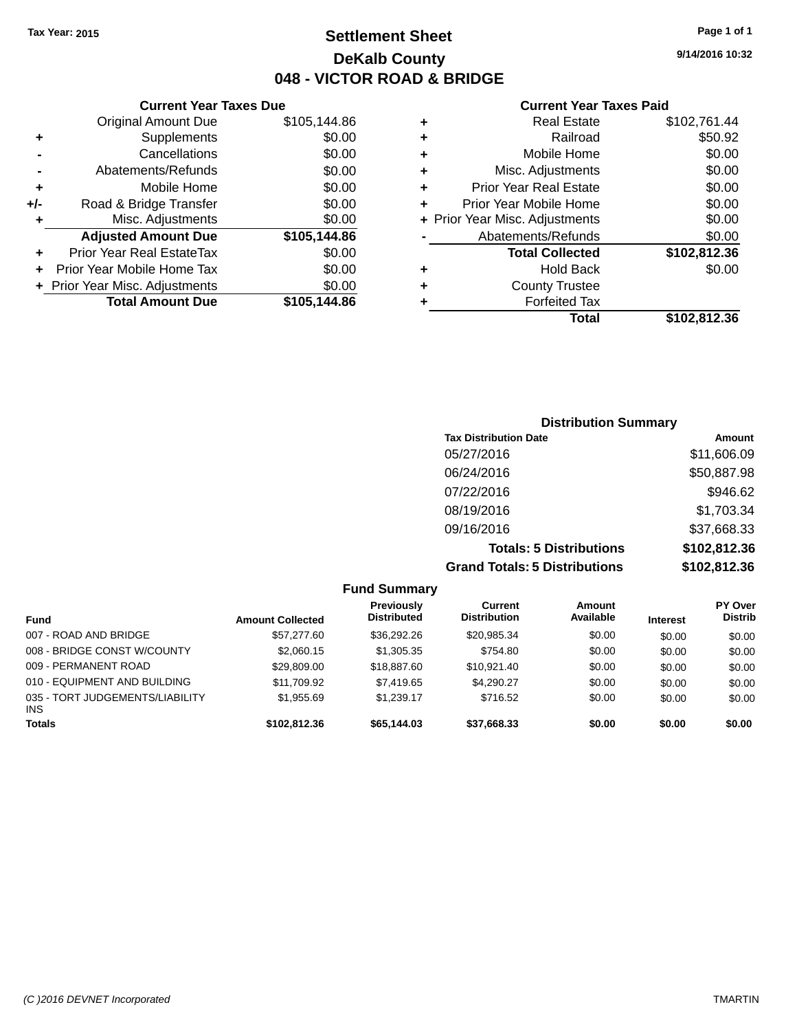## **Settlement Sheet Tax Year: 2015 Page 1 of 1 DeKalb County 048 - VICTOR ROAD & BRIDGE**

#### **Current Year Taxes Paid**

| <b>Current Year</b>            |   | <b>Current Year Taxes Due</b> |                                  |       |
|--------------------------------|---|-------------------------------|----------------------------------|-------|
| <b>Real Estate</b>             | ٠ | \$105,144.86                  | Original Amount Due              |       |
| Railroad                       | ٠ | \$0.00                        | Supplements                      | ٠     |
| Mobile Home                    | ٠ | \$0.00                        | Cancellations                    |       |
| Misc. Adjustments              | ٠ | \$0.00                        | Abatements/Refunds               |       |
| <b>Prior Year Real Estate</b>  | ٠ | \$0.00                        | Mobile Home                      | ٠     |
| Prior Year Mobile Home         | ٠ | \$0.00                        | Road & Bridge Transfer           | $+/-$ |
| + Prior Year Misc. Adjustments |   | \$0.00                        | Misc. Adjustments                | ٠     |
| Abatements/Refunds             |   | \$105,144.86                  | <b>Adjusted Amount Due</b>       |       |
| <b>Total Collected</b>         |   | \$0.00                        | <b>Prior Year Real EstateTax</b> |       |
| <b>Hold Back</b>               | ٠ | \$0.00                        | Prior Year Mobile Home Tax       | ÷     |
| <b>County Trustee</b>          | ٠ | \$0.00                        | + Prior Year Misc. Adjustments   |       |
| <b>Forfeited Tax</b>           |   | \$105,144.86                  | <b>Total Amount Due</b>          |       |
| $T0$ tal                       |   |                               |                                  |       |

|   | <b>Real Estate</b>             | \$102,761.44 |
|---|--------------------------------|--------------|
| ٠ | Railroad                       | \$50.92      |
| ٠ | Mobile Home                    | \$0.00       |
| ٠ | Misc. Adjustments              | \$0.00       |
| ٠ | <b>Prior Year Real Estate</b>  | \$0.00       |
| ÷ | Prior Year Mobile Home         | \$0.00       |
|   | + Prior Year Misc. Adjustments | \$0.00       |
|   | Abatements/Refunds             | \$0.00       |
|   | <b>Total Collected</b>         | \$102,812.36 |
| ٠ | <b>Hold Back</b>               | \$0.00       |
| ٠ | <b>County Trustee</b>          |              |
|   | <b>Forfeited Tax</b>           |              |
|   | Total                          | \$102,812.36 |
|   |                                |              |

| <b>Distribution Summary</b>          |              |
|--------------------------------------|--------------|
| <b>Tax Distribution Date</b>         | Amount       |
| 05/27/2016                           | \$11,606.09  |
| 06/24/2016                           | \$50,887.98  |
| 07/22/2016                           | \$946.62     |
| 08/19/2016                           | \$1,703.34   |
| 09/16/2016                           | \$37,668.33  |
| <b>Totals: 5 Distributions</b>       | \$102,812.36 |
| <b>Grand Totals: 5 Distributions</b> | \$102,812.36 |

|                                        |                         | <b>Fund Summary</b>                     |                                |                     |                 |                           |
|----------------------------------------|-------------------------|-----------------------------------------|--------------------------------|---------------------|-----------------|---------------------------|
| <b>Fund</b>                            | <b>Amount Collected</b> | <b>Previously</b><br><b>Distributed</b> | Current<br><b>Distribution</b> | Amount<br>Available | <b>Interest</b> | PY Over<br><b>Distrib</b> |
| 007 - ROAD AND BRIDGE                  | \$57,277.60             | \$36,292.26                             | \$20,985.34                    | \$0.00              | \$0.00          | \$0.00                    |
| 008 - BRIDGE CONST W/COUNTY            | \$2,060.15              | \$1,305.35                              | \$754.80                       | \$0.00              | \$0.00          | \$0.00                    |
| 009 - PERMANENT ROAD                   | \$29,809.00             | \$18,887.60                             | \$10,921.40                    | \$0.00              | \$0.00          | \$0.00                    |
| 010 - EQUIPMENT AND BUILDING           | \$11.709.92             | \$7,419.65                              | \$4,290.27                     | \$0.00              | \$0.00          | \$0.00                    |
| 035 - TORT JUDGEMENTS/LIABILITY<br>INS | \$1.955.69              | \$1.239.17                              | \$716.52                       | \$0.00              | \$0.00          | \$0.00                    |
| <b>Totals</b>                          | \$102.812.36            | \$65,144.03                             | \$37,668.33                    | \$0.00              | \$0.00          | \$0.00                    |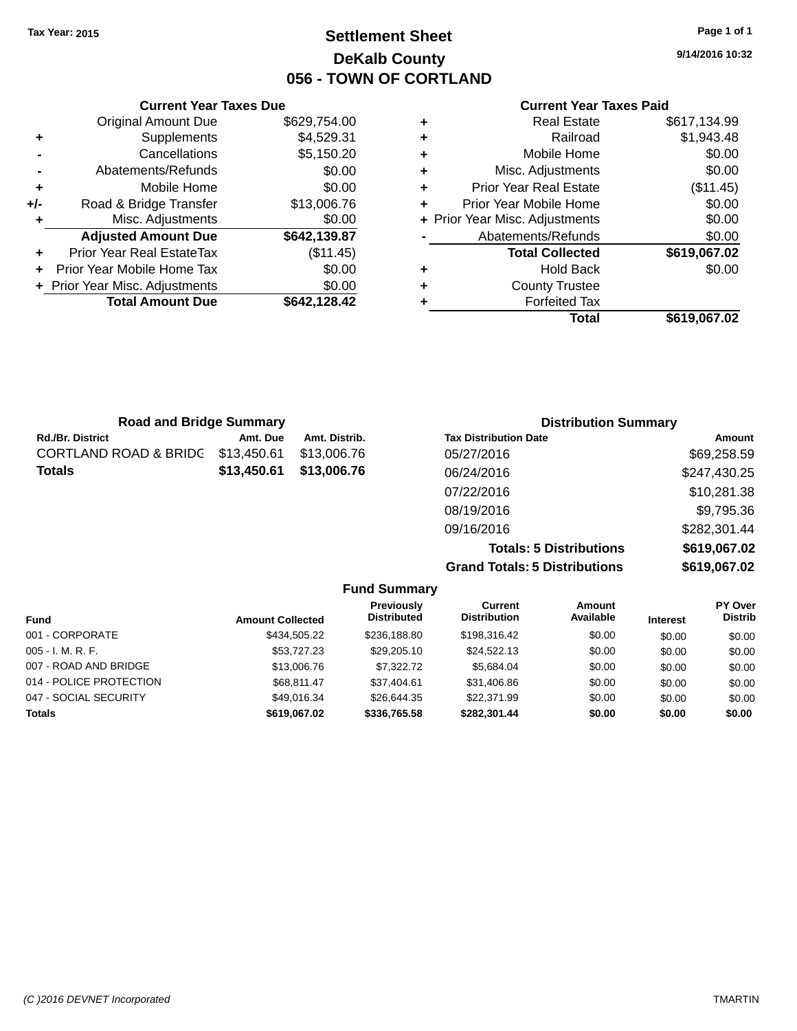## **Settlement Sheet Tax Year: 2015 Page 1 of 1 DeKalb County 056 - TOWN OF CORTLAND**

**9/14/2016 10:32**

#### **Current Year Taxes Paid**

| <b>Real Estate</b>             | \$617,134.99 |
|--------------------------------|--------------|
| Railroad                       | \$1,943.48   |
| Mobile Home                    | \$0.00       |
| Misc. Adjustments              | \$0.00       |
| <b>Prior Year Real Estate</b>  | (\$11.45)    |
| Prior Year Mobile Home         | \$0.00       |
| + Prior Year Misc. Adjustments | \$0.00       |
| Abatements/Refunds             | \$0.00       |
| <b>Total Collected</b>         | \$619,067.02 |
| <b>Hold Back</b>               | \$0.00       |
| <b>County Trustee</b>          |              |
| <b>Forfeited Tax</b>           |              |
| Total                          | \$619,067.02 |
|                                |              |

|     | <b>Current Year Taxes Due</b>    |              |  |  |  |  |
|-----|----------------------------------|--------------|--|--|--|--|
|     | <b>Original Amount Due</b>       | \$629,754.00 |  |  |  |  |
| ٠   | Supplements                      | \$4,529.31   |  |  |  |  |
|     | \$5,150.20<br>Cancellations      |              |  |  |  |  |
|     | \$0.00<br>Abatements/Refunds     |              |  |  |  |  |
| ٠   | Mobile Home                      | \$0.00       |  |  |  |  |
| +/- | Road & Bridge Transfer           | \$13,006.76  |  |  |  |  |
| ٠   | \$0.00<br>Misc. Adjustments      |              |  |  |  |  |
|     | <b>Adjusted Amount Due</b>       | \$642,139.87 |  |  |  |  |
| ÷   | <b>Prior Year Real EstateTax</b> | (\$11.45)    |  |  |  |  |
|     | Prior Year Mobile Home Tax       | \$0.00       |  |  |  |  |
|     | + Prior Year Misc. Adjustments   | \$0.00       |  |  |  |  |
|     | <b>Total Amount Due</b>          | \$642,128.42 |  |  |  |  |
|     |                                  |              |  |  |  |  |

| <b>Road and Bridge Summary</b>   |             |               | <b>Distribution Summary</b>  |              |
|----------------------------------|-------------|---------------|------------------------------|--------------|
| <b>Rd./Br. District</b>          | Amt. Due    | Amt. Distrib. | <b>Tax Distribution Date</b> | Amount       |
| <b>CORTLAND ROAD &amp; BRIDG</b> | \$13,450.61 | \$13,006.76   | 05/27/2016                   | \$69,258.59  |
| <b>Totals</b>                    | \$13,450.61 | \$13,006.76   | 06/24/2016                   | \$247,430.25 |
|                                  |             |               | 07/22/2016                   | \$10,281.38  |
|                                  |             |               | 08/19/2016                   | \$9,795.36   |
|                                  |             |               | 09/16/2016                   | \$282,301.44 |

**Totals: 5 Distributions \$619,067.02 Grand Totals: 5 Distributions \$619,067.02**

| <b>Fund Summary</b>     |                         |                                         |                                |                     |                 |                                  |
|-------------------------|-------------------------|-----------------------------------------|--------------------------------|---------------------|-----------------|----------------------------------|
| <b>Fund</b>             | <b>Amount Collected</b> | <b>Previously</b><br><b>Distributed</b> | Current<br><b>Distribution</b> | Amount<br>Available | <b>Interest</b> | <b>PY Over</b><br><b>Distrib</b> |
| 001 - CORPORATE         | \$434.505.22            | \$236,188.80                            | \$198,316.42                   | \$0.00              | \$0.00          | \$0.00                           |
| $005 - I. M. R. F.$     | \$53,727.23             | \$29,205.10                             | \$24.522.13                    | \$0.00              | \$0.00          | \$0.00                           |
| 007 - ROAD AND BRIDGE   | \$13,006.76             | \$7,322,72                              | \$5,684.04                     | \$0.00              | \$0.00          | \$0.00                           |
| 014 - POLICE PROTECTION | \$68,811.47             | \$37.404.61                             | \$31,406.86                    | \$0.00              | \$0.00          | \$0.00                           |
| 047 - SOCIAL SECURITY   | \$49.016.34             | \$26.644.35                             | \$22,371.99                    | \$0.00              | \$0.00          | \$0.00                           |
| <b>Totals</b>           | \$619.067.02            | \$336,765.58                            | \$282.301.44                   | \$0.00              | \$0.00          | \$0.00                           |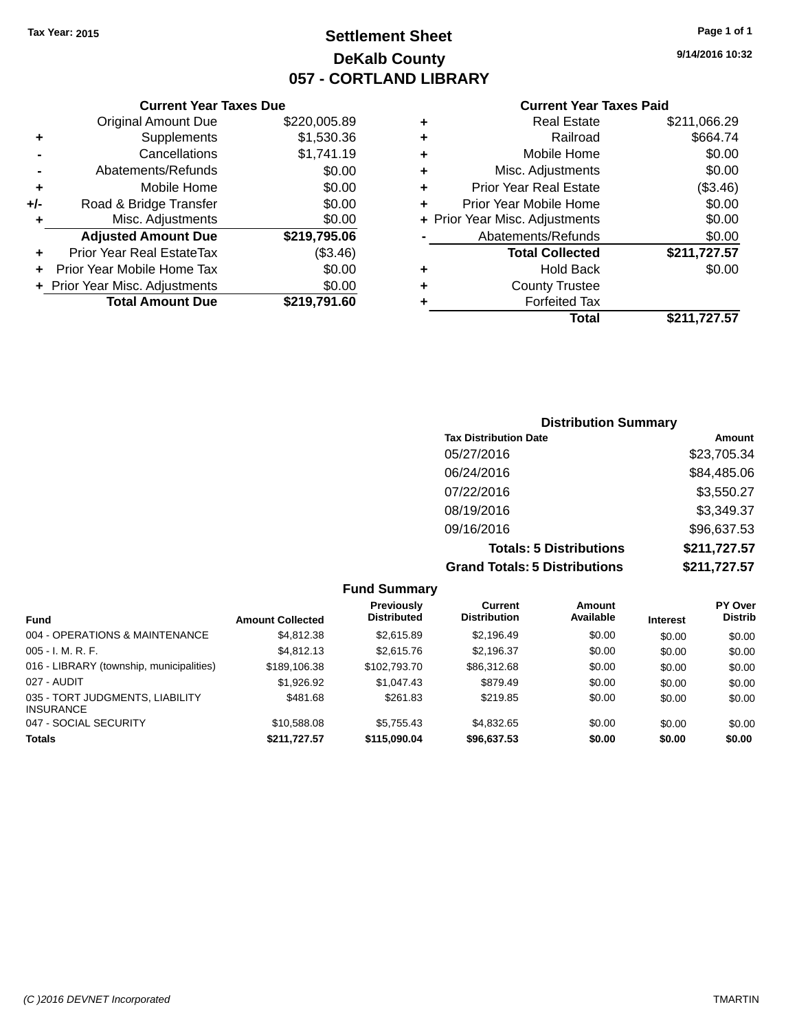## **Settlement Sheet Tax Year: 2015 Page 1 of 1 DeKalb County 057 - CORTLAND LIBRARY**

**9/14/2016 10:32**

#### **Current Year Taxes Paid**

|     | <b>Current Year Taxes Due</b>            |              |  |  |  |  |  |
|-----|------------------------------------------|--------------|--|--|--|--|--|
|     | <b>Original Amount Due</b>               | \$220,005.89 |  |  |  |  |  |
| ٠   | \$1,530.36<br>Supplements                |              |  |  |  |  |  |
|     | Cancellations                            | \$1,741.19   |  |  |  |  |  |
|     | Abatements/Refunds                       | \$0.00       |  |  |  |  |  |
| ٠   | \$0.00<br>Mobile Home                    |              |  |  |  |  |  |
| +/- | \$0.00<br>Road & Bridge Transfer         |              |  |  |  |  |  |
| ٠   | Misc. Adjustments<br>\$0.00              |              |  |  |  |  |  |
|     | <b>Adjusted Amount Due</b>               | \$219,795.06 |  |  |  |  |  |
| ٠   | Prior Year Real EstateTax                | (\$3.46)     |  |  |  |  |  |
|     | Prior Year Mobile Home Tax               | \$0.00       |  |  |  |  |  |
|     | \$0.00<br>+ Prior Year Misc. Adjustments |              |  |  |  |  |  |
|     | <b>Total Amount Due</b>                  | \$219.791.60 |  |  |  |  |  |
|     |                                          |              |  |  |  |  |  |

| ٠ | <b>Real Estate</b>             | \$211,066.29 |
|---|--------------------------------|--------------|
| ٠ | Railroad                       | \$664.74     |
| ٠ | Mobile Home                    | \$0.00       |
| ٠ | Misc. Adjustments              | \$0.00       |
| ٠ | <b>Prior Year Real Estate</b>  | (\$3.46)     |
| ٠ | Prior Year Mobile Home         | \$0.00       |
|   | + Prior Year Misc. Adjustments | \$0.00       |
|   | Abatements/Refunds             | \$0.00       |
|   | <b>Total Collected</b>         | \$211,727.57 |
| ٠ | <b>Hold Back</b>               | \$0.00       |
| ٠ | <b>County Trustee</b>          |              |
| ٠ | <b>Forfeited Tax</b>           |              |
|   | Total                          | \$211,727.57 |
|   |                                |              |

### **Distribution Summary Tax Distribution Date Amount** 05/27/2016 \$23,705.34 06/24/2016 \$84,485.06 07/22/2016 \$3,550.27 08/19/2016 \$3,349.37 09/16/2016 \$96,637.53 **Totals: 5 Distributions \$211,727.57 Grand Totals: 5 Distributions \$211,727.57**

|                                                     |                         | <b>Fund Summary</b>              |                                |                     |                 |                                  |
|-----------------------------------------------------|-------------------------|----------------------------------|--------------------------------|---------------------|-----------------|----------------------------------|
| <b>Fund</b>                                         | <b>Amount Collected</b> | Previously<br><b>Distributed</b> | Current<br><b>Distribution</b> | Amount<br>Available | <b>Interest</b> | <b>PY Over</b><br><b>Distrib</b> |
| 004 - OPERATIONS & MAINTENANCE                      | \$4,812,38              | \$2,615.89                       | \$2.196.49                     | \$0.00              | \$0.00          | \$0.00                           |
| $005 - I. M. R. F.$                                 | \$4,812.13              | \$2,615.76                       | \$2,196.37                     | \$0.00              | \$0.00          | \$0.00                           |
| 016 - LIBRARY (township, municipalities)            | \$189,106.38            | \$102,793.70                     | \$86,312.68                    | \$0.00              | \$0.00          | \$0.00                           |
| 027 - AUDIT                                         | \$1,926.92              | \$1,047.43                       | \$879.49                       | \$0.00              | \$0.00          | \$0.00                           |
| 035 - TORT JUDGMENTS, LIABILITY<br><b>INSURANCE</b> | \$481.68                | \$261.83                         | \$219.85                       | \$0.00              | \$0.00          | \$0.00                           |
| 047 - SOCIAL SECURITY                               | \$10,588.08             | \$5,755.43                       | \$4,832.65                     | \$0.00              | \$0.00          | \$0.00                           |
| <b>Totals</b>                                       | \$211,727.57            | \$115,090.04                     | \$96,637.53                    | \$0.00              | \$0.00          | \$0.00                           |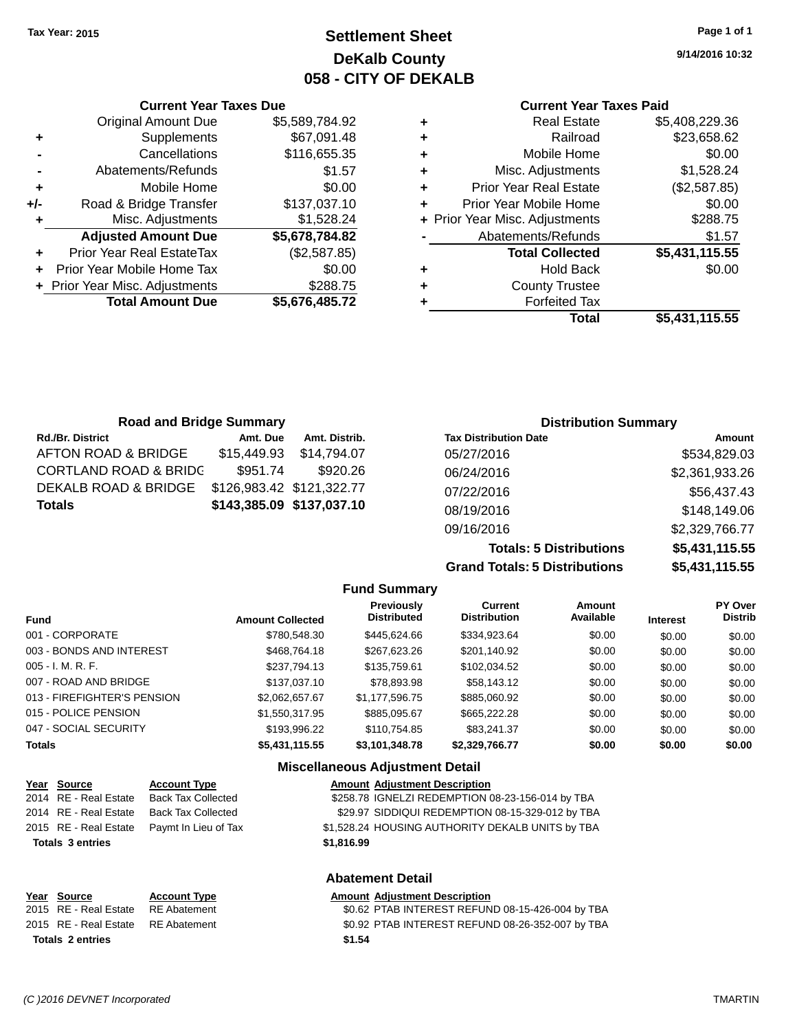**Current Year Taxes Due** Original Amount Due \$5,589,784.92

**Adjusted Amount Due \$5,678,784.82**

**Total Amount Due \$5,676,485.72**

**+** Supplements \$67,091.48 **-** Cancellations \$116,655.35 **-** Abatements/Refunds \$1.57 **+** Mobile Home \$0.00 **+/-** Road & Bridge Transfer \$137,037.10 **+** Misc. Adjustments \$1,528.24

**+** Prior Year Real EstateTax (\$2,587.85) **+** Prior Year Mobile Home Tax \$0.00 **+** Prior Year Misc. Adjustments \$288.75

## **Settlement Sheet Tax Year: 2015 Page 1 of 1 DeKalb County 058 - CITY OF DEKALB**

**9/14/2016 10:32**

#### **Current Year Taxes Paid**

| ٠ | <b>Real Estate</b>             | \$5,408,229.36 |
|---|--------------------------------|----------------|
| ٠ | Railroad                       | \$23,658.62    |
| ٠ | Mobile Home                    | \$0.00         |
| ٠ | Misc. Adjustments              | \$1,528.24     |
| ٠ | <b>Prior Year Real Estate</b>  | (\$2,587.85)   |
|   | Prior Year Mobile Home         | \$0.00         |
|   | + Prior Year Misc. Adjustments | \$288.75       |
|   | Abatements/Refunds             | \$1.57         |
|   | <b>Total Collected</b>         | \$5,431,115.55 |
| ٠ | <b>Hold Back</b>               | \$0.00         |
| ٠ | <b>County Trustee</b>          |                |
|   | <b>Forfeited Tax</b>           |                |
|   | Total                          | \$5,431,115.55 |
|   |                                |                |

| <b>Road and Bridge Summary</b>   |             |                           |                              | <b>Distribution Summary</b> |
|----------------------------------|-------------|---------------------------|------------------------------|-----------------------------|
| <b>Rd./Br. District</b>          | Amt. Due    | Amt. Distrib.             | <b>Tax Distribution Date</b> | Amount                      |
| AFTON ROAD & BRIDGE              | \$15,449.93 | \$14.794.07               | 05/27/2016                   | \$534,829.03                |
| <b>CORTLAND ROAD &amp; BRIDC</b> | \$951.74    | \$920.26                  | 06/24/2016                   | \$2,361,933.26              |
| DEKALB ROAD & BRIDGE             |             | \$126,983.42 \$121,322.77 | 07/22/2016                   | \$56,437.43                 |
| <b>Totals</b>                    |             | \$143,385.09 \$137,037.10 | 08/19/2016                   | \$148,149.06                |
|                                  |             |                           | 09/16/2016                   | \$2,329,766.77              |

**Totals: 5 Distributions \$5,431,115.55 Grand Totals: 5 Distributions \$5,431,115.55**

|                             |                         |                                        | 91 GI 10 I 10 I 10 I 10 PIULI IN GLIU 110 |                     |                 |                           |
|-----------------------------|-------------------------|----------------------------------------|-------------------------------------------|---------------------|-----------------|---------------------------|
|                             |                         | <b>Fund Summary</b>                    |                                           |                     |                 |                           |
| <b>Fund</b>                 | <b>Amount Collected</b> | Previously<br><b>Distributed</b>       | <b>Current</b><br><b>Distribution</b>     | Amount<br>Available | <b>Interest</b> | PY Over<br><b>Distrib</b> |
| 001 - CORPORATE             | \$780,548,30            | \$445,624,66                           | \$334,923.64                              | \$0.00              | \$0.00          | \$0.00                    |
| 003 - BONDS AND INTEREST    | \$468,764.18            | \$267,623.26                           | \$201,140.92                              | \$0.00              | \$0.00          | \$0.00                    |
| 005 - I. M. R. F.           | \$237.794.13            | \$135,759.61                           | \$102.034.52                              | \$0.00              | \$0.00          | \$0.00                    |
| 007 - ROAD AND BRIDGE       | \$137,037.10            | \$78,893,98                            | \$58,143.12                               | \$0.00              | \$0.00          | \$0.00                    |
| 013 - FIREFIGHTER'S PENSION | \$2,062,657.67          | \$1.177.596.75                         | \$885,060.92                              | \$0.00              | \$0.00          | \$0.00                    |
| 015 - POLICE PENSION        | \$1,550,317.95          | \$885.095.67                           | \$665,222.28                              | \$0.00              | \$0.00          | \$0.00                    |
| 047 - SOCIAL SECURITY       | \$193,996.22            | \$110.754.85                           | \$83.241.37                               | \$0.00              | \$0.00          | \$0.00                    |
| <b>Totals</b>               | \$5,431,115.55          | \$3,101,348.78                         | \$2,329,766.77                            | \$0.00              | \$0.00          | \$0.00                    |
|                             |                         | <b>Miscellaneous Adjustment Detail</b> |                                           |                     |                 |                           |

#### **Year** Source **Account Type A** Annung Amount Adjustment Description 2014 RE - Real Estate Back Tax Collected \$258.78 IGNELZI REDEMPTION 08-23-156-014 by TBA 2014 RE - Real Estate Back Tax Collected \$29.97 SIDDIQUI REDEMPTION 08-15-329-012 by TBA 2015 RE - Real Estate Paymt In Lieu of Tax \$1,528.24 HOUSING AUTHORITY DEKALB UNITS by TBA **Totals \$1,816.99 3 entries Abatement Detail**

| Year Source                        | <b>Account Type</b> | <b>Amount Adiustment Description</b>             |
|------------------------------------|---------------------|--------------------------------------------------|
| 2015 RE - Real Estate RE Abatement |                     | \$0.62 PTAB INTEREST REFUND 08-15-426-004 by TBA |
| 2015 RE - Real Estate RE Abatement |                     | \$0.92 PTAB INTEREST REFUND 08-26-352-007 by TBA |
| <b>Totals 2 entries</b>            |                     | \$1.54                                           |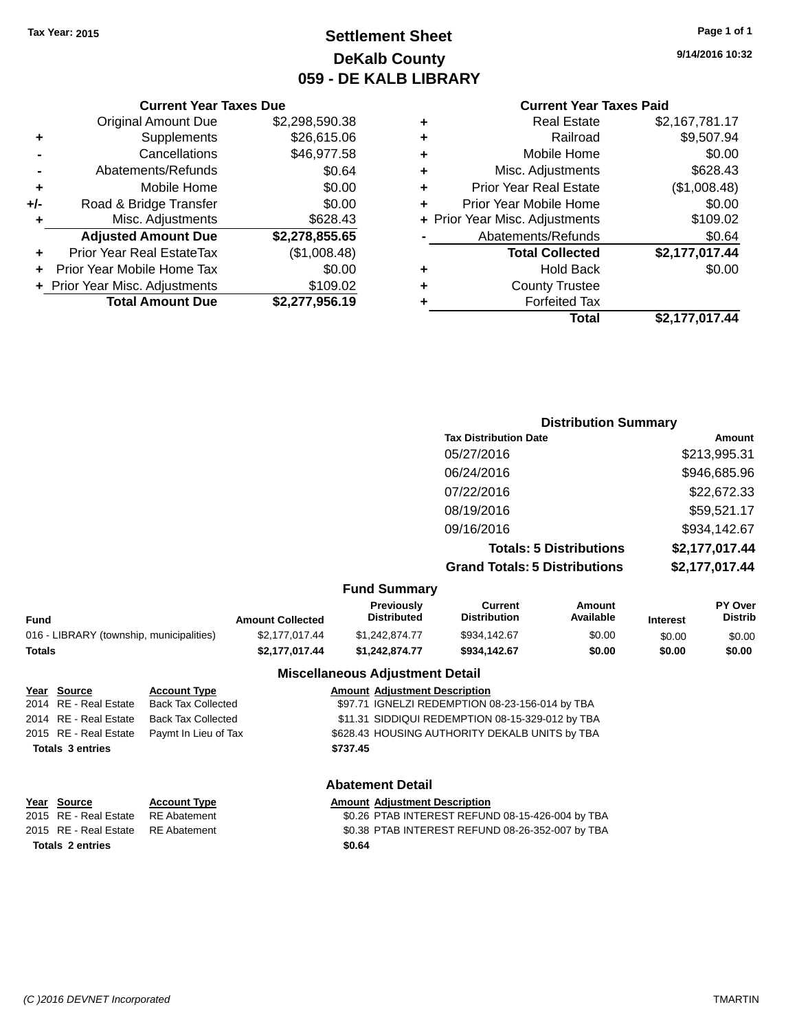## **Settlement Sheet Tax Year: 2015 Page 1 of 1 DeKalb County 059 - DE KALB LIBRARY**

**9/14/2016 10:32**

#### **Current Year Taxes Paid**

|     | <b>Current Year Taxes Due</b>  |                |  |
|-----|--------------------------------|----------------|--|
|     | <b>Original Amount Due</b>     | \$2,298,590.38 |  |
| ٠   | Supplements                    | \$26,615.06    |  |
|     | Cancellations                  | \$46,977.58    |  |
|     | Abatements/Refunds             | \$0.64         |  |
| ٠   | Mobile Home                    | \$0.00         |  |
| +/- | Road & Bridge Transfer         | \$0.00         |  |
| ٠   | Misc. Adjustments              | \$628.43       |  |
|     | <b>Adjusted Amount Due</b>     | \$2,278,855.65 |  |
| ÷   | Prior Year Real EstateTax      | (\$1,008.48)   |  |
|     | Prior Year Mobile Home Tax     | \$0.00         |  |
|     | + Prior Year Misc. Adjustments | \$109.02       |  |
|     | <b>Total Amount Due</b>        | \$2,277,956.19 |  |
|     |                                |                |  |

| <b>Hold Back</b><br><b>County Trustee</b><br><b>Forfeited Tax</b> | \$0.00         |
|-------------------------------------------------------------------|----------------|
|                                                                   |                |
|                                                                   |                |
|                                                                   |                |
| <b>Total Collected</b>                                            | \$2,177,017.44 |
| Abatements/Refunds                                                | \$0.64         |
| + Prior Year Misc. Adjustments                                    | \$109.02       |
| Prior Year Mobile Home                                            | \$0.00         |
| <b>Prior Year Real Estate</b>                                     | (\$1,008.48)   |
| Misc. Adjustments                                                 | \$628.43       |
| Mobile Home                                                       | \$0.00         |
| Railroad                                                          | \$9,507.94     |
| <b>Real Estate</b>                                                | \$2,167,781.17 |
|                                                                   |                |

## **Distribution Summary Tax Distribution Date Amount** 05/27/2016 \$213,995.31 06/24/2016 \$946,685.96 07/22/2016 \$22,672.33 08/19/2016 \$59,521.17 09/16/2016 \$934,142.67 **Totals: 5 Distributions \$2,177,017.44 Grand Totals: 5 Distributions \$2,177,017.44**

#### **Fund Summary**

| <b>Amount Collected</b> | <b>Previously</b><br><b>Distributed</b> | Current<br><b>Distribution</b> | Amount<br>Available | <b>Interest</b> | <b>PY Over</b><br><b>Distrib</b> |
|-------------------------|-----------------------------------------|--------------------------------|---------------------|-----------------|----------------------------------|
| \$2,177,017,44          | \$1,242,874.77                          | \$934.142.67                   | \$0.00              | \$0.00          | \$0.00                           |
| \$2.177.017.44          | \$1.242.874.77                          | \$934.142.67                   | \$0.00              | \$0.00          | \$0.00                           |
|                         |                                         | .                              |                     |                 |                                  |

#### **Miscellaneous Adjustment Detail**

| <u>Year Source</u>      | <b>Account Type</b>       | <b>Amount Adjustment Description</b>             |  |
|-------------------------|---------------------------|--------------------------------------------------|--|
| 2014 RE - Real Estate   | <b>Back Tax Collected</b> | \$97.71 IGNELZI REDEMPTION 08-23-156-014 by TBA  |  |
| 2014 RE - Real Estate   | <b>Back Tax Collected</b> | \$11.31 SIDDIQUI REDEMPTION 08-15-329-012 by TBA |  |
| 2015 RE - Real Estate   | Paymt In Lieu of Tax      | \$628.43 HOUSING AUTHORITY DEKALB UNITS by TBA   |  |
| <b>Totals 3 entries</b> |                           | \$737.45                                         |  |
|                         |                           |                                                  |  |
|                         |                           |                                                  |  |

#### **Abatement Detail**

| Year Source                        | <b>Account Type</b> | <b>Amount Adjustment Description</b>             |
|------------------------------------|---------------------|--------------------------------------------------|
| 2015 RE - Real Estate              | RE Abatement        | \$0.26 PTAB INTEREST REFUND 08-15-426-004 by TBA |
| 2015 RE - Real Estate RE Abatement |                     | \$0.38 PTAB INTEREST REFUND 08-26-352-007 by TBA |
| <b>Totals 2 entries</b>            |                     | \$0.64                                           |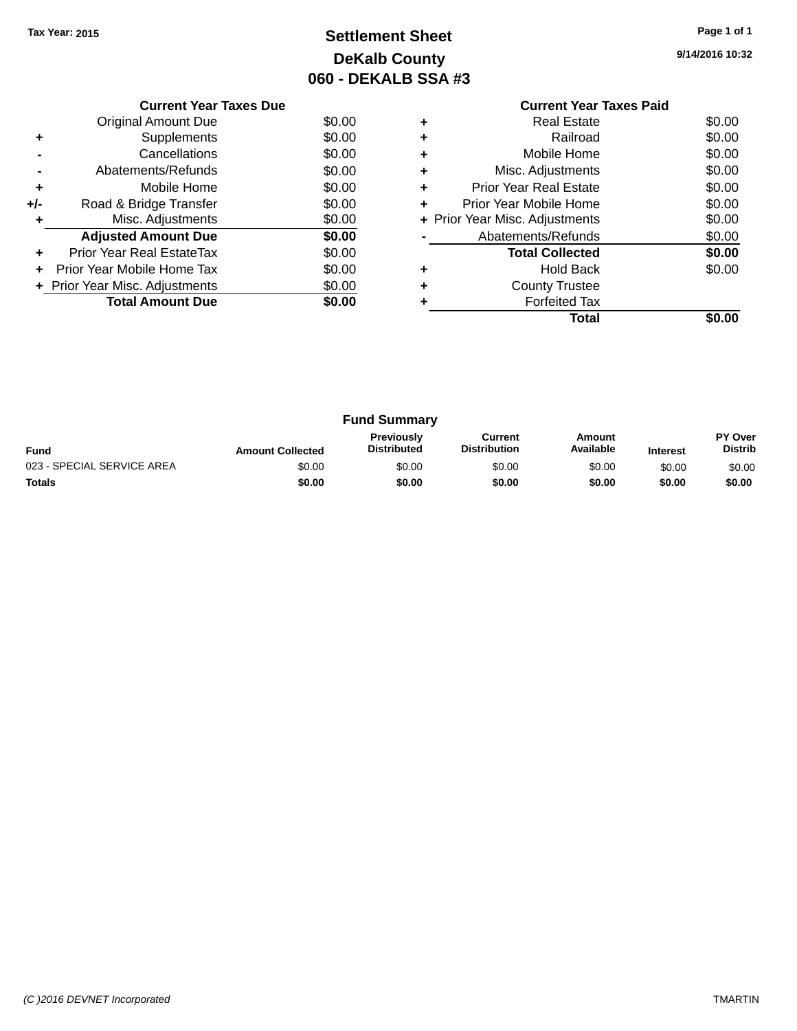## **Settlement Sheet Tax Year: 2015 Page 1 of 1 DeKalb County 060 - DEKALB SSA #3**

|     | <b>Current Year Taxes Due</b>  |        |
|-----|--------------------------------|--------|
|     | Original Amount Due            | \$0.00 |
| ٠   | Supplements                    | \$0.00 |
|     | Cancellations                  | \$0.00 |
|     | Abatements/Refunds             | \$0.00 |
| ٠   | Mobile Home                    | \$0.00 |
| +/- | Road & Bridge Transfer         | \$0.00 |
|     | Misc. Adjustments              | \$0.00 |
|     | <b>Adjusted Amount Due</b>     | \$0.00 |
|     | Prior Year Real EstateTax      | \$0.00 |
|     | Prior Year Mobile Home Tax     | \$0.00 |
|     | + Prior Year Misc. Adjustments | \$0.00 |
|     | <b>Total Amount Due</b>        | \$0.00 |
|     |                                |        |

#### **Current Year Taxes Paid +** Real Estate \$0.00 **+** Railroad \$0.00 **+** Mobile Home \$0.00 **+** Misc. Adjustments \$0.00 **+** Prior Year Real Estate \$0.00 **+** Prior Year Mobile Home \$0.00<br> **+** Prior Year Misc. Adjustments \$0.00 **+ Prior Year Misc. Adjustments -** Abatements/Refunds \$0.00 **Total Collected \$0.00 +** Hold Back \$0.00 **+** County Trustee **+** Forfeited Tax

**Total \$0.00**

|                            |                         | <b>Fund Summary</b>                     |                                |                     |                 |                           |
|----------------------------|-------------------------|-----------------------------------------|--------------------------------|---------------------|-----------------|---------------------------|
| <b>Fund</b>                | <b>Amount Collected</b> | <b>Previously</b><br><b>Distributed</b> | Current<br><b>Distribution</b> | Amount<br>Available | <b>Interest</b> | PY Over<br><b>Distrib</b> |
| 023 - SPECIAL SERVICE AREA | \$0.00                  | \$0.00                                  | \$0.00                         | \$0.00              | \$0.00          | \$0.00                    |
| <b>Totals</b>              | \$0.00                  | \$0.00                                  | \$0.00                         | \$0.00              | \$0.00          | \$0.00                    |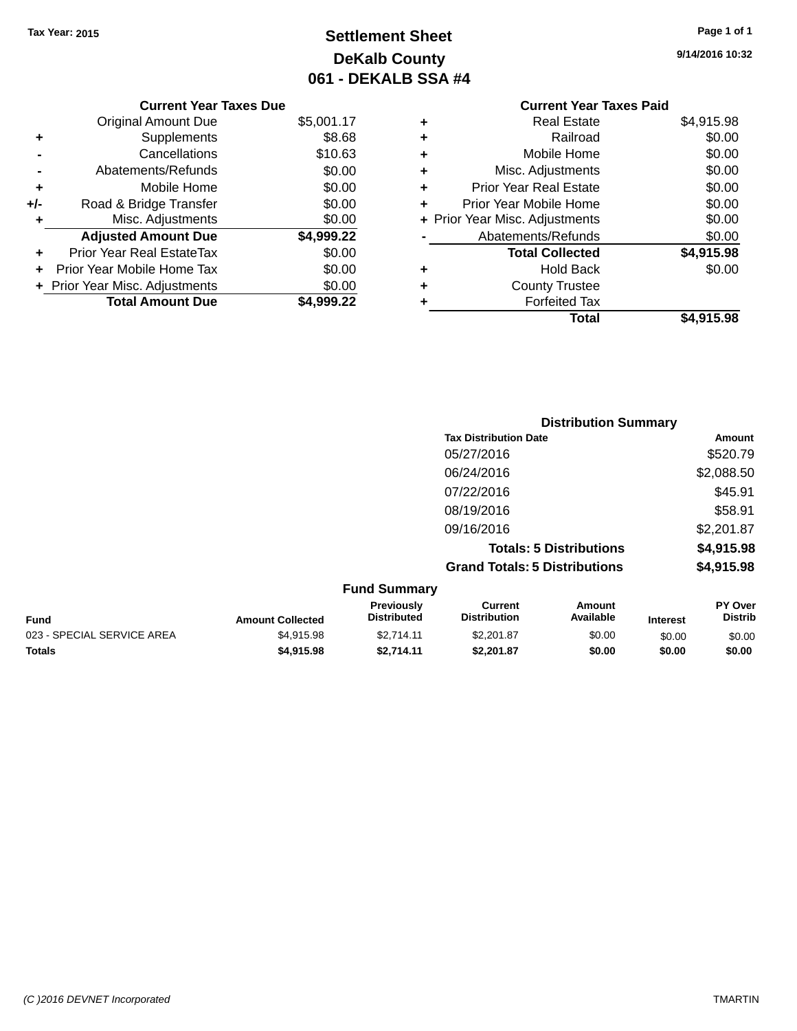**Current Year Taxes Due** Original Amount Due \$5,001.17

**Adjusted Amount Due \$4,999.22**

**Total Amount Due \$4,999.22**

**+** Supplements \$8.68 **-** Cancellations \$10.63 **-** Abatements/Refunds \$0.00 **+** Mobile Home \$0.00 **+/-** Road & Bridge Transfer \$0.00<br> **+** Misc. Adjustments \$0.00

**+** Prior Year Real EstateTax \$0.00 **+** Prior Year Mobile Home Tax \$0.00 **+ Prior Year Misc. Adjustments**  $$0.00$ 

**+** Misc. Adjustments

## **Settlement Sheet Tax Year: 2015 Page 1 of 1 DeKalb County 061 - DEKALB SSA #4**

**9/14/2016 10:32**

|   | <b>Current Year Taxes Paid</b> |            |
|---|--------------------------------|------------|
| ٠ | <b>Real Estate</b>             | \$4,915.98 |
| ٠ | Railroad                       | \$0.00     |
| ٠ | Mobile Home                    | \$0.00     |
| ٠ | Misc. Adjustments              | \$0.00     |
| ٠ | <b>Prior Year Real Estate</b>  | \$0.00     |
| ٠ | Prior Year Mobile Home         | \$0.00     |
|   | + Prior Year Misc. Adjustments | \$0.00     |
|   | Abatements/Refunds             | \$0.00     |
|   | <b>Total Collected</b>         | \$4,915.98 |
| ٠ | <b>Hold Back</b>               | \$0.00     |
|   | <b>County Trustee</b>          |            |
| ٠ | <b>Forfeited Tax</b>           |            |
|   | Total                          | \$4,915.98 |

|                           |                                  |                                       |                                   | <b>Distribution Summary</b> |                           |  |
|---------------------------|----------------------------------|---------------------------------------|-----------------------------------|-----------------------------|---------------------------|--|
|                           |                                  | <b>Tax Distribution Date</b>          |                                   |                             | <b>Amount</b>             |  |
|                           |                                  | 05/27/2016                            |                                   |                             | \$520.79                  |  |
|                           |                                  | 06/24/2016                            |                                   |                             | \$2,088.50                |  |
|                           |                                  | 07/22/2016                            |                                   |                             | \$45.91                   |  |
|                           |                                  | 08/19/2016                            |                                   |                             | \$58.91                   |  |
|                           |                                  | 09/16/2016                            |                                   |                             | \$2,201.87                |  |
|                           |                                  |                                       | <b>Totals: 5 Distributions</b>    |                             | \$4,915.98                |  |
|                           |                                  | <b>Grand Totals: 5 Distributions</b>  |                                   |                             | \$4,915.98                |  |
|                           | <b>Fund Summary</b>              |                                       |                                   |                             |                           |  |
| And a count Architectural | Previously<br><b>Dictributed</b> | <b>Current</b><br><b>Dictribution</b> | <b>Amount</b><br><b>Available</b> | the discussion of the       | PY Over<br><b>Dictrib</b> |  |

|                         | <b>Previously</b>  | Current             | Amount    |                 | <b>PY Over</b> |
|-------------------------|--------------------|---------------------|-----------|-----------------|----------------|
| <b>Amount Collected</b> | <b>Distributed</b> | <b>Distribution</b> | Available | <b>Interest</b> | <b>Distrib</b> |
| \$4.915.98              | \$2.714.11         | \$2,201.87          | \$0.00    | \$0.00          | \$0.00         |
| \$4,915.98              | \$2.714.11         | \$2.201.87          | \$0.00    | \$0.00          | \$0.00         |
|                         |                    |                     |           |                 |                |

#### *(C )2016 DEVNET Incorporated* TMARTIN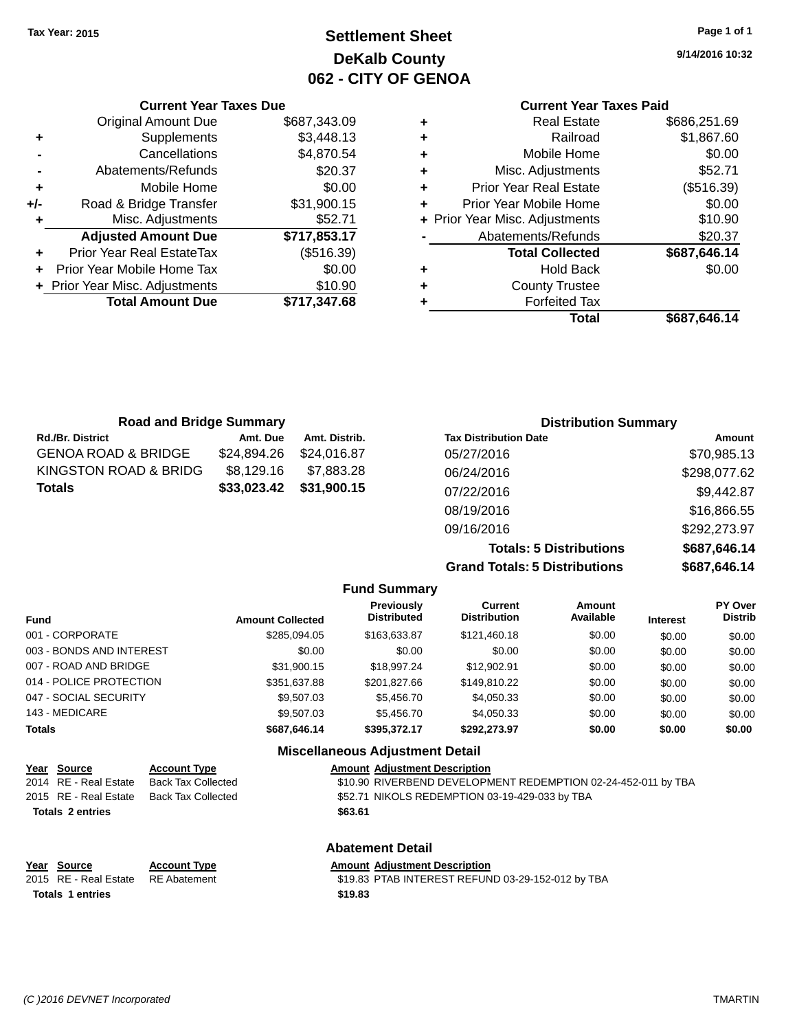**Current Year Taxes Due** Original Amount Due \$687,343.09

**Adjusted Amount Due \$717,853.17**

**Total Amount Due \$717,347.68**

**+** Supplements \$3,448.13 **-** Cancellations \$4,870.54 **-** Abatements/Refunds \$20.37 **+** Mobile Home \$0.00 **+/-** Road & Bridge Transfer \$31,900.15 **+** Misc. Adjustments \$52.71

**+** Prior Year Real EstateTax (\$516.39) **+** Prior Year Mobile Home Tax \$0.00 **+** Prior Year Misc. Adjustments \$10.90

## **Settlement Sheet Tax Year: 2015 Page 1 of 1 DeKalb County 062 - CITY OF GENOA**

**9/14/2016 10:32**

## **Current Year Taxes Paid**

| <b>Total</b>                   | \$687,646.14 |
|--------------------------------|--------------|
| <b>Forfeited Tax</b>           |              |
| <b>County Trustee</b>          |              |
| <b>Hold Back</b>               | \$0.00       |
| <b>Total Collected</b>         | \$687,646.14 |
| Abatements/Refunds             | \$20.37      |
| + Prior Year Misc. Adjustments | \$10.90      |
| Prior Year Mobile Home         | \$0.00       |
| <b>Prior Year Real Estate</b>  | (\$516.39)   |
| Misc. Adjustments              | \$52.71      |
| Mobile Home                    | \$0.00       |
| Railroad                       | \$1,867.60   |
| <b>Real Estate</b>             | \$686,251.69 |
|                                |              |

| <b>Road and Bridge Summary</b> |             |               | <b>Distribution Summary</b>  |              |
|--------------------------------|-------------|---------------|------------------------------|--------------|
| <b>Rd./Br. District</b>        | Amt. Due    | Amt. Distrib. | <b>Tax Distribution Date</b> | Amount       |
| <b>GENOA ROAD &amp; BRIDGE</b> | \$24,894.26 | \$24.016.87   | 05/27/2016                   | \$70,985.13  |
| KINGSTON ROAD & BRIDG          | \$8,129.16  | \$7,883.28    | 06/24/2016                   | \$298,077.62 |
| <b>Totals</b>                  | \$33,023.42 | \$31,900.15   | 07/22/2016                   | \$9,442.87   |
|                                |             |               | 08/19/2016                   | \$16,866.55  |
|                                |             |               | 09/16/2016                   | \$292,273.97 |

**Totals: 5 Distributions \$687,646.14 Grand Totals: 5 Distributions \$687,646.14**

|                          |                         | <b>Fund Summary</b>                     |                                |                     |                 |                           |
|--------------------------|-------------------------|-----------------------------------------|--------------------------------|---------------------|-----------------|---------------------------|
| <b>Fund</b>              | <b>Amount Collected</b> | <b>Previously</b><br><b>Distributed</b> | Current<br><b>Distribution</b> | Amount<br>Available | <b>Interest</b> | PY Over<br><b>Distrib</b> |
| 001 - CORPORATE          | \$285.094.05            | \$163,633.87                            | \$121,460.18                   | \$0.00              | \$0.00          | \$0.00                    |
| 003 - BONDS AND INTEREST | \$0.00                  | \$0.00                                  | \$0.00                         | \$0.00              | \$0.00          | \$0.00                    |
| 007 - ROAD AND BRIDGE    | \$31,900.15             | \$18,997.24                             | \$12,902.91                    | \$0.00              | \$0.00          | \$0.00                    |
| 014 - POLICE PROTECTION  | \$351,637.88            | \$201,827.66                            | \$149,810.22                   | \$0.00              | \$0.00          | \$0.00                    |
| 047 - SOCIAL SECURITY    | \$9,507.03              | \$5,456.70                              | \$4,050.33                     | \$0.00              | \$0.00          | \$0.00                    |
| 143 - MEDICARE           | \$9,507.03              | \$5,456.70                              | \$4,050.33                     | \$0.00              | \$0.00          | \$0.00                    |
| <b>Totals</b>            | \$687,646.14            | \$395,372.17                            | \$292,273.97                   | \$0.00              | \$0.00          | \$0.00                    |
|                          |                         | <b>Miscellaneous Adjustment Detail</b>  |                                |                     |                 |                           |

| Year Source             | <b>Account Type</b>       | <b>Amount Adjustment Description</b>                          |  |  |  |
|-------------------------|---------------------------|---------------------------------------------------------------|--|--|--|
| 2014 RE - Real Estate   | Back Tax Collected        | \$10.90 RIVERBEND DEVELOPMENT REDEMPTION 02-24-452-011 by TBA |  |  |  |
| 2015 RE - Real Estate   | <b>Back Tax Collected</b> | \$52.71 NIKOLS REDEMPTION 03-19-429-033 by TBA                |  |  |  |
| <b>Totals 2 entries</b> |                           | \$63.61                                                       |  |  |  |
| <b>Abatement Detail</b> |                           |                                                               |  |  |  |

#### **Year Source Account Type Amount Adjustment Description** 2015 RE - Real Estate RE Abatement \$19.83 PTAB INTEREST REFUND 03-29-152-012 by TBA **Totals \$19.83 1 entries**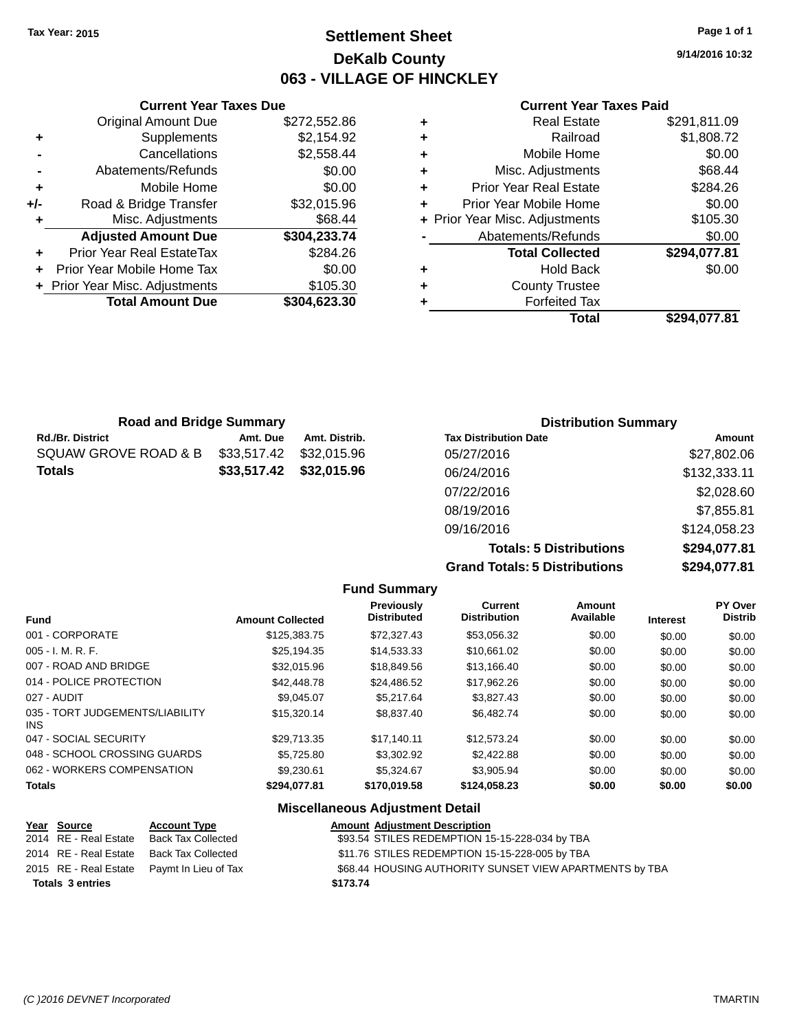## **Settlement Sheet Tax Year: 2015 Page 1 of 1 DeKalb County 063 - VILLAGE OF HINCKLEY**

**9/14/2016 10:32**

#### **Current Year Taxes Paid**

|       | <b>Current Year Taxes Due</b>  |              |
|-------|--------------------------------|--------------|
|       | <b>Original Amount Due</b>     | \$272,552.86 |
| ٠     | Supplements                    | \$2,154.92   |
|       | Cancellations                  | \$2,558.44   |
|       | Abatements/Refunds             | \$0.00       |
| ٠     | Mobile Home                    | \$0.00       |
| $+/-$ | Road & Bridge Transfer         | \$32,015.96  |
| ٠     | Misc. Adjustments              | \$68.44      |
|       | <b>Adjusted Amount Due</b>     | \$304,233.74 |
|       | Prior Year Real EstateTax      | \$284.26     |
|       | Prior Year Mobile Home Tax     | \$0.00       |
|       | + Prior Year Misc. Adjustments | \$105.30     |
|       | <b>Total Amount Due</b>        | \$304,623.30 |
|       |                                |              |

| <b>Road and Bridge Summary</b> |                                          |               | <b>Distribution Summary</b>  |               |
|--------------------------------|------------------------------------------|---------------|------------------------------|---------------|
| <b>Rd./Br. District</b>        | Amt. Due                                 | Amt. Distrib. | <b>Tax Distribution Date</b> | <b>Amount</b> |
| SQUAW GROVE ROAD & B           | \$33,517.42                              | \$32,015.96   | 05/27/2016                   | \$27,802.06   |
| Totals                         | \$33,517.42<br>\$32,015.96<br>06/24/2016 | \$132,333.11  |                              |               |
|                                |                                          |               | 07/22/2016                   | \$2,028.60    |
|                                |                                          |               | 08/19/2016                   | \$7,855.81    |
|                                |                                          |               | 09/16/2016                   | \$124,058.23  |
|                                |                                          |               |                              | *********     |

**Totals: 5 Distributions \$294,077.81 Grand Totals: 5 Distributions \$294,077.81**

|                                               |                         | <b>Fund Summary</b>              |                                       |                     |                 |                           |
|-----------------------------------------------|-------------------------|----------------------------------|---------------------------------------|---------------------|-----------------|---------------------------|
| Fund                                          | <b>Amount Collected</b> | <b>Previously</b><br>Distributed | <b>Current</b><br><b>Distribution</b> | Amount<br>Available | <b>Interest</b> | PY Over<br><b>Distrib</b> |
| 001 - CORPORATE                               | \$125,383,75            | \$72,327.43                      | \$53,056.32                           | \$0.00              | \$0.00          | \$0.00                    |
| $005 - I. M. R. F.$                           | \$25.194.35             | \$14,533.33                      | \$10,661.02                           | \$0.00              | \$0.00          | \$0.00                    |
| 007 - ROAD AND BRIDGE                         | \$32,015.96             | \$18,849.56                      | \$13,166.40                           | \$0.00              | \$0.00          | \$0.00                    |
| 014 - POLICE PROTECTION                       | \$42,448.78             | \$24,486.52                      | \$17,962.26                           | \$0.00              | \$0.00          | \$0.00                    |
| 027 - AUDIT                                   | \$9.045.07              | \$5.217.64                       | \$3,827.43                            | \$0.00              | \$0.00          | \$0.00                    |
| 035 - TORT JUDGEMENTS/LIABILITY<br><b>INS</b> | \$15,320.14             | \$8,837.40                       | \$6,482.74                            | \$0.00              | \$0.00          | \$0.00                    |
| 047 - SOCIAL SECURITY                         | \$29.713.35             | \$17.140.11                      | \$12,573.24                           | \$0.00              | \$0.00          | \$0.00                    |
| 048 - SCHOOL CROSSING GUARDS                  | \$5,725.80              | \$3,302.92                       | \$2,422.88                            | \$0.00              | \$0.00          | \$0.00                    |
| 062 - WORKERS COMPENSATION                    | \$9,230.61              | \$5,324.67                       | \$3,905.94                            | \$0.00              | \$0.00          | \$0.00                    |
| <b>Totals</b>                                 | \$294,077.81            | \$170,019.58                     | \$124,058.23                          | \$0.00              | \$0.00          | \$0.00                    |
|                                               |                         |                                  |                                       |                     |                 |                           |

#### **Miscellaneous Adjustment Detail**

| Year Source             | <b>Account Type</b>                        | <b>Amount Adjustment Description</b>                    |
|-------------------------|--------------------------------------------|---------------------------------------------------------|
| 2014 RE - Real Estate   | Back Tax Collected                         | \$93.54 STILES REDEMPTION 15-15-228-034 by TBA          |
| 2014 RE - Real Estate   | Back Tax Collected                         | \$11.76 STILES REDEMPTION 15-15-228-005 by TBA          |
|                         | 2015 RE - Real Estate Paymt In Lieu of Tax | \$68.44 HOUSING AUTHORITY SUNSET VIEW APARTMENTS by TBA |
| <b>Totals 3 entries</b> |                                            | \$173.74                                                |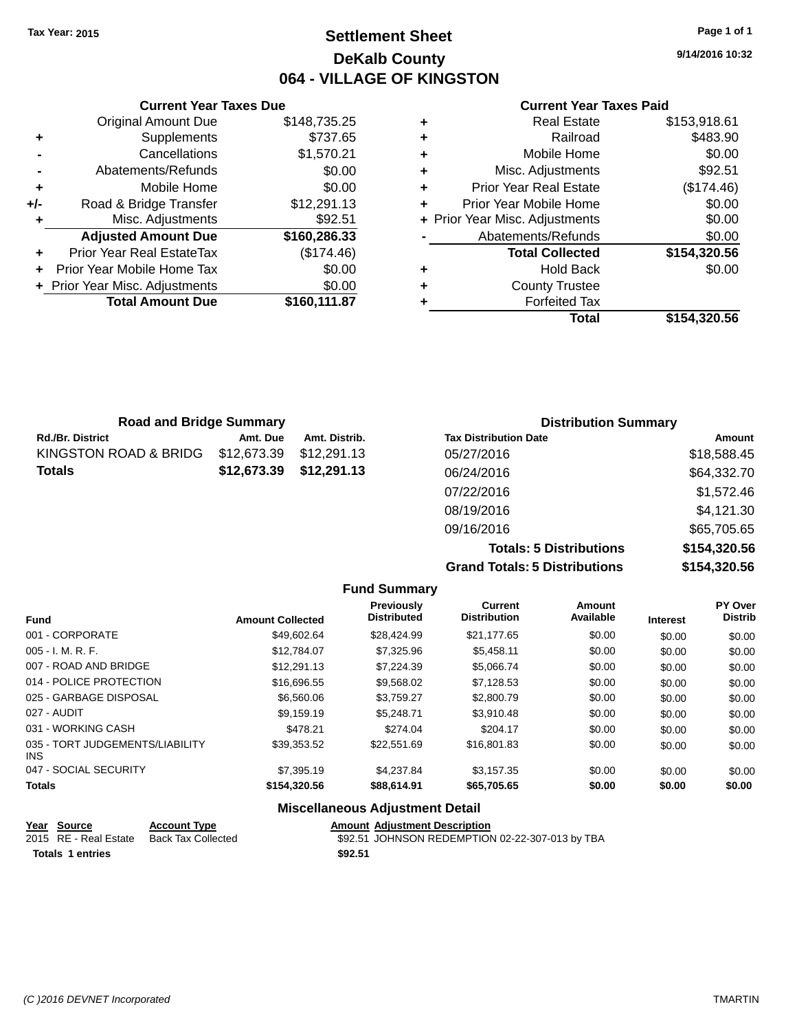## **Settlement Sheet Tax Year: 2015 Page 1 of 1 DeKalb County 064 - VILLAGE OF KINGSTON**

**9/14/2016 10:32**

#### **Current Year Taxes Paid**

|     | <b>Current Year Taxes Due</b>  |              |
|-----|--------------------------------|--------------|
|     | <b>Original Amount Due</b>     | \$148,735.25 |
| ٠   | Supplements                    | \$737.65     |
|     | Cancellations                  | \$1,570.21   |
|     | Abatements/Refunds             | \$0.00       |
| ٠   | Mobile Home                    | \$0.00       |
| +/- | Road & Bridge Transfer         | \$12,291.13  |
|     | Misc. Adjustments              | \$92.51      |
|     | <b>Adjusted Amount Due</b>     | \$160,286.33 |
|     | Prior Year Real EstateTax      | (\$174.46)   |
|     | Prior Year Mobile Home Tax     | \$0.00       |
|     | + Prior Year Misc. Adjustments | \$0.00       |
|     | <b>Total Amount Due</b>        | \$160,111.87 |
|     |                                |              |

| ٠ | <b>Real Estate</b>             | \$153,918.61 |
|---|--------------------------------|--------------|
| ٠ | Railroad                       | \$483.90     |
| ٠ | Mobile Home                    | \$0.00       |
| ٠ | Misc. Adjustments              | \$92.51      |
| ٠ | <b>Prior Year Real Estate</b>  | (\$174.46)   |
| ٠ | Prior Year Mobile Home         | \$0.00       |
|   | + Prior Year Misc. Adjustments | \$0.00       |
|   | Abatements/Refunds             | \$0.00       |
|   | <b>Total Collected</b>         | \$154,320.56 |
| ٠ | <b>Hold Back</b>               | \$0.00       |
| ٠ | <b>County Trustee</b>          |              |
| ٠ | <b>Forfeited Tax</b>           |              |
|   | Total                          | \$154,320.56 |
|   |                                |              |

| <b>Road and Bridge Summary</b> |             |               | <b>Distribution Summary</b>  |             |
|--------------------------------|-------------|---------------|------------------------------|-------------|
| Rd./Br. District               | Amt. Due    | Amt. Distrib. | <b>Tax Distribution Date</b> | Amount      |
| KINGSTON ROAD & BRIDG          | \$12,673.39 | \$12.291.13   | 05/27/2016                   | \$18,588.45 |
| Totals                         | \$12,673.39 | \$12,291.13   | 06/24/2016                   | \$64,332.70 |
|                                |             |               | 07/22/2016                   | \$1,572.46  |
|                                |             |               | 08/19/2016                   | \$4,121.30  |
|                                |             |               | 09/16/2016                   | \$65,705.65 |

**Totals: 5 Distributions \$154,320.56 Grand Totals: 5 Distributions \$154,320.56**

|                                         |                         | <b>Fund Summary</b>                     |                                       |                     |                 |                           |
|-----------------------------------------|-------------------------|-----------------------------------------|---------------------------------------|---------------------|-----------------|---------------------------|
| <b>Fund</b>                             | <b>Amount Collected</b> | <b>Previously</b><br><b>Distributed</b> | <b>Current</b><br><b>Distribution</b> | Amount<br>Available | <b>Interest</b> | PY Over<br><b>Distrib</b> |
| 001 - CORPORATE                         | \$49,602.64             | \$28,424.99                             | \$21,177.65                           | \$0.00              | \$0.00          | \$0.00                    |
| $005 - I. M. R. F.$                     | \$12,784,07             | \$7,325.96                              | \$5,458.11                            | \$0.00              | \$0.00          | \$0.00                    |
| 007 - ROAD AND BRIDGE                   | \$12,291.13             | \$7,224.39                              | \$5,066.74                            | \$0.00              | \$0.00          | \$0.00                    |
| 014 - POLICE PROTECTION                 | \$16,696.55             | \$9,568.02                              | \$7,128.53                            | \$0.00              | \$0.00          | \$0.00                    |
| 025 - GARBAGE DISPOSAL                  | \$6,560.06              | \$3,759.27                              | \$2,800.79                            | \$0.00              | \$0.00          | \$0.00                    |
| 027 - AUDIT                             | \$9,159.19              | \$5,248.71                              | \$3,910.48                            | \$0.00              | \$0.00          | \$0.00                    |
| 031 - WORKING CASH                      | \$478.21                | \$274.04                                | \$204.17                              | \$0.00              | \$0.00          | \$0.00                    |
| 035 - TORT JUDGEMENTS/LIABILITY<br>INS. | \$39,353.52             | \$22,551.69                             | \$16,801.83                           | \$0.00              | \$0.00          | \$0.00                    |
| 047 - SOCIAL SECURITY                   | \$7,395.19              | \$4,237.84                              | \$3,157.35                            | \$0.00              | \$0.00          | \$0.00                    |
| <b>Totals</b>                           | \$154,320.56            | \$88,614.91                             | \$65,705.65                           | \$0.00              | \$0.00          | \$0.00                    |

# **Miscellaneous Adjustment Detail**

| <u>Year Source</u>      | <b>Account Type</b> | <b>Amount Adjustment Description</b>            |
|-------------------------|---------------------|-------------------------------------------------|
| 2015 RE - Real Estate   | Back Tax Collected  | \$92.51 JOHNSON REDEMPTION 02-22-307-013 by TBA |
| <b>Totals 1 entries</b> |                     | \$92.51                                         |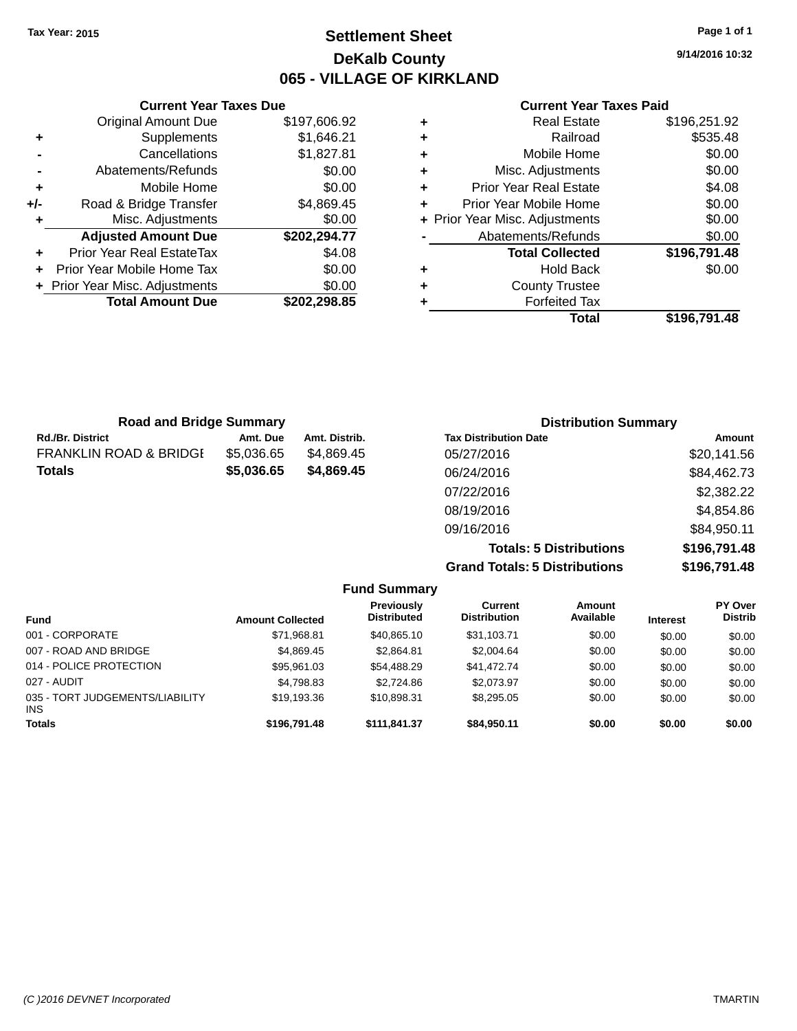## **Settlement Sheet Tax Year: 2015 Page 1 of 1 DeKalb County 065 - VILLAGE OF KIRKLAND**

**9/14/2016 10:32**

|     | <b>Current Year Taxes Due</b>  |              |
|-----|--------------------------------|--------------|
|     | <b>Original Amount Due</b>     | \$197,606.92 |
| ٠   | Supplements                    | \$1,646.21   |
|     | Cancellations                  | \$1,827.81   |
|     | Abatements/Refunds             | \$0.00       |
| ٠   | Mobile Home                    | \$0.00       |
| +/- | Road & Bridge Transfer         | \$4,869.45   |
| ٠   | Misc. Adjustments              | \$0.00       |
|     | <b>Adjusted Amount Due</b>     | \$202,294.77 |
| ٠   | Prior Year Real EstateTax      | \$4.08       |
|     | Prior Year Mobile Home Tax     | \$0.00       |
|     | + Prior Year Misc. Adjustments | \$0.00       |
|     | <b>Total Amount Due</b>        | \$202.298.85 |
|     |                                |              |

#### **Current Year Taxes Paid**

|   | Total                          | \$196,791.48 |
|---|--------------------------------|--------------|
| ٠ | <b>Forfeited Tax</b>           |              |
| ٠ | <b>County Trustee</b>          |              |
| ٠ | <b>Hold Back</b>               | \$0.00       |
|   | <b>Total Collected</b>         | \$196,791.48 |
|   | Abatements/Refunds             | \$0.00       |
|   | + Prior Year Misc. Adjustments | \$0.00       |
| ٠ | Prior Year Mobile Home         | \$0.00       |
| ٠ | <b>Prior Year Real Estate</b>  | \$4.08       |
| ٠ | Misc. Adjustments              | \$0.00       |
| ٠ | Mobile Home                    | \$0.00       |
| ٠ | Railroad                       | \$535.48     |
| ٠ | <b>Real Estate</b>             | \$196,251.92 |

| <b>Road and Bridge Summary</b>    |            |               | <b>Distribution Summary</b>  |             |
|-----------------------------------|------------|---------------|------------------------------|-------------|
| <b>Rd./Br. District</b>           | Amt. Due   | Amt. Distrib. | <b>Tax Distribution Date</b> | Amount      |
| <b>FRANKLIN ROAD &amp; BRIDGI</b> | \$5,036.65 | \$4.869.45    | 05/27/2016                   | \$20,141.56 |
| <b>Totals</b>                     | \$5,036.65 | \$4,869.45    | 06/24/2016                   | \$84,462.73 |
|                                   |            |               | 07/22/2016                   | \$2,382.22  |
|                                   |            |               | 08/19/2016                   | \$4,854.86  |
|                                   |            |               | 09/16/2016                   | \$84,950.11 |
|                                   |            |               | -----                        | **** -** ** |

**Totals: 5 Distributions \$196,791.48 Grand Totals: 5 Distributions \$196,791.48**

|                                               |                         | <b>Fund Summary</b>                     |                                |                     |                 |                           |
|-----------------------------------------------|-------------------------|-----------------------------------------|--------------------------------|---------------------|-----------------|---------------------------|
| <b>Fund</b>                                   | <b>Amount Collected</b> | <b>Previously</b><br><b>Distributed</b> | Current<br><b>Distribution</b> | Amount<br>Available | <b>Interest</b> | PY Over<br><b>Distrib</b> |
| 001 - CORPORATE                               | \$71,968.81             | \$40.865.10                             | \$31.103.71                    | \$0.00              | \$0.00          | \$0.00                    |
| 007 - ROAD AND BRIDGE                         | \$4.869.45              | \$2,864.81                              | \$2,004.64                     | \$0.00              | \$0.00          | \$0.00                    |
| 014 - POLICE PROTECTION                       | \$95,961.03             | \$54,488,29                             | \$41,472.74                    | \$0.00              | \$0.00          | \$0.00                    |
| 027 - AUDIT                                   | \$4,798.83              | \$2,724.86                              | \$2.073.97                     | \$0.00              | \$0.00          | \$0.00                    |
| 035 - TORT JUDGEMENTS/LIABILITY<br><b>INS</b> | \$19,193.36             | \$10.898.31                             | \$8,295,05                     | \$0.00              | \$0.00          | \$0.00                    |
| <b>Totals</b>                                 | \$196,791.48            | \$111,841.37                            | \$84,950,11                    | \$0.00              | \$0.00          | \$0.00                    |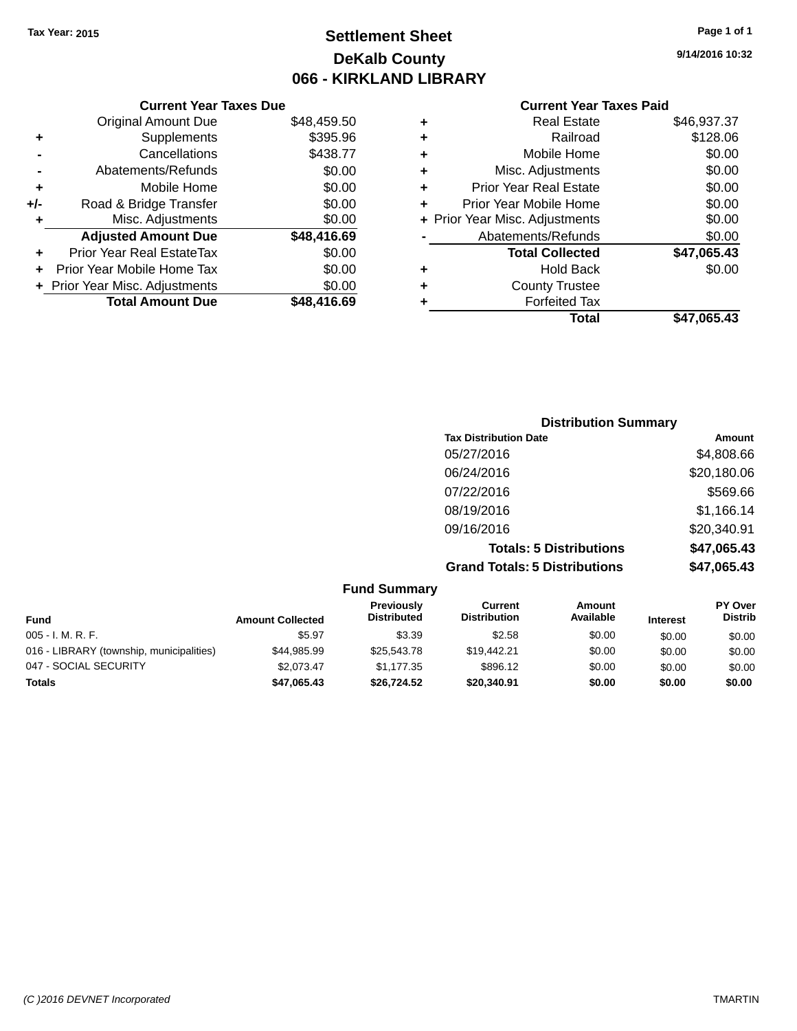## **Settlement Sheet Tax Year: 2015 Page 1 of 1 DeKalb County 066 - KIRKLAND LIBRARY**

**9/14/2016 10:32**

## **Current Year Taxes Paid**

|     | <b>Current Year Taxes Due</b>  |             |   | <b>Current Year Taxes Paid</b> |             |
|-----|--------------------------------|-------------|---|--------------------------------|-------------|
|     | <b>Original Amount Due</b>     | \$48,459.50 |   | <b>Real Estate</b>             | \$46,937.37 |
| ٠   | Supplements                    | \$395.96    | ٠ | Railroad                       | \$128.06    |
|     | Cancellations                  | \$438.77    | ٠ | Mobile Home                    | \$0.00      |
|     | Abatements/Refunds             | \$0.00      | ٠ | Misc. Adjustments              | \$0.00      |
| ٠   | Mobile Home                    | \$0.00      | ٠ | <b>Prior Year Real Estate</b>  | \$0.00      |
| +/- | Road & Bridge Transfer         | \$0.00      | ٠ | Prior Year Mobile Home         | \$0.00      |
|     | Misc. Adjustments              | \$0.00      |   | + Prior Year Misc. Adjustments | \$0.00      |
|     | <b>Adjusted Amount Due</b>     | \$48,416.69 |   | Abatements/Refunds             | \$0.00      |
| ٠   | Prior Year Real EstateTax      | \$0.00      |   | <b>Total Collected</b>         | \$47,065.43 |
| ٠   | Prior Year Mobile Home Tax     | \$0.00      | ٠ | <b>Hold Back</b>               | \$0.00      |
|     | + Prior Year Misc. Adjustments | \$0.00      | ٠ | <b>County Trustee</b>          |             |
|     | <b>Total Amount Due</b>        | \$48,416.69 |   | <b>Forfeited Tax</b>           |             |
|     |                                |             |   | <b>Total</b>                   | \$47,065.43 |

| <b>Distribution Summary</b>          |             |
|--------------------------------------|-------------|
| <b>Tax Distribution Date</b>         | Amount      |
| 05/27/2016                           | \$4,808.66  |
| 06/24/2016                           | \$20,180.06 |
| 07/22/2016                           | \$569.66    |
| 08/19/2016                           | \$1,166.14  |
| 09/16/2016                           | \$20,340.91 |
| <b>Totals: 5 Distributions</b>       | \$47,065.43 |
| <b>Grand Totals: 5 Distributions</b> | \$47,065.43 |

|                                          |                         | <b>Fund Summary</b>                     |                                       |                     |                 |                           |
|------------------------------------------|-------------------------|-----------------------------------------|---------------------------------------|---------------------|-----------------|---------------------------|
| <b>Fund</b>                              | <b>Amount Collected</b> | <b>Previously</b><br><b>Distributed</b> | <b>Current</b><br><b>Distribution</b> | Amount<br>Available | <b>Interest</b> | PY Over<br><b>Distrib</b> |
| $005 - I. M. R. F.$                      | \$5.97                  | \$3.39                                  | \$2.58                                | \$0.00              | \$0.00          | \$0.00                    |
| 016 - LIBRARY (township, municipalities) | \$44,985.99             | \$25,543,78                             | \$19,442.21                           | \$0.00              | \$0.00          | \$0.00                    |
| 047 - SOCIAL SECURITY                    | \$2.073.47              | \$1.177.35                              | \$896.12                              | \$0.00              | \$0.00          | \$0.00                    |
| <b>Totals</b>                            | \$47,065.43             | \$26,724.52                             | \$20,340.91                           | \$0.00              | \$0.00          | \$0.00                    |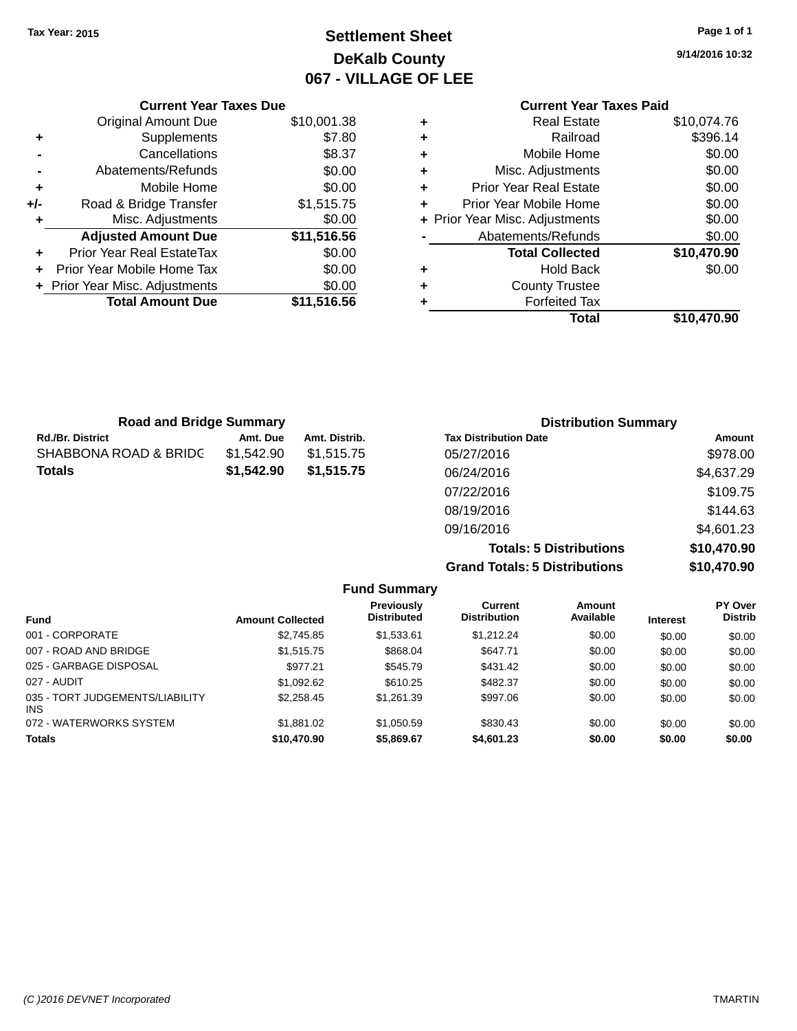## **Settlement Sheet Tax Year: 2015 Page 1 of 1 DeKalb County 067 - VILLAGE OF LEE**

**9/14/2016 10:32**

|   | <b>Current Year Taxes Paid</b> |             |
|---|--------------------------------|-------------|
| ٠ | <b>Real Estate</b>             | \$10,074.76 |
| ٠ | Railroad                       | \$396.14    |
| ٠ | Mobile Home                    | \$0.00      |
| ٠ | Misc. Adjustments              | \$0.00      |
| ٠ | <b>Prior Year Real Estate</b>  | \$0.00      |
| ٠ | Prior Year Mobile Home         | \$0.00      |
|   | + Prior Year Misc. Adjustments | \$0.00      |
|   | Abatements/Refunds             | \$0.00      |
|   | <b>Total Collected</b>         | \$10,470.90 |
| ٠ | <b>Hold Back</b>               | \$0.00      |
|   | <b>County Trustee</b>          |             |
|   | <b>Forfeited Tax</b>           |             |
|   | Total                          | \$10,470.90 |

|     | <b>Current Year Taxes Due</b>  |             |
|-----|--------------------------------|-------------|
|     | <b>Original Amount Due</b>     | \$10,001.38 |
| ٠   | Supplements                    | \$7.80      |
|     | Cancellations                  | \$8.37      |
|     | Abatements/Refunds             | \$0.00      |
| ٠   | Mobile Home                    | \$0.00      |
| +/- | Road & Bridge Transfer         | \$1,515.75  |
| ٠   | Misc. Adjustments              | \$0.00      |
|     | <b>Adjusted Amount Due</b>     | \$11,516.56 |
|     | Prior Year Real EstateTax      | \$0.00      |
|     | Prior Year Mobile Home Tax     | \$0.00      |
|     | + Prior Year Misc. Adjustments | \$0.00      |
|     | <b>Total Amount Due</b>        | \$11,516.56 |
|     |                                |             |

| <b>Road and Bridge Summary</b> |            |               | <b>Distribution Summary</b>    |             |  |
|--------------------------------|------------|---------------|--------------------------------|-------------|--|
| <b>Rd./Br. District</b>        | Amt. Due   | Amt. Distrib. | <b>Tax Distribution Date</b>   | Amount      |  |
| SHABBONA ROAD & BRIDC          | \$1,542.90 | \$1,515.75    | 05/27/2016                     | \$978.00    |  |
| Totals                         | \$1,542.90 | \$1,515.75    | 06/24/2016                     | \$4,637.29  |  |
|                                |            |               | 07/22/2016                     | \$109.75    |  |
|                                |            |               | 08/19/2016                     | \$144.63    |  |
|                                |            |               | 09/16/2016                     | \$4,601.23  |  |
|                                |            |               | <b>Totals: 5 Distributions</b> | \$10,470.90 |  |
|                                |            |               |                                |             |  |

**Grand Totals: 5 Distributions \$10,470.90**

|                                         |                         | <b>Fund Summary</b>                     |                                       |                     |                 |                           |
|-----------------------------------------|-------------------------|-----------------------------------------|---------------------------------------|---------------------|-----------------|---------------------------|
| <b>Fund</b>                             | <b>Amount Collected</b> | <b>Previously</b><br><b>Distributed</b> | <b>Current</b><br><b>Distribution</b> | Amount<br>Available | <b>Interest</b> | PY Over<br><b>Distrib</b> |
| 001 - CORPORATE                         | \$2,745.85              | \$1,533.61                              | \$1.212.24                            | \$0.00              | \$0.00          | \$0.00                    |
| 007 - ROAD AND BRIDGE                   | \$1,515.75              | \$868.04                                | \$647.71                              | \$0.00              | \$0.00          | \$0.00                    |
| 025 - GARBAGE DISPOSAL                  | \$977.21                | \$545.79                                | \$431.42                              | \$0.00              | \$0.00          | \$0.00                    |
| 027 - AUDIT                             | \$1,092.62              | \$610.25                                | \$482.37                              | \$0.00              | \$0.00          | \$0.00                    |
| 035 - TORT JUDGEMENTS/LIABILITY<br>INS. | \$2,258,45              | \$1.261.39                              | \$997.06                              | \$0.00              | \$0.00          | \$0.00                    |
| 072 - WATERWORKS SYSTEM                 | \$1,881.02              | \$1,050.59                              | \$830.43                              | \$0.00              | \$0.00          | \$0.00                    |
| <b>Totals</b>                           | \$10,470.90             | \$5,869.67                              | \$4,601.23                            | \$0.00              | \$0.00          | \$0.00                    |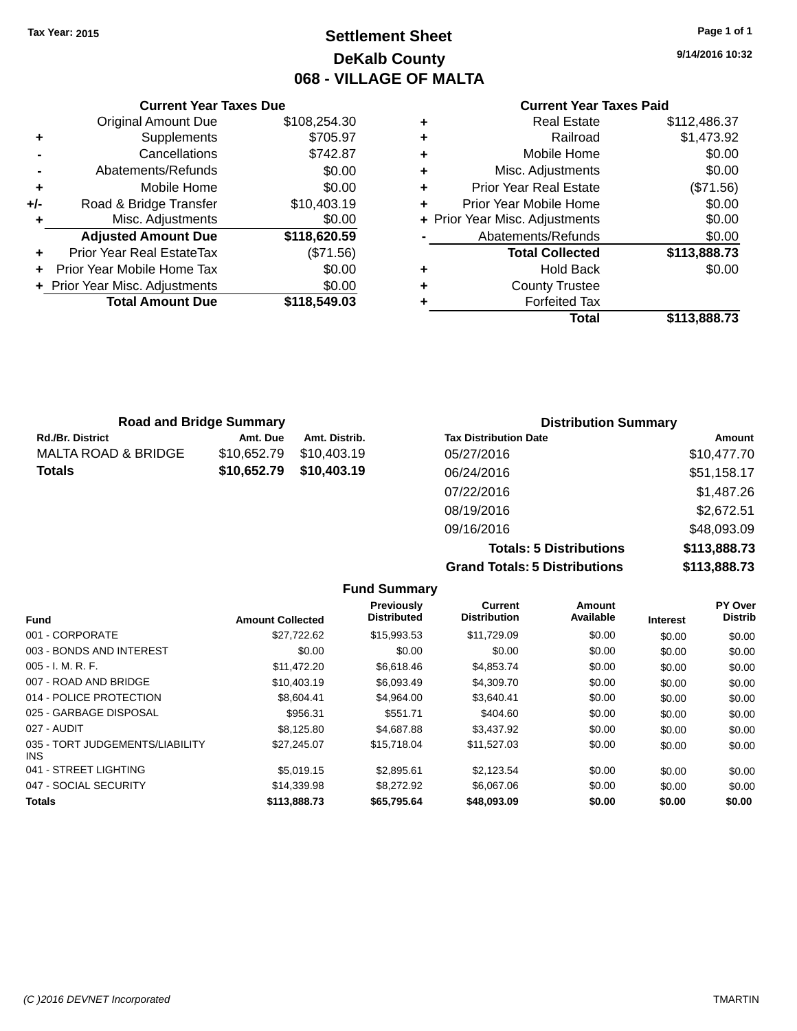## **Settlement Sheet Tax Year: 2015 Page 1 of 1 DeKalb County 068 - VILLAGE OF MALTA**

**9/14/2016 10:32**

#### **Current Year Taxes Paid**

|       | <b>Current Year Taxes Due</b>  |              |  |  |  |
|-------|--------------------------------|--------------|--|--|--|
|       | <b>Original Amount Due</b>     | \$108,254.30 |  |  |  |
| ٠     | Supplements                    | \$705.97     |  |  |  |
|       | Cancellations                  | \$742.87     |  |  |  |
|       | Abatements/Refunds             | \$0.00       |  |  |  |
| ٠     | Mobile Home                    | \$0.00       |  |  |  |
| $+/-$ | Road & Bridge Transfer         | \$10,403.19  |  |  |  |
|       | Misc. Adjustments              | \$0.00       |  |  |  |
|       | <b>Adjusted Amount Due</b>     | \$118,620.59 |  |  |  |
| ٠     | Prior Year Real EstateTax      | (\$71.56)    |  |  |  |
|       | Prior Year Mobile Home Tax     | \$0.00       |  |  |  |
|       | + Prior Year Misc. Adjustments | \$0.00       |  |  |  |
|       | <b>Total Amount Due</b>        | \$118,549.03 |  |  |  |
|       |                                |              |  |  |  |

|   | <b>Real Estate</b>             | \$112,486.37 |
|---|--------------------------------|--------------|
| ٠ | Railroad                       | \$1,473.92   |
| ٠ | Mobile Home                    | \$0.00       |
| ٠ | Misc. Adjustments              | \$0.00       |
| ٠ | <b>Prior Year Real Estate</b>  | (\$71.56)    |
| ٠ | Prior Year Mobile Home         | \$0.00       |
|   | + Prior Year Misc. Adjustments | \$0.00       |
|   | Abatements/Refunds             | \$0.00       |
|   | <b>Total Collected</b>         | \$113,888.73 |
| ٠ | <b>Hold Back</b>               | \$0.00       |
| ٠ | <b>County Trustee</b>          |              |
| ٠ | <b>Forfeited Tax</b>           |              |
|   | Total                          | \$113,888.73 |
|   |                                |              |

| <b>Road and Bridge Summary</b> |             |               | <b>Distribution Summary</b>  |             |  |
|--------------------------------|-------------|---------------|------------------------------|-------------|--|
| Rd./Br. District               | Amt. Due    | Amt. Distrib. | <b>Tax Distribution Date</b> | Amount      |  |
| MALTA ROAD & BRIDGE            | \$10.652.79 | \$10.403.19   | 05/27/2016                   | \$10,477.70 |  |
| Totals                         | \$10,652.79 | \$10,403.19   | 06/24/2016                   | \$51,158.17 |  |
|                                |             |               | 07/22/2016                   | \$1,487.26  |  |
|                                |             |               | 08/19/2016                   | \$2,672.51  |  |
|                                |             |               | 09/16/2016                   | \$48,093.09 |  |

**Totals: 5 Distributions \$113,888.73 Grand Totals: 5 Distributions \$113,888.73**

|                                         |                         | <b>Fund Summary</b>                     |                                       |                     |                 |                           |
|-----------------------------------------|-------------------------|-----------------------------------------|---------------------------------------|---------------------|-----------------|---------------------------|
| <b>Fund</b>                             | <b>Amount Collected</b> | <b>Previously</b><br><b>Distributed</b> | <b>Current</b><br><b>Distribution</b> | Amount<br>Available | <b>Interest</b> | PY Over<br><b>Distrib</b> |
| 001 - CORPORATE                         | \$27,722.62             | \$15,993.53                             | \$11,729.09                           | \$0.00              | \$0.00          | \$0.00                    |
| 003 - BONDS AND INTEREST                | \$0.00                  | \$0.00                                  | \$0.00                                | \$0.00              | \$0.00          | \$0.00                    |
| $005 - I. M. R. F.$                     | \$11.472.20             | \$6.618.46                              | \$4,853.74                            | \$0.00              | \$0.00          | \$0.00                    |
| 007 - ROAD AND BRIDGE                   | \$10,403.19             | \$6,093.49                              | \$4,309.70                            | \$0.00              | \$0.00          | \$0.00                    |
| 014 - POLICE PROTECTION                 | \$8,604.41              | \$4.964.00                              | \$3.640.41                            | \$0.00              | \$0.00          | \$0.00                    |
| 025 - GARBAGE DISPOSAL                  | \$956.31                | \$551.71                                | \$404.60                              | \$0.00              | \$0.00          | \$0.00                    |
| 027 - AUDIT                             | \$8,125.80              | \$4,687.88                              | \$3,437.92                            | \$0.00              | \$0.00          | \$0.00                    |
| 035 - TORT JUDGEMENTS/LIABILITY<br>INS. | \$27,245.07             | \$15,718.04                             | \$11,527.03                           | \$0.00              | \$0.00          | \$0.00                    |
| 041 - STREET LIGHTING                   | \$5.019.15              | \$2.895.61                              | \$2,123.54                            | \$0.00              | \$0.00          | \$0.00                    |
| 047 - SOCIAL SECURITY                   | \$14,339.98             | \$8,272.92                              | \$6,067.06                            | \$0.00              | \$0.00          | \$0.00                    |
| <b>Totals</b>                           | \$113,888.73            | \$65,795.64                             | \$48,093.09                           | \$0.00              | \$0.00          | \$0.00                    |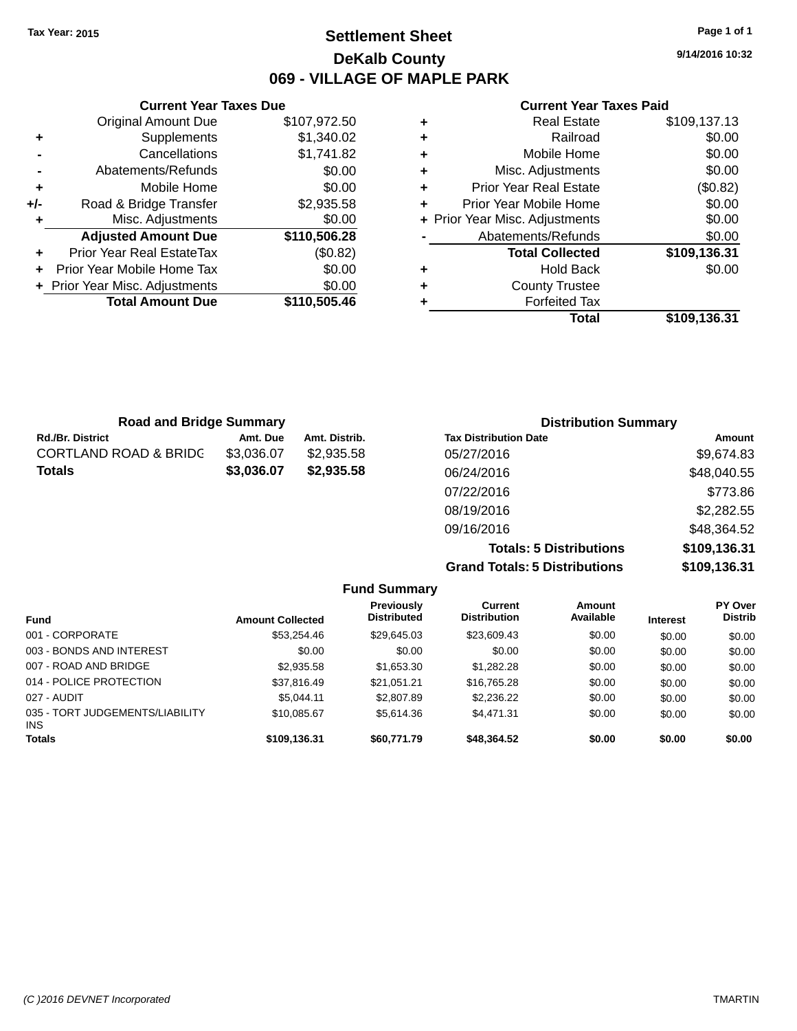## **Settlement Sheet Tax Year: 2015 Page 1 of 1 DeKalb County 069 - VILLAGE OF MAPLE PARK**

**9/14/2016 10:32**

#### **Current Year Taxes Paid**

|     | <b>Current Year Taxes Due</b>    |              |  |
|-----|----------------------------------|--------------|--|
|     | <b>Original Amount Due</b>       | \$107,972.50 |  |
| ٠   | Supplements                      | \$1,340.02   |  |
|     | Cancellations                    | \$1,741.82   |  |
|     | Abatements/Refunds               | \$0.00       |  |
| ٠   | Mobile Home                      | \$0.00       |  |
| +/- | Road & Bridge Transfer           | \$2,935.58   |  |
| ٠   | Misc. Adjustments                | \$0.00       |  |
|     | <b>Adjusted Amount Due</b>       | \$110,506.28 |  |
| ٠   | <b>Prior Year Real EstateTax</b> | (\$0.82)     |  |
|     | Prior Year Mobile Home Tax       | \$0.00       |  |
|     | + Prior Year Misc. Adjustments   | \$0.00       |  |
|     | <b>Total Amount Due</b>          | \$110,505.46 |  |
|     |                                  |              |  |

|   | Total                          | \$109,136.31 |
|---|--------------------------------|--------------|
| ٠ | <b>Forfeited Tax</b>           |              |
| ٠ | <b>County Trustee</b>          |              |
| ٠ | <b>Hold Back</b>               | \$0.00       |
|   | <b>Total Collected</b>         | \$109,136.31 |
|   | Abatements/Refunds             | \$0.00       |
|   | + Prior Year Misc. Adjustments | \$0.00       |
| ٠ | Prior Year Mobile Home         | \$0.00       |
| ٠ | <b>Prior Year Real Estate</b>  | (\$0.82)     |
| ٠ | Misc. Adjustments              | \$0.00       |
| ٠ | Mobile Home                    | \$0.00       |
| ٠ | Railroad                       | \$0.00       |
|   | <b>Real Estate</b>             | \$109,137.13 |

| <b>Road and Bridge Summary</b>   |            |               | <b>Distribution Summary</b>  |             |  |
|----------------------------------|------------|---------------|------------------------------|-------------|--|
| <b>Rd./Br. District</b>          | Amt. Due   | Amt. Distrib. | <b>Tax Distribution Date</b> | Amount      |  |
| <b>CORTLAND ROAD &amp; BRIDG</b> | \$3,036.07 | \$2,935.58    | 05/27/2016                   | \$9,674.83  |  |
| <b>Totals</b>                    | \$3,036.07 | \$2,935.58    | 06/24/2016                   | \$48,040.55 |  |
|                                  |            |               | 07/22/2016                   | \$773.86    |  |
|                                  |            |               | 08/19/2016                   | \$2,282.55  |  |
|                                  |            |               | 09/16/2016                   | \$48,364.52 |  |

**Totals: 5 Distributions \$109,136.31 Grand Totals: 5 Distributions \$109,136.31**

|                                               |                         | <b>Fund Summary</b>                     |                                |                     |                 |                                  |
|-----------------------------------------------|-------------------------|-----------------------------------------|--------------------------------|---------------------|-----------------|----------------------------------|
| <b>Fund</b>                                   | <b>Amount Collected</b> | <b>Previously</b><br><b>Distributed</b> | Current<br><b>Distribution</b> | Amount<br>Available | <b>Interest</b> | <b>PY Over</b><br><b>Distrib</b> |
| 001 - CORPORATE                               | \$53.254.46             | \$29,645.03                             | \$23,609.43                    | \$0.00              | \$0.00          | \$0.00                           |
| 003 - BONDS AND INTEREST                      | \$0.00                  | \$0.00                                  | \$0.00                         | \$0.00              | \$0.00          | \$0.00                           |
| 007 - ROAD AND BRIDGE                         | \$2.935.58              | \$1,653.30                              | \$1,282.28                     | \$0.00              | \$0.00          | \$0.00                           |
| 014 - POLICE PROTECTION                       | \$37,816.49             | \$21.051.21                             | \$16,765.28                    | \$0.00              | \$0.00          | \$0.00                           |
| 027 - AUDIT                                   | \$5.044.11              | \$2,807.89                              | \$2,236.22                     | \$0.00              | \$0.00          | \$0.00                           |
| 035 - TORT JUDGEMENTS/LIABILITY<br><b>INS</b> | \$10,085.67             | \$5,614.36                              | \$4,471.31                     | \$0.00              | \$0.00          | \$0.00                           |
| <b>Totals</b>                                 | \$109,136.31            | \$60.771.79                             | \$48,364.52                    | \$0.00              | \$0.00          | \$0.00                           |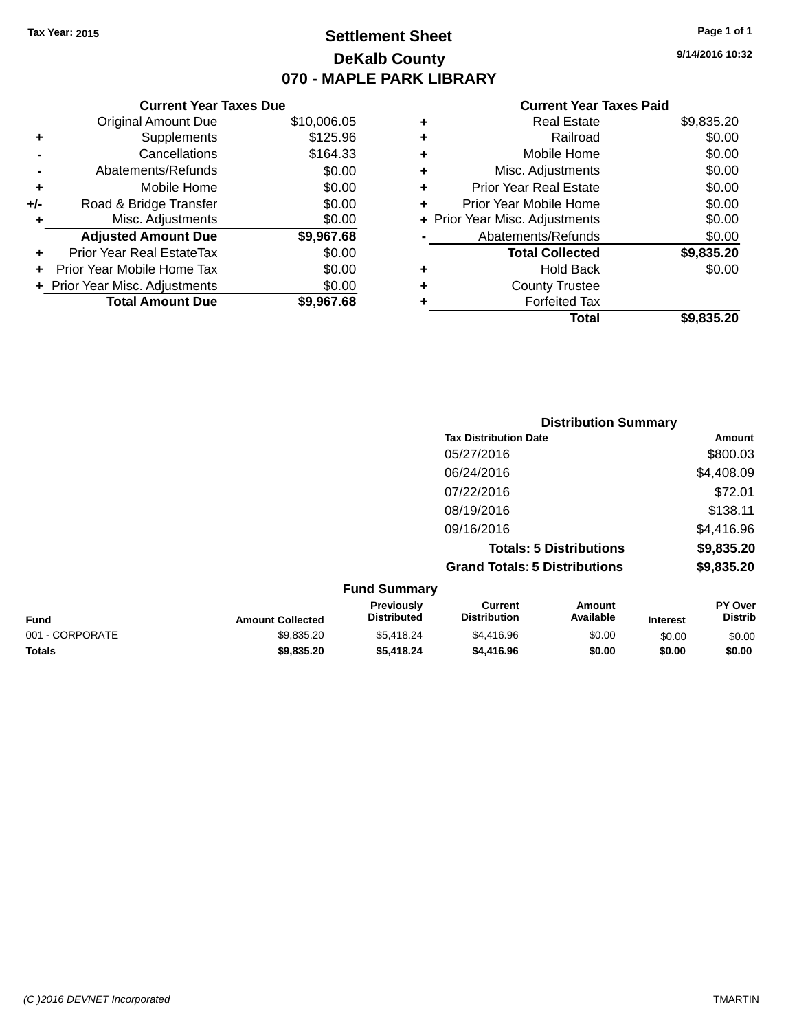## **Settlement Sheet Tax Year: 2015 Page 1 of 1 DeKalb County 070 - MAPLE PARK LIBRARY**

**9/14/2016 10:32**

| <b>Current Year Taxes Paid</b> |  |  |  |
|--------------------------------|--|--|--|
|--------------------------------|--|--|--|

|     | <b>Current Year Taxes Due</b>  |             |
|-----|--------------------------------|-------------|
|     | <b>Original Amount Due</b>     | \$10,006.05 |
| ٠   | Supplements                    | \$125.96    |
|     | Cancellations                  | \$164.33    |
|     | Abatements/Refunds             | \$0.00      |
| ٠   | Mobile Home                    | \$0.00      |
| +/- | Road & Bridge Transfer         | \$0.00      |
| ٠   | Misc. Adjustments              | \$0.00      |
|     | <b>Adjusted Amount Due</b>     | \$9,967.68  |
| ÷   | Prior Year Real EstateTax      | \$0.00      |
| ÷   | Prior Year Mobile Home Tax     | \$0.00      |
|     | + Prior Year Misc. Adjustments | \$0.00      |
|     | <b>Total Amount Due</b>        | \$9,967.68  |
|     |                                |             |

| ٠ | <b>Real Estate</b>             | \$9,835.20 |
|---|--------------------------------|------------|
| ٠ | Railroad                       | \$0.00     |
| ٠ | Mobile Home                    | \$0.00     |
| ٠ | Misc. Adjustments              | \$0.00     |
| ٠ | <b>Prior Year Real Estate</b>  | \$0.00     |
| ÷ | Prior Year Mobile Home         | \$0.00     |
|   | + Prior Year Misc. Adjustments | \$0.00     |
|   | Abatements/Refunds             | \$0.00     |
|   | <b>Total Collected</b>         | \$9,835.20 |
| ٠ | Hold Back                      | \$0.00     |
| ٠ | <b>County Trustee</b>          |            |
| ٠ | <b>Forfeited Tax</b>           |            |
|   | Total                          | \$9,835,20 |
|   |                                |            |

|                     | <b>Distribution Summary</b>          |                                |            |  |
|---------------------|--------------------------------------|--------------------------------|------------|--|
|                     | <b>Tax Distribution Date</b>         |                                | Amount     |  |
|                     | 05/27/2016                           |                                | \$800.03   |  |
|                     | 06/24/2016                           |                                | \$4,408.09 |  |
|                     | 07/22/2016                           |                                | \$72.01    |  |
|                     | 08/19/2016                           |                                | \$138.11   |  |
|                     | 09/16/2016                           |                                | \$4,416.96 |  |
|                     |                                      | <b>Totals: 5 Distributions</b> | \$9,835.20 |  |
|                     | <b>Grand Totals: 5 Distributions</b> |                                | \$9,835.20 |  |
| <b>Fund Summary</b> |                                      |                                |            |  |
| Previously          | <b>Current</b>                       | Amount                         | PY Over    |  |

| <b>Fund</b>     | <b>Amount Collected</b> | <b>Previously</b><br><b>Distributed</b> | Current<br><b>Distribution</b> | Amount<br>Available | <b>Interest</b> | <b>PY Over</b><br>Distrib |
|-----------------|-------------------------|-----------------------------------------|--------------------------------|---------------------|-----------------|---------------------------|
| 001 - CORPORATE | \$9.835.20              | \$5.418.24                              | \$4,416.96                     | \$0.00              | \$0.00          | \$0.00                    |
| <b>Totals</b>   | \$9,835,20              | \$5,418.24                              | \$4,416.96                     | \$0.00              | \$0.00          | \$0.00                    |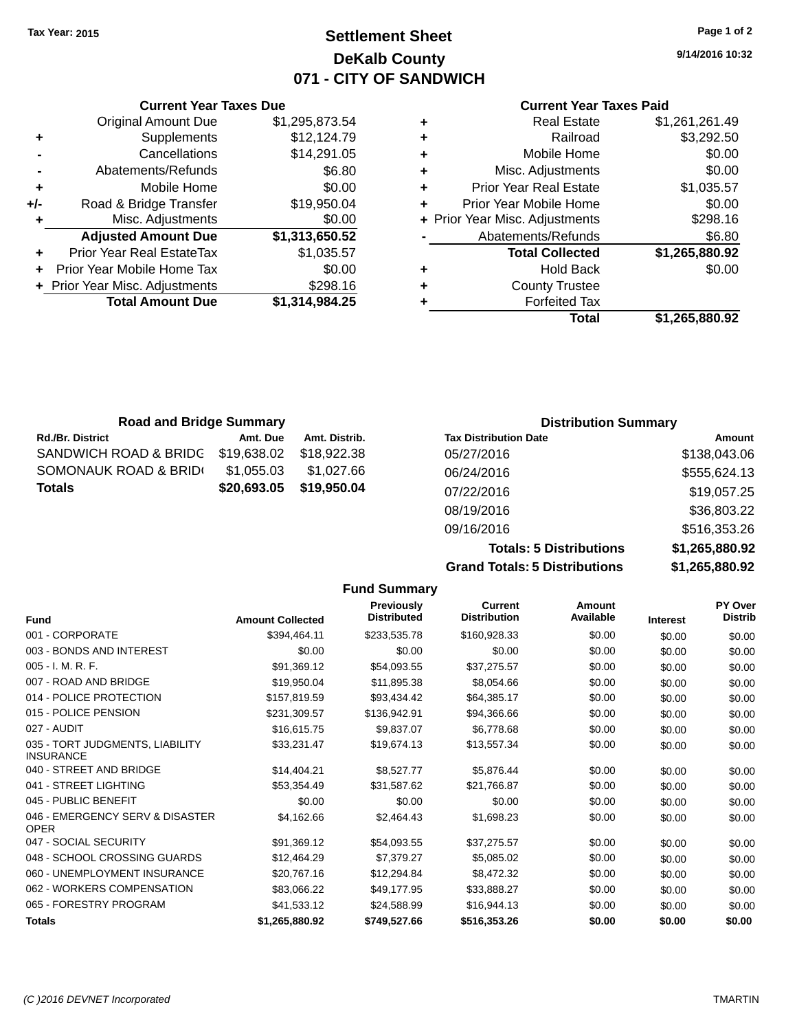## **Settlement Sheet Tax Year: 2015 Page 1 of 2 DeKalb County 071 - CITY OF SANDWICH**

**9/14/2016 10:32**

#### **Current Year Taxes Paid**

| ٠ | <b>Real Estate</b>             | \$1,261,261.49 |
|---|--------------------------------|----------------|
| ٠ | Railroad                       | \$3,292.50     |
| ٠ | Mobile Home                    | \$0.00         |
| ٠ | Misc. Adjustments              | \$0.00         |
| ٠ | <b>Prior Year Real Estate</b>  | \$1,035.57     |
| ٠ | Prior Year Mobile Home         | \$0.00         |
|   | + Prior Year Misc. Adjustments | \$298.16       |
|   | Abatements/Refunds             | \$6.80         |
|   | <b>Total Collected</b>         | \$1,265,880.92 |
| ٠ | Hold Back                      | \$0.00         |
| ٠ | <b>County Trustee</b>          |                |
|   | <b>Forfeited Tax</b>           |                |
|   | Total                          | \$1,265,880.92 |

|     | <b>Current Year Taxes Due</b>  |                |  |  |  |  |
|-----|--------------------------------|----------------|--|--|--|--|
|     | <b>Original Amount Due</b>     | \$1,295,873.54 |  |  |  |  |
| ٠   | Supplements                    | \$12,124.79    |  |  |  |  |
|     | Cancellations                  | \$14,291.05    |  |  |  |  |
|     | Abatements/Refunds             | \$6.80         |  |  |  |  |
| ٠   | Mobile Home                    | \$0.00         |  |  |  |  |
| +/- | Road & Bridge Transfer         | \$19,950.04    |  |  |  |  |
| ٠   | Misc. Adjustments              | \$0.00         |  |  |  |  |
|     | <b>Adjusted Amount Due</b>     | \$1,313,650.52 |  |  |  |  |
|     | Prior Year Real EstateTax      | \$1,035.57     |  |  |  |  |
| ٠   | Prior Year Mobile Home Tax     | \$0.00         |  |  |  |  |
|     | + Prior Year Misc. Adjustments | \$298.16       |  |  |  |  |
|     | <b>Total Amount Due</b>        | \$1,314,984.25 |  |  |  |  |

| <b>Road and Bridge Summary</b> |             |               | <b>Distribution Summary</b>  |              |
|--------------------------------|-------------|---------------|------------------------------|--------------|
| <b>Rd./Br. District</b>        | Amt. Due    | Amt. Distrib. | <b>Tax Distribution Date</b> | Amount       |
| SANDWICH ROAD & BRIDG          | \$19,638.02 | \$18,922.38   | 05/27/2016                   | \$138,043.06 |
| SOMONAUK ROAD & BRIDI          | \$1,055.03  | \$1.027.66    | 06/24/2016                   | \$555,624.13 |
| <b>Totals</b>                  | \$20,693.05 | \$19,950.04   | 07/22/2016                   | \$19,057.25  |
|                                |             |               | 08/19/2016                   | \$36,803.22  |

| 09/16/2016                           | \$516,353.26   |
|--------------------------------------|----------------|
| <b>Totals: 5 Distributions</b>       | \$1,265,880.92 |
| <b>Grand Totals: 5 Distributions</b> | \$1.265.880.92 |
|                                      |                |

|                                                     |                         | <b>Fund Summary</b>                     |                                       |                            |                 |                           |
|-----------------------------------------------------|-------------------------|-----------------------------------------|---------------------------------------|----------------------------|-----------------|---------------------------|
| <b>Fund</b>                                         | <b>Amount Collected</b> | <b>Previously</b><br><b>Distributed</b> | <b>Current</b><br><b>Distribution</b> | <b>Amount</b><br>Available | <b>Interest</b> | PY Over<br><b>Distrib</b> |
| 001 - CORPORATE                                     | \$394,464.11            | \$233,535.78                            | \$160,928.33                          | \$0.00                     | \$0.00          | \$0.00                    |
| 003 - BONDS AND INTEREST                            | \$0.00                  | \$0.00                                  | \$0.00                                | \$0.00                     | \$0.00          | \$0.00                    |
| 005 - I. M. R. F.                                   | \$91,369.12             | \$54,093.55                             | \$37,275.57                           | \$0.00                     | \$0.00          | \$0.00                    |
| 007 - ROAD AND BRIDGE                               | \$19,950.04             | \$11,895.38                             | \$8,054.66                            | \$0.00                     | \$0.00          | \$0.00                    |
| 014 - POLICE PROTECTION                             | \$157,819.59            | \$93,434.42                             | \$64,385.17                           | \$0.00                     | \$0.00          | \$0.00                    |
| 015 - POLICE PENSION                                | \$231,309.57            | \$136,942.91                            | \$94,366.66                           | \$0.00                     | \$0.00          | \$0.00                    |
| 027 - AUDIT                                         | \$16,615.75             | \$9,837.07                              | \$6,778.68                            | \$0.00                     | \$0.00          | \$0.00                    |
| 035 - TORT JUDGMENTS, LIABILITY<br><b>INSURANCE</b> | \$33,231.47             | \$19,674.13                             | \$13.557.34                           | \$0.00                     | \$0.00          | \$0.00                    |
| 040 - STREET AND BRIDGE                             | \$14,404.21             | \$8,527.77                              | \$5,876.44                            | \$0.00                     | \$0.00          | \$0.00                    |
| 041 - STREET LIGHTING                               | \$53,354.49             | \$31,587.62                             | \$21,766.87                           | \$0.00                     | \$0.00          | \$0.00                    |
| 045 - PUBLIC BENEFIT                                | \$0.00                  | \$0.00                                  | \$0.00                                | \$0.00                     | \$0.00          | \$0.00                    |
| 046 - EMERGENCY SERV & DISASTER<br><b>OPER</b>      | \$4,162.66              | \$2,464.43                              | \$1,698.23                            | \$0.00                     | \$0.00          | \$0.00                    |
| 047 - SOCIAL SECURITY                               | \$91,369.12             | \$54,093.55                             | \$37,275.57                           | \$0.00                     | \$0.00          | \$0.00                    |
| 048 - SCHOOL CROSSING GUARDS                        | \$12,464.29             | \$7,379.27                              | \$5,085.02                            | \$0.00                     | \$0.00          | \$0.00                    |
| 060 - UNEMPLOYMENT INSURANCE                        | \$20.767.16             | \$12,294.84                             | \$8,472.32                            | \$0.00                     | \$0.00          | \$0.00                    |
| 062 - WORKERS COMPENSATION                          | \$83,066.22             | \$49,177.95                             | \$33,888.27                           | \$0.00                     | \$0.00          | \$0.00                    |
| 065 - FORESTRY PROGRAM                              | \$41,533.12             | \$24,588.99                             | \$16,944.13                           | \$0.00                     | \$0.00          | \$0.00                    |
| <b>Totals</b>                                       | \$1,265,880.92          | \$749,527.66                            | \$516,353.26                          | \$0.00                     | \$0.00          | \$0.00                    |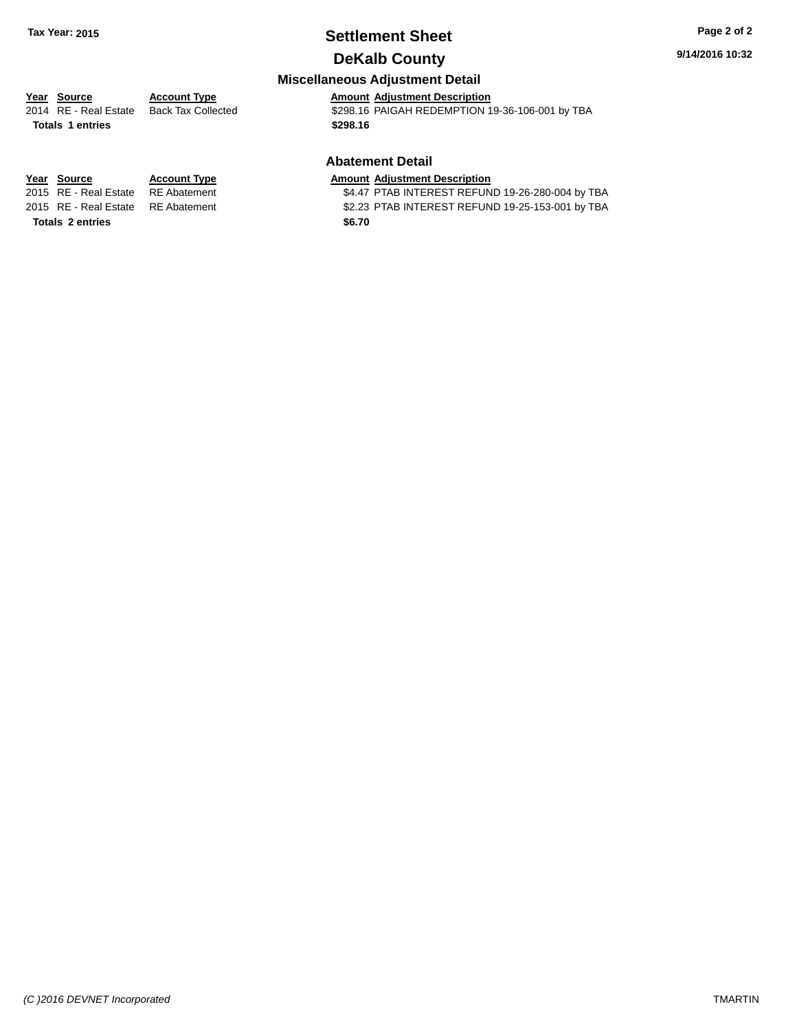# **Settlement Sheet Tax Year: 2015 Page 2 of 2**

## **DeKalb County**

## **Miscellaneous Adjustment Detail**

**Year** Source **Account Type Account Adjustment Description** 2014 RE - Real Estate Back Tax Collected \$298.16 PAIGAH REDEMPTION 19-36-106-001 by TBA **Totals \$298.16 1 entries**

#### **Abatement Detail**

\$4.47 PTAB INTEREST REFUND 19-26-280-004 by TBA 2015 RE - Real Estate RE Abatement \$2.23 PTAB INTEREST REFUND 19-25-153-001 by TBA

**Year Source Account Type Amount Adjustment Description**<br>2015 RE - Real Estate RE Abatement \$4.47 PTAB INTEREST REFUN **Totals 2 entries** \$6.70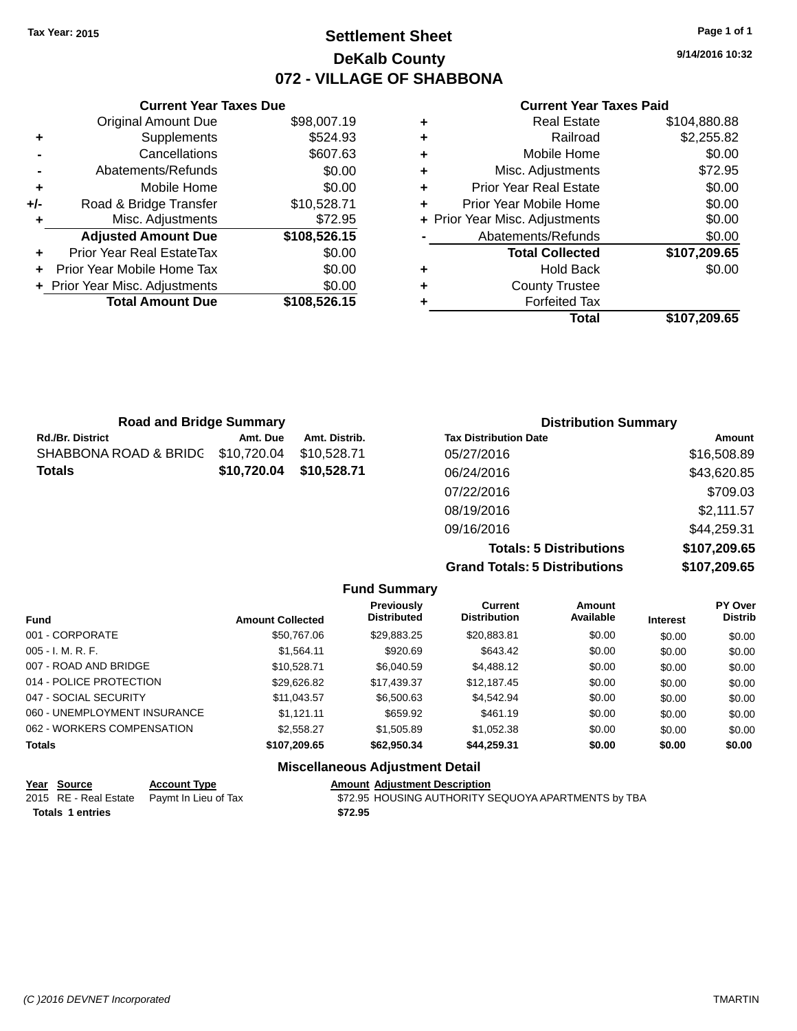## **Settlement Sheet Tax Year: 2015 Page 1 of 1 DeKalb County 072 - VILLAGE OF SHABBONA**

**9/14/2016 10:32**

#### **Current Year Taxes Paid**

|     | <b>Current Year Taxes Due</b>  |              |
|-----|--------------------------------|--------------|
|     | <b>Original Amount Due</b>     | \$98,007.19  |
| ٠   | Supplements                    | \$524.93     |
|     | Cancellations                  | \$607.63     |
|     | Abatements/Refunds             | \$0.00       |
| ٠   | Mobile Home                    | \$0.00       |
| +/- | Road & Bridge Transfer         | \$10,528.71  |
| ٠   | Misc. Adjustments              | \$72.95      |
|     | <b>Adjusted Amount Due</b>     | \$108,526.15 |
| ÷   | Prior Year Real EstateTax      | \$0.00       |
|     | Prior Year Mobile Home Tax     | \$0.00       |
|     | + Prior Year Misc. Adjustments | \$0.00       |
|     | <b>Total Amount Due</b>        | \$108,526.15 |
|     |                                |              |

| ٠ | <b>Real Estate</b>             | \$104,880.88 |
|---|--------------------------------|--------------|
| ٠ | Railroad                       | \$2,255.82   |
| ٠ | Mobile Home                    | \$0.00       |
| ٠ | Misc. Adjustments              | \$72.95      |
| ٠ | <b>Prior Year Real Estate</b>  | \$0.00       |
| ٠ | Prior Year Mobile Home         | \$0.00       |
|   | + Prior Year Misc. Adjustments | \$0.00       |
|   | Abatements/Refunds             | \$0.00       |
|   | <b>Total Collected</b>         | \$107,209.65 |
| ٠ | Hold Back                      | \$0.00       |
| ٠ | <b>County Trustee</b>          |              |
| ٠ | <b>Forfeited Tax</b>           |              |
|   | Total                          | \$107,209.65 |
|   |                                |              |

| <b>Road and Bridge Summary</b> |             |               | <b>Distribution Summary</b>    |              |  |
|--------------------------------|-------------|---------------|--------------------------------|--------------|--|
| Rd./Br. District               | Amt. Due    | Amt. Distrib. | <b>Tax Distribution Date</b>   | Amount       |  |
| SHABBONA ROAD & BRIDC          | \$10,720.04 | \$10,528.71   | 05/27/2016                     | \$16,508.89  |  |
| Totals                         | \$10,720.04 | \$10,528.71   | 06/24/2016                     | \$43,620.85  |  |
|                                |             |               | 07/22/2016                     | \$709.03     |  |
|                                |             |               | 08/19/2016                     | \$2,111.57   |  |
|                                |             |               | 09/16/2016                     | \$44,259.31  |  |
|                                |             |               | <b>Totals: 5 Distributions</b> | \$107,209.65 |  |

**Grand Totals: 5 Distributions \$107,209.65**

|                              |                         | <b>Fund Summary</b>                    |                                       |                     |                 |                                  |
|------------------------------|-------------------------|----------------------------------------|---------------------------------------|---------------------|-----------------|----------------------------------|
| <b>Fund</b>                  | <b>Amount Collected</b> | Previously<br><b>Distributed</b>       | <b>Current</b><br><b>Distribution</b> | Amount<br>Available | <b>Interest</b> | <b>PY Over</b><br><b>Distrib</b> |
| 001 - CORPORATE              | \$50,767.06             | \$29,883.25                            | \$20,883.81                           | \$0.00              | \$0.00          | \$0.00                           |
| 005 - I. M. R. F.            | \$1.564.11              | \$920.69                               | \$643.42                              | \$0.00              | \$0.00          | \$0.00                           |
| 007 - ROAD AND BRIDGE        | \$10.528.71             | \$6,040.59                             | \$4,488.12                            | \$0.00              | \$0.00          | \$0.00                           |
| 014 - POLICE PROTECTION      | \$29,626.82             | \$17.439.37                            | \$12.187.45                           | \$0.00              | \$0.00          | \$0.00                           |
| 047 - SOCIAL SECURITY        | \$11,043.57             | \$6,500.63                             | \$4.542.94                            | \$0.00              | \$0.00          | \$0.00                           |
| 060 - UNEMPLOYMENT INSURANCE | \$1.121.11              | \$659.92                               | \$461.19                              | \$0.00              | \$0.00          | \$0.00                           |
| 062 - WORKERS COMPENSATION   | \$2,558,27              | \$1,505.89                             | \$1,052.38                            | \$0.00              | \$0.00          | \$0.00                           |
| <b>Totals</b>                | \$107.209.65            | \$62,950,34                            | \$44.259.31                           | \$0.00              | \$0.00          | \$0.00                           |
|                              |                         | <b>Miscellaneous Adjustment Detail</b> |                                       |                     |                 |                                  |

| Year Source             | <b>Account Type</b>                        | <b>Amount Adjustment Description</b>                |
|-------------------------|--------------------------------------------|-----------------------------------------------------|
|                         | 2015 RE - Real Estate Paymt In Lieu of Tax | \$72.95 HOUSING AUTHORITY SEQUOYA APARTMENTS by TBA |
| <b>Totals 1 entries</b> |                                            | \$72.95                                             |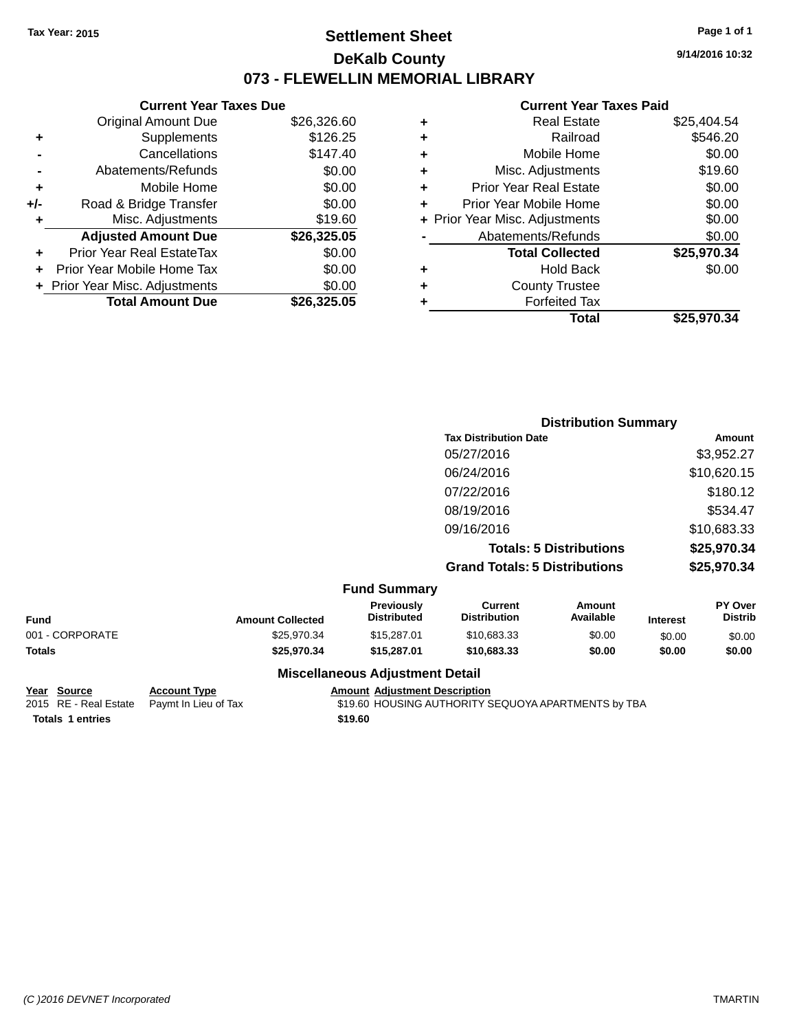## **Settlement Sheet Tax Year: 2015 Page 1 of 1 DeKalb County 073 - FLEWELLIN MEMORIAL LIBRARY**

**9/14/2016 10:32**

#### **Current Year Taxes Paid**

|     | <b>Current Year Taxes Due</b>  |             |  |  |  |  |
|-----|--------------------------------|-------------|--|--|--|--|
|     | <b>Original Amount Due</b>     | \$26,326.60 |  |  |  |  |
| ٠   | Supplements                    | \$126.25    |  |  |  |  |
|     | \$147.40<br>Cancellations      |             |  |  |  |  |
|     | Abatements/Refunds             | \$0.00      |  |  |  |  |
| ٠   | Mobile Home                    | \$0.00      |  |  |  |  |
| +/- | Road & Bridge Transfer         | \$0.00      |  |  |  |  |
| ٠   | Misc. Adjustments              | \$19.60     |  |  |  |  |
|     | <b>Adjusted Amount Due</b>     | \$26,325.05 |  |  |  |  |
| ٠   | Prior Year Real EstateTax      | \$0.00      |  |  |  |  |
| ÷   | Prior Year Mobile Home Tax     | \$0.00      |  |  |  |  |
|     | + Prior Year Misc. Adjustments | \$0.00      |  |  |  |  |
|     | <b>Total Amount Due</b>        | \$26,325,05 |  |  |  |  |
|     |                                |             |  |  |  |  |

| ٠ | <b>Real Estate</b>             | \$25,404.54 |
|---|--------------------------------|-------------|
| ٠ | Railroad                       | \$546.20    |
| ٠ | Mobile Home                    | \$0.00      |
| ٠ | Misc. Adjustments              | \$19.60     |
| ٠ | <b>Prior Year Real Estate</b>  | \$0.00      |
|   | Prior Year Mobile Home         | \$0.00      |
|   | + Prior Year Misc. Adjustments | \$0.00      |
|   | Abatements/Refunds             | \$0.00      |
|   | <b>Total Collected</b>         | \$25,970.34 |
| ٠ | Hold Back                      | \$0.00      |
|   | <b>County Trustee</b>          |             |
| ٠ | <b>Forfeited Tax</b>           |             |
|   | Total                          | \$25,970.34 |
|   |                                |             |

|                                | <b>Distribution Summary</b>          |             |  |
|--------------------------------|--------------------------------------|-------------|--|
|                                | <b>Tax Distribution Date</b>         | Amount      |  |
|                                | 05/27/2016                           | \$3,952.27  |  |
|                                | 06/24/2016                           | \$10,620.15 |  |
|                                | 07/22/2016                           | \$180.12    |  |
|                                | 08/19/2016                           | \$534.47    |  |
|                                | 09/16/2016                           | \$10,683.33 |  |
|                                | <b>Totals: 5 Distributions</b>       | \$25,970.34 |  |
|                                | <b>Grand Totals: 5 Distributions</b> | \$25,970.34 |  |
| $E_{t}$ and $C_{t}$ in $B_{t}$ |                                      |             |  |

|                 |                         | <b>Fund Summary</b>                    |                                |                     |                 |                                  |
|-----------------|-------------------------|----------------------------------------|--------------------------------|---------------------|-----------------|----------------------------------|
| <b>Fund</b>     | <b>Amount Collected</b> | <b>Previously</b><br>Distributed       | Current<br><b>Distribution</b> | Amount<br>Available | <b>Interest</b> | <b>PY Over</b><br><b>Distrib</b> |
| 001 - CORPORATE | \$25.970.34             | \$15,287.01                            | \$10.683.33                    | \$0.00              | \$0.00          | \$0.00                           |
| Totals          | \$25,970.34             | \$15,287.01                            | \$10,683,33                    | \$0.00              | \$0.00          | \$0.00                           |
|                 |                         | <b>Miscellaneous Adjustment Detail</b> |                                |                     |                 |                                  |

# **Totals \$19.60 1 entries**

**Year Source Account Type Amount Adjustment Description**<br>2015 RE - Real Estate Paymt In Lieu of Tax \$19.60 HOUSING AUTHORITY S \$19.60 HOUSING AUTHORITY SEQUOYA APARTMENTS by TBA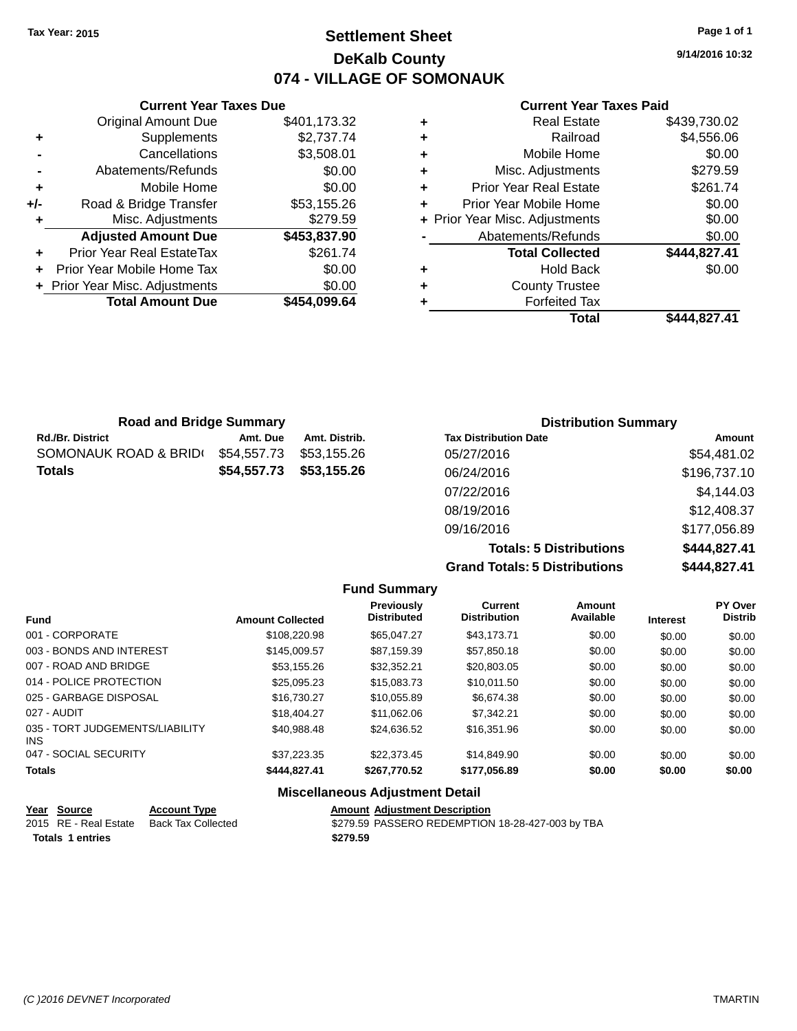## **Settlement Sheet Tax Year: 2015 Page 1 of 1 DeKalb County 074 - VILLAGE OF SOMONAUK**

**9/14/2016 10:32**

|     | <b>Current Year Taxes Due</b>  |              |  |  |  |
|-----|--------------------------------|--------------|--|--|--|
|     | <b>Original Amount Due</b>     | \$401,173.32 |  |  |  |
| ٠   | Supplements                    | \$2,737.74   |  |  |  |
|     | Cancellations                  | \$3,508.01   |  |  |  |
|     | Abatements/Refunds             | \$0.00       |  |  |  |
| ٠   | Mobile Home                    | \$0.00       |  |  |  |
| +/- | Road & Bridge Transfer         | \$53,155.26  |  |  |  |
| ٠   | Misc. Adjustments              | \$279.59     |  |  |  |
|     | <b>Adjusted Amount Due</b>     | \$453,837.90 |  |  |  |
|     | Prior Year Real EstateTax      | \$261.74     |  |  |  |
|     | Prior Year Mobile Home Tax     | \$0.00       |  |  |  |
|     | + Prior Year Misc. Adjustments | \$0.00       |  |  |  |
|     | <b>Total Amount Due</b>        | \$454.099.64 |  |  |  |
|     |                                |              |  |  |  |

#### **Current Year Taxes Paid**

| <b>Real Estate</b>             | \$439,730.02 |
|--------------------------------|--------------|
| Railroad                       | \$4,556.06   |
| Mobile Home                    | \$0.00       |
| Misc. Adjustments              | \$279.59     |
| <b>Prior Year Real Estate</b>  | \$261.74     |
| Prior Year Mobile Home         | \$0.00       |
| + Prior Year Misc. Adjustments | \$0.00       |
| Abatements/Refunds             | \$0.00       |
| <b>Total Collected</b>         | \$444,827.41 |
| <b>Hold Back</b>               | \$0.00       |
| <b>County Trustee</b>          |              |
| <b>Forfeited Tax</b>           |              |
| Total                          | \$444,827.41 |
|                                |              |

| <b>Road and Bridge Summary</b> |             |               | <b>Distribution Summary</b>  |              |  |
|--------------------------------|-------------|---------------|------------------------------|--------------|--|
| <b>Rd./Br. District</b>        | Amt. Due    | Amt. Distrib. | <b>Tax Distribution Date</b> | Amount       |  |
| SOMONAUK ROAD & BRID           | \$54,557.73 | \$53,155.26   | 05/27/2016                   | \$54,481.02  |  |
| <b>Totals</b>                  | \$54,557.73 | \$53,155.26   | 06/24/2016                   | \$196,737.10 |  |
|                                |             |               | 07/22/2016                   | \$4,144.03   |  |
|                                |             |               | 08/19/2016                   | \$12,408.37  |  |
|                                |             |               | 09/16/2016                   | \$177,056.89 |  |

**Totals: 5 Distributions \$444,827.41 Grand Totals: 5 Distributions \$444,827.41**

|                                               |                         | <b>Fund Summary</b>                    |                                       |                     |                 |                                  |
|-----------------------------------------------|-------------------------|----------------------------------------|---------------------------------------|---------------------|-----------------|----------------------------------|
| <b>Fund</b>                                   | <b>Amount Collected</b> | Previously<br><b>Distributed</b>       | <b>Current</b><br><b>Distribution</b> | Amount<br>Available | <b>Interest</b> | <b>PY Over</b><br><b>Distrib</b> |
| 001 - CORPORATE                               | \$108,220.98            | \$65.047.27                            | \$43.173.71                           | \$0.00              | \$0.00          | \$0.00                           |
| 003 - BONDS AND INTEREST                      | \$145,009.57            | \$87.159.39                            | \$57,850.18                           | \$0.00              | \$0.00          | \$0.00                           |
| 007 - ROAD AND BRIDGE                         | \$53,155.26             | \$32,352.21                            | \$20,803.05                           | \$0.00              | \$0.00          | \$0.00                           |
| 014 - POLICE PROTECTION                       | \$25,095.23             | \$15,083.73                            | \$10,011.50                           | \$0.00              | \$0.00          | \$0.00                           |
| 025 - GARBAGE DISPOSAL                        | \$16,730.27             | \$10,055.89                            | \$6,674,38                            | \$0.00              | \$0.00          | \$0.00                           |
| 027 - AUDIT                                   | \$18,404.27             | \$11.062.06                            | \$7.342.21                            | \$0.00              | \$0.00          | \$0.00                           |
| 035 - TORT JUDGEMENTS/LIABILITY<br><b>INS</b> | \$40.988.48             | \$24,636.52                            | \$16,351.96                           | \$0.00              | \$0.00          | \$0.00                           |
| 047 - SOCIAL SECURITY                         | \$37,223.35             | \$22,373.45                            | \$14,849.90                           | \$0.00              | \$0.00          | \$0.00                           |
| <b>Totals</b>                                 | \$444,827.41            | \$267,770.52                           | \$177,056.89                          | \$0.00              | \$0.00          | \$0.00                           |
|                                               |                         | <b>Miscellaneous Adjustment Detail</b> |                                       |                     |                 |                                  |

|                         | Year Source           | <b>Account Type</b> |  | <b>Amount Adiustment Description</b>             |
|-------------------------|-----------------------|---------------------|--|--------------------------------------------------|
|                         | 2015 RE - Real Estate | Back Tax Collected  |  | \$279.59 PASSERO REDEMPTION 18-28-427-003 by TBA |
| <b>Totals 1 entries</b> |                       | \$279.59            |  |                                                  |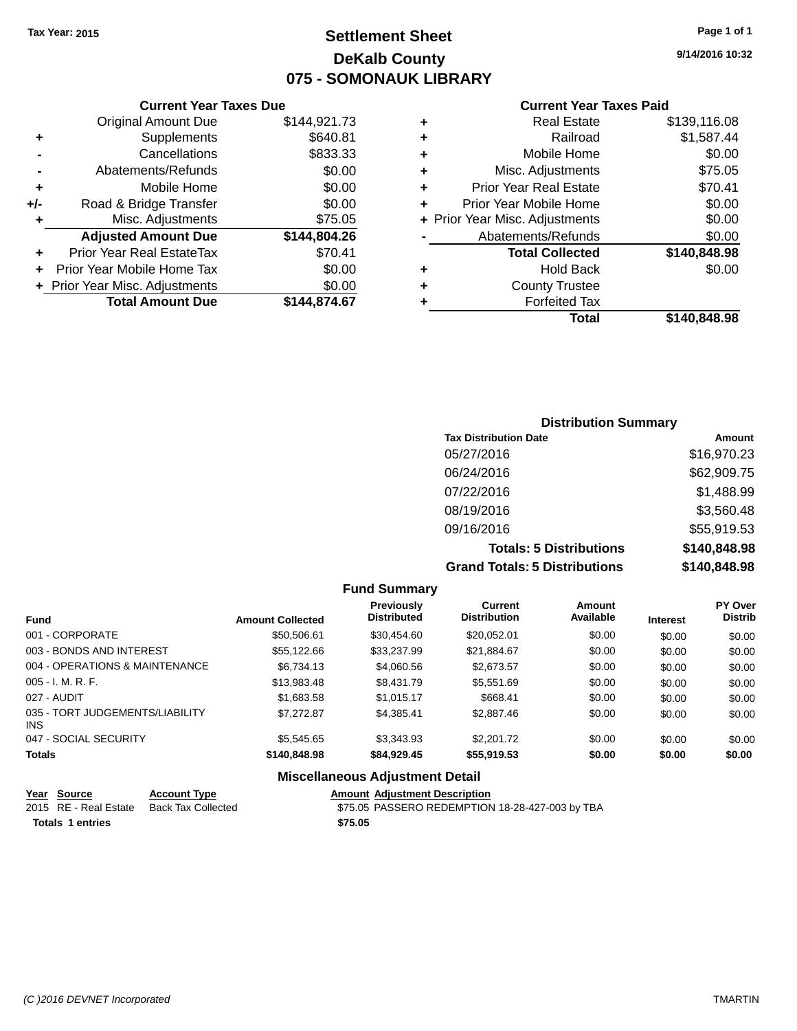## **Settlement Sheet Tax Year: 2015 Page 1 of 1 DeKalb County 075 - SOMONAUK LIBRARY**

**9/14/2016 10:32**

#### **Current Year Taxes Paid**

|     | <b>Current Year Taxes Due</b>  |              |   |
|-----|--------------------------------|--------------|---|
|     | <b>Original Amount Due</b>     | \$144,921.73 |   |
| ٠   | Supplements                    | \$640.81     |   |
|     | Cancellations                  | \$833.33     | 4 |
|     | Abatements/Refunds             | \$0.00       | 4 |
| ٠   | Mobile Home                    | \$0.00       | ۰ |
| +/- | Road & Bridge Transfer         | \$0.00       |   |
| ٠   | Misc. Adjustments              | \$75.05      |   |
|     | <b>Adjusted Amount Due</b>     | \$144,804.26 |   |
| ٠   | Prior Year Real EstateTax      | \$70.41      |   |
|     | Prior Year Mobile Home Tax     | \$0.00       |   |
|     | + Prior Year Misc. Adjustments | \$0.00       | 4 |
|     | <b>Total Amount Due</b>        | \$144,874.67 |   |
|     |                                |              |   |

|   | <b>Real Estate</b>             | \$139,116.08 |
|---|--------------------------------|--------------|
| ٠ | Railroad                       | \$1,587.44   |
| ٠ | Mobile Home                    | \$0.00       |
| ٠ | Misc. Adjustments              | \$75.05      |
| ٠ | <b>Prior Year Real Estate</b>  | \$70.41      |
| ÷ | Prior Year Mobile Home         | \$0.00       |
|   | + Prior Year Misc. Adjustments | \$0.00       |
|   | Abatements/Refunds             | \$0.00       |
|   | <b>Total Collected</b>         | \$140,848.98 |
| ٠ | <b>Hold Back</b>               | \$0.00       |
| ٠ | <b>County Trustee</b>          |              |
| ٠ | <b>Forfeited Tax</b>           |              |
|   | Total                          | \$140,848.98 |
|   |                                |              |

| <b>Distribution Summary</b>          |              |
|--------------------------------------|--------------|
| <b>Tax Distribution Date</b>         | Amount       |
| 05/27/2016                           | \$16,970.23  |
| 06/24/2016                           | \$62,909.75  |
| 07/22/2016                           | \$1,488.99   |
| 08/19/2016                           | \$3,560.48   |
| 09/16/2016                           | \$55,919.53  |
| <b>Totals: 5 Distributions</b>       | \$140,848.98 |
| <b>Grand Totals: 5 Distributions</b> | \$140,848.98 |

**Fund Summary Fund Interest Amount Collected Distributed PY Over Distrib Amount Available Current Distribution Previously** 001 - CORPORATE \$50,506.61 \$30,454.60 \$20,052.01 \$0.00 \$0.00 \$0.00 003 - BONDS AND INTEREST  $$55,122.66$   $$33,237.99$   $$21,884.67$   $$0.00$   $$0.00$   $$0.00$ 004 - OPERATIONS & MAINTENANCE  $$6,734.13$   $$4,060.56$   $$2,673.57$   $$0.00$   $$0.00$   $$0.00$ 005 - I. M. R. F. \$13,983.48 \$8,431.79 \$5,551.69 \$0.00 \$0.00 \$0.00 027 - AUDIT \$1,683.58 \$1,015.17 \$668.41 \$0.00 \$0.00 \$0.00 035 - TORT JUDGEMENTS/LIABILITY INS \$7,272.87 \$4,385.41 \$2,887.46 \$0.00 \$0.00 \$0.00 047 - SOCIAL SECURITY \$5,545.65 \$3,343.93 \$2,201.72 \$0.00 \$0.00 \$0.00 **Totals \$140,848.98 \$84,929.45 \$55,919.53 \$0.00 \$0.00 \$0.00**

## **Miscellaneous Adjustment Detail**

|                  | Year Source           | <b>Account Type</b> | <b>Amount Adiustment Description</b>            |
|------------------|-----------------------|---------------------|-------------------------------------------------|
|                  | 2015 RE - Real Estate | Back Tax Collected  | \$75.05 PASSERO REDEMPTION 18-28-427-003 by TBA |
| Totals 1 entries |                       |                     | \$75.05                                         |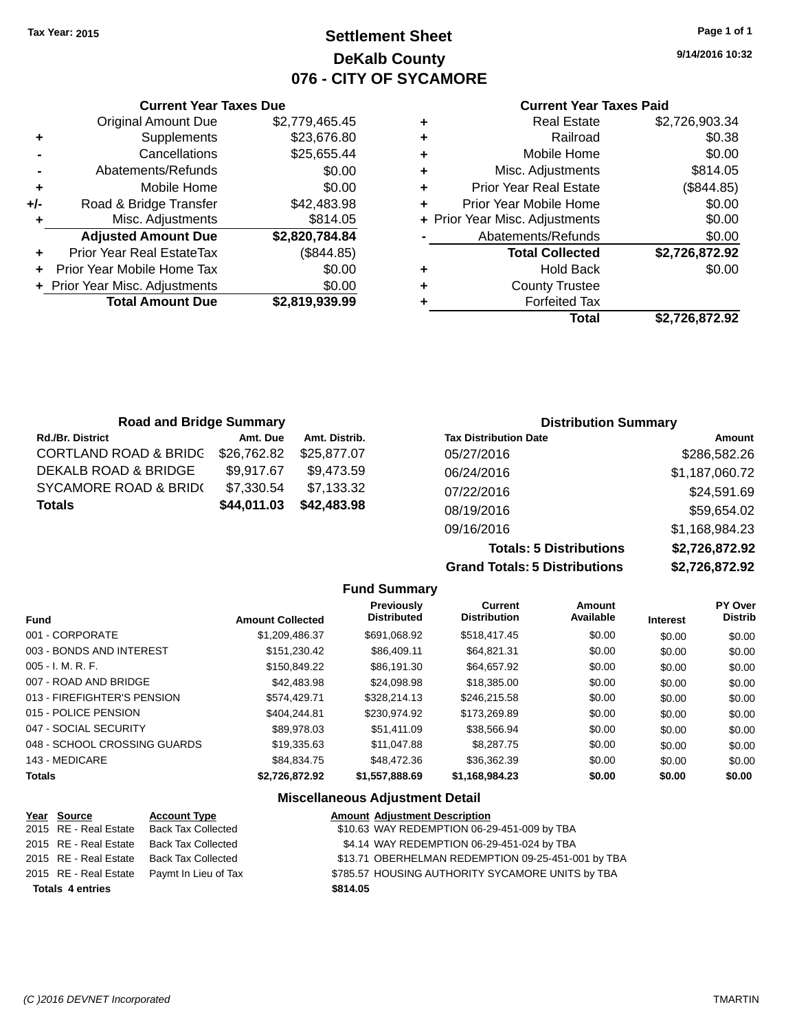## **Settlement Sheet Tax Year: 2015 Page 1 of 1 DeKalb County 076 - CITY OF SYCAMORE**

**9/14/2016 10:32**

#### **Current Year Taxes Paid**

|     | <b>Current Year Taxes Due</b>  |                |  |
|-----|--------------------------------|----------------|--|
|     | <b>Original Amount Due</b>     | \$2,779,465.45 |  |
| ٠   | Supplements                    | \$23,676.80    |  |
|     | Cancellations                  | \$25,655.44    |  |
|     | Abatements/Refunds             | \$0.00         |  |
| ٠   | Mobile Home                    | \$0.00         |  |
| +/- | Road & Bridge Transfer         | \$42,483.98    |  |
| ٠   | Misc. Adjustments              | \$814.05       |  |
|     | <b>Adjusted Amount Due</b>     | \$2,820,784.84 |  |
| ٠   | Prior Year Real EstateTax      | (\$844.85)     |  |
|     | Prior Year Mobile Home Tax     | \$0.00         |  |
|     | + Prior Year Misc. Adjustments | \$0.00         |  |
|     | <b>Total Amount Due</b>        | \$2,819,939.99 |  |
|     |                                |                |  |

| ٠ | <b>Real Estate</b>             | \$2,726,903.34 |
|---|--------------------------------|----------------|
| ٠ | Railroad                       | \$0.38         |
| ٠ | Mobile Home                    | \$0.00         |
| ٠ | Misc. Adjustments              | \$814.05       |
| ٠ | <b>Prior Year Real Estate</b>  | (\$844.85)     |
| ٠ | Prior Year Mobile Home         | \$0.00         |
|   | + Prior Year Misc. Adjustments | \$0.00         |
|   | Abatements/Refunds             | \$0.00         |
|   | <b>Total Collected</b>         | \$2,726,872.92 |
| ٠ | <b>Hold Back</b>               | \$0.00         |
| ٠ | <b>County Trustee</b>          |                |
| ٠ | <b>Forfeited Tax</b>           |                |
|   | Total                          | \$2,726,872.92 |
|   |                                |                |

| <b>Road and Bridge Summary</b>   |             |               | <b>Distribution Summary</b>  |                |  |
|----------------------------------|-------------|---------------|------------------------------|----------------|--|
| <b>Rd./Br. District</b>          | Amt. Due    | Amt. Distrib. | <b>Tax Distribution Date</b> | Amount         |  |
| <b>CORTLAND ROAD &amp; BRIDC</b> | \$26,762.82 | \$25.877.07   | 05/27/2016                   | \$286,582.26   |  |
| DEKALB ROAD & BRIDGE             | \$9,917.67  | \$9,473.59    | 06/24/2016                   | \$1,187,060.72 |  |
| <b>SYCAMORE ROAD &amp; BRID(</b> | \$7,330.54  | \$7,133.32    | 07/22/2016                   | \$24,591.69    |  |
| <b>Totals</b>                    | \$44,011.03 | \$42,483.98   | 08/19/2016                   | \$59,654.02    |  |
|                                  |             |               | 09/16/2016                   | \$1,168,984.23 |  |

**Totals: 5 Distributions Grand Totals: 5 Distributions** 

| \$2,726,872.92 |  |
|----------------|--|
| \$2,726,872.92 |  |
|                |  |

|                              |                         | <b>Fund Summary</b>                     |                                       |                            |                 |                                  |
|------------------------------|-------------------------|-----------------------------------------|---------------------------------------|----------------------------|-----------------|----------------------------------|
| <b>Fund</b>                  | <b>Amount Collected</b> | <b>Previously</b><br><b>Distributed</b> | <b>Current</b><br><b>Distribution</b> | <b>Amount</b><br>Available | <b>Interest</b> | <b>PY Over</b><br><b>Distrib</b> |
| 001 - CORPORATE              | \$1.209.486.37          | \$691.068.92                            | \$518,417.45                          | \$0.00                     | \$0.00          | \$0.00                           |
| 003 - BONDS AND INTEREST     | \$151.230.42            | \$86,409.11                             | \$64,821.31                           | \$0.00                     | \$0.00          | \$0.00                           |
| $005 - I. M. R. F.$          | \$150,849.22            | \$86.191.30                             | \$64,657.92                           | \$0.00                     | \$0.00          | \$0.00                           |
| 007 - ROAD AND BRIDGE        | \$42,483.98             | \$24.098.98                             | \$18,385,00                           | \$0.00                     | \$0.00          | \$0.00                           |
| 013 - FIREFIGHTER'S PENSION  | \$574.429.71            | \$328.214.13                            | \$246,215.58                          | \$0.00                     | \$0.00          | \$0.00                           |
| 015 - POLICE PENSION         | \$404.244.81            | \$230.974.92                            | \$173,269.89                          | \$0.00                     | \$0.00          | \$0.00                           |
| 047 - SOCIAL SECURITY        | \$89.978.03             | \$51,411.09                             | \$38,566.94                           | \$0.00                     | \$0.00          | \$0.00                           |
| 048 - SCHOOL CROSSING GUARDS | \$19.335.63             | \$11.047.88                             | \$8,287.75                            | \$0.00                     | \$0.00          | \$0.00                           |
| 143 - MEDICARE               | \$84.834.75             | \$48,472.36                             | \$36,362.39                           | \$0.00                     | \$0.00          | \$0.00                           |
| <b>Totals</b>                | \$2,726,872.92          | \$1,557,888.69                          | \$1,168,984.23                        | \$0.00                     | \$0.00          | \$0.00                           |

#### **Miscellaneous Adjustment Detail**

|                         | Year Source           | <b>Account Type</b>       | <b>Amount Adjustment Description</b>               |
|-------------------------|-----------------------|---------------------------|----------------------------------------------------|
|                         | 2015 RE - Real Estate | <b>Back Tax Collected</b> | \$10.63 WAY REDEMPTION 06-29-451-009 by TBA        |
|                         | 2015 RE - Real Estate | <b>Back Tax Collected</b> | \$4.14 WAY REDEMPTION 06-29-451-024 by TBA         |
|                         | 2015 RE - Real Estate | <b>Back Tax Collected</b> | \$13.71 OBERHELMAN REDEMPTION 09-25-451-001 by TBA |
|                         | 2015 RE - Real Estate | Paymt In Lieu of Tax      | \$785.57 HOUSING AUTHORITY SYCAMORE UNITS by TBA   |
| <b>Totals 4 entries</b> |                       |                           | \$814.05                                           |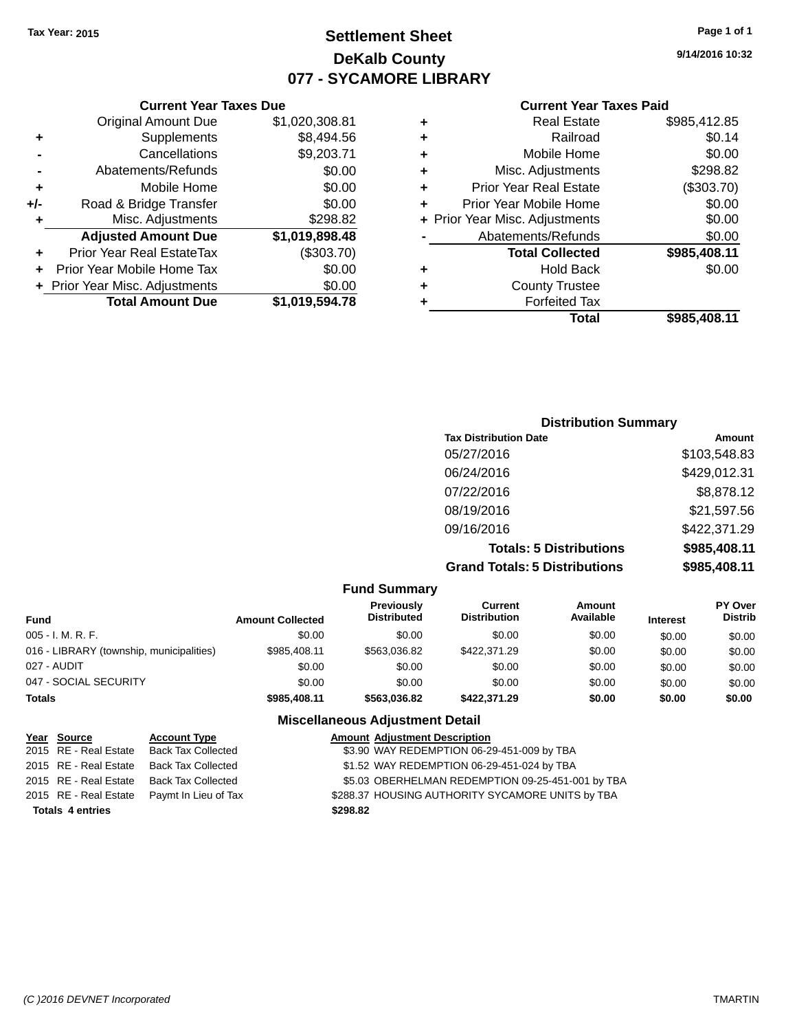## **Settlement Sheet Tax Year: 2015 Page 1 of 1 DeKalb County 077 - SYCAMORE LIBRARY**

**9/14/2016 10:32**

#### **Current Year Taxes Paid**

| ٠ | <b>Forfeited Tax</b>           |              |
|---|--------------------------------|--------------|
| ٠ | <b>County Trustee</b>          |              |
| ٠ | <b>Hold Back</b>               | \$0.00       |
|   | <b>Total Collected</b>         | \$985,408.11 |
|   | Abatements/Refunds             | \$0.00       |
|   | + Prior Year Misc. Adjustments | \$0.00       |
| ÷ | Prior Year Mobile Home         | \$0.00       |
| ٠ | Prior Year Real Estate         | (\$303.70)   |
| ÷ | Misc. Adjustments              | \$298.82     |
| ÷ | Mobile Home                    | \$0.00       |
| ÷ | Railroad                       | \$0.14       |
| ٠ | Real Estate                    | \$985,412.85 |

|     | <b>Current Year Taxes Due</b>    |                |
|-----|----------------------------------|----------------|
|     | <b>Original Amount Due</b>       | \$1,020,308.81 |
| ٠   | Supplements                      | \$8,494.56     |
|     | Cancellations                    | \$9,203.71     |
|     | Abatements/Refunds               | \$0.00         |
| ٠   | Mobile Home                      | \$0.00         |
| +/- | Road & Bridge Transfer           | \$0.00         |
| ٠   | Misc. Adjustments                | \$298.82       |
|     | <b>Adjusted Amount Due</b>       | \$1,019,898.48 |
|     | <b>Prior Year Real EstateTax</b> | (\$303.70)     |
|     | Prior Year Mobile Home Tax       | \$0.00         |
|     | + Prior Year Misc. Adjustments   | \$0.00         |
|     | <b>Total Amount Due</b>          | \$1,019,594.78 |

| <b>Distribution Summary</b>          |              |
|--------------------------------------|--------------|
| <b>Tax Distribution Date</b>         | Amount       |
| 05/27/2016                           | \$103,548.83 |
| 06/24/2016                           | \$429,012.31 |
| 07/22/2016                           | \$8,878.12   |
| 08/19/2016                           | \$21,597.56  |
| 09/16/2016                           | \$422,371.29 |
| <b>Totals: 5 Distributions</b>       | \$985,408.11 |
| <b>Grand Totals: 5 Distributions</b> | \$985,408.11 |

|                                          |                         | <b>Fund Summary</b>              |                                |                            |                 |                                  |
|------------------------------------------|-------------------------|----------------------------------|--------------------------------|----------------------------|-----------------|----------------------------------|
| <b>Fund</b>                              | <b>Amount Collected</b> | Previously<br><b>Distributed</b> | Current<br><b>Distribution</b> | <b>Amount</b><br>Available | <b>Interest</b> | <b>PY Over</b><br><b>Distrib</b> |
| 005 - I. M. R. F.                        | \$0.00                  | \$0.00                           | \$0.00                         | \$0.00                     | \$0.00          | \$0.00                           |
| 016 - LIBRARY (township, municipalities) | \$985,408.11            | \$563,036.82                     | \$422,371,29                   | \$0.00                     | \$0.00          | \$0.00                           |
| 027 - AUDIT                              | \$0.00                  | \$0.00                           | \$0.00                         | \$0.00                     | \$0.00          | \$0.00                           |
| 047 - SOCIAL SECURITY                    | \$0.00                  | \$0.00                           | \$0.00                         | \$0.00                     | \$0.00          | \$0.00                           |
| <b>Totals</b>                            | \$985,408.11            | \$563,036.82                     | \$422,371,29                   | \$0.00                     | \$0.00          | \$0.00                           |

## **Miscellaneous Adjustment Detail**

|                         | Year Source           | <b>Account Type</b>       | <b>Amount Adjustment Description</b>              |
|-------------------------|-----------------------|---------------------------|---------------------------------------------------|
|                         | 2015 RE - Real Estate | <b>Back Tax Collected</b> | \$3.90 WAY REDEMPTION 06-29-451-009 by TBA        |
|                         | 2015 RE - Real Estate | <b>Back Tax Collected</b> | \$1.52 WAY REDEMPTION 06-29-451-024 by TBA        |
|                         | 2015 RE - Real Estate | <b>Back Tax Collected</b> | \$5.03 OBERHELMAN REDEMPTION 09-25-451-001 by TBA |
|                         | 2015 RE - Real Estate | Paymt In Lieu of Tax      | \$288.37 HOUSING AUTHORITY SYCAMORE UNITS by TBA  |
| <b>Totals 4 entries</b> |                       |                           | \$298.82                                          |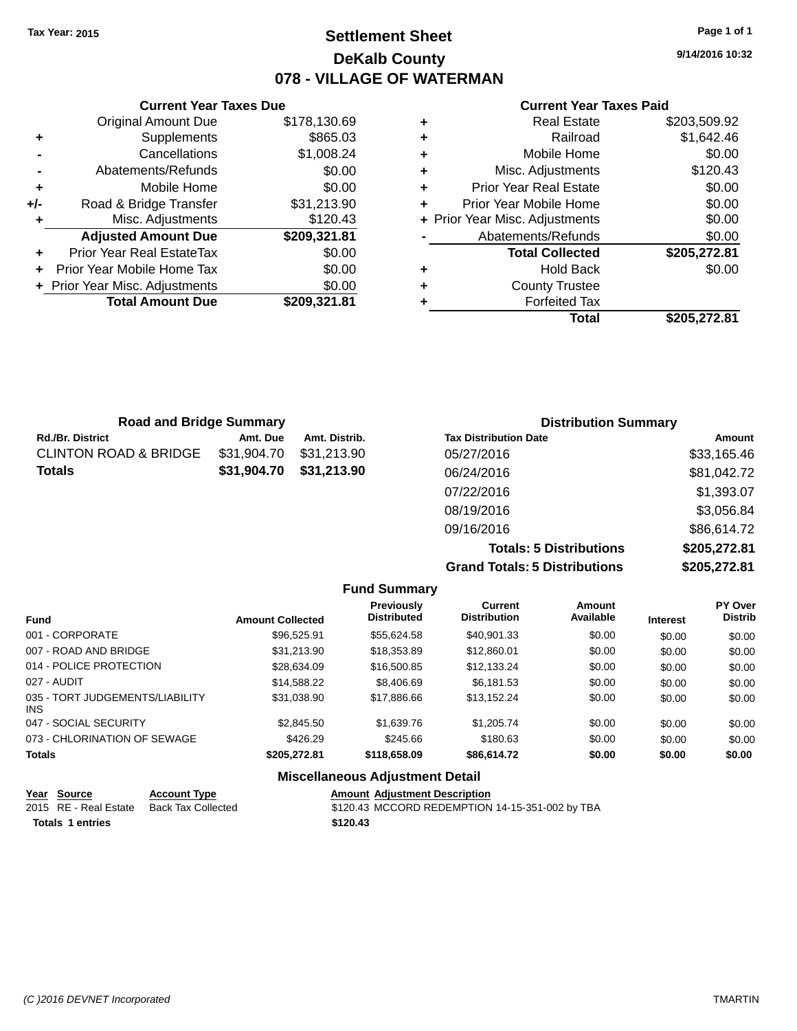## **Settlement Sheet Tax Year: 2015 Page 1 of 1 DeKalb County 078 - VILLAGE OF WATERMAN**

**9/14/2016 10:32**

#### **Current Year Taxes Paid**

|     | <b>Current Year Taxes Due</b>  |              |  |  |  |  |
|-----|--------------------------------|--------------|--|--|--|--|
|     | <b>Original Amount Due</b>     | \$178,130.69 |  |  |  |  |
| ٠   | Supplements                    | \$865.03     |  |  |  |  |
|     | Cancellations                  | \$1,008.24   |  |  |  |  |
| -   | Abatements/Refunds             | \$0.00       |  |  |  |  |
| ٠   | Mobile Home                    | \$0.00       |  |  |  |  |
| +/- | Road & Bridge Transfer         | \$31,213.90  |  |  |  |  |
| ٠   | Misc. Adjustments              | \$120.43     |  |  |  |  |
|     | <b>Adjusted Amount Due</b>     | \$209,321.81 |  |  |  |  |
| ٠   | Prior Year Real EstateTax      | \$0.00       |  |  |  |  |
| ٠   | Prior Year Mobile Home Tax     | \$0.00       |  |  |  |  |
|     | + Prior Year Misc. Adjustments | \$0.00       |  |  |  |  |
|     | <b>Total Amount Due</b>        | \$209,321.81 |  |  |  |  |
|     |                                |              |  |  |  |  |

| ٠ | <b>Real Estate</b>             | \$203,509.92 |
|---|--------------------------------|--------------|
| ٠ | Railroad                       | \$1,642.46   |
| ٠ | Mobile Home                    | \$0.00       |
| ٠ | Misc. Adjustments              | \$120.43     |
| ٠ | <b>Prior Year Real Estate</b>  | \$0.00       |
| ٠ | Prior Year Mobile Home         | \$0.00       |
|   | + Prior Year Misc. Adjustments | \$0.00       |
|   | Abatements/Refunds             | \$0.00       |
|   | <b>Total Collected</b>         | \$205,272.81 |
| ٠ | <b>Hold Back</b>               | \$0.00       |
| ٠ | <b>County Trustee</b>          |              |
|   | <b>Forfeited Tax</b>           |              |
|   | Total                          | \$205,272.81 |

| <b>Road and Bridge Summary</b>   |             |               | <b>Distribution Summary</b>  |             |  |
|----------------------------------|-------------|---------------|------------------------------|-------------|--|
| Rd./Br. District                 | Amt. Due    | Amt. Distrib. | <b>Tax Distribution Date</b> | Amount      |  |
| <b>CLINTON ROAD &amp; BRIDGE</b> | \$31,904.70 | \$31,213.90   | 05/27/2016                   | \$33,165.46 |  |
| <b>Totals</b>                    | \$31,904.70 | \$31,213.90   | 06/24/2016                   | \$81,042.72 |  |
|                                  |             |               | 07/22/2016                   | \$1,393.07  |  |
|                                  |             |               | 08/19/2016                   | \$3,056.84  |  |
|                                  |             |               | 09/16/2016                   | \$86,614.72 |  |
|                                  |             |               |                              |             |  |

**Totals: 5 Distributions \$205,272.81 Grand Totals: 5 Distributions \$205,272.81**

|                                         |                         | <b>Fund Summary</b>                     |                                |                     |                 |                           |
|-----------------------------------------|-------------------------|-----------------------------------------|--------------------------------|---------------------|-----------------|---------------------------|
| <b>Fund</b>                             | <b>Amount Collected</b> | <b>Previously</b><br><b>Distributed</b> | Current<br><b>Distribution</b> | Amount<br>Available | <b>Interest</b> | PY Over<br><b>Distrib</b> |
| 001 - CORPORATE                         | \$96,525.91             | \$55.624.58                             | \$40.901.33                    | \$0.00              | \$0.00          | \$0.00                    |
| 007 - ROAD AND BRIDGE                   | \$31,213.90             | \$18,353.89                             | \$12,860.01                    | \$0.00              | \$0.00          | \$0.00                    |
| 014 - POLICE PROTECTION                 | \$28,634.09             | \$16,500.85                             | \$12.133.24                    | \$0.00              | \$0.00          | \$0.00                    |
| 027 - AUDIT                             | \$14,588.22             | \$8,406.69                              | \$6.181.53                     | \$0.00              | \$0.00          | \$0.00                    |
| 035 - TORT JUDGEMENTS/LIABILITY<br>INS. | \$31.038.90             | \$17,886,66                             | \$13.152.24                    | \$0.00              | \$0.00          | \$0.00                    |
| 047 - SOCIAL SECURITY                   | \$2,845.50              | \$1,639.76                              | \$1,205.74                     | \$0.00              | \$0.00          | \$0.00                    |
| 073 - CHLORINATION OF SEWAGE            | \$426.29                | \$245.66                                | \$180.63                       | \$0.00              | \$0.00          | \$0.00                    |
| <b>Totals</b>                           | \$205,272.81            | \$118,658.09                            | \$86,614.72                    | \$0.00              | \$0.00          | \$0.00                    |
|                                         |                         | Missellanesses Adjustment Detail        |                                |                     |                 |                           |

## **Miscellaneous Adjustment Detail**

| Year Source             | <b>Account Type</b>                      | <b>Amount Adiustment Description</b>            |
|-------------------------|------------------------------------------|-------------------------------------------------|
|                         | 2015 RE - Real Estate Back Tax Collected | \$120.43 MCCORD REDEMPTION 14-15-351-002 by TBA |
| <b>Totals 1 entries</b> |                                          | \$120.43                                        |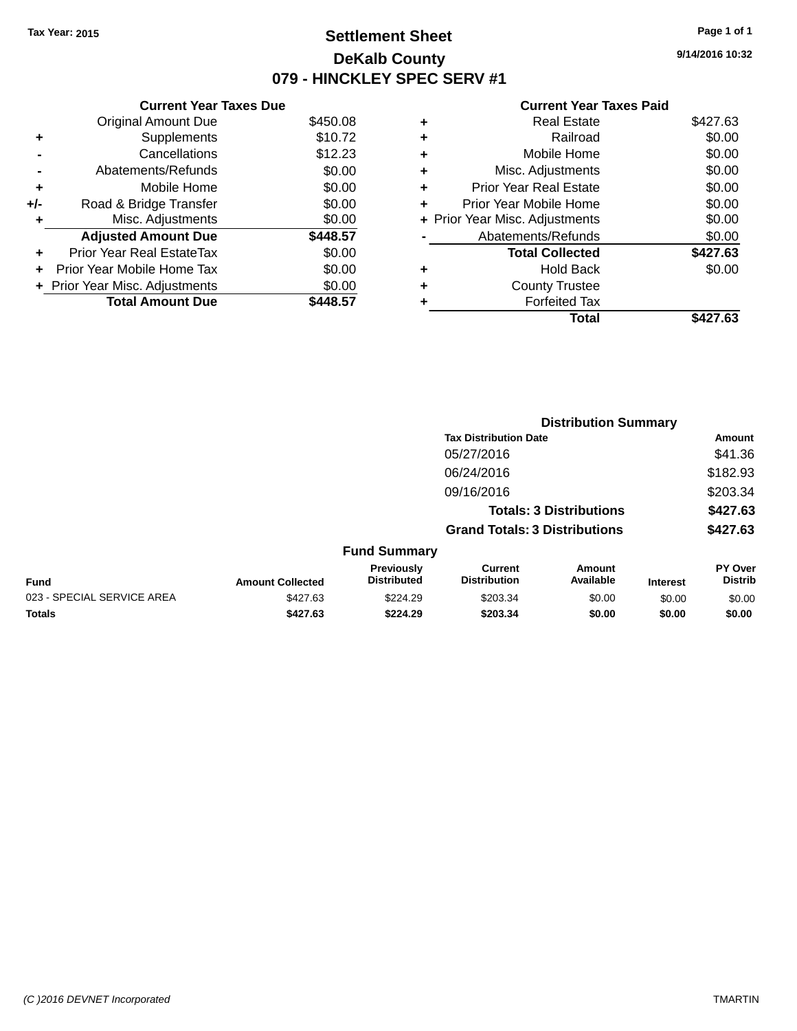## **Settlement Sheet Tax Year: 2015 Page 1 of 1 DeKalb County 079 - HINCKLEY SPEC SERV #1**

**9/14/2016 10:32**

|     | <b>Current Year Taxes Due</b>  |          |
|-----|--------------------------------|----------|
|     | <b>Original Amount Due</b>     | \$450.08 |
| ٠   | Supplements                    | \$10.72  |
|     | Cancellations                  | \$12.23  |
|     | Abatements/Refunds             | \$0.00   |
| ٠   | Mobile Home                    | \$0.00   |
| +/- | Road & Bridge Transfer         | \$0.00   |
| ٠   | Misc. Adjustments              | \$0.00   |
|     | <b>Adjusted Amount Due</b>     | \$448.57 |
| ÷   | Prior Year Real EstateTax      | \$0.00   |
| ÷   | Prior Year Mobile Home Tax     | \$0.00   |
|     | + Prior Year Misc. Adjustments | \$0.00   |
|     | <b>Total Amount Due</b>        | 448.57   |

|   | Total                          | \$427.63 |
|---|--------------------------------|----------|
|   | <b>Forfeited Tax</b>           |          |
| ٠ | <b>County Trustee</b>          |          |
| ٠ | Hold Back                      | \$0.00   |
|   | <b>Total Collected</b>         | \$427.63 |
|   | Abatements/Refunds             | \$0.00   |
|   | + Prior Year Misc. Adjustments | \$0.00   |
| ٠ | Prior Year Mobile Home         | \$0.00   |
| ÷ | <b>Prior Year Real Estate</b>  | \$0.00   |
| ٠ | Misc. Adjustments              | \$0.00   |
| ٠ | Mobile Home                    | \$0.00   |
| ٠ | Railroad                       | \$0.00   |
| ٠ | <b>Real Estate</b>             | \$427.63 |
|   |                                |          |

|                            |                         | <b>Distribution Summary</b>      |                                       |                                |                 |                                  |  |
|----------------------------|-------------------------|----------------------------------|---------------------------------------|--------------------------------|-----------------|----------------------------------|--|
|                            |                         |                                  | <b>Tax Distribution Date</b>          |                                |                 | Amount                           |  |
|                            |                         |                                  | 05/27/2016                            |                                |                 | \$41.36                          |  |
|                            |                         |                                  | 06/24/2016                            |                                |                 | \$182.93                         |  |
|                            |                         |                                  | 09/16/2016                            |                                |                 | \$203.34                         |  |
|                            |                         |                                  |                                       | <b>Totals: 3 Distributions</b> |                 | \$427.63                         |  |
|                            |                         |                                  | <b>Grand Totals: 3 Distributions</b>  |                                |                 | \$427.63                         |  |
|                            |                         | <b>Fund Summary</b>              |                                       |                                |                 |                                  |  |
| <b>Fund</b>                | <b>Amount Collected</b> | Previously<br><b>Distributed</b> | <b>Current</b><br><b>Distribution</b> | Amount<br>Available            | <b>Interest</b> | <b>PY Over</b><br><b>Distrib</b> |  |
| 023 - SPECIAL SERVICE AREA | \$427.63                | \$224.29                         | \$203.34                              | \$0.00                         | \$0.00          | \$0.00                           |  |
| <b>Totals</b>              | \$427.63                | \$224.29                         | \$203.34                              | \$0.00                         | \$0.00          | \$0.00                           |  |
|                            |                         |                                  |                                       |                                |                 |                                  |  |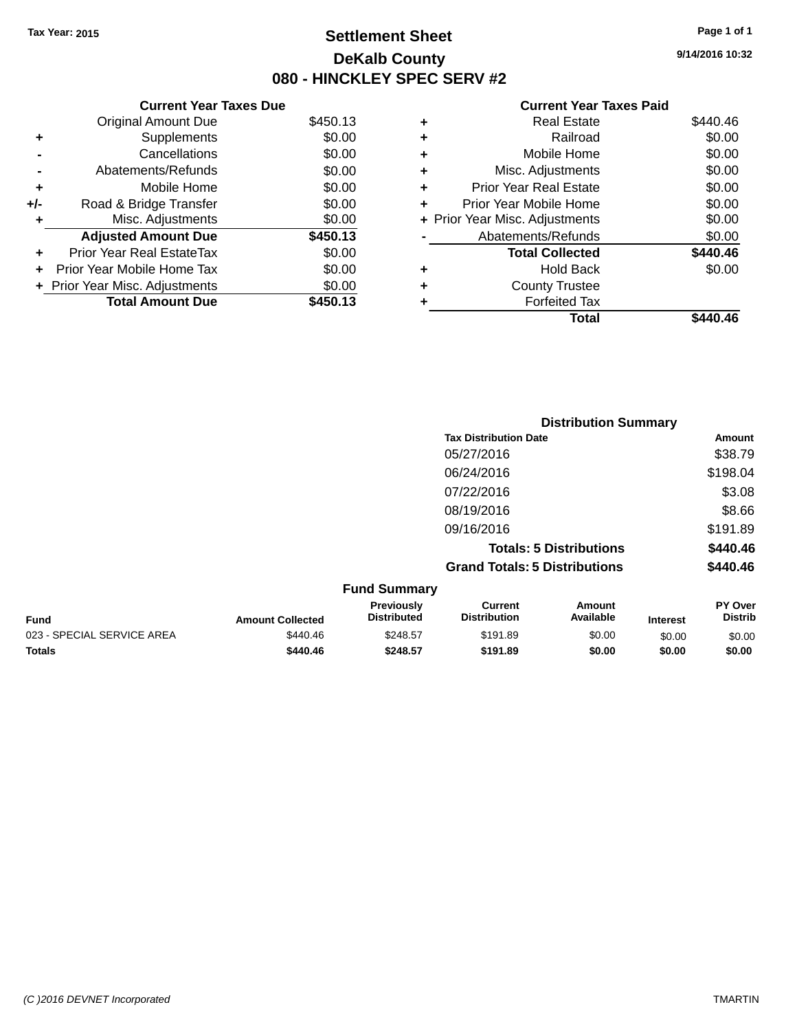## **Settlement Sheet Tax Year: 2015 Page 1 of 1 DeKalb County 080 - HINCKLEY SPEC SERV #2**

**9/14/2016 10:32**

#### **Current Year Taxes Paid**

|     | <b>Current Year Taxes Due</b>  |          |   |
|-----|--------------------------------|----------|---|
|     | <b>Original Amount Due</b>     | \$450.13 | ٠ |
|     | <b>Supplements</b>             | \$0.00   |   |
|     | Cancellations                  | \$0.00   |   |
|     | Abatements/Refunds             | \$0.00   | ٠ |
|     | Mobile Home                    | \$0.00   | ٠ |
| +/- | Road & Bridge Transfer         | \$0.00   | ٠ |
|     | Misc. Adjustments              | \$0.00   |   |
|     | <b>Adjusted Amount Due</b>     | \$450.13 |   |
|     | Prior Year Real EstateTax      | \$0.00   |   |
|     | Prior Year Mobile Home Tax     | \$0.00   |   |
|     | + Prior Year Misc. Adjustments | \$0.00   |   |
|     | <b>Total Amount Due</b>        | \$450.13 |   |
|     |                                |          |   |

| ٠ | <b>Real Estate</b>             | \$440.46 |
|---|--------------------------------|----------|
| ٠ | Railroad                       | \$0.00   |
| ٠ | Mobile Home                    | \$0.00   |
| ٠ | Misc. Adjustments              | \$0.00   |
| ٠ | <b>Prior Year Real Estate</b>  | \$0.00   |
|   | Prior Year Mobile Home         | \$0.00   |
|   | + Prior Year Misc. Adjustments | \$0.00   |
|   | Abatements/Refunds             | \$0.00   |
|   | <b>Total Collected</b>         | \$440.46 |
| ٠ | <b>Hold Back</b>               | \$0.00   |
|   | <b>County Trustee</b>          |          |
| ٠ | <b>Forfeited Tax</b>           |          |
|   | Total                          | \$440.46 |
|   |                                |          |

|                            |                         |                                         | <b>Distribution Summary</b>           |                                |                 |                           |
|----------------------------|-------------------------|-----------------------------------------|---------------------------------------|--------------------------------|-----------------|---------------------------|
|                            |                         |                                         | <b>Tax Distribution Date</b>          |                                |                 | Amount                    |
|                            |                         |                                         | 05/27/2016                            |                                |                 | \$38.79                   |
|                            |                         |                                         | 06/24/2016                            |                                |                 | \$198.04                  |
|                            |                         |                                         | 07/22/2016                            |                                |                 | \$3.08                    |
|                            |                         |                                         | 08/19/2016                            |                                |                 | \$8.66                    |
|                            |                         |                                         | 09/16/2016                            |                                |                 | \$191.89                  |
|                            |                         |                                         |                                       | <b>Totals: 5 Distributions</b> |                 | \$440.46                  |
|                            |                         |                                         | <b>Grand Totals: 5 Distributions</b>  |                                |                 | \$440.46                  |
|                            |                         | <b>Fund Summary</b>                     |                                       |                                |                 |                           |
| <b>Fund</b>                | <b>Amount Collected</b> | <b>Previously</b><br><b>Distributed</b> | <b>Current</b><br><b>Distribution</b> | Amount<br>Available            | <b>Interest</b> | PY Over<br><b>Distrib</b> |
| 023 - SPECIAL SERVICE AREA | \$440.46                | \$248.57                                | \$191.89                              | \$0.00                         | \$0.00          | \$0.00                    |

**Totals \$440.46 \$248.57 \$191.89 \$0.00 \$0.00 \$0.00**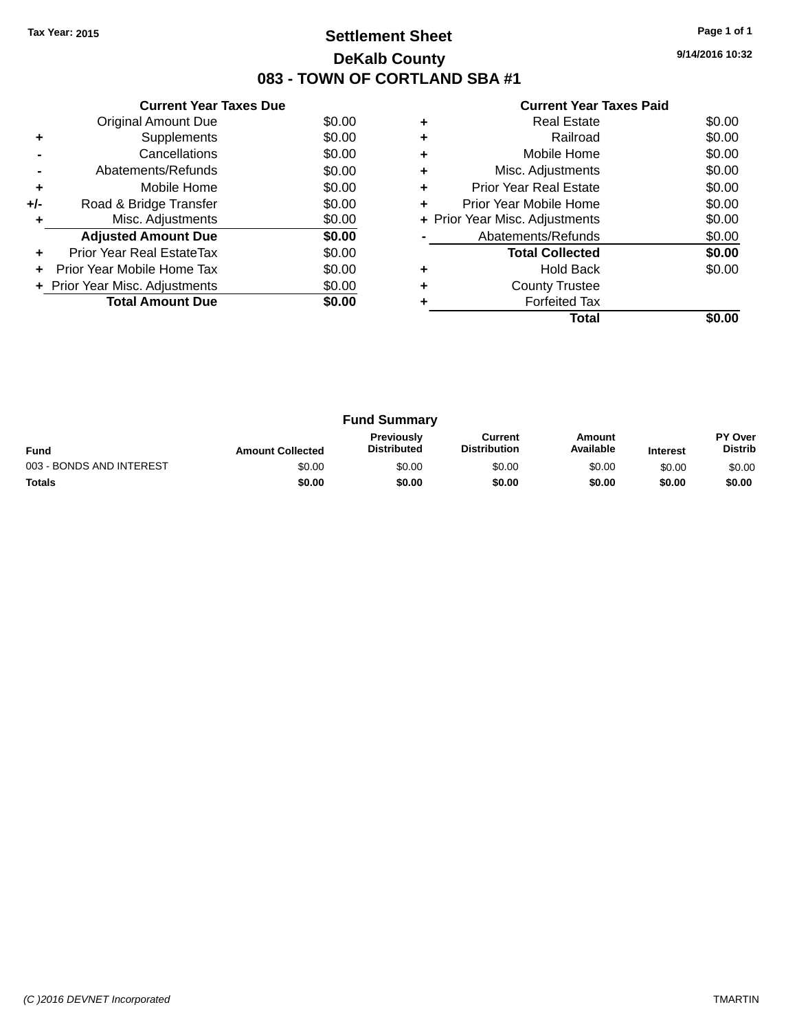## **Settlement Sheet Tax Year: 2015 Page 1 of 1 DeKalb County 083 - TOWN OF CORTLAND SBA #1**

**9/14/2016 10:32**

| <b>Current Year Taxes Paid</b> |  |  |
|--------------------------------|--|--|
|                                |  |  |

|     | <b>Current Year Taxes Due</b>  |        |
|-----|--------------------------------|--------|
|     | Original Amount Due            | \$0.00 |
| ٠   | Supplements                    | \$0.00 |
|     | Cancellations                  | \$0.00 |
|     | Abatements/Refunds             | \$0.00 |
| ٠   | Mobile Home                    | \$0.00 |
| +/- | Road & Bridge Transfer         | \$0.00 |
|     | Misc. Adjustments              | \$0.00 |
|     | <b>Adjusted Amount Due</b>     | \$0.00 |
| ٠   | Prior Year Real EstateTax      | \$0.00 |
|     | Prior Year Mobile Home Tax     | \$0.00 |
|     | + Prior Year Misc. Adjustments | \$0.00 |
|     | <b>Total Amount Due</b>        | \$0.00 |
|     |                                |        |

|   | <b>Real Estate</b>             | \$0.00 |
|---|--------------------------------|--------|
|   | Railroad                       | \$0.00 |
|   | Mobile Home                    | \$0.00 |
| ٠ | Misc. Adjustments              | \$0.00 |
| ٠ | <b>Prior Year Real Estate</b>  | \$0.00 |
| ٠ | Prior Year Mobile Home         | \$0.00 |
|   | + Prior Year Misc. Adjustments | \$0.00 |
|   | Abatements/Refunds             | \$0.00 |
|   | <b>Total Collected</b>         | \$0.00 |
|   | Hold Back                      | \$0.00 |
|   | <b>County Trustee</b>          |        |
|   | <b>Forfeited Tax</b>           |        |
|   | Total                          |        |

| <b>Fund Summary</b>      |                         |                                         |                                |                     |                 |                           |
|--------------------------|-------------------------|-----------------------------------------|--------------------------------|---------------------|-----------------|---------------------------|
| <b>Fund</b>              | <b>Amount Collected</b> | <b>Previously</b><br><b>Distributed</b> | Current<br><b>Distribution</b> | Amount<br>Available | <b>Interest</b> | PY Over<br><b>Distrib</b> |
| 003 - BONDS AND INTEREST | \$0.00                  | \$0.00                                  | \$0.00                         | \$0.00              | \$0.00          | \$0.00                    |
| <b>Totals</b>            | \$0.00                  | \$0.00                                  | \$0.00                         | \$0.00              | \$0.00          | \$0.00                    |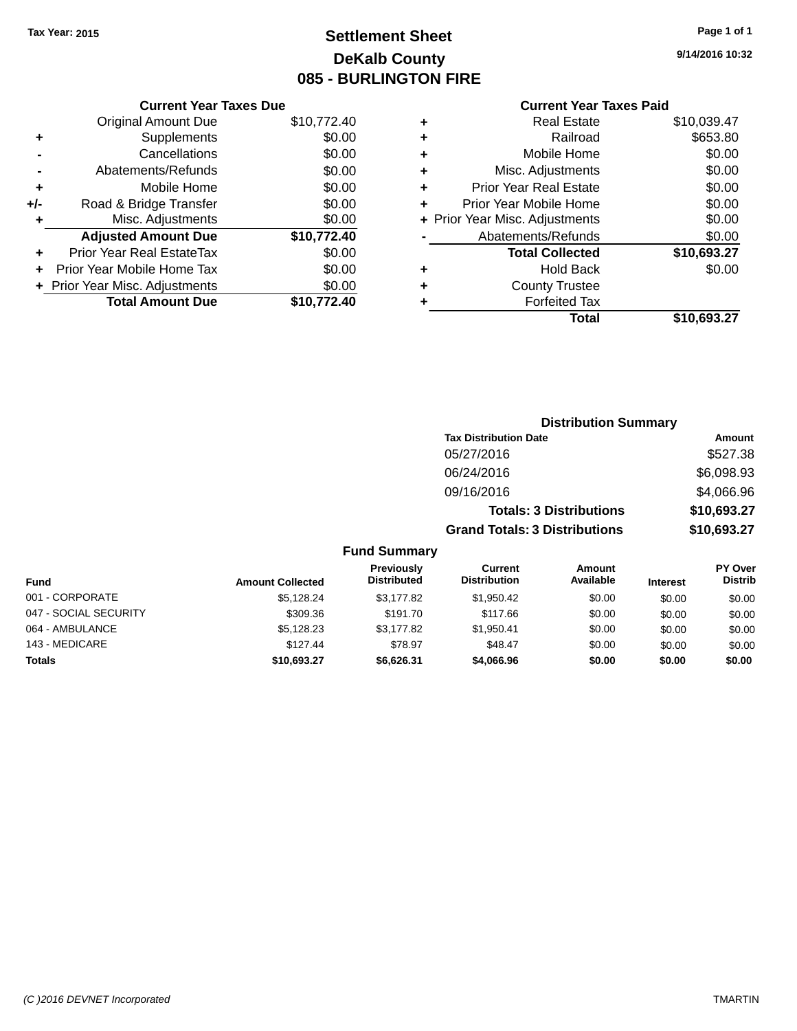# **Settlement Sheet Tax Year: 2015 Page 1 of 1 DeKalb County 085 - BURLINGTON FIRE**

**9/14/2016 10:32**

|     | <b>Current Year Taxes Due</b>  |             |
|-----|--------------------------------|-------------|
|     | <b>Original Amount Due</b>     | \$10,772.40 |
| ٠   | Supplements                    | \$0.00      |
|     | Cancellations                  | \$0.00      |
|     | Abatements/Refunds             | \$0.00      |
| ٠   | Mobile Home                    | \$0.00      |
| +/- | Road & Bridge Transfer         | \$0.00      |
|     | Misc. Adjustments              | \$0.00      |
|     | <b>Adjusted Amount Due</b>     | \$10,772.40 |
| ٠   | Prior Year Real EstateTax      | \$0.00      |
|     | Prior Year Mobile Home Tax     | \$0.00      |
|     | + Prior Year Misc. Adjustments | \$0.00      |
|     | <b>Total Amount Due</b>        | \$10,772.40 |
|     |                                |             |

| ٠ | <b>Real Estate</b>             | \$10,039.47 |
|---|--------------------------------|-------------|
| ٠ | Railroad                       | \$653.80    |
| ٠ | Mobile Home                    | \$0.00      |
| ٠ | Misc. Adjustments              | \$0.00      |
| ٠ | <b>Prior Year Real Estate</b>  | \$0.00      |
| ٠ | Prior Year Mobile Home         | \$0.00      |
|   | + Prior Year Misc. Adjustments | \$0.00      |
|   | Abatements/Refunds             | \$0.00      |
|   | <b>Total Collected</b>         | \$10,693.27 |
| ٠ | Hold Back                      | \$0.00      |
| ٠ | <b>County Trustee</b>          |             |
| ٠ | <b>Forfeited Tax</b>           |             |
|   | Total                          | \$10,693.27 |
|   |                                |             |

|                     | <b>Distribution Summary</b>          |             |
|---------------------|--------------------------------------|-------------|
|                     | <b>Tax Distribution Date</b>         | Amount      |
|                     | 05/27/2016                           | \$527.38    |
|                     | 06/24/2016                           | \$6,098.93  |
|                     | 09/16/2016                           | \$4,066.96  |
|                     | <b>Totals: 3 Distributions</b>       | \$10,693.27 |
|                     | <b>Grand Totals: 3 Distributions</b> | \$10,693.27 |
| <b>Fund Summary</b> |                                      |             |

| <b>Fund</b>           | <b>Amount Collected</b> | Previously<br><b>Distributed</b> | Current<br><b>Distribution</b> | Amount<br>Available | <b>Interest</b> | PY Over<br><b>Distrib</b> |
|-----------------------|-------------------------|----------------------------------|--------------------------------|---------------------|-----------------|---------------------------|
| 001 - CORPORATE       | \$5.128.24              | \$3.177.82                       | \$1.950.42                     | \$0.00              | \$0.00          | \$0.00                    |
| 047 - SOCIAL SECURITY | \$309.36                | \$191.70                         | \$117.66                       | \$0.00              | \$0.00          | \$0.00                    |
| 064 - AMBULANCE       | \$5,128.23              | \$3.177.82                       | \$1.950.41                     | \$0.00              | \$0.00          | \$0.00                    |
| 143 - MEDICARE        | \$127.44                | \$78.97                          | \$48.47                        | \$0.00              | \$0.00          | \$0.00                    |
| <b>Totals</b>         | \$10,693.27             | \$6,626.31                       | \$4,066,96                     | \$0.00              | \$0.00          | \$0.00                    |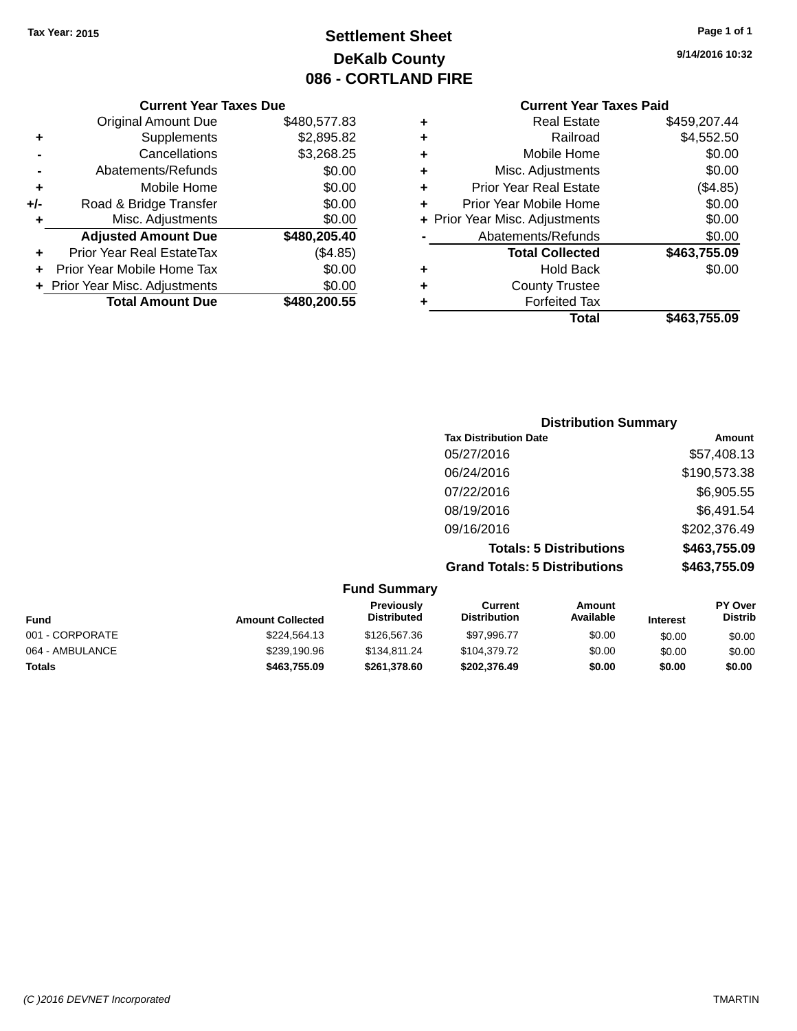# **Settlement Sheet Tax Year: 2015 Page 1 of 1 DeKalb County 086 - CORTLAND FIRE**

**9/14/2016 10:32**

|       | <b>Current Year Taxes Due</b>              |              |  |  |  |  |
|-------|--------------------------------------------|--------------|--|--|--|--|
|       | \$480,577.83<br><b>Original Amount Due</b> |              |  |  |  |  |
| ÷     | Supplements                                | \$2,895.82   |  |  |  |  |
|       | Cancellations                              | \$3,268.25   |  |  |  |  |
|       | Abatements/Refunds                         | \$0.00       |  |  |  |  |
| ÷     | Mobile Home                                | \$0.00       |  |  |  |  |
| $+/-$ | Road & Bridge Transfer                     | \$0.00       |  |  |  |  |
|       | Misc. Adjustments                          | \$0.00       |  |  |  |  |
|       | <b>Adjusted Amount Due</b>                 | \$480,205.40 |  |  |  |  |
| ٠     | Prior Year Real EstateTax                  | (\$4.85)     |  |  |  |  |
|       | Prior Year Mobile Home Tax                 | \$0.00       |  |  |  |  |
|       | + Prior Year Misc. Adjustments             | \$0.00       |  |  |  |  |
|       | <b>Total Amount Due</b>                    | \$480,200.55 |  |  |  |  |
|       |                                            |              |  |  |  |  |

| ٠ | Real Estate                    | \$459,207.44 |
|---|--------------------------------|--------------|
| ٠ | Railroad                       | \$4,552.50   |
| ٠ | Mobile Home                    | \$0.00       |
| ٠ | Misc. Adjustments              | \$0.00       |
| ٠ | <b>Prior Year Real Estate</b>  | (\$4.85)     |
| ٠ | Prior Year Mobile Home         | \$0.00       |
|   | + Prior Year Misc. Adjustments | \$0.00       |
|   | Abatements/Refunds             | \$0.00       |
|   | <b>Total Collected</b>         | \$463,755.09 |
| ٠ | <b>Hold Back</b>               | \$0.00       |
| ٠ | <b>County Trustee</b>          |              |
| ٠ | <b>Forfeited Tax</b>           |              |
|   | Total                          | \$463,755.09 |
|   |                                |              |

| <b>Distribution Summary</b>          |              |
|--------------------------------------|--------------|
| <b>Tax Distribution Date</b>         | Amount       |
| 05/27/2016                           | \$57,408.13  |
| 06/24/2016                           | \$190,573.38 |
| 07/22/2016                           | \$6,905.55   |
| 08/19/2016                           | \$6,491.54   |
| 09/16/2016                           | \$202,376.49 |
| <b>Totals: 5 Distributions</b>       | \$463,755.09 |
| <b>Grand Totals: 5 Distributions</b> | \$463,755.09 |

| <b>Fund Summary</b> |                         |                                         |                                |                     |                 |                           |
|---------------------|-------------------------|-----------------------------------------|--------------------------------|---------------------|-----------------|---------------------------|
| <b>Fund</b>         | <b>Amount Collected</b> | <b>Previously</b><br><b>Distributed</b> | Current<br><b>Distribution</b> | Amount<br>Available | <b>Interest</b> | PY Over<br><b>Distrib</b> |
| 001 - CORPORATE     | \$224,564.13            | \$126,567,36                            | \$97.996.77                    | \$0.00              | \$0.00          | \$0.00                    |
| 064 - AMBULANCE     | \$239,190.96            | \$134.811.24                            | \$104.379.72                   | \$0.00              | \$0.00          | \$0.00                    |
| <b>Totals</b>       | \$463,755.09            | \$261.378.60                            | \$202,376.49                   | \$0.00              | \$0.00          | \$0.00                    |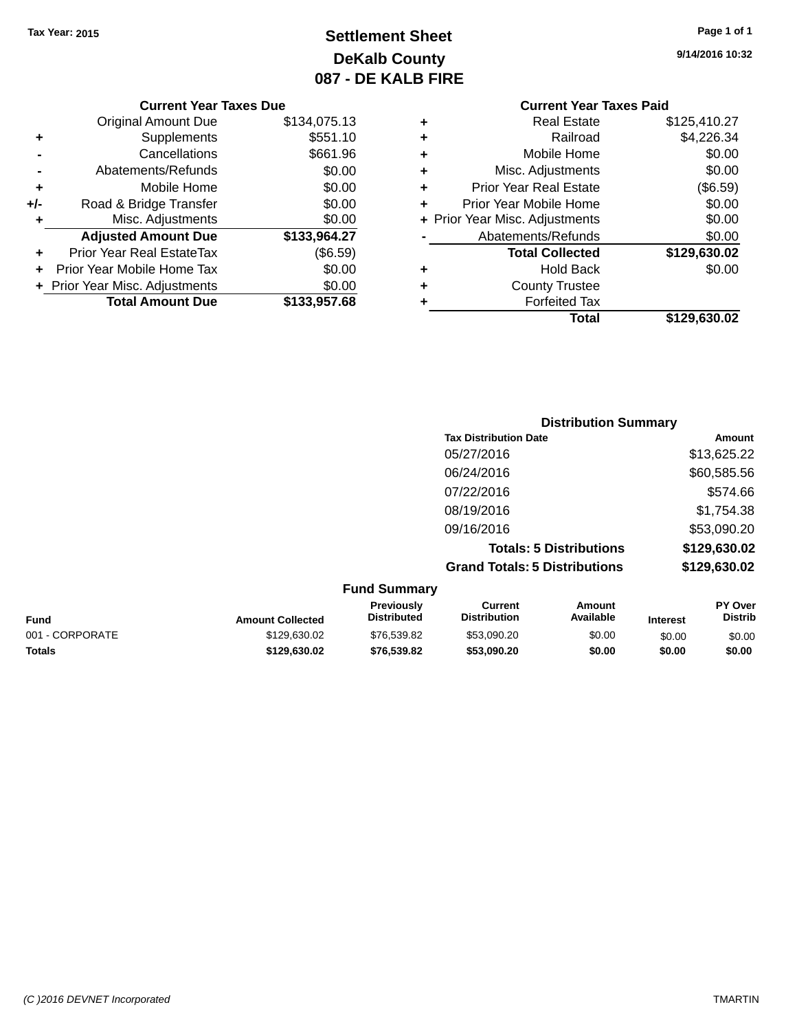# **Settlement Sheet Tax Year: 2015 Page 1 of 1 DeKalb County 087 - DE KALB FIRE**

**9/14/2016 10:32**

| <b>Original Amount Due</b> | \$134,075.13                   |
|----------------------------|--------------------------------|
| Supplements                | \$551.10                       |
| Cancellations              | \$661.96                       |
| Abatements/Refunds         | \$0.00                         |
| Mobile Home                | \$0.00                         |
| Road & Bridge Transfer     | \$0.00                         |
| Misc. Adjustments          | \$0.00                         |
| <b>Adjusted Amount Due</b> | \$133,964.27                   |
| Prior Year Real EstateTax  | (\$6.59)                       |
| Prior Year Mobile Home Tax | \$0.00                         |
|                            | \$0.00                         |
| <b>Total Amount Due</b>    | \$133,957.68                   |
|                            | + Prior Year Misc. Adjustments |

|   | <b>Real Estate</b>             | \$125,410.27 |
|---|--------------------------------|--------------|
| ÷ | Railroad                       | \$4,226.34   |
| ٠ | Mobile Home                    | \$0.00       |
| ٠ | Misc. Adjustments              | \$0.00       |
| ٠ | <b>Prior Year Real Estate</b>  | (\$6.59)     |
| ٠ | Prior Year Mobile Home         | \$0.00       |
|   | + Prior Year Misc. Adjustments | \$0.00       |
|   | Abatements/Refunds             | \$0.00       |
|   | <b>Total Collected</b>         | \$129,630.02 |
| ٠ | <b>Hold Back</b>               | \$0.00       |
| ٠ | <b>County Trustee</b>          |              |
| ٠ | <b>Forfeited Tax</b>           |              |
|   | Total                          | \$129,630.02 |
|   |                                |              |

| <b>Distribution Summary</b>          |              |
|--------------------------------------|--------------|
| <b>Tax Distribution Date</b>         | Amount       |
| 05/27/2016                           | \$13,625.22  |
| 06/24/2016                           | \$60,585.56  |
| 07/22/2016                           | \$574.66     |
| 08/19/2016                           | \$1,754.38   |
| 09/16/2016                           | \$53,090.20  |
| <b>Totals: 5 Distributions</b>       | \$129,630.02 |
| <b>Grand Totals: 5 Distributions</b> | \$129,630.02 |

| <b>Fund Summary</b>     |                                  |                                |                     |                 |                                  |
|-------------------------|----------------------------------|--------------------------------|---------------------|-----------------|----------------------------------|
| <b>Amount Collected</b> | Previously<br><b>Distributed</b> | Current<br><b>Distribution</b> | Amount<br>Available | <b>Interest</b> | <b>PY Over</b><br><b>Distrib</b> |
| \$129,630.02            | \$76,539.82                      | \$53,090.20                    | \$0.00              | \$0.00          | \$0.00                           |
| \$129,630.02            | \$76,539.82                      | \$53,090,20                    | \$0.00              | \$0.00          | \$0.00                           |
|                         |                                  |                                |                     |                 |                                  |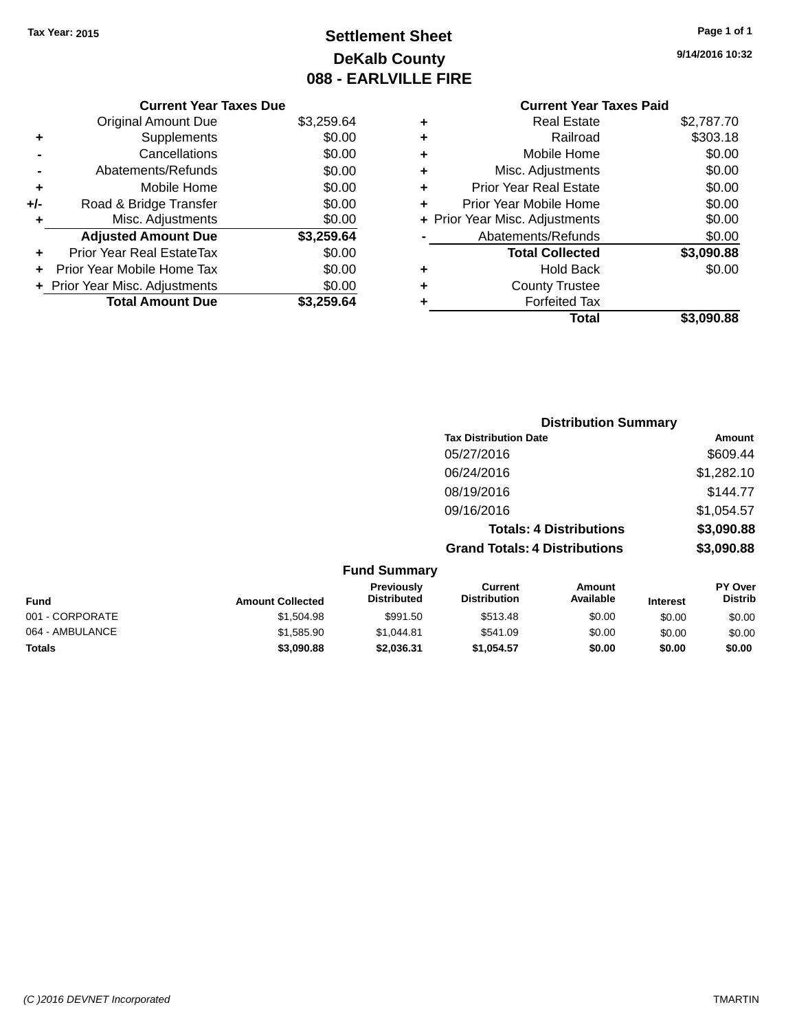# **Settlement Sheet Tax Year: 2015 Page 1 of 1 DeKalb County 088 - EARLVILLE FIRE**

**9/14/2016 10:32**

## **Current Year Taxes Due**

|       | <b>Original Amount Due</b>       | \$3,259.64 |
|-------|----------------------------------|------------|
| ٠     | Supplements                      | \$0.00     |
|       | Cancellations                    | \$0.00     |
|       | Abatements/Refunds               | \$0.00     |
| ٠     | Mobile Home                      | \$0.00     |
| $+/-$ | Road & Bridge Transfer           | \$0.00     |
| ٠     | Misc. Adjustments                | \$0.00     |
|       | <b>Adjusted Amount Due</b>       | \$3,259.64 |
|       | <b>Prior Year Real EstateTax</b> | \$0.00     |
|       | Prior Year Mobile Home Tax       | \$0.00     |
|       | + Prior Year Misc. Adjustments   | \$0.00     |
|       | <b>Total Amount Due</b>          | 259.64     |

## **Current Year Taxes Paid +** Real Estate \$2,787.70 **+** Railroad \$303.18 **+** Mobile Home \$0.00 **+** Misc. Adjustments \$0.00 **+** Prior Year Real Estate \$0.00 **+** Prior Year Mobile Home \$0.00 **+ Prior Year Misc. Adjustments**  $$0.00$ **-** Abatements/Refunds \$0.00 **Total Collected \$3,090.88 +** Hold Back \$0.00 **+** County Trustee **+** Forfeited Tax **Total \$3,090.88**

|                 |                         |                                  |                                       | <b>Distribution Summary</b>    |                 |                                  |
|-----------------|-------------------------|----------------------------------|---------------------------------------|--------------------------------|-----------------|----------------------------------|
|                 |                         |                                  | <b>Tax Distribution Date</b>          |                                |                 | Amount                           |
|                 |                         |                                  | 05/27/2016                            |                                |                 | \$609.44                         |
|                 |                         |                                  | 06/24/2016                            |                                |                 | \$1,282.10                       |
|                 |                         |                                  | 08/19/2016                            |                                |                 | \$144.77                         |
|                 |                         |                                  | 09/16/2016                            |                                |                 | \$1,054.57                       |
|                 |                         |                                  |                                       | <b>Totals: 4 Distributions</b> |                 | \$3,090.88                       |
|                 |                         |                                  | <b>Grand Totals: 4 Distributions</b>  |                                |                 | \$3,090.88                       |
|                 |                         | <b>Fund Summary</b>              |                                       |                                |                 |                                  |
| <b>Fund</b>     | <b>Amount Collected</b> | Previously<br><b>Distributed</b> | <b>Current</b><br><b>Distribution</b> | Amount<br>Available            | <b>Interest</b> | <b>PY Over</b><br><b>Distrib</b> |
| 001 - CORPORATE | \$1,504.98              | \$991.50                         | \$513.48                              | \$0.00                         | \$0.00          | \$0.00                           |
| 064 - AMBULANCE | \$1,585.90              | \$1,044.81                       | \$541.09                              | \$0.00                         | \$0.00          | \$0.00                           |
| Totals          | \$3,090.88              | \$2,036.31                       | \$1,054.57                            | \$0.00                         | \$0.00          | \$0.00                           |
|                 |                         |                                  |                                       |                                |                 |                                  |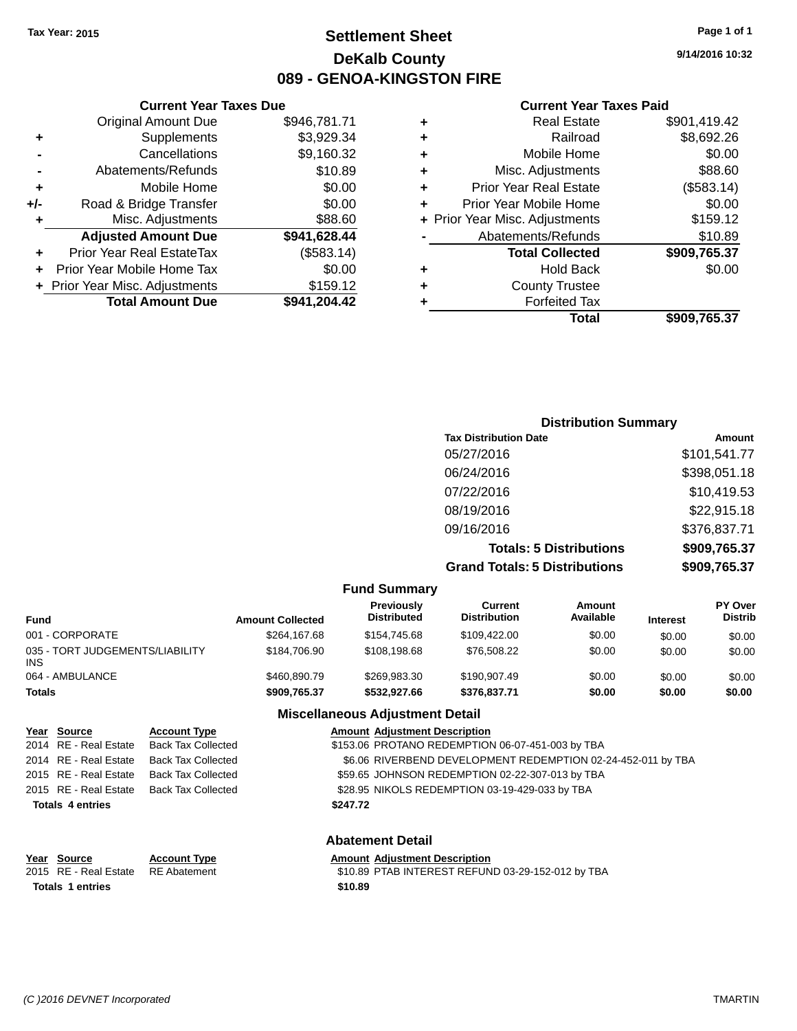## **Settlement Sheet Tax Year: 2015 Page 1 of 1 DeKalb County 089 - GENOA-KINGSTON FIRE**

**9/14/2016 10:32**

#### **Current Year Taxes Paid**

| ٠ | Real Estate                    | \$901,419.42 |
|---|--------------------------------|--------------|
| ٠ | Railroad                       | \$8,692.26   |
| ٠ | Mobile Home                    | \$0.00       |
| ٠ | Misc. Adjustments              | \$88.60      |
| ٠ | <b>Prior Year Real Estate</b>  | (\$583.14)   |
| ÷ | Prior Year Mobile Home         | \$0.00       |
|   | + Prior Year Misc. Adjustments | \$159.12     |
|   | Abatements/Refunds             | \$10.89      |
|   | <b>Total Collected</b>         | \$909,765.37 |
| ٠ | <b>Hold Back</b>               | \$0.00       |
| ٠ | <b>County Trustee</b>          |              |
|   | <b>Forfeited Tax</b>           |              |
|   | Total                          | \$909,765.37 |
|   |                                |              |

|     | <b>Current Year Taxes Due</b>  |              |
|-----|--------------------------------|--------------|
|     | <b>Original Amount Due</b>     | \$946,781.71 |
| ٠   | Supplements                    | \$3,929.34   |
|     | Cancellations                  | \$9,160.32   |
|     | Abatements/Refunds             | \$10.89      |
| ٠   | Mobile Home                    | \$0.00       |
| +/- | Road & Bridge Transfer         | \$0.00       |
| ٠   | Misc. Adjustments              | \$88.60      |
|     | <b>Adjusted Amount Due</b>     | \$941,628.44 |
| ٠   | Prior Year Real EstateTax      | (\$583.14)   |
|     | Prior Year Mobile Home Tax     | \$0.00       |
|     | + Prior Year Misc. Adjustments | \$159.12     |
|     | <b>Total Amount Due</b>        | \$941,204.42 |
|     |                                |              |

|                              | <b>Distribution Summary</b>          |              |
|------------------------------|--------------------------------------|--------------|
| <b>Tax Distribution Date</b> |                                      | Amount       |
| 05/27/2016                   |                                      | \$101,541.77 |
| 06/24/2016                   |                                      | \$398,051.18 |
| 07/22/2016                   |                                      | \$10,419.53  |
| 08/19/2016                   |                                      | \$22,915.18  |
| 09/16/2016                   |                                      | \$376,837.71 |
|                              | <b>Totals: 5 Distributions</b>       | \$909,765.37 |
|                              | <b>Grand Totals: 5 Distributions</b> | \$909,765.37 |

|                                         |                     |                         | <b>Fund Summary</b>                     |                                |                            |                 |                                  |
|-----------------------------------------|---------------------|-------------------------|-----------------------------------------|--------------------------------|----------------------------|-----------------|----------------------------------|
| Fund                                    |                     | <b>Amount Collected</b> | <b>Previously</b><br><b>Distributed</b> | Current<br><b>Distribution</b> | <b>Amount</b><br>Available | <b>Interest</b> | <b>PY Over</b><br><b>Distrib</b> |
| 001 - CORPORATE                         |                     | \$264.167.68            | \$154,745.68                            | \$109.422.00                   | \$0.00                     | \$0.00          | \$0.00                           |
| 035 - TORT JUDGEMENTS/LIABILITY<br>INS. |                     | \$184,706.90            | \$108,198,68                            | \$76,508.22                    | \$0.00                     | \$0.00          | \$0.00                           |
| 064 - AMBULANCE                         |                     | \$460,890.79            | \$269.983.30                            | \$190,907.49                   | \$0.00                     | \$0.00          | \$0.00                           |
| Totals                                  |                     | \$909,765.37            | \$532.927.66                            | \$376.837.71                   | \$0.00                     | \$0.00          | \$0.00                           |
|                                         |                     |                         | <b>Miscellaneous Adjustment Detail</b>  |                                |                            |                 |                                  |
| Year Source                             | <b>Account Type</b> |                         | <b>Amount Adjustment Description</b>    |                                |                            |                 |                                  |

|                         | 2014 RE - Real Estate Back Tax Collected | \$153.06 PROTANO REDEMPTION 06-07-451-003 by TBA             |
|-------------------------|------------------------------------------|--------------------------------------------------------------|
| 2014 RE - Real Estate   | <b>Back Tax Collected</b>                | \$6.06 RIVERBEND DEVELOPMENT REDEMPTION 02-24-452-011 by TBA |
| 2015 RE - Real Estate   | <b>Back Tax Collected</b>                | \$59.65 JOHNSON REDEMPTION 02-22-307-013 by TBA              |
| 2015 RE - Real Estate   | Back Tax Collected                       | \$28.95 NIKOLS REDEMPTION 03-19-429-033 by TBA               |
| <b>Totals 4 entries</b> |                                          | \$247.72                                                     |
|                         |                                          | <b>Abatement Detail</b>                                      |
| Year Source             | <b>Account Type</b>                      | <b>Amount Adjustment Description</b>                         |
|                         |                                          |                                                              |

| 2015 RE - Real Estate RE Abatement | \$10.89 PTAB INTEREST REFUND 03-29-152-012 by TBA |
|------------------------------------|---------------------------------------------------|
| <b>Totals 1 entries</b>            | \$10.89                                           |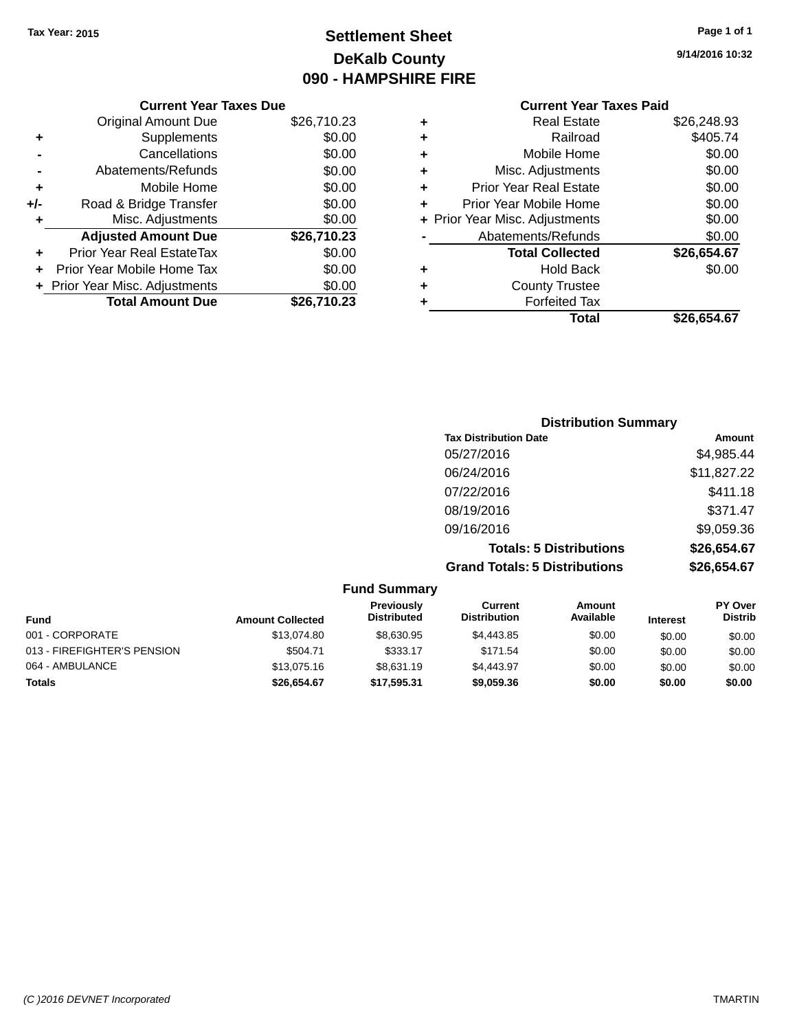# **Settlement Sheet Tax Year: 2015 Page 1 of 1 DeKalb County 090 - HAMPSHIRE FIRE**

**9/14/2016 10:32**

|       | <b>Current Year Taxes Due</b>  |             |  |  |
|-------|--------------------------------|-------------|--|--|
|       | Original Amount Due            | \$26,710.23 |  |  |
|       | Supplements                    | \$0.00      |  |  |
|       | Cancellations                  | \$0.00      |  |  |
|       | Abatements/Refunds             | \$0.00      |  |  |
| ٠     | Mobile Home                    | \$0.00      |  |  |
| $+/-$ | Road & Bridge Transfer         | \$0.00      |  |  |
| ٠     | Misc. Adjustments              | \$0.00      |  |  |
|       | <b>Adjusted Amount Due</b>     | \$26,710.23 |  |  |
|       | Prior Year Real EstateTax      | \$0.00      |  |  |
|       | Prior Year Mobile Home Tax     | \$0.00      |  |  |
|       | + Prior Year Misc. Adjustments | \$0.00      |  |  |
|       | <b>Total Amount Due</b>        | \$26.710.23 |  |  |
|       |                                |             |  |  |

## **Current Year Taxes Paid +** Real Estate \$26,248.93<br>**+** Railroad \$405.74 **+** Railroad \$405.74 **+** Mobile Home \$0.00

|   | Total                          | \$26,654.67 |
|---|--------------------------------|-------------|
| ٠ | <b>Forfeited Tax</b>           |             |
| ÷ | <b>County Trustee</b>          |             |
|   | <b>Hold Back</b>               | \$0.00      |
|   | <b>Total Collected</b>         | \$26,654.67 |
|   | Abatements/Refunds             | \$0.00      |
|   | + Prior Year Misc. Adjustments | \$0.00      |
|   | Prior Year Mobile Home         | \$0.00      |
| ÷ | <b>Prior Year Real Estate</b>  | \$0.00      |
|   | Misc. Adjustments              | \$0.00      |

| <b>Distribution Summary</b>          |             |
|--------------------------------------|-------------|
| <b>Tax Distribution Date</b>         | Amount      |
| 05/27/2016                           | \$4,985.44  |
| 06/24/2016                           | \$11,827.22 |
| 07/22/2016                           | \$411.18    |
| 08/19/2016                           | \$371.47    |
| 09/16/2016                           | \$9,059.36  |
| <b>Totals: 5 Distributions</b>       | \$26,654.67 |
| <b>Grand Totals: 5 Distributions</b> | \$26,654.67 |

| <b>Fund Summary</b>         |                         |                                  |                                |                     |                 |                           |
|-----------------------------|-------------------------|----------------------------------|--------------------------------|---------------------|-----------------|---------------------------|
| <b>Fund</b>                 | <b>Amount Collected</b> | Previously<br><b>Distributed</b> | Current<br><b>Distribution</b> | Amount<br>Available | <b>Interest</b> | PY Over<br><b>Distrib</b> |
| 001 - CORPORATE             | \$13,074.80             | \$8.630.95                       | \$4,443.85                     | \$0.00              | \$0.00          | \$0.00                    |
| 013 - FIREFIGHTER'S PENSION | \$504.71                | \$333.17                         | \$171.54                       | \$0.00              | \$0.00          | \$0.00                    |
| 064 - AMBULANCE             | \$13,075.16             | \$8.631.19                       | \$4,443.97                     | \$0.00              | \$0.00          | \$0.00                    |
| Totals                      | \$26,654.67             | \$17,595.31                      | \$9,059.36                     | \$0.00              | \$0.00          | \$0.00                    |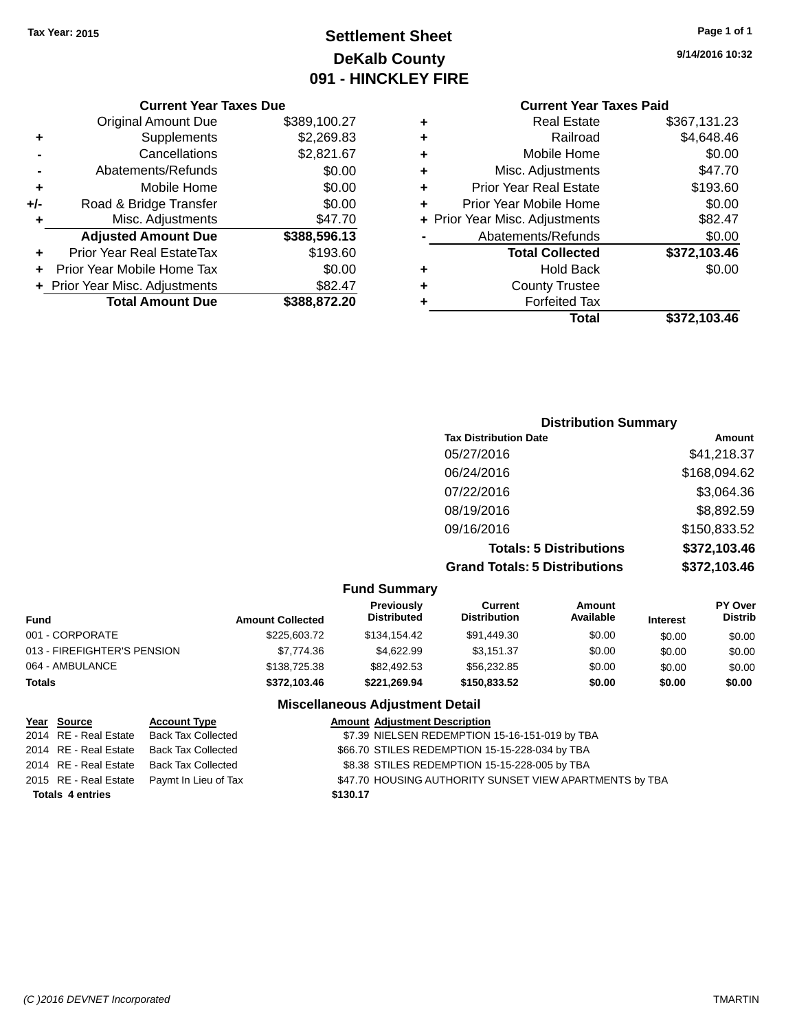# **Settlement Sheet Tax Year: 2015 Page 1 of 1 DeKalb County 091 - HINCKLEY FIRE**

**9/14/2016 10:32**

# **Current Year Taxes Paid**

|     | <b>Current Year Taxes Due</b>    |              |  |  |
|-----|----------------------------------|--------------|--|--|
|     | <b>Original Amount Due</b>       | \$389,100.27 |  |  |
| ٠   | Supplements                      | \$2,269.83   |  |  |
|     | Cancellations                    | \$2,821.67   |  |  |
|     | Abatements/Refunds               | \$0.00       |  |  |
| ٠   | Mobile Home                      | \$0.00       |  |  |
| +/- | Road & Bridge Transfer           | \$0.00       |  |  |
| ٠   | Misc. Adjustments                | \$47.70      |  |  |
|     | <b>Adjusted Amount Due</b>       | \$388,596.13 |  |  |
|     | <b>Prior Year Real EstateTax</b> | \$193.60     |  |  |
|     | Prior Year Mobile Home Tax       | \$0.00       |  |  |
|     | + Prior Year Misc. Adjustments   | \$82.47      |  |  |
|     | <b>Total Amount Due</b>          | \$388.872.20 |  |  |
|     |                                  |              |  |  |

| ٠ | <b>Real Estate</b>             | \$367,131.23 |
|---|--------------------------------|--------------|
| ٠ | Railroad                       | \$4,648.46   |
| ٠ | Mobile Home                    | \$0.00       |
| ٠ | Misc. Adjustments              | \$47.70      |
| ٠ | <b>Prior Year Real Estate</b>  | \$193.60     |
| ٠ | Prior Year Mobile Home         | \$0.00       |
|   | + Prior Year Misc. Adjustments | \$82.47      |
|   | Abatements/Refunds             | \$0.00       |
|   | <b>Total Collected</b>         | \$372,103.46 |
| ٠ | <b>Hold Back</b>               | \$0.00       |
| ٠ | <b>County Trustee</b>          |              |
| ٠ | <b>Forfeited Tax</b>           |              |
|   | Total                          | \$372,103.46 |
|   |                                |              |

## **Distribution Summary Tax Distribution Date Amount** 05/27/2016 \$41,218.37 06/24/2016 \$168,094.62 07/22/2016 \$3,064.36 08/19/2016 \$8,892.59 09/16/2016 \$150,833.52 **Totals: 5 Distributions \$372,103.46 Grand Totals: 5 Distributions \$372,103.46**

| <b>Fund Summary</b>         |                         |                                  |                                |                     |                 |                                  |
|-----------------------------|-------------------------|----------------------------------|--------------------------------|---------------------|-----------------|----------------------------------|
| <b>Fund</b>                 | <b>Amount Collected</b> | Previously<br><b>Distributed</b> | Current<br><b>Distribution</b> | Amount<br>Available | <b>Interest</b> | <b>PY Over</b><br><b>Distrib</b> |
| 001 - CORPORATE             | \$225,603.72            | \$134,154,42                     | \$91,449.30                    | \$0.00              | \$0.00          | \$0.00                           |
| 013 - FIREFIGHTER'S PENSION | \$7.774.36              | \$4.622.99                       | \$3.151.37                     | \$0.00              | \$0.00          | \$0.00                           |
| 064 - AMBULANCE             | \$138,725,38            | \$82.492.53                      | \$56,232.85                    | \$0.00              | \$0.00          | \$0.00                           |
| <b>Totals</b>               | \$372,103,46            | \$221.269.94                     | \$150,833,52                   | \$0.00              | \$0.00          | \$0.00                           |

#### **Miscellaneous Adjustment Detail**

|                         | Year Source           | <b>Account Type</b>                        | <b>Amount Adjustment Description</b>                    |
|-------------------------|-----------------------|--------------------------------------------|---------------------------------------------------------|
|                         | 2014 RE - Real Estate | Back Tax Collected                         | \$7.39 NIELSEN REDEMPTION 15-16-151-019 by TBA          |
|                         | 2014 RE - Real Estate | Back Tax Collected                         | \$66.70 STILES REDEMPTION 15-15-228-034 by TBA          |
|                         | 2014 RE - Real Estate | Back Tax Collected                         | \$8.38 STILES REDEMPTION 15-15-228-005 by TBA           |
|                         |                       | 2015 RE - Real Estate Paymt In Lieu of Tax | \$47.70 HOUSING AUTHORITY SUNSET VIEW APARTMENTS by TBA |
| <b>Totals 4 entries</b> |                       |                                            | \$130.17                                                |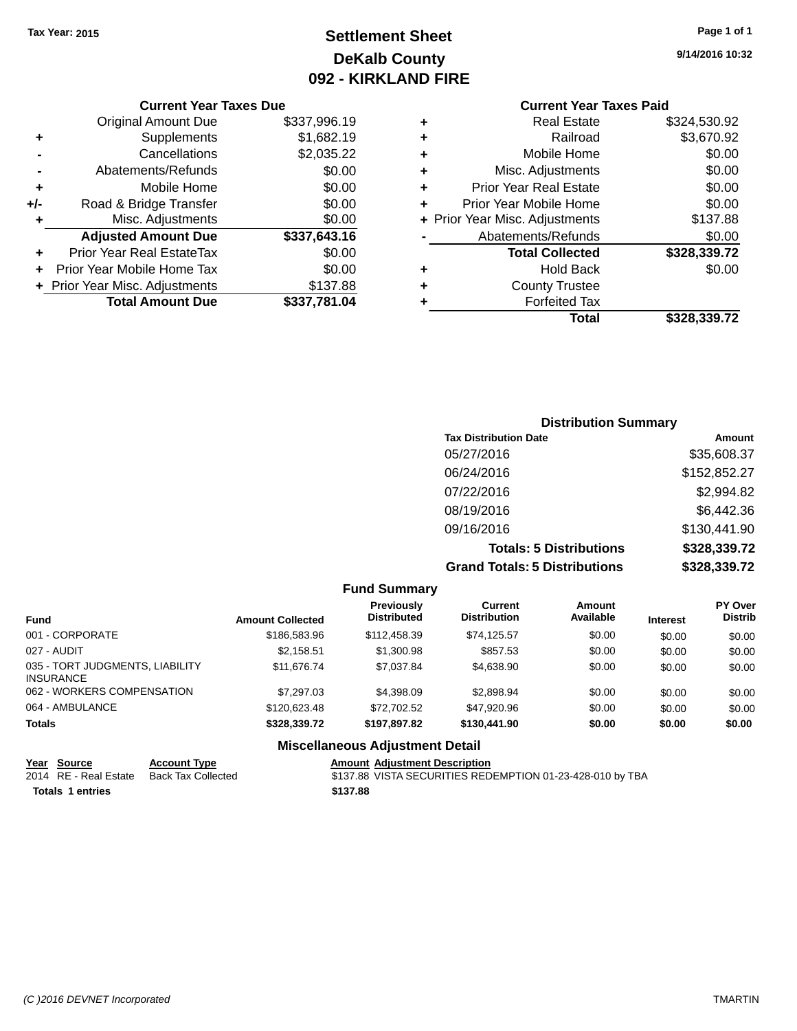# **Settlement Sheet Tax Year: 2015 Page 1 of 1 DeKalb County 092 - KIRKLAND FIRE**

**9/14/2016 10:32**

#### **Current Year Taxes Due**

|     | <b>Original Amount Due</b>     | \$337,996.19 |
|-----|--------------------------------|--------------|
| ٠   | Supplements                    | \$1,682.19   |
|     | Cancellations                  | \$2,035.22   |
|     | Abatements/Refunds             | \$0.00       |
| ٠   | Mobile Home                    | \$0.00       |
| +/- | Road & Bridge Transfer         | \$0.00       |
| ٠   | Misc. Adjustments              | \$0.00       |
|     | <b>Adjusted Amount Due</b>     | \$337,643.16 |
|     | Prior Year Real EstateTax      | \$0.00       |
|     | Prior Year Mobile Home Tax     | \$0.00       |
|     | + Prior Year Misc. Adjustments | \$137.88     |
|     | <b>Total Amount Due</b>        | \$337,781.04 |

# **Current Year Taxes Paid**

|   | <b>Real Estate</b>             | \$324,530.92 |
|---|--------------------------------|--------------|
| ٠ | Railroad                       | \$3,670.92   |
| ٠ | Mobile Home                    | \$0.00       |
| ٠ | Misc. Adjustments              | \$0.00       |
| ٠ | <b>Prior Year Real Estate</b>  | \$0.00       |
| ٠ | Prior Year Mobile Home         | \$0.00       |
|   | + Prior Year Misc. Adjustments | \$137.88     |
|   | Abatements/Refunds             | \$0.00       |
|   | <b>Total Collected</b>         | \$328,339.72 |
| ٠ | <b>Hold Back</b>               | \$0.00       |
| ٠ | <b>County Trustee</b>          |              |
| ٠ | <b>Forfeited Tax</b>           |              |
|   | Total                          | \$328,339.72 |
|   |                                |              |

## **Distribution Summary Tax Distribution Date Amount** 05/27/2016 \$35,608.37 06/24/2016 \$152,852.27 07/22/2016 \$2,994.82 08/19/2016 \$6,442.36 09/16/2016 \$130,441.90 **Totals: 5 Distributions \$328,339.72 Grand Totals: 5 Distributions \$328,339.72**

|                                                     |                         | <b>Fund Summary</b>                     |                                |                     |                 |                           |
|-----------------------------------------------------|-------------------------|-----------------------------------------|--------------------------------|---------------------|-----------------|---------------------------|
| <b>Fund</b>                                         | <b>Amount Collected</b> | <b>Previously</b><br><b>Distributed</b> | Current<br><b>Distribution</b> | Amount<br>Available | <b>Interest</b> | PY Over<br><b>Distrib</b> |
| 001 - CORPORATE                                     | \$186,583.96            | \$112,458.39                            | \$74,125.57                    | \$0.00              | \$0.00          | \$0.00                    |
| 027 - AUDIT                                         | \$2.158.51              | \$1,300.98                              | \$857.53                       | \$0.00              | \$0.00          | \$0.00                    |
| 035 - TORT JUDGMENTS, LIABILITY<br><b>INSURANCE</b> | \$11,676,74             | \$7.037.84                              | \$4,638,90                     | \$0.00              | \$0.00          | \$0.00                    |
| 062 - WORKERS COMPENSATION                          | \$7,297.03              | \$4,398.09                              | \$2,898.94                     | \$0.00              | \$0.00          | \$0.00                    |
| 064 - AMBULANCE                                     | \$120,623.48            | \$72.702.52                             | \$47.920.96                    | \$0.00              | \$0.00          | \$0.00                    |
| <b>Totals</b>                                       | \$328,339.72            | \$197.897.82                            | \$130,441.90                   | \$0.00              | \$0.00          | \$0.00                    |
|                                                     |                         | <b>Miscellaneous Adjustment Detail</b>  |                                |                     |                 |                           |

#### **Year Source Account Type Account Type Amount Adjustment Description**<br>2014 RE - Real Estate Back Tax Collected \$137.88 VISTA SECURITIES RED \$137.88 VISTA SECURITIES REDEMPTION 01-23-428-010 by TBA **Totals \$137.88 1 entries**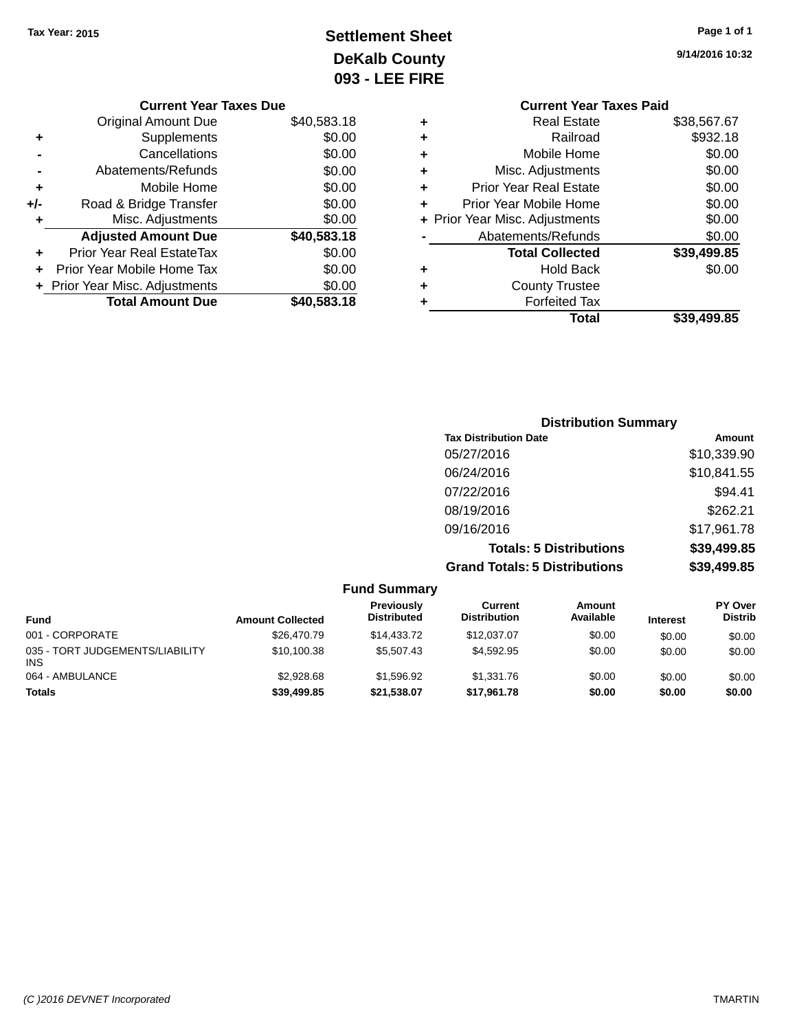# **Settlement Sheet Tax Year: 2015 Page 1 of 1 DeKalb County 093 - LEE FIRE**

|     | <b>Current Year Taxes Due</b>    |             |
|-----|----------------------------------|-------------|
|     | <b>Original Amount Due</b>       | \$40,583.18 |
| ٠   | Supplements                      | \$0.00      |
|     | Cancellations                    | \$0.00      |
|     | Abatements/Refunds               | \$0.00      |
| ٠   | Mobile Home                      | \$0.00      |
| +/- | Road & Bridge Transfer           | \$0.00      |
| ٠   | Misc. Adjustments                | \$0.00      |
|     | <b>Adjusted Amount Due</b>       | \$40,583.18 |
|     | <b>Prior Year Real EstateTax</b> | \$0.00      |
|     | Prior Year Mobile Home Tax       | \$0.00      |
|     | + Prior Year Misc. Adjustments   | \$0.00      |
|     | <b>Total Amount Due</b>          | \$40,583.18 |

**9/14/2016 10:32**

| <b>Current Year Taxes Paid</b> |             |
|--------------------------------|-------------|
| <b>Real Estate</b>             | \$38,567.67 |
| Railroad                       | \$932.18    |
| Mobile Home                    | \$0.00      |
| Misc. Adjustments              | \$0.00      |
| <b>Prior Year Real Estate</b>  | \$0.00      |
| Prior Year Mobile Home         | \$0.00      |
| + Prior Year Misc. Adjustments | \$0.00      |
| Abatements/Refunds             | \$0.00      |
| <b>Total Collected</b>         | \$39,499.85 |
| <b>Hold Back</b>               | \$0.00      |
| <b>County Trustee</b>          |             |
| <b>Forfeited Tax</b>           |             |
| Total                          | \$39,499.85 |
|                                |             |

| <b>Distribution Summary</b>          |             |
|--------------------------------------|-------------|
| <b>Tax Distribution Date</b>         | Amount      |
| 05/27/2016                           | \$10,339.90 |
| 06/24/2016                           | \$10,841.55 |
| 07/22/2016                           | \$94.41     |
| 08/19/2016                           | \$262.21    |
| 09/16/2016                           | \$17,961.78 |
| <b>Totals: 5 Distributions</b>       | \$39,499.85 |
| <b>Grand Totals: 5 Distributions</b> | \$39,499.85 |

| <b>Fund Summary</b>                           |                         |                                  |                                |                     |                 |                                  |
|-----------------------------------------------|-------------------------|----------------------------------|--------------------------------|---------------------|-----------------|----------------------------------|
| <b>Fund</b>                                   | <b>Amount Collected</b> | Previously<br><b>Distributed</b> | Current<br><b>Distribution</b> | Amount<br>Available | <b>Interest</b> | <b>PY Over</b><br><b>Distrib</b> |
| 001 - CORPORATE                               | \$26,470.79             | \$14,433.72                      | \$12,037.07                    | \$0.00              | \$0.00          | \$0.00                           |
| 035 - TORT JUDGEMENTS/LIABILITY<br><b>INS</b> | \$10,100.38             | \$5,507.43                       | \$4.592.95                     | \$0.00              | \$0.00          | \$0.00                           |
| 064 - AMBULANCE                               | \$2,928.68              | \$1.596.92                       | \$1,331.76                     | \$0.00              | \$0.00          | \$0.00                           |
| <b>Totals</b>                                 | \$39,499.85             | \$21.538.07                      | \$17,961.78                    | \$0.00              | \$0.00          | \$0.00                           |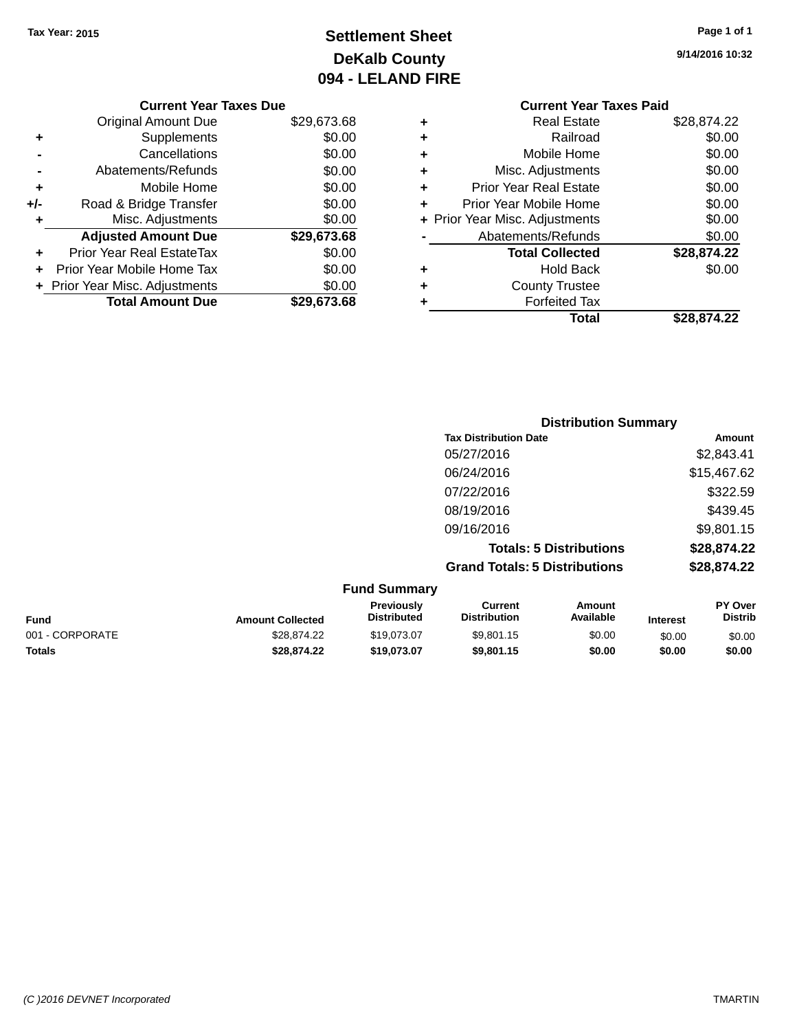# **Settlement Sheet Tax Year: 2015 Page 1 of 1 DeKalb County 094 - LELAND FIRE**

**9/14/2016 10:32**

# **Current Year Taxes Paid +** Real Estate<br>Real Estate \$28,874.22<br>\$0.00

|     | <b>Total Amount Due</b>          | \$29,673.68 |   |
|-----|----------------------------------|-------------|---|
|     | + Prior Year Misc. Adjustments   | \$0.00      | ٠ |
|     | Prior Year Mobile Home Tax       | \$0.00      |   |
|     | <b>Prior Year Real EstateTax</b> | \$0.00      |   |
|     | <b>Adjusted Amount Due</b>       | \$29,673.68 |   |
|     | Misc. Adjustments                | \$0.00      |   |
| +/- | Road & Bridge Transfer           | \$0.00      |   |
| ٠   | Mobile Home                      | \$0.00      | ٠ |
|     | Abatements/Refunds               | \$0.00      |   |
|     | Cancellations                    | \$0.00      | ٠ |
|     | Supplements                      | \$0.00      |   |

**Current Year Taxes Due** Original Amount Due \$29,673.68

|   | Total                          | \$28,874.22 |
|---|--------------------------------|-------------|
|   | <b>Forfeited Tax</b>           |             |
| ٠ | <b>County Trustee</b>          |             |
| ٠ | <b>Hold Back</b>               | \$0.00      |
|   | <b>Total Collected</b>         | \$28,874.22 |
|   | Abatements/Refunds             | \$0.00      |
|   | + Prior Year Misc. Adjustments | \$0.00      |
| ÷ | Prior Year Mobile Home         | \$0.00      |
| ٠ | <b>Prior Year Real Estate</b>  | \$0.00      |
| ÷ | Misc. Adjustments              | \$0.00      |
| ٠ | Mobile Home                    | \$0.00      |
|   | Rallroad                       | \$0.00      |

| <b>Distribution Summary</b>          |             |
|--------------------------------------|-------------|
| <b>Tax Distribution Date</b>         | Amount      |
| 05/27/2016                           | \$2,843.41  |
| 06/24/2016                           | \$15,467.62 |
| 07/22/2016                           | \$322.59    |
| 08/19/2016                           | \$439.45    |
| 09/16/2016                           | \$9,801.15  |
| <b>Totals: 5 Distributions</b>       | \$28,874.22 |
| <b>Grand Totals: 5 Distributions</b> | \$28,874.22 |

| <b>Fund Summary</b> |                         |                                         |                                |                     |                 |                                  |
|---------------------|-------------------------|-----------------------------------------|--------------------------------|---------------------|-----------------|----------------------------------|
| <b>Fund</b>         | <b>Amount Collected</b> | <b>Previously</b><br><b>Distributed</b> | Current<br><b>Distribution</b> | Amount<br>Available | <b>Interest</b> | <b>PY Over</b><br><b>Distrib</b> |
| 001 - CORPORATE     | \$28.874.22             | \$19.073.07                             | \$9,801.15                     | \$0.00              | \$0.00          | \$0.00                           |
| <b>Totals</b>       | \$28,874.22             | \$19,073,07                             | \$9,801.15                     | \$0.00              | \$0.00          | \$0.00                           |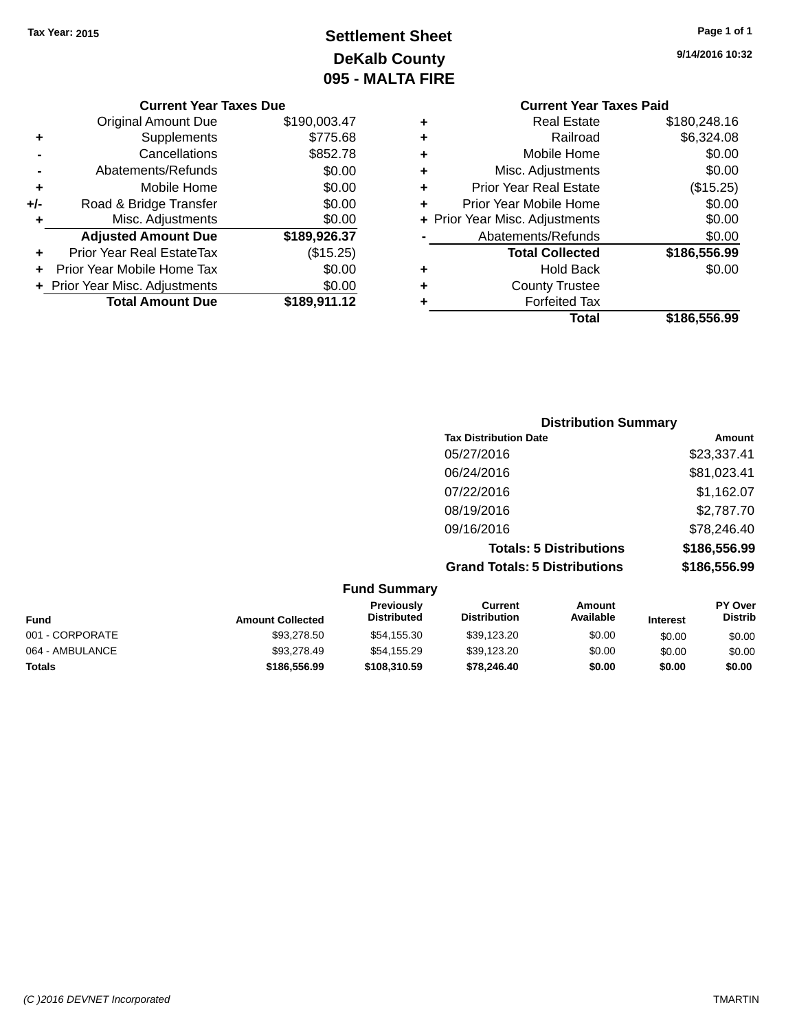# **Settlement Sheet Tax Year: 2015 Page 1 of 1 DeKalb County 095 - MALTA FIRE**

**9/14/2016 10:32**

|     | <b>Current Year Taxes Due</b>    |              |            |     |
|-----|----------------------------------|--------------|------------|-----|
|     | <b>Original Amount Due</b>       | \$190,003.47 | ٠          |     |
|     | Supplements                      | \$775.68     | ٠          |     |
|     | Cancellations                    | \$852.78     | ٠          |     |
|     | Abatements/Refunds               | \$0.00       | ٠          |     |
|     | Mobile Home                      | \$0.00       |            | Ρ   |
| +/- | Road & Bridge Transfer           | \$0.00       |            | Pri |
|     | Misc. Adjustments                | \$0.00       | + Prior Ye |     |
|     | <b>Adjusted Amount Due</b>       | \$189,926.37 |            |     |
|     | <b>Prior Year Real EstateTax</b> | (\$15.25)    |            |     |
|     | Prior Year Mobile Home Tax       | \$0.00       |            |     |
|     | + Prior Year Misc. Adjustments   | \$0.00       | ٠          |     |
|     | <b>Total Amount Due</b>          | \$189,911.12 |            |     |
|     |                                  |              |            |     |

|   | <b>Current Year Taxes Paid</b> |              |
|---|--------------------------------|--------------|
| ٠ | <b>Real Estate</b>             | \$180,248.16 |
|   | Railroad                       | \$6,324.08   |
| ٠ | Mobile Home                    | \$0.00       |
| ٠ | Misc. Adjustments              | \$0.00       |
| ٠ | <b>Prior Year Real Estate</b>  | (\$15.25)    |
| ٠ | Prior Year Mobile Home         | \$0.00       |
|   | + Prior Year Misc. Adjustments | \$0.00       |
|   | Abatements/Refunds             | \$0.00       |
|   | <b>Total Collected</b>         | \$186,556.99 |
| ٠ | <b>Hold Back</b>               | \$0.00       |
|   | <b>County Trustee</b>          |              |
|   | <b>Forfeited Tax</b>           |              |
|   | Total                          | \$186,556.99 |
|   |                                |              |

| <b>Distribution Summary</b>          |              |
|--------------------------------------|--------------|
| <b>Tax Distribution Date</b>         | Amount       |
| 05/27/2016                           | \$23,337.41  |
| 06/24/2016                           | \$81,023.41  |
| 07/22/2016                           | \$1,162.07   |
| 08/19/2016                           | \$2,787.70   |
| 09/16/2016                           | \$78,246.40  |
| <b>Totals: 5 Distributions</b>       | \$186,556.99 |
| <b>Grand Totals: 5 Distributions</b> | \$186,556.99 |

| <b>Fund Summary</b> |                         |                                         |                                |                     |                 |                                  |
|---------------------|-------------------------|-----------------------------------------|--------------------------------|---------------------|-----------------|----------------------------------|
| <b>Fund</b>         | <b>Amount Collected</b> | <b>Previously</b><br><b>Distributed</b> | Current<br><b>Distribution</b> | Amount<br>Available | <b>Interest</b> | <b>PY Over</b><br><b>Distrib</b> |
| 001 - CORPORATE     | \$93,278.50             | \$54,155.30                             | \$39,123.20                    | \$0.00              | \$0.00          | \$0.00                           |
| 064 - AMBULANCE     | \$93,278.49             | \$54,155.29                             | \$39,123.20                    | \$0.00              | \$0.00          | \$0.00                           |
| <b>Totals</b>       | \$186,556.99            | \$108,310.59                            | \$78,246,40                    | \$0.00              | \$0.00          | \$0.00                           |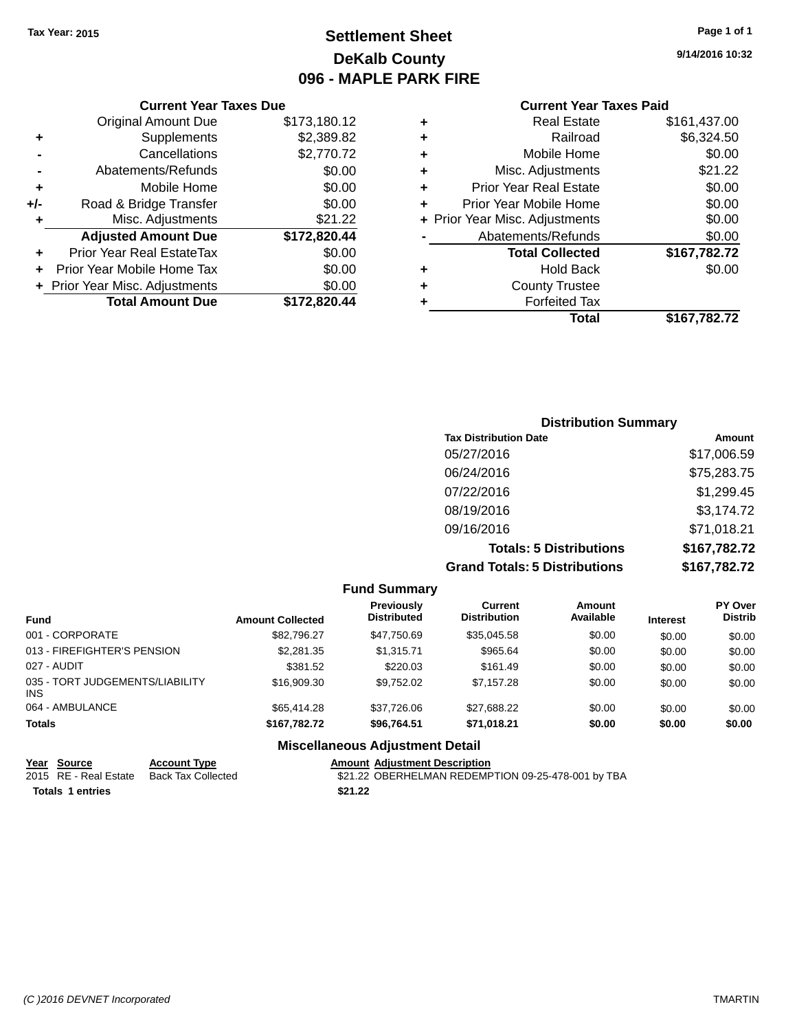# **Settlement Sheet Tax Year: 2015 Page 1 of 1 DeKalb County 096 - MAPLE PARK FIRE**

**9/14/2016 10:32**

#### **Current Year Taxes Paid**

|     | <b>Current Year Taxes Due</b>  |              |  |  |  |
|-----|--------------------------------|--------------|--|--|--|
|     | <b>Original Amount Due</b>     | \$173,180.12 |  |  |  |
| ٠   | Supplements                    | \$2,389.82   |  |  |  |
|     | Cancellations                  | \$2,770.72   |  |  |  |
|     | Abatements/Refunds             | \$0.00       |  |  |  |
| ٠   | Mobile Home                    | \$0.00       |  |  |  |
| +/- | Road & Bridge Transfer         | \$0.00       |  |  |  |
| ٠   | Misc. Adjustments              | \$21.22      |  |  |  |
|     | <b>Adjusted Amount Due</b>     | \$172,820.44 |  |  |  |
| ٠   | Prior Year Real EstateTax      | \$0.00       |  |  |  |
|     | Prior Year Mobile Home Tax     | \$0.00       |  |  |  |
|     | + Prior Year Misc. Adjustments | \$0.00       |  |  |  |
|     | <b>Total Amount Due</b>        | \$172.820.44 |  |  |  |
|     |                                |              |  |  |  |

|   | <b>Real Estate</b>             | \$161,437.00 |
|---|--------------------------------|--------------|
| ٠ | Railroad                       | \$6,324.50   |
| ٠ | Mobile Home                    | \$0.00       |
| ٠ | Misc. Adjustments              | \$21.22      |
| ٠ | <b>Prior Year Real Estate</b>  | \$0.00       |
| ٠ | Prior Year Mobile Home         | \$0.00       |
|   | + Prior Year Misc. Adjustments | \$0.00       |
|   | Abatements/Refunds             | \$0.00       |
|   | <b>Total Collected</b>         | \$167,782.72 |
| ٠ | Hold Back                      | \$0.00       |
| ٠ | <b>County Trustee</b>          |              |
| ٠ | <b>Forfeited Tax</b>           |              |
|   | Total                          | \$167,782.72 |
|   |                                |              |

| <b>Distribution Summary</b>          |              |
|--------------------------------------|--------------|
| <b>Tax Distribution Date</b>         | Amount       |
| 05/27/2016                           | \$17,006.59  |
| 06/24/2016                           | \$75,283.75  |
| 07/22/2016                           | \$1,299.45   |
| 08/19/2016                           | \$3,174.72   |
| 09/16/2016                           | \$71,018.21  |
| <b>Totals: 5 Distributions</b>       | \$167,782.72 |
| <b>Grand Totals: 5 Distributions</b> | \$167,782.72 |

|                                         |                         | <b>Fund Summary</b>                    |                                |                     |                 |                                  |
|-----------------------------------------|-------------------------|----------------------------------------|--------------------------------|---------------------|-----------------|----------------------------------|
| <b>Fund</b>                             | <b>Amount Collected</b> | Previously<br><b>Distributed</b>       | Current<br><b>Distribution</b> | Amount<br>Available | <b>Interest</b> | <b>PY Over</b><br><b>Distrib</b> |
| 001 - CORPORATE                         | \$82,796.27             | \$47,750.69                            | \$35,045.58                    | \$0.00              | \$0.00          | \$0.00                           |
| 013 - FIREFIGHTER'S PENSION             | \$2,281.35              | \$1,315.71                             | \$965.64                       | \$0.00              | \$0.00          | \$0.00                           |
| 027 - AUDIT                             | \$381.52                | \$220.03                               | \$161.49                       | \$0.00              | \$0.00          | \$0.00                           |
| 035 - TORT JUDGEMENTS/LIABILITY<br>INS. | \$16,909.30             | \$9.752.02                             | \$7.157.28                     | \$0.00              | \$0.00          | \$0.00                           |
| 064 - AMBULANCE                         | \$65,414.28             | \$37,726.06                            | \$27,688.22                    | \$0.00              | \$0.00          | \$0.00                           |
| <b>Totals</b>                           | \$167,782.72            | \$96,764.51                            | \$71,018.21                    | \$0.00              | \$0.00          | \$0.00                           |
|                                         |                         | <b>Miscellaneous Adjustment Detail</b> |                                |                     |                 |                                  |

#### **Year Source Account Type**<br>
2015 RE - Real Estate Back Tax Collected **Amount Adjustment Description**<br>
\$21.22 OBERHELMAN REDEMP \$21.22 OBERHELMAN REDEMPTION 09-25-478-001 by TBA **Totals 1 entries** \$21.22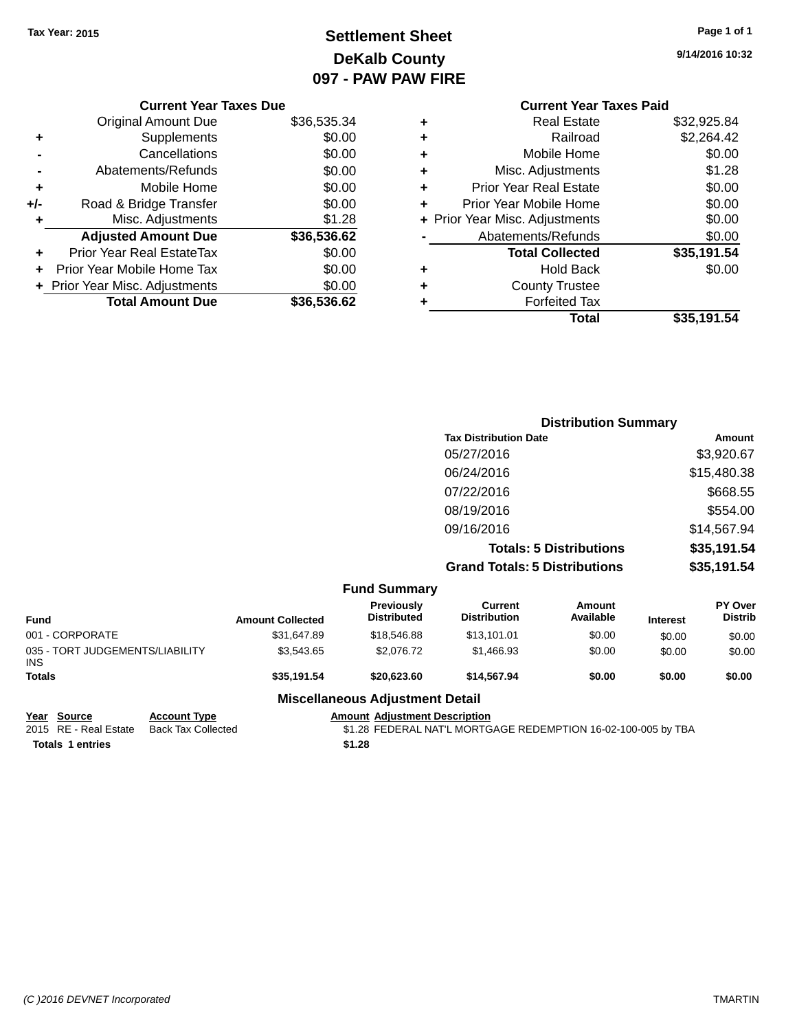# **Settlement Sheet Tax Year: 2015 Page 1 of 1 DeKalb County 097 - PAW PAW FIRE**

**9/14/2016 10:32**

|       | <b>Current Year Taxes Due</b>  |             |
|-------|--------------------------------|-------------|
|       | <b>Original Amount Due</b>     | \$36,535.34 |
|       | Supplements                    | \$0.00      |
|       | Cancellations                  | \$0.00      |
|       | Abatements/Refunds             | \$0.00      |
| ÷     | Mobile Home                    | \$0.00      |
| $+/-$ | Road & Bridge Transfer         | \$0.00      |
| ٠     | Misc. Adjustments              | \$1.28      |
|       | <b>Adjusted Amount Due</b>     | \$36,536.62 |
|       | Prior Year Real EstateTax      | \$0.00      |
|       | Prior Year Mobile Home Tax     | \$0.00      |
|       | + Prior Year Misc. Adjustments | \$0.00      |
|       | <b>Total Amount Due</b>        | \$36,536.62 |
|       |                                |             |

### **Current Year Taxes Paid +** Real Estate \$32,925.84<br>**+** Railroad \$2,264.42 **+** Railroad \$2,264.42 **+** Mobile Home \$0.00 **+** Misc. Adjustments \$1.28 **+** Prior Year Real Estate \$0.00 **+** Prior Year Mobile Home \$0.00 **+ Prior Year Misc. Adjustments**  $$0.00$ **-** Abatements/Refunds \$0.00 **Total Collected \$35,191.54 +** Hold Back \$0.00

|   | Total                 | \$35,191.54 |
|---|-----------------------|-------------|
| ٠ | <b>Forfeited Tax</b>  |             |
| ٠ | <b>County Trustee</b> |             |
|   | .                     | vv.vv       |

|                     | <b>Distribution Summary</b>          |             |
|---------------------|--------------------------------------|-------------|
|                     | <b>Tax Distribution Date</b>         | Amount      |
|                     | 05/27/2016                           | \$3,920.67  |
|                     | 06/24/2016                           | \$15,480.38 |
|                     | 07/22/2016                           | \$668.55    |
|                     | 08/19/2016                           | \$554.00    |
|                     | 09/16/2016                           | \$14,567.94 |
|                     | <b>Totals: 5 Distributions</b>       | \$35,191.54 |
|                     | <b>Grand Totals: 5 Distributions</b> | \$35,191.54 |
| <b>Fund Summary</b> |                                      |             |

| <b>Fund</b>                                   | <b>Amount Collected</b> | Previously<br><b>Distributed</b> | Current<br><b>Distribution</b> | Amount<br>Available | <b>Interest</b> | <b>PY Over</b><br><b>Distrib</b> |  |
|-----------------------------------------------|-------------------------|----------------------------------|--------------------------------|---------------------|-----------------|----------------------------------|--|
| 001 - CORPORATE                               | \$31,647.89             | \$18,546.88                      | \$13,101.01                    | \$0.00              | \$0.00          | \$0.00                           |  |
| 035 - TORT JUDGEMENTS/LIABILITY<br><b>INS</b> | \$3,543.65              | \$2.076.72                       | \$1,466.93                     | \$0.00              | \$0.00          | \$0.00                           |  |
| <b>Totals</b>                                 | \$35,191.54             | \$20,623,60                      | \$14,567.94                    | \$0.00              | \$0.00          | \$0.00                           |  |
|                                               |                         |                                  |                                |                     |                 |                                  |  |

#### **Miscellaneous Adjustment Detail**

| Year Source             | <b>Account Type</b> | Amount |
|-------------------------|---------------------|--------|
| 2015 RE - Real Estate   | Back Tax Collected  | \$1.28 |
| <b>Totals 1 entries</b> |                     | \$1.28 |

**Year Source Account Type Amount Adjustment Description** \$1.28 FEDERAL NAT'L MORTGAGE REDEMPTION 16-02-100-005 by TBA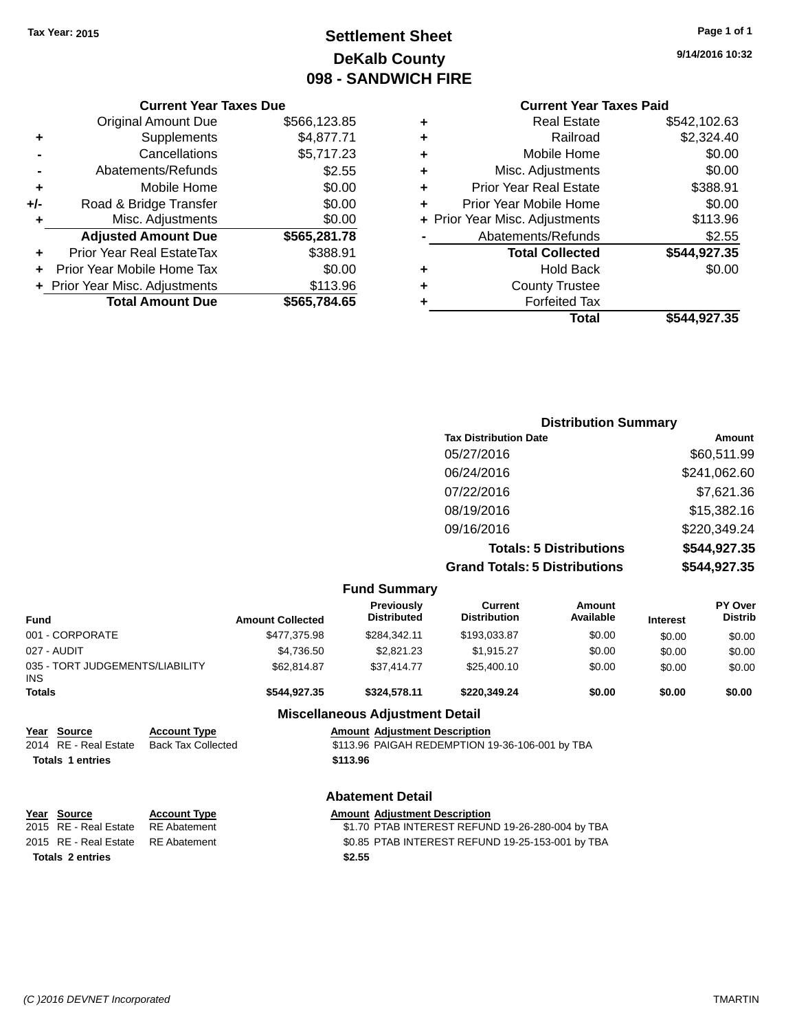# **Settlement Sheet Tax Year: 2015 Page 1 of 1 DeKalb County 098 - SANDWICH FIRE**

**9/14/2016 10:32**

|   | Total                          | \$544.927.35 |
|---|--------------------------------|--------------|
|   | <b>Forfeited Tax</b>           |              |
| ٠ | <b>County Trustee</b>          |              |
| ٠ | <b>Hold Back</b>               | \$0.00       |
|   | <b>Total Collected</b>         | \$544,927.35 |
|   | Abatements/Refunds             | \$2.55       |
|   | + Prior Year Misc. Adjustments | \$113.96     |
|   | Prior Year Mobile Home         | \$0.00       |
| ٠ | <b>Prior Year Real Estate</b>  | \$388.91     |
| ٠ | Misc. Adjustments              | \$0.00       |
| ٠ | Mobile Home                    | \$0.00       |
| ٠ | Railroad                       | \$2,324.40   |
|   | <b>Real Estate</b>             | \$542,102.63 |

|     | <b>Current Year Taxes Due</b>    |              |
|-----|----------------------------------|--------------|
|     | <b>Original Amount Due</b>       | \$566,123.85 |
| ٠   | Supplements                      | \$4,877.71   |
|     | Cancellations                    | \$5,717.23   |
|     | Abatements/Refunds               | \$2.55       |
| ÷   | Mobile Home                      | \$0.00       |
| +/- | Road & Bridge Transfer           | \$0.00       |
| ٠   | Misc. Adjustments                | \$0.00       |
|     | <b>Adjusted Amount Due</b>       | \$565,281.78 |
| ٠   | <b>Prior Year Real EstateTax</b> | \$388.91     |
| ÷   | Prior Year Mobile Home Tax       | \$0.00       |
|     | + Prior Year Misc. Adjustments   | \$113.96     |
|     | <b>Total Amount Due</b>          | \$565,784.65 |

| <b>Distribution Summary</b>          |              |
|--------------------------------------|--------------|
| <b>Tax Distribution Date</b>         | Amount       |
| 05/27/2016                           | \$60,511.99  |
| 06/24/2016                           | \$241,062.60 |
| 07/22/2016                           | \$7,621.36   |
| 08/19/2016                           | \$15,382.16  |
| 09/16/2016                           | \$220,349.24 |
| <b>Totals: 5 Distributions</b>       | \$544,927.35 |
| <b>Grand Totals: 5 Distributions</b> | \$544,927.35 |

|                                                                                             |                                                                   |                         | <b>Fund Summary</b>                            |                                                                                                      |                            |                 |                                  |
|---------------------------------------------------------------------------------------------|-------------------------------------------------------------------|-------------------------|------------------------------------------------|------------------------------------------------------------------------------------------------------|----------------------------|-----------------|----------------------------------|
| <b>Fund</b>                                                                                 |                                                                   | <b>Amount Collected</b> | <b>Previously</b><br><b>Distributed</b>        | Current<br><b>Distribution</b>                                                                       | <b>Amount</b><br>Available | <b>Interest</b> | <b>PY Over</b><br><b>Distrib</b> |
| 001 - CORPORATE                                                                             |                                                                   | \$477,375.98            | \$284,342.11                                   | \$193,033.87                                                                                         | \$0.00                     | \$0.00          | \$0.00                           |
| 027 - AUDIT                                                                                 |                                                                   | \$4,736.50              | \$2,821.23                                     | \$1,915.27                                                                                           | \$0.00                     | \$0.00          | \$0.00                           |
| 035 - TORT JUDGEMENTS/LIABILITY<br>INS.                                                     |                                                                   | \$62,814.87             | \$37,414.77                                    | \$25,400.10                                                                                          | \$0.00                     | \$0.00          | \$0.00                           |
| <b>Totals</b>                                                                               |                                                                   | \$544,927.35            | \$324,578.11                                   | \$220,349.24                                                                                         | \$0.00                     | \$0.00          | \$0.00                           |
|                                                                                             |                                                                   |                         | <b>Miscellaneous Adjustment Detail</b>         |                                                                                                      |                            |                 |                                  |
| Year Source<br>2014 RE - Real Estate                                                        | <b>Account Type</b><br><b>Back Tax Collected</b>                  |                         | <b>Amount Adjustment Description</b>           | \$113.96 PAIGAH REDEMPTION 19-36-106-001 by TBA                                                      |                            |                 |                                  |
| <b>Totals 1 entries</b>                                                                     |                                                                   |                         | \$113.96                                       |                                                                                                      |                            |                 |                                  |
|                                                                                             |                                                                   |                         | <b>Abatement Detail</b>                        |                                                                                                      |                            |                 |                                  |
| Year Source<br>RE - Real Estate<br>2015<br>2015 RE - Real Estate<br><b>Totals 2 entries</b> | <b>Account Type</b><br><b>RE</b> Abatement<br><b>RE</b> Abatement |                         | <b>Amount Adjustment Description</b><br>\$2.55 | \$1.70 PTAB INTEREST REFUND 19-26-280-004 by TBA<br>\$0.85 PTAB INTEREST REFUND 19-25-153-001 by TBA |                            |                 |                                  |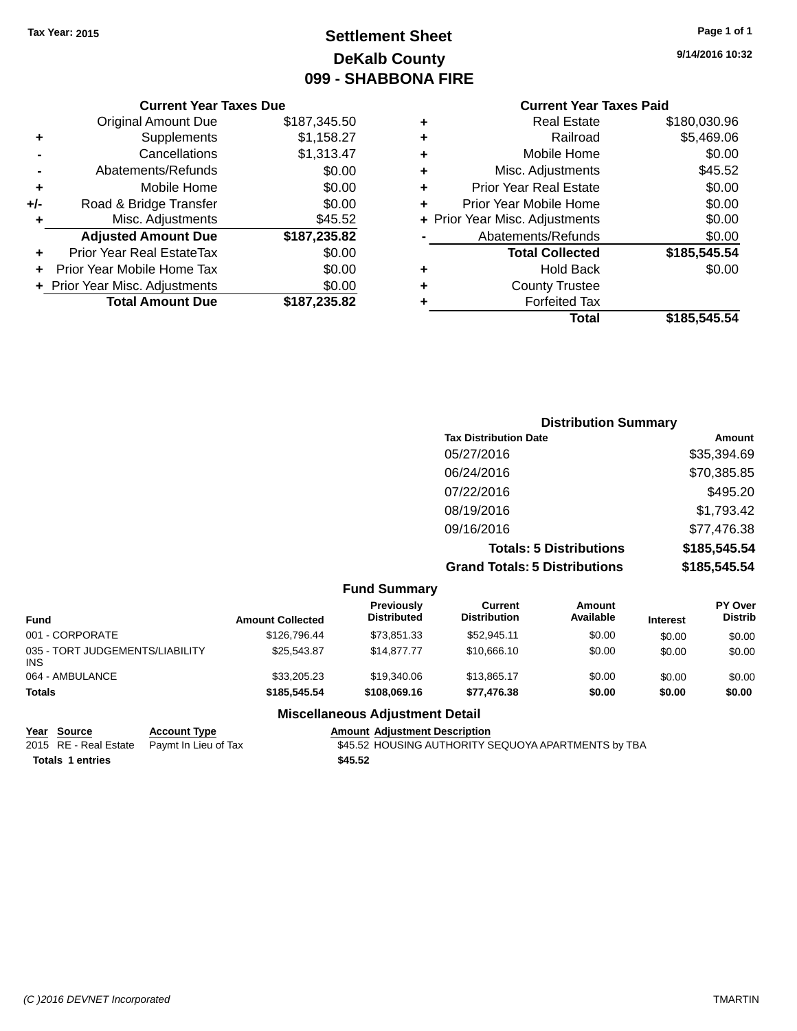# **Settlement Sheet Tax Year: 2015 Page 1 of 1 DeKalb County 099 - SHABBONA FIRE**

**9/14/2016 10:32**

#### **Current Year Taxes Due**

|       | <b>Original Amount Due</b>       | \$187,345.50 |
|-------|----------------------------------|--------------|
| ٠     | Supplements                      | \$1,158.27   |
|       | Cancellations                    | \$1,313.47   |
|       | Abatements/Refunds               | \$0.00       |
| ٠     | Mobile Home                      | \$0.00       |
| $+/-$ | Road & Bridge Transfer           | \$0.00       |
| ٠     | Misc. Adjustments                | \$45.52      |
|       | <b>Adjusted Amount Due</b>       | \$187,235.82 |
|       | <b>Prior Year Real EstateTax</b> | \$0.00       |
|       | Prior Year Mobile Home Tax       | \$0.00       |
|       | + Prior Year Misc. Adjustments   | \$0.00       |
|       | <b>Total Amount Due</b>          | \$187,235.82 |

## **Current Year Taxes Paid +** Real Estate \$180,030.96 **+** Railroad \$5,469.06

|   | Total                          | \$185,545.54 |
|---|--------------------------------|--------------|
|   | <b>Forfeited Tax</b>           |              |
| ÷ | <b>County Trustee</b>          |              |
| ٠ | <b>Hold Back</b>               | \$0.00       |
|   | <b>Total Collected</b>         | \$185,545.54 |
|   | Abatements/Refunds             | \$0.00       |
|   | + Prior Year Misc. Adjustments | \$0.00       |
|   | Prior Year Mobile Home         | \$0.00       |
| ÷ | <b>Prior Year Real Estate</b>  | \$0.00       |
| ÷ | Misc. Adjustments              | \$45.52      |
|   | Mobile Home                    | \$0.00       |
|   |                                |              |

| <b>Distribution Summary</b>          |              |
|--------------------------------------|--------------|
| <b>Tax Distribution Date</b>         | Amount       |
| 05/27/2016                           | \$35,394.69  |
| 06/24/2016                           | \$70,385.85  |
| 07/22/2016                           | \$495.20     |
| 08/19/2016                           | \$1,793.42   |
| 09/16/2016                           | \$77,476.38  |
| <b>Totals: 5 Distributions</b>       | \$185,545.54 |
| <b>Grand Totals: 5 Distributions</b> | \$185,545.54 |

|                                               |                         | <b>Fund Summary</b>                     |                                |                     |                 |                                  |
|-----------------------------------------------|-------------------------|-----------------------------------------|--------------------------------|---------------------|-----------------|----------------------------------|
| Fund                                          | <b>Amount Collected</b> | <b>Previously</b><br><b>Distributed</b> | Current<br><b>Distribution</b> | Amount<br>Available | <b>Interest</b> | <b>PY Over</b><br><b>Distrib</b> |
| 001 - CORPORATE                               | \$126,796.44            | \$73.851.33                             | \$52.945.11                    | \$0.00              | \$0.00          | \$0.00                           |
| 035 - TORT JUDGEMENTS/LIABILITY<br><b>INS</b> | \$25,543.87             | \$14,877.77                             | \$10,666.10                    | \$0.00              | \$0.00          | \$0.00                           |
| 064 - AMBULANCE                               | \$33,205.23             | \$19,340.06                             | \$13,865.17                    | \$0.00              | \$0.00          | \$0.00                           |
| <b>Totals</b>                                 | \$185,545.54            | \$108,069.16                            | \$77.476.38                    | \$0.00              | \$0.00          | \$0.00                           |
|                                               |                         |                                         |                                |                     |                 |                                  |

#### **Miscellaneous Adjustment Detail**

**Year Source Account Type Amount Adjustment Description**<br>2015 RE - Real Estate Paymt In Lieu of Tax **645.52 HOUSING AUTHORITY** 

**Totals \$45.52 1 entries**

\$45.52 HOUSING AUTHORITY SEQUOYA APARTMENTS by TBA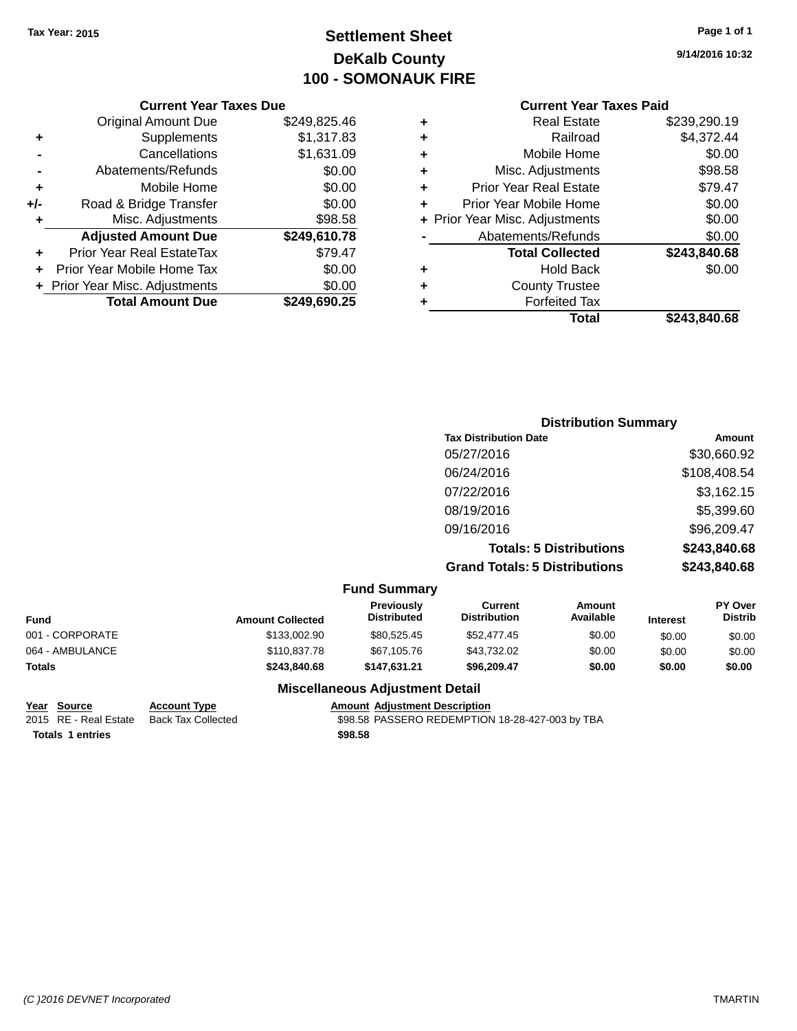# **Settlement Sheet Tax Year: 2015 Page 1 of 1 DeKalb County 100 - SOMONAUK FIRE**

**9/14/2016 10:32**

## **Current Year Taxes Paid**

|     | <b>Current Year Taxes Due</b>  |              |
|-----|--------------------------------|--------------|
|     | <b>Original Amount Due</b>     | \$249,825.46 |
| ٠   | Supplements                    | \$1,317.83   |
|     | Cancellations                  | \$1,631.09   |
|     | Abatements/Refunds             | \$0.00       |
| ٠   | Mobile Home                    | \$0.00       |
| +/- | Road & Bridge Transfer         | \$0.00       |
| ٠   | Misc. Adjustments              | \$98.58      |
|     | <b>Adjusted Amount Due</b>     | \$249,610.78 |
|     | Prior Year Real EstateTax      | \$79.47      |
|     | Prior Year Mobile Home Tax     | \$0.00       |
|     | + Prior Year Misc. Adjustments | \$0.00       |
|     | <b>Total Amount Due</b>        | \$249,690.25 |
|     |                                |              |

| ٠ | <b>Real Estate</b>             | \$239,290.19 |
|---|--------------------------------|--------------|
| ٠ | Railroad                       | \$4,372.44   |
| ٠ | Mobile Home                    | \$0.00       |
| ٠ | Misc. Adjustments              | \$98.58      |
| ٠ | <b>Prior Year Real Estate</b>  | \$79.47      |
| ٠ | Prior Year Mobile Home         | \$0.00       |
|   | + Prior Year Misc. Adjustments | \$0.00       |
|   | Abatements/Refunds             | \$0.00       |
|   | <b>Total Collected</b>         | \$243,840.68 |
| ٠ | <b>Hold Back</b>               | \$0.00       |
| ٠ | <b>County Trustee</b>          |              |
| ٠ | <b>Forfeited Tax</b>           |              |
|   | Total                          | \$243,840.68 |
|   |                                |              |

| <b>Distribution Summary</b>          |              |
|--------------------------------------|--------------|
| <b>Tax Distribution Date</b>         | Amount       |
| 05/27/2016                           | \$30,660.92  |
| 06/24/2016                           | \$108,408.54 |
| 07/22/2016                           | \$3,162.15   |
| 08/19/2016                           | \$5,399.60   |
| 09/16/2016                           | \$96,209.47  |
| <b>Totals: 5 Distributions</b>       | \$243,840.68 |
| <b>Grand Totals: 5 Distributions</b> | \$243,840.68 |

|                 |                         | <b>Fund Summary</b>                     |                                |                     |                 |                           |
|-----------------|-------------------------|-----------------------------------------|--------------------------------|---------------------|-----------------|---------------------------|
| <b>Fund</b>     | <b>Amount Collected</b> | <b>Previously</b><br><b>Distributed</b> | Current<br><b>Distribution</b> | Amount<br>Available | <b>Interest</b> | PY Over<br><b>Distrib</b> |
| 001 - CORPORATE | \$133,002.90            | \$80.525.45                             | \$52,477.45                    | \$0.00              | \$0.00          | \$0.00                    |
| 064 - AMBULANCE | \$110,837.78            | \$67,105.76                             | \$43,732.02                    | \$0.00              | \$0.00          | \$0.00                    |
| <b>Totals</b>   | \$243,840,68            | \$147.631.21                            | \$96.209.47                    | \$0.00              | \$0.00          | \$0.00                    |
|                 |                         |                                         |                                |                     |                 |                           |

**Totals \$98.58 1 entries**

#### **Miscellaneous Adjustment Detail**

# **Year Source Account Type Amount Adjustment Description**

\$98.58 PASSERO REDEMPTION 18-28-427-003 by TBA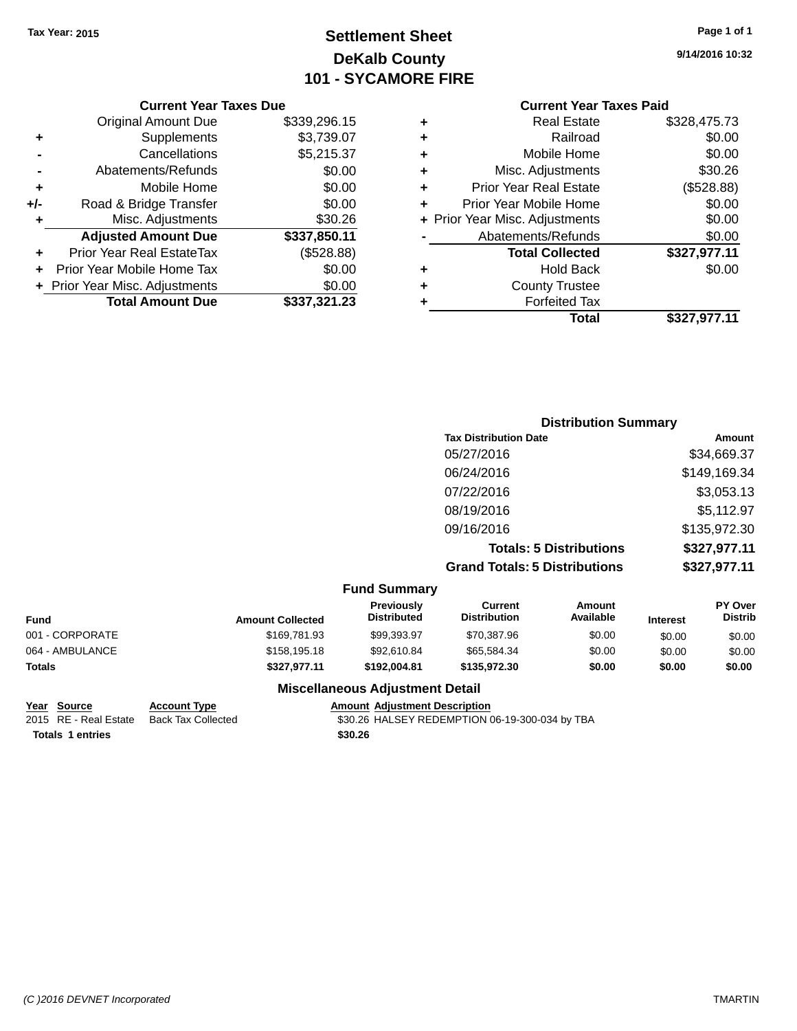# **Settlement Sheet Tax Year: 2015 Page 1 of 1 DeKalb County 101 - SYCAMORE FIRE**

**9/14/2016 10:32**

### **Current Year Taxes Paid**

|     | <b>Current Year Taxes Due</b>    |              |
|-----|----------------------------------|--------------|
|     | <b>Original Amount Due</b>       | \$339,296.15 |
| ٠   | Supplements                      | \$3,739.07   |
|     | Cancellations                    | \$5,215.37   |
| -   | Abatements/Refunds               | \$0.00       |
| ٠   | Mobile Home                      | \$0.00       |
| +/- | Road & Bridge Transfer           | \$0.00       |
| ٠   | Misc. Adjustments                | \$30.26      |
|     | <b>Adjusted Amount Due</b>       | \$337,850.11 |
| ٠   | <b>Prior Year Real EstateTax</b> | (\$528.88)   |
|     | Prior Year Mobile Home Tax       | \$0.00       |
|     | + Prior Year Misc. Adjustments   | \$0.00       |
|     | <b>Total Amount Due</b>          | \$337,321.23 |
|     |                                  |              |

|   | <b>Real Estate</b>             | \$328,475.73 |
|---|--------------------------------|--------------|
| ٠ | Railroad                       | \$0.00       |
| ٠ | Mobile Home                    | \$0.00       |
| ٠ | Misc. Adjustments              | \$30.26      |
| ٠ | <b>Prior Year Real Estate</b>  | (\$528.88)   |
|   | Prior Year Mobile Home         | \$0.00       |
|   | + Prior Year Misc. Adjustments | \$0.00       |
|   | Abatements/Refunds             | \$0.00       |
|   | <b>Total Collected</b>         | \$327,977.11 |
|   | Hold Back                      | \$0.00       |
|   | <b>County Trustee</b>          |              |
| ٠ | <b>Forfeited Tax</b>           |              |
|   | Total                          | \$327,977.11 |
|   |                                |              |

| <b>Distribution Summary</b>          |              |
|--------------------------------------|--------------|
| <b>Tax Distribution Date</b>         | Amount       |
| 05/27/2016                           | \$34,669.37  |
| 06/24/2016                           | \$149,169.34 |
| 07/22/2016                           | \$3,053.13   |
| 08/19/2016                           | \$5,112.97   |
| 09/16/2016                           | \$135,972.30 |
| <b>Totals: 5 Distributions</b>       | \$327,977.11 |
| <b>Grand Totals: 5 Distributions</b> | \$327,977.11 |

|                 |                         | <b>Fund Summary</b>                     |                                |                     |                 |                           |
|-----------------|-------------------------|-----------------------------------------|--------------------------------|---------------------|-----------------|---------------------------|
| <b>Fund</b>     | <b>Amount Collected</b> | <b>Previously</b><br><b>Distributed</b> | Current<br><b>Distribution</b> | Amount<br>Available | <b>Interest</b> | PY Over<br><b>Distrib</b> |
| 001 - CORPORATE | \$169,781,93            | \$99.393.97                             | \$70,387.96                    | \$0.00              | \$0.00          | \$0.00                    |
| 064 - AMBULANCE | \$158,195.18            | \$92,610.84                             | \$65,584.34                    | \$0.00              | \$0.00          | \$0.00                    |
| <b>Totals</b>   | \$327,977.11            | \$192.004.81                            | \$135,972,30                   | \$0.00              | \$0.00          | \$0.00                    |
|                 | ---<br>.                | .                                       |                                |                     |                 |                           |

**Totals \$30.26 1 entries**

### **Miscellaneous Adjustment Detail**

# **Year Source Account Type Amount Adjustment Description**<br>2015 RE - Real Estate Back Tax Collected \$30.26 HALSEY REDEMPTION (

\$30.26 HALSEY REDEMPTION 06-19-300-034 by TBA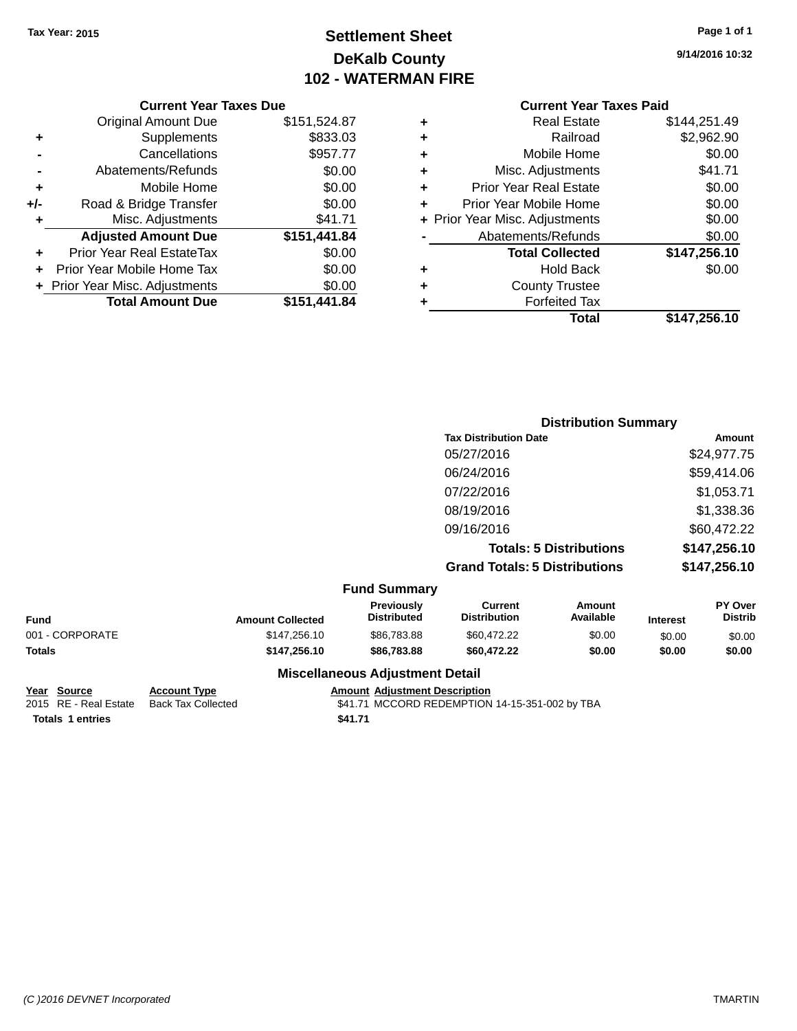# **Settlement Sheet Tax Year: 2015 Page 1 of 1 DeKalb County 102 - WATERMAN FIRE**

**9/14/2016 10:32**

## **Current Year Taxes Paid**

|     | <b>Current Year Taxes Due</b>  |              |
|-----|--------------------------------|--------------|
|     | <b>Original Amount Due</b>     | \$151,524.87 |
| ٠   | Supplements                    | \$833.03     |
|     | Cancellations                  | \$957.77     |
|     | Abatements/Refunds             | \$0.00       |
| ٠   | Mobile Home                    | \$0.00       |
| +/- | Road & Bridge Transfer         | \$0.00       |
| ٠   | Misc. Adjustments              | \$41.71      |
|     | <b>Adjusted Amount Due</b>     | \$151,441.84 |
| ٠   | Prior Year Real EstateTax      | \$0.00       |
|     | Prior Year Mobile Home Tax     | \$0.00       |
|     | + Prior Year Misc. Adjustments | \$0.00       |
|     | <b>Total Amount Due</b>        | \$151.441.84 |
|     |                                |              |

| ٠ | <b>Real Estate</b>             | \$144,251.49 |
|---|--------------------------------|--------------|
| ٠ | Railroad                       | \$2,962.90   |
| ٠ | Mobile Home                    | \$0.00       |
| ٠ | Misc. Adjustments              | \$41.71      |
| ٠ | <b>Prior Year Real Estate</b>  | \$0.00       |
| ÷ | Prior Year Mobile Home         | \$0.00       |
|   | + Prior Year Misc. Adjustments | \$0.00       |
|   | Abatements/Refunds             | \$0.00       |
|   | <b>Total Collected</b>         | \$147,256.10 |
| ٠ | <b>Hold Back</b>               | \$0.00       |
| ٠ | <b>County Trustee</b>          |              |
| ٠ | <b>Forfeited Tax</b>           |              |
|   | Total                          | \$147,256.10 |
|   |                                |              |

|                     | <b>Distribution Summary</b>          |              |
|---------------------|--------------------------------------|--------------|
|                     | <b>Tax Distribution Date</b>         | Amount       |
|                     | 05/27/2016                           | \$24,977.75  |
|                     | 06/24/2016                           | \$59,414.06  |
|                     | 07/22/2016                           | \$1,053.71   |
|                     | 08/19/2016                           | \$1,338.36   |
|                     | 09/16/2016                           | \$60,472.22  |
|                     | <b>Totals: 5 Distributions</b>       | \$147,256.10 |
|                     | <b>Grand Totals: 5 Distributions</b> | \$147,256.10 |
| <b>Fund Summary</b> |                                      |              |

|                 |                         | , טווט טעווווועו א                                                                                            |                                |                     |                 |                                  |
|-----------------|-------------------------|---------------------------------------------------------------------------------------------------------------|--------------------------------|---------------------|-----------------|----------------------------------|
| Fund            | <b>Amount Collected</b> | <b>Previously</b><br><b>Distributed</b>                                                                       | Current<br><b>Distribution</b> | Amount<br>Available | <b>Interest</b> | <b>PY Over</b><br><b>Distrib</b> |
| 001 - CORPORATE | \$147,256.10            | \$86,783,88                                                                                                   | \$60,472.22                    | \$0.00              | \$0.00          | \$0.00                           |
| Totals          | \$147.256.10            | \$86,783,88                                                                                                   | \$60,472.22                    | \$0.00              | \$0.00          | \$0.00                           |
|                 |                         | Battle of History and Carolina and Constantinoplants of the Constantinoplants of the Constantinoplants of the |                                |                     |                 |                                  |

## **Year Source Account Type Account Type Amount Adjustment Description**<br>2015 RE - Real Estate Back Tax Collected \$41.71 MCCORD REDEMPTION **Totals \$41.71 1 entries**

### **Miscellaneous Adjustment Detail**

 $$41.71$  MCCORD REDEMPTION 14-15-351-002 by TBA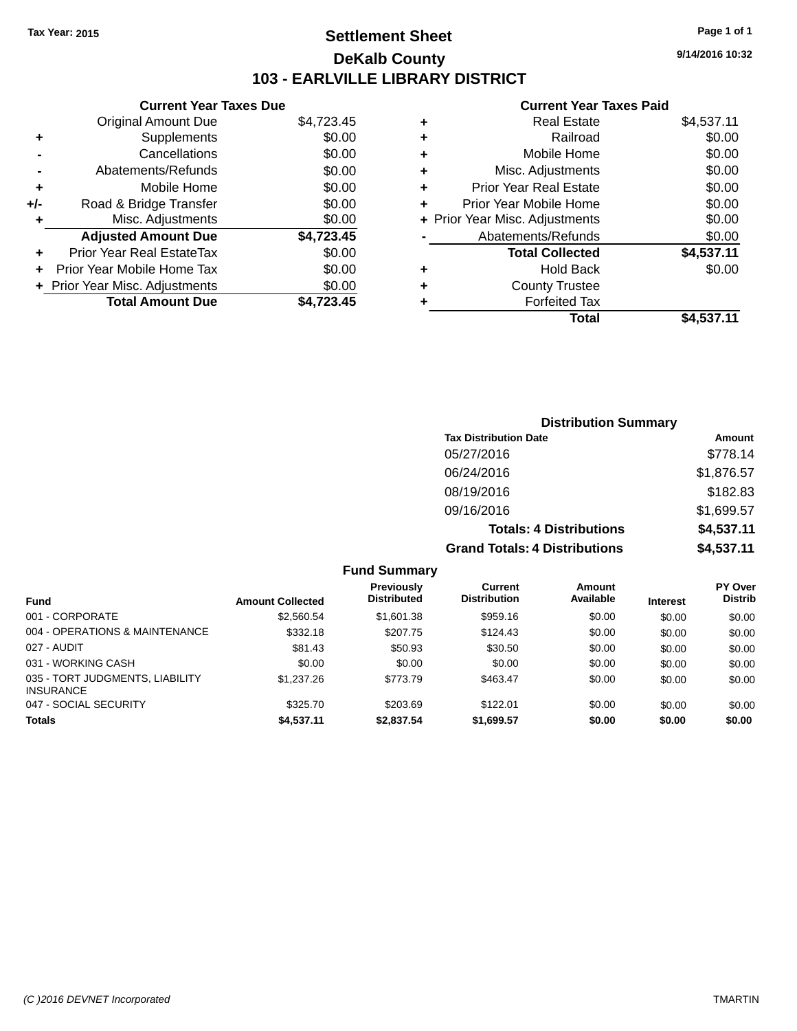## **Settlement Sheet Tax Year: 2015 Page 1 of 1 DeKalb County 103 - EARLVILLE LIBRARY DISTRICT**

**9/14/2016 10:32**

|       | <b>Current Year Taxes Due</b>  |            |
|-------|--------------------------------|------------|
|       | <b>Original Amount Due</b>     | \$4,723.45 |
| ÷     | Supplements                    | \$0.00     |
|       | Cancellations                  | \$0.00     |
|       | Abatements/Refunds             | \$0.00     |
| ٠     | Mobile Home                    | \$0.00     |
| $+/-$ | Road & Bridge Transfer         | \$0.00     |
| ٠     | Misc. Adjustments              | \$0.00     |
|       | <b>Adjusted Amount Due</b>     | \$4,723.45 |
| ٠     | Prior Year Real EstateTax      | \$0.00     |
|       | Prior Year Mobile Home Tax     | \$0.00     |
|       | + Prior Year Misc. Adjustments | \$0.00     |
|       | <b>Total Amount Due</b>        | \$4.723.45 |
|       |                                |            |

| ٠ | <b>Real Estate</b>             | \$4,537.11 |
|---|--------------------------------|------------|
| ٠ | Railroad                       | \$0.00     |
| ٠ | Mobile Home                    | \$0.00     |
| ٠ | Misc. Adjustments              | \$0.00     |
| ٠ | <b>Prior Year Real Estate</b>  | \$0.00     |
| ٠ | Prior Year Mobile Home         | \$0.00     |
|   | + Prior Year Misc. Adjustments | \$0.00     |
|   | Abatements/Refunds             | \$0.00     |
|   | <b>Total Collected</b>         | \$4,537.11 |
| ٠ | Hold Back                      | \$0.00     |
| ٠ | <b>County Trustee</b>          |            |
| ٠ | <b>Forfeited Tax</b>           |            |
|   | Total                          | \$4,537.11 |
|   |                                |            |

| <b>Distribution Summary</b>          |            |  |  |
|--------------------------------------|------------|--|--|
| <b>Tax Distribution Date</b>         | Amount     |  |  |
| 05/27/2016                           | \$778.14   |  |  |
| 06/24/2016                           | \$1,876.57 |  |  |
| 08/19/2016                           | \$182.83   |  |  |
| 09/16/2016                           | \$1,699.57 |  |  |
| <b>Totals: 4 Distributions</b>       | \$4,537.11 |  |  |
| <b>Grand Totals: 4 Distributions</b> | \$4,537.11 |  |  |

|                                              |                         | <b>Fund Summary</b>                     |                                |                     |                 |                                  |
|----------------------------------------------|-------------------------|-----------------------------------------|--------------------------------|---------------------|-----------------|----------------------------------|
| <b>Fund</b>                                  | <b>Amount Collected</b> | <b>Previously</b><br><b>Distributed</b> | Current<br><b>Distribution</b> | Amount<br>Available | <b>Interest</b> | <b>PY Over</b><br><b>Distrib</b> |
| 001 - CORPORATE                              | \$2,560.54              | \$1,601.38                              | \$959.16                       | \$0.00              | \$0.00          | \$0.00                           |
| 004 - OPERATIONS & MAINTENANCE               | \$332.18                | \$207.75                                | \$124.43                       | \$0.00              | \$0.00          | \$0.00                           |
| 027 - AUDIT                                  | \$81.43                 | \$50.93                                 | \$30.50                        | \$0.00              | \$0.00          | \$0.00                           |
| 031 - WORKING CASH                           | \$0.00                  | \$0.00                                  | \$0.00                         | \$0.00              | \$0.00          | \$0.00                           |
| 035 - TORT JUDGMENTS, LIABILITY<br>INSURANCE | \$1,237.26              | \$773.79                                | \$463.47                       | \$0.00              | \$0.00          | \$0.00                           |
| 047 - SOCIAL SECURITY                        | \$325.70                | \$203.69                                | \$122.01                       | \$0.00              | \$0.00          | \$0.00                           |
| <b>Totals</b>                                | \$4,537.11              | \$2,837.54                              | \$1,699.57                     | \$0.00              | \$0.00          | \$0.00                           |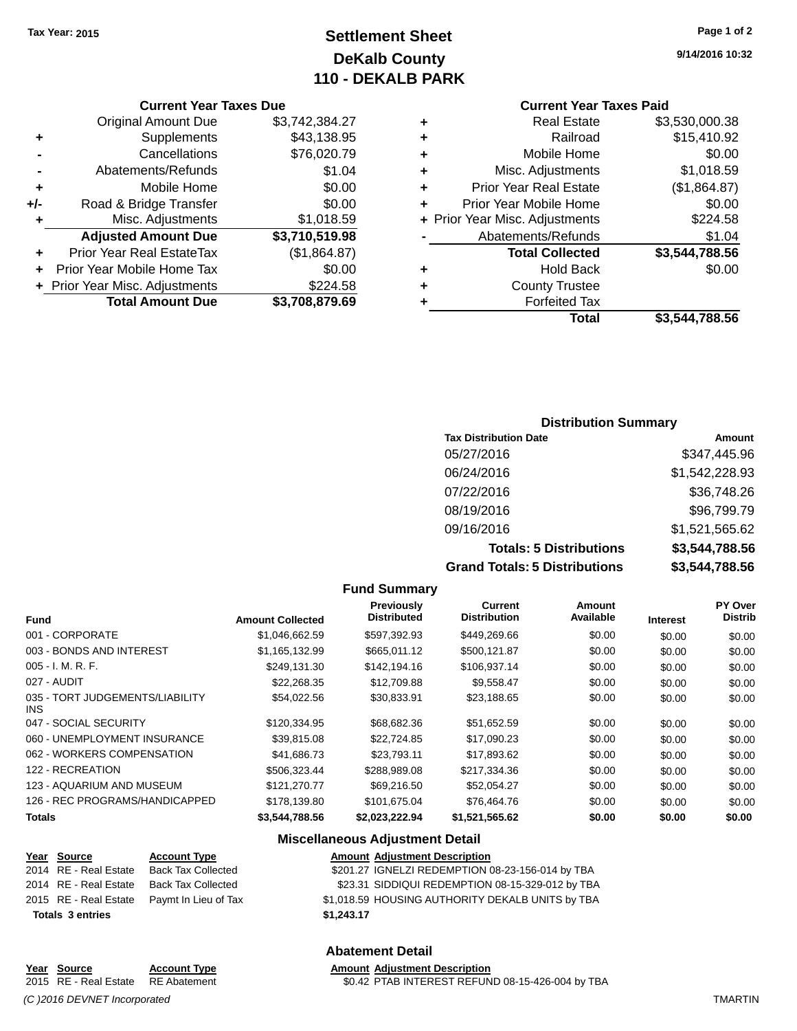# **Settlement Sheet Tax Year: 2015 Page 1 of 2 DeKalb County 110 - DEKALB PARK**

**9/14/2016 10:32**

|     | <b>Total Amount Due</b>          | \$3,708,879.69 |
|-----|----------------------------------|----------------|
|     | + Prior Year Misc. Adjustments   | \$224.58       |
|     | Prior Year Mobile Home Tax       | \$0.00         |
| ÷   | <b>Prior Year Real EstateTax</b> | (\$1,864.87)   |
|     | <b>Adjusted Amount Due</b>       | \$3,710,519.98 |
| ٠   | Misc. Adjustments                | \$1,018.59     |
| +/- | Road & Bridge Transfer           | \$0.00         |
| ٠   | Mobile Home                      | \$0.00         |
|     | Abatements/Refunds               | \$1.04         |
|     | Cancellations                    | \$76,020.79    |
| ٠   | Supplements                      | \$43,138.95    |
|     | <b>Original Amount Due</b>       | \$3,742,384.27 |

## **Current Year Taxes Paid**

|   | Total                          | \$3,544,788.56 |
|---|--------------------------------|----------------|
| ٠ | <b>Forfeited Tax</b>           |                |
| ٠ | <b>County Trustee</b>          |                |
| ٠ | <b>Hold Back</b>               | \$0.00         |
|   | <b>Total Collected</b>         | \$3,544,788.56 |
|   | Abatements/Refunds             | \$1.04         |
|   | + Prior Year Misc. Adjustments | \$224.58       |
| ٠ | Prior Year Mobile Home         | \$0.00         |
| ٠ | <b>Prior Year Real Estate</b>  | (\$1,864.87)   |
| ٠ | Misc. Adjustments              | \$1,018.59     |
| ٠ | Mobile Home                    | \$0.00         |
| ÷ | Railroad                       | \$15,410.92    |
| ٠ | <b>Real Estate</b>             | \$3,530,000.38 |

## **Distribution Summary**

| <b>Tax Distribution Date</b>         | <b>Amount</b>  |
|--------------------------------------|----------------|
| 05/27/2016                           | \$347,445.96   |
| 06/24/2016                           | \$1,542,228.93 |
| 07/22/2016                           | \$36,748.26    |
| 08/19/2016                           | \$96,799.79    |
| 09/16/2016                           | \$1,521,565.62 |
| <b>Totals: 5 Distributions</b>       | \$3,544,788.56 |
| <b>Grand Totals: 5 Distributions</b> | \$3,544,788.56 |

#### **Fund Summary Fund Interest Amount Collected Distributed PY Over Distrib Amount Available Current Distribution Previously** 001 - CORPORATE 6 \$1,046,662.59 \$597,392.93 \$449,269.66 \$0.00 \$0.00 \$0.00 \$0.00 003 - BONDS AND INTEREST  $$1,165,132.99$   $$665,011.12$   $$500,121.87$   $$0.00$   $$0.00$   $$0.00$ 005 - I. M. R. F. \$249,131.30 \$142,194.16 \$106,937.14 \$0.00 \$0.00 \$0.00 027 - AUDIT \$22,268.35 \$12,709.88 \$9,558.47 \$0.00 \$0.00 \$0.00 035 - TORT JUDGEMENTS/LIABILITY INS \$54,022.56 \$30,833.91 \$23,188.65 \$0.00 \$0.00 \$0.00 047 - SOCIAL SECURITY 60.00 \$120,334.95 \$68,682.36 \$51,652.59 \$0.00 \$0.00 \$0.00 \$0.00 060 - UNEMPLOYMENT INSURANCE  $$39,815.08$   $$22,724.85$   $$17,090.23$   $$0.00$   $$0.00$   $$0.00$ 062 - WORKERS COMPENSATION \$41,686.73 \$23,793.11 \$17,893.62 \$0.00 \$0.00 \$0.00 \$0.00 122 - RECREATION \$506,323.44 \$288,989.08 \$217,334.36 \$0.00 \$0.00 \$0.00 123 - AQUARIUM AND MUSEUM \$121,270.77 \$69,216.50 \$52,054.27 \$0.00 \$0.00 \$0.00 \$0.00 126 - REC PROGRAMS/HANDICAPPED \$178,139.80 \$101,675.04 \$76,464.76 \$0.00 \$0.00 \$0.00 \$0.00 **Totals \$3,544,788.56 \$2,023,222.94 \$1,521,565.62 \$0.00 \$0.00 \$0.00**

#### **Miscellaneous Adjustment Detail Year Source Account Type Amount Adjustment Description**

|                         | <b>RUUULLIPPU</b>                          |            | Anivant Aujustinent Description                  |
|-------------------------|--------------------------------------------|------------|--------------------------------------------------|
| 2014 RE - Real Estate   | Back Tax Collected                         |            | \$201.27 IGNELZI REDEMPTION 08-23-156-014 by TBA |
|                         | 2014 RE - Real Estate Back Tax Collected   |            | \$23.31 SIDDIQUI REDEMPTION 08-15-329-012 by TBA |
|                         | 2015 RE - Real Estate Paymt In Lieu of Tax |            | \$1,018.59 HOUSING AUTHORITY DEKALB UNITS by TBA |
| <b>Totals 3 entries</b> |                                            | \$1,243,17 |                                                  |
|                         |                                            |            |                                                  |

#### **Abatement Detail**

## **Year Source Account Type Amount Adjustment Description** 2015 RE - Real Estate RE Abatement \$0.42 PTAB INTEREST REFUND 08-15-426-004 by TBA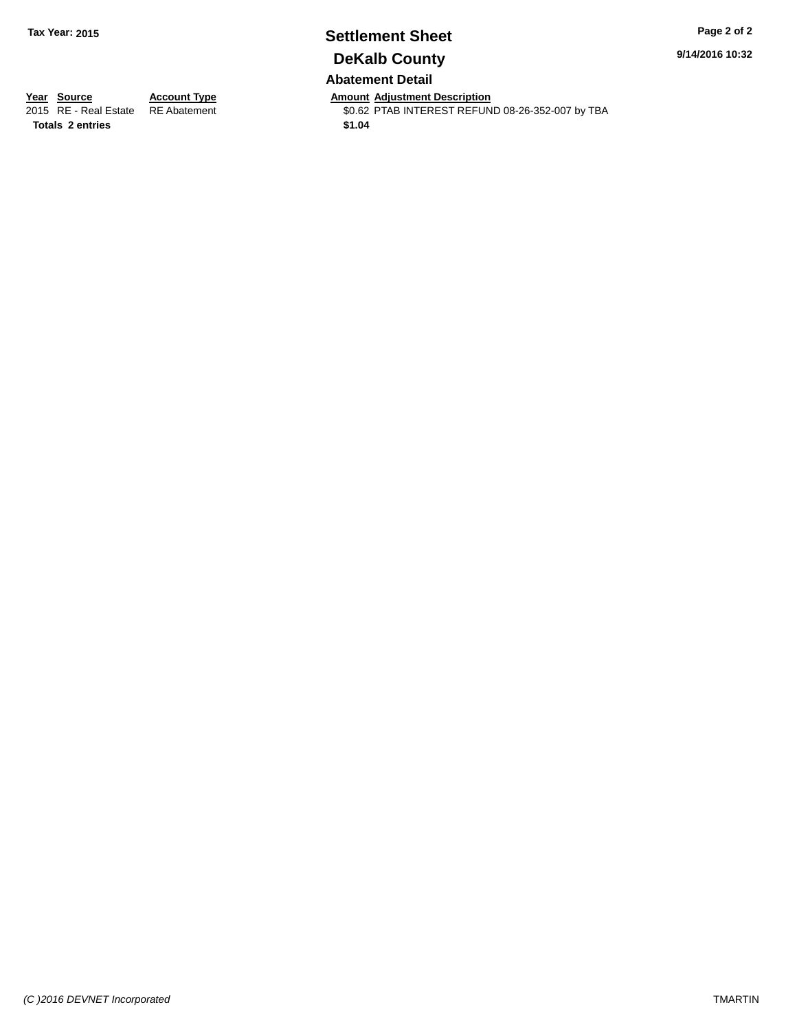# **Settlement Sheet Tax Year: 2015 Page 2 of 2 DeKalb County**

**9/14/2016 10:32**

## **Abatement Detail**

**Totals \$1.04 2 entries**

**Year Source Account Type Anneurs Amount Adjustment Description**<br>2015 RE - Real Estate RE Abatement **Adjustment** \$0.62 PTAB INTEREST REFUN \$0.62 PTAB INTEREST REFUND 08-26-352-007 by TBA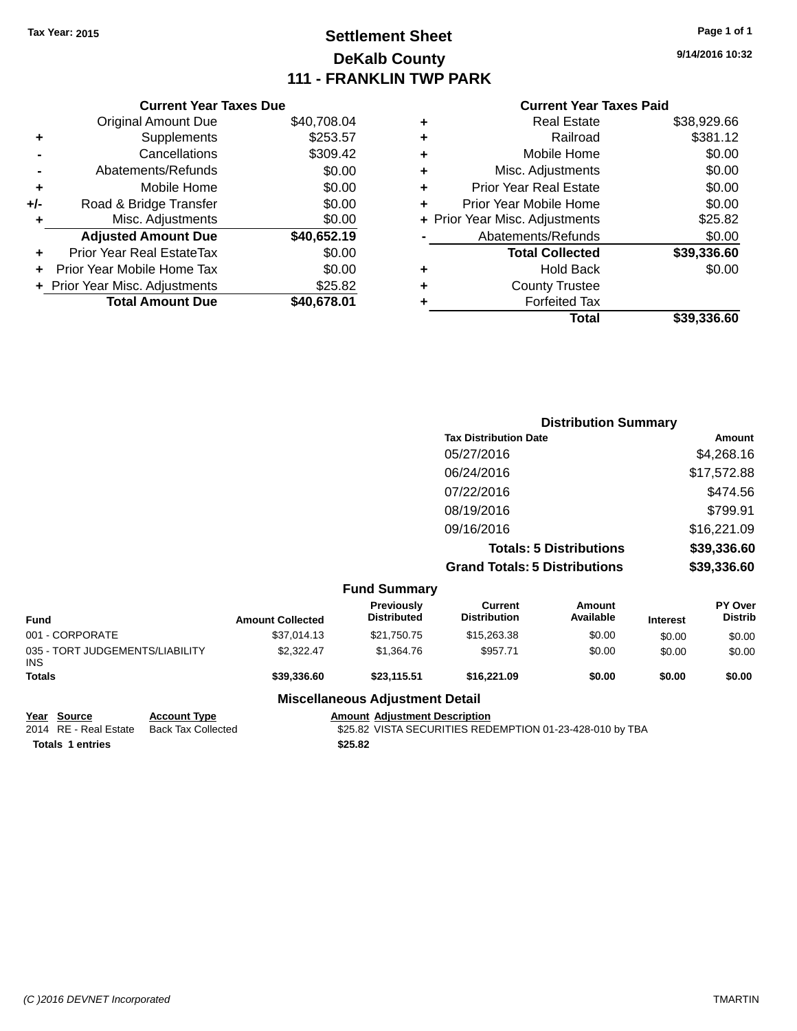# **Settlement Sheet Tax Year: 2015 Page 1 of 1 DeKalb County 111 - FRANKLIN TWP PARK**

**9/14/2016 10:32**

|     | <b>Current Year Taxes Due</b>  |             |
|-----|--------------------------------|-------------|
|     | <b>Original Amount Due</b>     | \$40,708.04 |
| ٠   | Supplements                    | \$253.57    |
|     | Cancellations                  | \$309.42    |
|     | Abatements/Refunds             | \$0.00      |
| ٠   | Mobile Home                    | \$0.00      |
| +/- | Road & Bridge Transfer         | \$0.00      |
| ٠   | Misc. Adjustments              | \$0.00      |
|     | <b>Adjusted Amount Due</b>     | \$40,652.19 |
| ٠   | Prior Year Real EstateTax      | \$0.00      |
|     | Prior Year Mobile Home Tax     | \$0.00      |
|     | + Prior Year Misc. Adjustments | \$25.82     |
|     | <b>Total Amount Due</b>        | \$40,678.01 |
|     |                                |             |

### **Current Year Taxes Paid**

| \$38,929.66 |
|-------------|
| \$381.12    |
| \$0.00      |
| \$0.00      |
| \$0.00      |
| \$0.00      |
| \$25.82     |
| \$0.00      |
| \$39,336.60 |
| \$0.00      |
|             |
|             |
| \$39,336.60 |
|             |

|                    |                           |                                       | <b>Distribution Summary</b>    |          |                                  |
|--------------------|---------------------------|---------------------------------------|--------------------------------|----------|----------------------------------|
|                    |                           | <b>Tax Distribution Date</b>          |                                |          | <b>Amount</b>                    |
|                    |                           | 05/27/2016                            |                                |          | \$4,268.16                       |
|                    |                           | 06/24/2016                            |                                |          | \$17,572.88                      |
|                    |                           | 07/22/2016                            |                                |          | \$474.56                         |
|                    |                           | 08/19/2016                            |                                |          | \$799.91                         |
|                    |                           | 09/16/2016                            |                                |          | \$16,221.09                      |
|                    |                           |                                       | <b>Totals: 5 Distributions</b> |          | \$39,336.60                      |
|                    |                           | <b>Grand Totals: 5 Distributions</b>  |                                |          | \$39,336.60                      |
|                    | <b>Fund Summary</b>       |                                       |                                |          |                                  |
| American Callented | Previously<br>Distributed | <b>Current</b><br><b>Distribution</b> | Amount<br>Availahle            | Interest | <b>PY Over</b><br><b>Distrib</b> |

| <b>Fund</b>                                   | <b>Amount Collected</b> | Previously<br><b>Distributed</b> | <b>Current</b><br><b>Distribution</b> | Amount<br>Available | <b>Interest</b> | PY Over<br><b>Distrib</b> |
|-----------------------------------------------|-------------------------|----------------------------------|---------------------------------------|---------------------|-----------------|---------------------------|
| 001 - CORPORATE                               | \$37,014.13             | \$21,750.75                      | \$15,263.38                           | \$0.00              | \$0.00          | \$0.00                    |
| 035 - TORT JUDGEMENTS/LIABILITY<br><b>INS</b> | \$2.322.47              | \$1,364.76                       | \$957.71                              | \$0.00              | \$0.00          | \$0.00                    |
| <b>Totals</b>                                 | \$39,336,60             | \$23.115.51                      | \$16,221.09                           | \$0.00              | \$0.00          | \$0.00                    |
|                                               |                         |                                  |                                       |                     |                 |                           |

## **Miscellaneous Adjustment Detail**

| Year Source             | <b>Account Type</b> | Amount  |
|-------------------------|---------------------|---------|
| 2014 RE - Real Estate   | Back Tax Collected  | \$25.82 |
| <b>Totals 1 entries</b> |                     | \$25.82 |

**<u>Amount Adjustment Description</u>**<br>\$25.82 VISTA SECURITIES RED \$25.82 VISTA SECURITIES REDEMPTION 01-23-428-010 by TBA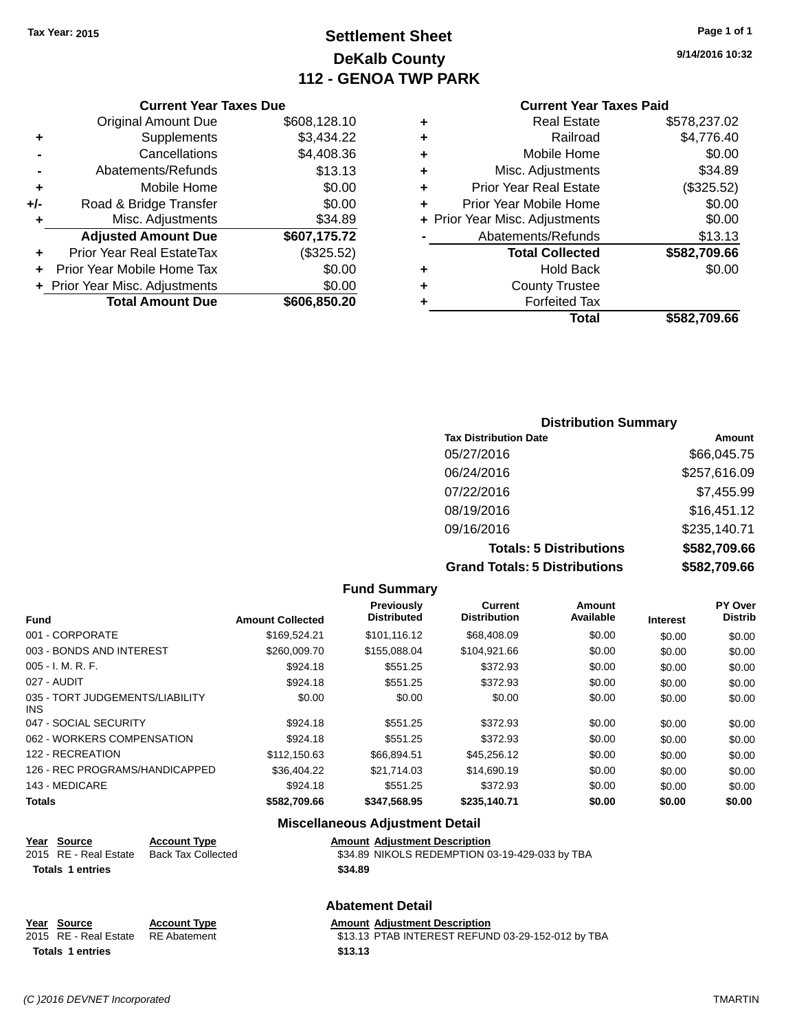# **Settlement Sheet Tax Year: 2015 Page 1 of 1 DeKalb County 112 - GENOA TWP PARK**

**9/14/2016 10:32**

| <b>Current Year Taxes Due</b> |
|-------------------------------|

|       | <b>Total Amount Due</b>        | \$606,850.20 |
|-------|--------------------------------|--------------|
|       | + Prior Year Misc. Adjustments | \$0.00       |
|       | Prior Year Mobile Home Tax     | \$0.00       |
|       | Prior Year Real EstateTax      | (\$325.52)   |
|       | <b>Adjusted Amount Due</b>     | \$607,175.72 |
| ٠     | Misc. Adjustments              | \$34.89      |
| $+/-$ | Road & Bridge Transfer         | \$0.00       |
| ٠     | Mobile Home                    | \$0.00       |
|       | Abatements/Refunds             | \$13.13      |
|       | Cancellations                  | \$4,408.36   |
| ٠     | Supplements                    | \$3,434.22   |
|       | <b>Original Amount Due</b>     | \$608,128.10 |
|       |                                |              |

#### **Current Year Taxes Paid**

| ٠ | <b>Real Estate</b>             | \$578,237.02 |
|---|--------------------------------|--------------|
| ٠ | Railroad                       | \$4,776.40   |
| ٠ | Mobile Home                    | \$0.00       |
| ٠ | Misc. Adjustments              | \$34.89      |
| ٠ | <b>Prior Year Real Estate</b>  | (\$325.52)   |
| ٠ | Prior Year Mobile Home         | \$0.00       |
|   | + Prior Year Misc. Adjustments | \$0.00       |
|   | Abatements/Refunds             | \$13.13      |
|   | <b>Total Collected</b>         | \$582,709.66 |
| ٠ | <b>Hold Back</b>               | \$0.00       |
| ٠ | <b>County Trustee</b>          |              |
| ٠ | <b>Forfeited Tax</b>           |              |
|   | Total                          | \$582,709.66 |
|   |                                |              |

## **Distribution Summary Tax Distribution Date Amount** 05/27/2016 \$66,045.75 06/24/2016 \$257,616.09 07/22/2016 \$7,455.99 08/19/2016 \$16,451.12 09/16/2016 \$235,140.71 **Totals: 5 Distributions \$582,709.66 Grand Totals: 5 Distributions \$582,709.66**

|                                         |                         | <b>Fund Summary</b>              |                                |                     |                 |                                  |
|-----------------------------------------|-------------------------|----------------------------------|--------------------------------|---------------------|-----------------|----------------------------------|
| <b>Fund</b>                             | <b>Amount Collected</b> | Previously<br><b>Distributed</b> | Current<br><b>Distribution</b> | Amount<br>Available | <b>Interest</b> | <b>PY Over</b><br><b>Distrib</b> |
| 001 - CORPORATE                         | \$169.524.21            | \$101,116.12                     | \$68,408.09                    | \$0.00              | \$0.00          | \$0.00                           |
| 003 - BONDS AND INTEREST                | \$260,009.70            | \$155,088,04                     | \$104,921.66                   | \$0.00              | \$0.00          | \$0.00                           |
| $005 - I. M. R. F.$                     | \$924.18                | \$551.25                         | \$372.93                       | \$0.00              | \$0.00          | \$0.00                           |
| 027 - AUDIT                             | \$924.18                | \$551.25                         | \$372.93                       | \$0.00              | \$0.00          | \$0.00                           |
| 035 - TORT JUDGEMENTS/LIABILITY<br>INS. | \$0.00                  | \$0.00                           | \$0.00                         | \$0.00              | \$0.00          | \$0.00                           |
| 047 - SOCIAL SECURITY                   | \$924.18                | \$551.25                         | \$372.93                       | \$0.00              | \$0.00          | \$0.00                           |
| 062 - WORKERS COMPENSATION              | \$924.18                | \$551.25                         | \$372.93                       | \$0.00              | \$0.00          | \$0.00                           |
| 122 - RECREATION                        | \$112,150.63            | \$66,894.51                      | \$45,256.12                    | \$0.00              | \$0.00          | \$0.00                           |
| 126 - REC PROGRAMS/HANDICAPPED          | \$36.404.22             | \$21.714.03                      | \$14,690.19                    | \$0.00              | \$0.00          | \$0.00                           |
| 143 - MEDICARE                          | \$924.18                | \$551.25                         | \$372.93                       | \$0.00              | \$0.00          | \$0.00                           |
| <b>Totals</b>                           | \$582,709.66            | \$347,568.95                     | \$235,140.71                   | \$0.00              | \$0.00          | \$0.00                           |

|                         |                           | <b>Miscellaneous Adjustment Detail</b>         |
|-------------------------|---------------------------|------------------------------------------------|
| Year Source             | <b>Account Type</b>       | <b>Amount Adjustment Description</b>           |
| 2015 RE - Real Estate   | <b>Back Tax Collected</b> | \$34.89 NIKOLS REDEMPTION 03-19-429-033 by TBA |
| <b>Totals 1 entries</b> |                           | \$34.89                                        |
|                         |                           | <b>Abatement Detail</b>                        |

| Year Source                        | <b>Account Type</b> | Amount  |
|------------------------------------|---------------------|---------|
| 2015 RE - Real Estate RE Abatement |                     | \$13.13 |
| <b>Totals 1 entries</b>            |                     | \$13.13 |

**Figure 2018 Amount Adjustment Description** 

ement 313.13 PTAB INTEREST REFUND 03-29-152-012 by TBA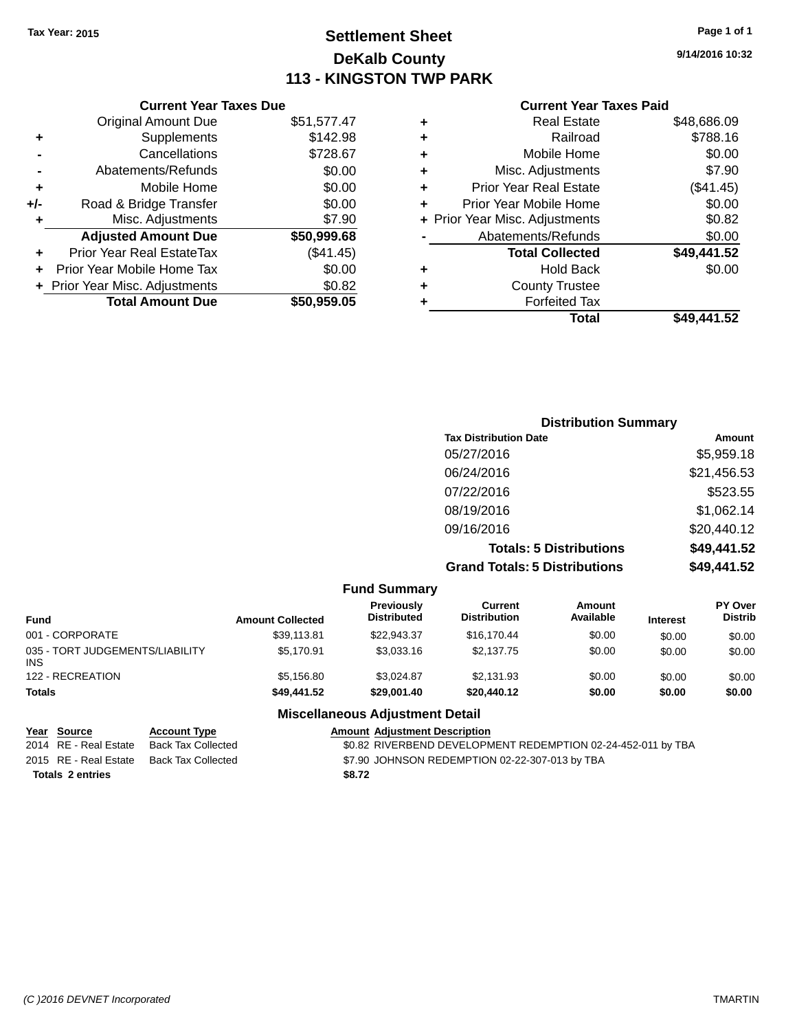## **Settlement Sheet Tax Year: 2015 Page 1 of 1 DeKalb County 113 - KINGSTON TWP PARK**

**9/14/2016 10:32**

## **Current Year Taxes Paid**

|     | <b>Original Amount Due</b>       | \$51,577.47 |
|-----|----------------------------------|-------------|
| ٠   | Supplements                      | \$142.98    |
|     | Cancellations                    | \$728.67    |
|     | Abatements/Refunds               | \$0.00      |
| ٠   | Mobile Home                      | \$0.00      |
| +/- | Road & Bridge Transfer           | \$0.00      |
| ٠   | Misc. Adjustments                | \$7.90      |
|     | <b>Adjusted Amount Due</b>       | \$50,999.68 |
|     | <b>Prior Year Real EstateTax</b> | (\$41.45)   |
|     | Prior Year Mobile Home Tax       | \$0.00      |
|     | + Prior Year Misc. Adjustments   | \$0.82      |
|     | <b>Total Amount Due</b>          | \$50,959.05 |
|     |                                  |             |

**Current Year Taxes Due**

|   | <b>Total</b>                   | \$49,441.52 |
|---|--------------------------------|-------------|
| ٠ | <b>Forfeited Tax</b>           |             |
| ٠ | <b>County Trustee</b>          |             |
| ٠ | Hold Back                      | \$0.00      |
|   | <b>Total Collected</b>         | \$49,441.52 |
|   | Abatements/Refunds             | \$0.00      |
|   | + Prior Year Misc. Adjustments | \$0.82      |
| ٠ | Prior Year Mobile Home         | \$0.00      |
| ÷ | <b>Prior Year Real Estate</b>  | (\$41.45)   |
| ٠ | Misc. Adjustments              | \$7.90      |
| ÷ | Mobile Home                    | \$0.00      |
| ٠ | Railroad                       | \$788.16    |
| ٠ | <b>Real Estate</b>             | \$48,686.09 |
|   |                                |             |

| <b>Distribution Summary</b>          |             |
|--------------------------------------|-------------|
| <b>Tax Distribution Date</b>         | Amount      |
| 05/27/2016                           | \$5,959.18  |
| 06/24/2016                           | \$21,456.53 |
| 07/22/2016                           | \$523.55    |
| 08/19/2016                           | \$1,062.14  |
| 09/16/2016                           | \$20,440.12 |
| <b>Totals: 5 Distributions</b>       | \$49,441.52 |
| <b>Grand Totals: 5 Distributions</b> | \$49,441.52 |

|                                               |                         | <b>Fund Summary</b>              |                                |                     |                 |                                  |
|-----------------------------------------------|-------------------------|----------------------------------|--------------------------------|---------------------|-----------------|----------------------------------|
| <b>Fund</b>                                   | <b>Amount Collected</b> | Previously<br><b>Distributed</b> | Current<br><b>Distribution</b> | Amount<br>Available | <b>Interest</b> | <b>PY Over</b><br><b>Distrib</b> |
| 001 - CORPORATE                               | \$39,113.81             | \$22,943,37                      | \$16,170.44                    | \$0.00              | \$0.00          | \$0.00                           |
| 035 - TORT JUDGEMENTS/LIABILITY<br><b>INS</b> | \$5.170.91              | \$3,033.16                       | \$2.137.75                     | \$0.00              | \$0.00          | \$0.00                           |
| 122 - RECREATION                              | \$5,156.80              | \$3.024.87                       | \$2,131.93                     | \$0.00              | \$0.00          | \$0.00                           |
| <b>Totals</b>                                 | \$49,441.52             | \$29,001.40                      | \$20,440.12                    | \$0.00              | \$0.00          | \$0.00                           |

#### **Miscellaneous Adjustment Detail**

#### **Year Source Account Type**<br>
2014 RE - Real Estate Back Tax Collected **Amount Adjustment Description**<br>
\$0.82 RIVERBEND DEVELOPM \$0.82 RIVERBEND DEVELOPMENT REDEMPTION 02-24-452-011 by TBA 2015 RE - Real Estate Back Tax Collected \$7.90 JOHNSON REDEMPTION 02-22-307-013 by TBA **Totals \$8.72 2 entries**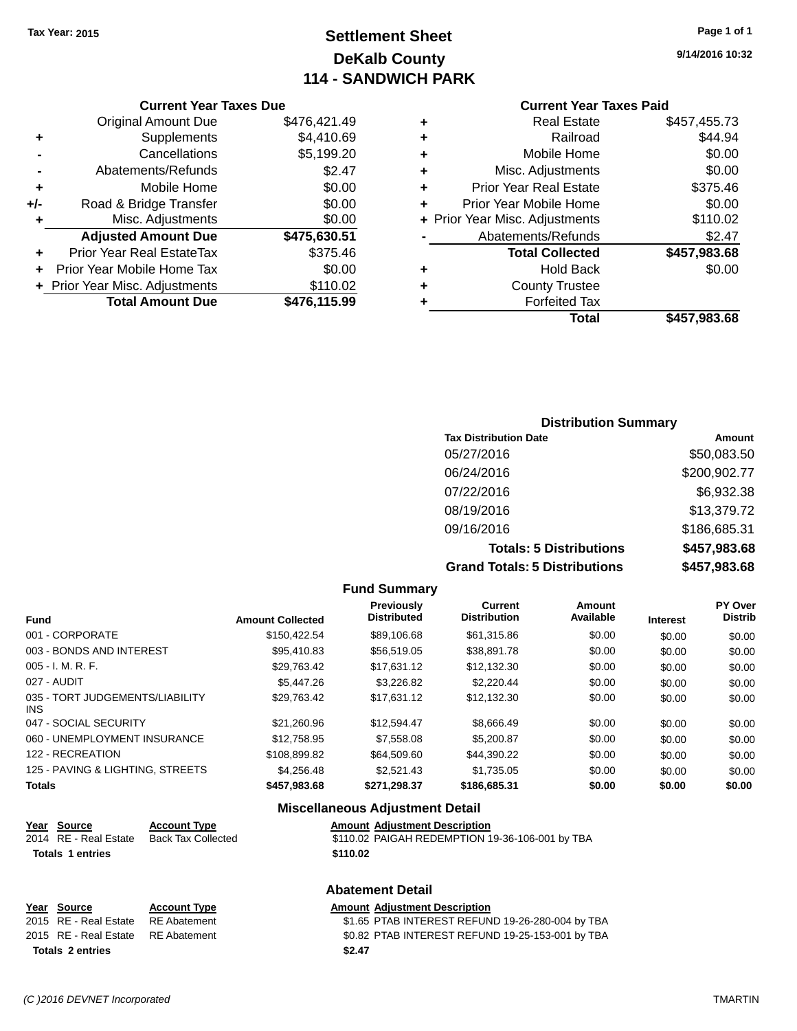# **Settlement Sheet Tax Year: 2015 Page 1 of 1 DeKalb County 114 - SANDWICH PARK**

**9/14/2016 10:32**

#### **Current Year Taxes Paid**

|     | <b>Current Year Taxes Due</b>  |              |  |  |
|-----|--------------------------------|--------------|--|--|
|     | <b>Original Amount Due</b>     | \$476,421.49 |  |  |
| ٠   | Supplements                    | \$4,410.69   |  |  |
|     | Cancellations                  | \$5,199.20   |  |  |
|     | Abatements/Refunds             | \$2.47       |  |  |
| ٠   | Mobile Home                    | \$0.00       |  |  |
| +/- | Road & Bridge Transfer         | \$0.00       |  |  |
| ٠   | Misc. Adjustments              | \$0.00       |  |  |
|     | <b>Adjusted Amount Due</b>     | \$475,630.51 |  |  |
|     | Prior Year Real EstateTax      | \$375.46     |  |  |
|     | Prior Year Mobile Home Tax     | \$0.00       |  |  |
|     | + Prior Year Misc. Adjustments | \$110.02     |  |  |
|     | <b>Total Amount Due</b>        | \$476,115.99 |  |  |
|     |                                |              |  |  |

| ٠ | <b>Real Estate</b>             | \$457,455.73 |
|---|--------------------------------|--------------|
| ٠ | Railroad                       | \$44.94      |
| ٠ | Mobile Home                    | \$0.00       |
| ٠ | Misc. Adjustments              | \$0.00       |
| ٠ | <b>Prior Year Real Estate</b>  | \$375.46     |
| ٠ | Prior Year Mobile Home         | \$0.00       |
|   | + Prior Year Misc. Adjustments | \$110.02     |
|   | Abatements/Refunds             | \$2.47       |
|   | <b>Total Collected</b>         | \$457,983.68 |
| ٠ | <b>Hold Back</b>               | \$0.00       |
| ٠ | <b>County Trustee</b>          |              |
| ٠ | <b>Forfeited Tax</b>           |              |
|   | Total                          | \$457,983.68 |
|   |                                |              |

## **Distribution Summary Tax Distribution Date Amount** 05/27/2016 \$50,083.50 06/24/2016 \$200,902.77 07/22/2016 \$6,932.38 08/19/2016 \$13,379.72 09/16/2016 \$186,685.31 **Totals: 5 Distributions \$457,983.68 Grand Totals: 5 Distributions \$457,983.68**

|                                         |                         | <b>Fund Summary</b>              |                                |                     |                 |                           |
|-----------------------------------------|-------------------------|----------------------------------|--------------------------------|---------------------|-----------------|---------------------------|
| <b>Fund</b>                             | <b>Amount Collected</b> | Previously<br><b>Distributed</b> | Current<br><b>Distribution</b> | Amount<br>Available | <b>Interest</b> | PY Over<br><b>Distrib</b> |
| 001 - CORPORATE                         | \$150.422.54            | \$89,106.68                      | \$61,315.86                    | \$0.00              | \$0.00          | \$0.00                    |
| 003 - BONDS AND INTEREST                | \$95,410.83             | \$56,519.05                      | \$38,891.78                    | \$0.00              | \$0.00          | \$0.00                    |
| $005 - I. M. R. F.$                     | \$29,763.42             | \$17.631.12                      | \$12,132.30                    | \$0.00              | \$0.00          | \$0.00                    |
| 027 - AUDIT                             | \$5,447.26              | \$3,226.82                       | \$2,220.44                     | \$0.00              | \$0.00          | \$0.00                    |
| 035 - TORT JUDGEMENTS/LIABILITY<br>INS. | \$29,763.42             | \$17,631.12                      | \$12,132.30                    | \$0.00              | \$0.00          | \$0.00                    |
| 047 - SOCIAL SECURITY                   | \$21.260.96             | \$12.594.47                      | \$8.666.49                     | \$0.00              | \$0.00          | \$0.00                    |
| 060 - UNEMPLOYMENT INSURANCE            | \$12,758.95             | \$7,558.08                       | \$5,200.87                     | \$0.00              | \$0.00          | \$0.00                    |
| 122 - RECREATION                        | \$108,899.82            | \$64,509.60                      | \$44,390.22                    | \$0.00              | \$0.00          | \$0.00                    |
| 125 - PAVING & LIGHTING, STREETS        | \$4,256,48              | \$2.521.43                       | \$1.735.05                     | \$0.00              | \$0.00          | \$0.00                    |
| <b>Totals</b>                           | \$457,983.68            | \$271,298.37                     | \$186,685.31                   | \$0.00              | \$0.00          | \$0.00                    |

#### **Miscellaneous Adjustment Detail**

| <u>Year Source</u>      | <b>Account Type</b> | <b>Amount Adiustment Description</b>            |
|-------------------------|---------------------|-------------------------------------------------|
| 2014 RE - Real Estate   | Back Tax Collected  | \$110.02 PAIGAH REDEMPTION 19-36-106-001 by TBA |
| <b>Totals 1 entries</b> |                     | \$110.02                                        |

#### **Abatement Detail**

#### **Year** Source **Account Type Account Adjustment Description** 2015 RE - Real Estate RE Abatement \$1.65 PTAB INTEREST REFUND 19-26-280-004 by TBA 2015 RE - Real Estate RE Abatement \$0.82 PTAB INTEREST REFUND 19-25-153-001 by TBA **Totals \$2.47 2 entries**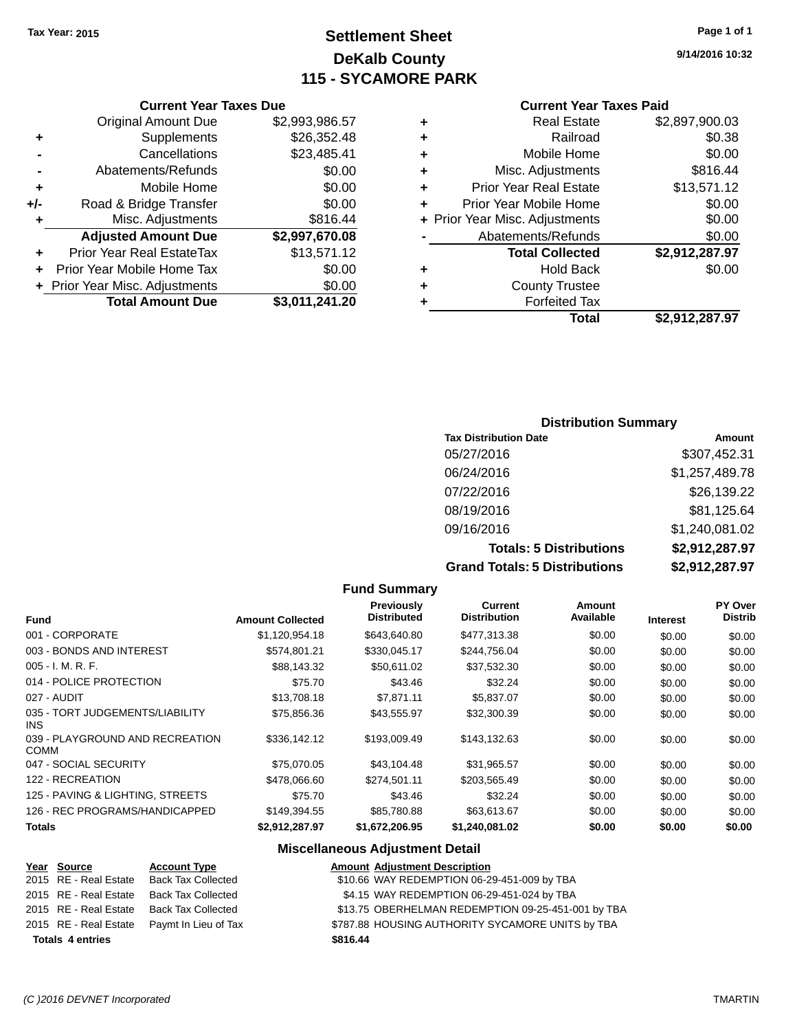# **Settlement Sheet Tax Year: 2015 Page 1 of 1 DeKalb County 115 - SYCAMORE PARK**

**9/14/2016 10:32**

#### **Current Year Taxes Paid**

|     | <b>Original Amount Due</b>       | \$2,993,986.57 |
|-----|----------------------------------|----------------|
| ٠   | Supplements                      | \$26,352.48    |
|     | Cancellations                    | \$23,485.41    |
|     | Abatements/Refunds               | \$0.00         |
| ٠   | Mobile Home                      | \$0.00         |
| +/- | Road & Bridge Transfer           | \$0.00         |
| ٠   | Misc. Adjustments                | \$816.44       |
|     | <b>Adjusted Amount Due</b>       | \$2,997,670.08 |
| ٠   | <b>Prior Year Real EstateTax</b> | \$13,571.12    |
| ÷   | Prior Year Mobile Home Tax       | \$0.00         |
|     | + Prior Year Misc. Adjustments   | \$0.00         |
|     | <b>Total Amount Due</b>          | \$3,011,241.20 |
|     |                                  |                |

**Current Year Taxes Due**

|   | Total                          | \$2,912,287.97 |
|---|--------------------------------|----------------|
| ٠ | <b>Forfeited Tax</b>           |                |
| ٠ | <b>County Trustee</b>          |                |
| ٠ | Hold Back                      | \$0.00         |
|   | <b>Total Collected</b>         | \$2,912,287.97 |
|   | Abatements/Refunds             | \$0.00         |
|   | + Prior Year Misc. Adjustments | \$0.00         |
| ٠ | Prior Year Mobile Home         | \$0.00         |
| ÷ | <b>Prior Year Real Estate</b>  | \$13,571.12    |
| ٠ | Misc. Adjustments              | \$816.44       |
| ÷ | Mobile Home                    | \$0.00         |
| ٠ | Railroad                       | \$0.38         |
| ٠ | <b>Real Estate</b>             | \$2,897,900.03 |
|   |                                |                |

## **Distribution Summary Tax Distribution Date Amount** 05/27/2016 \$307,452.31 06/24/2016 \$1,257,489.78 07/22/2016 \$26,139.22 08/19/2016 \$81,125.64 09/16/2016 \$1,240,081.02 **Totals: 5 Distributions \$2,912,287.97 Grand Totals: 5 Distributions \$2,912,287.97**

**Fund Summary Fund Interest Amount Collected Distributed PY Over Distrib Amount Available Current Distribution Previously** 001 - CORPORATE \$1,120,954.18 \$643,640.80 \$477,313.38 \$0.00 \$0.00 \$0.00 003 - BONDS AND INTEREST  $$574,801.21$   $$330,045.17$   $$244,756.04$   $$0.00$   $$0.00$   $$0.00$ 005 - I. M. R. F. \$88,143.32 \$50,611.02 \$37,532.30 \$0.00 \$0.00 \$0.00 014 - POLICE PROTECTION 60.00 \$75.70 \$43.46 \$32.24 \$0.00 \$0.00 \$0.00 \$0.00 027 - AUDIT \$13,708.18 \$7,871.11 \$5,837.07 \$0.00 \$0.00 \$0.00 035 - TORT JUDGEMENTS/LIABILITY INS \$75,856.36 \$43,555.97 \$32,300.39 \$0.00 \$0.00 \$0.00 039 - PLAYGROUND AND RECREATION COMM \$336,142.12 \$193,009.49 \$143,132.63 \$0.00 \$0.00 \$0.00 047 - SOCIAL SECURITY \$75,070.05 \$43,104.48 \$31,965.57 \$0.00 \$0.00 \$0.00 122 - RECREATION 60.00 \$478,066.60 \$274,501.11 \$203,565.49 \$0.00 \$0.00 \$0.00 \$0.00 125 - PAVING & LIGHTING, STREETS \$75.70 \$43.46 \$32.24 \$0.00 \$0.00 \$0.00 \$0.00 126 - REC PROGRAMS/HANDICAPPED \$149,394.55 \$85,780.88 \$63,613.67 \$0.00 \$0.00 \$0.00 **Totals \$2,912,287.97 \$1,672,206.95 \$1,240,081.02 \$0.00 \$0.00 \$0.00**

#### **Miscellaneous Adjustment Detail**

#### **Year Source Account Type Amount Adjustment Description** 2015 RE - Real Estate Back Tax Collected \$10.66 WAY REDEMPTION 06-29-451-009 by TBA 2015 RE - Real Estate Back Tax Collected \$4.15 WAY REDEMPTION 06-29-451-024 by TBA 2015 RE - Real Estate Back Tax Collected \$13.75 OBERHELMAN REDEMPTION 09-25-451-001 by TBA 2015 RE - Real Estate Paymt In Lieu of Tax \$787.88 HOUSING AUTHORITY SYCAMORE UNITS by TBA

**Totals \$816.44 4 entries**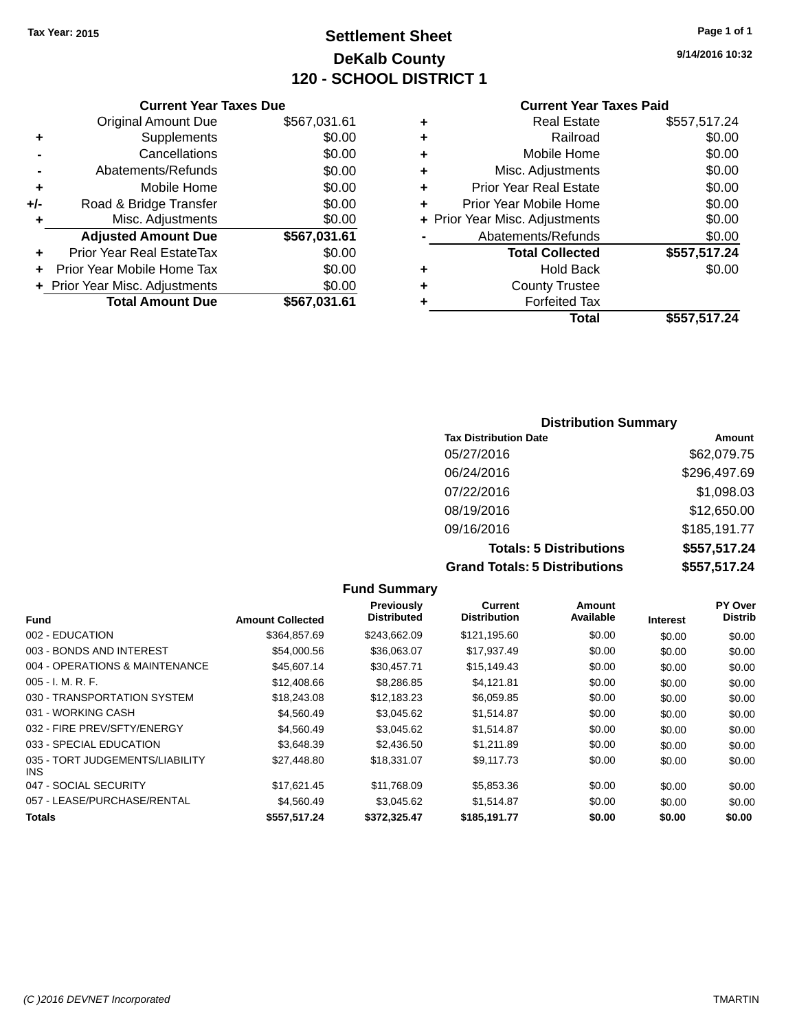## **Settlement Sheet Tax Year: 2015 Page 1 of 1 DeKalb County 120 - SCHOOL DISTRICT 1**

**9/14/2016 10:32**

#### **Current Year Taxes Paid**

|     | <b>Current Year Taxes Due</b>  |              |  |  |
|-----|--------------------------------|--------------|--|--|
|     | <b>Original Amount Due</b>     | \$567,031.61 |  |  |
| ٠   | Supplements                    | \$0.00       |  |  |
|     | Cancellations                  | \$0.00       |  |  |
|     | Abatements/Refunds             | \$0.00       |  |  |
| ٠   | Mobile Home                    | \$0.00       |  |  |
| +/- | Road & Bridge Transfer         | \$0.00       |  |  |
| ٠   | Misc. Adjustments              | \$0.00       |  |  |
|     | <b>Adjusted Amount Due</b>     | \$567,031.61 |  |  |
|     | Prior Year Real EstateTax      | \$0.00       |  |  |
|     | Prior Year Mobile Home Tax     | \$0.00       |  |  |
|     | + Prior Year Misc. Adjustments | \$0.00       |  |  |
|     | <b>Total Amount Due</b>        | \$567,031.61 |  |  |
|     |                                |              |  |  |

|   | <b>Real Estate</b>             | \$557,517.24 |
|---|--------------------------------|--------------|
| ٠ | Railroad                       | \$0.00       |
| ٠ | Mobile Home                    | \$0.00       |
| ٠ | Misc. Adjustments              | \$0.00       |
| ٠ | <b>Prior Year Real Estate</b>  | \$0.00       |
| ÷ | Prior Year Mobile Home         | \$0.00       |
|   | + Prior Year Misc. Adjustments | \$0.00       |
|   | Abatements/Refunds             | \$0.00       |
|   | <b>Total Collected</b>         | \$557,517.24 |
| ٠ | Hold Back                      | \$0.00       |
| ٠ | <b>County Trustee</b>          |              |
| ٠ | <b>Forfeited Tax</b>           |              |
|   | Total                          | \$557,517.24 |
|   |                                |              |

## **Distribution Summary Tax Distribution Date Amount** 05/27/2016 \$62,079.75 06/24/2016 \$296,497.69 07/22/2016 \$1,098.03 08/19/2016 \$12,650.00 09/16/2016 \$185,191.77 **Totals: 5 Distributions \$557,517.24 Grand Totals: 5 Distributions \$557,517.24**

**Fund Summary Fund Interest Amount Collected Distributed PY Over Distrib Amount Available Current Distribution Previously** 002 - EDUCATION \$364,857.69 \$243,662.09 \$121,195.60 \$0.00 \$0.00 \$0.00 003 - BONDS AND INTEREST  $$54,000.56$   $$36,063.07$   $$17,937.49$   $$0.00$   $$0.00$   $$0.00$ 004 - OPERATIONS & MAINTENANCE  $$45,607.14$   $$30,457.71$   $$15,149.43$  \$0.00 \$0.00 \$0.00 005 - I. M. R. F. \$12,408.66 \$8,286.85 \$4,121.81 \$0.00 \$0.00 \$0.00 030 - TRANSPORTATION SYSTEM \$18,243.08 \$12,183.23 \$6,059.85 \$0.00 \$0.00 \$0.00 \$0.00 031 - WORKING CASH \$4,560.49 \$3,045.62 \$1,514.87 \$0.00 \$0.00 \$0.00 032 - FIRE PREV/SFTY/ENERGY  $$4,560.49$   $$3,045.62$   $$1,514.87$  \$0.00  $$0.00$  \$0.00 \$0.00 033 - SPECIAL EDUCATION \$23,648.39 \$2,436.50 \$1,211.89 \$0.00 \$0.00 \$0.00 \$0.00 035 - TORT JUDGEMENTS/LIABILITY INS \$27,448.80 \$18,331.07 \$9,117.73 \$0.00 \$0.00 \$0.00 047 - SOCIAL SECURITY \$17,621.45 \$11,768.09 \$5,853.36 \$0.00 \$0.00 \$0.00 057 - LEASE/PURCHASE/RENTAL  $$4,560.49$   $$3,045.62$   $$1,514.87$  \$0.00  $$0.00$  \$0.00 \$0.00 **Totals \$557,517.24 \$372,325.47 \$185,191.77 \$0.00 \$0.00 \$0.00**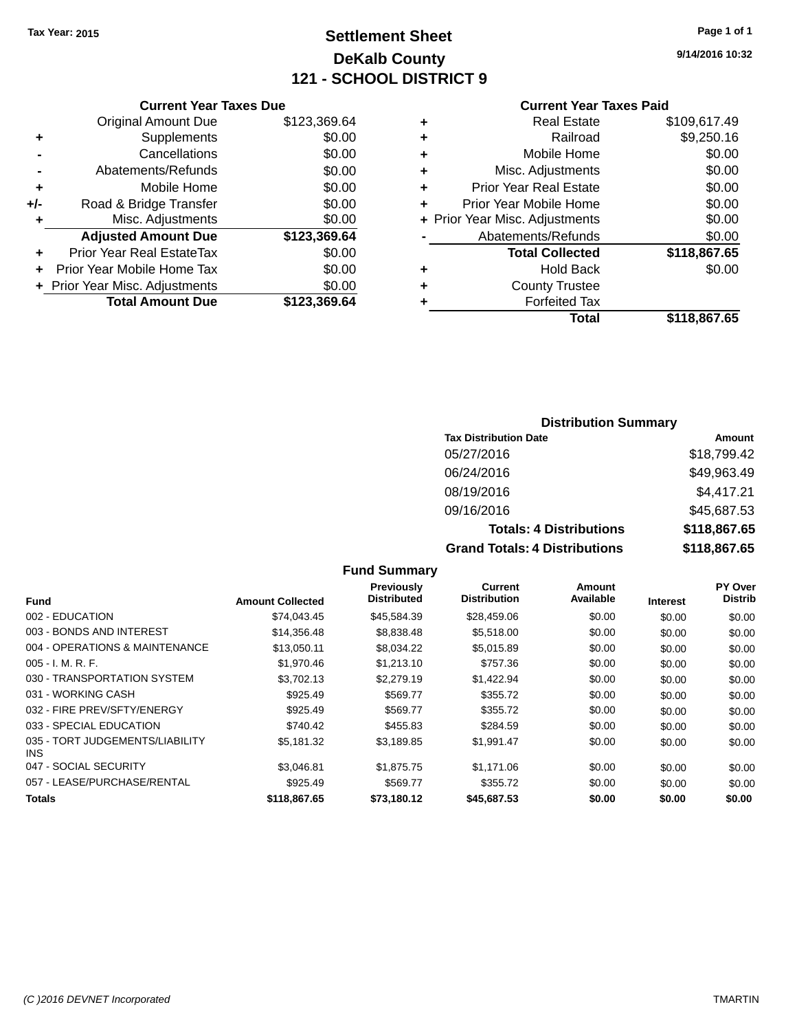## **Settlement Sheet Tax Year: 2015 Page 1 of 1 DeKalb County 121 - SCHOOL DISTRICT 9**

**9/14/2016 10:32**

#### **Current Year Taxes Paid**

|     | <b>Original Amount Due</b>       | \$123,369.64 |
|-----|----------------------------------|--------------|
| ٠   | Supplements                      | \$0.00       |
|     | Cancellations                    | \$0.00       |
|     | Abatements/Refunds               | \$0.00       |
| ÷   | Mobile Home                      | \$0.00       |
| +/- | Road & Bridge Transfer           | \$0.00       |
| ٠   | Misc. Adjustments                | \$0.00       |
|     | <b>Adjusted Amount Due</b>       | \$123,369.64 |
| ٠   | <b>Prior Year Real EstateTax</b> | \$0.00       |
|     | Prior Year Mobile Home Tax       | \$0.00       |
|     | + Prior Year Misc. Adjustments   | \$0.00       |
|     | <b>Total Amount Due</b>          | \$123,369.64 |
|     |                                  |              |

**Current Year Taxes Due**

|   | <b>Real Estate</b>             | \$109,617.49 |
|---|--------------------------------|--------------|
| ٠ | Railroad                       | \$9,250.16   |
| ٠ | Mobile Home                    | \$0.00       |
| ٠ | Misc. Adjustments              | \$0.00       |
| ٠ | <b>Prior Year Real Estate</b>  | \$0.00       |
| ٠ | Prior Year Mobile Home         | \$0.00       |
|   | + Prior Year Misc. Adjustments | \$0.00       |
|   | Abatements/Refunds             | \$0.00       |
|   | <b>Total Collected</b>         | \$118,867.65 |
| ٠ | <b>Hold Back</b>               | \$0.00       |
| ٠ | <b>County Trustee</b>          |              |
| ٠ | <b>Forfeited Tax</b>           |              |
|   | Total                          | \$118,867.65 |
|   |                                |              |

#### **Distribution Summary**

| <b>Tax Distribution Date</b>         | Amount       |
|--------------------------------------|--------------|
| 05/27/2016                           | \$18,799.42  |
| 06/24/2016                           | \$49,963.49  |
| 08/19/2016                           | \$4,417.21   |
| 09/16/2016                           | \$45,687.53  |
| <b>Totals: 4 Distributions</b>       | \$118,867.65 |
| <b>Grand Totals: 4 Distributions</b> | \$118,867.65 |

#### **Fund Interest Amount Collected Distributed PY Over Distrib Amount Available Current Distribution Previously** 002 - EDUCATION \$74,043.45 \$45,584.39 \$28,459.06 \$0.00 \$0.00 \$0.00 003 - BONDS AND INTEREST 60.00 \$14,356.48 \$8,838.48 \$5,518.00 \$0.00 \$0.00 \$0.00 \$0.00 004 - OPERATIONS & MAINTENANCE \$13,050.11 \$8,034.22 \$5,015.89 \$0.00 \$0.00 \$0.00 005 - I. M. R. F. \$1,970.46 \$1,213.10 \$757.36 \$0.00 \$0.00 \$0.00 030 - TRANSPORTATION SYSTEM \$3,702.13 \$2,279.19 \$1,422.94 \$0.00 \$0.00 \$0.00 \$0.00 031 - WORKING CASH \$925.49 \$569.77 \$355.72 \$0.00 \$0.00 \$0.00 032 - FIRE PREV/SFTY/ENERGY \$925.49 \$569.77 \$355.72 \$0.00 \$0.00 \$0.00 033 - SPECIAL EDUCATION **\$240.42** \$2455.83 \$284.59 \$0.00 \$0.00 \$0.00 \$0.00 035 - TORT JUDGEMENTS/LIABILITY INS \$5,181.32 \$3,189.85 \$1,991.47 \$0.00 \$0.00 \$0.00 047 - SOCIAL SECURITY \$3,046.81 \$1,875.75 \$1,171.06 \$0.00 \$0.00 \$0.00 057 - LEASE/PURCHASE/RENTAL \$925.49 \$569.77 \$355.72 \$0.00 \$0.00 \$0.00 **Totals \$118,867.65 \$73,180.12 \$45,687.53 \$0.00 \$0.00 \$0.00**

**Fund Summary**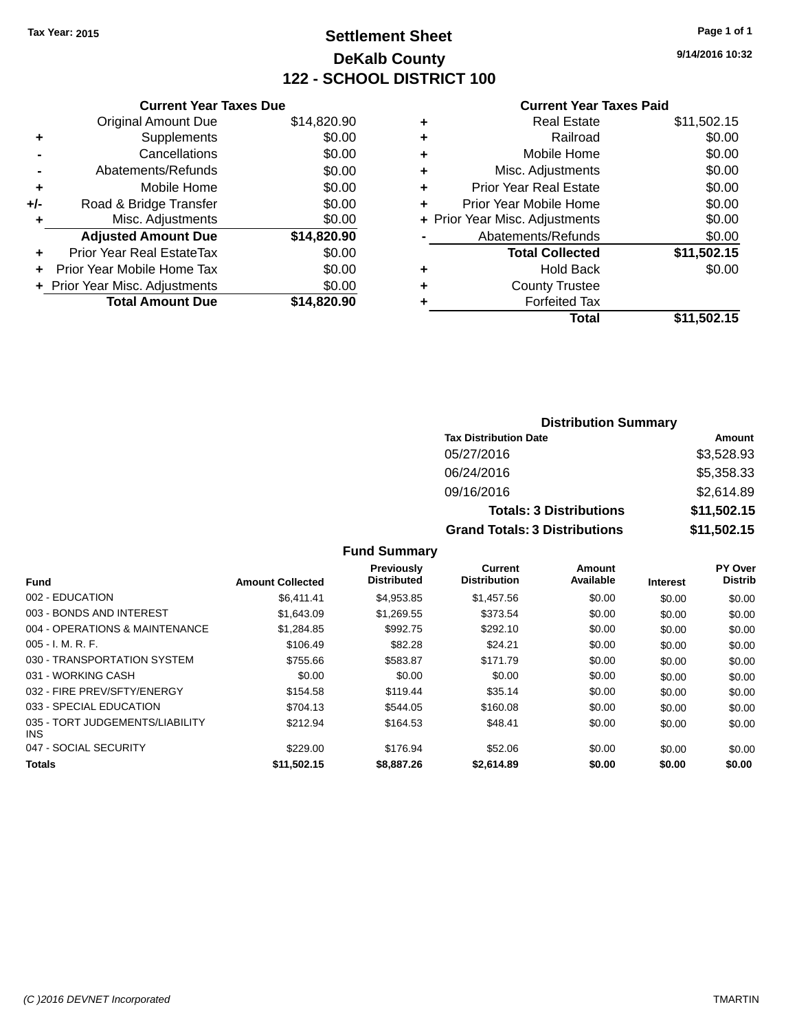## **Settlement Sheet Tax Year: 2015 Page 1 of 1 DeKalb County 122 - SCHOOL DISTRICT 100**

**9/14/2016 10:32**

#### **Current Year Taxes Paid**

|     | <b>Current Year Taxes Due</b>  |             |  |  |  |
|-----|--------------------------------|-------------|--|--|--|
|     | <b>Original Amount Due</b>     | \$14,820.90 |  |  |  |
| ٠   | Supplements                    | \$0.00      |  |  |  |
|     | \$0.00<br>Cancellations        |             |  |  |  |
|     | Abatements/Refunds             | \$0.00      |  |  |  |
| ٠   | Mobile Home                    |             |  |  |  |
| +/- | Road & Bridge Transfer         | \$0.00      |  |  |  |
| ٠   | Misc. Adjustments              | \$0.00      |  |  |  |
|     | <b>Adjusted Amount Due</b>     | \$14,820.90 |  |  |  |
| ÷   | Prior Year Real EstateTax      | \$0.00      |  |  |  |
|     | Prior Year Mobile Home Tax     | \$0.00      |  |  |  |
|     | + Prior Year Misc. Adjustments | \$0.00      |  |  |  |
|     | <b>Total Amount Due</b>        | \$14,820.90 |  |  |  |
|     |                                |             |  |  |  |

|   | <b>Real Estate</b>             | \$11,502.15 |
|---|--------------------------------|-------------|
| ٠ | Railroad                       | \$0.00      |
| ٠ | Mobile Home                    | \$0.00      |
| ٠ | Misc. Adjustments              | \$0.00      |
| ٠ | <b>Prior Year Real Estate</b>  | \$0.00      |
| ٠ | Prior Year Mobile Home         | \$0.00      |
|   | + Prior Year Misc. Adjustments | \$0.00      |
|   | Abatements/Refunds             | \$0.00      |
|   | <b>Total Collected</b>         | \$11,502.15 |
| ٠ | Hold Back                      | \$0.00      |
| ٠ | <b>County Trustee</b>          |             |
| ٠ | <b>Forfeited Tax</b>           |             |
|   | Total                          | \$11,502.15 |
|   |                                |             |

| <b>Distribution Summary</b>          |             |  |  |  |
|--------------------------------------|-------------|--|--|--|
| <b>Tax Distribution Date</b>         | Amount      |  |  |  |
| 05/27/2016                           | \$3,528.93  |  |  |  |
| 06/24/2016                           | \$5,358.33  |  |  |  |
| 09/16/2016                           | \$2,614.89  |  |  |  |
| <b>Totals: 3 Distributions</b>       | \$11,502.15 |  |  |  |
| <b>Grand Totals: 3 Distributions</b> | \$11,502.15 |  |  |  |

#### **Fund Summary**

|                                               |                         | <b>Previously</b>  | Current             | Amount    |                 | PY Over        |
|-----------------------------------------------|-------------------------|--------------------|---------------------|-----------|-----------------|----------------|
| <b>Fund</b>                                   | <b>Amount Collected</b> | <b>Distributed</b> | <b>Distribution</b> | Available | <b>Interest</b> | <b>Distrib</b> |
| 002 - EDUCATION                               | \$6.411.41              | \$4.953.85         | \$1,457.56          | \$0.00    | \$0.00          | \$0.00         |
| 003 - BONDS AND INTEREST                      | \$1,643.09              | \$1.269.55         | \$373.54            | \$0.00    | \$0.00          | \$0.00         |
| 004 - OPERATIONS & MAINTENANCE                | \$1,284.85              | \$992.75           | \$292.10            | \$0.00    | \$0.00          | \$0.00         |
| $005 - I. M. R. F.$                           | \$106.49                | \$82.28            | \$24.21             | \$0.00    | \$0.00          | \$0.00         |
| 030 - TRANSPORTATION SYSTEM                   | \$755.66                | \$583.87           | \$171.79            | \$0.00    | \$0.00          | \$0.00         |
| 031 - WORKING CASH                            | \$0.00                  | \$0.00             | \$0.00              | \$0.00    | \$0.00          | \$0.00         |
| 032 - FIRE PREV/SFTY/ENERGY                   | \$154.58                | \$119.44           | \$35.14             | \$0.00    | \$0.00          | \$0.00         |
| 033 - SPECIAL EDUCATION                       | \$704.13                | \$544.05           | \$160.08            | \$0.00    | \$0.00          | \$0.00         |
| 035 - TORT JUDGEMENTS/LIABILITY<br><b>INS</b> | \$212.94                | \$164.53           | \$48.41             | \$0.00    | \$0.00          | \$0.00         |
| 047 - SOCIAL SECURITY                         | \$229.00                | \$176.94           | \$52.06             | \$0.00    | \$0.00          | \$0.00         |
| <b>Totals</b>                                 | \$11.502.15             | \$8,887,26         | \$2,614.89          | \$0.00    | \$0.00          | \$0.00         |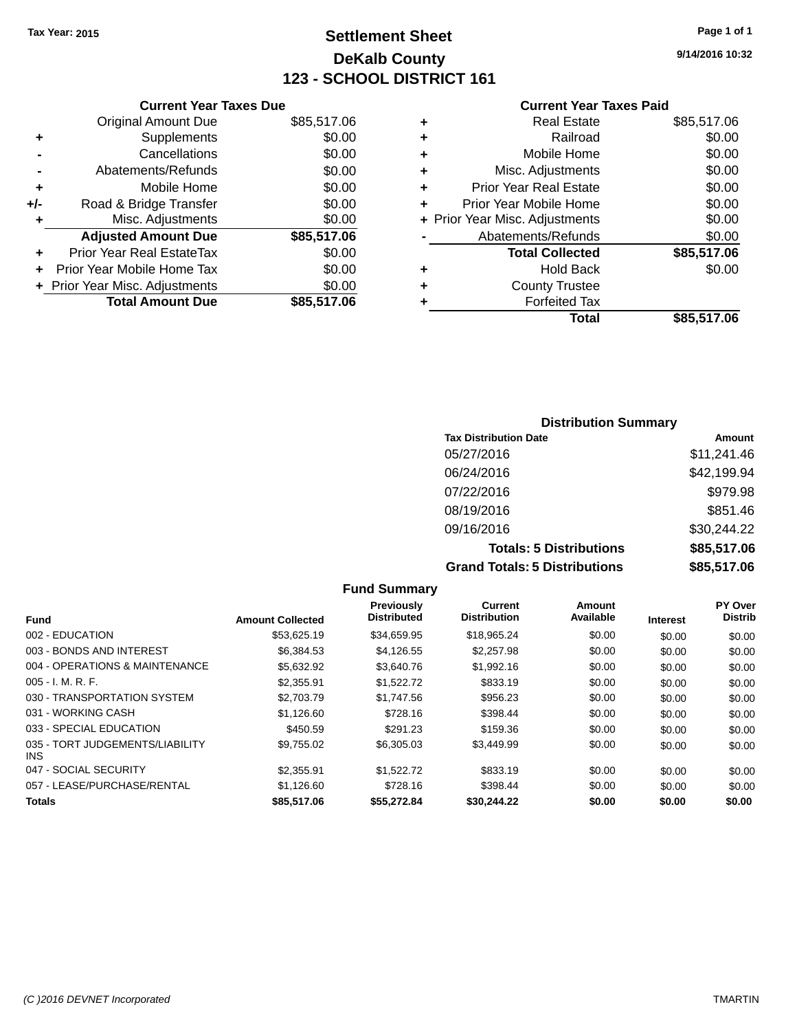## **Settlement Sheet Tax Year: 2015 Page 1 of 1 DeKalb County 123 - SCHOOL DISTRICT 161**

**9/14/2016 10:32**

#### **Current Year Taxes Paid**

|     | <b>Current Year Taxes Due</b>  |             |
|-----|--------------------------------|-------------|
|     | <b>Original Amount Due</b>     | \$85,517.06 |
| ٠   | Supplements                    | \$0.00      |
|     | Cancellations                  | \$0.00      |
|     | Abatements/Refunds             | \$0.00      |
| ٠   | Mobile Home                    | \$0.00      |
| +/- | Road & Bridge Transfer         | \$0.00      |
| ٠   | Misc. Adjustments              | \$0.00      |
|     | <b>Adjusted Amount Due</b>     | \$85,517.06 |
| ÷   | Prior Year Real EstateTax      | \$0.00      |
|     | Prior Year Mobile Home Tax     | \$0.00      |
|     | + Prior Year Misc. Adjustments | \$0.00      |
|     | <b>Total Amount Due</b>        | \$85,517.06 |
|     |                                |             |

| ٠ | <b>Real Estate</b>             | \$85,517.06 |
|---|--------------------------------|-------------|
| ٠ | Railroad                       | \$0.00      |
| ٠ | Mobile Home                    | \$0.00      |
| ٠ | Misc. Adjustments              | \$0.00      |
| ٠ | <b>Prior Year Real Estate</b>  | \$0.00      |
|   | Prior Year Mobile Home         | \$0.00      |
|   | + Prior Year Misc. Adjustments | \$0.00      |
|   | Abatements/Refunds             | \$0.00      |
|   | <b>Total Collected</b>         | \$85,517.06 |
| ٠ | <b>Hold Back</b>               | \$0.00      |
| ٠ | <b>County Trustee</b>          |             |
| ٠ | <b>Forfeited Tax</b>           |             |
|   | Total                          | \$85,517.06 |
|   |                                |             |

## **Distribution Summary Tax Distribution Date Amount** 05/27/2016 \$11,241.46 06/24/2016 \$42,199.94 07/22/2016 \$979.98 08/19/2016 \$851.46 09/16/2016 \$30,244.22 **Totals: 5 Distributions \$85,517.06 Grand Totals: 5 Distributions \$85,517.06**

|                                         |                         | <b>Fund Summary</b>              |                                       |                     |                 |                           |
|-----------------------------------------|-------------------------|----------------------------------|---------------------------------------|---------------------|-----------------|---------------------------|
| Fund                                    | <b>Amount Collected</b> | Previously<br><b>Distributed</b> | <b>Current</b><br><b>Distribution</b> | Amount<br>Available | <b>Interest</b> | PY Over<br><b>Distrib</b> |
| 002 - EDUCATION                         | \$53,625.19             | \$34,659.95                      | \$18,965.24                           | \$0.00              | \$0.00          | \$0.00                    |
| 003 - BONDS AND INTEREST                | \$6,384.53              | \$4,126.55                       | \$2,257.98                            | \$0.00              | \$0.00          | \$0.00                    |
| 004 - OPERATIONS & MAINTENANCE          | \$5,632.92              | \$3,640.76                       | \$1,992.16                            | \$0.00              | \$0.00          | \$0.00                    |
| $005 - I. M. R. F.$                     | \$2,355.91              | \$1,522.72                       | \$833.19                              | \$0.00              | \$0.00          | \$0.00                    |
| 030 - TRANSPORTATION SYSTEM             | \$2,703.79              | \$1,747.56                       | \$956.23                              | \$0.00              | \$0.00          | \$0.00                    |
| 031 - WORKING CASH                      | \$1.126.60              | \$728.16                         | \$398.44                              | \$0.00              | \$0.00          | \$0.00                    |
| 033 - SPECIAL EDUCATION                 | \$450.59                | \$291.23                         | \$159.36                              | \$0.00              | \$0.00          | \$0.00                    |
| 035 - TORT JUDGEMENTS/LIABILITY<br>INS. | \$9,755.02              | \$6,305.03                       | \$3,449.99                            | \$0.00              | \$0.00          | \$0.00                    |
| 047 - SOCIAL SECURITY                   | \$2,355.91              | \$1,522.72                       | \$833.19                              | \$0.00              | \$0.00          | \$0.00                    |
| 057 - LEASE/PURCHASE/RENTAL             | \$1,126.60              | \$728.16                         | \$398.44                              | \$0.00              | \$0.00          | \$0.00                    |
| <b>Totals</b>                           | \$85,517.06             | \$55.272.84                      | \$30.244.22                           | \$0.00              | \$0.00          | \$0.00                    |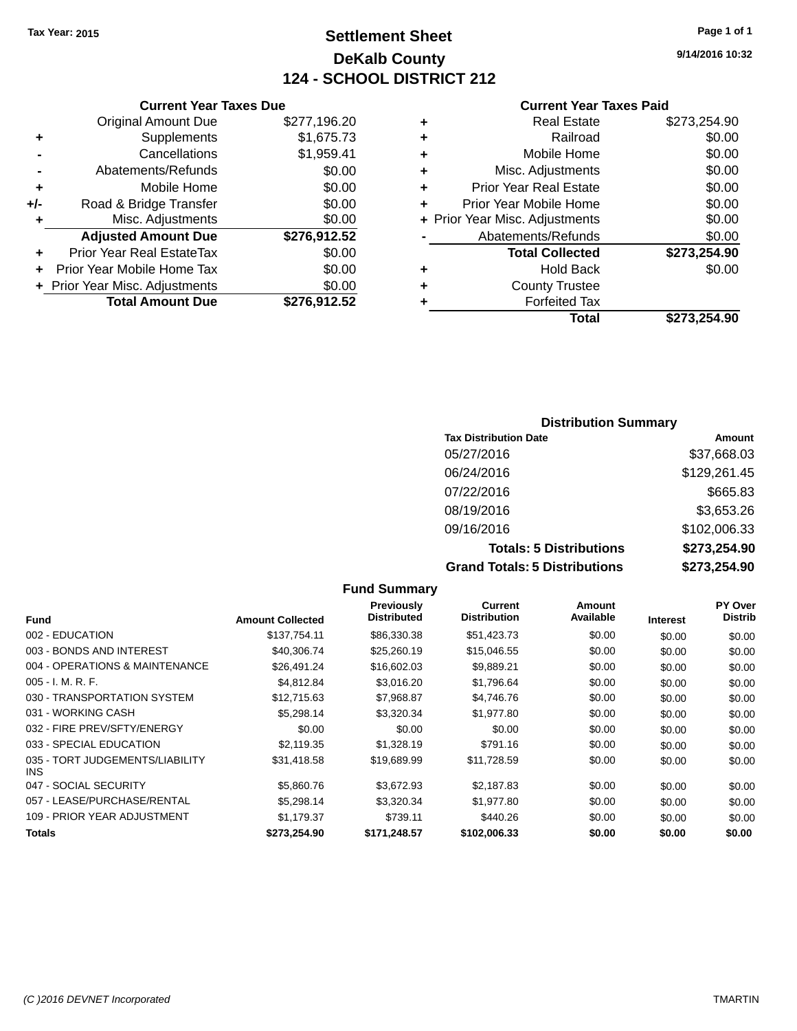## **Settlement Sheet Tax Year: 2015 Page 1 of 1 DeKalb County 124 - SCHOOL DISTRICT 212**

**9/14/2016 10:32**

#### **Current Year Taxes Paid**

|     | <b>Original Amount Due</b>       | \$277,196.20 |
|-----|----------------------------------|--------------|
| ٠   | Supplements                      | \$1,675.73   |
|     | Cancellations                    | \$1,959.41   |
|     | Abatements/Refunds               | \$0.00       |
| ٠   | Mobile Home                      | \$0.00       |
| +/- | Road & Bridge Transfer           | \$0.00       |
| ٠   | Misc. Adjustments                | \$0.00       |
|     | <b>Adjusted Amount Due</b>       | \$276,912.52 |
|     | <b>Prior Year Real EstateTax</b> | \$0.00       |
| ٠   | Prior Year Mobile Home Tax       | \$0.00       |
|     | + Prior Year Misc. Adjustments   | \$0.00       |
|     | <b>Total Amount Due</b>          | \$276,912.52 |
|     |                                  |              |

**Current Year Taxes Due**

|   | <b>Real Estate</b>             | \$273,254.90 |
|---|--------------------------------|--------------|
| ٠ | Railroad                       | \$0.00       |
| ٠ | Mobile Home                    | \$0.00       |
| ٠ | Misc. Adjustments              | \$0.00       |
| ٠ | <b>Prior Year Real Estate</b>  | \$0.00       |
| ÷ | Prior Year Mobile Home         | \$0.00       |
|   | + Prior Year Misc. Adjustments | \$0.00       |
|   | Abatements/Refunds             | \$0.00       |
|   | <b>Total Collected</b>         | \$273,254.90 |
| ٠ | Hold Back                      | \$0.00       |
| ٠ | <b>County Trustee</b>          |              |
| ٠ | <b>Forfeited Tax</b>           |              |
|   | Total                          | \$273,254.90 |
|   |                                |              |

## **Distribution Summary Tax Distribution Date Amount** 05/27/2016 \$37,668.03 06/24/2016 \$129,261.45 07/22/2016 \$665.83 08/19/2016 \$3,653.26 09/16/2016 \$102,006.33 **Totals: 5 Distributions \$273,254.90 Grand Totals: 5 Distributions \$273,254.90**

| <b>Fund Summary</b>                     |                         |                                         |                                |                     |                 |                           |
|-----------------------------------------|-------------------------|-----------------------------------------|--------------------------------|---------------------|-----------------|---------------------------|
| <b>Fund</b>                             | <b>Amount Collected</b> | <b>Previously</b><br><b>Distributed</b> | Current<br><b>Distribution</b> | Amount<br>Available | <b>Interest</b> | PY Over<br><b>Distrib</b> |
| 002 - EDUCATION                         | \$137,754.11            | \$86,330.38                             | \$51,423.73                    | \$0.00              | \$0.00          | \$0.00                    |
| 003 - BONDS AND INTEREST                | \$40,306.74             | \$25,260.19                             | \$15,046.55                    | \$0.00              | \$0.00          | \$0.00                    |
| 004 - OPERATIONS & MAINTENANCE          | \$26,491.24             | \$16,602.03                             | \$9,889.21                     | \$0.00              | \$0.00          | \$0.00                    |
| $005 - I. M. R. F.$                     | \$4,812.84              | \$3,016.20                              | \$1,796.64                     | \$0.00              | \$0.00          | \$0.00                    |
| 030 - TRANSPORTATION SYSTEM             | \$12,715.63             | \$7,968.87                              | \$4,746.76                     | \$0.00              | \$0.00          | \$0.00                    |
| 031 - WORKING CASH                      | \$5,298.14              | \$3,320.34                              | \$1,977.80                     | \$0.00              | \$0.00          | \$0.00                    |
| 032 - FIRE PREV/SFTY/ENERGY             | \$0.00                  | \$0.00                                  | \$0.00                         | \$0.00              | \$0.00          | \$0.00                    |
| 033 - SPECIAL EDUCATION                 | \$2,119.35              | \$1,328.19                              | \$791.16                       | \$0.00              | \$0.00          | \$0.00                    |
| 035 - TORT JUDGEMENTS/LIABILITY<br>INS. | \$31,418.58             | \$19,689.99                             | \$11,728.59                    | \$0.00              | \$0.00          | \$0.00                    |
| 047 - SOCIAL SECURITY                   | \$5,860.76              | \$3,672.93                              | \$2,187.83                     | \$0.00              | \$0.00          | \$0.00                    |
| 057 - LEASE/PURCHASE/RENTAL             | \$5,298.14              | \$3,320.34                              | \$1,977.80                     | \$0.00              | \$0.00          | \$0.00                    |
| 109 - PRIOR YEAR ADJUSTMENT             | \$1,179.37              | \$739.11                                | \$440.26                       | \$0.00              | \$0.00          | \$0.00                    |
| Totals                                  | \$273,254.90            | \$171,248.57                            | \$102,006.33                   | \$0.00              | \$0.00          | \$0.00                    |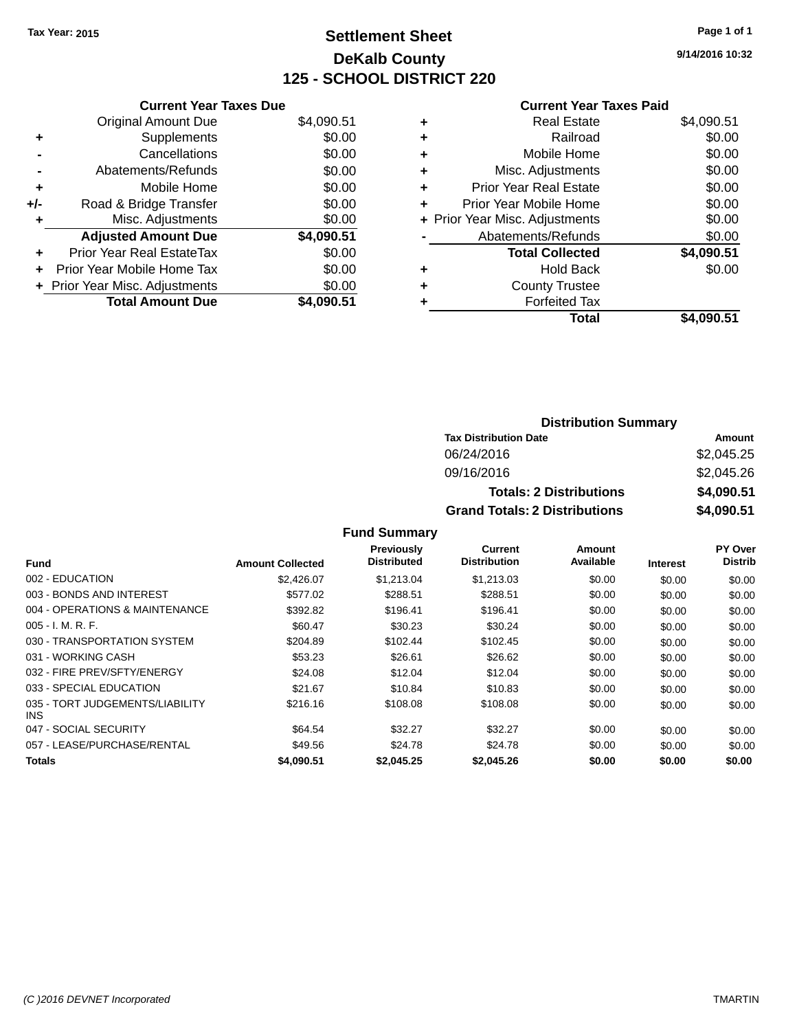## **Settlement Sheet Tax Year: 2015 Page 1 of 1 DeKalb County 125 - SCHOOL DISTRICT 220**

**9/14/2016 10:32**

#### **Current Year Taxes Paid**

|     | <b>Current Year Taxes Due</b>  |            |
|-----|--------------------------------|------------|
|     | <b>Original Amount Due</b>     | \$4,090.51 |
| ٠   | Supplements                    | \$0.00     |
|     | Cancellations                  | \$0.00     |
|     | Abatements/Refunds             | \$0.00     |
| ٠   | Mobile Home                    | \$0.00     |
| +/- | Road & Bridge Transfer         | \$0.00     |
| ٠   | Misc. Adjustments              | \$0.00     |
|     | <b>Adjusted Amount Due</b>     | \$4,090.51 |
| ٠   | Prior Year Real EstateTax      | \$0.00     |
| ÷   | Prior Year Mobile Home Tax     | \$0.00     |
|     | + Prior Year Misc. Adjustments | \$0.00     |
|     | <b>Total Amount Due</b>        | \$4.090.51 |

| ٠ | <b>Real Estate</b>             | \$4,090.51 |
|---|--------------------------------|------------|
| ٠ | Railroad                       | \$0.00     |
| ٠ | Mobile Home                    | \$0.00     |
| ٠ | Misc. Adjustments              | \$0.00     |
| ٠ | <b>Prior Year Real Estate</b>  | \$0.00     |
| ٠ | Prior Year Mobile Home         | \$0.00     |
|   | + Prior Year Misc. Adjustments | \$0.00     |
|   | Abatements/Refunds             | \$0.00     |
|   | <b>Total Collected</b>         | \$4,090.51 |
| ٠ | <b>Hold Back</b>               | \$0.00     |
| ٠ | <b>County Trustee</b>          |            |
| ٠ | <b>Forfeited Tax</b>           |            |
|   | Total                          | \$4,090.51 |
|   |                                |            |

| <b>Distribution Summary</b>          |            |
|--------------------------------------|------------|
| <b>Tax Distribution Date</b>         | Amount     |
| 06/24/2016                           | \$2,045.25 |
| 09/16/2016                           | \$2,045.26 |
| <b>Totals: 2 Distributions</b>       | \$4,090.51 |
| <b>Grand Totals: 2 Distributions</b> | \$4,090.51 |

#### **Fund Summary**

|                                         |                         | Previously         | Current             | Amount    |                 | PY Over        |
|-----------------------------------------|-------------------------|--------------------|---------------------|-----------|-----------------|----------------|
| <b>Fund</b>                             | <b>Amount Collected</b> | <b>Distributed</b> | <b>Distribution</b> | Available | <b>Interest</b> | <b>Distrib</b> |
| 002 - EDUCATION                         | \$2,426.07              | \$1,213,04         | \$1,213,03          | \$0.00    | \$0.00          | \$0.00         |
| 003 - BONDS AND INTEREST                | \$577.02                | \$288.51           | \$288.51            | \$0.00    | \$0.00          | \$0.00         |
| 004 - OPERATIONS & MAINTENANCE          | \$392.82                | \$196.41           | \$196.41            | \$0.00    | \$0.00          | \$0.00         |
| $005 - I. M. R. F.$                     | \$60.47                 | \$30.23            | \$30.24             | \$0.00    | \$0.00          | \$0.00         |
| 030 - TRANSPORTATION SYSTEM             | \$204.89                | \$102.44           | \$102.45            | \$0.00    | \$0.00          | \$0.00         |
| 031 - WORKING CASH                      | \$53.23                 | \$26.61            | \$26.62             | \$0.00    | \$0.00          | \$0.00         |
| 032 - FIRE PREV/SFTY/ENERGY             | \$24.08                 | \$12.04            | \$12.04             | \$0.00    | \$0.00          | \$0.00         |
| 033 - SPECIAL EDUCATION                 | \$21.67                 | \$10.84            | \$10.83             | \$0.00    | \$0.00          | \$0.00         |
| 035 - TORT JUDGEMENTS/LIABILITY<br>INS. | \$216.16                | \$108.08           | \$108.08            | \$0.00    | \$0.00          | \$0.00         |
| 047 - SOCIAL SECURITY                   | \$64.54                 | \$32.27            | \$32.27             | \$0.00    | \$0.00          | \$0.00         |
| 057 - LEASE/PURCHASE/RENTAL             | \$49.56                 | \$24.78            | \$24.78             | \$0.00    | \$0.00          | \$0.00         |
| <b>Totals</b>                           | \$4,090.51              | \$2,045.25         | \$2,045.26          | \$0.00    | \$0.00          | \$0.00         |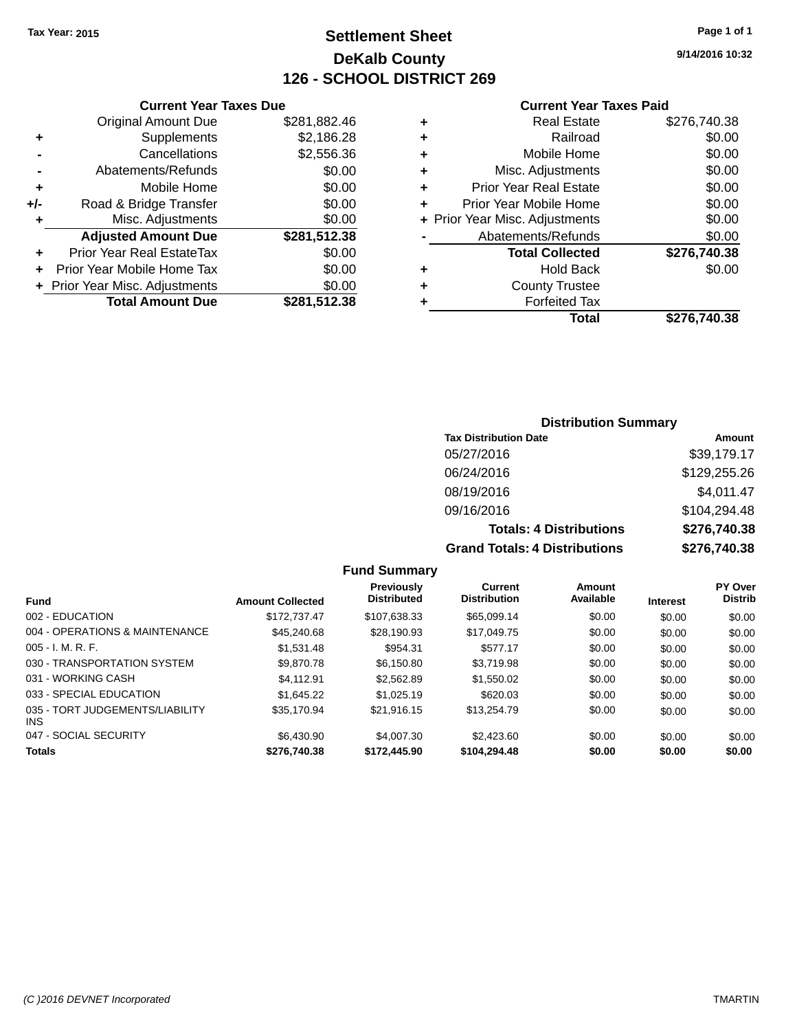## **Settlement Sheet Tax Year: 2015 Page 1 of 1 DeKalb County 126 - SCHOOL DISTRICT 269**

**9/14/2016 10:32**

| <b>Current Year Taxes Paid</b> |  |  |  |  |
|--------------------------------|--|--|--|--|
|--------------------------------|--|--|--|--|

|   | Total                          | \$276,740.38 |
|---|--------------------------------|--------------|
| ٠ | <b>Forfeited Tax</b>           |              |
| ٠ | <b>County Trustee</b>          |              |
| ٠ | <b>Hold Back</b>               | \$0.00       |
|   | <b>Total Collected</b>         | \$276,740.38 |
|   | Abatements/Refunds             | \$0.00       |
|   | + Prior Year Misc. Adjustments | \$0.00       |
| ٠ | Prior Year Mobile Home         | \$0.00       |
| ٠ | <b>Prior Year Real Estate</b>  | \$0.00       |
| ٠ | Misc. Adjustments              | \$0.00       |
| ٠ | Mobile Home                    | \$0.00       |
| ٠ | Railroad                       | \$0.00       |
| ٠ | Real Estate                    | \$276,740.38 |
|   |                                |              |

| <b>Original Amount Due</b>     | \$281,882.46                  |
|--------------------------------|-------------------------------|
| Supplements                    | \$2,186.28                    |
| Cancellations                  | \$2,556.36                    |
| Abatements/Refunds             | \$0.00                        |
| Mobile Home                    | \$0.00                        |
| Road & Bridge Transfer         | \$0.00                        |
| Misc. Adjustments              | \$0.00                        |
| <b>Adjusted Amount Due</b>     | \$281,512.38                  |
| Prior Year Real EstateTax      | \$0.00                        |
| Prior Year Mobile Home Tax     | \$0.00                        |
| + Prior Year Misc. Adjustments | \$0.00                        |
| <b>Total Amount Due</b>        | \$281,512.38                  |
|                                | <b>Current Year Taxes Due</b> |

| <b>Distribution Summary</b> |  |
|-----------------------------|--|
|-----------------------------|--|

| <b>Tax Distribution Date</b>         | Amount       |
|--------------------------------------|--------------|
| 05/27/2016                           | \$39,179.17  |
| 06/24/2016                           | \$129,255.26 |
| 08/19/2016                           | \$4,011.47   |
| 09/16/2016                           | \$104,294.48 |
| <b>Totals: 4 Distributions</b>       | \$276,740.38 |
| <b>Grand Totals: 4 Distributions</b> | \$276,740.38 |

|  | Fund Summary |  |
|--|--------------|--|
|--|--------------|--|

| <b>Fund</b>                             | <b>Amount Collected</b> | Previously<br><b>Distributed</b> | Current<br><b>Distribution</b> | Amount<br>Available | <b>Interest</b> | PY Over<br><b>Distrib</b> |
|-----------------------------------------|-------------------------|----------------------------------|--------------------------------|---------------------|-----------------|---------------------------|
| 002 - EDUCATION                         | \$172.737.47            | \$107.638.33                     | \$65,099.14                    | \$0.00              | \$0.00          | \$0.00                    |
| 004 - OPERATIONS & MAINTENANCE          | \$45,240.68             | \$28.190.93                      | \$17,049.75                    | \$0.00              | \$0.00          | \$0.00                    |
| $005 - I. M. R. F.$                     | \$1,531.48              | \$954.31                         | \$577.17                       | \$0.00              | \$0.00          | \$0.00                    |
| 030 - TRANSPORTATION SYSTEM             | \$9,870.78              | \$6.150.80                       | \$3.719.98                     | \$0.00              | \$0.00          | \$0.00                    |
| 031 - WORKING CASH                      | \$4.112.91              | \$2,562.89                       | \$1,550.02                     | \$0.00              | \$0.00          | \$0.00                    |
| 033 - SPECIAL EDUCATION                 | \$1,645.22              | \$1.025.19                       | \$620.03                       | \$0.00              | \$0.00          | \$0.00                    |
| 035 - TORT JUDGEMENTS/LIABILITY<br>INS. | \$35,170.94             | \$21.916.15                      | \$13,254.79                    | \$0.00              | \$0.00          | \$0.00                    |
| 047 - SOCIAL SECURITY                   | \$6,430.90              | \$4,007.30                       | \$2,423,60                     | \$0.00              | \$0.00          | \$0.00                    |
| Totals                                  | \$276,740.38            | \$172,445,90                     | \$104.294.48                   | \$0.00              | \$0.00          | \$0.00                    |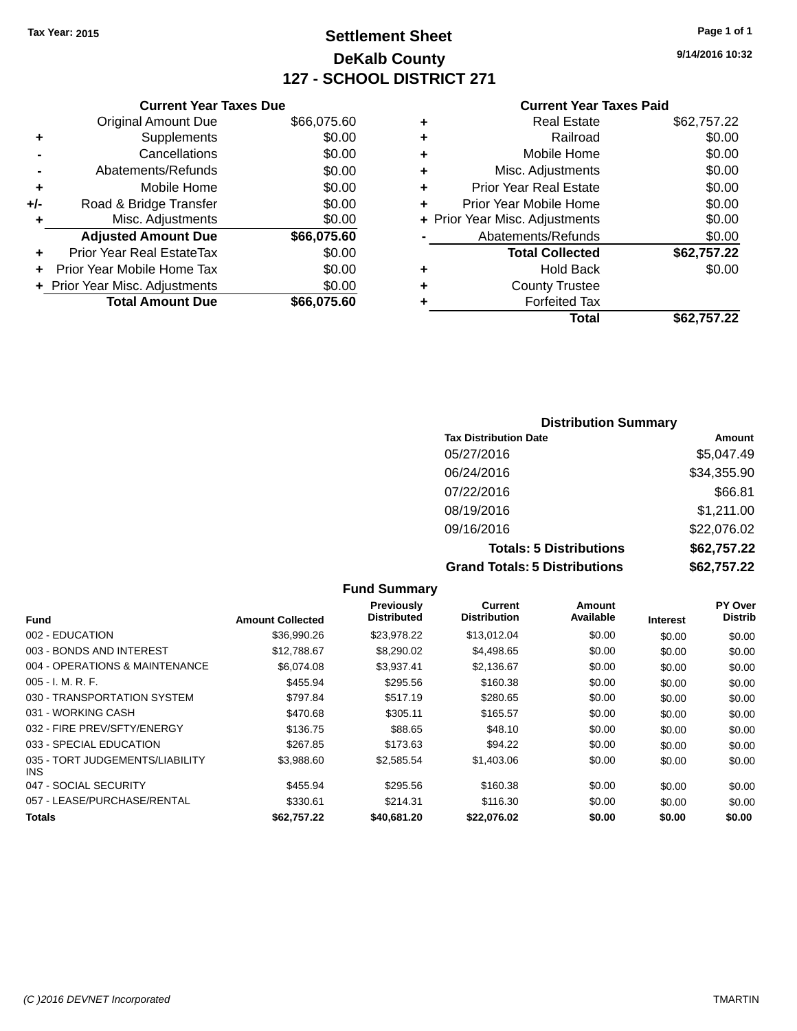## **Settlement Sheet Tax Year: 2015 Page 1 of 1 DeKalb County 127 - SCHOOL DISTRICT 271**

**9/14/2016 10:32**

|     | <b>Current Year Taxes Due</b>  |             |
|-----|--------------------------------|-------------|
|     | <b>Original Amount Due</b>     | \$66,075.60 |
| ٠   | Supplements                    | \$0.00      |
|     | Cancellations                  | \$0.00      |
|     | Abatements/Refunds             | \$0.00      |
| ÷   | Mobile Home                    | \$0.00      |
| +/- | Road & Bridge Transfer         | \$0.00      |
|     | Misc. Adjustments              | \$0.00      |
|     | <b>Adjusted Amount Due</b>     | \$66,075.60 |
| ٠   | Prior Year Real EstateTax      | \$0.00      |
|     | Prior Year Mobile Home Tax     | \$0.00      |
|     | + Prior Year Misc. Adjustments | \$0.00      |
|     | <b>Total Amount Due</b>        | \$66,075,60 |
|     |                                |             |

|   | <b>Real Estate</b>             | \$62,757.22 |
|---|--------------------------------|-------------|
| ٠ | Railroad                       | \$0.00      |
| ٠ | Mobile Home                    | \$0.00      |
| ٠ | Misc. Adjustments              | \$0.00      |
| ٠ | <b>Prior Year Real Estate</b>  | \$0.00      |
| ÷ | Prior Year Mobile Home         | \$0.00      |
|   | + Prior Year Misc. Adjustments | \$0.00      |
|   | Abatements/Refunds             | \$0.00      |
|   | <b>Total Collected</b>         | \$62,757.22 |
| ٠ | Hold Back                      | \$0.00      |
| ٠ | <b>County Trustee</b>          |             |
| ٠ | <b>Forfeited Tax</b>           |             |
|   | Total                          | \$62,757.22 |
|   |                                |             |

| <b>Distribution Summary</b>          |             |  |  |  |  |
|--------------------------------------|-------------|--|--|--|--|
| <b>Tax Distribution Date</b>         | Amount      |  |  |  |  |
| 05/27/2016                           | \$5,047.49  |  |  |  |  |
| 06/24/2016                           | \$34,355.90 |  |  |  |  |
| 07/22/2016                           | \$66.81     |  |  |  |  |
| 08/19/2016                           | \$1,211.00  |  |  |  |  |
| 09/16/2016                           | \$22,076.02 |  |  |  |  |
| <b>Totals: 5 Distributions</b>       | \$62,757.22 |  |  |  |  |
| <b>Grand Totals: 5 Distributions</b> | \$62,757.22 |  |  |  |  |

|                                               |                         | <b>Fund Summary</b>                     |                                       |                     |                 |                                  |
|-----------------------------------------------|-------------------------|-----------------------------------------|---------------------------------------|---------------------|-----------------|----------------------------------|
| <b>Fund</b>                                   | <b>Amount Collected</b> | <b>Previously</b><br><b>Distributed</b> | <b>Current</b><br><b>Distribution</b> | Amount<br>Available | <b>Interest</b> | <b>PY Over</b><br><b>Distrib</b> |
| 002 - EDUCATION                               | \$36,990.26             | \$23,978.22                             | \$13,012.04                           | \$0.00              | \$0.00          | \$0.00                           |
| 003 - BONDS AND INTEREST                      | \$12,788.67             | \$8,290.02                              | \$4,498.65                            | \$0.00              | \$0.00          | \$0.00                           |
| 004 - OPERATIONS & MAINTENANCE                | \$6.074.08              | \$3.937.41                              | \$2,136.67                            | \$0.00              | \$0.00          | \$0.00                           |
| $005 - I. M. R. F.$                           | \$455.94                | \$295.56                                | \$160.38                              | \$0.00              | \$0.00          | \$0.00                           |
| 030 - TRANSPORTATION SYSTEM                   | \$797.84                | \$517.19                                | \$280.65                              | \$0.00              | \$0.00          | \$0.00                           |
| 031 - WORKING CASH                            | \$470.68                | \$305.11                                | \$165.57                              | \$0.00              | \$0.00          | \$0.00                           |
| 032 - FIRE PREV/SFTY/ENERGY                   | \$136.75                | \$88.65                                 | \$48.10                               | \$0.00              | \$0.00          | \$0.00                           |
| 033 - SPECIAL EDUCATION                       | \$267.85                | \$173.63                                | \$94.22                               | \$0.00              | \$0.00          | \$0.00                           |
| 035 - TORT JUDGEMENTS/LIABILITY<br><b>INS</b> | \$3,988.60              | \$2,585.54                              | \$1,403.06                            | \$0.00              | \$0.00          | \$0.00                           |
| 047 - SOCIAL SECURITY                         | \$455.94                | \$295.56                                | \$160.38                              | \$0.00              | \$0.00          | \$0.00                           |
| 057 - LEASE/PURCHASE/RENTAL                   | \$330.61                | \$214.31                                | \$116.30                              | \$0.00              | \$0.00          | \$0.00                           |
| <b>Totals</b>                                 | \$62,757,22             | \$40,681.20                             | \$22.076.02                           | \$0.00              | \$0.00          | \$0.00                           |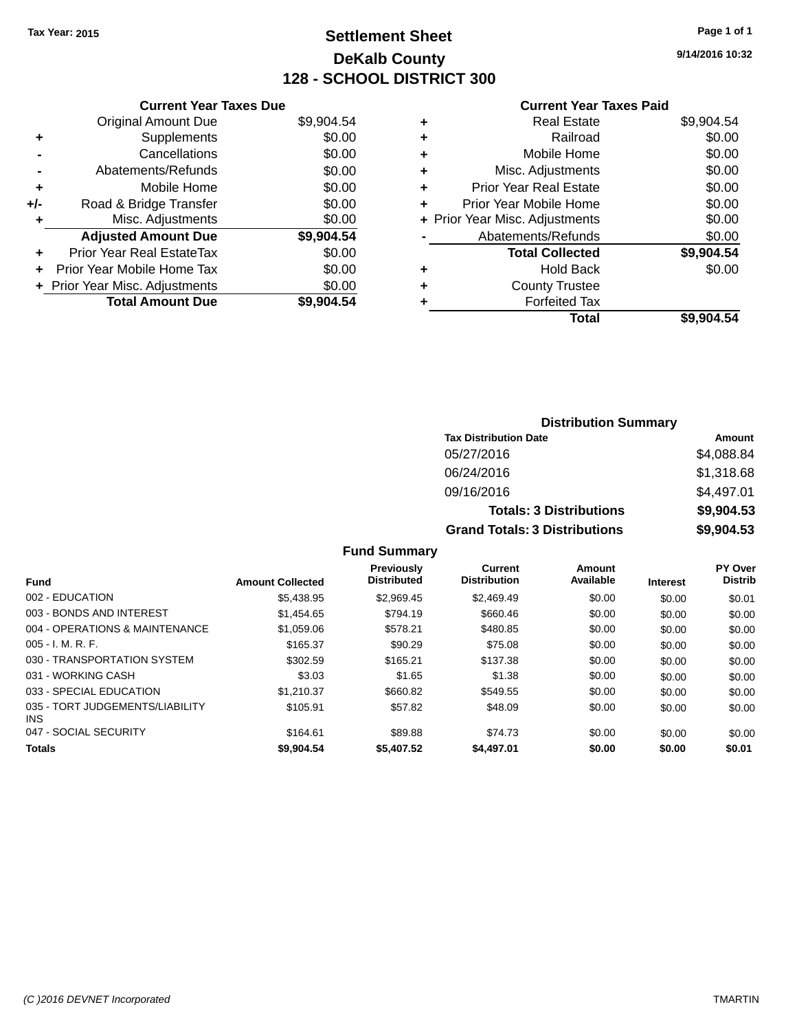## **Settlement Sheet Tax Year: 2015 Page 1 of 1 DeKalb County 128 - SCHOOL DISTRICT 300**

**9/14/2016 10:32**

#### **Current Year Taxes Paid**

|       | <b>Current Year Taxes Due</b>  |            |
|-------|--------------------------------|------------|
|       | <b>Original Amount Due</b>     | \$9,904.54 |
| ٠     | Supplements                    | \$0.00     |
|       | Cancellations                  | \$0.00     |
|       | Abatements/Refunds             | \$0.00     |
| ٠     | Mobile Home                    | \$0.00     |
| $+/-$ | Road & Bridge Transfer         | \$0.00     |
| ٠     | Misc. Adjustments              | \$0.00     |
|       | <b>Adjusted Amount Due</b>     | \$9,904.54 |
| ÷     | Prior Year Real EstateTax      | \$0.00     |
|       | Prior Year Mobile Home Tax     | \$0.00     |
|       | + Prior Year Misc. Adjustments | \$0.00     |
|       | <b>Total Amount Due</b>        | \$9.904.54 |

| ٠ | <b>Real Estate</b>             | \$9,904.54 |
|---|--------------------------------|------------|
| ٠ | Railroad                       | \$0.00     |
| ٠ | Mobile Home                    | \$0.00     |
| ٠ | Misc. Adjustments              | \$0.00     |
| ٠ | <b>Prior Year Real Estate</b>  | \$0.00     |
| ÷ | Prior Year Mobile Home         | \$0.00     |
|   | + Prior Year Misc. Adjustments | \$0.00     |
|   | Abatements/Refunds             | \$0.00     |
|   | <b>Total Collected</b>         | \$9,904.54 |
| ٠ | <b>Hold Back</b>               | \$0.00     |
| ٠ | <b>County Trustee</b>          |            |
| ٠ | <b>Forfeited Tax</b>           |            |
|   | Total                          | \$9,904.54 |
|   |                                |            |

| <b>Distribution Summary</b>          |            |  |  |  |  |
|--------------------------------------|------------|--|--|--|--|
| <b>Tax Distribution Date</b>         | Amount     |  |  |  |  |
| 05/27/2016                           | \$4,088.84 |  |  |  |  |
| 06/24/2016                           | \$1,318.68 |  |  |  |  |
| 09/16/2016                           | \$4,497.01 |  |  |  |  |
| <b>Totals: 3 Distributions</b>       | \$9,904.53 |  |  |  |  |
| <b>Grand Totals: 3 Distributions</b> | \$9,904.53 |  |  |  |  |

#### **Fund Summary**

| <b>Fund</b>                                   | <b>Amount Collected</b> | <b>Previously</b><br><b>Distributed</b> | Current<br><b>Distribution</b> | Amount<br>Available | <b>Interest</b> | PY Over<br><b>Distrib</b> |
|-----------------------------------------------|-------------------------|-----------------------------------------|--------------------------------|---------------------|-----------------|---------------------------|
| 002 - EDUCATION                               | \$5,438.95              | \$2.969.45                              | \$2,469.49                     | \$0.00              | \$0.00          | \$0.01                    |
| 003 - BONDS AND INTEREST                      | \$1,454.65              | \$794.19                                | \$660.46                       | \$0.00              | \$0.00          | \$0.00                    |
| 004 - OPERATIONS & MAINTENANCE                | \$1,059.06              | \$578.21                                | \$480.85                       | \$0.00              | \$0.00          | \$0.00                    |
| $005 - I. M. R. F.$                           | \$165.37                | \$90.29                                 | \$75.08                        | \$0.00              | \$0.00          | \$0.00                    |
| 030 - TRANSPORTATION SYSTEM                   | \$302.59                | \$165.21                                | \$137.38                       | \$0.00              | \$0.00          | \$0.00                    |
| 031 - WORKING CASH                            | \$3.03                  | \$1.65                                  | \$1.38                         | \$0.00              | \$0.00          | \$0.00                    |
| 033 - SPECIAL EDUCATION                       | \$1.210.37              | \$660.82                                | \$549.55                       | \$0.00              | \$0.00          | \$0.00                    |
| 035 - TORT JUDGEMENTS/LIABILITY<br><b>INS</b> | \$105.91                | \$57.82                                 | \$48.09                        | \$0.00              | \$0.00          | \$0.00                    |
| 047 - SOCIAL SECURITY                         | \$164.61                | \$89.88                                 | \$74.73                        | \$0.00              | \$0.00          | \$0.00                    |
| <b>Totals</b>                                 | \$9,904.54              | \$5,407.52                              | \$4,497.01                     | \$0.00              | \$0.00          | \$0.01                    |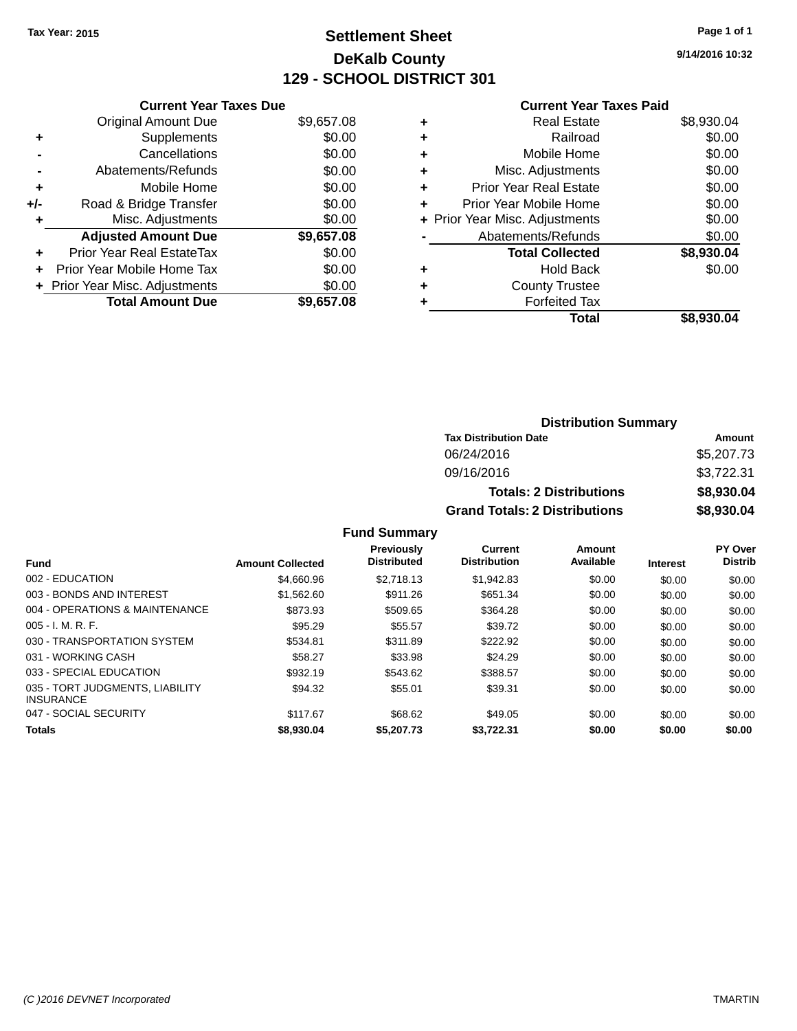## **Settlement Sheet Tax Year: 2015 Page 1 of 1 DeKalb County 129 - SCHOOL DISTRICT 301**

**9/14/2016 10:32**

#### **Current Year Taxes Paid**

|     | <b>Current Year Taxes Due</b>  |            |
|-----|--------------------------------|------------|
|     | <b>Original Amount Due</b>     | \$9,657.08 |
| ٠   | Supplements                    | \$0.00     |
|     | Cancellations                  | \$0.00     |
|     | Abatements/Refunds             | \$0.00     |
| ٠   | Mobile Home                    | \$0.00     |
| +/- | Road & Bridge Transfer         | \$0.00     |
|     | Misc. Adjustments              | \$0.00     |
|     | <b>Adjusted Amount Due</b>     | \$9,657.08 |
| ٠   | Prior Year Real EstateTax      | \$0.00     |
| ÷   | Prior Year Mobile Home Tax     | \$0.00     |
|     | + Prior Year Misc. Adjustments | \$0.00     |
|     | <b>Total Amount Due</b>        | \$9,657.08 |

|   | <b>Real Estate</b>             | \$8,930.04 |
|---|--------------------------------|------------|
| ٠ | Railroad                       | \$0.00     |
| ٠ | Mobile Home                    | \$0.00     |
| ٠ | Misc. Adjustments              | \$0.00     |
| ٠ | <b>Prior Year Real Estate</b>  | \$0.00     |
| ٠ | Prior Year Mobile Home         | \$0.00     |
|   | + Prior Year Misc. Adjustments | \$0.00     |
|   | Abatements/Refunds             | \$0.00     |
|   | <b>Total Collected</b>         | \$8,930.04 |
| ٠ | <b>Hold Back</b>               | \$0.00     |
| ٠ | <b>County Trustee</b>          |            |
| ٠ | <b>Forfeited Tax</b>           |            |
|   | Total                          | \$8,930.04 |
|   |                                |            |

| <b>Distribution Summary</b>          |            |  |  |  |  |
|--------------------------------------|------------|--|--|--|--|
| <b>Tax Distribution Date</b>         | Amount     |  |  |  |  |
| 06/24/2016                           | \$5,207.73 |  |  |  |  |
| 09/16/2016                           | \$3,722.31 |  |  |  |  |
| <b>Totals: 2 Distributions</b>       | \$8,930.04 |  |  |  |  |
| <b>Grand Totals: 2 Distributions</b> | \$8,930.04 |  |  |  |  |

#### **Fund Summary**

| <b>Fund</b>                                         | <b>Amount Collected</b> | <b>Previously</b><br><b>Distributed</b> | Current<br><b>Distribution</b> | Amount<br>Available | <b>Interest</b> | PY Over<br><b>Distrib</b> |
|-----------------------------------------------------|-------------------------|-----------------------------------------|--------------------------------|---------------------|-----------------|---------------------------|
|                                                     |                         |                                         |                                |                     |                 |                           |
| 002 - EDUCATION                                     | \$4,660.96              | \$2.718.13                              | \$1,942.83                     | \$0.00              | \$0.00          | \$0.00                    |
| 003 - BONDS AND INTEREST                            | \$1.562.60              | \$911.26                                | \$651.34                       | \$0.00              | \$0.00          | \$0.00                    |
| 004 - OPERATIONS & MAINTENANCE                      | \$873.93                | \$509.65                                | \$364.28                       | \$0.00              | \$0.00          | \$0.00                    |
| $005 - I. M. R. F.$                                 | \$95.29                 | \$55.57                                 | \$39.72                        | \$0.00              | \$0.00          | \$0.00                    |
| 030 - TRANSPORTATION SYSTEM                         | \$534.81                | \$311.89                                | \$222.92                       | \$0.00              | \$0.00          | \$0.00                    |
| 031 - WORKING CASH                                  | \$58.27                 | \$33.98                                 | \$24.29                        | \$0.00              | \$0.00          | \$0.00                    |
| 033 - SPECIAL EDUCATION                             | \$932.19                | \$543.62                                | \$388.57                       | \$0.00              | \$0.00          | \$0.00                    |
| 035 - TORT JUDGMENTS, LIABILITY<br><b>INSURANCE</b> | \$94.32                 | \$55.01                                 | \$39.31                        | \$0.00              | \$0.00          | \$0.00                    |
| 047 - SOCIAL SECURITY                               | \$117.67                | \$68.62                                 | \$49.05                        | \$0.00              | \$0.00          | \$0.00                    |
| <b>Totals</b>                                       | \$8,930.04              | \$5,207.73                              | \$3.722.31                     | \$0.00              | \$0.00          | \$0.00                    |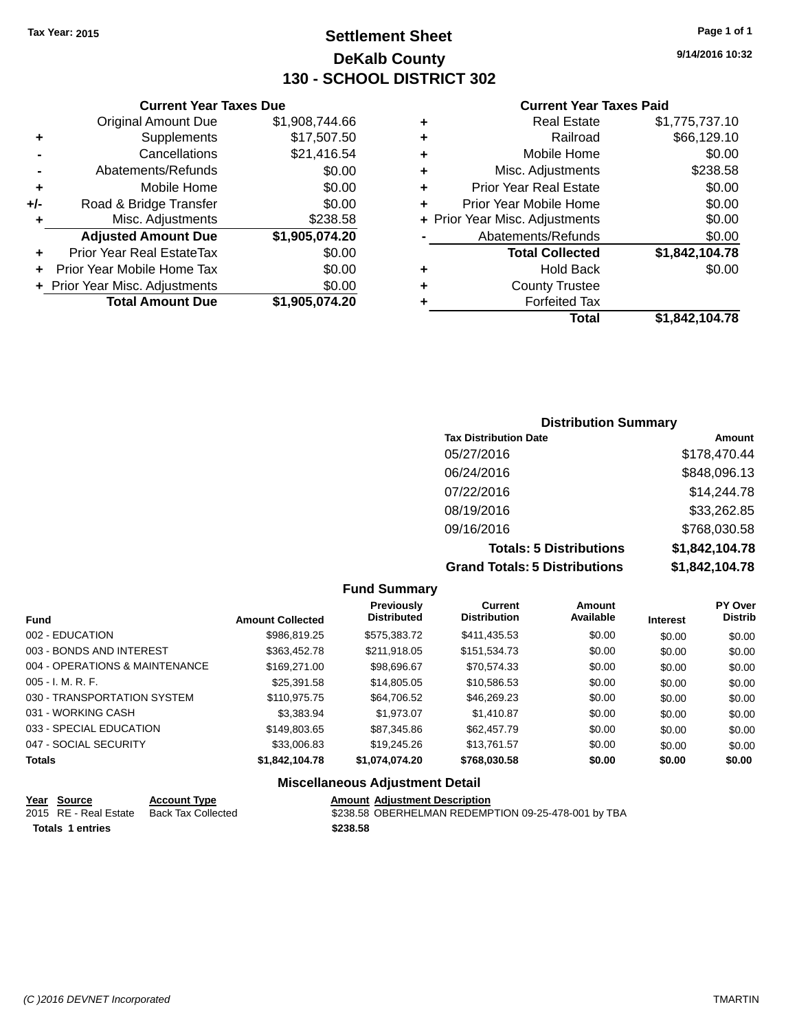**Current Year Taxes Due**

## **Settlement Sheet Tax Year: 2015 Page 1 of 1 DeKalb County 130 - SCHOOL DISTRICT 302**

**9/14/2016 10:32**

#### **Current Year Taxes Paid**

|     |                                |                |   | <b>Total</b>                   | \$1,842,104.78 |
|-----|--------------------------------|----------------|---|--------------------------------|----------------|
|     | <b>Total Amount Due</b>        | \$1,905,074.20 |   | <b>Forfeited Tax</b>           |                |
|     | + Prior Year Misc. Adjustments | \$0.00         | ٠ | <b>County Trustee</b>          |                |
| ÷.  | Prior Year Mobile Home Tax     | \$0.00         | ٠ | <b>Hold Back</b>               | \$0.00         |
| ٠   | Prior Year Real EstateTax      | \$0.00         |   | <b>Total Collected</b>         | \$1,842,104.78 |
|     | <b>Adjusted Amount Due</b>     | \$1,905,074.20 |   | Abatements/Refunds             | \$0.00         |
|     | Misc. Adjustments              | \$238.58       |   | + Prior Year Misc. Adjustments | \$0.00         |
| +/- | Road & Bridge Transfer         | \$0.00         |   | Prior Year Mobile Home         | \$0.00         |
| ٠   | Mobile Home                    | \$0.00         | ٠ | <b>Prior Year Real Estate</b>  | \$0.00         |
|     | Abatements/Refunds             | \$0.00         | ٠ | Misc. Adjustments              | \$238.58       |
|     | Cancellations                  | \$21,416.54    | ٠ | Mobile Home                    | \$0.00         |
| ٠   | Supplements                    | \$17,507.50    | ٠ | Railroad                       | \$66,129.10    |
|     | <b>Original Amount Due</b>     | \$1,908,744.66 | ٠ | <b>Real Estate</b>             | \$1,775,737.10 |
|     |                                |                |   |                                |                |

## **Distribution Summary Tax Distribution Date Amount** 05/27/2016 \$178,470.44 06/24/2016 \$848,096.13 07/22/2016 \$14,244.78 08/19/2016 \$33,262.85 09/16/2016 \$768,030.58 **Totals: 5 Distributions \$1,842,104.78 Grand Totals: 5 Distributions \$1,842,104.78**

|                                |                         | <b>Fund Summary</b>                    |                                       |                            |                 |                           |
|--------------------------------|-------------------------|----------------------------------------|---------------------------------------|----------------------------|-----------------|---------------------------|
| <b>Fund</b>                    | <b>Amount Collected</b> | Previously<br><b>Distributed</b>       | <b>Current</b><br><b>Distribution</b> | <b>Amount</b><br>Available | <b>Interest</b> | PY Over<br><b>Distrib</b> |
| 002 - EDUCATION                | \$986.819.25            | \$575.383.72                           | \$411,435.53                          | \$0.00                     | \$0.00          | \$0.00                    |
| 003 - BONDS AND INTEREST       | \$363,452.78            | \$211,918.05                           | \$151.534.73                          | \$0.00                     | \$0.00          | \$0.00                    |
| 004 - OPERATIONS & MAINTENANCE | \$169,271,00            | \$98,696.67                            | \$70.574.33                           | \$0.00                     | \$0.00          | \$0.00                    |
| $005 - I. M. R. F.$            | \$25.391.58             | \$14,805.05                            | \$10,586.53                           | \$0.00                     | \$0.00          | \$0.00                    |
| 030 - TRANSPORTATION SYSTEM    | \$110,975.75            | \$64,706.52                            | \$46,269.23                           | \$0.00                     | \$0.00          | \$0.00                    |
| 031 - WORKING CASH             | \$3,383,94              | \$1,973.07                             | \$1,410.87                            | \$0.00                     | \$0.00          | \$0.00                    |
| 033 - SPECIAL EDUCATION        | \$149,803.65            | \$87,345.86                            | \$62,457.79                           | \$0.00                     | \$0.00          | \$0.00                    |
| 047 - SOCIAL SECURITY          | \$33,006.83             | \$19,245.26                            | \$13.761.57                           | \$0.00                     | \$0.00          | \$0.00                    |
| <b>Totals</b>                  | \$1,842,104.78          | \$1,074,074.20                         | \$768,030.58                          | \$0.00                     | \$0.00          | \$0.00                    |
|                                |                         | <b>Miscellaneous Adjustment Detail</b> |                                       |                            |                 |                           |

#### **Year Source Account Type Amount Adjustment Description** 2015 RE - Real Estate Back Tax Collected **3238.58 OBERHELMAN REDEMPTION 09-25-478-001 by TBA Totals \$238.58 1 entries**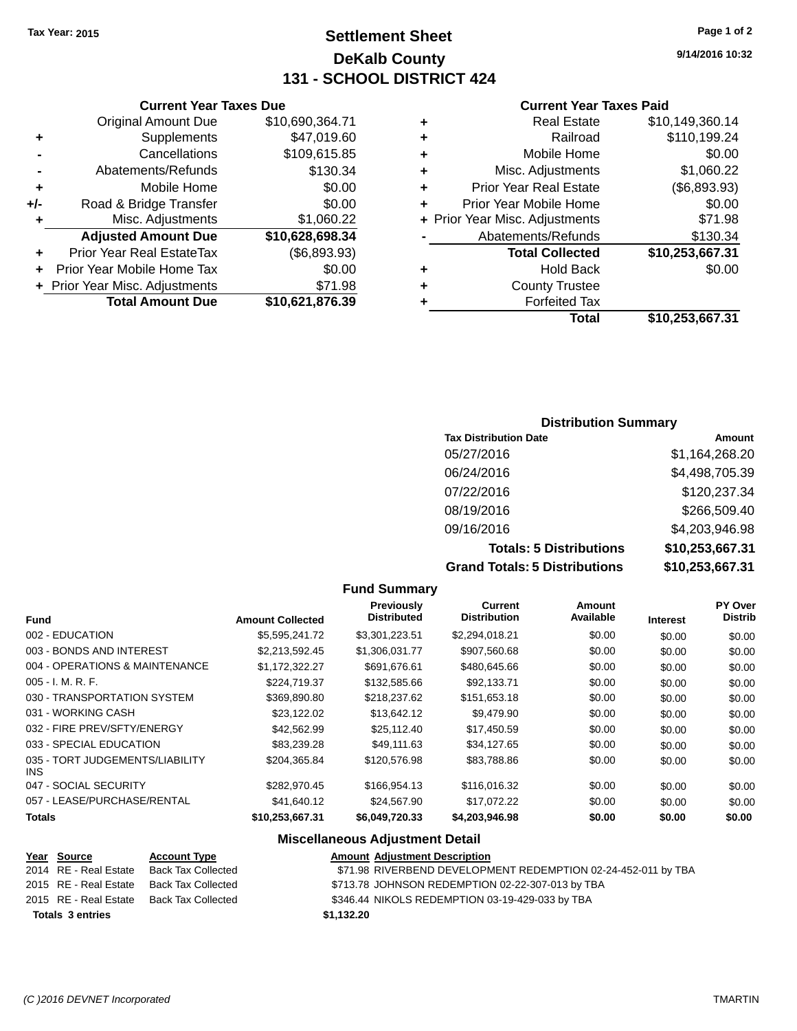## **Settlement Sheet Tax Year: 2015 Page 1 of 2 DeKalb County 131 - SCHOOL DISTRICT 424**

**9/14/2016 10:32**

#### **Current Year Taxes Paid**

|   | <b>Real Estate</b>             | \$10,149,360.14 |
|---|--------------------------------|-----------------|
| ٠ | Railroad                       | \$110,199.24    |
| ٠ | Mobile Home                    | \$0.00          |
| ٠ | Misc. Adjustments              | \$1,060.22      |
| ٠ | <b>Prior Year Real Estate</b>  | (\$6,893.93)    |
|   | Prior Year Mobile Home         | \$0.00          |
|   | + Prior Year Misc. Adjustments | \$71.98         |
|   | Abatements/Refunds             | \$130.34        |
|   | <b>Total Collected</b>         | \$10,253,667.31 |
| ٠ | <b>Hold Back</b>               | \$0.00          |
|   | <b>County Trustee</b>          |                 |
|   | <b>Forfeited Tax</b>           |                 |
|   | Total                          | \$10,253,667.31 |

#### **Current Year Taxes Due** Original Amount Due \$10,690,364.71 **+** Supplements \$47,019.60 **-** Cancellations \$109,615.85 **-** Abatements/Refunds \$130.34 **+** Mobile Home \$0.00 **+/-** Road & Bridge Transfer \$0.00 **+** Misc. Adjustments \$1,060.22 **Adjusted Amount Due \$10,628,698.34 +** Prior Year Real EstateTax (\$6,893.93) **+** Prior Year Mobile Home Tax \$0.00 **+** Prior Year Misc. Adjustments \$71.98 **Total Amount Due \$10,621,876.39**

#### **Distribution Summary**

| <b>Tax Distribution Date</b>         | Amount          |
|--------------------------------------|-----------------|
| 05/27/2016                           | \$1,164,268.20  |
| 06/24/2016                           | \$4,498,705.39  |
| 07/22/2016                           | \$120,237.34    |
| 08/19/2016                           | \$266,509.40    |
| 09/16/2016                           | \$4,203,946.98  |
| <b>Totals: 5 Distributions</b>       | \$10,253,667.31 |
| <b>Grand Totals: 5 Distributions</b> | \$10,253,667.31 |

|                                         |                         | <b>Fund Summary</b>                                                                                            |                                       |                     |                 |                                  |
|-----------------------------------------|-------------------------|----------------------------------------------------------------------------------------------------------------|---------------------------------------|---------------------|-----------------|----------------------------------|
| <b>Fund</b>                             | <b>Amount Collected</b> | <b>Previously</b><br><b>Distributed</b>                                                                        | <b>Current</b><br><b>Distribution</b> | Amount<br>Available | <b>Interest</b> | <b>PY Over</b><br><b>Distrib</b> |
| 002 - EDUCATION                         | \$5,595,241.72          | \$3,301,223.51                                                                                                 | \$2,294,018.21                        | \$0.00              | \$0.00          | \$0.00                           |
| 003 - BONDS AND INTEREST                | \$2,213,592.45          | \$1,306,031.77                                                                                                 | \$907,560.68                          | \$0.00              | \$0.00          | \$0.00                           |
| 004 - OPERATIONS & MAINTENANCE          | \$1,172,322.27          | \$691,676.61                                                                                                   | \$480,645.66                          | \$0.00              | \$0.00          | \$0.00                           |
| $005 - I. M. R. F.$                     | \$224,719.37            | \$132,585.66                                                                                                   | \$92,133.71                           | \$0.00              | \$0.00          | \$0.00                           |
| 030 - TRANSPORTATION SYSTEM             | \$369,890.80            | \$218,237.62                                                                                                   | \$151,653.18                          | \$0.00              | \$0.00          | \$0.00                           |
| 031 - WORKING CASH                      | \$23,122.02             | \$13,642.12                                                                                                    | \$9,479.90                            | \$0.00              | \$0.00          | \$0.00                           |
| 032 - FIRE PREV/SFTY/ENERGY             | \$42,562.99             | \$25,112.40                                                                                                    | \$17,450.59                           | \$0.00              | \$0.00          | \$0.00                           |
| 033 - SPECIAL EDUCATION                 | \$83,239.28             | \$49,111.63                                                                                                    | \$34,127.65                           | \$0.00              | \$0.00          | \$0.00                           |
| 035 - TORT JUDGEMENTS/LIABILITY<br>INS. | \$204,365.84            | \$120,576.98                                                                                                   | \$83,788.86                           | \$0.00              | \$0.00          | \$0.00                           |
| 047 - SOCIAL SECURITY                   | \$282,970.45            | \$166,954.13                                                                                                   | \$116,016.32                          | \$0.00              | \$0.00          | \$0.00                           |
| 057 - LEASE/PURCHASE/RENTAL             | \$41,640.12             | \$24,567.90                                                                                                    | \$17,072.22                           | \$0.00              | \$0.00          | \$0.00                           |
| <b>Totals</b>                           | \$10,253,667.31         | \$6,049,720.33                                                                                                 | \$4,203,946.98                        | \$0.00              | \$0.00          | \$0.00                           |
|                                         |                         | Battle of History and Carolina and Constantinoplants of the Maria Miller of the Miller of the Miller of the Mi |                                       |                     |                 |                                  |

#### **Miscellaneous Adjustment Detail**

| Year Source             | <b>Account Type</b>                      | <b>Amount Adjustment Description</b>                          |
|-------------------------|------------------------------------------|---------------------------------------------------------------|
| 2014 RE - Real Estate   | <b>Back Tax Collected</b>                | \$71.98 RIVERBEND DEVELOPMENT REDEMPTION 02-24-452-011 by TBA |
|                         | 2015 RE - Real Estate Back Tax Collected | \$713.78 JOHNSON REDEMPTION 02-22-307-013 by TBA              |
|                         | 2015 RE - Real Estate Back Tax Collected | \$346.44 NIKOLS REDEMPTION 03-19-429-033 by TBA               |
| <b>Totals 3 entries</b> |                                          | \$1,132.20                                                    |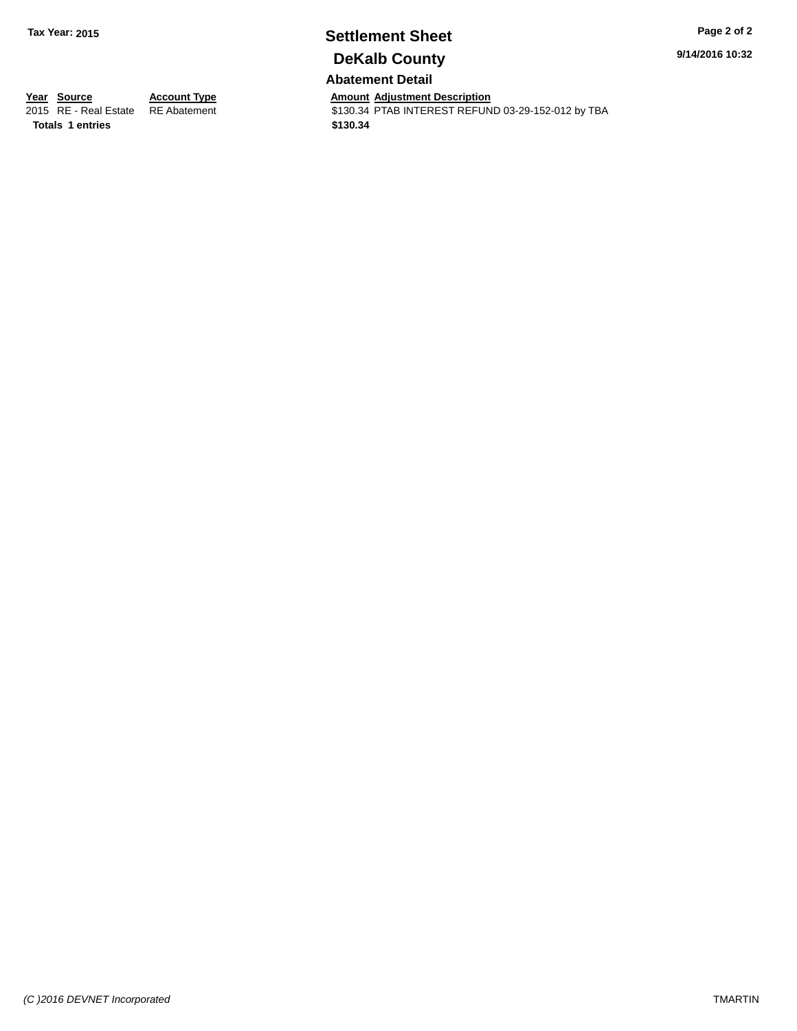# **Settlement Sheet Tax Year: 2015 Page 2 of 2 DeKalb County**

**9/14/2016 10:32**

## **Abatement Detail**

**Totals \$130.34 1 entries**

**Year Source Account Type Aggle 7 Amount Adjustment Description**<br>
2015 RE - Real Estate RE Abatement **Account 1** S130.34 PTAB INTEREST REFUN \$130.34 PTAB INTEREST REFUND 03-29-152-012 by TBA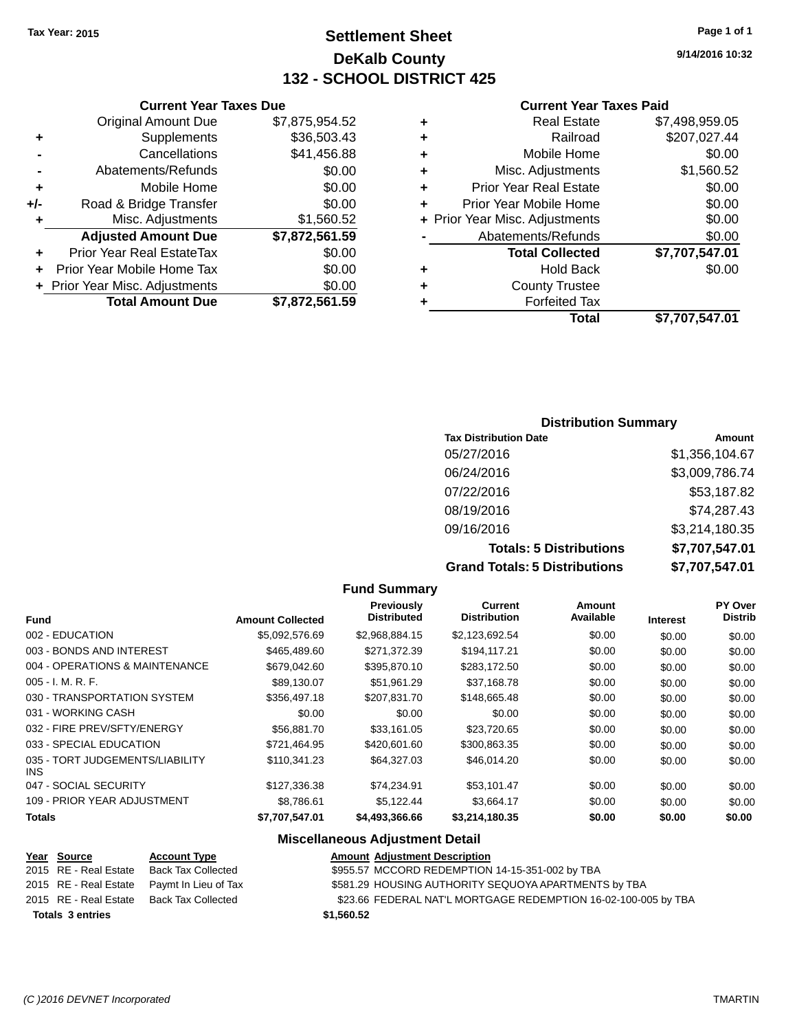## **Settlement Sheet Tax Year: 2015 Page 1 of 1 DeKalb County 132 - SCHOOL DISTRICT 425**

**9/14/2016 10:32**

#### **Current Year Taxes Paid**

|     | <b>Original Amount Due</b>       | \$7,875,954.52 |
|-----|----------------------------------|----------------|
| ٠   | Supplements                      | \$36,503.43    |
|     | Cancellations                    | \$41,456.88    |
|     | Abatements/Refunds               | \$0.00         |
| ÷   | Mobile Home                      | \$0.00         |
| +/- | Road & Bridge Transfer           | \$0.00         |
| ٠   | Misc. Adjustments                | \$1,560.52     |
|     | <b>Adjusted Amount Due</b>       | \$7,872,561.59 |
|     | <b>Prior Year Real EstateTax</b> | \$0.00         |
| ٠   | Prior Year Mobile Home Tax       | \$0.00         |
|     | + Prior Year Misc. Adjustments   | \$0.00         |
|     | <b>Total Amount Due</b>          | \$7,872,561.59 |
|     |                                  |                |

**Current Year Taxes Due**

|   | <b>Real Estate</b>             | \$7,498,959.05 |
|---|--------------------------------|----------------|
| ٠ | Railroad                       | \$207,027.44   |
| ٠ | Mobile Home                    | \$0.00         |
| ٠ | Misc. Adjustments              | \$1,560.52     |
| ٠ | <b>Prior Year Real Estate</b>  | \$0.00         |
| ÷ | Prior Year Mobile Home         | \$0.00         |
|   | + Prior Year Misc. Adjustments | \$0.00         |
|   | Abatements/Refunds             | \$0.00         |
|   | <b>Total Collected</b>         | \$7,707,547.01 |
| ٠ | <b>Hold Back</b>               | \$0.00         |
|   | <b>County Trustee</b>          |                |
| ٠ | <b>Forfeited Tax</b>           |                |
|   | Total                          | \$7,707,547.01 |
|   |                                |                |

#### **Distribution Summary Tax Distribution Date Amount** 05/27/2016 \$1,356,104.67 06/24/2016 \$3,009,786.74 07/22/2016 \$53,187.82 08/19/2016 \$74,287.43 09/16/2016 \$3,214,180.35 **Totals: 5 Distributions \$7,707,547.01 Grand Totals: 5 Distributions \$7,707,547.01**

|                                         |                         | <b>Fund Summary</b>                     |                                |                     |                 |                           |
|-----------------------------------------|-------------------------|-----------------------------------------|--------------------------------|---------------------|-----------------|---------------------------|
| <b>Fund</b>                             | <b>Amount Collected</b> | <b>Previously</b><br><b>Distributed</b> | Current<br><b>Distribution</b> | Amount<br>Available | <b>Interest</b> | PY Over<br><b>Distrib</b> |
| 002 - EDUCATION                         | \$5,092,576.69          | \$2,968,884.15                          | \$2,123,692.54                 | \$0.00              | \$0.00          | \$0.00                    |
| 003 - BONDS AND INTEREST                | \$465,489.60            | \$271,372.39                            | \$194,117.21                   | \$0.00              | \$0.00          | \$0.00                    |
| 004 - OPERATIONS & MAINTENANCE          | \$679,042,60            | \$395,870.10                            | \$283,172.50                   | \$0.00              | \$0.00          | \$0.00                    |
| $005 - I. M. R. F.$                     | \$89,130.07             | \$51,961.29                             | \$37,168.78                    | \$0.00              | \$0.00          | \$0.00                    |
| 030 - TRANSPORTATION SYSTEM             | \$356,497.18            | \$207,831.70                            | \$148,665.48                   | \$0.00              | \$0.00          | \$0.00                    |
| 031 - WORKING CASH                      | \$0.00                  | \$0.00                                  | \$0.00                         | \$0.00              | \$0.00          | \$0.00                    |
| 032 - FIRE PREV/SFTY/ENERGY             | \$56,881.70             | \$33,161.05                             | \$23,720.65                    | \$0.00              | \$0.00          | \$0.00                    |
| 033 - SPECIAL EDUCATION                 | \$721.464.95            | \$420,601,60                            | \$300,863.35                   | \$0.00              | \$0.00          | \$0.00                    |
| 035 - TORT JUDGEMENTS/LIABILITY<br>INS. | \$110.341.23            | \$64.327.03                             | \$46.014.20                    | \$0.00              | \$0.00          | \$0.00                    |
| 047 - SOCIAL SECURITY                   | \$127,336.38            | \$74,234.91                             | \$53,101.47                    | \$0.00              | \$0.00          | \$0.00                    |
| 109 - PRIOR YEAR ADJUSTMENT             | \$8,786.61              | \$5,122.44                              | \$3,664.17                     | \$0.00              | \$0.00          | \$0.00                    |
| <b>Totals</b>                           | \$7,707,547.01          | \$4,493,366.66                          | \$3,214,180.35                 | \$0.00              | \$0.00          | \$0.00                    |
|                                         | ---                     |                                         |                                |                     |                 |                           |

## **Miscellaneous Adjustment Detail**

| Year Source             | <b>Account Type</b>                        | <b>Amount Adjustment Description</b>                           |
|-------------------------|--------------------------------------------|----------------------------------------------------------------|
| 2015 RE - Real Estate   | Back Tax Collected                         | \$955.57 MCCORD REDEMPTION 14-15-351-002 by TBA                |
|                         | 2015 RE - Real Estate Paymt In Lieu of Tax | \$581.29 HOUSING AUTHORITY SEQUOYA APARTMENTS by TBA           |
|                         | 2015 RE - Real Estate Back Tax Collected   | \$23.66 FEDERAL NAT'L MORTGAGE REDEMPTION 16-02-100-005 by TBA |
| <b>Totals 3 entries</b> |                                            | \$1,560.52                                                     |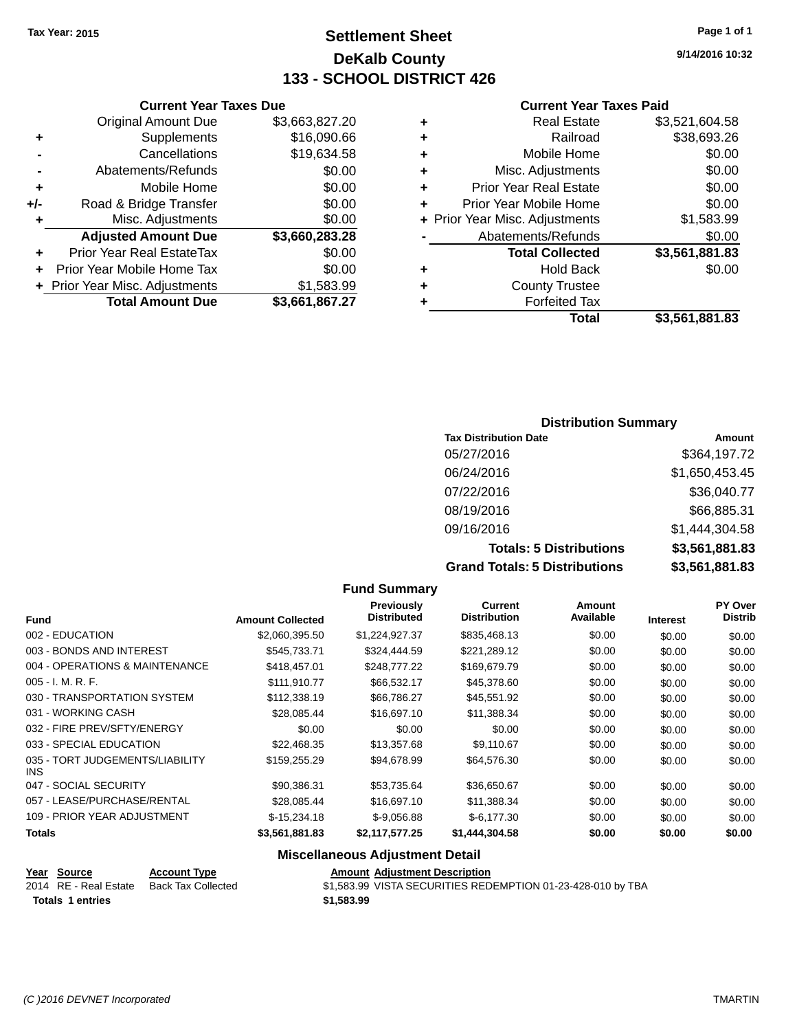## **Settlement Sheet Tax Year: 2015 Page 1 of 1 DeKalb County 133 - SCHOOL DISTRICT 426**

**9/14/2016 10:32**

#### **Current Year Taxes Paid**

|     | <b>Current Year Taxes Due</b>  |                |  |  |  |  |
|-----|--------------------------------|----------------|--|--|--|--|
|     | <b>Original Amount Due</b>     | \$3,663,827.20 |  |  |  |  |
| ٠   | Supplements                    | \$16,090.66    |  |  |  |  |
|     | Cancellations                  | \$19,634.58    |  |  |  |  |
|     | Abatements/Refunds             | \$0.00         |  |  |  |  |
| ٠   | Mobile Home                    | \$0.00         |  |  |  |  |
| +/- | Road & Bridge Transfer         | \$0.00         |  |  |  |  |
| ٠   | Misc. Adjustments              | \$0.00         |  |  |  |  |
|     | <b>Adjusted Amount Due</b>     | \$3,660,283.28 |  |  |  |  |
| ÷   | Prior Year Real EstateTax      | \$0.00         |  |  |  |  |
|     | Prior Year Mobile Home Tax     | \$0.00         |  |  |  |  |
|     | + Prior Year Misc. Adjustments | \$1,583.99     |  |  |  |  |
|     | <b>Total Amount Due</b>        | \$3,661,867.27 |  |  |  |  |
|     |                                |                |  |  |  |  |

|   | <b>Real Estate</b>             | \$3,521,604.58 |
|---|--------------------------------|----------------|
| ٠ | Railroad                       | \$38,693.26    |
| ٠ | Mobile Home                    | \$0.00         |
| ٠ | Misc. Adjustments              | \$0.00         |
| ٠ | <b>Prior Year Real Estate</b>  | \$0.00         |
| ÷ | Prior Year Mobile Home         | \$0.00         |
|   | + Prior Year Misc. Adjustments | \$1,583.99     |
|   | Abatements/Refunds             | \$0.00         |
|   | <b>Total Collected</b>         | \$3,561,881.83 |
| ٠ | Hold Back                      | \$0.00         |
| ٠ | <b>County Trustee</b>          |                |
| ٠ | <b>Forfeited Tax</b>           |                |
|   | <b>Total</b>                   | \$3,561,881.83 |
|   |                                |                |

## **Distribution Summary Tax Distribution Date Amount** 05/27/2016 \$364,197.72 06/24/2016 \$1,650,453.45 07/22/2016 \$36,040.77 08/19/2016 \$66,885.31 09/16/2016 \$1,444,304.58 **Totals: 5 Distributions \$3,561,881.83**

**Grand Totals: 5 Distributions \$3,561,881.83**

|                                         |                         | <b>Fund Summary</b>                     |                                |                     |                 |                                  |
|-----------------------------------------|-------------------------|-----------------------------------------|--------------------------------|---------------------|-----------------|----------------------------------|
| Fund                                    | <b>Amount Collected</b> | <b>Previously</b><br><b>Distributed</b> | Current<br><b>Distribution</b> | Amount<br>Available | <b>Interest</b> | <b>PY Over</b><br><b>Distrib</b> |
| 002 - EDUCATION                         | \$2,060,395.50          | \$1,224,927.37                          | \$835,468.13                   | \$0.00              | \$0.00          | \$0.00                           |
| 003 - BONDS AND INTEREST                | \$545.733.71            | \$324,444.59                            | \$221,289.12                   | \$0.00              | \$0.00          | \$0.00                           |
| 004 - OPERATIONS & MAINTENANCE          | \$418,457.01            | \$248,777.22                            | \$169,679.79                   | \$0.00              | \$0.00          | \$0.00                           |
| 005 - I. M. R. F.                       | \$111,910.77            | \$66,532.17                             | \$45,378.60                    | \$0.00              | \$0.00          | \$0.00                           |
| 030 - TRANSPORTATION SYSTEM             | \$112,338.19            | \$66,786.27                             | \$45,551.92                    | \$0.00              | \$0.00          | \$0.00                           |
| 031 - WORKING CASH                      | \$28.085.44             | \$16,697.10                             | \$11.388.34                    | \$0.00              | \$0.00          | \$0.00                           |
| 032 - FIRE PREV/SFTY/ENERGY             | \$0.00                  | \$0.00                                  | \$0.00                         | \$0.00              | \$0.00          | \$0.00                           |
| 033 - SPECIAL EDUCATION                 | \$22,468.35             | \$13,357.68                             | \$9,110.67                     | \$0.00              | \$0.00          | \$0.00                           |
| 035 - TORT JUDGEMENTS/LIABILITY<br>INS. | \$159,255,29            | \$94,678.99                             | \$64,576.30                    | \$0.00              | \$0.00          | \$0.00                           |
| 047 - SOCIAL SECURITY                   | \$90,386.31             | \$53,735.64                             | \$36,650.67                    | \$0.00              | \$0.00          | \$0.00                           |
| 057 - LEASE/PURCHASE/RENTAL             | \$28.085.44             | \$16,697.10                             | \$11,388.34                    | \$0.00              | \$0.00          | \$0.00                           |
| 109 - PRIOR YEAR ADJUSTMENT             | $$-15,234.18$           | $$-9,056.88$                            | $$-6,177.30$                   | \$0.00              | \$0.00          | \$0.00                           |
| Totals                                  | \$3,561,881.83          | \$2,117,577.25                          | \$1,444,304.58                 | \$0.00              | \$0.00          | \$0.00                           |
|                                         |                         | .                                       |                                |                     |                 |                                  |

#### **Miscellaneous Adjustment Detail**

**Year** Source **Account Type Account Account Adjustment Description** 

| Totals 1 entries      |                    | \$1,583.99 |
|-----------------------|--------------------|------------|
| 2014 RE - Real Estate | Back Tax Collected | \$1.583.99 |

 $$1,583.99$  VISTA SECURITIES REDEMPTION 01-23-428-010 by TBA

INS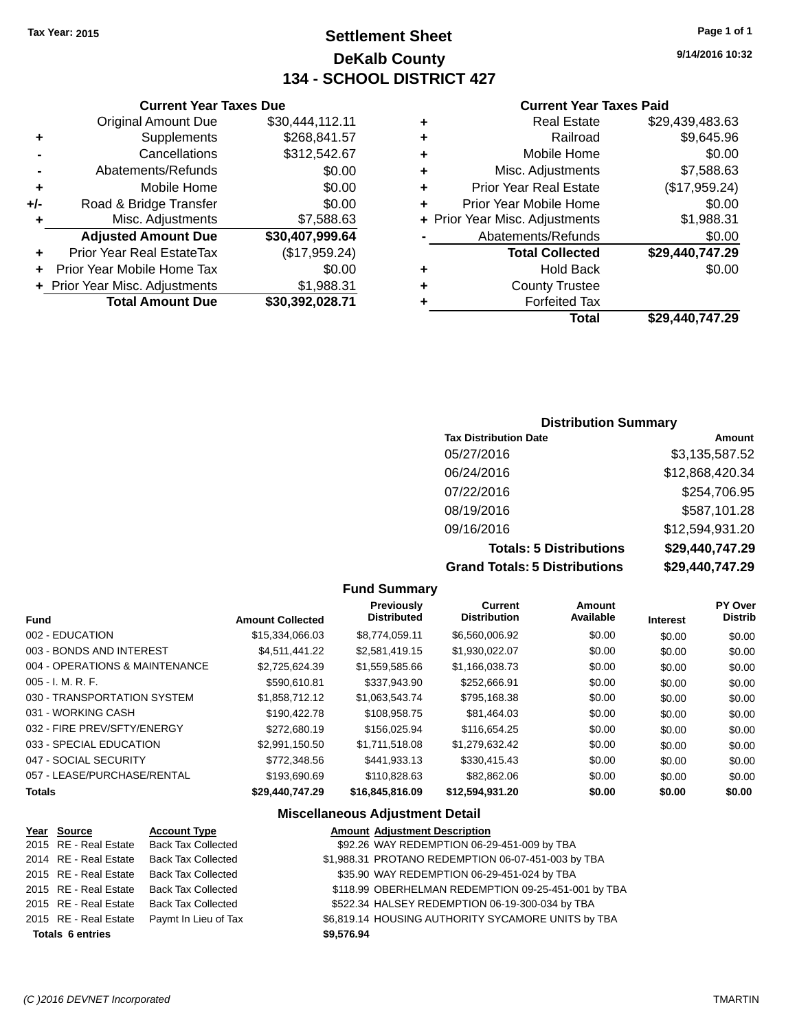## **Settlement Sheet Tax Year: 2015 Page 1 of 1 DeKalb County 134 - SCHOOL DISTRICT 427**

**9/14/2016 10:32**

#### **Current Year Taxes Paid**

| ٠ | <b>Real Estate</b>             | \$29,439,483.63 |
|---|--------------------------------|-----------------|
| ٠ | Railroad                       | \$9,645.96      |
| ٠ | Mobile Home                    | \$0.00          |
| ٠ | Misc. Adjustments              | \$7,588.63      |
| ٠ | <b>Prior Year Real Estate</b>  | (\$17,959.24)   |
| ٠ | Prior Year Mobile Home         | \$0.00          |
|   | + Prior Year Misc. Adjustments | \$1,988.31      |
|   | Abatements/Refunds             | \$0.00          |
|   | <b>Total Collected</b>         | \$29,440,747.29 |
| ٠ | <b>Hold Back</b>               | \$0.00          |
| ٠ | <b>County Trustee</b>          |                 |
| ٠ | <b>Forfeited Tax</b>           |                 |
|   | Total                          | \$29.440.747.29 |

#### **Current Year Taxes Due** Original Amount Due \$30,444,112.11 **+** Supplements \$268,841.57 **-** Cancellations \$312,542.67 **-** Abatements/Refunds \$0.00 **+** Mobile Home \$0.00 **+/-** Road & Bridge Transfer \$0.00 **+** Misc. Adjustments \$7,588.63 **Adjusted Amount Due \$30,407,999.64 +** Prior Year Real EstateTax (\$17,959.24) **+** Prior Year Mobile Home Tax \$0.00 **+ Prior Year Misc. Adjustments \$1,988.31 Total Amount Due \$30,392,028.71**

#### **Distribution Summary**

| <b>Tax Distribution Date</b>         | Amount          |
|--------------------------------------|-----------------|
| 05/27/2016                           | \$3,135,587.52  |
| 06/24/2016                           | \$12,868,420.34 |
| 07/22/2016                           | \$254,706.95    |
| 08/19/2016                           | \$587,101.28    |
| 09/16/2016                           | \$12,594,931.20 |
| <b>Totals: 5 Distributions</b>       | \$29,440,747.29 |
| <b>Grand Totals: 5 Distributions</b> | \$29,440,747.29 |

|                                 |                         | <b>Fund Summary</b>              |                                       |                     |                 |                           |
|---------------------------------|-------------------------|----------------------------------|---------------------------------------|---------------------|-----------------|---------------------------|
| <b>Fund</b>                     | <b>Amount Collected</b> | Previously<br><b>Distributed</b> | <b>Current</b><br><b>Distribution</b> | Amount<br>Available | <b>Interest</b> | PY Over<br><b>Distrib</b> |
| 002 - EDUCATION                 | \$15,334,066.03         | \$8,774,059.11                   | \$6,560,006.92                        | \$0.00              | \$0.00          | \$0.00                    |
| 003 - BONDS AND INTEREST        | \$4.511.441.22          | \$2,581,419.15                   | \$1,930,022.07                        | \$0.00              | \$0.00          | \$0.00                    |
| 004 - OPERATIONS & MAINTENANCE  | \$2.725.624.39          | \$1,559,585.66                   | \$1,166,038.73                        | \$0.00              | \$0.00          | \$0.00                    |
| $005 - I. M. R. F.$             | \$590,610.81            | \$337,943.90                     | \$252,666.91                          | \$0.00              | \$0.00          | \$0.00                    |
| 030 - TRANSPORTATION SYSTEM     | \$1,858,712.12          | \$1,063,543.74                   | \$795,168.38                          | \$0.00              | \$0.00          | \$0.00                    |
| 031 - WORKING CASH              | \$190.422.78            | \$108,958.75                     | \$81.464.03                           | \$0.00              | \$0.00          | \$0.00                    |
| 032 - FIRE PREV/SFTY/ENERGY     | \$272,680.19            | \$156,025.94                     | \$116,654.25                          | \$0.00              | \$0.00          | \$0.00                    |
| 033 - SPECIAL EDUCATION         | \$2.991.150.50          | \$1.711.518.08                   | \$1,279,632.42                        | \$0.00              | \$0.00          | \$0.00                    |
| 047 - SOCIAL SECURITY           | \$772,348.56            | \$441.933.13                     | \$330,415.43                          | \$0.00              | \$0.00          | \$0.00                    |
| 057 - LEASE/PURCHASE/RENTAL     | \$193,690.69            | \$110,828.63                     | \$82,862.06                           | \$0.00              | \$0.00          | \$0.00                    |
| <b>Totals</b>                   | \$29,440,747.29         | \$16,845,816.09                  | \$12,594,931.20                       | \$0.00              | \$0.00          | \$0.00                    |
| Miscellaneous Adiustment Detail |                         |                                  |                                       |                     |                 |                           |

#### **Miscellaneous Adjustment Detail**

| Year Source             | <b>Account Type</b>       | <b>Amount Adjustment Description</b>                |
|-------------------------|---------------------------|-----------------------------------------------------|
| 2015 RE - Real Estate   | <b>Back Tax Collected</b> | \$92.26 WAY REDEMPTION 06-29-451-009 by TBA         |
| 2014 RE - Real Estate   | <b>Back Tax Collected</b> | \$1,988.31 PROTANO REDEMPTION 06-07-451-003 by TBA  |
| 2015 RE - Real Estate   | <b>Back Tax Collected</b> | \$35.90 WAY REDEMPTION 06-29-451-024 by TBA         |
| 2015 RE - Real Estate   | <b>Back Tax Collected</b> | \$118.99 OBERHELMAN REDEMPTION 09-25-451-001 by TBA |
| 2015 RE - Real Estate   | <b>Back Tax Collected</b> | \$522.34 HALSEY REDEMPTION 06-19-300-034 by TBA     |
| 2015 RE - Real Estate   | Paymt In Lieu of Tax      | \$6,819.14 HOUSING AUTHORITY SYCAMORE UNITS by TBA  |
| <b>Totals 6 entries</b> |                           | \$9,576.94                                          |
|                         |                           |                                                     |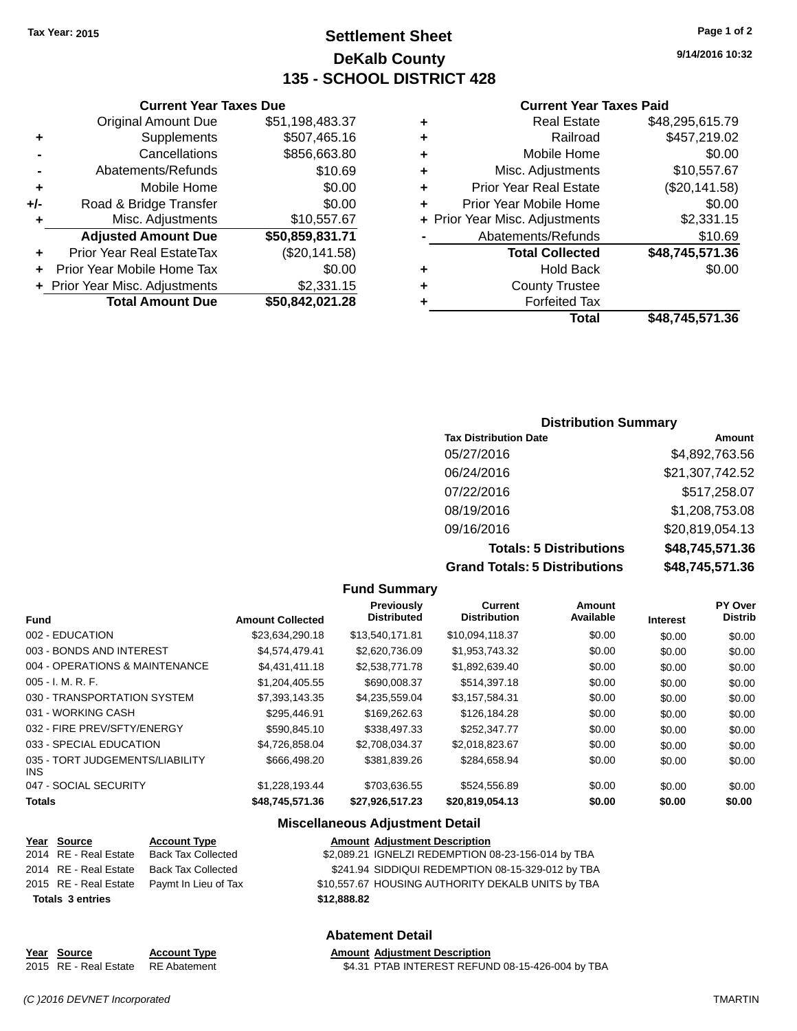## **Settlement Sheet Tax Year: 2015 Page 1 of 2 DeKalb County 135 - SCHOOL DISTRICT 428**

**9/14/2016 10:32**

#### **Current Year Taxes Paid**

| ٠ | <b>Real Estate</b>             | \$48,295,615.79 |
|---|--------------------------------|-----------------|
|   | Railroad                       | \$457,219.02    |
| ٠ | Mobile Home                    | \$0.00          |
| ٠ | Misc. Adjustments              | \$10,557.67     |
| ٠ | <b>Prior Year Real Estate</b>  | (\$20,141.58)   |
| ٠ | Prior Year Mobile Home         | \$0.00          |
|   | + Prior Year Misc. Adjustments | \$2,331.15      |
|   | Abatements/Refunds             | \$10.69         |
|   | <b>Total Collected</b>         | \$48,745,571.36 |
| ٠ | <b>Hold Back</b>               | \$0.00          |
| ٠ | <b>County Trustee</b>          |                 |
|   | <b>Forfeited Tax</b>           |                 |
|   | Total                          | \$48,745,571.36 |

|     | <b>Current Year Taxes Due</b>    |                 |  |  |  |  |  |
|-----|----------------------------------|-----------------|--|--|--|--|--|
|     | <b>Original Amount Due</b>       | \$51,198,483.37 |  |  |  |  |  |
| ٠   | Supplements                      | \$507,465.16    |  |  |  |  |  |
|     | Cancellations                    | \$856,663.80    |  |  |  |  |  |
|     | \$10.69<br>Abatements/Refunds    |                 |  |  |  |  |  |
| ٠   | Mobile Home                      | \$0.00          |  |  |  |  |  |
| +/- | Road & Bridge Transfer           | \$0.00          |  |  |  |  |  |
| ٠   | Misc. Adjustments                | \$10,557.67     |  |  |  |  |  |
|     | <b>Adjusted Amount Due</b>       | \$50,859,831.71 |  |  |  |  |  |
|     | <b>Prior Year Real EstateTax</b> | (\$20,141.58)   |  |  |  |  |  |
|     | Prior Year Mobile Home Tax       | \$0.00          |  |  |  |  |  |
|     | + Prior Year Misc. Adjustments   | \$2,331.15      |  |  |  |  |  |
|     | <b>Total Amount Due</b>          | \$50,842,021.28 |  |  |  |  |  |

#### **Distribution Summary**

| <b>Tax Distribution Date</b>         | Amount          |
|--------------------------------------|-----------------|
| 05/27/2016                           | \$4,892,763.56  |
| 06/24/2016                           | \$21,307,742.52 |
| 07/22/2016                           | \$517,258.07    |
| 08/19/2016                           | \$1,208,753.08  |
| 09/16/2016                           | \$20,819,054.13 |
| <b>Totals: 5 Distributions</b>       | \$48,745,571.36 |
| <b>Grand Totals: 5 Distributions</b> | \$48,745,571.36 |

|                                         |                         | <b>Fund Summary</b>              |                                |                     |                 |                                  |
|-----------------------------------------|-------------------------|----------------------------------|--------------------------------|---------------------|-----------------|----------------------------------|
| Fund                                    | <b>Amount Collected</b> | Previously<br><b>Distributed</b> | Current<br><b>Distribution</b> | Amount<br>Available | <b>Interest</b> | <b>PY Over</b><br><b>Distrib</b> |
| 002 - EDUCATION                         | \$23,634,290.18         | \$13,540,171.81                  | \$10,094,118.37                | \$0.00              | \$0.00          | \$0.00                           |
| 003 - BONDS AND INTEREST                | \$4,574,479.41          | \$2,620,736,09                   | \$1,953,743.32                 | \$0.00              | \$0.00          | \$0.00                           |
| 004 - OPERATIONS & MAINTENANCE          | \$4,431,411.18          | \$2,538,771.78                   | \$1,892,639.40                 | \$0.00              | \$0.00          | \$0.00                           |
| $005 - I. M. R. F.$                     | \$1,204,405.55          | \$690,008.37                     | \$514,397.18                   | \$0.00              | \$0.00          | \$0.00                           |
| 030 - TRANSPORTATION SYSTEM             | \$7,393,143.35          | \$4,235,559.04                   | \$3,157,584.31                 | \$0.00              | \$0.00          | \$0.00                           |
| 031 - WORKING CASH                      | \$295.446.91            | \$169,262.63                     | \$126,184.28                   | \$0.00              | \$0.00          | \$0.00                           |
| 032 - FIRE PREV/SFTY/ENERGY             | \$590,845.10            | \$338,497.33                     | \$252,347.77                   | \$0.00              | \$0.00          | \$0.00                           |
| 033 - SPECIAL EDUCATION                 | \$4,726,858.04          | \$2,708,034.37                   | \$2,018,823.67                 | \$0.00              | \$0.00          | \$0.00                           |
| 035 - TORT JUDGEMENTS/LIABILITY<br>INS. | \$666,498.20            | \$381,839.26                     | \$284,658.94                   | \$0.00              | \$0.00          | \$0.00                           |
| 047 - SOCIAL SECURITY                   | \$1,228,193.44          | \$703,636.55                     | \$524,556.89                   | \$0.00              | \$0.00          | \$0.00                           |
| Totals                                  | \$48.745.571.36         | \$27,926,517.23                  | \$20,819,054.13                | \$0.00              | \$0.00          | \$0.00                           |

#### **Miscellaneous Adjustment Detail**

| Year Source             | <b>Account Type</b>                        |             | <b>Amount Adjustment Description</b>               |
|-------------------------|--------------------------------------------|-------------|----------------------------------------------------|
| 2014 RE - Real Estate   | Back Tax Collected                         |             | \$2,089.21 IGNELZI REDEMPTION 08-23-156-014 by TBA |
| 2014 RE - Real Estate   | Back Tax Collected                         |             | \$241.94 SIDDIQUI REDEMPTION 08-15-329-012 by TBA  |
|                         | 2015 RE - Real Estate Paymt In Lieu of Tax |             | \$10,557.67 HOUSING AUTHORITY DEKALB UNITS by TBA  |
| <b>Totals 3 entries</b> |                                            | \$12,888,82 |                                                    |

#### **Abatement Detail**

| Year Source                        | <b>Account Type</b> | <b>Amount Adiustment Description</b>             |
|------------------------------------|---------------------|--------------------------------------------------|
| 2015 RE - Real Estate RE Abatement |                     | \$4.31 PTAB INTEREST REFUND 08-15-426-004 by TBA |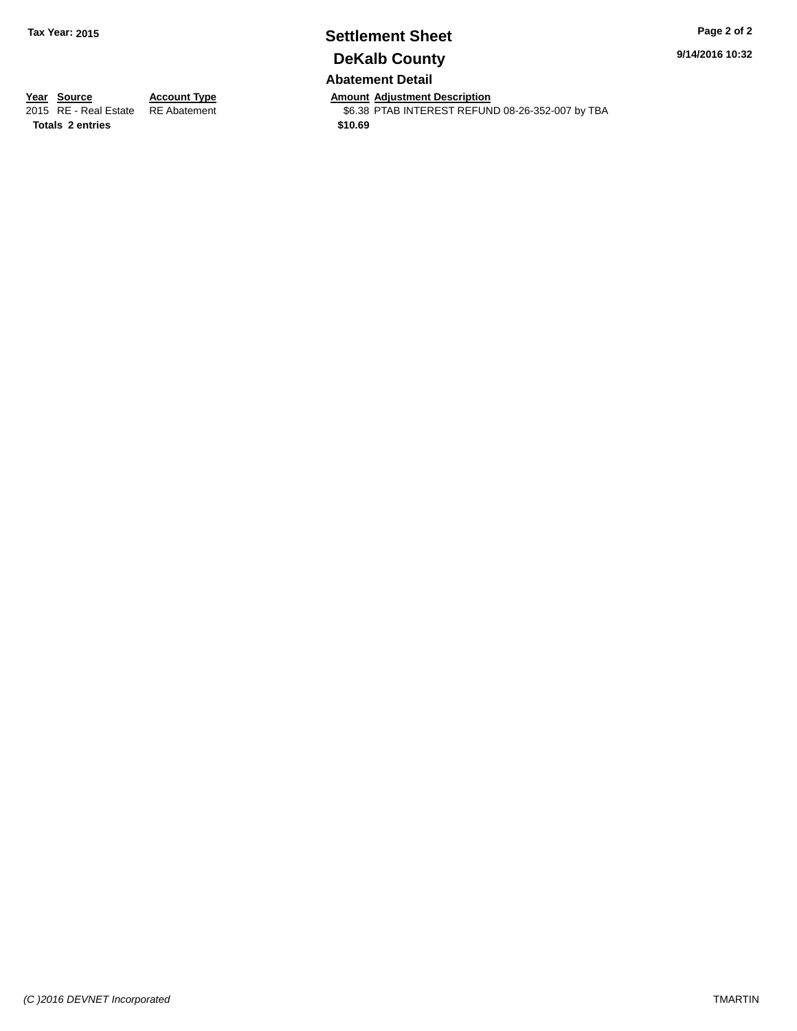# **Settlement Sheet Tax Year: 2015 Page 2 of 2 DeKalb County**

**9/14/2016 10:32**

#### **Abatement Detail**

**Year Source Account Type Amount Adjustment Description**<br>2015 RE - Real Estate RE Abatement **Amount Adjustment REFUN** 

\$6.38 PTAB INTEREST REFUND 08-26-352-007 by TBA

**Totals \$10.69 2 entries**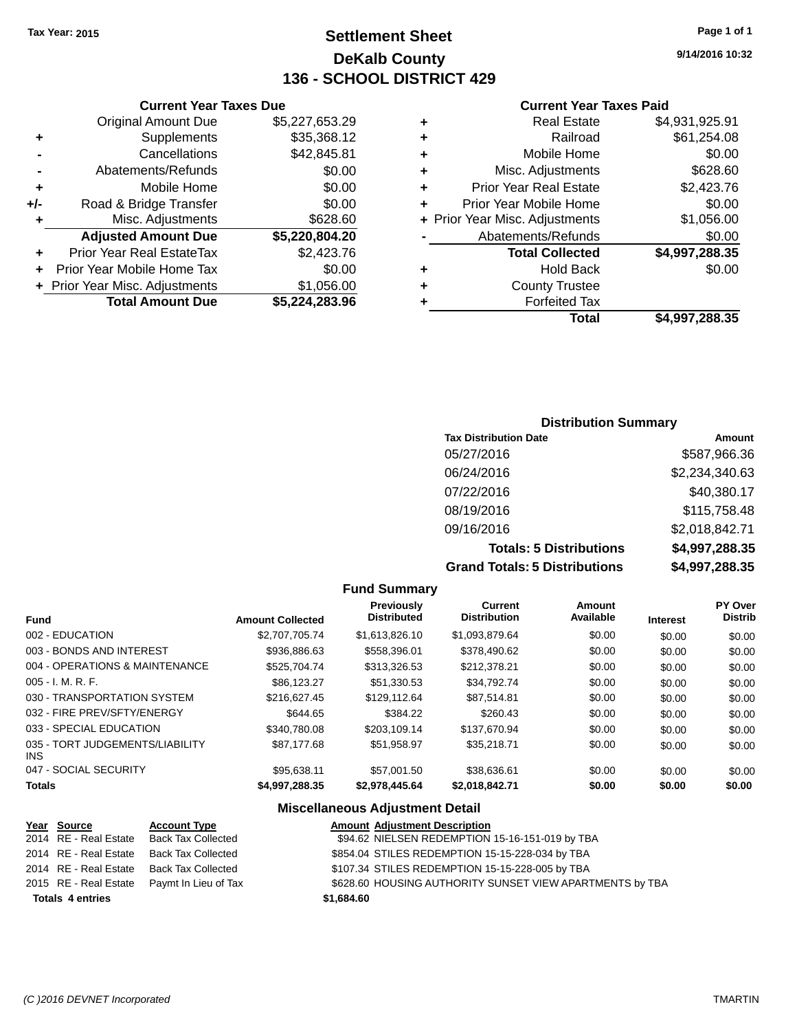## **Settlement Sheet Tax Year: 2015 Page 1 of 1 DeKalb County 136 - SCHOOL DISTRICT 429**

**9/14/2016 10:32**

#### **Current Year Taxes Paid**

|                 |   | <b>Total</b>                   | \$4,997,288.35 |
|-----------------|---|--------------------------------|----------------|
| $\overline{96}$ |   | <b>Forfeited Tax</b>           |                |
| $\overline{00}$ | ٠ | <b>County Trustee</b>          |                |
| 00              | ٠ | <b>Hold Back</b>               | \$0.00         |
| 76              |   | <b>Total Collected</b>         | \$4,997,288.35 |
| $\overline{20}$ |   | Abatements/Refunds             | \$0.00         |
| 60              |   | + Prior Year Misc. Adjustments | \$1,056.00     |
| 00              | ÷ | Prior Year Mobile Home         | \$0.00         |
| 00              | ÷ | <b>Prior Year Real Estate</b>  | \$2,423.76     |
| 00              | ٠ | Misc. Adjustments              | \$628.60       |
| 31              | ٠ | Mobile Home                    | \$0.00         |
| 12              | ٠ | Railroad                       | \$61,254.08    |
| 29              | ٠ | <b>Real Estate</b>             | \$4,931,925.91 |
|                 |   |                                |                |

|     | <b>Current Year Taxes Due</b>  |                |
|-----|--------------------------------|----------------|
|     | <b>Original Amount Due</b>     | \$5,227,653.29 |
| ٠   | Supplements                    | \$35,368.12    |
|     | Cancellations                  | \$42,845.81    |
|     | Abatements/Refunds             | \$0.00         |
| ٠   | Mobile Home                    | \$0.00         |
| +/- | Road & Bridge Transfer         | \$0.00         |
| ٠   | Misc. Adjustments              | \$628.60       |
|     | <b>Adjusted Amount Due</b>     | \$5,220,804.20 |
|     | Prior Year Real EstateTax      | \$2,423.76     |
|     | Prior Year Mobile Home Tax     | \$0.00         |
|     | + Prior Year Misc. Adjustments | \$1,056.00     |
|     | <b>Total Amount Due</b>        | \$5,224,283.96 |
|     |                                |                |

#### **Distribution Summary**

| <b>Tax Distribution Date</b>         | Amount         |
|--------------------------------------|----------------|
| 05/27/2016                           | \$587,966.36   |
| 06/24/2016                           | \$2,234,340.63 |
| 07/22/2016                           | \$40,380.17    |
| 08/19/2016                           | \$115,758.48   |
| 09/16/2016                           | \$2,018,842.71 |
| <b>Totals: 5 Distributions</b>       | \$4,997,288.35 |
| <b>Grand Totals: 5 Distributions</b> | \$4,997,288.35 |

|                                         |                         | <b>Fund Summary</b>              |                                       |                     |                 |                                  |
|-----------------------------------------|-------------------------|----------------------------------|---------------------------------------|---------------------|-----------------|----------------------------------|
| Fund                                    | <b>Amount Collected</b> | Previously<br><b>Distributed</b> | <b>Current</b><br><b>Distribution</b> | Amount<br>Available | <b>Interest</b> | <b>PY Over</b><br><b>Distrib</b> |
| 002 - EDUCATION                         | \$2,707,705.74          | \$1,613,826.10                   | \$1,093,879.64                        | \$0.00              | \$0.00          | \$0.00                           |
| 003 - BONDS AND INTEREST                | \$936,886.63            | \$558,396.01                     | \$378,490.62                          | \$0.00              | \$0.00          | \$0.00                           |
| 004 - OPERATIONS & MAINTENANCE          | \$525,704.74            | \$313,326.53                     | \$212,378.21                          | \$0.00              | \$0.00          | \$0.00                           |
| $005 - I. M. R. F.$                     | \$86,123.27             | \$51,330.53                      | \$34,792.74                           | \$0.00              | \$0.00          | \$0.00                           |
| 030 - TRANSPORTATION SYSTEM             | \$216,627.45            | \$129,112.64                     | \$87.514.81                           | \$0.00              | \$0.00          | \$0.00                           |
| 032 - FIRE PREV/SFTY/ENERGY             | \$644.65                | \$384.22                         | \$260.43                              | \$0.00              | \$0.00          | \$0.00                           |
| 033 - SPECIAL EDUCATION                 | \$340.780.08            | \$203.109.14                     | \$137.670.94                          | \$0.00              | \$0.00          | \$0.00                           |
| 035 - TORT JUDGEMENTS/LIABILITY<br>INS. | \$87,177,68             | \$51.958.97                      | \$35.218.71                           | \$0.00              | \$0.00          | \$0.00                           |
| 047 - SOCIAL SECURITY                   | \$95.638.11             | \$57,001.50                      | \$38.636.61                           | \$0.00              | \$0.00          | \$0.00                           |
| <b>Totals</b>                           | \$4,997,288.35          | \$2,978,445.64                   | \$2,018,842.71                        | \$0.00              | \$0.00          | \$0.00                           |

#### **Miscellaneous Adjustment Detail**

| Year Source             | <b>Account Type</b>                        | <b>Amount Adjustment Description</b>                     |
|-------------------------|--------------------------------------------|----------------------------------------------------------|
| 2014 RE - Real Estate   | Back Tax Collected                         | \$94.62 NIELSEN REDEMPTION 15-16-151-019 by TBA          |
| 2014 RE - Real Estate   | Back Tax Collected                         | \$854.04 STILES REDEMPTION 15-15-228-034 by TBA          |
| 2014 RE - Real Estate   | Back Tax Collected                         | \$107.34 STILES REDEMPTION 15-15-228-005 by TBA          |
|                         | 2015 RE - Real Estate Paymt In Lieu of Tax | \$628.60 HOUSING AUTHORITY SUNSET VIEW APARTMENTS by TBA |
| <b>Totals 4 entries</b> |                                            | \$1,684.60                                               |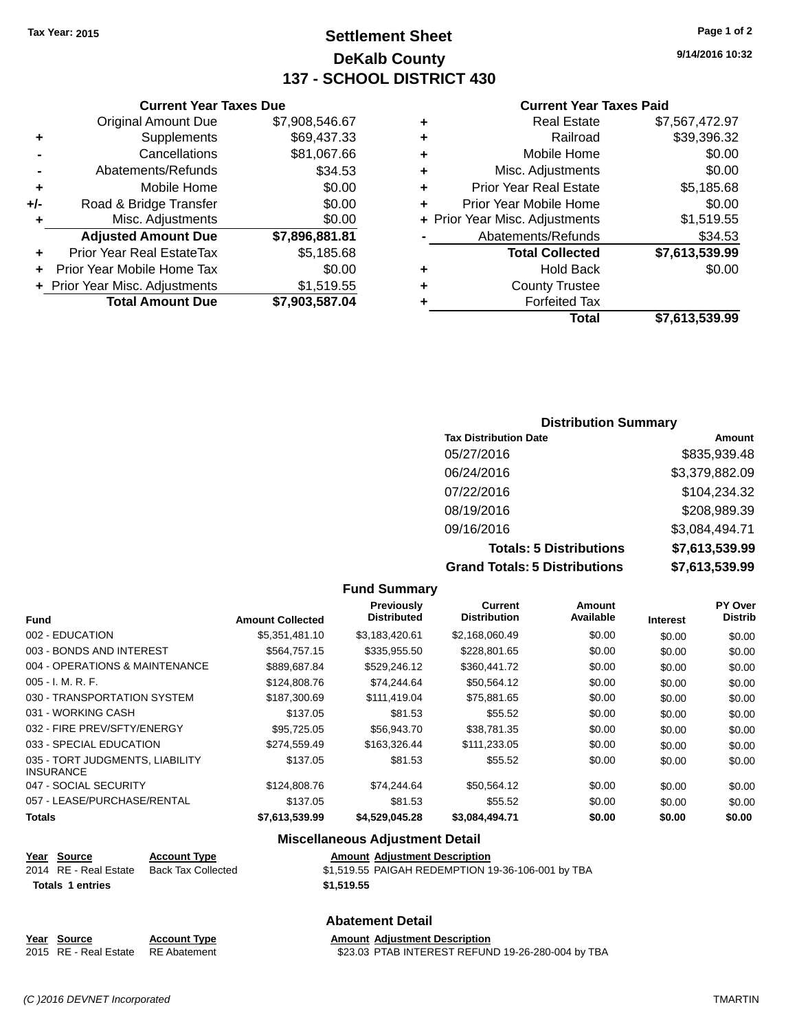**Original Amount Due** 

**Adjusted Amount Due** 

**Total Amount Due** 

**+** Supplements **-** Cancellations **-** Abatements/Refunds **+** Mobile Home **+/-** Road & Bridge Transfer **+** Misc. Adjustments

**+** Prior Year Real EstateTax \$5,185.68 **+** Prior Year Mobile Home Tax **+ Prior Year Misc. Adjustments** 

## **Settlement Sheet Tax Year: 2015 Page 1 of 2 DeKalb County 137 - SCHOOL DISTRICT 430**

**9/14/2016 10:32**

#### **Current Year Taxes Paid**

| <b>Current Year Taxes Due</b> |                |   | <b>Current Year Taxes Paid</b> |                |
|-------------------------------|----------------|---|--------------------------------|----------------|
| ıl Amount Due                 | \$7,908,546.67 | ٠ | <b>Real Estate</b>             | \$7,567,472.97 |
| Supplements                   | \$69,437.33    | ÷ | Railroad                       | \$39,396.32    |
| Cancellations                 | \$81,067.66    | ÷ | Mobile Home                    | \$0.00         |
| ıents/Refunds                 | \$34.53        | ÷ | Misc. Adjustments              | \$0.00         |
| Mobile Home                   | \$0.00         | ÷ | <b>Prior Year Real Estate</b>  | \$5,185.68     |
| ridge Transfer                | \$0.00         | ÷ | Prior Year Mobile Home         | \$0.00         |
| . Adjustments                 | \$0.00         |   | + Prior Year Misc. Adjustments | \$1,519.55     |
| <b>Amount Due</b>             | \$7,896,881.81 |   | Abatements/Refunds             | \$34.53        |
| eal EstateTax:                | \$5,185.68     |   | <b>Total Collected</b>         | \$7,613,539.99 |
| pile Home Tax                 | \$0.00         | ٠ | <b>Hold Back</b>               | \$0.00         |
| . Adjustments                 | \$1,519.55     | ÷ | <b>County Trustee</b>          |                |
| <b>Amount Due</b>             | \$7,903,587.04 |   | <b>Forfeited Tax</b>           |                |
|                               |                |   | Total                          | \$7.613.539.99 |

# **Total \$7,613,539.99**

#### **Distribution Summary Tax Distribution Date Amount** 05/27/2016 \$835,939.48 06/24/2016 \$3,379,882.09 07/22/2016 \$104,234.32 08/19/2016 \$208,989.39 09/16/2016 \$3,084,494.71 **Totals: 5 Distributions \$7,613,539.99 Grand Totals: 5 Distributions \$7,613,539.99**

|                                                     |                     |                         | <b>Fund Summary</b>                    |                                       |                     |                 |                           |
|-----------------------------------------------------|---------------------|-------------------------|----------------------------------------|---------------------------------------|---------------------|-----------------|---------------------------|
| <b>Fund</b>                                         |                     | <b>Amount Collected</b> | Previously<br><b>Distributed</b>       | <b>Current</b><br><b>Distribution</b> | Amount<br>Available | <b>Interest</b> | PY Over<br><b>Distrib</b> |
| 002 - EDUCATION                                     |                     | \$5,351,481.10          | \$3,183,420.61                         | \$2,168,060.49                        | \$0.00              | \$0.00          | \$0.00                    |
| 003 - BONDS AND INTEREST                            |                     | \$564,757.15            | \$335,955.50                           | \$228,801.65                          | \$0.00              | \$0.00          | \$0.00                    |
| 004 - OPERATIONS & MAINTENANCE                      |                     | \$889,687.84            | \$529,246.12                           | \$360,441.72                          | \$0.00              | \$0.00          | \$0.00                    |
| $005 - I. M. R. F.$                                 |                     | \$124,808.76            | \$74,244.64                            | \$50,564.12                           | \$0.00              | \$0.00          | \$0.00                    |
| 030 - TRANSPORTATION SYSTEM                         |                     | \$187,300.69            | \$111,419.04                           | \$75,881.65                           | \$0.00              | \$0.00          | \$0.00                    |
| 031 - WORKING CASH                                  |                     | \$137.05                | \$81.53                                | \$55.52                               | \$0.00              | \$0.00          | \$0.00                    |
| 032 - FIRE PREV/SFTY/ENERGY                         |                     | \$95,725.05             | \$56,943.70                            | \$38,781.35                           | \$0.00              | \$0.00          | \$0.00                    |
| 033 - SPECIAL EDUCATION                             |                     | \$274,559.49            | \$163,326.44                           | \$111,233.05                          | \$0.00              | \$0.00          | \$0.00                    |
| 035 - TORT JUDGMENTS, LIABILITY<br><b>INSURANCE</b> |                     | \$137.05                | \$81.53                                | \$55.52                               | \$0.00              | \$0.00          | \$0.00                    |
| 047 - SOCIAL SECURITY                               |                     | \$124,808.76            | \$74,244.64                            | \$50,564.12                           | \$0.00              | \$0.00          | \$0.00                    |
| 057 - LEASE/PURCHASE/RENTAL                         |                     | \$137.05                | \$81.53                                | \$55.52                               | \$0.00              | \$0.00          | \$0.00                    |
| <b>Totals</b>                                       |                     | \$7,613,539.99          | \$4,529,045.28                         | \$3,084,494.71                        | \$0.00              | \$0.00          | \$0.00                    |
|                                                     |                     |                         | <b>Miscellaneous Adjustment Detail</b> |                                       |                     |                 |                           |
| Year Source                                         | <b>Account Type</b> |                         | <b>Amount Adjustment Description</b>   |                                       |                     |                 |                           |

## 2014 RE - Real Estate Back Tax Collected \$1,519.55 PAIGAH REDEMPTION 19-36-106-001 by TBA **Totals \$1,519.55 1 entries**

#### **Abatement Detail**

| Year Source                        | <b>Account Type</b> | <b>Amount Adiustment Description</b>              |
|------------------------------------|---------------------|---------------------------------------------------|
| 2015 RE - Real Estate RE Abatement |                     | \$23.03 PTAB INTEREST REFUND 19-26-280-004 by TBA |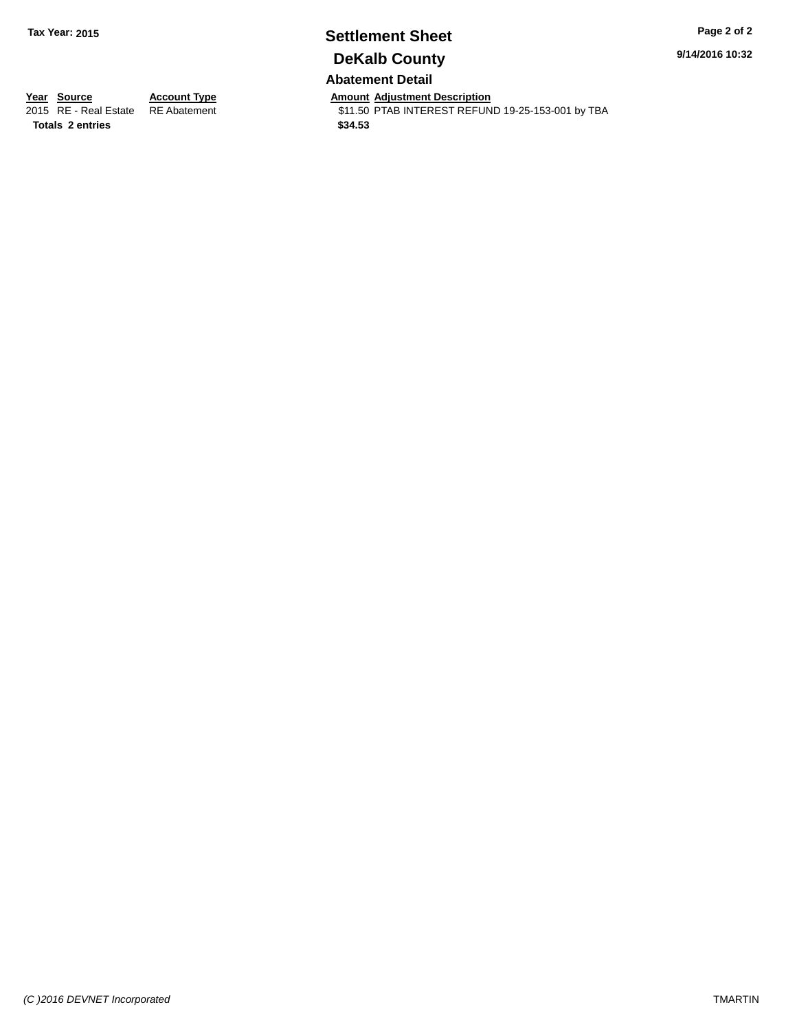# **Settlement Sheet Tax Year: 2015 Page 2 of 2 DeKalb County**

**9/14/2016 10:32**

## **Abatement Detail**

**Totals \$34.53 2 entries**

**Year Source Account Type Amount Adjustment Description**<br>
2015 RE - Real Estate RE Abatement **Amount Adjustment Description** \$11.50 PTAB INTEREST REFUND 19-25-153-001 by TBA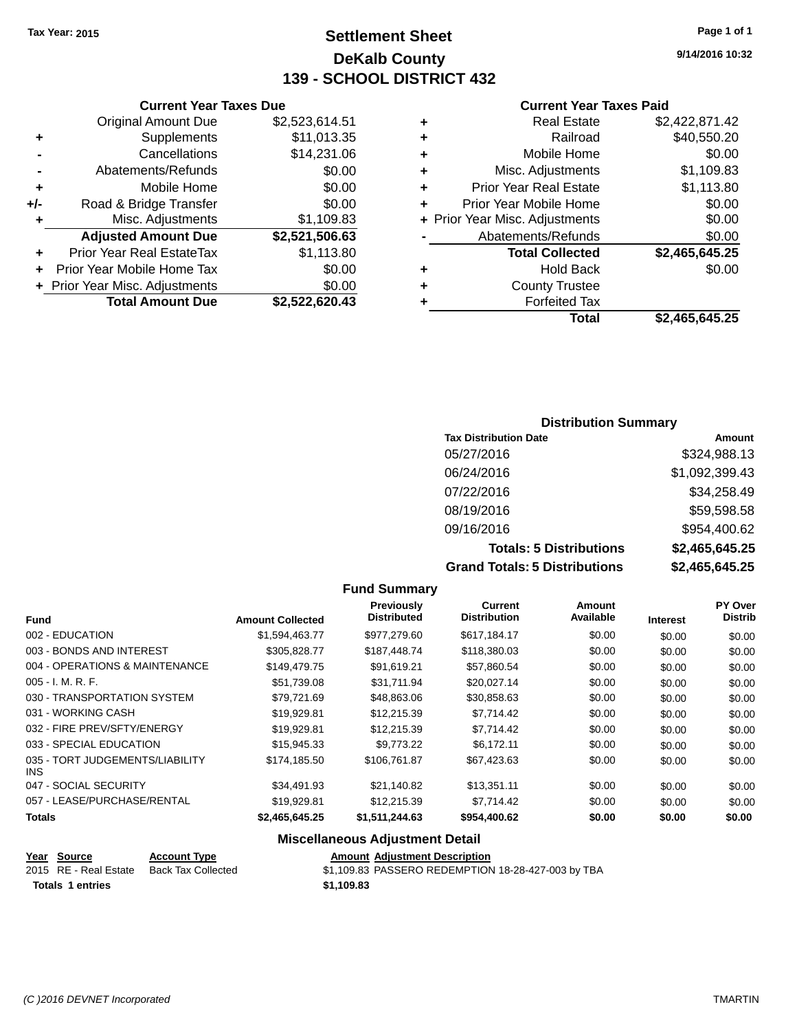## **Settlement Sheet Tax Year: 2015 Page 1 of 1 DeKalb County 139 - SCHOOL DISTRICT 432**

**9/14/2016 10:32**

#### **Current Year Taxes Paid**

|   | Total                          | \$2,465,645.25 |
|---|--------------------------------|----------------|
|   | <b>Forfeited Tax</b>           |                |
| ٠ | <b>County Trustee</b>          |                |
| ٠ | <b>Hold Back</b>               | \$0.00         |
|   | <b>Total Collected</b>         | \$2,465,645.25 |
|   | Abatements/Refunds             | \$0.00         |
|   | + Prior Year Misc. Adjustments | \$0.00         |
|   | Prior Year Mobile Home         | \$0.00         |
| ٠ | <b>Prior Year Real Estate</b>  | \$1,113.80     |
| ٠ | Misc. Adjustments              | \$1,109.83     |
| ٠ | Mobile Home                    | \$0.00         |
| ٠ | Railroad                       | \$40,550.20    |
| ٠ | <b>Real Estate</b>             | \$2,422,871.42 |
|   |                                |                |

#### **Current Year Taxes Due** Original Amount Due \$2,523,614.51 **+** Supplements \$11,013.35 **-** Cancellations \$14,231.06 **-** Abatements/Refunds \$0.00 **+** Mobile Home \$0.00 **+/-** Road & Bridge Transfer \$0.00 **+** Misc. Adjustments \$1,109.83 **Adjusted Amount Due \$2,521,506.63**

| <b>Prior Year Real EstateTax</b><br>÷. | \$1,113.80     |
|----------------------------------------|----------------|
| + Prior Year Mobile Home Tax           | \$0.00         |
| + Prior Year Misc. Adjustments         | \$0.00         |
| <b>Total Amount Due</b>                | \$2,522,620.43 |

#### **Distribution Summary**

| <b>Tax Distribution Date</b>         | Amount         |
|--------------------------------------|----------------|
| 05/27/2016                           | \$324,988.13   |
| 06/24/2016                           | \$1,092,399.43 |
| 07/22/2016                           | \$34,258.49    |
| 08/19/2016                           | \$59,598.58    |
| 09/16/2016                           | \$954,400.62   |
| <b>Totals: 5 Distributions</b>       | \$2,465,645.25 |
| <b>Grand Totals: 5 Distributions</b> | \$2,465,645.25 |

#### **Fund Summary Fund Interest Amount Collected Distributed PY Over Distrib Amount Available Current Distribution Previously** 002 - EDUCATION \$1,594,463.77 \$977,279.60 \$617,184.17 \$0.00 \$0.00 \$0.00 003 - BONDS AND INTEREST  $$305,828.77$  \$187,448.74 \$118,380.03 \$0.00 \$0.00 \$0.00 \$0.00 004 - OPERATIONS & MAINTENANCE \$149,479.75 \$91,619.21 \$57,860.54 \$0.00 \$0.00 \$0.00 005 - I. M. R. F. \$51,739.08 \$31,711.94 \$20,027.14 \$0.00 \$0.00 \$0.00 030 - TRANSPORTATION SYSTEM \$79,721.69 \$48,863.06 \$30,858.63 \$0.00 \$0.00 \$0.00 031 - WORKING CASH \$19,929.81 \$12,215.39 \$7,714.42 \$0.00 \$0.00 \$0.00 032 - FIRE PREV/SFTY/ENERGY \$19,929.81 \$12,215.39 \$7,714.42 \$0.00 \$0.00 \$0.00 033 - SPECIAL EDUCATION \$15,945.33 \$9,773.22 \$6,172.11 \$0.00 \$0.00 \$0.00 \$0.00 035 - TORT JUDGEMENTS/LIABILITY INS \$174,185.50 \$106,761.87 \$67,423.63 \$0.00 \$0.00 \$0.00 047 - SOCIAL SECURITY \$34,491.93 \$21,140.82 \$13,351.11 \$0.00 \$0.00 \$0.00 057 - LEASE/PURCHASE/RENTAL \$19,929.81 \$12,215.39 \$7,714.42 \$0.00 \$0.00 \$0.00 \$0.00 **Totals \$2,465,645.25 \$1,511,244.63 \$954,400.62 \$0.00 \$0.00 \$0.00**

#### **Miscellaneous Adjustment Detail**

## **Year Source Account Type Amount Adjustment Description**

2015 RE - Real Estate Back Tax Collected \$1,109.83 PASSERO REDEMPTION 18-28-427-003 by TBA **Totals \$1,109.83 1 entries**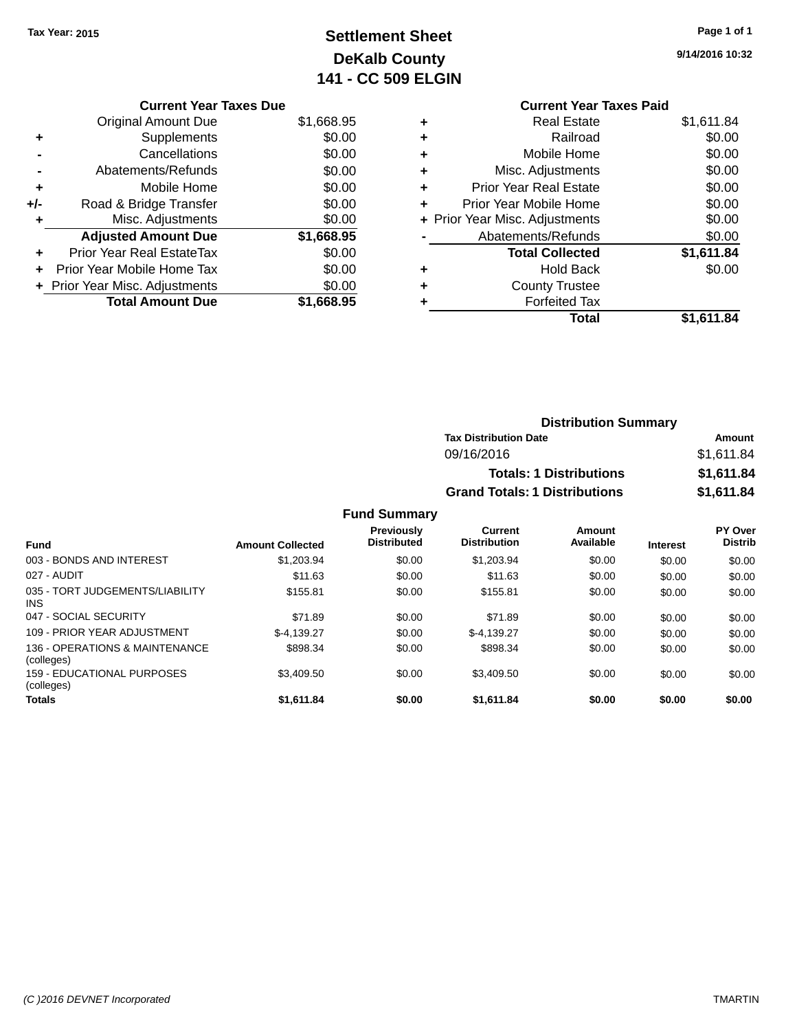## **Settlement Sheet Tax Year: 2015 Page 1 of 1 DeKalb County 141 - CC 509 ELGIN**

**9/14/2016 10:32**

**Current Year Taxes Paid**

|   | <b>Real Estate</b>             | \$1,611.84 |
|---|--------------------------------|------------|
| ٠ | Railroad                       | \$0.00     |
| ٠ | Mobile Home                    | \$0.00     |
| ٠ | Misc. Adjustments              | \$0.00     |
| ٠ | <b>Prior Year Real Estate</b>  | \$0.00     |
| ÷ | Prior Year Mobile Home         | \$0.00     |
|   | + Prior Year Misc. Adjustments | \$0.00     |
|   | Abatements/Refunds             | \$0.00     |
|   | <b>Total Collected</b>         | \$1,611.84 |
| ٠ | <b>Hold Back</b>               | \$0.00     |
|   | <b>County Trustee</b>          |            |
|   | <b>Forfeited Tax</b>           |            |
|   | Total                          | \$1,611.84 |
|   |                                |            |

|     | <b>Current Year Taxes Due</b>    |            |
|-----|----------------------------------|------------|
|     | <b>Original Amount Due</b>       | \$1,668.95 |
| ٠   | Supplements                      | \$0.00     |
|     | Cancellations                    | \$0.00     |
|     | Abatements/Refunds               | \$0.00     |
| ٠   | Mobile Home                      | \$0.00     |
| +/- | Road & Bridge Transfer           | \$0.00     |
| ٠   | Misc. Adjustments                | \$0.00     |
|     | <b>Adjusted Amount Due</b>       | \$1,668.95 |
|     | <b>Prior Year Real EstateTax</b> | \$0.00     |
| ٠   | Prior Year Mobile Home Tax       | \$0.00     |
|     | + Prior Year Misc. Adjustments   | \$0.00     |
|     | <b>Total Amount Due</b>          | \$1,668.95 |

| Amount     |
|------------|
| \$1,611.84 |
| \$1,611.84 |
| \$1,611.84 |
|            |

#### **Fund Summary**

| <b>Fund</b>                                  | <b>Amount Collected</b> | <b>Previously</b><br><b>Distributed</b> | Current<br><b>Distribution</b> | Amount<br>Available | <b>Interest</b> | <b>PY Over</b><br><b>Distrib</b> |
|----------------------------------------------|-------------------------|-----------------------------------------|--------------------------------|---------------------|-----------------|----------------------------------|
| 003 - BONDS AND INTEREST                     | \$1,203.94              | \$0.00                                  | \$1,203.94                     | \$0.00              | \$0.00          | \$0.00                           |
| 027 - AUDIT                                  | \$11.63                 | \$0.00                                  | \$11.63                        | \$0.00              | \$0.00          | \$0.00                           |
| 035 - TORT JUDGEMENTS/LIABILITY<br>INS.      | \$155.81                | \$0.00                                  | \$155.81                       | \$0.00              | \$0.00          | \$0.00                           |
| 047 - SOCIAL SECURITY                        | \$71.89                 | \$0.00                                  | \$71.89                        | \$0.00              | \$0.00          | \$0.00                           |
| 109 - PRIOR YEAR ADJUSTMENT                  | $$-4.139.27$            | \$0.00                                  | $$-4.139.27$                   | \$0.00              | \$0.00          | \$0.00                           |
| 136 - OPERATIONS & MAINTENANCE<br>(colleges) | \$898.34                | \$0.00                                  | \$898.34                       | \$0.00              | \$0.00          | \$0.00                           |
| 159 - EDUCATIONAL PURPOSES<br>(colleges)     | \$3.409.50              | \$0.00                                  | \$3,409.50                     | \$0.00              | \$0.00          | \$0.00                           |
| <b>Totals</b>                                | \$1,611.84              | \$0.00                                  | \$1,611.84                     | \$0.00              | \$0.00          | \$0.00                           |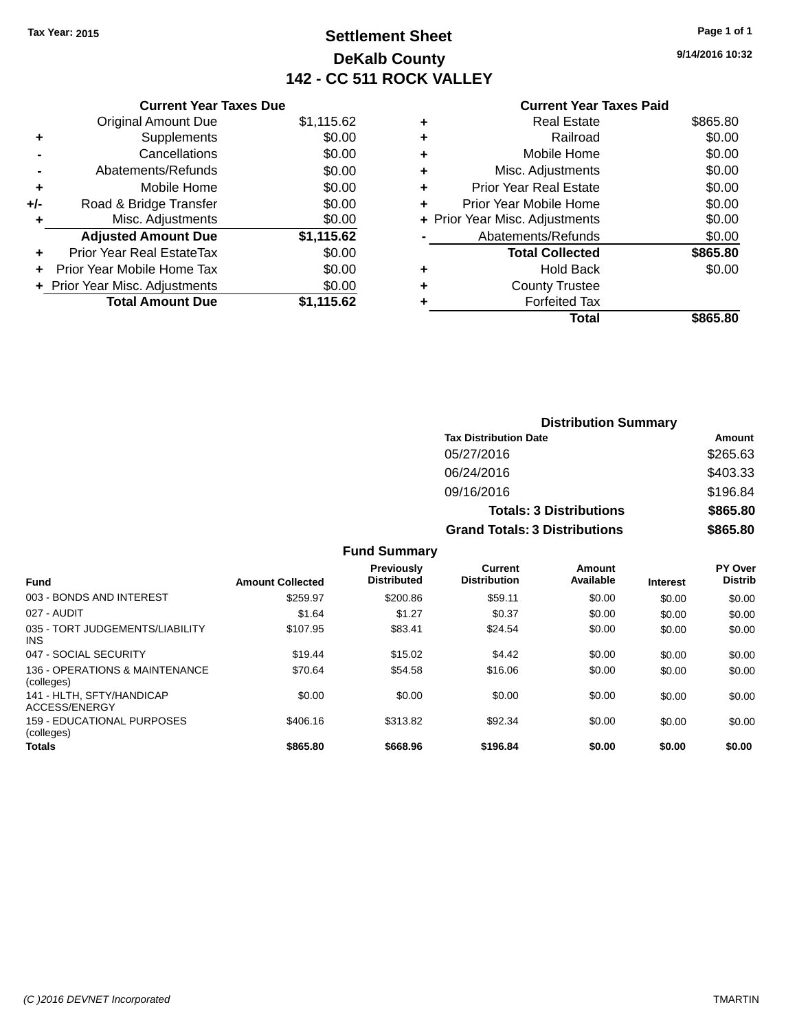## **Settlement Sheet Tax Year: 2015 Page 1 of 1 DeKalb County 142 - CC 511 ROCK VALLEY**

**9/14/2016 10:32**

|     | <b>Current Year Taxes Due</b>  |            |
|-----|--------------------------------|------------|
|     | <b>Original Amount Due</b>     | \$1,115.62 |
| ٠   | Supplements                    | \$0.00     |
|     | Cancellations                  | \$0.00     |
|     | Abatements/Refunds             | \$0.00     |
| ٠   | Mobile Home                    | \$0.00     |
| +/- | Road & Bridge Transfer         | \$0.00     |
| ٠   | Misc. Adjustments              | \$0.00     |
|     | <b>Adjusted Amount Due</b>     | \$1,115.62 |
| ٠   | Prior Year Real EstateTax      | \$0.00     |
|     | Prior Year Mobile Home Tax     | \$0.00     |
|     | + Prior Year Misc. Adjustments | \$0.00     |
|     | <b>Total Amount Due</b>        | \$1,115.62 |
|     |                                |            |

| ٠ | <b>Real Estate</b>             | \$865.80 |
|---|--------------------------------|----------|
| ٠ | Railroad                       | \$0.00   |
| ٠ | Mobile Home                    | \$0.00   |
| ٠ | Misc. Adjustments              | \$0.00   |
| ٠ | <b>Prior Year Real Estate</b>  | \$0.00   |
| ٠ | Prior Year Mobile Home         | \$0.00   |
|   | + Prior Year Misc. Adjustments | \$0.00   |
|   | Abatements/Refunds             | \$0.00   |
|   | <b>Total Collected</b>         | \$865.80 |
| ٠ | Hold Back                      | \$0.00   |
|   | <b>County Trustee</b>          |          |
| ٠ | <b>Forfeited Tax</b>           |          |
|   | Total                          | \$865.80 |
|   |                                |          |

|                     | <b>Distribution Summary</b>          |          |  |
|---------------------|--------------------------------------|----------|--|
|                     | <b>Tax Distribution Date</b>         | Amount   |  |
|                     | 05/27/2016                           | \$265.63 |  |
|                     | 06/24/2016                           | \$403.33 |  |
|                     | 09/16/2016                           | \$196.84 |  |
|                     | <b>Totals: 3 Distributions</b>       | \$865.80 |  |
|                     | <b>Grand Totals: 3 Distributions</b> | \$865,80 |  |
| <b>Fund Summary</b> |                                      |          |  |

| <b>Fund</b>                                   | <b>Amount Collected</b> | <b>Previously</b><br><b>Distributed</b> | Current<br><b>Distribution</b> | Amount<br>Available | <b>Interest</b> | PY Over<br><b>Distrib</b> |
|-----------------------------------------------|-------------------------|-----------------------------------------|--------------------------------|---------------------|-----------------|---------------------------|
| 003 - BONDS AND INTEREST                      | \$259.97                | \$200.86                                | \$59.11                        | \$0.00              | \$0.00          | \$0.00                    |
| 027 - AUDIT                                   | \$1.64                  | \$1.27                                  | \$0.37                         | \$0.00              | \$0.00          | \$0.00                    |
| 035 - TORT JUDGEMENTS/LIABILITY<br><b>INS</b> | \$107.95                | \$83.41                                 | \$24.54                        | \$0.00              | \$0.00          | \$0.00                    |
| 047 - SOCIAL SECURITY                         | \$19.44                 | \$15.02                                 | \$4.42                         | \$0.00              | \$0.00          | \$0.00                    |
| 136 - OPERATIONS & MAINTENANCE<br>(colleges)  | \$70.64                 | \$54.58                                 | \$16.06                        | \$0.00              | \$0.00          | \$0.00                    |
| 141 - HLTH, SFTY/HANDICAP<br>ACCESS/ENERGY    | \$0.00                  | \$0.00                                  | \$0.00                         | \$0.00              | \$0.00          | \$0.00                    |
| 159 - EDUCATIONAL PURPOSES<br>(colleges)      | \$406.16                | \$313.82                                | \$92.34                        | \$0.00              | \$0.00          | \$0.00                    |
| <b>Totals</b>                                 | \$865.80                | \$668.96                                | \$196.84                       | \$0.00              | \$0.00          | \$0.00                    |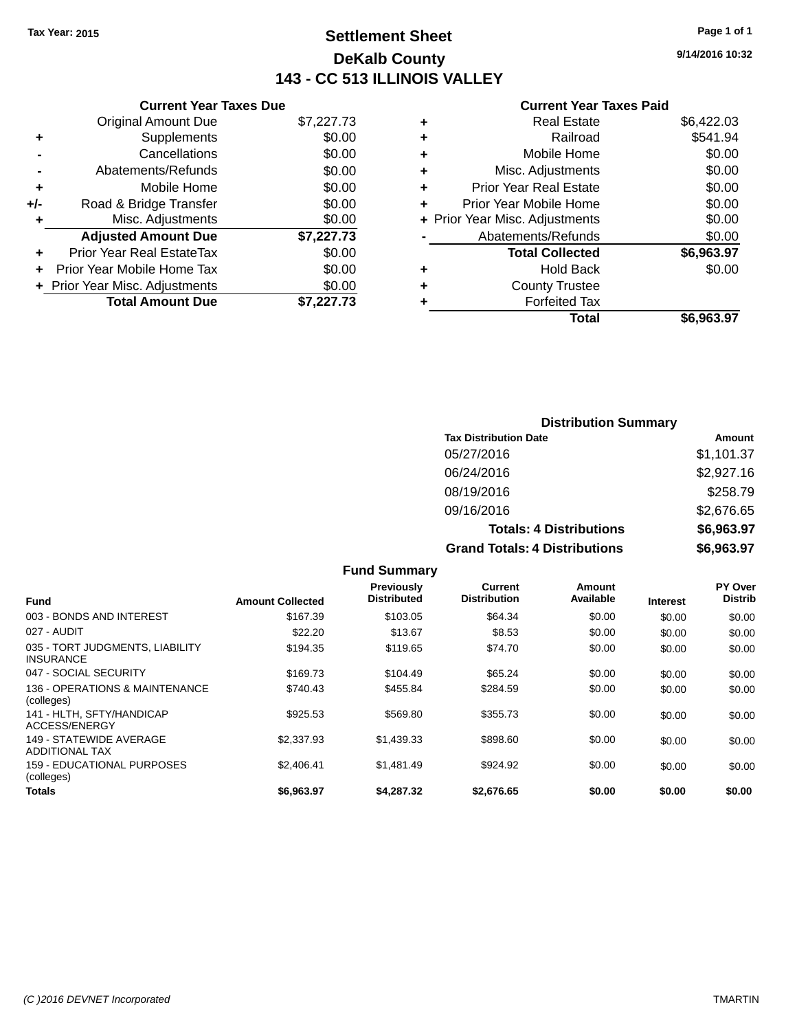## **Settlement Sheet Tax Year: 2015 Page 1 of 1 DeKalb County 143 - CC 513 ILLINOIS VALLEY**

**9/14/2016 10:32**

|     | <b>Current Year Taxes Due</b>  |            |  |
|-----|--------------------------------|------------|--|
|     | <b>Original Amount Due</b>     | \$7,227.73 |  |
| ٠   | Supplements                    | \$0.00     |  |
|     | Cancellations                  | \$0.00     |  |
|     | Abatements/Refunds             | \$0.00     |  |
| ٠   | Mobile Home                    | \$0.00     |  |
| +/- | Road & Bridge Transfer         | \$0.00     |  |
|     | Misc. Adjustments              | \$0.00     |  |
|     | <b>Adjusted Amount Due</b>     | \$7,227.73 |  |
|     | Prior Year Real EstateTax      | \$0.00     |  |
|     | Prior Year Mobile Home Tax     | \$0.00     |  |
|     | + Prior Year Misc. Adjustments | \$0.00     |  |
|     | <b>Total Amount Due</b>        | \$7.227.73 |  |
|     |                                |            |  |

| ٠ | <b>Real Estate</b>             | \$6,422.03 |
|---|--------------------------------|------------|
| ٠ | Railroad                       | \$541.94   |
| ٠ | Mobile Home                    | \$0.00     |
| ٠ | Misc. Adjustments              | \$0.00     |
| ٠ | <b>Prior Year Real Estate</b>  | \$0.00     |
| ÷ | Prior Year Mobile Home         | \$0.00     |
|   | + Prior Year Misc. Adjustments | \$0.00     |
|   | Abatements/Refunds             | \$0.00     |
|   | <b>Total Collected</b>         | \$6,963.97 |
| ٠ | <b>Hold Back</b>               | \$0.00     |
| ٠ | <b>County Trustee</b>          |            |
| ٠ | <b>Forfeited Tax</b>           |            |
|   | Total                          | \$6,963.97 |
|   |                                |            |

| <b>Distribution Summary</b>          |            |
|--------------------------------------|------------|
| <b>Tax Distribution Date</b>         | Amount     |
| 05/27/2016                           | \$1,101.37 |
| 06/24/2016                           | \$2,927.16 |
| 08/19/2016                           | \$258.79   |
| 09/16/2016                           | \$2,676.65 |
| <b>Totals: 4 Distributions</b>       | \$6,963.97 |
| <b>Grand Totals: 4 Distributions</b> | \$6,963.97 |

|                                                     |                         | <b>Fund Summary</b>                     |                                       |                     |                 |                                  |
|-----------------------------------------------------|-------------------------|-----------------------------------------|---------------------------------------|---------------------|-----------------|----------------------------------|
| <b>Fund</b>                                         | <b>Amount Collected</b> | <b>Previously</b><br><b>Distributed</b> | <b>Current</b><br><b>Distribution</b> | Amount<br>Available | <b>Interest</b> | <b>PY Over</b><br><b>Distrib</b> |
| 003 - BONDS AND INTEREST                            | \$167.39                | \$103.05                                | \$64.34                               | \$0.00              | \$0.00          | \$0.00                           |
| 027 - AUDIT                                         | \$22.20                 | \$13.67                                 | \$8.53                                | \$0.00              | \$0.00          | \$0.00                           |
| 035 - TORT JUDGMENTS, LIABILITY<br><b>INSURANCE</b> | \$194.35                | \$119.65                                | \$74.70                               | \$0.00              | \$0.00          | \$0.00                           |
| 047 - SOCIAL SECURITY                               | \$169.73                | \$104.49                                | \$65.24                               | \$0.00              | \$0.00          | \$0.00                           |
| 136 - OPERATIONS & MAINTENANCE<br>(colleges)        | \$740.43                | \$455.84                                | \$284.59                              | \$0.00              | \$0.00          | \$0.00                           |
| 141 - HLTH, SFTY/HANDICAP<br>ACCESS/ENERGY          | \$925.53                | \$569.80                                | \$355.73                              | \$0.00              | \$0.00          | \$0.00                           |
| 149 - STATEWIDE AVERAGE<br><b>ADDITIONAL TAX</b>    | \$2,337.93              | \$1,439.33                              | \$898.60                              | \$0.00              | \$0.00          | \$0.00                           |
| 159 - EDUCATIONAL PURPOSES<br>(colleges)            | \$2,406.41              | \$1,481.49                              | \$924.92                              | \$0.00              | \$0.00          | \$0.00                           |
| Totals                                              | \$6,963.97              | \$4,287.32                              | \$2.676.65                            | \$0.00              | \$0.00          | \$0.00                           |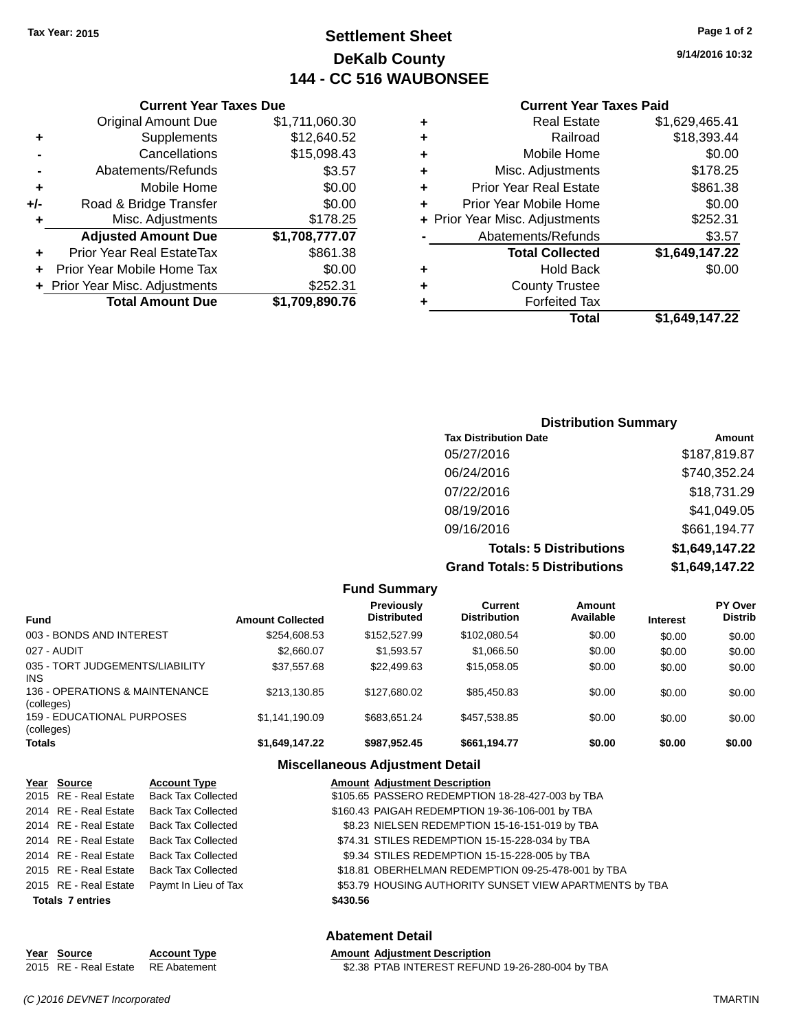## **Settlement Sheet Tax Year: 2015 Page 1 of 2 DeKalb County 144 - CC 516 WAUBONSEE**

**9/14/2016 10:32**

#### **Current Year Taxes Paid**

|     | <b>Original Amount Due</b>     | \$1,711,060.30 |
|-----|--------------------------------|----------------|
| ٠   | Supplements                    | \$12,640.52    |
|     | Cancellations                  | \$15,098.43    |
|     | Abatements/Refunds             | \$3.57         |
| ٠   | Mobile Home                    | \$0.00         |
| +/- | Road & Bridge Transfer         | \$0.00         |
| ٠   | Misc. Adjustments              | \$178.25       |
|     | <b>Adjusted Amount Due</b>     | \$1,708,777.07 |
| ٠   | Prior Year Real EstateTax      | \$861.38       |
| ٠   | Prior Year Mobile Home Tax     | \$0.00         |
|     | + Prior Year Misc. Adjustments | \$252.31       |
|     | <b>Total Amount Due</b>        | \$1,709,890.76 |
|     |                                |                |

**Current Year Taxes Due**

|   | <b>Real Estate</b>             | \$1,629,465.41 |
|---|--------------------------------|----------------|
| ٠ | Railroad                       | \$18,393.44    |
| ÷ | Mobile Home                    | \$0.00         |
| ٠ | Misc. Adjustments              | \$178.25       |
| ٠ | <b>Prior Year Real Estate</b>  | \$861.38       |
| ٠ | Prior Year Mobile Home         | \$0.00         |
|   | + Prior Year Misc. Adjustments | \$252.31       |
|   | Abatements/Refunds             | \$3.57         |
|   | <b>Total Collected</b>         | \$1,649,147.22 |
| ٠ | Hold Back                      | \$0.00         |
| ٠ | <b>County Trustee</b>          |                |
| ٠ | <b>Forfeited Tax</b>           |                |
|   | <b>Total</b>                   | \$1,649,147.22 |

#### **Distribution Summary Tax Distribution Date Amount** 05/27/2016 \$187,819.87 06/24/2016 \$740,352.24 07/22/2016 \$18,731.29 08/19/2016 \$41,049.05 09/16/2016 \$661,194.77 **Totals: 5 Distributions \$1,649,147.22 Grand Totals: 5 Distributions \$1,649,147.22**

| <b>Fund Summary</b>                             |                         |                                         |                                |                     |                 |                           |
|-------------------------------------------------|-------------------------|-----------------------------------------|--------------------------------|---------------------|-----------------|---------------------------|
| Fund                                            | <b>Amount Collected</b> | <b>Previously</b><br><b>Distributed</b> | Current<br><b>Distribution</b> | Amount<br>Available | <b>Interest</b> | PY Over<br><b>Distrib</b> |
| 003 - BONDS AND INTEREST                        | \$254,608.53            | \$152,527.99                            | \$102,080.54                   | \$0.00              | \$0.00          | \$0.00                    |
| 027 - AUDIT                                     | \$2,660.07              | \$1,593.57                              | \$1,066.50                     | \$0.00              | \$0.00          | \$0.00                    |
| 035 - TORT JUDGEMENTS/LIABILITY<br>INS          | \$37.557.68             | \$22,499.63                             | \$15,058.05                    | \$0.00              | \$0.00          | \$0.00                    |
| 136 - OPERATIONS & MAINTENANCE<br>(colleges)    | \$213.130.85            | \$127.680.02                            | \$85.450.83                    | \$0.00              | \$0.00          | \$0.00                    |
| <b>159 - EDUCATIONAL PURPOSES</b><br>(colleges) | \$1.141.190.09          | \$683.651.24                            | \$457.538.85                   | \$0.00              | \$0.00          | \$0.00                    |
| Totals                                          | \$1,649,147.22          | \$987.952.45                            | \$661,194.77                   | \$0.00              | \$0.00          | \$0.00                    |

#### **Miscellaneous Adjustment Detail**

| Year Source             | <b>Account Type</b>                      |          | <b>Amount Adjustment Description</b>                    |
|-------------------------|------------------------------------------|----------|---------------------------------------------------------|
|                         | 2015 RE - Real Estate Back Tax Collected |          | \$105.65 PASSERO REDEMPTION 18-28-427-003 by TBA        |
|                         | 2014 RE - Real Estate Back Tax Collected |          | \$160.43 PAIGAH REDEMPTION 19-36-106-001 by TBA         |
| 2014 RE - Real Estate   | Back Tax Collected                       |          | \$8.23 NIELSEN REDEMPTION 15-16-151-019 by TBA          |
| 2014 RE - Real Estate   | Back Tax Collected                       |          | \$74.31 STILES REDEMPTION 15-15-228-034 by TBA          |
|                         | 2014 RE - Real Estate Back Tax Collected |          | \$9.34 STILES REDEMPTION 15-15-228-005 by TBA           |
| 2015 RE - Real Estate   | Back Tax Collected                       |          | \$18.81 OBERHELMAN REDEMPTION 09-25-478-001 by TBA      |
| 2015 RE - Real Estate   | Paymt In Lieu of Tax                     |          | \$53.79 HOUSING AUTHORITY SUNSET VIEW APARTMENTS by TBA |
| <b>Totals 7 entries</b> |                                          | \$430.56 |                                                         |

#### **Abatement Detail**

| Year Source                        | <b>Account Type</b> | <b>Amount Adjustment Description</b>             |
|------------------------------------|---------------------|--------------------------------------------------|
| 2015 RE - Real Estate RE Abatement |                     | \$2.38 PTAB INTEREST REFUND 19-26-280-004 by TBA |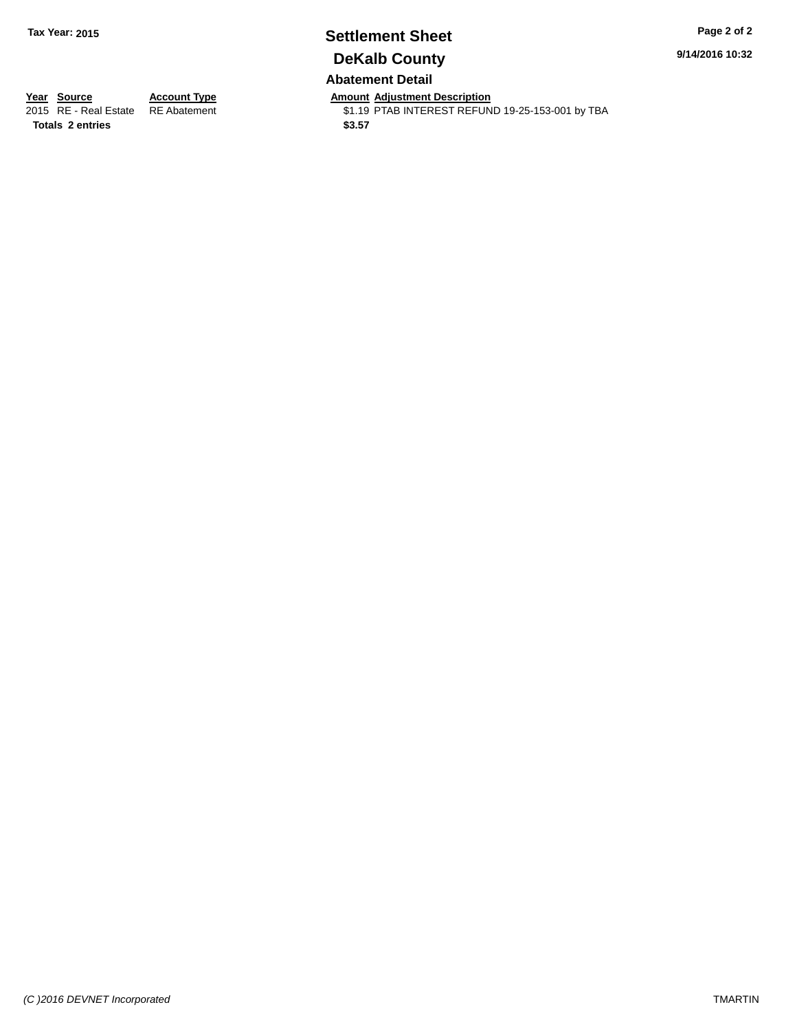## **Settlement Sheet Tax Year: 2015 Page 2 of 2 DeKalb County Abatement Detail**

**9/14/2016 10:32**

**Totals \$3.57 2 entries**

**Year Source Account Type Anneurs Amount Adjustment Description**<br>2015 RE - Real Estate RE Abatement **Alternative State State** State State State State \$1.19 PTAB INTEREST REFUND 19-25-153-001 by TBA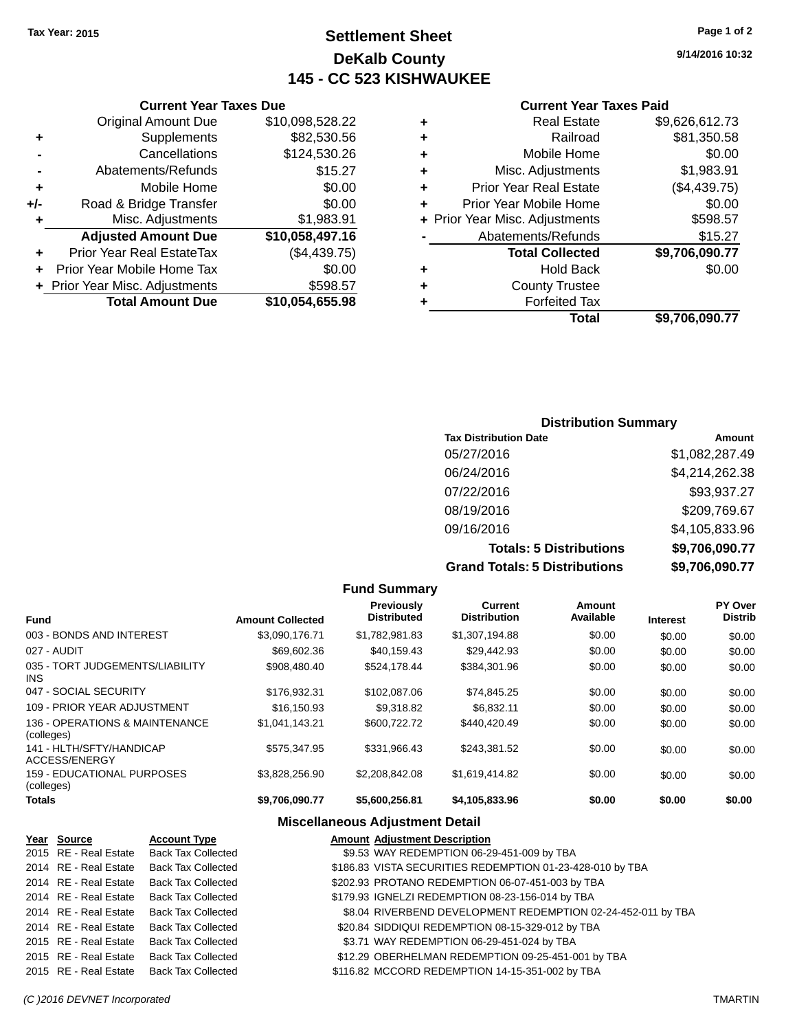## **Settlement Sheet Tax Year: 2015 Page 1 of 2 DeKalb County 145 - CC 523 KISHWAUKEE**

## **9/14/2016 10:32**

| <b>Current Year Taxes Paid</b> |  |  |  |
|--------------------------------|--|--|--|
|--------------------------------|--|--|--|

|   | Total                          | \$9.706.090.77 |
|---|--------------------------------|----------------|
| ٠ | <b>Forfeited Tax</b>           |                |
| ٠ | <b>County Trustee</b>          |                |
| ٠ | <b>Hold Back</b>               | \$0.00         |
|   | <b>Total Collected</b>         | \$9,706,090.77 |
|   | Abatements/Refunds             | \$15.27        |
|   | + Prior Year Misc. Adjustments | \$598.57       |
| ÷ | Prior Year Mobile Home         | \$0.00         |
| ÷ | <b>Prior Year Real Estate</b>  | (\$4,439.75)   |
| ٠ | Misc. Adjustments              | \$1,983.91     |
| ÷ | Mobile Home                    | \$0.00         |
| ٠ | Railroad                       | \$81,350.58    |
| ٠ | Real Estate                    | \$9,626,612.73 |
|   |                                |                |

| <b>Current Year Taxes Due</b>        |                 |  |  |  |  |  |
|--------------------------------------|-----------------|--|--|--|--|--|
| <b>Original Amount Due</b>           | \$10,098,528.22 |  |  |  |  |  |
| \$82,530.56<br>Supplements<br>٠      |                 |  |  |  |  |  |
| Cancellations                        | \$124,530.26    |  |  |  |  |  |
| \$15.27<br>Abatements/Refunds        |                 |  |  |  |  |  |
| Mobile Home                          | \$0.00          |  |  |  |  |  |
| Road & Bridge Transfer               | \$0.00          |  |  |  |  |  |
| Misc. Adjustments<br>\$1,983.91<br>٠ |                 |  |  |  |  |  |
| <b>Adjusted Amount Due</b>           | \$10,058,497.16 |  |  |  |  |  |
| Prior Year Real EstateTax            | (\$4,439.75)    |  |  |  |  |  |
| Prior Year Mobile Home Tax           | \$0.00          |  |  |  |  |  |
| + Prior Year Misc. Adjustments       | \$598.57        |  |  |  |  |  |
| <b>Total Amount Due</b>              | \$10,054,655.98 |  |  |  |  |  |
|                                      |                 |  |  |  |  |  |

## **Distribution Summary**

| <b>Tax Distribution Date</b>         | Amount         |
|--------------------------------------|----------------|
| 05/27/2016                           | \$1,082,287.49 |
| 06/24/2016                           | \$4,214,262.38 |
| 07/22/2016                           | \$93,937.27    |
| 08/19/2016                           | \$209,769.67   |
| 09/16/2016                           | \$4,105,833.96 |
| <b>Totals: 5 Distributions</b>       | \$9,706,090.77 |
| <b>Grand Totals: 5 Distributions</b> | \$9,706,090.77 |

| <b>Fund Summary</b>                          |                         |                                  |                                |                     |                 |                           |
|----------------------------------------------|-------------------------|----------------------------------|--------------------------------|---------------------|-----------------|---------------------------|
| <b>Fund</b>                                  | <b>Amount Collected</b> | Previously<br><b>Distributed</b> | Current<br><b>Distribution</b> | Amount<br>Available | <b>Interest</b> | PY Over<br><b>Distrib</b> |
| 003 - BONDS AND INTEREST                     | \$3,090,176.71          | \$1,782,981.83                   | \$1,307,194.88                 | \$0.00              | \$0.00          | \$0.00                    |
| 027 - AUDIT                                  | \$69,602.36             | \$40.159.43                      | \$29,442.93                    | \$0.00              | \$0.00          | \$0.00                    |
| 035 - TORT JUDGEMENTS/LIABILITY<br>INS.      | \$908,480,40            | \$524.178.44                     | \$384.301.96                   | \$0.00              | \$0.00          | \$0.00                    |
| 047 - SOCIAL SECURITY                        | \$176,932.31            | \$102,087.06                     | \$74,845.25                    | \$0.00              | \$0.00          | \$0.00                    |
| 109 - PRIOR YEAR ADJUSTMENT                  | \$16,150.93             | \$9,318.82                       | \$6,832.11                     | \$0.00              | \$0.00          | \$0.00                    |
| 136 - OPERATIONS & MAINTENANCE<br>(colleges) | \$1,041,143.21          | \$600,722.72                     | \$440,420.49                   | \$0.00              | \$0.00          | \$0.00                    |
| 141 - HLTH/SFTY/HANDICAP<br>ACCESS/ENERGY    | \$575.347.95            | \$331.966.43                     | \$243.381.52                   | \$0.00              | \$0.00          | \$0.00                    |
| 159 - EDUCATIONAL PURPOSES<br>(colleges)     | \$3,828,256.90          | \$2,208,842.08                   | \$1,619,414.82                 | \$0.00              | \$0.00          | \$0.00                    |
| <b>Totals</b>                                | \$9,706,090.77          | \$5,600,256.81                   | \$4,105,833.96                 | \$0.00              | \$0.00          | \$0.00                    |

## **Miscellaneous Adjustment Detail**

| Year Source           | <b>Account Type</b>       | <b>Amount Adjustment Description</b>                         |
|-----------------------|---------------------------|--------------------------------------------------------------|
| 2015 RE - Real Estate | <b>Back Tax Collected</b> | \$9.53 WAY REDEMPTION 06-29-451-009 by TBA                   |
| 2014 RE - Real Estate | Back Tax Collected        | \$186.83 VISTA SECURITIES REDEMPTION 01-23-428-010 by TBA    |
| 2014 RE - Real Estate | <b>Back Tax Collected</b> | \$202.93 PROTANO REDEMPTION 06-07-451-003 by TBA             |
| 2014 RE - Real Estate | <b>Back Tax Collected</b> | \$179.93 IGNELZI REDEMPTION 08-23-156-014 by TBA             |
| 2014 RE - Real Estate | Back Tax Collected        | \$8.04 RIVERBEND DEVELOPMENT REDEMPTION 02-24-452-011 by TBA |
| 2014 RE - Real Estate | <b>Back Tax Collected</b> | \$20.84 SIDDIQUI REDEMPTION 08-15-329-012 by TBA             |
| 2015 RE - Real Estate | <b>Back Tax Collected</b> | \$3.71 WAY REDEMPTION 06-29-451-024 by TBA                   |
| 2015 RE - Real Estate | <b>Back Tax Collected</b> | \$12.29 OBERHELMAN REDEMPTION 09-25-451-001 by TBA           |
| 2015 RE - Real Estate | Back Tax Collected        | \$116.82 MCCORD REDEMPTION 14-15-351-002 by TBA              |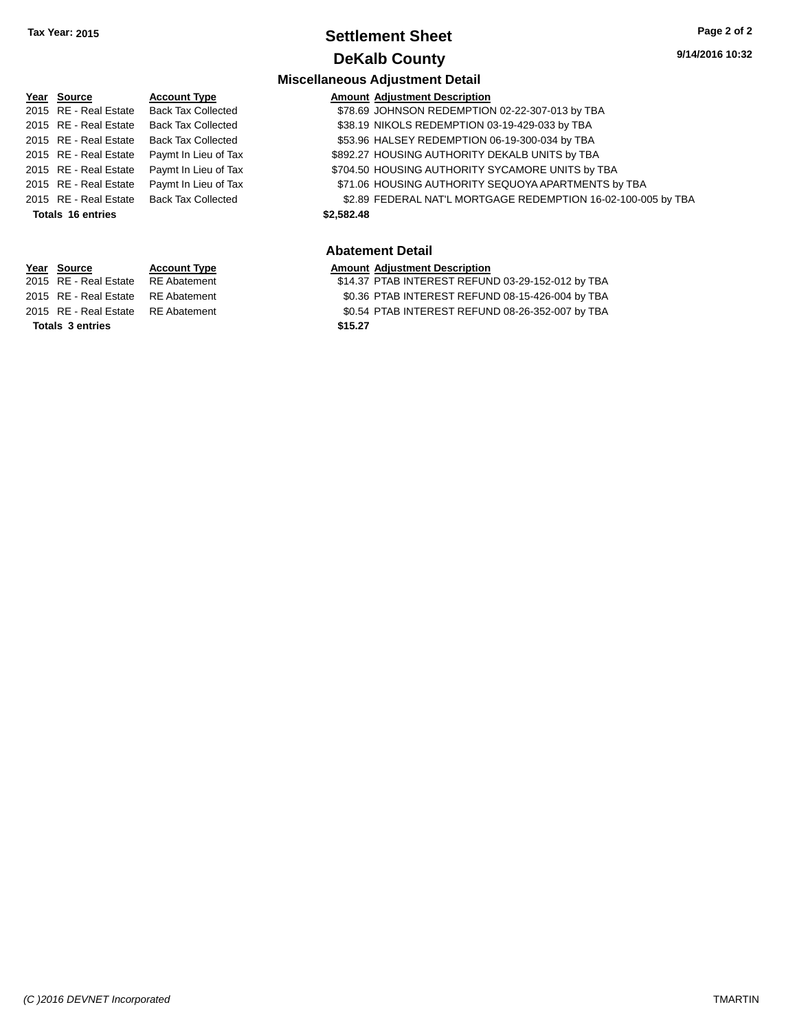## **Settlement Sheet Tax Year: 2015 Page 2 of 2 DeKalb County**

## **Miscellaneous Adjustment Detail**

| Year Source              | <b>Account Type</b>       |            | <b>Amount Adjustment Description</b>                          |
|--------------------------|---------------------------|------------|---------------------------------------------------------------|
| 2015 RE - Real Estate    | <b>Back Tax Collected</b> |            | \$78.69 JOHNSON REDEMPTION 02-22-307-013 by TBA               |
| 2015 RE - Real Estate    | <b>Back Tax Collected</b> |            | \$38.19 NIKOLS REDEMPTION 03-19-429-033 by TBA                |
| 2015 RE - Real Estate    | <b>Back Tax Collected</b> |            | \$53.96 HALSEY REDEMPTION 06-19-300-034 by TBA                |
| 2015 RE - Real Estate    | Paymt In Lieu of Tax      |            | \$892.27 HOUSING AUTHORITY DEKALB UNITS by TBA                |
| 2015 RE - Real Estate    | Paymt In Lieu of Tax      |            | \$704.50 HOUSING AUTHORITY SYCAMORE UNITS by TBA              |
| 2015 RE - Real Estate    | Paymt In Lieu of Tax      |            | \$71.06 HOUSING AUTHORITY SEQUOYA APARTMENTS by TBA           |
| 2015 RE - Real Estate    | <b>Back Tax Collected</b> |            | \$2.89 FEDERAL NAT'L MORTGAGE REDEMPTION 16-02-100-005 by TBA |
| <b>Totals 16 entries</b> |                           | \$2,582.48 |                                                               |
|                          |                           |            |                                                               |
|                          |                           |            |                                                               |

#### **Abatement Detail**

#### **Year Source Account Type Amount Adjustment Description**

| <b>Totals 3 entries</b> |                                    |  | \$15.27                                           |
|-------------------------|------------------------------------|--|---------------------------------------------------|
|                         | 2015 RE - Real Estate RE Abatement |  | \$0.54 PTAB INTEREST REFUND 08-26-352-007 by TBA  |
|                         | 2015 RE - Real Estate RE Abatement |  | \$0.36 PTAB INTEREST REFUND 08-15-426-004 by TBA  |
|                         | 2015 RE - Real Estate RE Abatement |  | \$14.37 PTAB INTEREST REFUND 03-29-152-012 by TBA |
|                         |                                    |  |                                                   |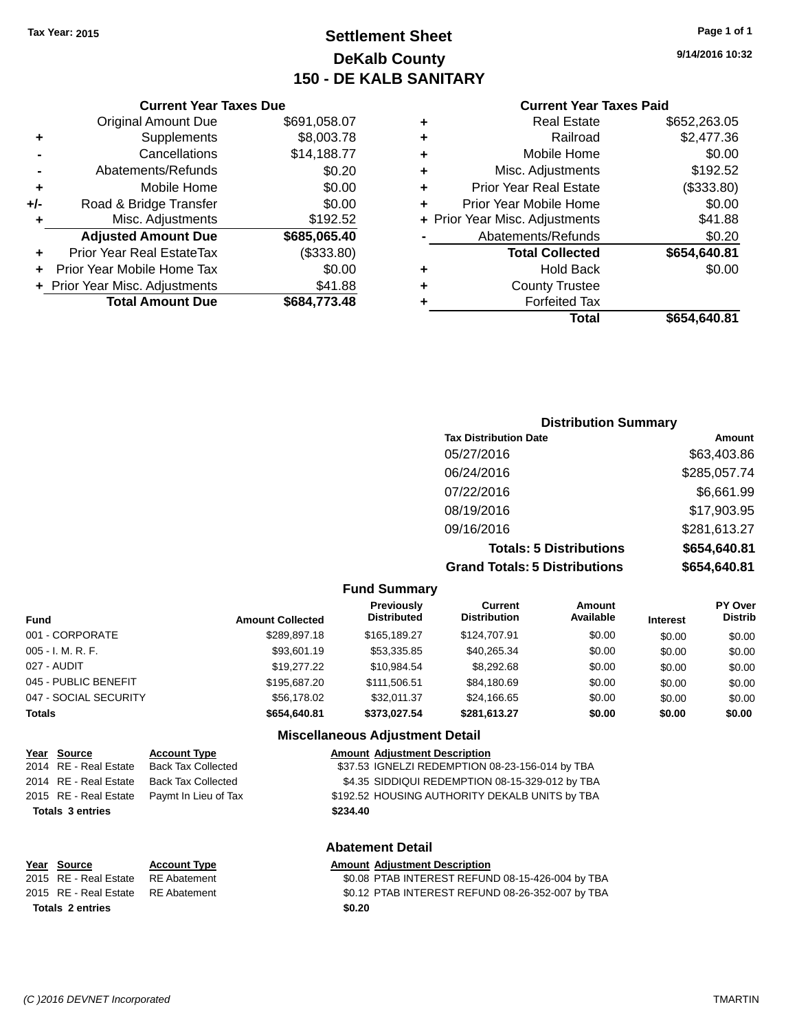## **Settlement Sheet Tax Year: 2015 Page 1 of 1 DeKalb County 150 - DE KALB SANITARY**

**9/14/2016 10:32**

#### **Current Year Taxes Paid**

#### **Current Year Taxes Due** Original Amount Due \$691,058.07 **+** Supplements \$8,003.78 **-** Cancellations \$14,188.77 **-** Abatements/Refunds **\$0.20 +** Mobile Home \$0.00 **+/-** Road & Bridge Transfer \$0.00 **+** Misc. Adjustments \$192.52 **Adjusted Amount Due \$685,065.40 +** Prior Year Real EstateTax (\$333.80) **+** Prior Year Mobile Home Tax \$0.00 **+** Prior Year Misc. Adjustments  $$41.88$ **Total Amount Due \$684,773.48**

## **Distribution Summary Tax Distribution Date Amount** 05/27/2016 \$63,403.86 06/24/2016 \$285,057.74 07/22/2016 \$6,661.99 08/19/2016 \$17,903.95 09/16/2016 \$281,613.27 **Totals: 5 Distributions \$654,640.81 Grand Totals: 5 Distributions \$654,640.81**

#### **Fund Summary Fund Interest Amount Collected Distributed PY Over Distrib Amount Available Current Distribution Previously** 001 - CORPORATE \$289,897.18 \$165,189.27 \$124,707.91 \$0.00 \$0.00 \$0.00 005 - I. M. R. F. \$93,601.19 \$53,335.85 \$40,265.34 \$0.00 \$0.00 \$0.00 027 - AUDIT \$19,277.22 \$10,984.54 \$8,292.68 \$0.00 \$0.00 \$0.00 045 - PUBLIC BENEFIT 6 - \$195,687.20 \$111,506.51 \$84,180.69 \$0.00 \$0.00 \$0.00 \$0.00 047 - SOCIAL SECURITY \$56,178.02 \$24,166.65 \$0.00 \$0.00 \$0.00 **Totals \$654,640.81 \$373,027.54 \$281,613.27 \$0.00 \$0.00 \$0.00 Miscellaneous Adjustment Detail**

#### **Year Source Account Type Amount Adjustment Description** 2014 RE - Real Estate Back Tax Collected \$37.53 IGNELZI REDEMPTION 08-23-156-014 by TBA

## 2015 RE - Real Estate Paymt In Lieu of Tax \$192.52 HOUSING AUTHORITY DEKALB UNITS by TBA **Totals \$234.40 3 entries**

## 2014 RE - Real Estate Back Tax Collected \$4.35 SIDDIQUI REDEMPTION 08-15-329-012 by TBA

**Abatement Detail**

# **Totals \$0.20 2 entries**

## **Year Source Account Type Amount Adjustment Description**

2015 RE - Real Estate RE Abatement \$0.08 PTAB INTEREST REFUND 08-15-426-004 by TBA 2015 RE - Real Estate RE Abatement \$0.12 PTAB INTEREST REFUND 08-26-352-007 by TBA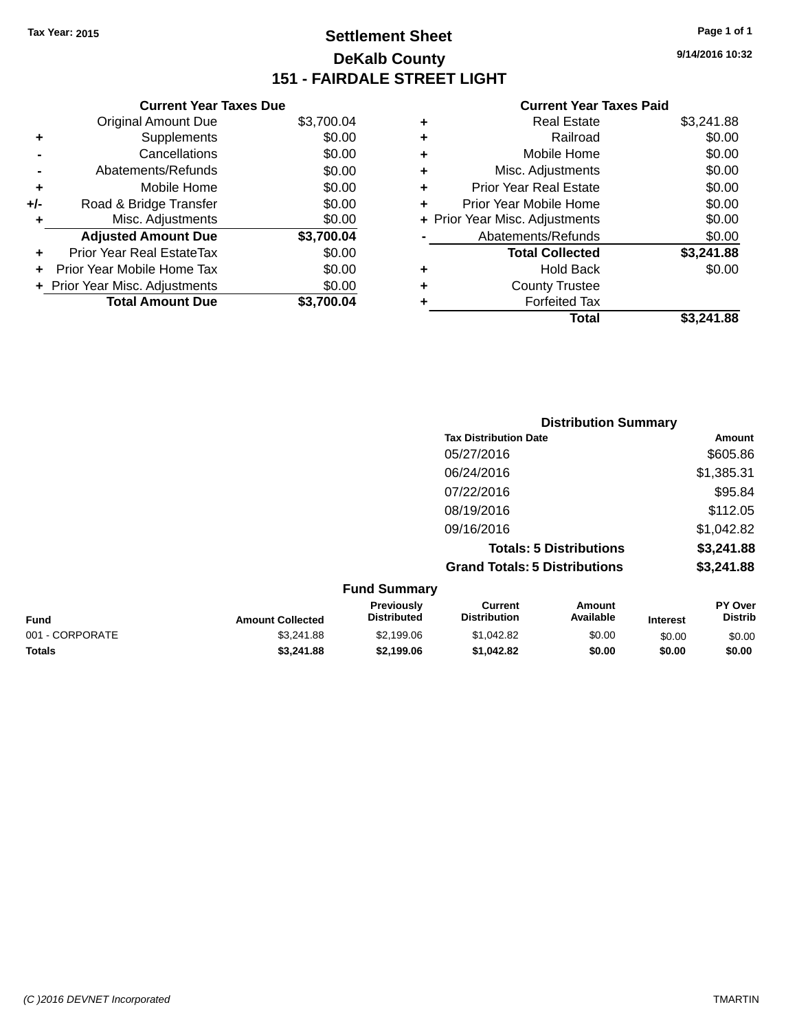## **Settlement Sheet Tax Year: 2015 Page 1 of 1 DeKalb County 151 - FAIRDALE STREET LIGHT**

**9/14/2016 10:32**

|     | <b>Current Year Taxes Due</b>  |            |
|-----|--------------------------------|------------|
|     | <b>Original Amount Due</b>     | \$3,700.04 |
| ٠   | Supplements                    | \$0.00     |
|     | Cancellations                  | \$0.00     |
|     | Abatements/Refunds             | \$0.00     |
| ٠   | Mobile Home                    | \$0.00     |
| +/- | Road & Bridge Transfer         | \$0.00     |
| ٠   | Misc. Adjustments              | \$0.00     |
|     | <b>Adjusted Amount Due</b>     | \$3,700.04 |
| ٠   | Prior Year Real EstateTax      | \$0.00     |
| ÷   | Prior Year Mobile Home Tax     | \$0.00     |
|     | + Prior Year Misc. Adjustments | \$0.00     |
|     | <b>Total Amount Due</b>        | \$3.700.04 |

| <b>Real Estate</b>             | \$3,241.88 |
|--------------------------------|------------|
| Railroad                       | \$0.00     |
| Mobile Home                    | \$0.00     |
| Misc. Adjustments              | \$0.00     |
| <b>Prior Year Real Estate</b>  | \$0.00     |
| Prior Year Mobile Home         | \$0.00     |
| + Prior Year Misc. Adjustments | \$0.00     |
| Abatements/Refunds             | \$0.00     |
| <b>Total Collected</b>         | \$3,241.88 |
| Hold Back                      | \$0.00     |
| <b>County Trustee</b>          |            |
| <b>Forfeited Tax</b>           |            |
| Total                          | \$3.241.88 |
|                                |            |

|                                                           | <b>Distribution Summary</b>          |            |
|-----------------------------------------------------------|--------------------------------------|------------|
|                                                           | <b>Tax Distribution Date</b>         | Amount     |
|                                                           | 05/27/2016                           | \$605.86   |
|                                                           | 06/24/2016                           | \$1,385.31 |
|                                                           | 07/22/2016                           | \$95.84    |
|                                                           | 08/19/2016                           | \$112.05   |
|                                                           | 09/16/2016                           | \$1,042.82 |
|                                                           | <b>Totals: 5 Distributions</b>       | \$3,241.88 |
|                                                           | <b>Grand Totals: 5 Distributions</b> | \$3,241.88 |
| $F_{\text{max}}$ of $P_{\text{max}}$ and $F_{\text{max}}$ |                                      |            |

| <b>Fund Summary</b><br><b>Previously</b><br>Current<br>Amount<br>Available<br><b>Distribution</b><br><b>Distributed</b><br><b>Fund</b><br><b>Amount Collected</b><br><b>Interest</b> |            |            |            |        |        |                                  |
|--------------------------------------------------------------------------------------------------------------------------------------------------------------------------------------|------------|------------|------------|--------|--------|----------------------------------|
|                                                                                                                                                                                      |            |            |            |        |        | <b>PY Over</b><br><b>Distrib</b> |
| 001 - CORPORATE                                                                                                                                                                      | \$3.241.88 | \$2,199.06 | \$1.042.82 | \$0.00 | \$0.00 | \$0.00                           |
| <b>Totals</b>                                                                                                                                                                        | \$3,241.88 | \$2.199.06 | \$1,042.82 | \$0.00 | \$0.00 | \$0.00                           |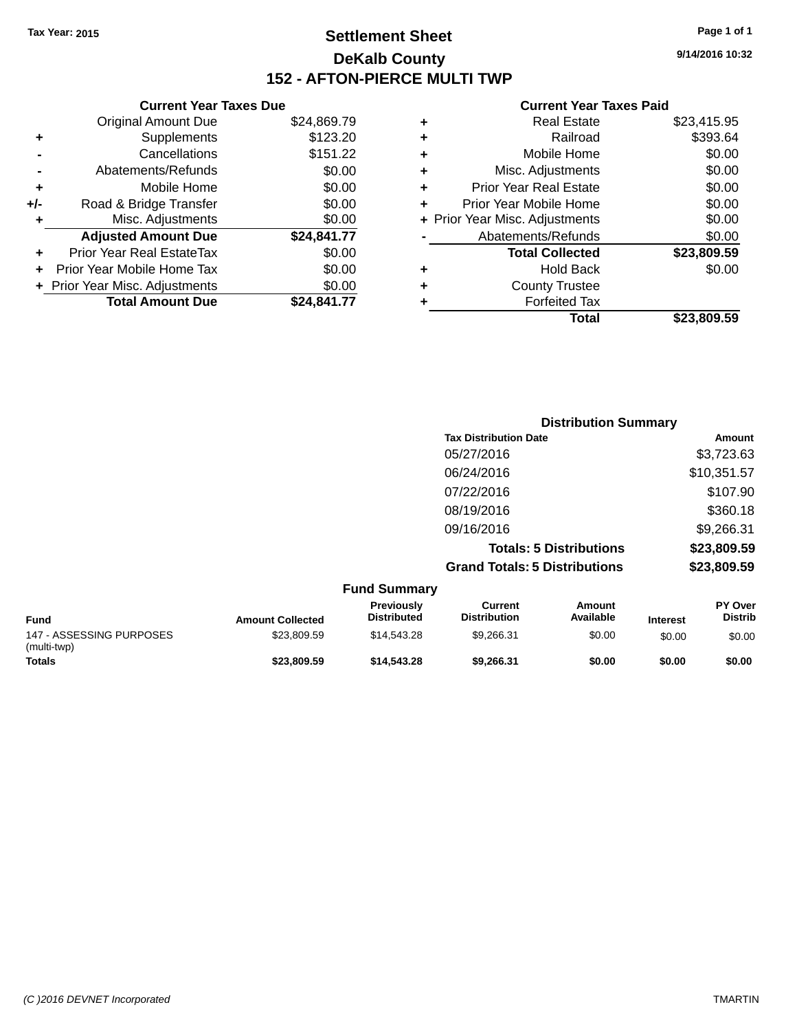## **Settlement Sheet Tax Year: 2015 Page 1 of 1 DeKalb County 152 - AFTON-PIERCE MULTI TWP**

**9/14/2016 10:32**

|     | <b>Current Year Taxes Due</b>  |             |     |
|-----|--------------------------------|-------------|-----|
|     | <b>Original Amount Due</b>     | \$24,869.79 |     |
|     | Supplements                    | \$123.20    |     |
|     | Cancellations                  | \$151.22    |     |
|     | Abatements/Refunds             | \$0.00      | ٠   |
|     | Mobile Home                    | \$0.00      |     |
| +/- | Road & Bridge Transfer         | \$0.00      |     |
|     | Misc. Adjustments              | \$0.00      | + P |
|     | <b>Adjusted Amount Due</b>     | \$24,841.77 |     |
|     | Prior Year Real EstateTax      | \$0.00      |     |
|     | Prior Year Mobile Home Tax     | \$0.00      |     |
|     | + Prior Year Misc. Adjustments | \$0.00      |     |
|     | <b>Total Amount Due</b>        | \$24,841.77 |     |
|     |                                |             |     |

| ٠ | <b>Real Estate</b>             | \$23,415.95 |
|---|--------------------------------|-------------|
| ٠ | Railroad                       | \$393.64    |
| ٠ | Mobile Home                    | \$0.00      |
| ٠ | Misc. Adjustments              | \$0.00      |
| ٠ | <b>Prior Year Real Estate</b>  | \$0.00      |
| ÷ | Prior Year Mobile Home         | \$0.00      |
|   | + Prior Year Misc. Adjustments | \$0.00      |
|   | Abatements/Refunds             | \$0.00      |
|   | <b>Total Collected</b>         | \$23,809.59 |
| ٠ | <b>Hold Back</b>               | \$0.00      |
| ٠ | <b>County Trustee</b>          |             |
|   | <b>Forfeited Tax</b>           |             |
|   | Total                          | \$23,809.59 |
|   |                                |             |

| <b>Distribution Summary</b>          |             |
|--------------------------------------|-------------|
| <b>Tax Distribution Date</b>         | Amount      |
| 05/27/2016                           | \$3,723.63  |
| 06/24/2016                           | \$10,351.57 |
| 07/22/2016                           | \$107.90    |
| 08/19/2016                           | \$360.18    |
| 09/16/2016                           | \$9,266.31  |
| <b>Totals: 5 Distributions</b>       | \$23,809.59 |
| <b>Grand Totals: 5 Distributions</b> | \$23,809.59 |
|                                      |             |

|                                         |                         | <b>Fund Summary</b>              |                                |                     |                 |                                  |
|-----------------------------------------|-------------------------|----------------------------------|--------------------------------|---------------------|-----------------|----------------------------------|
| <b>Fund</b>                             | <b>Amount Collected</b> | Previously<br><b>Distributed</b> | Current<br><b>Distribution</b> | Amount<br>Available | <b>Interest</b> | <b>PY Over</b><br><b>Distrib</b> |
| 147 - ASSESSING PURPOSES<br>(multi-twp) | \$23.809.59             | \$14,543,28                      | \$9,266.31                     | \$0.00              | \$0.00          | \$0.00                           |
| <b>Totals</b>                           | \$23,809.59             | \$14,543,28                      | \$9.266.31                     | \$0.00              | \$0.00          | \$0.00                           |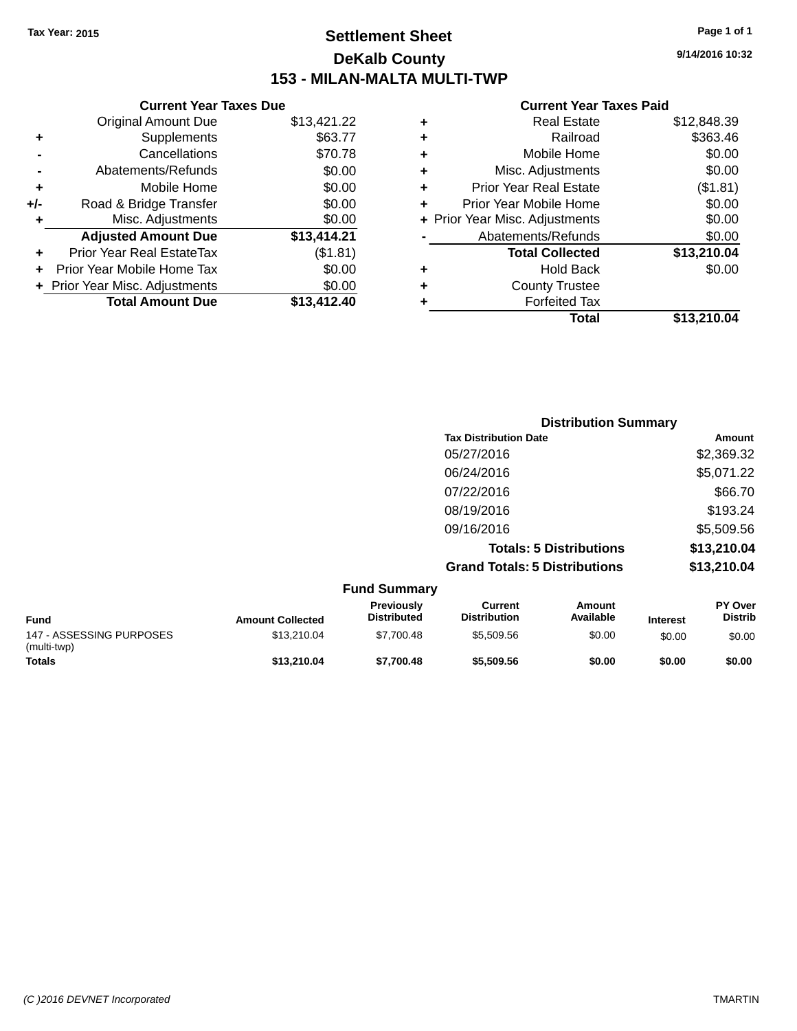## **Settlement Sheet Tax Year: 2015 Page 1 of 1 DeKalb County 153 - MILAN-MALTA MULTI-TWP**

**9/14/2016 10:32**

| <b>Current Year Taxes Due</b>  |             |
|--------------------------------|-------------|
| <b>Original Amount Due</b>     | \$13,421.22 |
| Supplements                    | \$63.77     |
| Cancellations                  | \$70.78     |
| Abatements/Refunds             | \$0.00      |
| Mobile Home                    | \$0.00      |
| Road & Bridge Transfer         | \$0.00      |
| Misc. Adjustments              | \$0.00      |
| <b>Adjusted Amount Due</b>     | \$13,414.21 |
| Prior Year Real EstateTax      | (\$1.81)    |
| Prior Year Mobile Home Tax     | \$0.00      |
| + Prior Year Misc. Adjustments | \$0.00      |
| <b>Total Amount Due</b>        | \$13,412.40 |
|                                |             |

| ٠ | <b>Real Estate</b>             | \$12,848.39 |
|---|--------------------------------|-------------|
| ٠ | Railroad                       | \$363.46    |
| ٠ | Mobile Home                    | \$0.00      |
| ٠ | Misc. Adjustments              | \$0.00      |
| ٠ | <b>Prior Year Real Estate</b>  | (\$1.81)    |
| ٠ | Prior Year Mobile Home         | \$0.00      |
|   | + Prior Year Misc. Adjustments | \$0.00      |
|   | Abatements/Refunds             | \$0.00      |
|   | <b>Total Collected</b>         | \$13,210.04 |
| ٠ | Hold Back                      | \$0.00      |
| ٠ | <b>County Trustee</b>          |             |
| ٠ | <b>Forfeited Tax</b>           |             |
|   | Total                          | \$13,210.04 |
|   |                                |             |

| <b>Distribution Summary</b>          |             |
|--------------------------------------|-------------|
| <b>Tax Distribution Date</b>         | Amount      |
| 05/27/2016                           | \$2,369.32  |
| 06/24/2016                           | \$5,071.22  |
| 07/22/2016                           | \$66.70     |
| 08/19/2016                           | \$193.24    |
| 09/16/2016                           | \$5,509.56  |
| <b>Totals: 5 Distributions</b>       | \$13,210.04 |
| <b>Grand Totals: 5 Distributions</b> | \$13,210.04 |

|                                         |                         | <b>Fund Summary</b>                     |                                |                     |                 |                                  |
|-----------------------------------------|-------------------------|-----------------------------------------|--------------------------------|---------------------|-----------------|----------------------------------|
| <b>Fund</b>                             | <b>Amount Collected</b> | <b>Previously</b><br><b>Distributed</b> | Current<br><b>Distribution</b> | Amount<br>Available | <b>Interest</b> | <b>PY Over</b><br><b>Distrib</b> |
| 147 - ASSESSING PURPOSES<br>(multi-twp) | \$13,210.04             | \$7.700.48                              | \$5,509.56                     | \$0.00              | \$0.00          | \$0.00                           |
| Totals                                  | \$13,210.04             | \$7.700.48                              | \$5,509.56                     | \$0.00              | \$0.00          | \$0.00                           |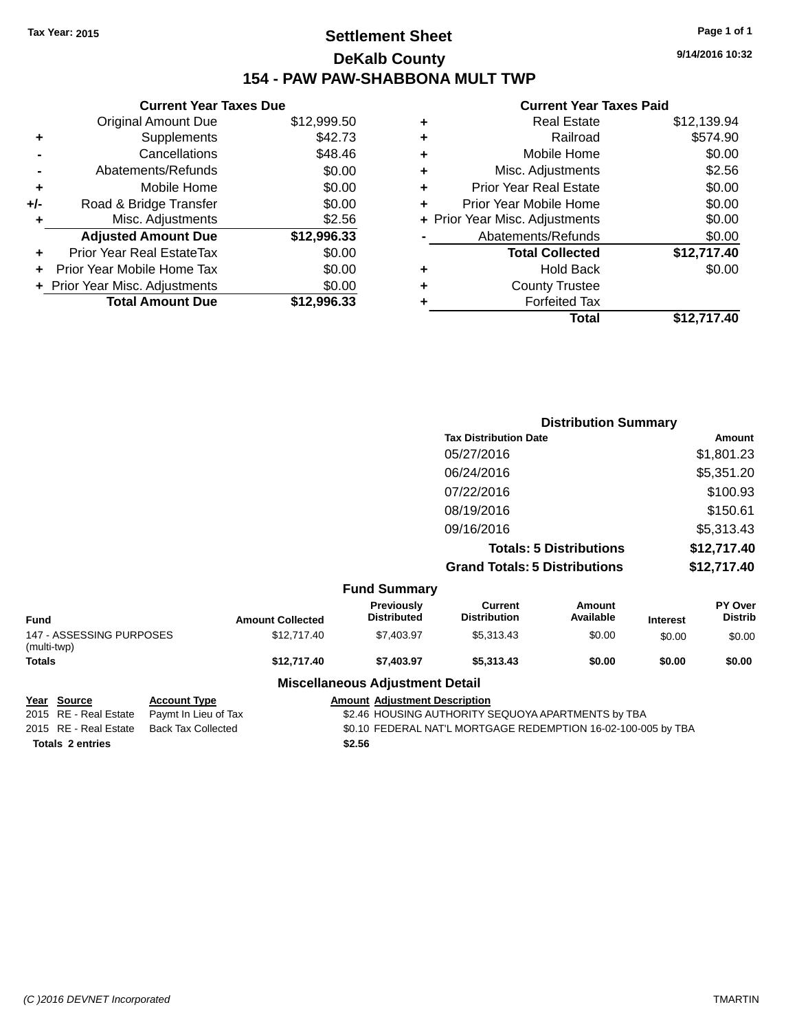## **Settlement Sheet Tax Year: 2015 Page 1 of 1 DeKalb County 154 - PAW PAW-SHABBONA MULT TWP**

|     | <b>Current Year Taxes Due</b>    |             |
|-----|----------------------------------|-------------|
|     | <b>Original Amount Due</b>       | \$12,999.50 |
| ٠   | Supplements                      | \$42.73     |
|     | Cancellations                    | \$48.46     |
|     | Abatements/Refunds               | \$0.00      |
| ٠   | Mobile Home                      | \$0.00      |
| +/- | Road & Bridge Transfer           | \$0.00      |
| ٠   | Misc. Adjustments                | \$2.56      |
|     | <b>Adjusted Amount Due</b>       | \$12,996.33 |
| ÷   | <b>Prior Year Real EstateTax</b> | \$0.00      |
| ٠   | Prior Year Mobile Home Tax       | \$0.00      |
|     | + Prior Year Misc. Adjustments   | \$0.00      |
|     | <b>Total Amount Due</b>          | \$12,996.33 |

|   | <b>Current Year Taxes Paid</b> |             |
|---|--------------------------------|-------------|
| ٠ | <b>Real Estate</b>             | \$12,139.94 |
| ٠ | Railroad                       | \$574.90    |
| ٠ | Mobile Home                    | \$0.00      |
| ٠ | Misc. Adjustments              | \$2.56      |
| ٠ | <b>Prior Year Real Estate</b>  | \$0.00      |
| ٠ | Prior Year Mobile Home         | \$0.00      |
|   | + Prior Year Misc. Adjustments | \$0.00      |
|   | Abatements/Refunds             | \$0.00      |
|   | <b>Total Collected</b>         | \$12,717.40 |
| ٠ | Hold Back                      | \$0.00      |
|   | <b>County Trustee</b>          |             |
|   | <b>Forfeited Tax</b>           |             |
|   | Total                          | \$12.717.40 |
|   |                                |             |

| <b>Distribution Summary</b>          |             |
|--------------------------------------|-------------|
| <b>Tax Distribution Date</b>         | Amount      |
| 05/27/2016                           | \$1,801.23  |
| 06/24/2016                           | \$5,351.20  |
| 07/22/2016                           | \$100.93    |
| 08/19/2016                           | \$150.61    |
| 09/16/2016                           | \$5,313.43  |
| <b>Totals: 5 Distributions</b>       | \$12,717.40 |
| <b>Grand Totals: 5 Distributions</b> | \$12,717.40 |
|                                      |             |

|                                         |                         | <b>Fund Summary</b>                     |                                |                     |                 |                                  |
|-----------------------------------------|-------------------------|-----------------------------------------|--------------------------------|---------------------|-----------------|----------------------------------|
| <b>Fund</b>                             | <b>Amount Collected</b> | <b>Previously</b><br><b>Distributed</b> | Current<br><b>Distribution</b> | Amount<br>Available | <b>Interest</b> | <b>PY Over</b><br><b>Distrib</b> |
| 147 - ASSESSING PURPOSES<br>(multi-twp) | \$12,717.40             | \$7.403.97                              | \$5.313.43                     | \$0.00              | \$0.00          | \$0.00                           |
| <b>Totals</b>                           | \$12,717.40             | \$7.403.97                              | \$5,313,43                     | \$0.00              | \$0.00          | \$0.00                           |

#### **Miscellaneous Adjustment Detail**

**Totals \$2.56 2 entries**

**Year Source Account Type Account Adjustment Description** 2015 RE - Real Estate Paymt In Lieu of Tax \$2.46 HOUSING AUTHORITY SEQUOYA APARTMENTS by TBA 2015 RE - Real Estate Back Tax Collected \$0.10 FEDERAL NAT'L MORTGAGE REDEMPTION 16-02-100-005 by TBA

**9/14/2016 10:32**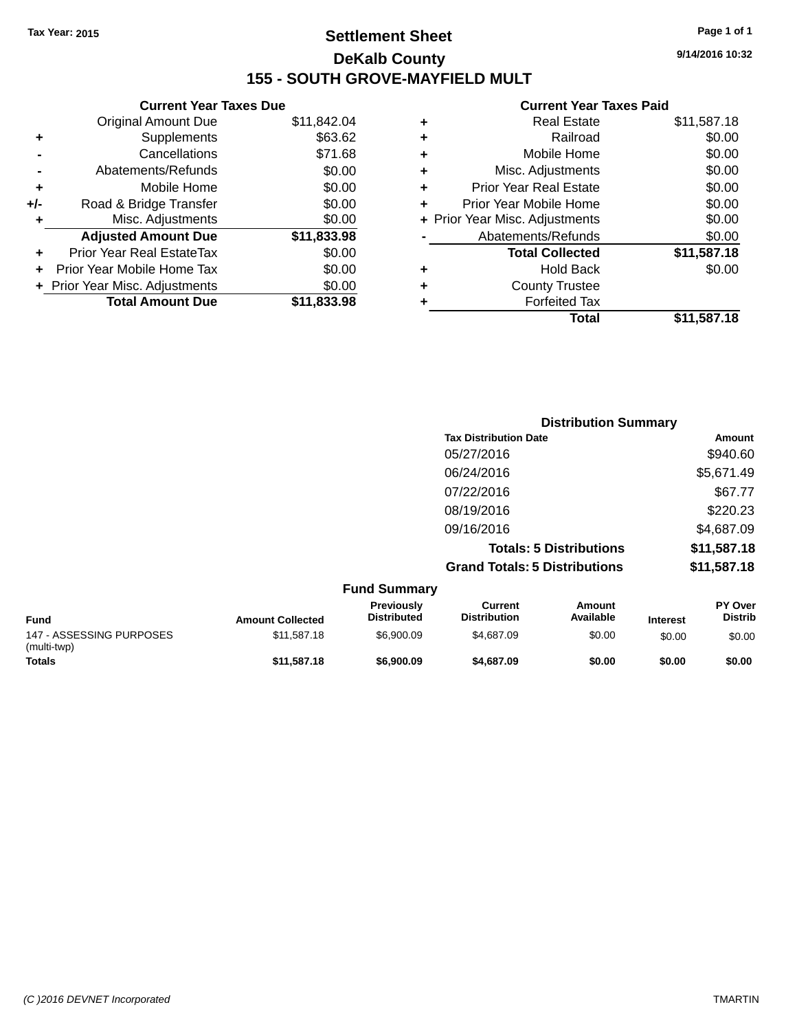## **Settlement Sheet Tax Year: 2015 Page 1 of 1 DeKalb County 155 - SOUTH GROVE-MAYFIELD MULT**

**9/14/2016 10:32**

|     | <b>Current Year Taxes Due</b>  |             |  |
|-----|--------------------------------|-------------|--|
|     | <b>Original Amount Due</b>     | \$11,842.04 |  |
| ٠   | Supplements                    | \$63.62     |  |
|     | Cancellations                  | \$71.68     |  |
|     | Abatements/Refunds             | \$0.00      |  |
| ٠   | Mobile Home                    | \$0.00      |  |
| +/- | Road & Bridge Transfer         | \$0.00      |  |
| ٠   | Misc. Adjustments              | \$0.00      |  |
|     | <b>Adjusted Amount Due</b>     | \$11,833.98 |  |
| ٠   | Prior Year Real EstateTax      | \$0.00      |  |
|     | Prior Year Mobile Home Tax     | \$0.00      |  |
|     | + Prior Year Misc. Adjustments | \$0.00      |  |
|     | <b>Total Amount Due</b>        | \$11.833.98 |  |
|     |                                |             |  |

| Total                          | \$11,587.18 |
|--------------------------------|-------------|
| <b>Forfeited Tax</b>           |             |
| <b>County Trustee</b>          |             |
| <b>Hold Back</b>               | \$0.00      |
| <b>Total Collected</b>         | \$11,587.18 |
| Abatements/Refunds             | \$0.00      |
| + Prior Year Misc. Adjustments | \$0.00      |
| Prior Year Mobile Home         | \$0.00      |
| <b>Prior Year Real Estate</b>  | \$0.00      |
| Misc. Adjustments              | \$0.00      |
| Mobile Home                    | \$0.00      |
| Railroad                       | \$0.00      |
| <b>Real Estate</b>             | \$11,587.18 |
|                                |             |

| <b>Distribution Summary</b>          |             |
|--------------------------------------|-------------|
| <b>Tax Distribution Date</b>         | Amount      |
| 05/27/2016                           | \$940.60    |
| 06/24/2016                           | \$5,671.49  |
| 07/22/2016                           | \$67.77     |
| 08/19/2016                           | \$220.23    |
| 09/16/2016                           | \$4,687.09  |
| <b>Totals: 5 Distributions</b>       | \$11,587.18 |
| <b>Grand Totals: 5 Distributions</b> | \$11,587.18 |

|                                         |                         | <b>Fund Summary</b>                     |                                |                     |                 |                                  |
|-----------------------------------------|-------------------------|-----------------------------------------|--------------------------------|---------------------|-----------------|----------------------------------|
| <b>Fund</b>                             | <b>Amount Collected</b> | <b>Previously</b><br><b>Distributed</b> | Current<br><b>Distribution</b> | Amount<br>Available | <b>Interest</b> | <b>PY Over</b><br><b>Distrib</b> |
| 147 - ASSESSING PURPOSES<br>(multi-twp) | \$11.587.18             | \$6.900.09                              | \$4,687.09                     | \$0.00              | \$0.00          | \$0.00                           |
| <b>Totals</b>                           | \$11,587.18             | \$6,900.09                              | \$4,687.09                     | \$0.00              | \$0.00          | \$0.00                           |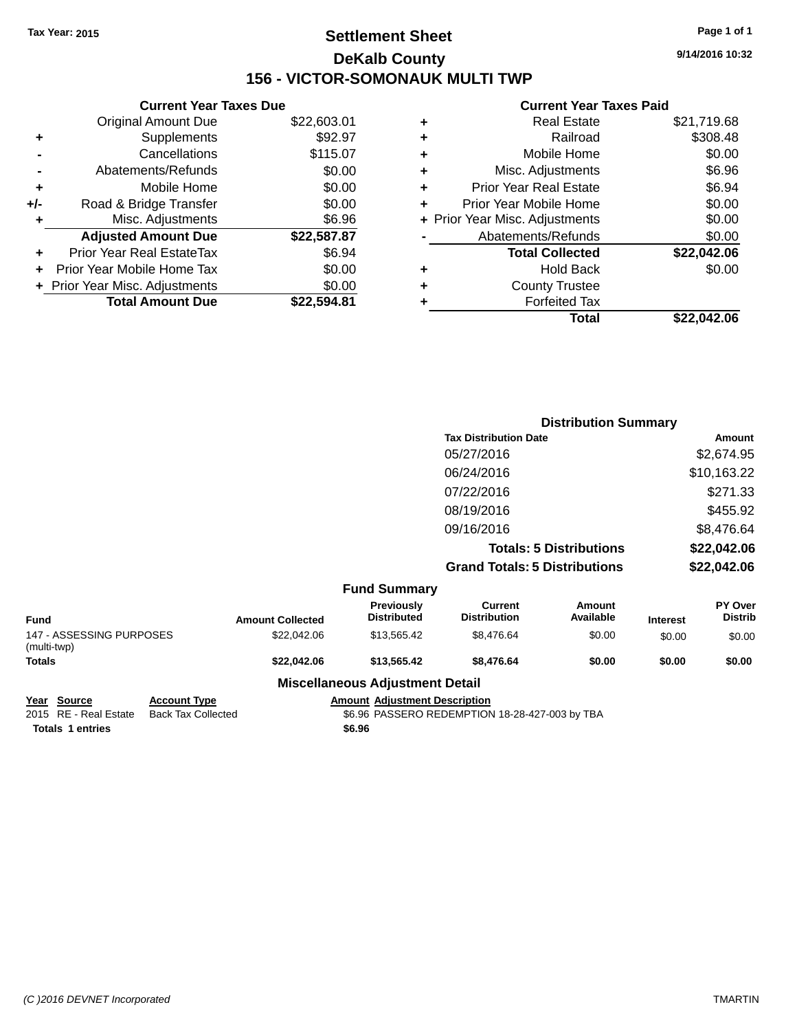## **Settlement Sheet Tax Year: 2015 Page 1 of 1 DeKalb County 156 - VICTOR-SOMONAUK MULTI TWP**

**9/14/2016 10:32**

#### **Current Year Taxes Paid**

| <b>Current Year Taxes Due</b> |             |
|-------------------------------|-------------|
| <b>Original Amount Due</b>    | \$22,603.01 |
| Supplements                   | \$92.97     |
| Cancellations                 | \$115.07    |
| Abatements/Refunds            | \$0.00      |
| Mobile Home                   | \$0.00      |
| Road & Bridge Transfer        | \$0.00      |
| Misc. Adjustments             | \$6.96      |
| <b>Adjusted Amount Due</b>    | \$22,587.87 |
| Prior Year Real EstateTax     | \$6.94      |
| Prior Year Mobile Home Tax    | \$0.00      |
| Prior Year Misc. Adjustments  | \$0.00      |
| <b>Total Amount Due</b>       | \$22.594.81 |
|                               |             |

|   | <b>Real Estate</b>             | \$21,719.68 |
|---|--------------------------------|-------------|
| ٠ | Railroad                       | \$308.48    |
| ٠ | Mobile Home                    | \$0.00      |
| ٠ | Misc. Adjustments              | \$6.96      |
| ٠ | <b>Prior Year Real Estate</b>  | \$6.94      |
| ٠ | Prior Year Mobile Home         | \$0.00      |
|   | + Prior Year Misc. Adjustments | \$0.00      |
|   | Abatements/Refunds             | \$0.00      |
|   | <b>Total Collected</b>         | \$22,042.06 |
| ٠ | Hold Back                      | \$0.00      |
| ٠ | <b>County Trustee</b>          |             |
| ٠ | <b>Forfeited Tax</b>           |             |
|   | Total                          | \$22.042.06 |
|   |                                |             |

|                     |                                      | <b>Distribution Summary</b>    |                |  |
|---------------------|--------------------------------------|--------------------------------|----------------|--|
|                     | <b>Tax Distribution Date</b>         |                                | Amount         |  |
|                     | 05/27/2016                           |                                | \$2,674.95     |  |
|                     | 06/24/2016                           |                                | \$10,163.22    |  |
|                     | 07/22/2016                           |                                | \$271.33       |  |
|                     | 08/19/2016                           |                                | \$455.92       |  |
|                     | 09/16/2016                           |                                | \$8,476.64     |  |
|                     |                                      | <b>Totals: 5 Distributions</b> | \$22,042.06    |  |
|                     | <b>Grand Totals: 5 Distributions</b> |                                | \$22,042.06    |  |
| <b>Fund Summary</b> |                                      |                                |                |  |
| <b>Previously</b>   | <b>Current</b>                       | Amount                         | <b>PY Over</b> |  |

| Fund                                    | <b>Amount Collected</b> | <b>Previously</b><br><b>Distributed</b> | Current<br><b>Distribution</b> | Amount<br>Available | <b>Interest</b> | <b>PY Over</b><br><b>Distrib</b> |
|-----------------------------------------|-------------------------|-----------------------------------------|--------------------------------|---------------------|-----------------|----------------------------------|
| 147 - ASSESSING PURPOSES<br>(multi-twp) | \$22,042.06             | \$13.565.42                             | \$8,476.64                     | \$0.00              | \$0.00          | \$0.00                           |
| <b>Totals</b>                           | \$22.042.06             | \$13,565,42                             | \$8.476.64                     | \$0.00              | \$0.00          | \$0.00                           |
|                                         | ---<br>.                |                                         |                                |                     |                 |                                  |

# **Miscellaneous Adjustment Detail**

**Totals \$6.96 1 entries**

**Year Source Account Type Amount Adjustment Description** \$6.96 PASSERO REDEMPTION 18-28-427-003 by TBA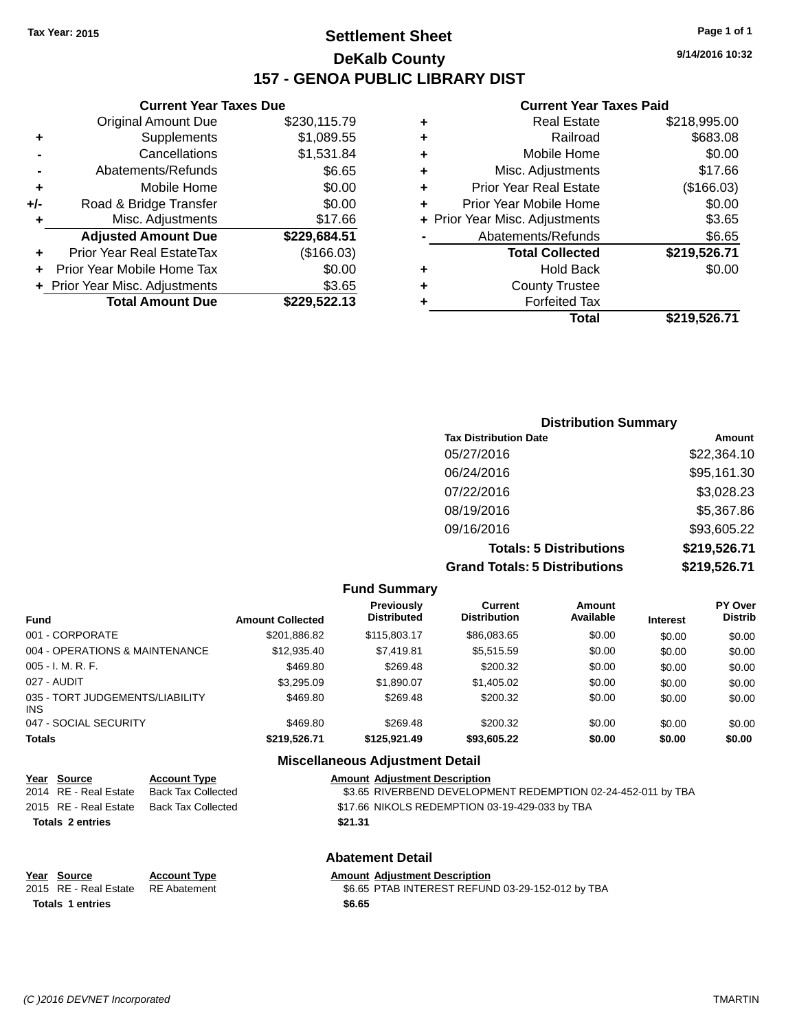## **Settlement Sheet Tax Year: 2015 Page 1 of 1 DeKalb County 157 - GENOA PUBLIC LIBRARY DIST**

**Current Year Taxes Due**

|     | <b>Original Amount Due</b>     | \$230,115.79 |
|-----|--------------------------------|--------------|
| ٠   | Supplements                    | \$1,089.55   |
|     | Cancellations                  | \$1,531.84   |
|     | Abatements/Refunds             | \$6.65       |
| ÷   | Mobile Home                    | \$0.00       |
| +/- | Road & Bridge Transfer         | \$0.00       |
| ٠   | Misc. Adjustments              | \$17.66      |
|     | <b>Adjusted Amount Due</b>     | \$229,684.51 |
| ÷   | Prior Year Real EstateTax      | (\$166.03)   |
|     | Prior Year Mobile Home Tax     | \$0.00       |
|     | + Prior Year Misc. Adjustments | \$3.65       |
|     | <b>Total Amount Due</b>        | \$229.522.13 |

#### **Current Year Taxes Paid**

| ٠ | <b>Real Estate</b>             | \$218,995.00 |
|---|--------------------------------|--------------|
| ٠ | Railroad                       | \$683.08     |
| ٠ | Mobile Home                    | \$0.00       |
| ٠ | Misc. Adjustments              | \$17.66      |
| ٠ | <b>Prior Year Real Estate</b>  | (\$166.03)   |
| ٠ | Prior Year Mobile Home         | \$0.00       |
|   | + Prior Year Misc. Adjustments | \$3.65       |
|   | Abatements/Refunds             | \$6.65       |
|   | <b>Total Collected</b>         | \$219,526.71 |
| ٠ | <b>Hold Back</b>               | \$0.00       |
| ٠ | <b>County Trustee</b>          |              |
| ٠ | <b>Forfeited Tax</b>           |              |
|   | Total                          | \$219,526.71 |
|   |                                |              |

| <b>Distribution Summary</b>          |              |  |
|--------------------------------------|--------------|--|
| <b>Tax Distribution Date</b>         | Amount       |  |
| 05/27/2016                           | \$22,364.10  |  |
| 06/24/2016                           | \$95,161.30  |  |
| 07/22/2016                           | \$3,028.23   |  |
| 08/19/2016                           | \$5,367.86   |  |
| 09/16/2016                           | \$93,605.22  |  |
| <b>Totals: 5 Distributions</b>       | \$219,526.71 |  |
| <b>Grand Totals: 5 Distributions</b> | \$219,526.71 |  |

|                                         |                         | <b>Fund Summary</b>                     |                                       |                     |                 |                                  |
|-----------------------------------------|-------------------------|-----------------------------------------|---------------------------------------|---------------------|-----------------|----------------------------------|
| <b>Fund</b>                             | <b>Amount Collected</b> | <b>Previously</b><br><b>Distributed</b> | <b>Current</b><br><b>Distribution</b> | Amount<br>Available | <b>Interest</b> | <b>PY Over</b><br><b>Distrib</b> |
| 001 - CORPORATE                         | \$201,886.82            | \$115,803.17                            | \$86,083,65                           | \$0.00              | \$0.00          | \$0.00                           |
| 004 - OPERATIONS & MAINTENANCE          | \$12,935.40             | \$7.419.81                              | \$5,515.59                            | \$0.00              | \$0.00          | \$0.00                           |
| $005 - I. M. R. F.$                     | \$469.80                | \$269.48                                | \$200.32                              | \$0.00              | \$0.00          | \$0.00                           |
| 027 - AUDIT                             | \$3,295.09              | \$1.890.07                              | \$1,405.02                            | \$0.00              | \$0.00          | \$0.00                           |
| 035 - TORT JUDGEMENTS/LIABILITY<br>INS. | \$469.80                | \$269.48                                | \$200.32                              | \$0.00              | \$0.00          | \$0.00                           |
| 047 - SOCIAL SECURITY                   | \$469.80                | \$269.48                                | \$200.32                              | \$0.00              | \$0.00          | \$0.00                           |
| <b>Totals</b>                           | \$219,526.71            | \$125.921.49                            | \$93,605.22                           | \$0.00              | \$0.00          | \$0.00                           |
|                                         |                         | Miscellaneous Adjustment Detail         |                                       |                     |                 |                                  |

|                             |                               | <u>MISCENANCOUS AUNUSUNENT DETAIL</u>                        |
|-----------------------------|-------------------------------|--------------------------------------------------------------|
| Year Source                 | <b>Account Type</b>           | <b>Amount Adjustment Description</b>                         |
| 2014 RE - Real Estate       | <b>Back Tax Collected</b>     | \$3.65 RIVERBEND DEVELOPMENT REDEMPTION 02-24-452-011 by TBA |
| 2015 RE - Real Estate       | <b>Back Tax Collected</b>     | \$17.66 NIKOLS REDEMPTION 03-19-429-033 by TBA               |
| <b>Totals 2 entries</b>     |                               | \$21.31                                                      |
|                             |                               | <b>Abatement Detail</b>                                      |
| Year Source                 | <b>Account Type</b>           | <b>Amount Adjustment Description</b>                         |
| $0045.05.04 \times 10^{10}$ | $D \Gamma$ Alexandre $\Gamma$ | $ACCF$ DTAD INTERFOT DEFINID 00.00 450.040 LUTDA             |

**Totals \$6.65 1 entries**

2015 RE - Real Estate RE Abatement \$6.65 PTAB INTEREST REFUND 03-29-152-012 by TBA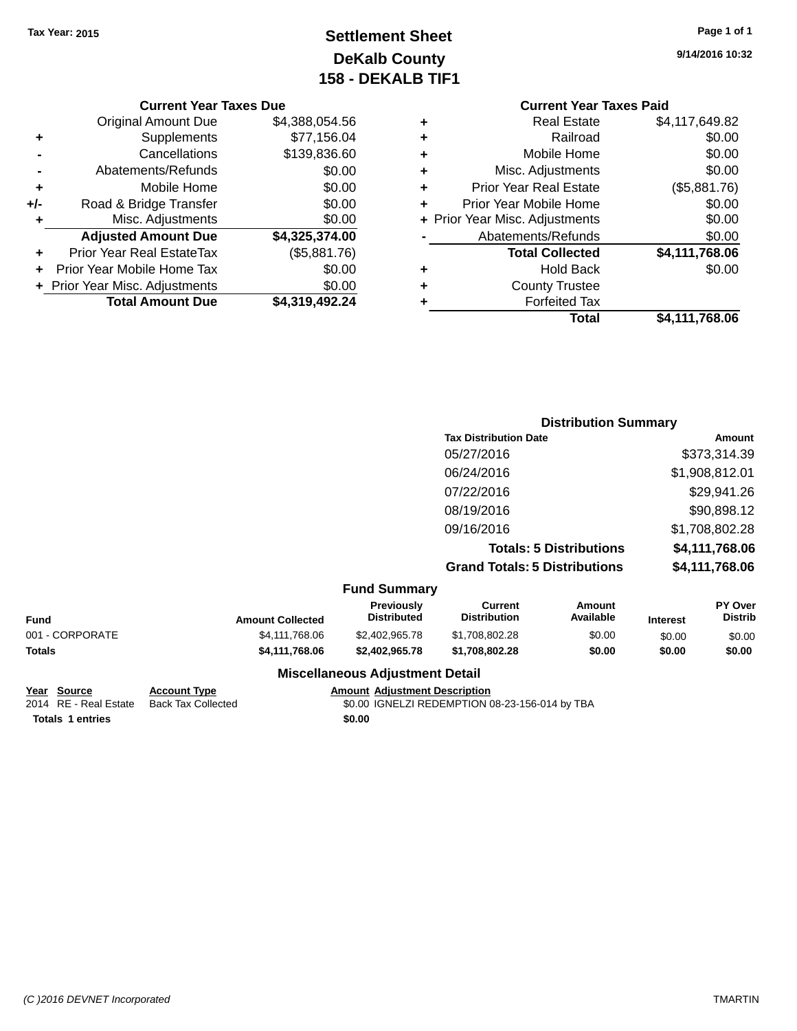## **Settlement Sheet Tax Year: 2015 Page 1 of 1 DeKalb County 158 - DEKALB TIF1**

**9/14/2016 10:32**

#### **Current Year Taxes Due**

|       | <b>Original Amount Due</b>       | \$4,388,054.56 |
|-------|----------------------------------|----------------|
| ٠     | Supplements                      | \$77,156.04    |
|       | Cancellations                    | \$139,836.60   |
|       | Abatements/Refunds               | \$0.00         |
| ٠     | Mobile Home                      | \$0.00         |
| $+/-$ | Road & Bridge Transfer           | \$0.00         |
| ٠     | Misc. Adjustments                | \$0.00         |
|       | <b>Adjusted Amount Due</b>       | \$4,325,374.00 |
|       | <b>Prior Year Real EstateTax</b> | (\$5,881.76)   |
|       | Prior Year Mobile Home Tax       | \$0.00         |
|       | + Prior Year Misc. Adjustments   | \$0.00         |
|       | <b>Total Amount Due</b>          | \$4.319.492.24 |

#### **Current Year Taxes Paid +** Real Estate \$4,117,649.82 **+** Railroad \$0.00 **+** Mobile Home \$0.00 **+** Misc. Adjustments \$0.00 **+** Prior Year Real Estate (\$5,881.76) **+** Prior Year Mobile Home \$0.00 **+** Prior Year Misc. Adjustments  $$0.00$ Abatements/Refunds \$0.00 **Total Collected \$4,111,768.06 +** Hold Back \$0.00

**Total \$4,111,768.06**

## **Distribution Summary Tax Distribution Date Amount** 05/27/2016 \$373,314.39 06/24/2016 \$1,908,812.01 07/22/2016 \$29,941.26 08/19/2016 \$90,898.12 09/16/2016 \$1,708,802.28 **Totals: 5 Distributions \$4,111,768.06 Grand Totals: 5 Distributions \$4,111,768.06**

**+** County Trustee **+** Forfeited Tax

#### **Fund Summary**

| Fund            | <b>Amount Collected</b> | <b>Previously</b><br><b>Distributed</b> | Current<br><b>Distribution</b> | Amount<br>Available | <b>Interest</b> | <b>PY Over</b><br><b>Distrib</b> |
|-----------------|-------------------------|-----------------------------------------|--------------------------------|---------------------|-----------------|----------------------------------|
| 001 - CORPORATE | \$4,111,768,06          | \$2.402.965.78                          | \$1,708,802,28                 | \$0.00              | \$0.00          | \$0.00                           |
| Totals          | \$4,111,768,06          | \$2,402,965,78                          | \$1.708.802.28                 | \$0.00              | \$0.00          | \$0.00                           |

#### **Miscellaneous Adjustment Detail**

**Year Source Account Type Amount Adjustment Description**

2014 RE - Real Estate Back Tax Collected 50.00 IGNELZI REDEMPTION 08-23-156-014 by TBA

**Totals \$0.00 1 entries**

*(C )2016 DEVNET Incorporated* TMARTIN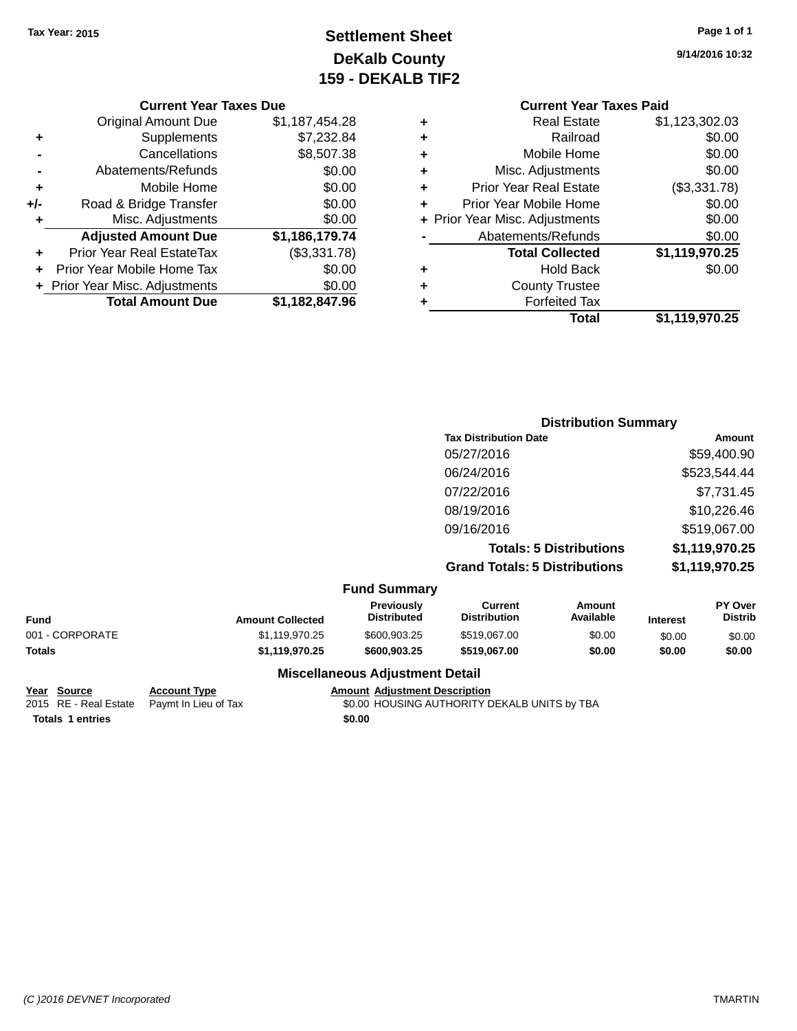## **Settlement Sheet Tax Year: 2015 Page 1 of 1 DeKalb County 159 - DEKALB TIF2**

**9/14/2016 10:32**

|     | <b>Current Year Taxes Due</b>  |                |
|-----|--------------------------------|----------------|
|     | <b>Original Amount Due</b>     | \$1,187,454.28 |
| ٠   | Supplements                    | \$7,232.84     |
|     | Cancellations                  | \$8,507.38     |
|     | Abatements/Refunds             | \$0.00         |
| ٠   | Mobile Home                    | \$0.00         |
| +/- | Road & Bridge Transfer         | \$0.00         |
| ٠   | Misc. Adjustments              | \$0.00         |
|     | <b>Adjusted Amount Due</b>     | \$1,186,179.74 |
| ÷   | Prior Year Real EstateTax      | (\$3,331.78)   |
|     | Prior Year Mobile Home Tax     | \$0.00         |
|     | + Prior Year Misc. Adjustments | \$0.00         |
|     | <b>Total Amount Due</b>        | \$1,182,847.96 |
|     |                                |                |

|   | <b>Current Year Taxes Paid</b> |                |
|---|--------------------------------|----------------|
| ٠ | <b>Real Estate</b>             | \$1,123,302.03 |
| ٠ | Railroad                       | \$0.00         |
| ٠ | Mobile Home                    | \$0.00         |
| ٠ | Misc. Adjustments              | \$0.00         |
| ٠ | <b>Prior Year Real Estate</b>  | (\$3,331.78)   |
| ÷ | Prior Year Mobile Home         | \$0.00         |
|   | + Prior Year Misc. Adjustments | \$0.00         |
|   | Abatements/Refunds             | \$0.00         |
|   | <b>Total Collected</b>         | \$1,119,970.25 |
| ٠ | <b>Hold Back</b>               | \$0.00         |
|   | <b>County Trustee</b>          |                |
| ٠ | <b>Forfeited Tax</b>           |                |
|   | <b>Total</b>                   | \$1,119,970.25 |

| <b>Distribution Summary</b>          |                |
|--------------------------------------|----------------|
| <b>Tax Distribution Date</b>         | Amount         |
| 05/27/2016                           | \$59,400.90    |
| 06/24/2016                           | \$523,544.44   |
| 07/22/2016                           | \$7,731.45     |
| 08/19/2016                           | \$10,226.46    |
| 09/16/2016                           | \$519,067.00   |
| <b>Totals: 5 Distributions</b>       | \$1,119,970.25 |
| <b>Grand Totals: 5 Distributions</b> | \$1,119,970.25 |

| <b>Fund Summary</b> |
|---------------------|
|                     |

| <b>Amount Collected</b> | <b>Previously</b><br><b>Distributed</b> | Current<br><b>Distribution</b> | Amount<br>Available | <b>Interest</b> | PY Over<br><b>Distrib</b> |
|-------------------------|-----------------------------------------|--------------------------------|---------------------|-----------------|---------------------------|
| \$1,119,970.25          | \$600,903.25                            | \$519,067.00                   | \$0.00              | \$0.00          | \$0.00                    |
| \$1.119.970.25          | \$600.903.25                            | \$519,067,00                   | \$0.00              | \$0.00          | \$0.00                    |
|                         |                                         |                                |                     |                 |                           |

#### **Miscellaneous Adjustment Detail**

**Totals 1 entries** \$0.00

**Year Source Account Type Account Type Amount Adjustment Description**<br>2015 RE - Real Estate Paymt In Lieu of Tax \$0.00 HOUSING AUTHORITY D **30.00 HOUSING AUTHORITY DEKALB UNITS by TBA**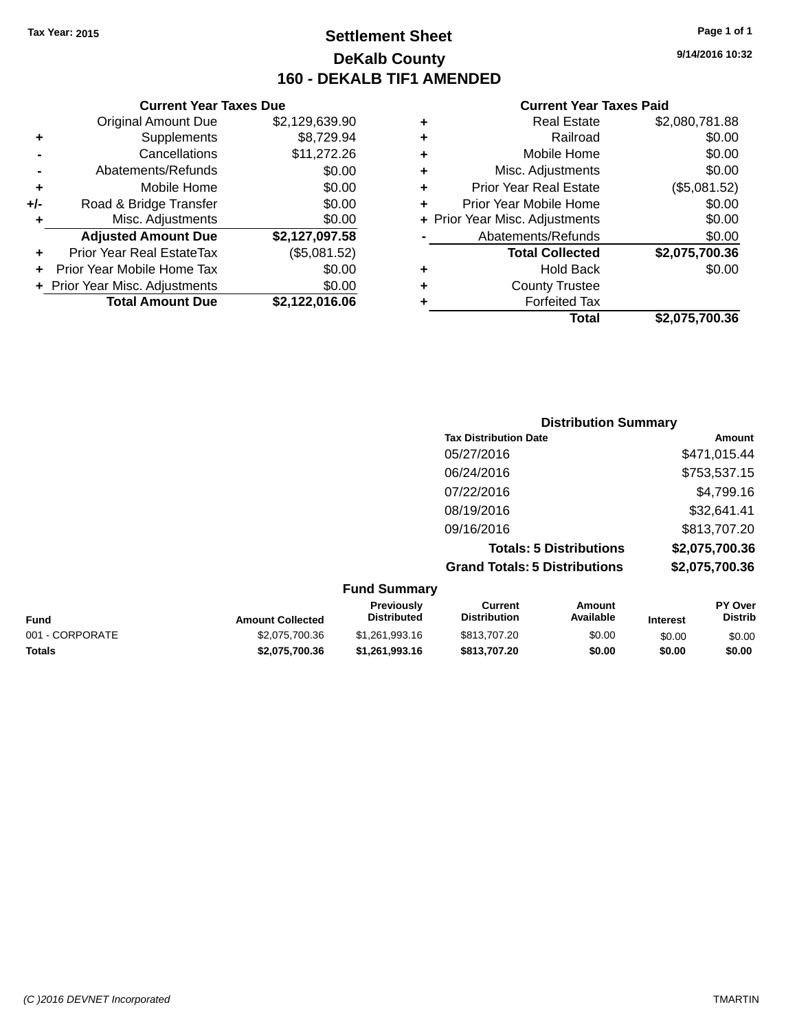**Current Year Taxes Due**

## **Settlement Sheet Tax Year: 2015 Page 1 of 1 DeKalb County 160 - DEKALB TIF1 AMENDED**

**9/14/2016 10:32**

| \$2,080,781.88 | <b>Real Estate</b>             | ٠ | \$2,129,639.90 | <b>Original Amount Due</b>     |                      |
|----------------|--------------------------------|---|----------------|--------------------------------|----------------------|
| \$0.00         | Railroad                       | ٠ | \$8,729.94     | Supplements                    | ÷                    |
| \$0.00         | Mobile Home                    | ٠ | \$11,272.26    | Cancellations                  |                      |
| \$0.00         | Misc. Adjustments              | ٠ | \$0.00         | Abatements/Refunds             |                      |
| (\$5,081.52)   | <b>Prior Year Real Estate</b>  |   | \$0.00         | Mobile Home                    | ÷                    |
| \$0.00         | Prior Year Mobile Home         |   | \$0.00         | Road & Bridge Transfer         | I-                   |
| \$0.00         | + Prior Year Misc. Adjustments |   | \$0.00         | Misc. Adjustments              | ÷                    |
| \$0.00         | Abatements/Refunds             |   | \$2,127,097.58 | <b>Adjusted Amount Due</b>     |                      |
| \$2,075,700.36 | <b>Total Collected</b>         |   | (\$5,081.52)   | Prior Year Real EstateTax      | $\ddot{\phantom{1}}$ |
| \$0.00         | <b>Hold Back</b>               | ٠ | \$0.00         | + Prior Year Mobile Home Tax   |                      |
|                | <b>County Trustee</b>          | ٠ | \$0.00         | + Prior Year Misc. Adjustments |                      |
|                | <b>Forfeited Tax</b>           |   | \$2,122,016.06 | <b>Total Amount Due</b>        |                      |
| \$2,075,700.36 | <b>Total</b>                   |   |                |                                |                      |

|                     | <b>Distribution Summary</b>          |                |
|---------------------|--------------------------------------|----------------|
|                     | <b>Tax Distribution Date</b>         | Amount         |
|                     | 05/27/2016                           | \$471,015.44   |
|                     | 06/24/2016                           | \$753,537.15   |
|                     | 07/22/2016                           | \$4,799.16     |
|                     | 08/19/2016                           | \$32,641.41    |
|                     | 09/16/2016                           | \$813,707.20   |
|                     | <b>Totals: 5 Distributions</b>       | \$2,075,700.36 |
|                     | <b>Grand Totals: 5 Distributions</b> | \$2,075,700.36 |
| <b>Fund Summary</b> |                                      |                |

| <b>Previously</b><br><b>Distributed</b>                     | Current<br><b>Distribution</b> | Amount<br>Available | <b>Interest</b> | PY Over<br><b>Distrib</b> |
|-------------------------------------------------------------|--------------------------------|---------------------|-----------------|---------------------------|
| \$1.261.993.16                                              | \$813,707.20                   | \$0.00              | \$0.00          | \$0.00                    |
| \$1.261.993.16                                              | \$813,707.20                   | \$0.00              | \$0.00          | \$0.00                    |
| <b>Amount Collected</b><br>\$2,075,700.36<br>\$2,075,700.36 |                                |                     |                 |                           |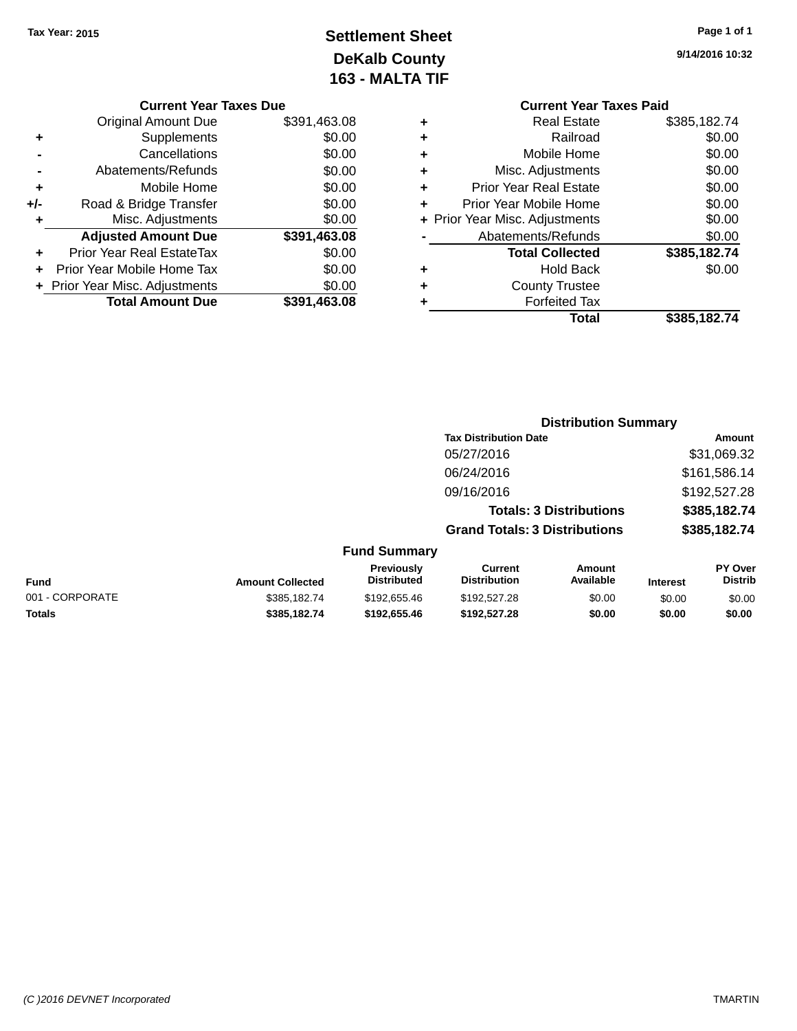## **Settlement Sheet Tax Year: 2015 Page 1 of 1 DeKalb County 163 - MALTA TIF**

**9/14/2016 10:32**

| <b>Current Year Taxes Due</b> |  |  |  |
|-------------------------------|--|--|--|
|-------------------------------|--|--|--|

|     | <b>Original Amount Due</b>     | \$391,463.08 |
|-----|--------------------------------|--------------|
| ٠   | Supplements                    | \$0.00       |
|     | Cancellations                  | \$0.00       |
|     | Abatements/Refunds             | \$0.00       |
| ÷   | Mobile Home                    | \$0.00       |
| +/- | Road & Bridge Transfer         | \$0.00       |
| ٠   | Misc. Adjustments              | \$0.00       |
|     | <b>Adjusted Amount Due</b>     | \$391,463.08 |
| ٠   | Prior Year Real EstateTax      | \$0.00       |
|     | Prior Year Mobile Home Tax     | \$0.00       |
|     | + Prior Year Misc. Adjustments | \$0.00       |
|     | <b>Total Amount Due</b>        | \$391,463.08 |
|     |                                |              |

| <b>Current Year Taxes Paid</b> |                                |  |  |  |
|--------------------------------|--------------------------------|--|--|--|
| Real Estate                    | \$385,182.74                   |  |  |  |
| Railroad                       | \$0.00                         |  |  |  |
| Mobile Home                    | \$0.00                         |  |  |  |
| Misc. Adjustments              | \$0.00                         |  |  |  |
| <b>Prior Year Real Estate</b>  | \$0.00                         |  |  |  |
| Prior Year Mobile Home         | \$0.00                         |  |  |  |
|                                | \$0.00                         |  |  |  |
| Abatements/Refunds             | \$0.00                         |  |  |  |
| <b>Total Collected</b>         | \$385,182.74                   |  |  |  |
| <b>Hold Back</b>               | \$0.00                         |  |  |  |
| <b>County Trustee</b>          |                                |  |  |  |
| <b>Forfeited Tax</b>           |                                |  |  |  |
| Total                          | \$385,182,74                   |  |  |  |
|                                | + Prior Year Misc. Adjustments |  |  |  |

|                         |                                  |                                       | <b>Distribution Summary</b>    |                 |                           |
|-------------------------|----------------------------------|---------------------------------------|--------------------------------|-----------------|---------------------------|
|                         |                                  | <b>Tax Distribution Date</b>          |                                |                 | Amount                    |
|                         |                                  | 05/27/2016                            |                                |                 | \$31,069.32               |
|                         |                                  | 06/24/2016                            |                                |                 | \$161,586.14              |
|                         |                                  | 09/16/2016                            |                                |                 | \$192,527.28              |
|                         |                                  |                                       | <b>Totals: 3 Distributions</b> |                 | \$385,182.74              |
|                         |                                  | <b>Grand Totals: 3 Distributions</b>  |                                |                 | \$385,182.74              |
|                         | <b>Fund Summary</b>              |                                       |                                |                 |                           |
| <b>Amount Collected</b> | Previously<br><b>Distributed</b> | <b>Current</b><br><b>Distribution</b> | Amount<br>Available            | <b>Interest</b> | PY Over<br><b>Distrib</b> |
| ---- --- -              |                                  |                                       |                                |                 |                           |

| <b>Fund</b>     | <b>Amount Collected</b> | ι ισνιυμσιγ<br><b>Distributed</b> | <b>VULLEN</b><br><b>Distribution</b> | Allivulit<br>Available | <b>Interest</b> | וסע ו<br><b>Distrib</b> |
|-----------------|-------------------------|-----------------------------------|--------------------------------------|------------------------|-----------------|-------------------------|
| 001 - CORPORATE | \$385,182,74            | \$192,655.46                      | \$192,527,28                         | \$0.00                 | \$0.00          | \$0.00                  |
| <b>Totals</b>   | \$385.182.74            | \$192.655.46                      | \$192.527.28                         | \$0.00                 | \$0.00          | \$0.00                  |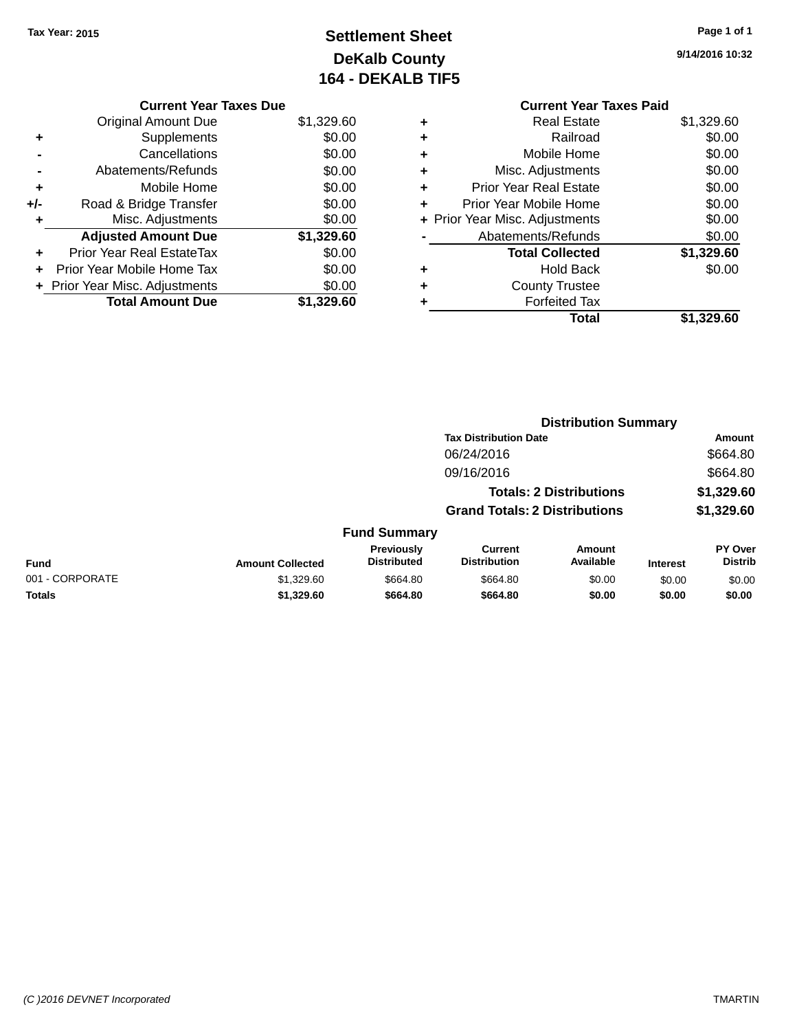## **Settlement Sheet Tax Year: 2015 Page 1 of 1 DeKalb County 164 - DEKALB TIF5**

**9/14/2016 10:32**

|     | <b>Current Year Taxes Due</b>  |            |  |  |  |
|-----|--------------------------------|------------|--|--|--|
|     | <b>Original Amount Due</b>     | \$1,329.60 |  |  |  |
| ٠   | Supplements                    | \$0.00     |  |  |  |
|     | Cancellations                  | \$0.00     |  |  |  |
|     | Abatements/Refunds             | \$0.00     |  |  |  |
| ٠   | Mobile Home                    | \$0.00     |  |  |  |
| +/- | Road & Bridge Transfer         | \$0.00     |  |  |  |
| ٠   | Misc. Adjustments              | \$0.00     |  |  |  |
|     | <b>Adjusted Amount Due</b>     | \$1,329.60 |  |  |  |
| ٠   | Prior Year Real EstateTax      | \$0.00     |  |  |  |
|     | Prior Year Mobile Home Tax     | \$0.00     |  |  |  |
|     | + Prior Year Misc. Adjustments | \$0.00     |  |  |  |
|     | <b>Total Amount Due</b>        | \$1.329.60 |  |  |  |

|   | <b>Real Estate</b>             | \$1,329.60 |
|---|--------------------------------|------------|
| ٠ | Railroad                       | \$0.00     |
| ٠ | Mobile Home                    | \$0.00     |
| ٠ | Misc. Adjustments              | \$0.00     |
| ٠ | <b>Prior Year Real Estate</b>  | \$0.00     |
|   | Prior Year Mobile Home         | \$0.00     |
|   | + Prior Year Misc. Adjustments | \$0.00     |
|   | Abatements/Refunds             | \$0.00     |
|   | <b>Total Collected</b>         | \$1,329.60 |
| ٠ | <b>Hold Back</b>               | \$0.00     |
| ٠ | <b>County Trustee</b>          |            |
| ٠ | <b>Forfeited Tax</b>           |            |
|   | Total                          | \$1,329.60 |
|   |                                |            |

|                 |                         |                                  |                                       | <b>Distribution Summary</b>    |                 |                           |
|-----------------|-------------------------|----------------------------------|---------------------------------------|--------------------------------|-----------------|---------------------------|
|                 |                         |                                  | <b>Tax Distribution Date</b>          |                                |                 | Amount                    |
|                 |                         |                                  | 06/24/2016                            |                                |                 | \$664.80                  |
|                 |                         |                                  | 09/16/2016                            |                                |                 | \$664.80                  |
|                 |                         |                                  |                                       | <b>Totals: 2 Distributions</b> |                 | \$1,329.60                |
|                 |                         |                                  | <b>Grand Totals: 2 Distributions</b>  |                                |                 | \$1,329.60                |
|                 |                         | <b>Fund Summary</b>              |                                       |                                |                 |                           |
| <b>Fund</b>     | <b>Amount Collected</b> | Previously<br><b>Distributed</b> | <b>Current</b><br><b>Distribution</b> | Amount<br>Available            | <b>Interest</b> | PY Over<br><b>Distrib</b> |
| 001 - CORPORATE | \$1,329.60              | \$664.80                         | \$664.80                              | \$0.00                         | \$0.00          | \$0.00                    |
| <b>Totals</b>   | \$1,329.60              | \$664.80                         | \$664.80                              | \$0.00                         | \$0.00          | \$0.00                    |
|                 |                         |                                  |                                       |                                |                 |                           |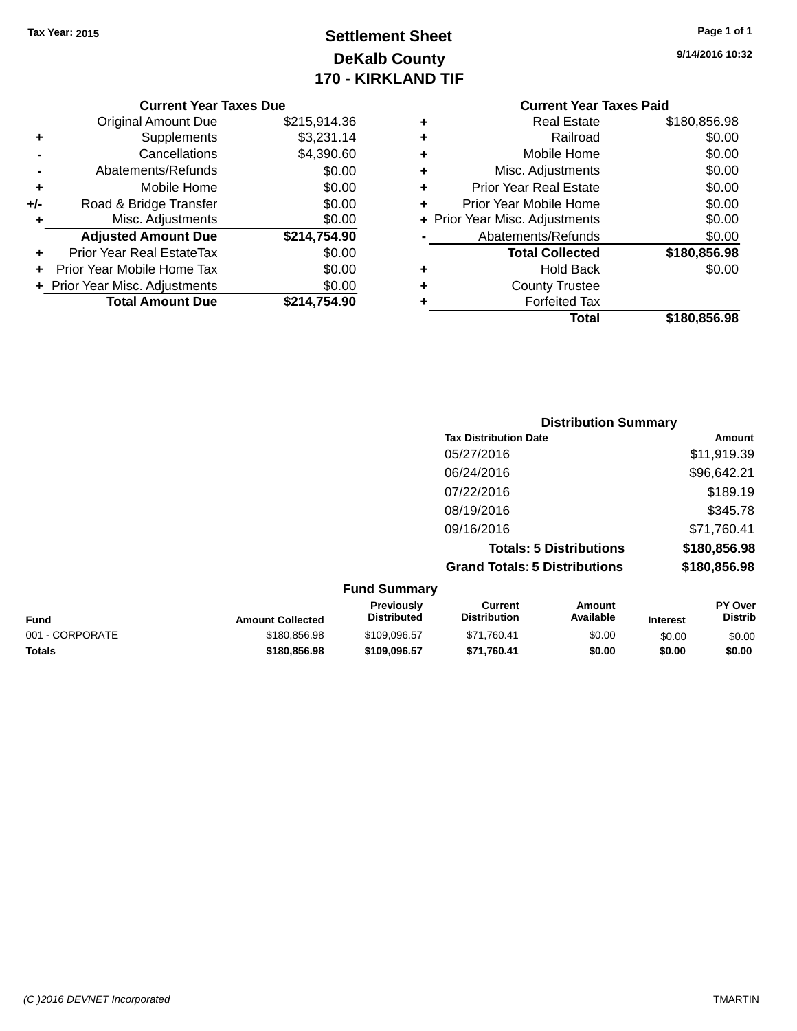## **Settlement Sheet Tax Year: 2015 Page 1 of 1 DeKalb County 170 - KIRKLAND TIF**

**9/14/2016 10:32**

| $+/-$<br>٠ | Road & Bridge Transfer<br>Misc. Adjustments | \$0.00<br>\$0.00 |
|------------|---------------------------------------------|------------------|
|            | <b>Adjusted Amount Due</b>                  | \$214,754.90     |
|            |                                             |                  |
| ÷          | Prior Year Real EstateTax                   | \$0.00           |
|            | Prior Year Mobile Home Tax                  | \$0.00           |
|            | + Prior Year Misc. Adjustments              | \$0.00           |

### **Current Year Taxes Paid +** Real Estate \$180,856.98 **+** Railroad \$0.00 **+** Mobile Home \$0.00 **+** Misc. Adjustments \$0.00

|   | Total                          | \$180,856.98 |
|---|--------------------------------|--------------|
| ÷ | <b>Forfeited Tax</b>           |              |
| ÷ | <b>County Trustee</b>          |              |
|   | <b>Hold Back</b>               | \$0.00       |
|   | <b>Total Collected</b>         | \$180,856.98 |
|   | Abatements/Refunds             | \$0.00       |
|   | + Prior Year Misc. Adjustments | \$0.00       |
| ÷ | Prior Year Mobile Home         | \$0.00       |
|   | <b>Prior Year Real Estate</b>  | \$0.00       |

| <b>Distribution Summary</b>          |              |
|--------------------------------------|--------------|
| <b>Tax Distribution Date</b>         | Amount       |
| 05/27/2016                           | \$11,919.39  |
| 06/24/2016                           | \$96,642.21  |
| 07/22/2016                           | \$189.19     |
| 08/19/2016                           | \$345.78     |
| 09/16/2016                           | \$71,760.41  |
| <b>Totals: 5 Distributions</b>       | \$180,856.98 |
| <b>Grand Totals: 5 Distributions</b> | \$180,856.98 |

| <b>Fund Summary</b>     |                                  |                                |                     |                 |                                  |
|-------------------------|----------------------------------|--------------------------------|---------------------|-----------------|----------------------------------|
| <b>Amount Collected</b> | <b>Previously</b><br>Distributed | Current<br><b>Distribution</b> | Amount<br>Available | <b>Interest</b> | <b>PY Over</b><br><b>Distrib</b> |
| \$180,856.98            | \$109.096.57                     | \$71,760.41                    | \$0.00              | \$0.00          | \$0.00                           |
| \$180,856,98            | \$109,096.57                     | \$71.760.41                    | \$0.00              | \$0.00          | \$0.00                           |
|                         |                                  |                                |                     |                 |                                  |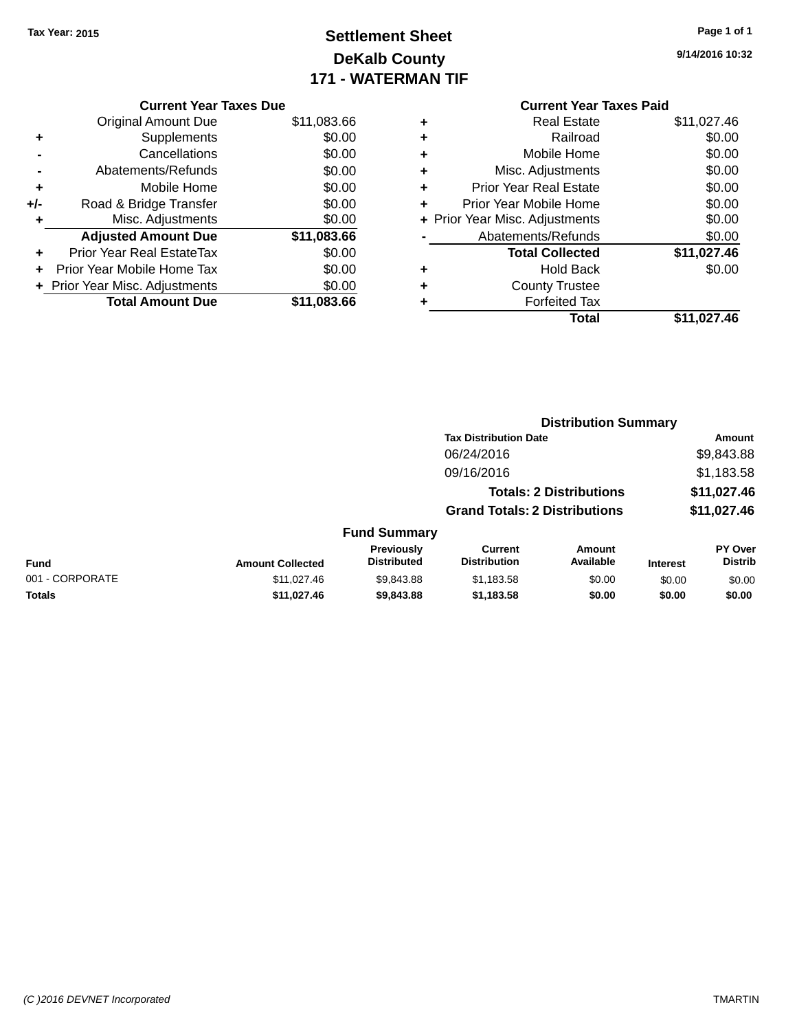## **Settlement Sheet Tax Year: 2015 Page 1 of 1 DeKalb County 171 - WATERMAN TIF**

|     | <b>Current Year Taxes Due</b>  |             |  |  |  |
|-----|--------------------------------|-------------|--|--|--|
|     | <b>Original Amount Due</b>     | \$11,083.66 |  |  |  |
| ٠   | Supplements                    | \$0.00      |  |  |  |
|     | Cancellations                  | \$0.00      |  |  |  |
|     | Abatements/Refunds             | \$0.00      |  |  |  |
| ٠   | Mobile Home                    | \$0.00      |  |  |  |
| +/- | Road & Bridge Transfer         | \$0.00      |  |  |  |
| ٠   | Misc. Adjustments              | \$0.00      |  |  |  |
|     | <b>Adjusted Amount Due</b>     | \$11,083.66 |  |  |  |
| ÷   | Prior Year Real EstateTax      | \$0.00      |  |  |  |
|     | Prior Year Mobile Home Tax     | \$0.00      |  |  |  |
|     | + Prior Year Misc. Adjustments | \$0.00      |  |  |  |
|     | <b>Total Amount Due</b>        | \$11.083.66 |  |  |  |
|     |                                |             |  |  |  |

### **Current Year Taxes Paid +** Real Estate \$11,027.46 **+** Railroad \$0.00 **+** Mobile Home \$0.00 **+** Misc. Adjustments \$0.00 **+** Prior Year Real Estate \$0.00 **+** Prior Year Mobile Home \$0.00<br> **+ Prior Year Misc. Adjustments** \$0.00 **+ Prior Year Misc. Adjustments**

|   | <b>Total</b>           | \$11,027.46 |
|---|------------------------|-------------|
| ٠ | <b>Forfeited Tax</b>   |             |
| ٠ | <b>County Trustee</b>  |             |
| ٠ | <b>Hold Back</b>       | \$0.00      |
|   | <b>Total Collected</b> | \$11,027.46 |
|   | Abatements/Refunds     | \$0.00      |
|   |                        |             |

|                  |                           | <b>Distribution Summary</b>          |                                |         |                                  |
|------------------|---------------------------|--------------------------------------|--------------------------------|---------|----------------------------------|
|                  |                           | <b>Tax Distribution Date</b>         |                                |         | Amount                           |
|                  |                           | 06/24/2016                           |                                |         | \$9,843.88                       |
|                  |                           | 09/16/2016                           |                                |         | \$1,183.58                       |
|                  |                           |                                      | <b>Totals: 2 Distributions</b> |         | \$11,027.46                      |
|                  |                           | <b>Grand Totals: 2 Distributions</b> |                                |         | \$11,027.46                      |
|                  | <b>Fund Summary</b>       |                                      |                                |         |                                  |
| Amount Colloctod | Previously<br>Distributed | Current<br>Distribution              | Amount<br>Available            | Intract | <b>PY Over</b><br><b>Distrib</b> |

| Fund            | <b>Amount Collected</b> | Previouslv<br>Distributed | Current<br><b>Distribution</b> | Amount<br>Available | <b>Interest</b> | <b>PY Over</b><br>Distrib |
|-----------------|-------------------------|---------------------------|--------------------------------|---------------------|-----------------|---------------------------|
| 001 - CORPORATE | \$11.027.46             | \$9.843.88                | \$1.183.58                     | \$0.00              | \$0.00          | \$0.00                    |
| <b>Totals</b>   | \$11.027.46             | \$9,843,88                | \$1.183.58                     | \$0.00              | \$0.00          | \$0.00                    |

**9/14/2016 10:32**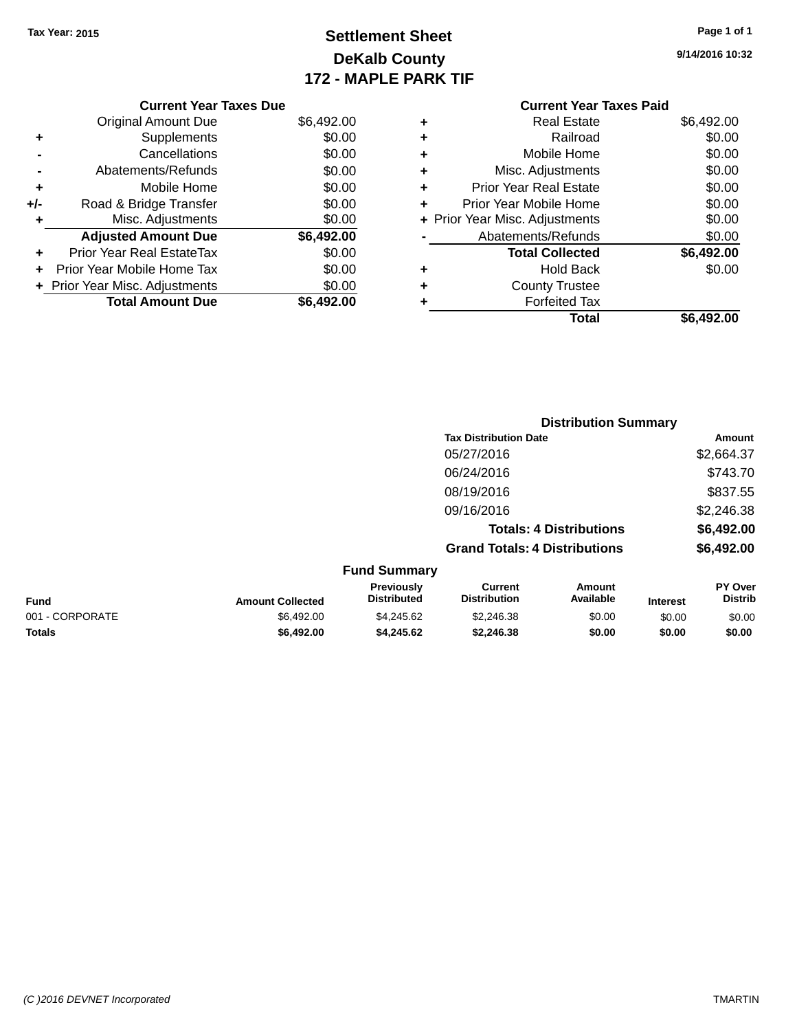**Original Amount Due** 

**Adjusted Amount Due** 

**Total Amount Due** 

**+** Supplements **-** Cancellations **-** Abatements/Refunds **+** Mobile Home **+/-** Road & Bridge Transfer **+** Misc. Adjustments

**+** Prior Year Real EstateTax \$0.00 **+** Prior Year Mobile Home Tax **+** Prior Year Misc. Adjustments

## **Settlement Sheet Tax Year: 2015 Page 1 of 1 DeKalb County 172 - MAPLE PARK TIF**

**9/14/2016 10:32**

| \$6,492.00 | <b>Total Collected</b>         |   | \$0.00     | leal EstateTax≀               |
|------------|--------------------------------|---|------------|-------------------------------|
| \$0.00     | Abatements/Refunds             |   | \$6,492.00 | <b>Amount Due</b>             |
| \$0.00     | + Prior Year Misc. Adjustments |   | \$0.00     | . Adjustments                 |
|            |                                |   |            | ridge Transfer                |
| \$0.00     | Prior Year Mobile Home         | ÷ | \$0.00     |                               |
| \$0.00     | <b>Prior Year Real Estate</b>  | ÷ | \$0.00     | Mobile Home                   |
| \$0.00     | Misc. Adjustments              | ÷ | \$0.00     | าents/Refunds                 |
| \$0.00     | Mobile Home                    | ÷ | \$0.00     | Cancellations                 |
| \$0.00     | Railroad                       | ÷ | \$0.00     | Supplements                   |
| \$6,492.00 | <b>Real Estate</b>             | ٠ | \$6,492.00 | ่<br>เl Amount Due            |
|            | <b>Current Year Taxes Paid</b> |   |            | <b>Current Year Taxes Due</b> |
|            |                                |   |            |                               |

|                 |                         |                                  | <b>Distribution Summary</b>           |                                |          |                           |
|-----------------|-------------------------|----------------------------------|---------------------------------------|--------------------------------|----------|---------------------------|
|                 |                         |                                  | <b>Tax Distribution Date</b>          |                                |          | Amount                    |
|                 |                         |                                  | 05/27/2016                            |                                |          | \$2,664.37                |
|                 |                         |                                  | 06/24/2016                            |                                |          | \$743.70                  |
|                 |                         |                                  | 08/19/2016                            |                                |          | \$837.55                  |
|                 |                         |                                  | 09/16/2016                            |                                |          | \$2,246.38                |
|                 |                         |                                  |                                       | <b>Totals: 4 Distributions</b> |          | \$6,492.00                |
|                 |                         |                                  | <b>Grand Totals: 4 Distributions</b>  |                                |          | \$6,492.00                |
|                 |                         | <b>Fund Summary</b>              |                                       |                                |          |                           |
| <b>Fund</b>     | <b>Amount Collected</b> | Previously<br><b>Distributed</b> | <b>Current</b><br><b>Distribution</b> | <b>Amount</b><br>Available     | Interest | PY Over<br><b>Distrib</b> |
| 001 - CORPORATE | \$6,492.00              | \$4,245.62                       | \$2,246.38                            | \$0.00                         | \$0.00   | \$0.00                    |

**Totals \$6,492.00 \$4,245.62 \$2,246.38 \$0.00 \$0.00 \$0.00**

#### *(C )2016 DEVNET Incorporated* TMARTIN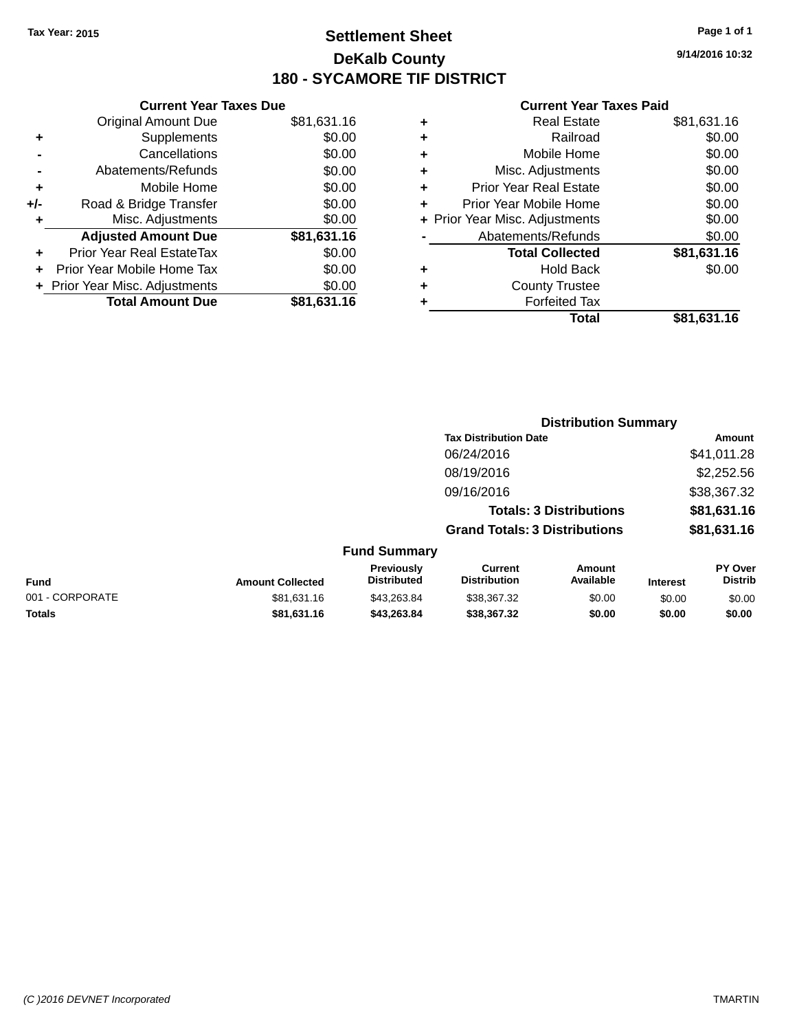### **Settlement Sheet Tax Year: 2015 Page 1 of 1 DeKalb County 180 - SYCAMORE TIF DISTRICT**

**9/14/2016 10:32**

| <b>Current Year Taxes Due</b>  |             |
|--------------------------------|-------------|
| <b>Original Amount Due</b>     | \$81,631.16 |
| Supplements                    | \$0.00      |
| Cancellations                  | \$0.00      |
| Abatements/Refunds             | \$0.00      |
| Mobile Home                    | \$0.00      |
| Road & Bridge Transfer         | \$0.00      |
| Misc. Adjustments              | \$0.00      |
| <b>Adjusted Amount Due</b>     | \$81,631.16 |
| Prior Year Real EstateTax      | \$0.00      |
| Prior Year Mobile Home Tax     | \$0.00      |
| + Prior Year Misc. Adjustments | \$0.00      |
| <b>Total Amount Due</b>        | \$81,631.16 |
|                                |             |

|   | <b>Real Estate</b>             | \$81,631.16 |
|---|--------------------------------|-------------|
| ٠ | Railroad                       | \$0.00      |
| ٠ | Mobile Home                    | \$0.00      |
| ٠ | Misc. Adjustments              | \$0.00      |
| ٠ | <b>Prior Year Real Estate</b>  | \$0.00      |
| ÷ | Prior Year Mobile Home         | \$0.00      |
|   | + Prior Year Misc. Adjustments | \$0.00      |
|   | Abatements/Refunds             | \$0.00      |
|   | <b>Total Collected</b>         | \$81,631.16 |
| ٠ | Hold Back                      | \$0.00      |
| ٠ | <b>County Trustee</b>          |             |
| ٠ | <b>Forfeited Tax</b>           |             |
|   | Total                          | \$81,631.16 |
|   |                                |             |

|                 |                         |                                  | <b>Distribution Summary</b>           |                                |                 |                           |
|-----------------|-------------------------|----------------------------------|---------------------------------------|--------------------------------|-----------------|---------------------------|
|                 |                         |                                  | <b>Tax Distribution Date</b>          |                                |                 | <b>Amount</b>             |
|                 |                         |                                  | 06/24/2016                            |                                |                 | \$41,011.28               |
|                 |                         |                                  | 08/19/2016                            |                                |                 | \$2,252.56                |
|                 |                         |                                  | 09/16/2016                            |                                |                 | \$38,367.32               |
|                 |                         |                                  |                                       | <b>Totals: 3 Distributions</b> |                 | \$81,631.16               |
|                 |                         |                                  | <b>Grand Totals: 3 Distributions</b>  |                                |                 | \$81,631.16               |
|                 |                         | <b>Fund Summary</b>              |                                       |                                |                 |                           |
| <b>Fund</b>     | <b>Amount Collected</b> | Previously<br><b>Distributed</b> | <b>Current</b><br><b>Distribution</b> | Amount<br>Available            | <b>Interest</b> | PY Over<br><b>Distrib</b> |
| 001 - CORPORATE | \$81,631.16             | \$43,263.84                      | \$38,367.32                           | \$0.00                         | \$0.00          | \$0.00                    |
| <b>Totals</b>   | \$81,631.16             | \$43,263.84                      | \$38,367.32                           | \$0.00                         | \$0.00          | \$0.00                    |
|                 |                         |                                  |                                       |                                |                 |                           |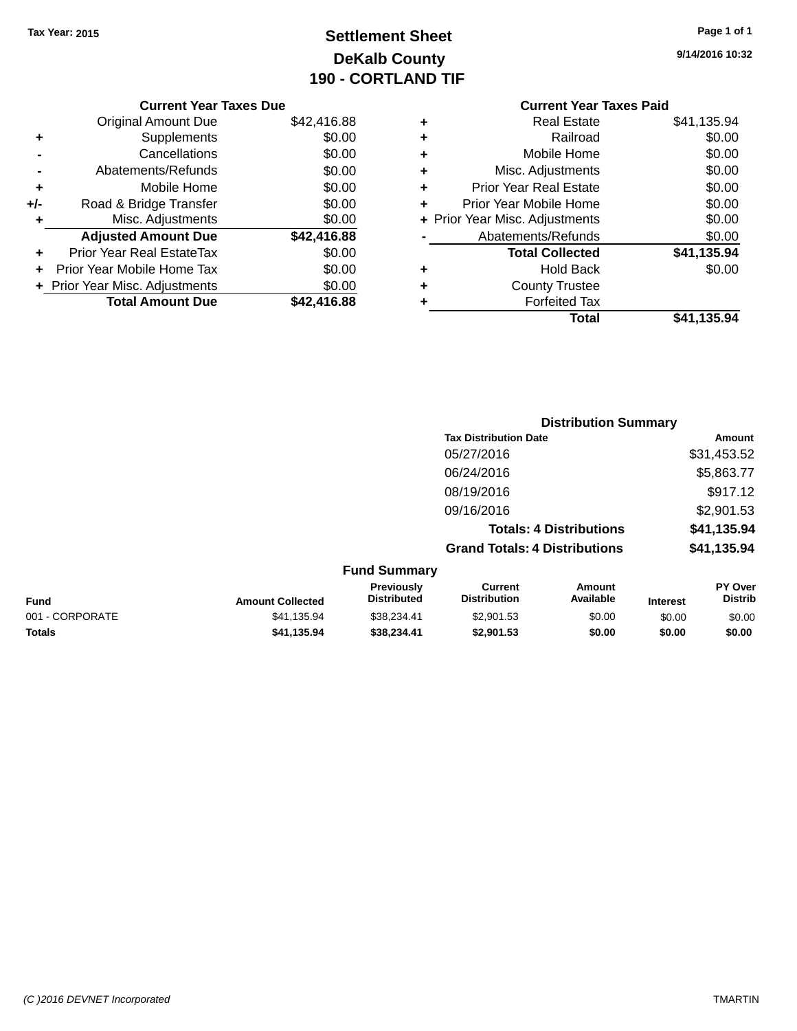## **Settlement Sheet Tax Year: 2015 Page 1 of 1 DeKalb County 190 - CORTLAND TIF**

| Page 1 of 1 |  |  |
|-------------|--|--|
|             |  |  |

**9/14/2016 10:32**

|     | <b>Current Year Taxes Due</b>  |             |
|-----|--------------------------------|-------------|
|     | <b>Original Amount Due</b>     | \$42,416.88 |
| ٠   | Supplements                    | \$0.00      |
|     | Cancellations                  | \$0.00      |
|     | Abatements/Refunds             | \$0.00      |
| ٠   | Mobile Home                    | \$0.00      |
| +/- | Road & Bridge Transfer         | \$0.00      |
| ٠   | Misc. Adjustments              | \$0.00      |
|     | <b>Adjusted Amount Due</b>     | \$42,416.88 |
| ٠   | Prior Year Real EstateTax      | \$0.00      |
| ÷   | Prior Year Mobile Home Tax     | \$0.00      |
|     | + Prior Year Misc. Adjustments | \$0.00      |
|     | <b>Total Amount Due</b>        | \$42,416.88 |
|     |                                |             |

### **Current Year Taxes Paid +** Real Estate \$41,135.94 **+** Railroad \$0.00 **+** Mobile Home \$0.00 **+** Misc. Adjustments \$0.00 **+** Prior Year Real Estate \$0.00 **+** Prior Year Mobile Home \$0.00 **+ Prior Year Misc. Adjustments**  $$0.00$ **-** Abatements/Refunds \$0.00 **Total Collected \$41,135.94 +** Hold Back \$0.00 **+** County Trustee **+** Forfeited Tax **Total \$41,135.94**

**Distribution Summary**

|                 |                         |                                  |                                       | 213811846011 Julianu           |                 |                           |
|-----------------|-------------------------|----------------------------------|---------------------------------------|--------------------------------|-----------------|---------------------------|
|                 |                         |                                  | <b>Tax Distribution Date</b>          |                                |                 | Amount                    |
|                 |                         |                                  | 05/27/2016                            |                                |                 | \$31,453.52               |
|                 |                         |                                  | 06/24/2016                            |                                |                 | \$5,863.77                |
|                 |                         |                                  | 08/19/2016                            |                                |                 | \$917.12                  |
|                 |                         |                                  | 09/16/2016                            |                                |                 | \$2,901.53                |
|                 |                         |                                  |                                       | <b>Totals: 4 Distributions</b> |                 | \$41,135.94               |
|                 |                         |                                  | <b>Grand Totals: 4 Distributions</b>  |                                |                 | \$41,135.94               |
|                 |                         | <b>Fund Summary</b>              |                                       |                                |                 |                           |
| <b>Fund</b>     | <b>Amount Collected</b> | Previously<br><b>Distributed</b> | <b>Current</b><br><b>Distribution</b> | Amount<br>Available            | <b>Interest</b> | PY Over<br><b>Distrib</b> |
| 001 - CORPORATE | \$41,135.94             | \$38,234.41                      | \$2,901.53                            | \$0.00                         | \$0.00          | \$0.00                    |
| <b>Totals</b>   | \$41,135.94             | \$38,234.41                      | \$2,901.53                            | \$0.00                         | \$0.00          | \$0.00                    |
|                 |                         |                                  |                                       |                                |                 |                           |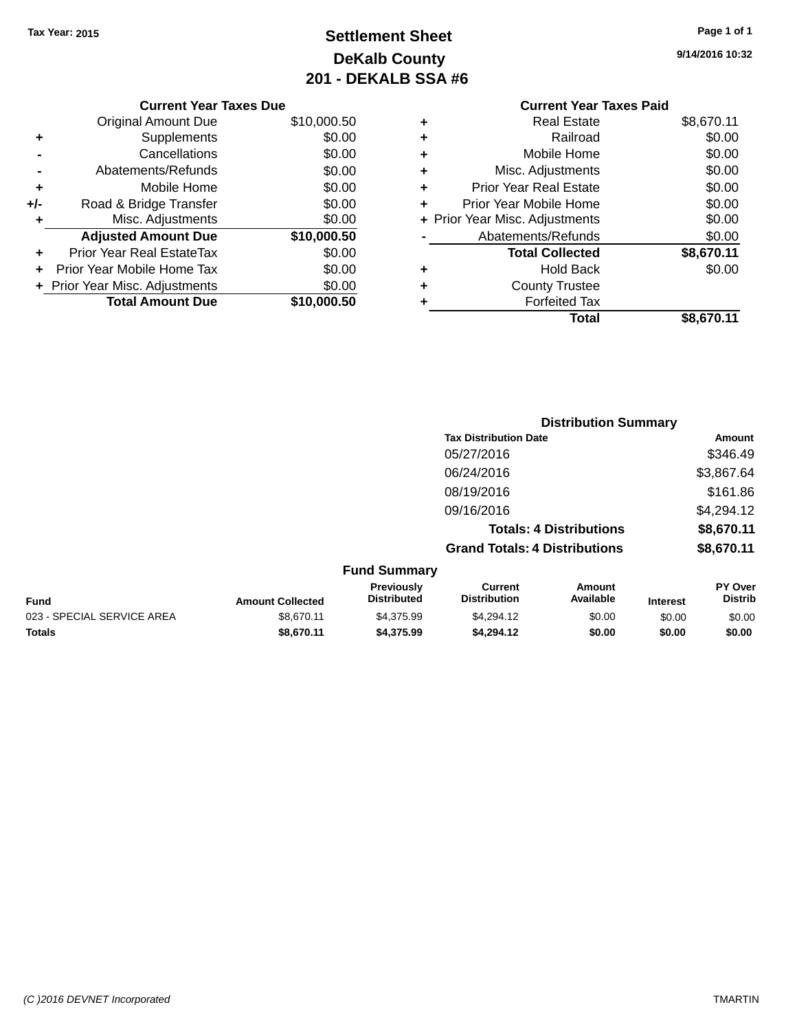## **Settlement Sheet Tax Year: 2015 Page 1 of 1 DeKalb County 201 - DEKALB SSA #6**

|       | <b>Current Year Taxes Due</b>  |             |
|-------|--------------------------------|-------------|
|       | <b>Original Amount Due</b>     | \$10,000.50 |
| ٠     | Supplements                    | \$0.00      |
|       | Cancellations                  | \$0.00      |
|       | Abatements/Refunds             | \$0.00      |
| ٠     | Mobile Home                    | \$0.00      |
| $+/-$ | Road & Bridge Transfer         | \$0.00      |
| ٠     | Misc. Adjustments              | \$0.00      |
|       | <b>Adjusted Amount Due</b>     | \$10,000.50 |
| ÷     | Prior Year Real EstateTax      | \$0.00      |
|       | Prior Year Mobile Home Tax     | \$0.00      |
|       | + Prior Year Misc. Adjustments | \$0.00      |
|       | <b>Total Amount Due</b>        | \$10,000,50 |
|       |                                |             |

### **Current Year Taxes Paid +** Real Estate \$8,670.11 **+** Railroad \$0.00 **+** Mobile Home \$0.00 **+** Misc. Adjustments \$0.00 **+** Prior Year Real Estate \$0.00 **+** Prior Year Mobile Home \$0.00

|           | Total                          | \$8,670.11 |
|-----------|--------------------------------|------------|
|           | <b>Forfeited Tax</b>           |            |
|           | <b>County Trustee</b>          |            |
| $\ddot{}$ | <b>Hold Back</b>               | \$0.00     |
|           | <b>Total Collected</b>         | \$8,670.11 |
|           | Abatements/Refunds             | \$0.00     |
|           | + Prior Year Misc. Adjustments | \$0.00     |
|           |                                |            |

|                      |                         |                                  |                                       | <b>Distribution Summary</b>    |                 |                                  |
|----------------------|-------------------------|----------------------------------|---------------------------------------|--------------------------------|-----------------|----------------------------------|
|                      |                         |                                  | <b>Tax Distribution Date</b>          |                                |                 | Amount                           |
|                      |                         |                                  | 05/27/2016                            |                                |                 | \$346.49                         |
|                      |                         |                                  | 06/24/2016                            |                                |                 | \$3,867.64                       |
|                      |                         |                                  | 08/19/2016                            |                                |                 | \$161.86                         |
|                      |                         |                                  | 09/16/2016                            |                                |                 | \$4,294.12                       |
|                      |                         |                                  |                                       | <b>Totals: 4 Distributions</b> |                 | \$8,670.11                       |
|                      |                         |                                  | <b>Grand Totals: 4 Distributions</b>  |                                |                 | \$8,670.11                       |
|                      |                         | <b>Fund Summary</b>              |                                       |                                |                 |                                  |
|                      | <b>Amount Collected</b> | Previously<br><b>Distributed</b> | <b>Current</b><br><b>Distribution</b> | Amount<br>Available            | <b>Interest</b> | <b>PY Over</b><br><b>Distrib</b> |
| $\ddot{\phantom{a}}$ | $\cdots$                | $ - - - -$                       |                                       | $\sim$ $\sim$                  | $\cdots$        | $\cdots$                         |

| <b>Amount Collected</b> | .<br><b>Distributed</b> | --------<br><b>Distribution</b> | .<br>Available | Interest | .<br><b>Distrib</b> |
|-------------------------|-------------------------|---------------------------------|----------------|----------|---------------------|
| \$8.670.11              | \$4.375.99              | \$4,294.12                      | \$0.00         | \$0.00   | \$0.00              |
| \$8,670.11              | \$4,375.99              | \$4.294.12                      | \$0.00         | \$0.00   | \$0.00              |
|                         |                         |                                 |                |          |                     |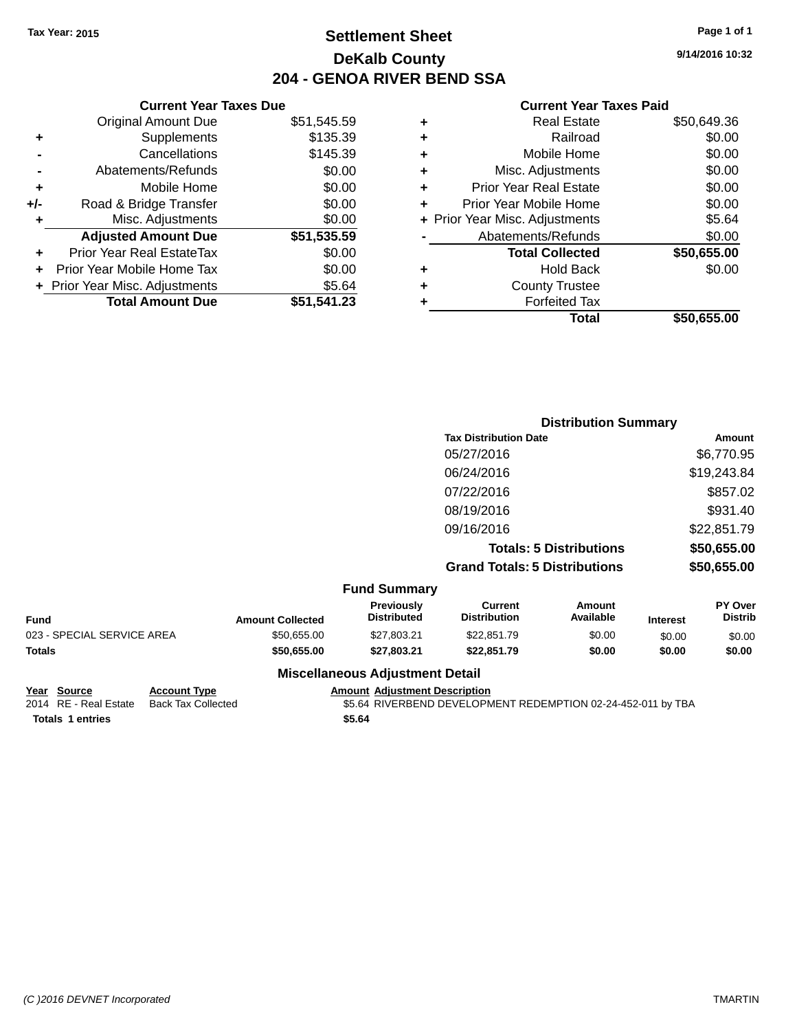### **Settlement Sheet Tax Year: 2015 Page 1 of 1 DeKalb County 204 - GENOA RIVER BEND SSA**

**9/14/2016 10:32**

#### **Current Year Taxes Paid**

|     | <b>Current Year Taxes Due</b>  |             |  |
|-----|--------------------------------|-------------|--|
|     | <b>Original Amount Due</b>     | \$51,545.59 |  |
| ٠   | Supplements                    | \$135.39    |  |
|     | Cancellations                  | \$145.39    |  |
|     | Abatements/Refunds             | \$0.00      |  |
| ٠   | Mobile Home                    | \$0.00      |  |
| +/- | Road & Bridge Transfer         | \$0.00      |  |
| ٠   | Misc. Adjustments              | \$0.00      |  |
|     | <b>Adjusted Amount Due</b>     | \$51,535.59 |  |
| ٠   | Prior Year Real EstateTax      | \$0.00      |  |
| ÷   | Prior Year Mobile Home Tax     | \$0.00      |  |
|     | + Prior Year Misc. Adjustments | \$5.64      |  |
|     | <b>Total Amount Due</b>        | \$51,541.23 |  |
|     |                                |             |  |

| ٠ | <b>Real Estate</b>             | \$50,649.36 |
|---|--------------------------------|-------------|
| ÷ | Railroad                       | \$0.00      |
| ٠ | Mobile Home                    | \$0.00      |
| ٠ | Misc. Adjustments              | \$0.00      |
| ٠ | <b>Prior Year Real Estate</b>  | \$0.00      |
| ٠ | Prior Year Mobile Home         | \$0.00      |
|   | + Prior Year Misc. Adjustments | \$5.64      |
|   | Abatements/Refunds             | \$0.00      |
|   | <b>Total Collected</b>         | \$50,655.00 |
| ٠ | Hold Back                      | \$0.00      |
| ٠ | <b>County Trustee</b>          |             |
| ٠ | <b>Forfeited Tax</b>           |             |
|   | Total                          | \$50,655,00 |
|   |                                |             |

|                     | <b>Distribution Summary</b>          |             |
|---------------------|--------------------------------------|-------------|
|                     | <b>Tax Distribution Date</b>         | Amount      |
|                     | 05/27/2016                           | \$6,770.95  |
|                     | 06/24/2016                           | \$19,243.84 |
|                     | 07/22/2016                           | \$857.02    |
|                     | 08/19/2016                           | \$931.40    |
|                     | 09/16/2016                           | \$22,851.79 |
|                     | <b>Totals: 5 Distributions</b>       | \$50,655.00 |
|                     | <b>Grand Totals: 5 Distributions</b> | \$50,655.00 |
| <b>Fund Summary</b> |                                      |             |

|                            |                         | - - - - - - - - - - - - -               |                                |                     |                 |                                  |
|----------------------------|-------------------------|-----------------------------------------|--------------------------------|---------------------|-----------------|----------------------------------|
| Fund                       | <b>Amount Collected</b> | <b>Previously</b><br><b>Distributed</b> | Current<br><b>Distribution</b> | Amount<br>Available | <b>Interest</b> | <b>PY Over</b><br><b>Distrib</b> |
| 023 - SPECIAL SERVICE AREA | \$50.655.00             | \$27.803.21                             | \$22,851.79                    | \$0.00              | \$0.00          | \$0.00                           |
| Totals                     | \$50,655,00             | \$27.803.21                             | \$22.851.79                    | \$0.00              | \$0.00          | \$0.00                           |
|                            |                         | <b>Miscellaneous Adjustment Detail</b>  |                                |                     |                 |                                  |

**Year Source Account Type Account Type Amount Adjustment Description**<br>2014 RE - Real Estate Back Tax Collected \$5.64 RIVERBEND DEVELOPM **Totals \$5.64 1 entries**

\$5.64 RIVERBEND DEVELOPMENT REDEMPTION 02-24-452-011 by TBA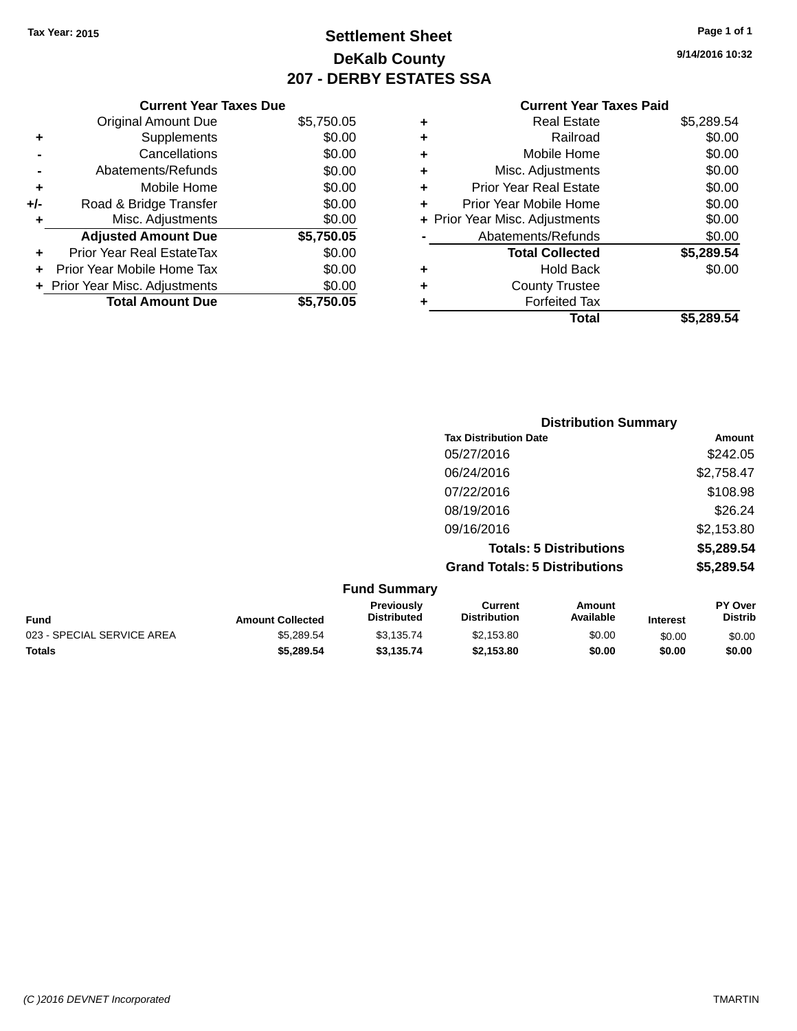### **Settlement Sheet Tax Year: 2015 Page 1 of 1 DeKalb County 207 - DERBY ESTATES SSA**

**9/14/2016 10:32**

|     | <b>Current Year Taxes Due</b>  |            |
|-----|--------------------------------|------------|
|     | <b>Original Amount Due</b>     | \$5,750.05 |
| ٠   | Supplements                    | \$0.00     |
|     | Cancellations                  | \$0.00     |
|     | Abatements/Refunds             | \$0.00     |
| ٠   | Mobile Home                    | \$0.00     |
| +/- | Road & Bridge Transfer         | \$0.00     |
| ٠   | Misc. Adjustments              | \$0.00     |
|     | <b>Adjusted Amount Due</b>     | \$5,750.05 |
| ÷   | Prior Year Real EstateTax      | \$0.00     |
|     | Prior Year Mobile Home Tax     | \$0.00     |
|     | + Prior Year Misc. Adjustments | \$0.00     |
|     | <b>Total Amount Due</b>        | \$5.750.05 |

| ٠ | <b>Real Estate</b>             | \$5,289.54 |
|---|--------------------------------|------------|
| ٠ | Railroad                       | \$0.00     |
| ٠ | Mobile Home                    | \$0.00     |
| ٠ | Misc. Adjustments              | \$0.00     |
| ٠ | <b>Prior Year Real Estate</b>  | \$0.00     |
| ÷ | Prior Year Mobile Home         | \$0.00     |
|   | + Prior Year Misc. Adjustments | \$0.00     |
|   | Abatements/Refunds             | \$0.00     |
|   | <b>Total Collected</b>         | \$5,289.54 |
| ٠ | Hold Back                      | \$0.00     |
| ٠ | <b>County Trustee</b>          |            |
| ٠ | <b>Forfeited Tax</b>           |            |
|   | Total                          | \$5.289.54 |
|   |                                |            |

| <b>Distribution Summary</b>          |            |
|--------------------------------------|------------|
| <b>Tax Distribution Date</b>         | Amount     |
| 05/27/2016                           | \$242.05   |
| 06/24/2016                           | \$2,758.47 |
| 07/22/2016                           | \$108.98   |
| 08/19/2016                           | \$26.24    |
| 09/16/2016                           | \$2,153.80 |
| <b>Totals: 5 Distributions</b>       | \$5,289.54 |
| <b>Grand Totals: 5 Distributions</b> | \$5,289.54 |
| <b>Fund Summary</b>                  |            |

|                         | .  v                                    |                                |                     |                 |                                  |
|-------------------------|-----------------------------------------|--------------------------------|---------------------|-----------------|----------------------------------|
| <b>Amount Collected</b> | <b>Previously</b><br><b>Distributed</b> | Current<br><b>Distribution</b> | Amount<br>Available | <b>Interest</b> | <b>PY Over</b><br><b>Distrib</b> |
| \$5,289.54              | \$3,135.74                              | \$2.153.80                     | \$0.00              | \$0.00          | \$0.00                           |
| \$5,289.54              | \$3.135.74                              | \$2.153.80                     | \$0.00              | \$0.00          | \$0.00                           |
|                         |                                         |                                |                     |                 |                                  |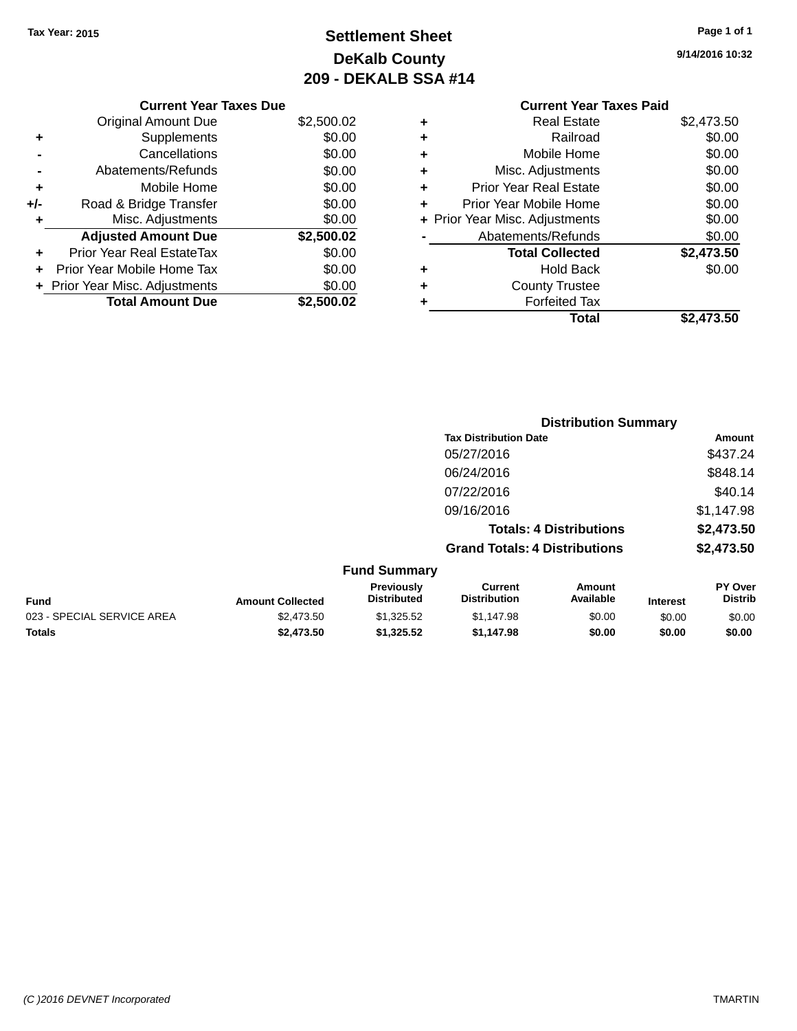## **Settlement Sheet Tax Year: 2015 Page 1 of 1 DeKalb County 209 - DEKALB SSA #14**

**9/14/2016 10:32**

|     | <b>Current Year Taxes Due</b>  |            |
|-----|--------------------------------|------------|
|     | Original Amount Due            | \$2,500.02 |
|     | Supplements                    | \$0.00     |
|     | Cancellations                  | \$0.00     |
|     | Abatements/Refunds             | \$0.00     |
| ٠   | Mobile Home                    | \$0.00     |
| +/- | Road & Bridge Transfer         | \$0.00     |
|     | Misc. Adjustments              | \$0.00     |
|     | <b>Adjusted Amount Due</b>     | \$2,500.02 |
| ٠   | Prior Year Real EstateTax      | \$0.00     |
|     | Prior Year Mobile Home Tax     | \$0.00     |
|     | + Prior Year Misc. Adjustments | \$0.00     |
|     | <b>Total Amount Due</b>        | \$2,500.02 |
|     |                                |            |

#### **Current Year Taxes Paid +** Real Estate \$2,473.50 **+** Railroad \$0.00 **+** Mobile Home \$0.00 **+** Misc. Adjustments \$0.00

|   | Total                          | \$2,473.50 |
|---|--------------------------------|------------|
|   | <b>Forfeited Tax</b>           |            |
| ÷ | <b>County Trustee</b>          |            |
|   | <b>Hold Back</b>               | \$0.00     |
|   | <b>Total Collected</b>         | \$2,473.50 |
|   | Abatements/Refunds             | \$0.00     |
|   | + Prior Year Misc. Adjustments | \$0.00     |
| ÷ | Prior Year Mobile Home         | \$0.00     |
| ÷ | <b>Prior Year Real Estate</b>  | \$0.00     |

|                   |                                  |                                      | <b>Distribution Summary</b>    |                 |                                  |
|-------------------|----------------------------------|--------------------------------------|--------------------------------|-----------------|----------------------------------|
|                   |                                  | <b>Tax Distribution Date</b>         |                                |                 | Amount                           |
|                   |                                  | 05/27/2016                           |                                |                 | \$437.24                         |
|                   |                                  | 06/24/2016                           |                                |                 | \$848.14                         |
|                   |                                  | 07/22/2016                           |                                |                 | \$40.14                          |
|                   |                                  | 09/16/2016                           |                                |                 | \$1,147.98                       |
|                   |                                  |                                      | <b>Totals: 4 Distributions</b> |                 | \$2,473.50                       |
|                   |                                  | <b>Grand Totals: 4 Distributions</b> |                                |                 | \$2,473.50                       |
|                   | <b>Fund Summary</b>              |                                      |                                |                 |                                  |
| المحفو والمكافحات | Previously<br><b>Dictributad</b> | Current<br><b>Distribution</b>       | Amount<br>Availahla            | $1 - 1 - 1 - 1$ | <b>PY Over</b><br><b>Dictrib</b> |

| <b>Fund</b>                | <b>Amount Collected</b> | <b>Previously</b><br><b>Distributed</b> | ∪urrent<br><b>Distribution</b> | Amount<br>Available | Interest | <b>PT OVER</b><br>Distrib |
|----------------------------|-------------------------|-----------------------------------------|--------------------------------|---------------------|----------|---------------------------|
| 023 - SPECIAL SERVICE AREA | \$2.473.50              | \$1.325.52                              | \$1.147.98                     | \$0.00              | \$0.00   | \$0.00                    |
| <b>Totals</b>              | \$2,473.50              | \$1.325.52                              | \$1.147.98                     | \$0.00              | \$0.00   | \$0.00                    |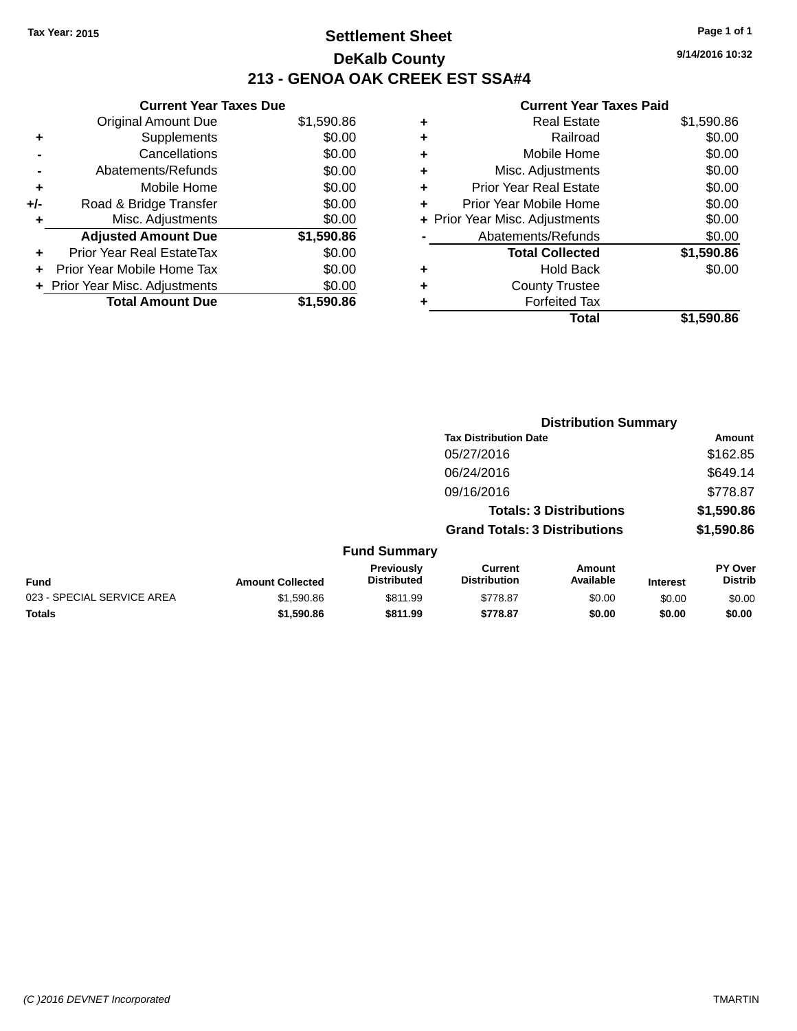### **Settlement Sheet Tax Year: 2015 Page 1 of 1 DeKalb County 213 - GENOA OAK CREEK EST SSA#4**

**Current Year Taxes Due** Original Amount Due \$1,590.86 **+** Supplements \$0.00 **-** Cancellations \$0.00 **-** Abatements/Refunds \$0.00 **+** Mobile Home \$0.00 **+/-** Road & Bridge Transfer \$0.00 **+** Misc. Adjustments \$0.00 **Adjusted Amount Due \$1,590.86 +** Prior Year Real EstateTax \$0.00 **+** Prior Year Mobile Home Tax \$0.00 **+ Prior Year Misc. Adjustments**  $$0.00$ **Total Amount Due \$1,590.86**

#### **Current Year Taxes Paid**

| ٠ | <b>Real Estate</b>             | \$1,590.86 |
|---|--------------------------------|------------|
| ٠ | Railroad                       | \$0.00     |
| ٠ | Mobile Home                    | \$0.00     |
| ٠ | Misc. Adjustments              | \$0.00     |
| ٠ | <b>Prior Year Real Estate</b>  | \$0.00     |
| ٠ | Prior Year Mobile Home         | \$0.00     |
|   | + Prior Year Misc. Adjustments | \$0.00     |
|   | Abatements/Refunds             | \$0.00     |
|   | <b>Total Collected</b>         | \$1,590.86 |
| ٠ | <b>Hold Back</b>               | \$0.00     |
| ٠ | <b>County Trustee</b>          |            |
| ٠ | <b>Forfeited Tax</b>           |            |
|   | Total                          | \$1,590.86 |
|   |                                |            |

|                            |                         |                                  |                                       |                                | <b>Distribution Summary</b> |                                  |  |
|----------------------------|-------------------------|----------------------------------|---------------------------------------|--------------------------------|-----------------------------|----------------------------------|--|
|                            |                         |                                  | <b>Tax Distribution Date</b>          |                                |                             | Amount                           |  |
|                            |                         |                                  | 05/27/2016                            |                                |                             | \$162.85                         |  |
|                            |                         |                                  | 06/24/2016                            |                                |                             | \$649.14                         |  |
|                            |                         |                                  | 09/16/2016                            |                                |                             | \$778.87                         |  |
|                            |                         |                                  |                                       | <b>Totals: 3 Distributions</b> |                             | \$1,590.86                       |  |
|                            |                         |                                  | <b>Grand Totals: 3 Distributions</b>  |                                |                             | \$1,590.86                       |  |
|                            |                         | <b>Fund Summary</b>              |                                       |                                |                             |                                  |  |
| <b>Fund</b>                | <b>Amount Collected</b> | Previously<br><b>Distributed</b> | <b>Current</b><br><b>Distribution</b> | <b>Amount</b><br>Available     | <b>Interest</b>             | <b>PY Over</b><br><b>Distrib</b> |  |
| 023 - SPECIAL SERVICE AREA | \$1,590.86              | \$811.99                         | \$778.87                              | \$0.00                         | \$0.00                      | \$0.00                           |  |
| <b>Totals</b>              | \$1,590.86              | \$811.99                         | \$778.87                              | \$0.00                         | \$0.00                      | \$0.00                           |  |
|                            |                         |                                  |                                       |                                |                             |                                  |  |

**9/14/2016 10:32**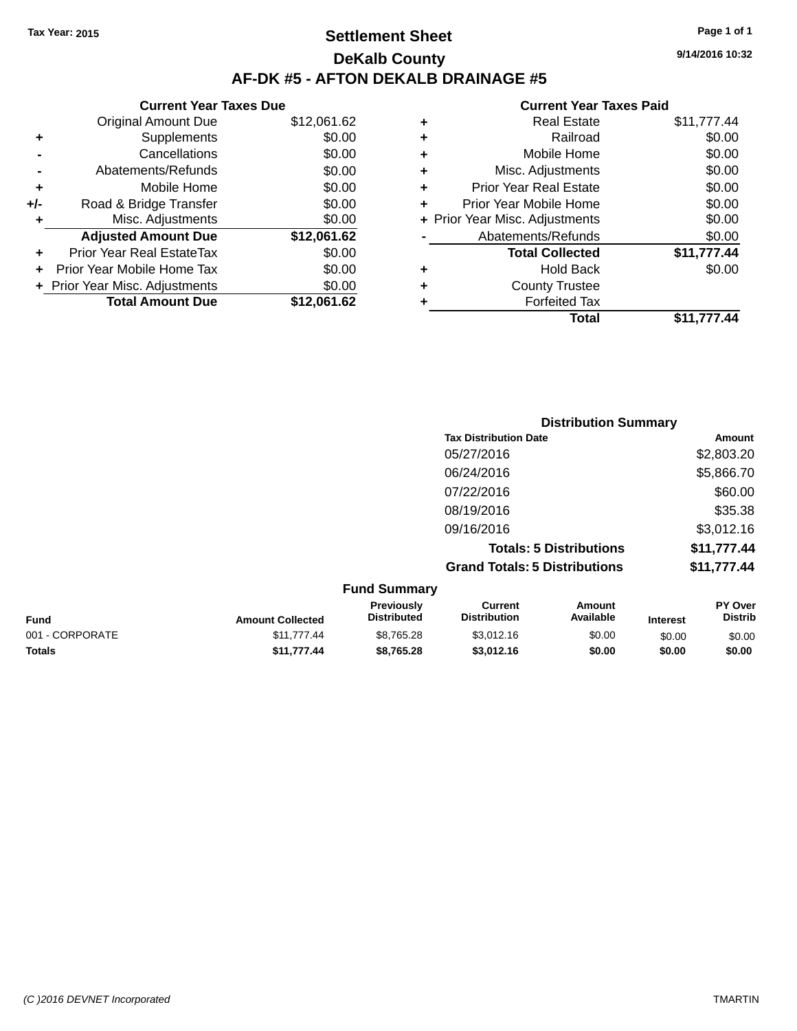### **Settlement Sheet Tax Year: 2015 Page 1 of 1 DeKalb County AF-DK #5 - AFTON DEKALB DRAINAGE #5**

|       | <b>Current Year Taxes Due</b>  |             |  |  |  |  |
|-------|--------------------------------|-------------|--|--|--|--|
|       | <b>Original Amount Due</b>     | \$12,061.62 |  |  |  |  |
|       | Supplements                    | \$0.00      |  |  |  |  |
|       | Cancellations                  | \$0.00      |  |  |  |  |
|       | Abatements/Refunds             | \$0.00      |  |  |  |  |
| ٠     | Mobile Home                    | \$0.00      |  |  |  |  |
| $+/-$ | Road & Bridge Transfer         | \$0.00      |  |  |  |  |
| ٠     | Misc. Adjustments              | \$0.00      |  |  |  |  |
|       | <b>Adjusted Amount Due</b>     | \$12,061.62 |  |  |  |  |
| ÷     | Prior Year Real EstateTax      | \$0.00      |  |  |  |  |
|       | Prior Year Mobile Home Tax     | \$0.00      |  |  |  |  |
|       | + Prior Year Misc. Adjustments | \$0.00      |  |  |  |  |
|       | <b>Total Amount Due</b>        | \$12,061.62 |  |  |  |  |
|       |                                |             |  |  |  |  |

#### **Current Year Taxes Paid +** Real Estate \$11,777.44 **+** Railroad \$0.00 **+** Mobile Home \$0.00 **+** Misc. Adjustments \$0.00 **+** Prior Year Real Estate \$0.00 **+** Prior Year Mobile Home \$0.00 **+ Prior Year Misc. Adjustments**  $$0.00$ **-** Abatements/Refunds \$0.00 **Total Collected \$11,777.44 +** Hold Back \$0.00 **+** County Trustee **+** Forfeited Tax **Total \$11,777.44**

| <b>Distribution Summary</b> |  |  |
|-----------------------------|--|--|
| Amount                      |  |  |
| \$2,803.20                  |  |  |
| \$5,866.70                  |  |  |
| \$60.00                     |  |  |
| \$35.38                     |  |  |
| \$3,012.16                  |  |  |
| \$11,777.44                 |  |  |
| \$11,777.44                 |  |  |
|                             |  |  |
|                             |  |  |

| <b>Fund</b>     | <b>Amount Collected</b> | <b>Previously</b><br><b>Distributed</b> | Current<br><b>Distribution</b> | Amount<br>Available | <b>Interest</b> | <b>PY Over</b><br><b>Distrib</b> |
|-----------------|-------------------------|-----------------------------------------|--------------------------------|---------------------|-----------------|----------------------------------|
| 001 - CORPORATE | \$11.777.44             | \$8,765.28                              | \$3,012.16                     | \$0.00              | \$0.00          | \$0.00                           |
| <b>Totals</b>   | \$11.777.44             | \$8.765.28                              | \$3,012.16                     | \$0.00              | \$0.00          | \$0.00                           |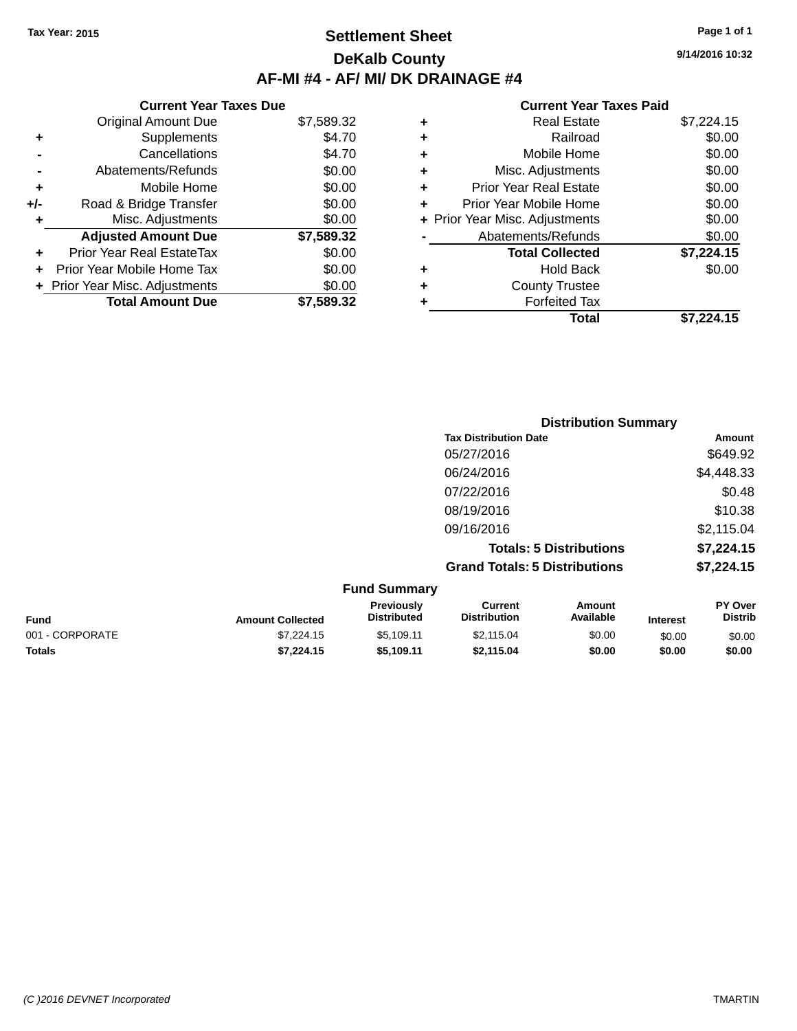### **Settlement Sheet Tax Year: 2015 Page 1 of 1 DeKalb County AF-MI #4 - AF/ MI/ DK DRAINAGE #4**

**9/14/2016 10:32**

|     | <b>Current Year Taxes Due</b>    |            |
|-----|----------------------------------|------------|
|     | <b>Original Amount Due</b>       | \$7,589.32 |
| ٠   | Supplements                      | \$4.70     |
|     | Cancellations                    | \$4.70     |
|     | Abatements/Refunds               | \$0.00     |
| ٠   | Mobile Home                      | \$0.00     |
| +/- | Road & Bridge Transfer           | \$0.00     |
| ٠   | Misc. Adjustments                | \$0.00     |
|     | <b>Adjusted Amount Due</b>       | \$7,589.32 |
| ÷   | <b>Prior Year Real EstateTax</b> | \$0.00     |
| ÷   | Prior Year Mobile Home Tax       | \$0.00     |
|     | + Prior Year Misc. Adjustments   | \$0.00     |
|     | <b>Total Amount Due</b>          | \$7,589.32 |

|   | <b>Real Estate</b>             | \$7,224.15 |
|---|--------------------------------|------------|
| ٠ | Railroad                       | \$0.00     |
| ٠ | Mobile Home                    | \$0.00     |
| ٠ | Misc. Adjustments              | \$0.00     |
| ٠ | <b>Prior Year Real Estate</b>  | \$0.00     |
| ÷ | Prior Year Mobile Home         | \$0.00     |
|   | + Prior Year Misc. Adjustments | \$0.00     |
|   | Abatements/Refunds             | \$0.00     |
|   | <b>Total Collected</b>         | \$7,224.15 |
| ٠ | Hold Back                      | \$0.00     |
| ٠ | <b>County Trustee</b>          |            |
| ٠ | <b>Forfeited Tax</b>           |            |
|   | <b>Total</b>                   | \$7,224.15 |
|   |                                |            |

| <b>Distribution Summary</b>          |            |
|--------------------------------------|------------|
| <b>Tax Distribution Date</b>         | Amount     |
| 05/27/2016                           | \$649.92   |
| 06/24/2016                           | \$4,448.33 |
| 07/22/2016                           | \$0.48     |
| 08/19/2016                           | \$10.38    |
| 09/16/2016                           | \$2,115.04 |
| <b>Totals: 5 Distributions</b>       | \$7,224.15 |
| <b>Grand Totals: 5 Distributions</b> | \$7,224.15 |

|                 |                         | <b>Fund Summary</b>              |                                |                     |                 |                                  |
|-----------------|-------------------------|----------------------------------|--------------------------------|---------------------|-----------------|----------------------------------|
| <b>Fund</b>     | <b>Amount Collected</b> | Previously<br><b>Distributed</b> | Current<br><b>Distribution</b> | Amount<br>Available | <b>Interest</b> | <b>PY Over</b><br><b>Distrib</b> |
| 001 - CORPORATE | \$7,224.15              | \$5.109.11                       | \$2,115.04                     | \$0.00              | \$0.00          | \$0.00                           |
| <b>Totals</b>   | \$7.224.15              | \$5.109.11                       | \$2.115.04                     | \$0.00              | \$0.00          | \$0.00                           |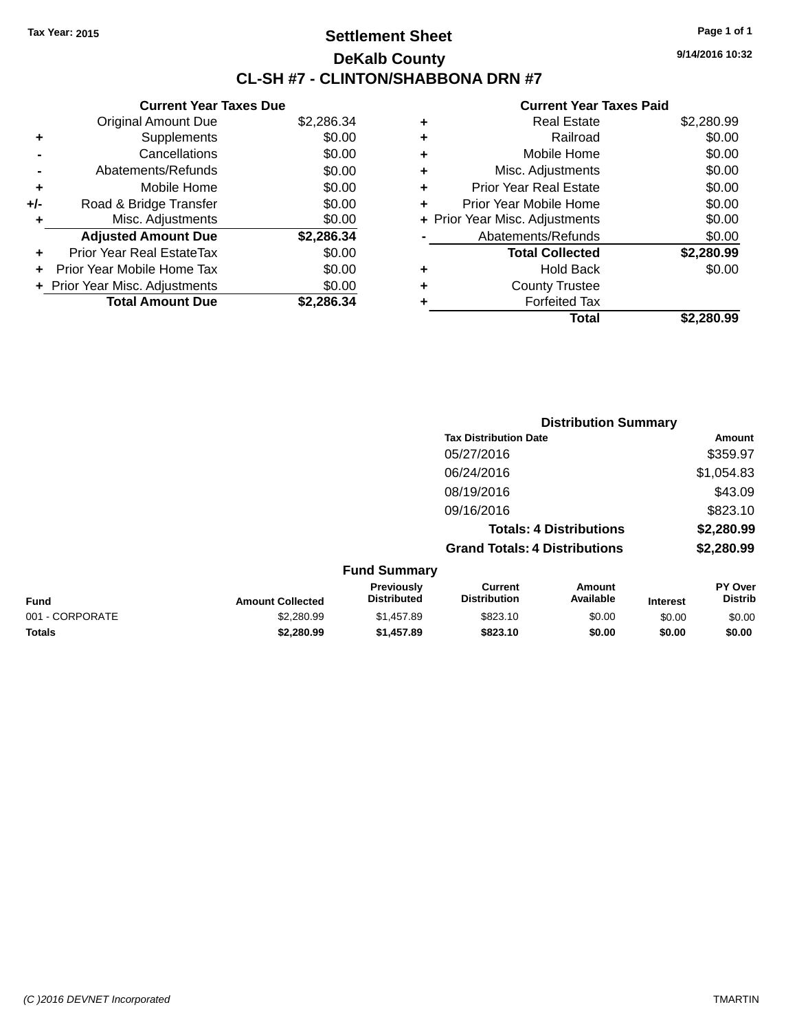### **Settlement Sheet Tax Year: 2015 Page 1 of 1 DeKalb County CL-SH #7 - CLINTON/SHABBONA DRN #7**

**9/14/2016 10:32**

|     | <b>Current Year Taxes Due</b>  |            |
|-----|--------------------------------|------------|
|     | <b>Original Amount Due</b>     | \$2,286.34 |
|     | Supplements                    | \$0.00     |
|     | Cancellations                  | \$0.00     |
|     | Abatements/Refunds             | \$0.00     |
| ٠   | Mobile Home                    | \$0.00     |
| +/- | Road & Bridge Transfer         | \$0.00     |
|     | Misc. Adjustments              | \$0.00     |
|     | <b>Adjusted Amount Due</b>     | \$2,286.34 |
| ÷   | Prior Year Real EstateTax      | \$0.00     |
|     | Prior Year Mobile Home Tax     | \$0.00     |
|     | + Prior Year Misc. Adjustments | \$0.00     |
|     | <b>Total Amount Due</b>        | \$2.286.34 |

|   | <b>Real Estate</b>             | \$2,280.99 |
|---|--------------------------------|------------|
| ٠ | Railroad                       | \$0.00     |
| ٠ | Mobile Home                    | \$0.00     |
| ٠ | Misc. Adjustments              | \$0.00     |
| ٠ | <b>Prior Year Real Estate</b>  | \$0.00     |
| ÷ | Prior Year Mobile Home         | \$0.00     |
|   | + Prior Year Misc. Adjustments | \$0.00     |
|   | Abatements/Refunds             | \$0.00     |
|   | <b>Total Collected</b>         | \$2,280.99 |
| ٠ | <b>Hold Back</b>               | \$0.00     |
|   | <b>County Trustee</b>          |            |
| ٠ | <b>Forfeited Tax</b>           |            |
|   | Total                          | \$2.280.99 |
|   |                                |            |

|                         |                                  |                                      | <b>Distribution Summary</b>    |                 |                           |
|-------------------------|----------------------------------|--------------------------------------|--------------------------------|-----------------|---------------------------|
|                         |                                  | <b>Tax Distribution Date</b>         |                                |                 | Amount                    |
|                         |                                  | 05/27/2016                           |                                |                 | \$359.97                  |
|                         |                                  | 06/24/2016                           |                                |                 | \$1,054.83                |
|                         |                                  | 08/19/2016                           |                                |                 | \$43.09                   |
|                         |                                  | 09/16/2016                           |                                |                 | \$823.10                  |
|                         |                                  |                                      | <b>Totals: 4 Distributions</b> |                 | \$2,280.99                |
|                         |                                  | <b>Grand Totals: 4 Distributions</b> |                                |                 | \$2,280.99                |
|                         | <b>Fund Summary</b>              |                                      |                                |                 |                           |
| <b>Amount Collected</b> | Previously<br><b>Distributed</b> | Current<br><b>Distribution</b>       | Amount<br>Available            | <b>Interest</b> | PY Over<br><b>Distrib</b> |

| <b>Fund</b>     | <b>Amount Collected</b> | Previously<br>Distributed | Current<br><b>Distribution</b> | Amount<br>Available | <b>Interest</b> | <b>PY Over</b><br><b>Distrib</b> |
|-----------------|-------------------------|---------------------------|--------------------------------|---------------------|-----------------|----------------------------------|
| 001 - CORPORATE | \$2,280.99              | \$1.457.89                | \$823.10                       | \$0.00              | \$0.00          | \$0.00                           |
| Totals          | \$2.280.99              | \$1,457.89                | \$823.10                       | \$0.00              | \$0.00          | \$0.00                           |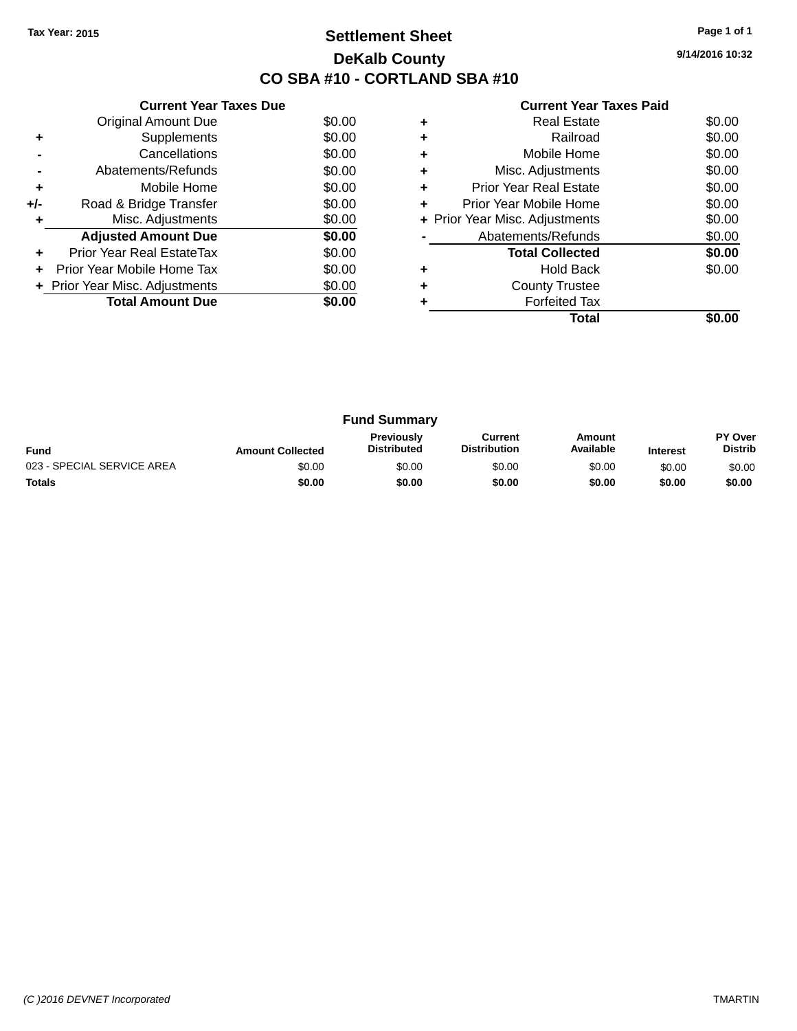### **Settlement Sheet Tax Year: 2015 Page 1 of 1 DeKalb County CO SBA #10 - CORTLAND SBA #10**

**9/14/2016 10:32**

|     | <b>Current Year Taxes Due</b>  |        |
|-----|--------------------------------|--------|
|     | <b>Original Amount Due</b>     | \$0.00 |
| ٠   | Supplements                    | \$0.00 |
|     | Cancellations                  | \$0.00 |
|     | Abatements/Refunds             | \$0.00 |
| ÷   | Mobile Home                    | \$0.00 |
| +/- | Road & Bridge Transfer         | \$0.00 |
|     | Misc. Adjustments              | \$0.00 |
|     | <b>Adjusted Amount Due</b>     | \$0.00 |
|     | Prior Year Real EstateTax      | \$0.00 |
|     | Prior Year Mobile Home Tax     | \$0.00 |
|     | + Prior Year Misc. Adjustments | \$0.00 |
|     | <b>Total Amount Due</b>        | \$0.00 |
|     |                                |        |

|   | Total                          |        |
|---|--------------------------------|--------|
|   | <b>Forfeited Tax</b>           |        |
|   | <b>County Trustee</b>          |        |
|   | Hold Back                      | \$0.00 |
|   | <b>Total Collected</b>         | \$0.00 |
|   | Abatements/Refunds             | \$0.00 |
|   | + Prior Year Misc. Adjustments | \$0.00 |
|   | Prior Year Mobile Home         | \$0.00 |
| ٠ | Prior Year Real Estate         | \$0.00 |
| ٠ | Misc. Adjustments              | \$0.00 |
| ٠ | Mobile Home                    | \$0.00 |
|   | Railroad                       | \$0.00 |
|   | Real Estate                    | \$0.00 |

| <b>Fund Summary</b>        |                         |                                         |                                |                     |                 |                                  |
|----------------------------|-------------------------|-----------------------------------------|--------------------------------|---------------------|-----------------|----------------------------------|
| <b>Fund</b>                | <b>Amount Collected</b> | <b>Previously</b><br><b>Distributed</b> | Current<br><b>Distribution</b> | Amount<br>Available | <b>Interest</b> | <b>PY Over</b><br><b>Distrib</b> |
| 023 - SPECIAL SERVICE AREA | \$0.00                  | \$0.00                                  | \$0.00                         | \$0.00              | \$0.00          | \$0.00                           |
| <b>Totals</b>              | \$0.00                  | \$0.00                                  | \$0.00                         | \$0.00              | \$0.00          | \$0.00                           |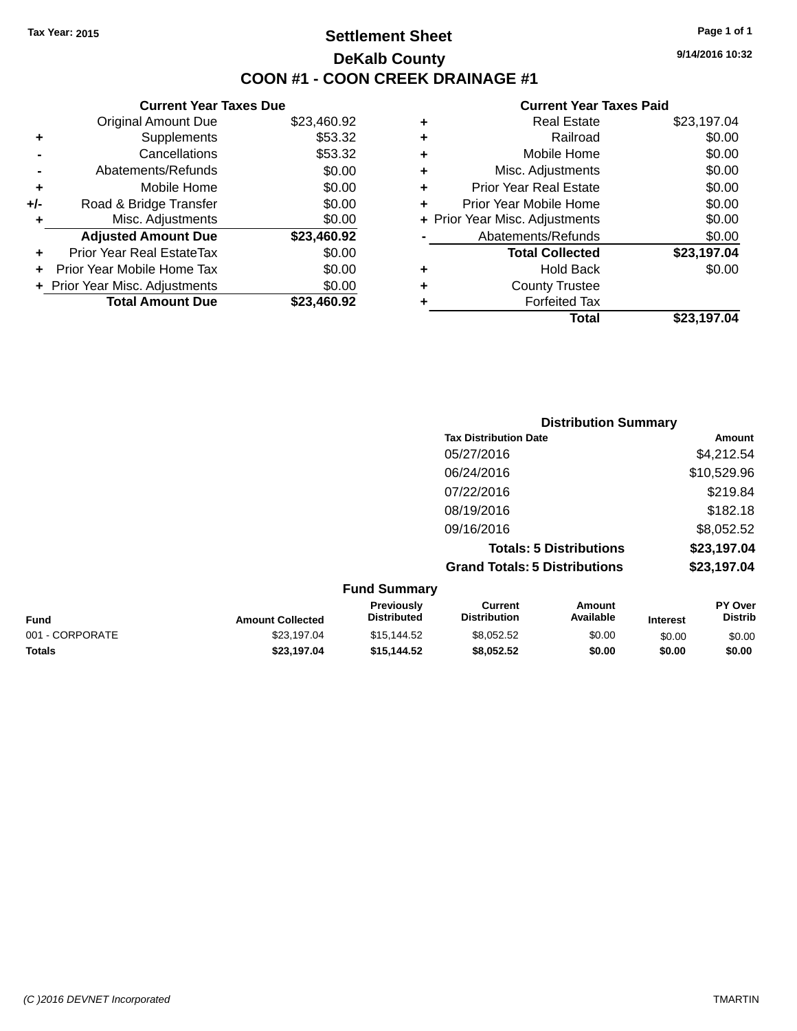### **Settlement Sheet Tax Year: 2015 Page 1 of 1 DeKalb County COON #1 - COON CREEK DRAINAGE #1**

**9/14/2016 10:32**

|     | <b>Current Year Taxes Due</b>  |             |
|-----|--------------------------------|-------------|
|     | <b>Original Amount Due</b>     | \$23,460.92 |
| ٠   | Supplements                    | \$53.32     |
|     | Cancellations                  | \$53.32     |
|     | Abatements/Refunds             | \$0.00      |
| ٠   | Mobile Home                    | \$0.00      |
| +/- | Road & Bridge Transfer         | \$0.00      |
|     | Misc. Adjustments              | \$0.00      |
|     | <b>Adjusted Amount Due</b>     | \$23,460.92 |
| ÷   | Prior Year Real EstateTax      | \$0.00      |
|     | Prior Year Mobile Home Tax     | \$0.00      |
|     | + Prior Year Misc. Adjustments | \$0.00      |
|     | <b>Total Amount Due</b>        | \$23,460.92 |

| ٠ | <b>Real Estate</b>             | \$23,197.04 |
|---|--------------------------------|-------------|
| ٠ | Railroad                       | \$0.00      |
| ٠ | Mobile Home                    | \$0.00      |
| ٠ | Misc. Adjustments              | \$0.00      |
| ٠ | <b>Prior Year Real Estate</b>  | \$0.00      |
| ÷ | Prior Year Mobile Home         | \$0.00      |
|   | + Prior Year Misc. Adjustments | \$0.00      |
|   | Abatements/Refunds             | \$0.00      |
|   | <b>Total Collected</b>         | \$23,197.04 |
| ٠ | <b>Hold Back</b>               | \$0.00      |
| ٠ | <b>County Trustee</b>          |             |
| ٠ | <b>Forfeited Tax</b>           |             |
|   | <b>Total</b>                   | \$23,197.04 |
|   |                                |             |

| <b>Distribution Summary</b>          |             |
|--------------------------------------|-------------|
| <b>Tax Distribution Date</b>         | Amount      |
| 05/27/2016                           | \$4,212.54  |
| 06/24/2016                           | \$10,529.96 |
| 07/22/2016                           | \$219.84    |
| 08/19/2016                           | \$182.18    |
| 09/16/2016                           | \$8,052.52  |
| <b>Totals: 5 Distributions</b>       | \$23,197.04 |
| <b>Grand Totals: 5 Distributions</b> | \$23,197.04 |

| <b>Fund Summary</b> |                         |                                         |                                |                     |                 |                           |
|---------------------|-------------------------|-----------------------------------------|--------------------------------|---------------------|-----------------|---------------------------|
| <b>Fund</b>         | <b>Amount Collected</b> | <b>Previously</b><br><b>Distributed</b> | Current<br><b>Distribution</b> | Amount<br>Available | <b>Interest</b> | PY Over<br><b>Distrib</b> |
| 001 - CORPORATE     | \$23.197.04             | \$15.144.52                             | \$8,052.52                     | \$0.00              | \$0.00          | \$0.00                    |
| <b>Totals</b>       | \$23,197.04             | \$15.144.52                             | \$8,052.52                     | \$0.00              | \$0.00          | \$0.00                    |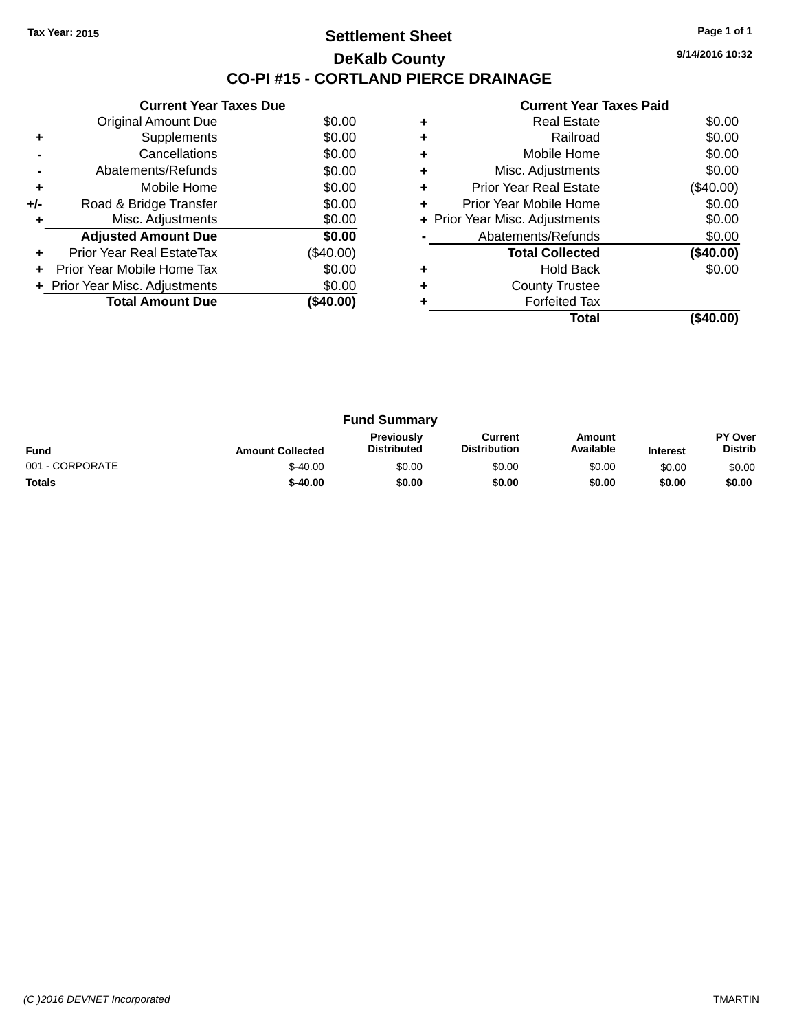### **Settlement Sheet Tax Year: 2015 Page 1 of 1 DeKalb County CO-PI #15 - CORTLAND PIERCE DRAINAGE**

**9/14/2016 10:32**

|     | <b>Current Year Taxes Due</b>  |             |
|-----|--------------------------------|-------------|
|     | Original Amount Due            | \$0.00      |
|     | Supplements                    | \$0.00      |
|     | Cancellations                  | \$0.00      |
|     | Abatements/Refunds             | \$0.00      |
| ٠   | Mobile Home                    | \$0.00      |
| +/- | Road & Bridge Transfer         | \$0.00      |
|     | Misc. Adjustments              | \$0.00      |
|     | <b>Adjusted Amount Due</b>     | \$0.00      |
|     | Prior Year Real EstateTax      | $(\$40.00)$ |
|     | Prior Year Mobile Home Tax     | \$0.00      |
|     | + Prior Year Misc. Adjustments | \$0.00      |
|     | <b>Total Amount Due</b>        | (\$40.00)   |
|     |                                |             |

| <b>Current Year Taxes Paid</b> |                                |
|--------------------------------|--------------------------------|
| <b>Real Estate</b>             | \$0.00                         |
| Railroad                       | \$0.00                         |
| Mobile Home                    | \$0.00                         |
| Misc. Adjustments              | \$0.00                         |
| <b>Prior Year Real Estate</b>  | $(\$40.00)$                    |
| Prior Year Mobile Home         | \$0.00                         |
|                                | \$0.00                         |
| Abatements/Refunds             | \$0.00                         |
| <b>Total Collected</b>         | (\$40.00)                      |
| <b>Hold Back</b>               | \$0.00                         |
| <b>County Trustee</b>          |                                |
| <b>Forfeited Tax</b>           |                                |
| Total                          | (\$40.00)                      |
|                                | + Prior Year Misc. Adjustments |

| <b>Fund Summary</b> |                         |                                         |                                |                     |                 |                           |
|---------------------|-------------------------|-----------------------------------------|--------------------------------|---------------------|-----------------|---------------------------|
| <b>Fund</b>         | <b>Amount Collected</b> | <b>Previously</b><br><b>Distributed</b> | Current<br><b>Distribution</b> | Amount<br>Available | <b>Interest</b> | PY Over<br><b>Distrib</b> |
| 001 - CORPORATE     | $$-40.00$               | \$0.00                                  | \$0.00                         | \$0.00              | \$0.00          | \$0.00                    |
| <b>Totals</b>       | $$-40.00$               | \$0.00                                  | \$0.00                         | \$0.00              | \$0.00          | \$0.00                    |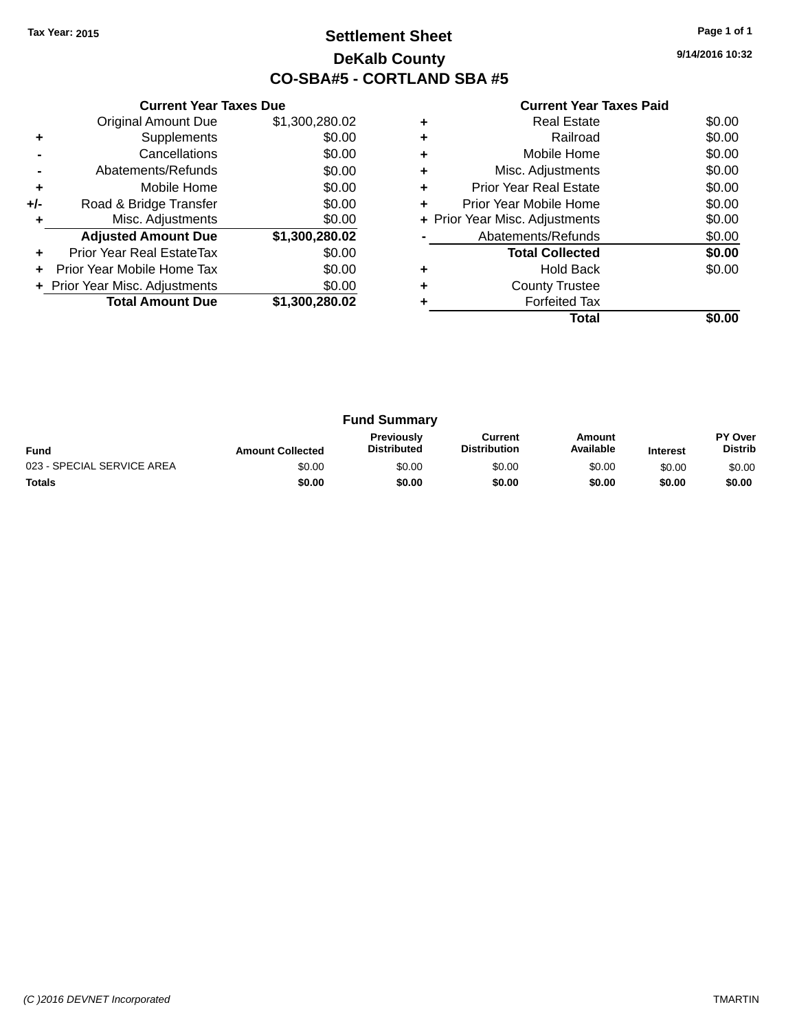### **Settlement Sheet Tax Year: 2015 Page 1 of 1 DeKalb County CO-SBA#5 - CORTLAND SBA #5**

**9/14/2016 10:32**

|     | <b>Current Year Taxes Due</b>  |                |
|-----|--------------------------------|----------------|
|     | <b>Original Amount Due</b>     | \$1,300,280.02 |
| ٠   | Supplements                    | \$0.00         |
|     | Cancellations                  | \$0.00         |
|     | Abatements/Refunds             | \$0.00         |
| ٠   | Mobile Home                    | \$0.00         |
| +/- | Road & Bridge Transfer         | \$0.00         |
| ٠   | Misc. Adjustments              | \$0.00         |
|     | <b>Adjusted Amount Due</b>     | \$1,300,280.02 |
| ٠   | Prior Year Real EstateTax      | \$0.00         |
|     | Prior Year Mobile Home Tax     | \$0.00         |
|     | + Prior Year Misc. Adjustments | \$0.00         |
|     | <b>Total Amount Due</b>        | \$1,300,280.02 |
|     |                                |                |

|   | <b>Real Estate</b>             | \$0.00 |
|---|--------------------------------|--------|
| ٠ | Railroad                       | \$0.00 |
| ٠ | Mobile Home                    | \$0.00 |
| ٠ | Misc. Adjustments              | \$0.00 |
|   | <b>Prior Year Real Estate</b>  | \$0.00 |
|   | Prior Year Mobile Home         | \$0.00 |
|   | + Prior Year Misc. Adjustments | \$0.00 |
|   | Abatements/Refunds             | \$0.00 |
|   | <b>Total Collected</b>         | \$0.00 |
| ÷ | <b>Hold Back</b>               | \$0.00 |
| ٠ | <b>County Trustee</b>          |        |
|   | <b>Forfeited Tax</b>           |        |
|   | Total                          |        |

|                            |                         | <b>Fund Summary</b>                     |                                |                     |                 |                           |
|----------------------------|-------------------------|-----------------------------------------|--------------------------------|---------------------|-----------------|---------------------------|
| <b>Fund</b>                | <b>Amount Collected</b> | <b>Previously</b><br><b>Distributed</b> | Current<br><b>Distribution</b> | Amount<br>Available | <b>Interest</b> | PY Over<br><b>Distrib</b> |
| 023 - SPECIAL SERVICE AREA | \$0.00                  | \$0.00                                  | \$0.00                         | \$0.00              | \$0.00          | \$0.00                    |
| <b>Totals</b>              | \$0.00                  | \$0.00                                  | \$0.00                         | \$0.00              | \$0.00          | \$0.00                    |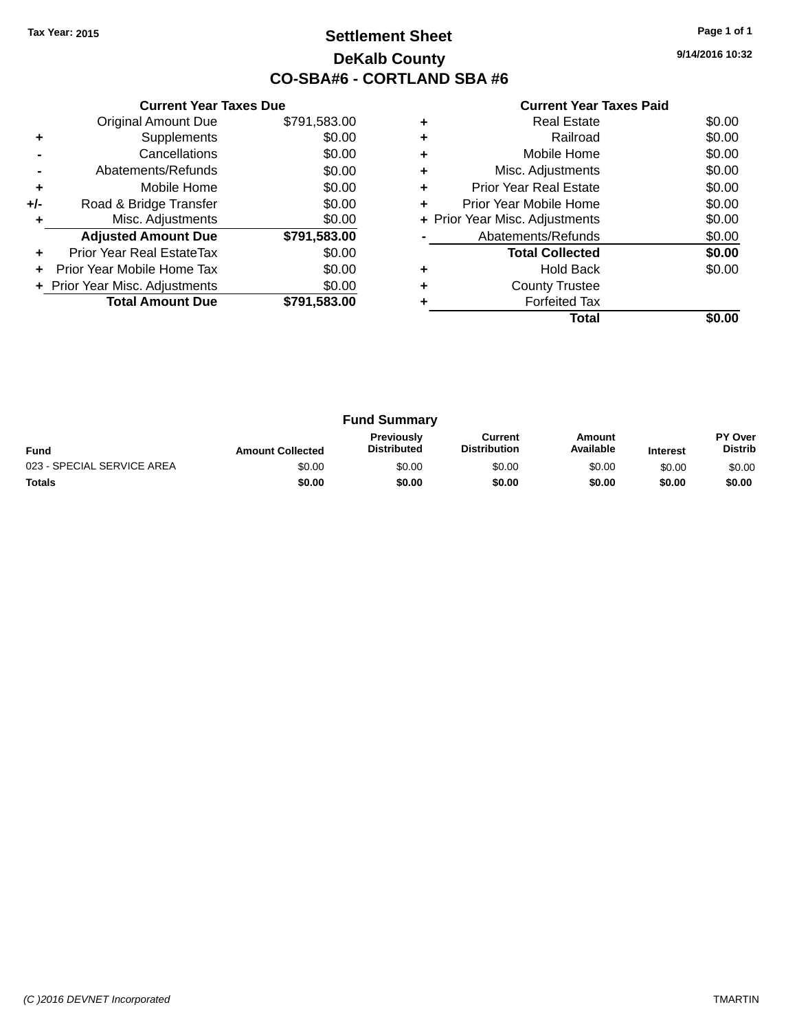### **Settlement Sheet Tax Year: 2015 Page 1 of 1 DeKalb County CO-SBA#6 - CORTLAND SBA #6**

**9/14/2016 10:32**

|     | <b>Current Year Taxes Due</b>  |              |
|-----|--------------------------------|--------------|
|     | <b>Original Amount Due</b>     | \$791,583.00 |
| ٠   | Supplements                    | \$0.00       |
|     | Cancellations                  | \$0.00       |
|     | Abatements/Refunds             | \$0.00       |
| ÷   | Mobile Home                    | \$0.00       |
| +/- | Road & Bridge Transfer         | \$0.00       |
|     | Misc. Adjustments              | \$0.00       |
|     | <b>Adjusted Amount Due</b>     | \$791,583.00 |
|     | Prior Year Real EstateTax      | \$0.00       |
|     | Prior Year Mobile Home Tax     | \$0.00       |
|     | + Prior Year Misc. Adjustments | \$0.00       |
|     | <b>Total Amount Due</b>        | \$791,583.00 |
|     |                                |              |

|   | <b>Real Estate</b>             | \$0.00 |
|---|--------------------------------|--------|
|   | Railroad                       | \$0.00 |
|   | Mobile Home                    | \$0.00 |
| ٠ | Misc. Adjustments              | \$0.00 |
| ٠ | Prior Year Real Estate         | \$0.00 |
| ٠ | Prior Year Mobile Home         | \$0.00 |
|   | + Prior Year Misc. Adjustments | \$0.00 |
|   | Abatements/Refunds             | \$0.00 |
|   | <b>Total Collected</b>         | \$0.00 |
|   | Hold Back                      | \$0.00 |
|   | <b>County Trustee</b>          |        |
|   | <b>Forfeited Tax</b>           |        |
|   | Total                          |        |

|                            |                         | <b>Fund Summary</b>                     |                                |                     |                 |                           |
|----------------------------|-------------------------|-----------------------------------------|--------------------------------|---------------------|-----------------|---------------------------|
| <b>Fund</b>                | <b>Amount Collected</b> | <b>Previously</b><br><b>Distributed</b> | Current<br><b>Distribution</b> | Amount<br>Available | <b>Interest</b> | PY Over<br><b>Distrib</b> |
| 023 - SPECIAL SERVICE AREA | \$0.00                  | \$0.00                                  | \$0.00                         | \$0.00              | \$0.00          | \$0.00                    |
| <b>Totals</b>              | \$0.00                  | \$0.00                                  | \$0.00                         | \$0.00              | \$0.00          | \$0.00                    |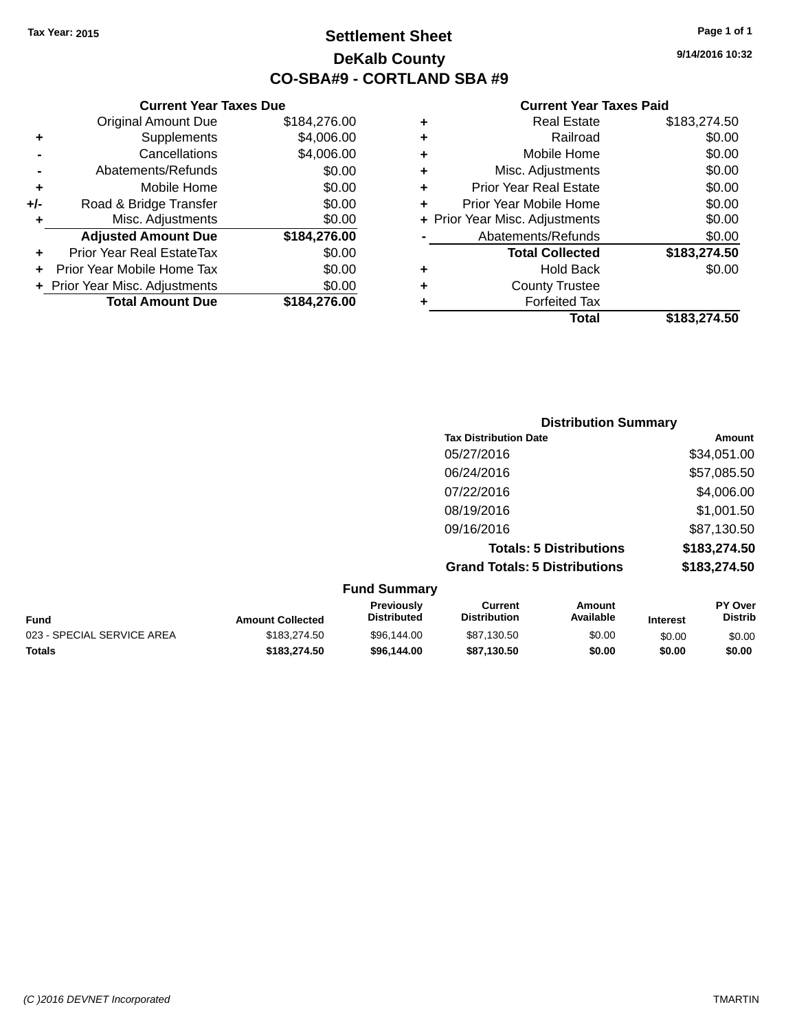### **Settlement Sheet Tax Year: 2015 Page 1 of 1 DeKalb County CO-SBA#9 - CORTLAND SBA #9**

**9/14/2016 10:32**

| Curr                    |   |              | <b>Current Year Taxes Due</b>    |       |
|-------------------------|---|--------------|----------------------------------|-------|
| Re                      | ٠ | \$184,276.00 | Original Amount Due              |       |
|                         | ٠ | \$4,006.00   | Supplements                      |       |
| Mob                     | ٠ | \$4,006.00   | Cancellations                    |       |
| Misc. Adj               | ٠ | \$0.00       | Abatements/Refunds               |       |
| Prior Year Re           | ٠ | \$0.00       | Mobile Home                      |       |
| <b>Prior Year Mob</b>   |   | \$0.00       | Road & Bridge Transfer           | $+/-$ |
| + Prior Year Misc. Adji |   | \$0.00       | Misc. Adjustments                |       |
| Abatements,             |   | \$184,276.00 | <b>Adjusted Amount Due</b>       |       |
| <b>Total C</b>          |   | \$0.00       | <b>Prior Year Real EstateTax</b> |       |
| Н                       | ٠ | \$0.00       | Prior Year Mobile Home Tax       |       |
| Count                   | ٠ | \$0.00       | + Prior Year Misc. Adjustments   |       |
| Forf                    |   | \$184,276.00 | <b>Total Amount Due</b>          |       |
|                         |   |              |                                  |       |

| ٠ | <b>Real Estate</b>             | \$183,274.50 |
|---|--------------------------------|--------------|
| ٠ | Railroad                       | \$0.00       |
|   | Mobile Home                    | \$0.00       |
| ٠ | Misc. Adjustments              | \$0.00       |
| ٠ | <b>Prior Year Real Estate</b>  | \$0.00       |
| ÷ | Prior Year Mobile Home         | \$0.00       |
|   | + Prior Year Misc. Adjustments | \$0.00       |
|   | Abatements/Refunds             | \$0.00       |
|   | <b>Total Collected</b>         | \$183,274.50 |
|   | <b>Hold Back</b>               | \$0.00       |
| ٠ | <b>County Trustee</b>          |              |
|   | <b>Forfeited Tax</b>           |              |
|   | <b>Total</b>                   | \$183,274.50 |
|   |                                |              |

|                     | <b>Distribution Summary</b>          |              |
|---------------------|--------------------------------------|--------------|
|                     | <b>Tax Distribution Date</b>         | Amount       |
|                     | 05/27/2016                           | \$34,051.00  |
|                     | 06/24/2016                           | \$57,085.50  |
|                     | 07/22/2016                           | \$4,006.00   |
|                     | 08/19/2016                           | \$1,001.50   |
|                     | 09/16/2016                           | \$87,130.50  |
|                     | <b>Totals: 5 Distributions</b>       | \$183,274.50 |
|                     | <b>Grand Totals: 5 Distributions</b> | \$183,274.50 |
| <b>Fund Summary</b> |                                      |              |

| Fund                       | <b>Amount Collected</b> | Previously<br><b>Distributed</b> | Current<br><b>Distribution</b> | Amount<br>Available | Interest | <b>PY Over</b><br><b>Distrib</b> |
|----------------------------|-------------------------|----------------------------------|--------------------------------|---------------------|----------|----------------------------------|
| 023 - SPECIAL SERVICE AREA | \$183,274.50            | \$96.144.00                      | \$87.130.50                    | \$0.00              | \$0.00   | \$0.00                           |
| <b>Totals</b>              | \$183.274.50            | \$96,144,00                      | \$87.130.50                    | \$0.00              | \$0.00   | \$0.00                           |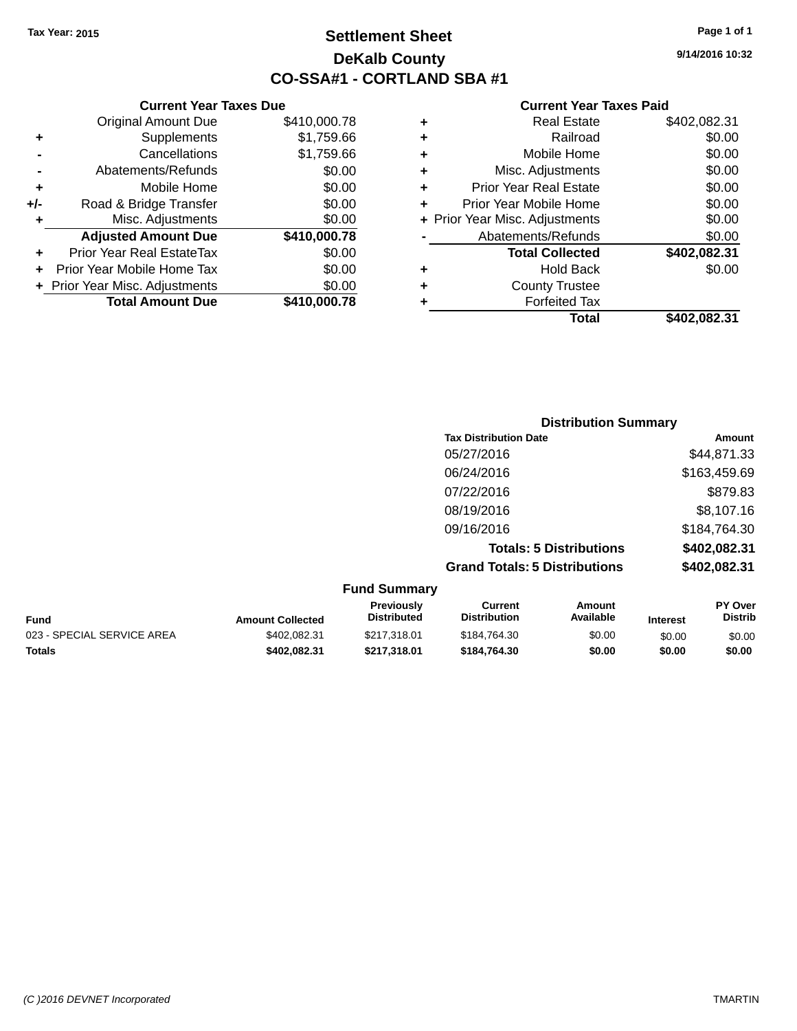**Current Year Taxes Due** Original Amount Due \$410,000.78

**Adjusted Amount Due \$410,000.78**

**+** Supplements \$1,759.66 **-** Cancellations \$1,759.66 **-** Abatements/Refunds \$0.00 **+** Mobile Home \$0.00 **+/-** Road & Bridge Transfer \$0.00 **+** Misc. Adjustments \$0.00

**+** Prior Year Real EstateTax \$0.00 **+** Prior Year Mobile Home Tax \$0.00

### **Settlement Sheet Tax Year: 2015 Page 1 of 1 DeKalb County CO-SSA#1 - CORTLAND SBA #1**

**9/14/2016 10:32**

**Amount** \$44,871.33 \$163,459.69 \$879.83 08/19/2016 \$8,107.16

#### **Current Year Taxes Paid**

|   | Total                          | \$402.082.31 |
|---|--------------------------------|--------------|
|   | <b>Forfeited Tax</b>           |              |
| ٠ | <b>County Trustee</b>          |              |
| ٠ | <b>Hold Back</b>               | \$0.00       |
|   | <b>Total Collected</b>         | \$402,082.31 |
|   | Abatements/Refunds             | \$0.00       |
|   | + Prior Year Misc. Adjustments | \$0.00       |
| ٠ | Prior Year Mobile Home         | \$0.00       |
| ٠ | <b>Prior Year Real Estate</b>  | \$0.00       |
| ٠ | Misc. Adjustments              | \$0.00       |
| ٠ | Mobile Home                    | \$0.00       |
| ٠ | Railroad                       | \$0.00       |
|   | <b>Real Estate</b>             | \$402,082.31 |

| + Prior Year Misc. Adjustments | \$0.00       | ٠ | <b>County Trustee</b>        |     |
|--------------------------------|--------------|---|------------------------------|-----|
| <b>Total Amount Due</b>        | \$410,000.78 | ٠ | <b>Forfeited Tax</b>         |     |
|                                |              |   | <b>Total</b>                 | \$4 |
|                                |              |   |                              |     |
|                                |              |   | <b>Distribution Summary</b>  |     |
|                                |              |   | <b>Tax Distribution Date</b> |     |
|                                |              |   | 05/27/2016                   |     |
|                                |              |   | 06/24/2016                   |     |
|                                |              |   | 07/22/2016                   |     |
|                                |              |   | 08/19/2016                   |     |

**Grand Totals: 5 Distributions \$402,082.31**

09/16/2016 \$184,764.30

**Totals: 5 Distributions \$402,082.31**

|                            |                         | <b>Fund Summary</b>                     |                                |                     |                 |                                  |
|----------------------------|-------------------------|-----------------------------------------|--------------------------------|---------------------|-----------------|----------------------------------|
| <b>Fund</b>                | <b>Amount Collected</b> | <b>Previously</b><br><b>Distributed</b> | Current<br><b>Distribution</b> | Amount<br>Available | <b>Interest</b> | <b>PY Over</b><br><b>Distrib</b> |
| 023 - SPECIAL SERVICE AREA | \$402.082.31            | \$217.318.01                            | \$184.764.30                   | \$0.00              | \$0.00          | \$0.00                           |
| <b>Totals</b>              | \$402.082.31            | \$217.318.01                            | \$184,764,30                   | \$0.00              | \$0.00          | \$0.00                           |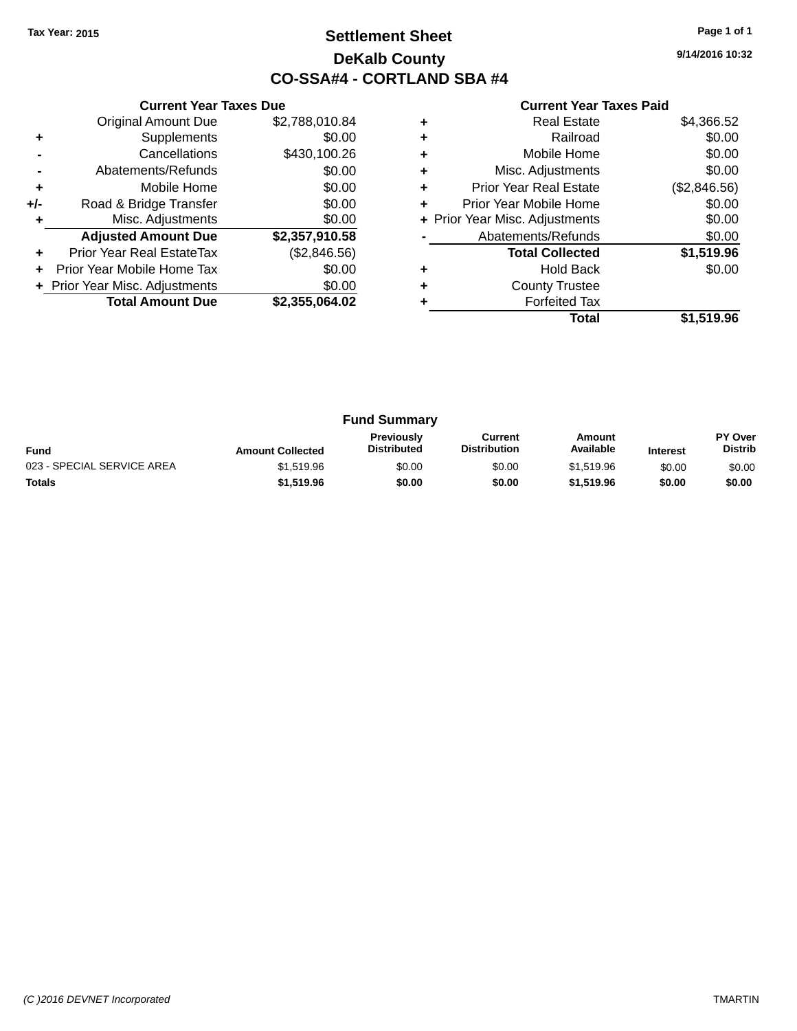### **Settlement Sheet Tax Year: 2015 Page 1 of 1 DeKalb County CO-SSA#4 - CORTLAND SBA #4**

**9/14/2016 10:32**

|     | <b>Current Year Taxes Due</b>  |                |
|-----|--------------------------------|----------------|
|     | <b>Original Amount Due</b>     | \$2,788,010.84 |
| ٠   | Supplements                    | \$0.00         |
|     | Cancellations                  | \$430,100.26   |
|     | Abatements/Refunds             | \$0.00         |
| ÷   | Mobile Home                    | \$0.00         |
| +/- | Road & Bridge Transfer         | \$0.00         |
| ٠   | Misc. Adjustments              | \$0.00         |
|     | <b>Adjusted Amount Due</b>     | \$2,357,910.58 |
| ÷   | Prior Year Real EstateTax      | (\$2,846.56)   |
| ÷   | Prior Year Mobile Home Tax     | \$0.00         |
|     | + Prior Year Misc. Adjustments | \$0.00         |
|     | <b>Total Amount Due</b>        | \$2,355,064.02 |
|     |                                |                |

| ٠ | <b>Real Estate</b>             | \$4,366.52   |
|---|--------------------------------|--------------|
|   | Railroad                       | \$0.00       |
| ٠ | Mobile Home                    | \$0.00       |
| ٠ | Misc. Adjustments              | \$0.00       |
| ٠ | <b>Prior Year Real Estate</b>  | (\$2,846.56) |
| ٠ | Prior Year Mobile Home         | \$0.00       |
|   | + Prior Year Misc. Adjustments | \$0.00       |
|   | Abatements/Refunds             | \$0.00       |
|   | <b>Total Collected</b>         | \$1,519.96   |
| ÷ | <b>Hold Back</b>               | \$0.00       |
| ٠ | <b>County Trustee</b>          |              |
|   | <b>Forfeited Tax</b>           |              |
|   | Total                          | \$1.519.96   |

| <b>Fund Summary</b>        |                         |                                         |                                |                     |                 |                           |
|----------------------------|-------------------------|-----------------------------------------|--------------------------------|---------------------|-----------------|---------------------------|
| <b>Fund</b>                | <b>Amount Collected</b> | <b>Previously</b><br><b>Distributed</b> | Current<br><b>Distribution</b> | Amount<br>Available | <b>Interest</b> | PY Over<br><b>Distrib</b> |
| 023 - SPECIAL SERVICE AREA | \$1.519.96              | \$0.00                                  | \$0.00                         | \$1.519.96          | \$0.00          | \$0.00                    |
| <b>Totals</b>              | \$1,519.96              | \$0.00                                  | \$0.00                         | \$1,519.96          | \$0.00          | \$0.00                    |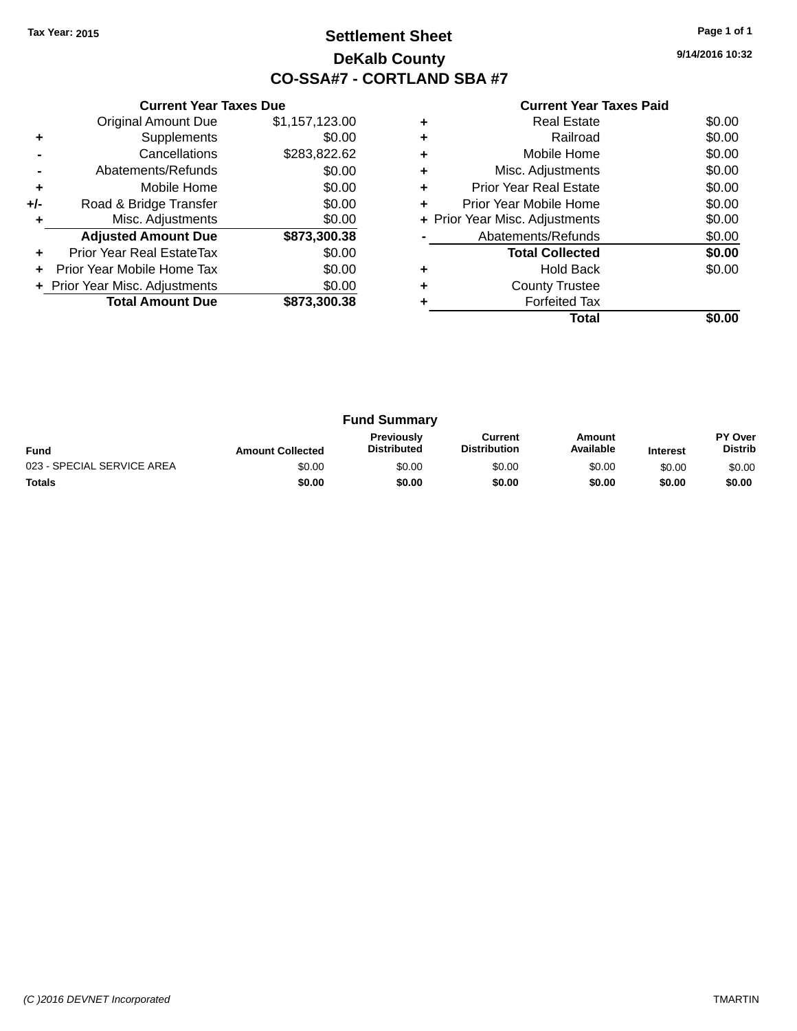### **Settlement Sheet Tax Year: 2015 Page 1 of 1 DeKalb County CO-SSA#7 - CORTLAND SBA #7**

**9/14/2016 10:32**

|     | <b>Current Year Taxes Due</b>  |                |
|-----|--------------------------------|----------------|
|     | <b>Original Amount Due</b>     | \$1,157,123.00 |
| ٠   | Supplements                    | \$0.00         |
|     | Cancellations                  | \$283,822.62   |
|     | Abatements/Refunds             | \$0.00         |
| ٠   | Mobile Home                    | \$0.00         |
| +/- | Road & Bridge Transfer         | \$0.00         |
|     | Misc. Adjustments              | \$0.00         |
|     | <b>Adjusted Amount Due</b>     | \$873,300.38   |
|     | Prior Year Real EstateTax      | \$0.00         |
|     | Prior Year Mobile Home Tax     | \$0.00         |
|     | + Prior Year Misc. Adjustments | \$0.00         |
|     | <b>Total Amount Due</b>        | \$873,300.38   |
|     |                                |                |

|   | Total                          |        |
|---|--------------------------------|--------|
|   | <b>Forfeited Tax</b>           |        |
| ٠ | <b>County Trustee</b>          |        |
|   | <b>Hold Back</b>               | \$0.00 |
|   | <b>Total Collected</b>         | \$0.00 |
|   | Abatements/Refunds             | \$0.00 |
|   | + Prior Year Misc. Adjustments | \$0.00 |
| ٠ | Prior Year Mobile Home         | \$0.00 |
| ٠ | Prior Year Real Estate         | \$0.00 |
| ٠ | Misc. Adjustments              | \$0.00 |
|   | Mobile Home                    | \$0.00 |
| ٠ | Railroad                       | \$0.00 |
|   | Real Estate                    | \$0.00 |

| <b>Fund Summary</b>        |                         |                                         |                                |                     |                 |                                  |
|----------------------------|-------------------------|-----------------------------------------|--------------------------------|---------------------|-----------------|----------------------------------|
| <b>Fund</b>                | <b>Amount Collected</b> | <b>Previously</b><br><b>Distributed</b> | Current<br><b>Distribution</b> | Amount<br>Available | <b>Interest</b> | <b>PY Over</b><br><b>Distrib</b> |
| 023 - SPECIAL SERVICE AREA | \$0.00                  | \$0.00                                  | \$0.00                         | \$0.00              | \$0.00          | \$0.00                           |
| <b>Totals</b>              | \$0.00                  | \$0.00                                  | \$0.00                         | \$0.00              | \$0.00          | \$0.00                           |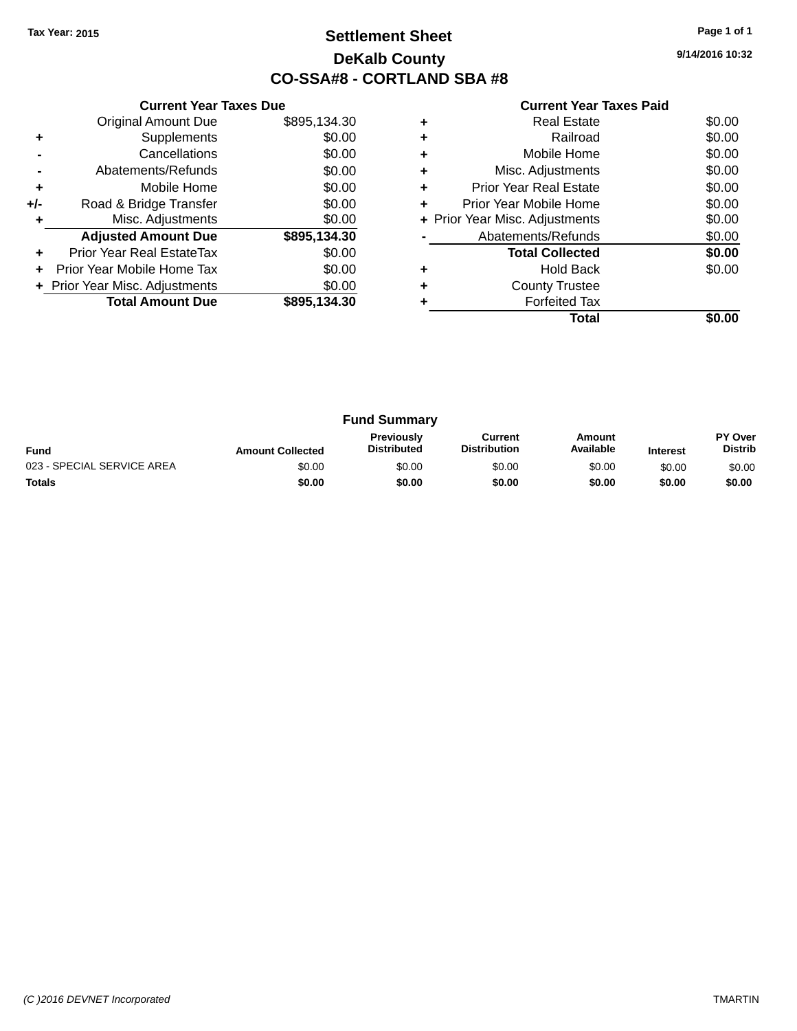### **Settlement Sheet Tax Year: 2015 Page 1 of 1 DeKalb County CO-SSA#8 - CORTLAND SBA #8**

**9/14/2016 10:32**

|     | <b>Current Year Taxes Due</b>  |              |
|-----|--------------------------------|--------------|
|     | <b>Original Amount Due</b>     | \$895,134.30 |
| ٠   | Supplements                    | \$0.00       |
|     | Cancellations                  | \$0.00       |
|     | Abatements/Refunds             | \$0.00       |
| ÷   | Mobile Home                    | \$0.00       |
| +/- | Road & Bridge Transfer         | \$0.00       |
|     | Misc. Adjustments              | \$0.00       |
|     | <b>Adjusted Amount Due</b>     | \$895,134.30 |
| ٠   | Prior Year Real EstateTax      | \$0.00       |
|     | Prior Year Mobile Home Tax     | \$0.00       |
|     | + Prior Year Misc. Adjustments | \$0.00       |
|     | <b>Total Amount Due</b>        | \$895,134.30 |
|     |                                |              |

|   | <b>Real Estate</b>             | \$0.00 |
|---|--------------------------------|--------|
|   | Railroad                       | \$0.00 |
| ٠ | Mobile Home                    | \$0.00 |
|   | Misc. Adjustments              | \$0.00 |
| ٠ | Prior Year Real Estate         | \$0.00 |
| ÷ | Prior Year Mobile Home         | \$0.00 |
|   | + Prior Year Misc. Adjustments | \$0.00 |
|   | Abatements/Refunds             | \$0.00 |
|   | <b>Total Collected</b>         | \$0.00 |
|   | <b>Hold Back</b>               | \$0.00 |
| ٠ | <b>County Trustee</b>          |        |
|   | <b>Forfeited Tax</b>           |        |
|   | Total                          |        |

| <b>Fund Summary</b>        |                         |                                         |                                |                     |                 |                           |
|----------------------------|-------------------------|-----------------------------------------|--------------------------------|---------------------|-----------------|---------------------------|
| <b>Fund</b>                | <b>Amount Collected</b> | <b>Previously</b><br><b>Distributed</b> | Current<br><b>Distribution</b> | Amount<br>Available | <b>Interest</b> | PY Over<br><b>Distrib</b> |
| 023 - SPECIAL SERVICE AREA | \$0.00                  | \$0.00                                  | \$0.00                         | \$0.00              | \$0.00          | \$0.00                    |
| <b>Totals</b>              | \$0.00                  | \$0.00                                  | \$0.00                         | \$0.00              | \$0.00          | \$0.00                    |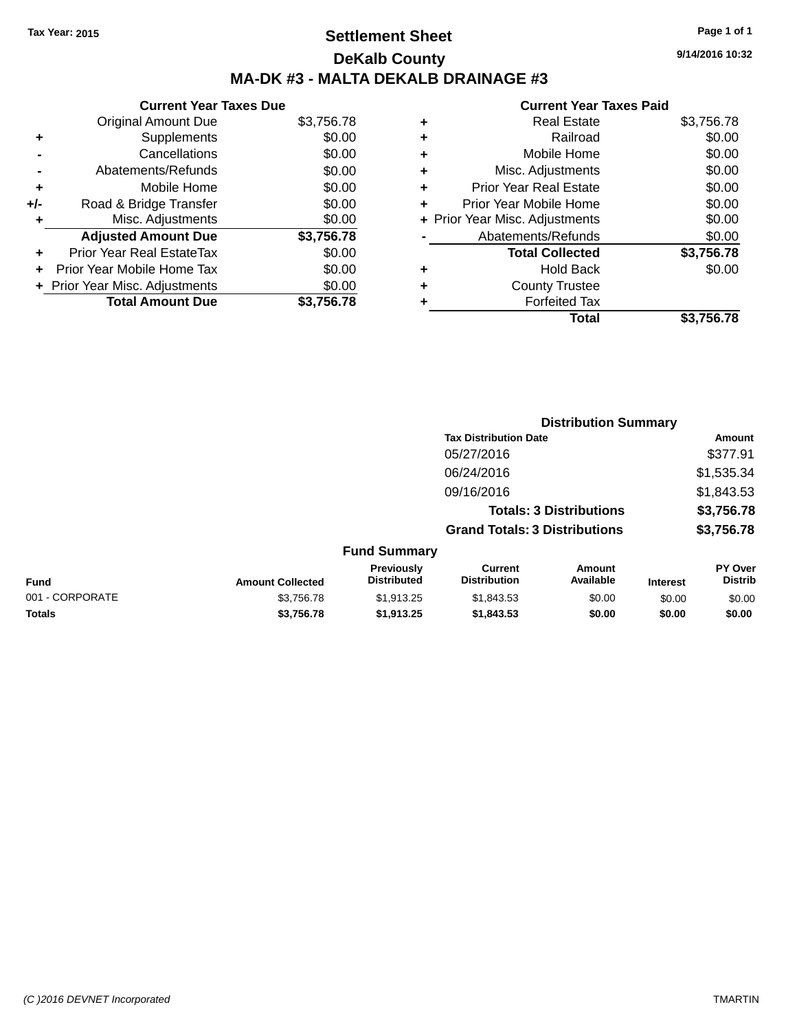### **Settlement Sheet Tax Year: 2015 Page 1 of 1 DeKalb County MA-DK #3 - MALTA DEKALB DRAINAGE #3**

#### **Current Year Taxes Due** Original Amount Due \$3,756.78 **+** Supplements \$0.00 **-** Cancellations \$0.00 **-** Abatements/Refunds \$0.00 **+** Mobile Home \$0.00 **+/-** Road & Bridge Transfer \$0.00 **+** Misc. Adjustments \$0.00 **Adjusted Amount Due \$3,756.78 +** Prior Year Real EstateTax \$0.00 **+** Prior Year Mobile Home Tax \$0.00 **+ Prior Year Misc. Adjustments**  $$0.00$ **Total Amount Due \$3,756.78**

#### **Current Year Taxes Paid**

| ٠ | <b>Real Estate</b>             | \$3,756.78 |
|---|--------------------------------|------------|
| ٠ | Railroad                       | \$0.00     |
| ٠ | Mobile Home                    | \$0.00     |
| ٠ | Misc. Adjustments              | \$0.00     |
| ٠ | <b>Prior Year Real Estate</b>  | \$0.00     |
| ÷ | Prior Year Mobile Home         | \$0.00     |
|   | + Prior Year Misc. Adjustments | \$0.00     |
|   | Abatements/Refunds             | \$0.00     |
|   | <b>Total Collected</b>         | \$3,756.78 |
| ٠ | Hold Back                      | \$0.00     |
| ٠ | <b>County Trustee</b>          |            |
|   | <b>Forfeited Tax</b>           |            |
|   | Total                          | \$3,756.78 |
|   |                                |            |

**Distribution Summary**

|                 |                         | <b>PISUIMALIOII OUIIIIIIAI V</b> |                                       |                                |                 |                                  |
|-----------------|-------------------------|----------------------------------|---------------------------------------|--------------------------------|-----------------|----------------------------------|
|                 |                         |                                  | <b>Tax Distribution Date</b>          |                                |                 | Amount                           |
|                 |                         |                                  | 05/27/2016                            |                                |                 | \$377.91                         |
|                 |                         |                                  | 06/24/2016                            |                                |                 | \$1,535.34                       |
|                 |                         |                                  | 09/16/2016                            |                                |                 | \$1,843.53                       |
|                 |                         |                                  |                                       | <b>Totals: 3 Distributions</b> |                 | \$3,756.78                       |
|                 |                         |                                  | <b>Grand Totals: 3 Distributions</b>  |                                |                 | \$3,756.78                       |
|                 |                         | <b>Fund Summary</b>              |                                       |                                |                 |                                  |
| <b>Fund</b>     | <b>Amount Collected</b> | Previously<br><b>Distributed</b> | <b>Current</b><br><b>Distribution</b> | Amount<br>Available            | <b>Interest</b> | <b>PY Over</b><br><b>Distrib</b> |
| 001 - CORPORATE | \$3,756.78              | \$1,913.25                       | \$1,843.53                            | \$0.00                         | \$0.00          | \$0.00                           |
| <b>Totals</b>   | \$3,756.78              | \$1,913.25                       | \$1,843.53                            | \$0.00                         | \$0.00          | \$0.00                           |

**9/14/2016 10:32**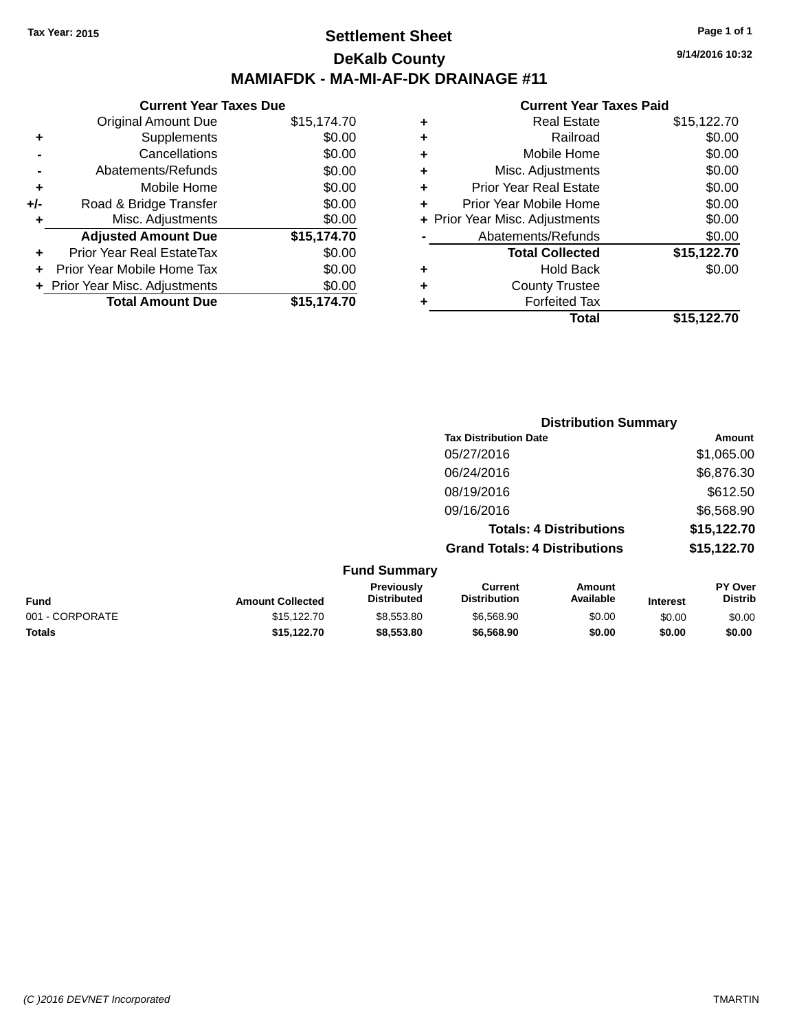### **Settlement Sheet Tax Year: 2015 Page 1 of 1 DeKalb County MAMIAFDK - MA-MI-AF-DK DRAINAGE #11**

**9/14/2016 10:32**

|     | <b>Current Year Taxes Due</b>  |             |  |  |  |
|-----|--------------------------------|-------------|--|--|--|
|     | Original Amount Due            | \$15,174.70 |  |  |  |
|     | Supplements                    | \$0.00      |  |  |  |
|     | Cancellations                  | \$0.00      |  |  |  |
|     | Abatements/Refunds             | \$0.00      |  |  |  |
| ÷   | Mobile Home                    | \$0.00      |  |  |  |
| +/- | Road & Bridge Transfer         | \$0.00      |  |  |  |
| ٠   | Misc. Adjustments              | \$0.00      |  |  |  |
|     | <b>Adjusted Amount Due</b>     | \$15,174.70 |  |  |  |
| ٠   | Prior Year Real EstateTax      | \$0.00      |  |  |  |
|     | Prior Year Mobile Home Tax     | \$0.00      |  |  |  |
|     | + Prior Year Misc. Adjustments | \$0.00      |  |  |  |
|     | <b>Total Amount Due</b>        | \$15,174.70 |  |  |  |
|     |                                |             |  |  |  |

| ٠ | Hold Back                      | \$0.00      |
|---|--------------------------------|-------------|
|   |                                |             |
|   |                                |             |
|   | <b>Total Collected</b>         | \$15,122.70 |
|   | Abatements/Refunds             | \$0.00      |
|   | + Prior Year Misc. Adjustments | \$0.00      |
| ٠ | Prior Year Mobile Home         | \$0.00      |
| ÷ | <b>Prior Year Real Estate</b>  | \$0.00      |
| ٠ | Misc. Adjustments              | \$0.00      |
| ٠ | Mobile Home                    | \$0.00      |
| ٠ | Railroad                       | \$0.00      |
| ٠ | <b>Real Estate</b>             | \$15,122.70 |
|   |                                |             |

|                     | <b>Distribution Summary</b>          |             |
|---------------------|--------------------------------------|-------------|
|                     | <b>Tax Distribution Date</b>         | Amount      |
|                     | 05/27/2016                           | \$1,065.00  |
|                     | 06/24/2016                           | \$6,876.30  |
|                     | 08/19/2016                           | \$612.50    |
|                     | 09/16/2016                           | \$6,568.90  |
|                     | <b>Totals: 4 Distributions</b>       | \$15,122.70 |
|                     | <b>Grand Totals: 4 Distributions</b> | \$15,122.70 |
| <b>Fund Summary</b> |                                      |             |

| <b>Fund</b>     | <b>Amount Collected</b> | <b>Previously</b><br><b>Distributed</b> | Current<br><b>Distribution</b> | Amount<br>Available | <b>Interest</b> | <b>PY Over</b><br><b>Distrib</b> |
|-----------------|-------------------------|-----------------------------------------|--------------------------------|---------------------|-----------------|----------------------------------|
| 001 - CORPORATE | \$15,122,70             | \$8,553,80                              | \$6,568.90                     | \$0.00              | \$0.00          | \$0.00                           |
| <b>Totals</b>   | \$15.122.70             | \$8,553,80                              | \$6,568,90                     | \$0.00              | \$0.00          | \$0.00                           |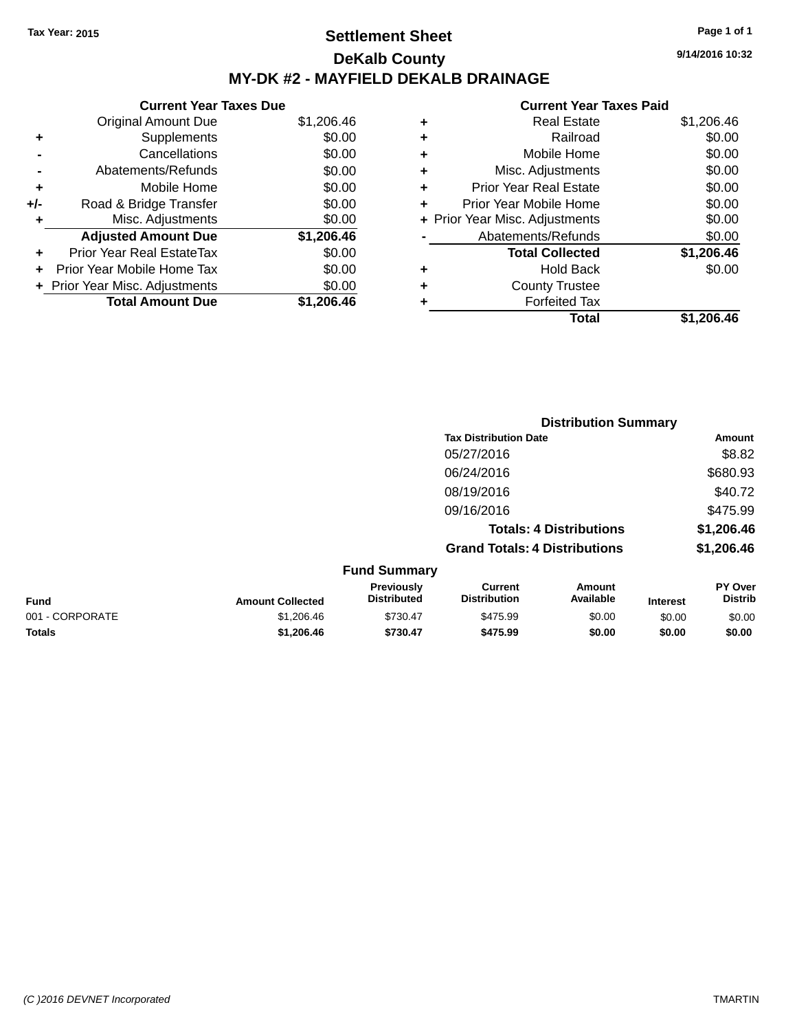### **Settlement Sheet Tax Year: 2015 Page 1 of 1 DeKalb County MY-DK #2 - MAYFIELD DEKALB DRAINAGE**

|       | <b>Current Year Taxes Due</b>  |            |
|-------|--------------------------------|------------|
|       | <b>Original Amount Due</b>     | \$1,206.46 |
| ٠     | Supplements                    | \$0.00     |
|       | Cancellations                  | \$0.00     |
|       | Abatements/Refunds             | \$0.00     |
| ٠     | Mobile Home                    | \$0.00     |
| $+/-$ | Road & Bridge Transfer         | \$0.00     |
| ۰     | Misc. Adjustments              | \$0.00     |
|       | <b>Adjusted Amount Due</b>     | \$1,206.46 |
| ٠     | Prior Year Real EstateTax      | \$0.00     |
|       | Prior Year Mobile Home Tax     | \$0.00     |
|       | + Prior Year Misc. Adjustments | \$0.00     |
|       | <b>Total Amount Due</b>        | \$1,206.46 |

#### **Current Year Taxes Paid**

| ٠ | <b>Real Estate</b>             | \$1,206.46 |
|---|--------------------------------|------------|
| ٠ | Railroad                       | \$0.00     |
| ٠ | Mobile Home                    | \$0.00     |
| ٠ | Misc. Adjustments              | \$0.00     |
| ٠ | <b>Prior Year Real Estate</b>  | \$0.00     |
| ٠ | Prior Year Mobile Home         | \$0.00     |
|   | + Prior Year Misc. Adjustments | \$0.00     |
|   | Abatements/Refunds             | \$0.00     |
|   | <b>Total Collected</b>         | \$1,206.46 |
| ٠ | <b>Hold Back</b>               | \$0.00     |
| ٠ | <b>County Trustee</b>          |            |
| ٠ | <b>Forfeited Tax</b>           |            |
|   | Total                          | \$1,206.46 |
|   |                                |            |

|                 |                         |                                  |                                       | <b>Distribution Summary</b>    |          |                           |
|-----------------|-------------------------|----------------------------------|---------------------------------------|--------------------------------|----------|---------------------------|
|                 |                         |                                  | <b>Tax Distribution Date</b>          |                                |          | Amount                    |
|                 |                         |                                  | 05/27/2016                            |                                |          | \$8.82                    |
|                 |                         |                                  | 06/24/2016                            |                                |          | \$680.93                  |
|                 |                         |                                  | 08/19/2016                            |                                |          | \$40.72                   |
|                 |                         |                                  | 09/16/2016                            |                                |          | \$475.99                  |
|                 |                         |                                  |                                       | <b>Totals: 4 Distributions</b> |          | \$1,206.46                |
|                 |                         |                                  | <b>Grand Totals: 4 Distributions</b>  |                                |          | \$1,206.46                |
|                 |                         | <b>Fund Summary</b>              |                                       |                                |          |                           |
| <b>Fund</b>     | <b>Amount Collected</b> | Previously<br><b>Distributed</b> | <b>Current</b><br><b>Distribution</b> | <b>Amount</b><br>Available     | Interest | PY Over<br><b>Distrib</b> |
| 001 - CORPORATE | \$1,206.46              | \$730.47                         | \$475.99                              | \$0.00                         | \$0.00   | \$0.00                    |

**Totals \$1,206.46 \$730.47 \$475.99 \$0.00 \$0.00 \$0.00**

**9/14/2016 10:32**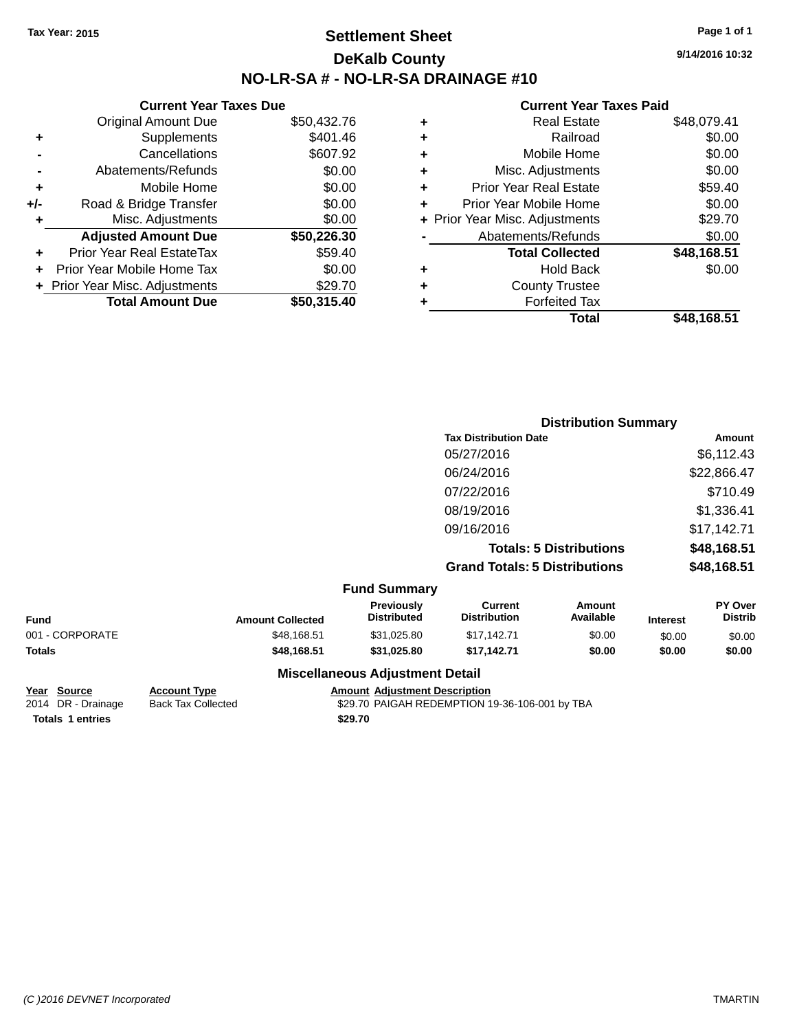### **Settlement Sheet Tax Year: 2015 Page 1 of 1 DeKalb County NO-LR-SA # - NO-LR-SA DRAINAGE #10**

**9/14/2016 10:32**

### **Current Year Taxes Paid**

|     | <b>Current Year Taxes Due</b>  |             |
|-----|--------------------------------|-------------|
|     | <b>Original Amount Due</b>     | \$50,432.76 |
| ٠   | Supplements                    | \$401.46    |
|     | Cancellations                  | \$607.92    |
|     | Abatements/Refunds             | \$0.00      |
| ٠   | Mobile Home                    | \$0.00      |
| +/- | Road & Bridge Transfer         | \$0.00      |
| ٠   | Misc. Adjustments              | \$0.00      |
|     | <b>Adjusted Amount Due</b>     | \$50,226.30 |
| ٠   | Prior Year Real EstateTax      | \$59.40     |
|     | Prior Year Mobile Home Tax     | \$0.00      |
|     | + Prior Year Misc. Adjustments | \$29.70     |
|     | <b>Total Amount Due</b>        | \$50,315.40 |
|     |                                |             |

| ٠ | <b>Real Estate</b>             | \$48,079.41 |
|---|--------------------------------|-------------|
| ٠ | Railroad                       | \$0.00      |
| ٠ | Mobile Home                    | \$0.00      |
| ٠ | Misc. Adjustments              | \$0.00      |
| ٠ | <b>Prior Year Real Estate</b>  | \$59.40     |
| ٠ | Prior Year Mobile Home         | \$0.00      |
|   | + Prior Year Misc. Adjustments | \$29.70     |
|   | Abatements/Refunds             | \$0.00      |
|   | <b>Total Collected</b>         | \$48,168.51 |
| ٠ | <b>Hold Back</b>               | \$0.00      |
| ٠ | <b>County Trustee</b>          |             |
| ٠ | <b>Forfeited Tax</b>           |             |
|   | Total                          | \$48,168.51 |
|   |                                |             |

|                     | <b>Distribution Summary</b>          |             |  |  |
|---------------------|--------------------------------------|-------------|--|--|
|                     | <b>Tax Distribution Date</b>         | Amount      |  |  |
|                     | 05/27/2016                           | \$6,112.43  |  |  |
|                     | 06/24/2016                           | \$22,866.47 |  |  |
|                     | 07/22/2016                           | \$710.49    |  |  |
|                     | 08/19/2016                           | \$1,336.41  |  |  |
|                     | 09/16/2016                           | \$17,142.71 |  |  |
|                     | <b>Totals: 5 Distributions</b>       | \$48,168.51 |  |  |
|                     | <b>Grand Totals: 5 Distributions</b> | \$48,168.51 |  |  |
| <b>Fund Summary</b> |                                      |             |  |  |

|                 |                         | unu Junnia y                            |                                |                     |                 |                                  |
|-----------------|-------------------------|-----------------------------------------|--------------------------------|---------------------|-----------------|----------------------------------|
| <b>Fund</b>     | <b>Amount Collected</b> | <b>Previously</b><br><b>Distributed</b> | Current<br><b>Distribution</b> | Amount<br>Available | <b>Interest</b> | <b>PY Over</b><br><b>Distrib</b> |
| 001 - CORPORATE | \$48,168.51             | \$31.025.80                             | \$17.142.71                    | \$0.00              | \$0.00          | \$0.00                           |
| Totals          | \$48,168,51             | \$31.025.80                             | \$17.142.71                    | \$0.00              | \$0.00          | \$0.00                           |
|                 |                         | Macellenssue Adiustment Detail          |                                |                     |                 |                                  |

# **Totals 1 entries** \$29.70

#### **Miscellaneous Adjustment Detail**

**Year Source Account Type Amount Adjustment Description**<br>2014 DR - Drainage Back Tax Collected \$29.70 PAIGAH REDEMPTION 1

Back Tax Collected **2014 COLLECT STATES AND REDEMPTION** 19-36-106-001 by TBA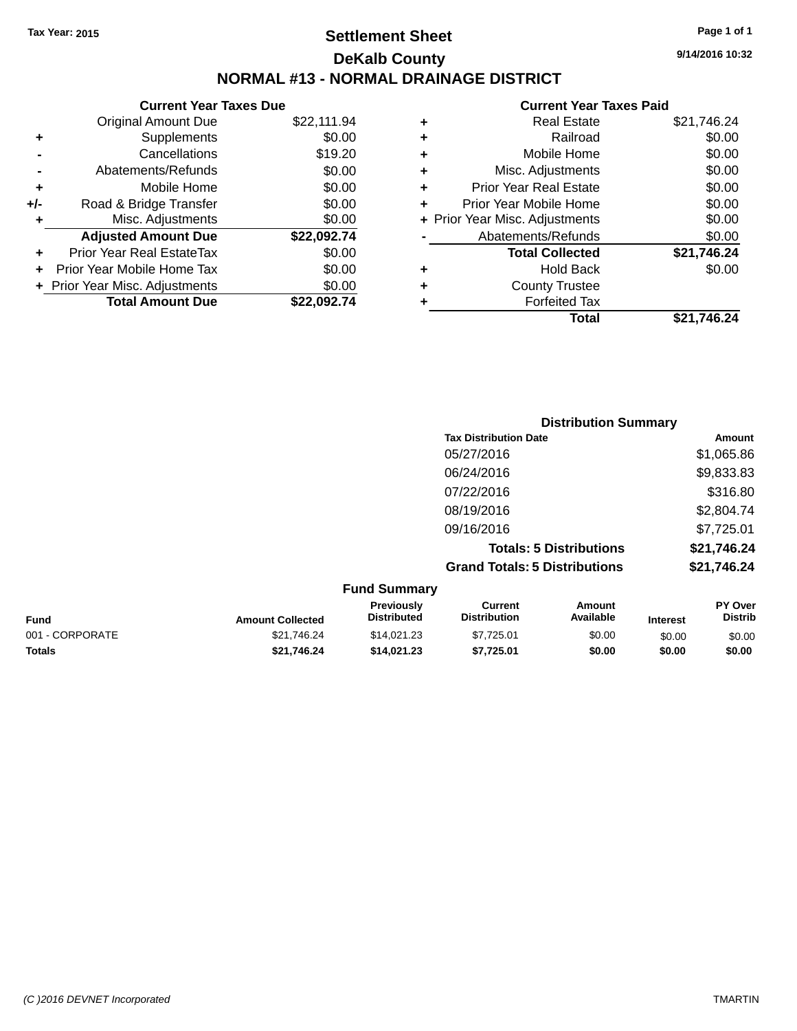### **Settlement Sheet Tax Year: 2015 Page 1 of 1 DeKalb County NORMAL #13 - NORMAL DRAINAGE DISTRICT**

**9/14/2016 10:32**

|       | <b>Current Year Taxes Due</b>  |             |
|-------|--------------------------------|-------------|
|       | <b>Original Amount Due</b>     | \$22,111.94 |
|       | Supplements                    | \$0.00      |
|       | Cancellations                  | \$19.20     |
|       | Abatements/Refunds             | \$0.00      |
| ٠     | Mobile Home                    | \$0.00      |
| $+/-$ | Road & Bridge Transfer         | \$0.00      |
| ۰     | Misc. Adjustments              | \$0.00      |
|       | <b>Adjusted Amount Due</b>     | \$22,092.74 |
|       | Prior Year Real EstateTax      | \$0.00      |
|       | Prior Year Mobile Home Tax     | \$0.00      |
|       | + Prior Year Misc. Adjustments | \$0.00      |
|       | <b>Total Amount Due</b>        | \$22.092.74 |
|       |                                |             |

|   | <b>Current Year Taxes Paid</b> |             |  |  |  |
|---|--------------------------------|-------------|--|--|--|
| ٠ | <b>Real Estate</b>             | \$21,746.24 |  |  |  |
| ٠ | Railroad                       | \$0.00      |  |  |  |
| ٠ | Mobile Home                    | \$0.00      |  |  |  |
| ٠ | Misc. Adjustments              | \$0.00      |  |  |  |
| ٠ | <b>Prior Year Real Estate</b>  | \$0.00      |  |  |  |
| ٠ | Prior Year Mobile Home         | \$0.00      |  |  |  |
|   | + Prior Year Misc. Adjustments | \$0.00      |  |  |  |
|   | Abatements/Refunds             | \$0.00      |  |  |  |
|   | <b>Total Collected</b>         | \$21,746.24 |  |  |  |
| ٠ | <b>Hold Back</b>               | \$0.00      |  |  |  |
| ٠ | <b>County Trustee</b>          |             |  |  |  |
| ٠ | <b>Forfeited Tax</b>           |             |  |  |  |
|   | Total                          | \$21,746.24 |  |  |  |

| <b>Distribution Summary</b>          |             |
|--------------------------------------|-------------|
| <b>Tax Distribution Date</b>         | Amount      |
| 05/27/2016                           | \$1,065.86  |
| 06/24/2016                           | \$9,833.83  |
| 07/22/2016                           | \$316.80    |
| 08/19/2016                           | \$2,804.74  |
| 09/16/2016                           | \$7,725.01  |
| <b>Totals: 5 Distributions</b>       | \$21,746.24 |
| <b>Grand Totals: 5 Distributions</b> | \$21,746.24 |

| <b>Fund Summary</b> |                         |                                         |                                |                     |                 |                           |
|---------------------|-------------------------|-----------------------------------------|--------------------------------|---------------------|-----------------|---------------------------|
| <b>Fund</b>         | <b>Amount Collected</b> | <b>Previously</b><br><b>Distributed</b> | Current<br><b>Distribution</b> | Amount<br>Available | <b>Interest</b> | PY Over<br><b>Distrib</b> |
| 001 - CORPORATE     | \$21.746.24             | \$14.021.23                             | \$7.725.01                     | \$0.00              | \$0.00          | \$0.00                    |
| <b>Totals</b>       | \$21.746.24             | \$14,021,23                             | \$7.725.01                     | \$0.00              | \$0.00          | \$0.00                    |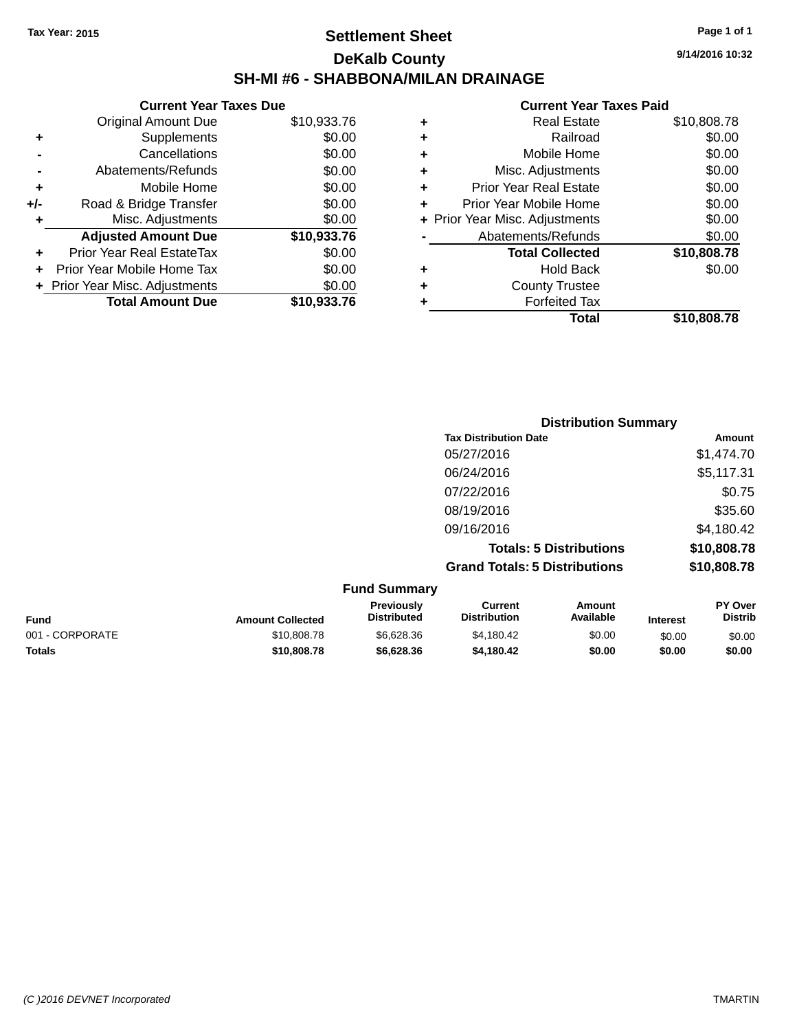### **Settlement Sheet Tax Year: 2015 Page 1 of 1 DeKalb County SH-MI #6 - SHABBONA/MILAN DRAINAGE**

|     | <b>Current Year Taxes Due</b>  |             |  |  |  |
|-----|--------------------------------|-------------|--|--|--|
|     | <b>Original Amount Due</b>     | \$10,933.76 |  |  |  |
| ÷   | Supplements                    | \$0.00      |  |  |  |
|     | Cancellations                  | \$0.00      |  |  |  |
|     | Abatements/Refunds             | \$0.00      |  |  |  |
| ٠   | Mobile Home                    | \$0.00      |  |  |  |
| +/- | Road & Bridge Transfer         | \$0.00      |  |  |  |
|     | Misc. Adjustments              | \$0.00      |  |  |  |
|     | <b>Adjusted Amount Due</b>     | \$10,933.76 |  |  |  |
|     | Prior Year Real EstateTax      | \$0.00      |  |  |  |
|     | Prior Year Mobile Home Tax     | \$0.00      |  |  |  |
|     | + Prior Year Misc. Adjustments | \$0.00      |  |  |  |
|     | <b>Total Amount Due</b>        | \$10.933.76 |  |  |  |

|   | <b>Real Estate</b>             | \$10,808.78 |
|---|--------------------------------|-------------|
| ٠ | Railroad                       | \$0.00      |
| ٠ | Mobile Home                    | \$0.00      |
| ٠ | Misc. Adjustments              | \$0.00      |
| ٠ | <b>Prior Year Real Estate</b>  | \$0.00      |
| ٠ | Prior Year Mobile Home         | \$0.00      |
|   | + Prior Year Misc. Adjustments | \$0.00      |
|   | Abatements/Refunds             | \$0.00      |
|   | <b>Total Collected</b>         | \$10,808.78 |
| ٠ | Hold Back                      | \$0.00      |
| ٠ | <b>County Trustee</b>          |             |
| ٠ | <b>Forfeited Tax</b>           |             |
|   | Total                          | \$10,808.78 |
|   |                                |             |

|                                      | <b>Distribution Summary</b> |  |  |
|--------------------------------------|-----------------------------|--|--|
| <b>Tax Distribution Date</b>         | Amount                      |  |  |
| 05/27/2016                           | \$1,474.70                  |  |  |
| 06/24/2016                           | \$5,117.31                  |  |  |
| 07/22/2016                           | \$0.75                      |  |  |
| 08/19/2016                           | \$35.60                     |  |  |
| 09/16/2016                           | \$4,180.42                  |  |  |
| <b>Totals: 5 Distributions</b>       | \$10,808.78                 |  |  |
| <b>Grand Totals: 5 Distributions</b> | \$10,808.78                 |  |  |
| $E_{t}$ and $E_{t}$ and $E_{t}$      |                             |  |  |

|                 |                         | <b>Fund Summary</b>                     |                                |                     |                 |                           |
|-----------------|-------------------------|-----------------------------------------|--------------------------------|---------------------|-----------------|---------------------------|
| Fund            | <b>Amount Collected</b> | <b>Previously</b><br><b>Distributed</b> | Current<br><b>Distribution</b> | Amount<br>Available | <b>Interest</b> | PY Over<br><b>Distrib</b> |
| 001 - CORPORATE | \$10,808.78             | \$6,628,36                              | \$4.180.42                     | \$0.00              | \$0.00          | \$0.00                    |
| Totals          | \$10,808,78             | \$6,628,36                              | \$4.180.42                     | \$0.00              | \$0.00          | \$0.00                    |
|                 |                         |                                         |                                |                     |                 |                           |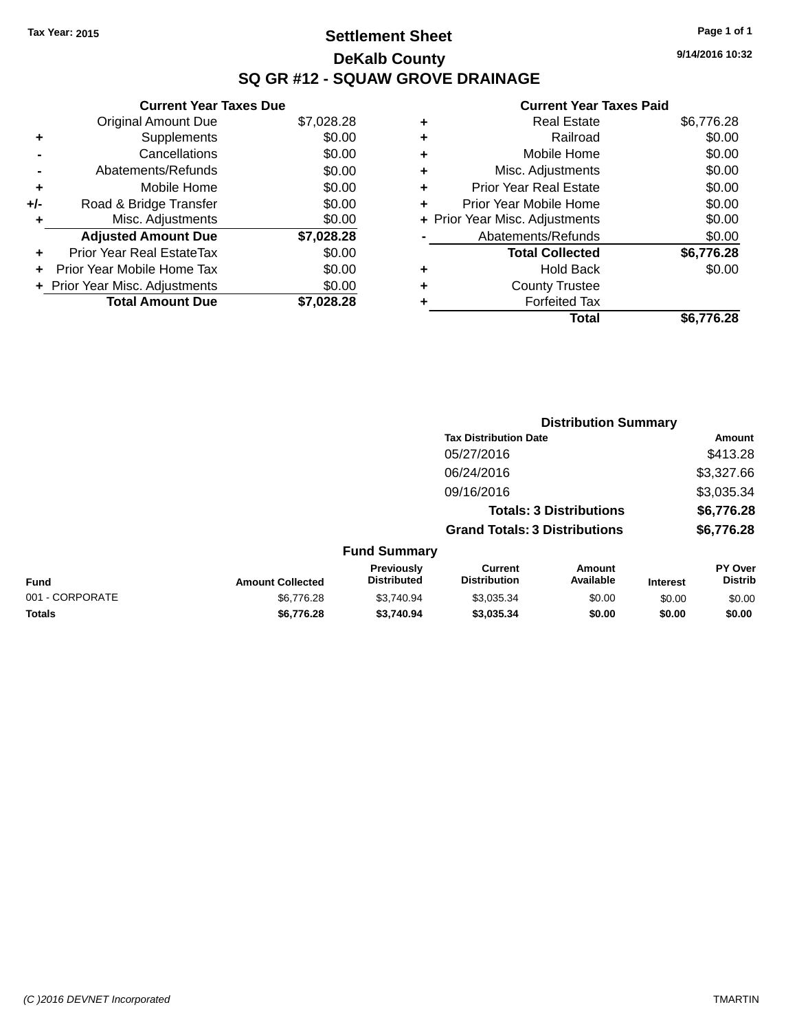### **Settlement Sheet Tax Year: 2015 Page 1 of 1 DeKalb County SQ GR #12 - SQUAW GROVE DRAINAGE**

**9/14/2016 10:32**

### **Current Year Taxes Paid**

|     | <b>Current Year Taxes Due</b>  |            |  |  |  |
|-----|--------------------------------|------------|--|--|--|
|     | <b>Original Amount Due</b>     | \$7,028.28 |  |  |  |
| ٠   | Supplements                    | \$0.00     |  |  |  |
|     | Cancellations                  | \$0.00     |  |  |  |
|     | Abatements/Refunds             | \$0.00     |  |  |  |
| ٠   | Mobile Home                    | \$0.00     |  |  |  |
| +/- | Road & Bridge Transfer         | \$0.00     |  |  |  |
| ٠   | Misc. Adjustments              | \$0.00     |  |  |  |
|     | <b>Adjusted Amount Due</b>     | \$7,028.28 |  |  |  |
| ÷   | Prior Year Real EstateTax      | \$0.00     |  |  |  |
| ÷   | Prior Year Mobile Home Tax     | \$0.00     |  |  |  |
|     | + Prior Year Misc. Adjustments | \$0.00     |  |  |  |
|     | <b>Total Amount Due</b>        | \$7,028.28 |  |  |  |

|   | <b>Real Estate</b>             | \$6,776.28 |
|---|--------------------------------|------------|
| ٠ | Railroad                       | \$0.00     |
| ٠ | Mobile Home                    | \$0.00     |
| ٠ | Misc. Adjustments              | \$0.00     |
| ٠ | <b>Prior Year Real Estate</b>  | \$0.00     |
| ٠ | Prior Year Mobile Home         | \$0.00     |
|   | + Prior Year Misc. Adjustments | \$0.00     |
|   | Abatements/Refunds             | \$0.00     |
|   | <b>Total Collected</b>         | \$6,776.28 |
| ٠ | <b>Hold Back</b>               | \$0.00     |
| ٠ | <b>County Trustee</b>          |            |
| ٠ | <b>Forfeited Tax</b>           |            |
|   | Total                          | \$6,776.28 |
|   |                                |            |

|                 |                         |                                  |                                       | <b>Distribution Summary</b>    |                 |                           |
|-----------------|-------------------------|----------------------------------|---------------------------------------|--------------------------------|-----------------|---------------------------|
|                 |                         |                                  | <b>Tax Distribution Date</b>          |                                |                 | <b>Amount</b>             |
|                 |                         |                                  | 05/27/2016                            |                                |                 | \$413.28                  |
|                 |                         |                                  | 06/24/2016                            |                                |                 | \$3,327.66                |
|                 |                         |                                  | 09/16/2016                            |                                |                 | \$3,035.34                |
|                 |                         |                                  |                                       | <b>Totals: 3 Distributions</b> |                 | \$6,776.28                |
|                 |                         |                                  | <b>Grand Totals: 3 Distributions</b>  |                                |                 | \$6,776.28                |
|                 |                         | <b>Fund Summary</b>              |                                       |                                |                 |                           |
| <b>Fund</b>     | <b>Amount Collected</b> | Previously<br><b>Distributed</b> | <b>Current</b><br><b>Distribution</b> | Amount<br>Available            | <b>Interest</b> | PY Over<br><b>Distrib</b> |
| 001 - CORPORATE | \$6.776.28              | \$3.740.94                       | \$3,035.34                            | \$0.00                         | \$0.00          | \$0.00                    |
|                 |                         |                                  |                                       |                                |                 |                           |

**Totals \$6,776.28 \$3,740.94 \$3,035.34 \$0.00 \$0.00 \$0.00**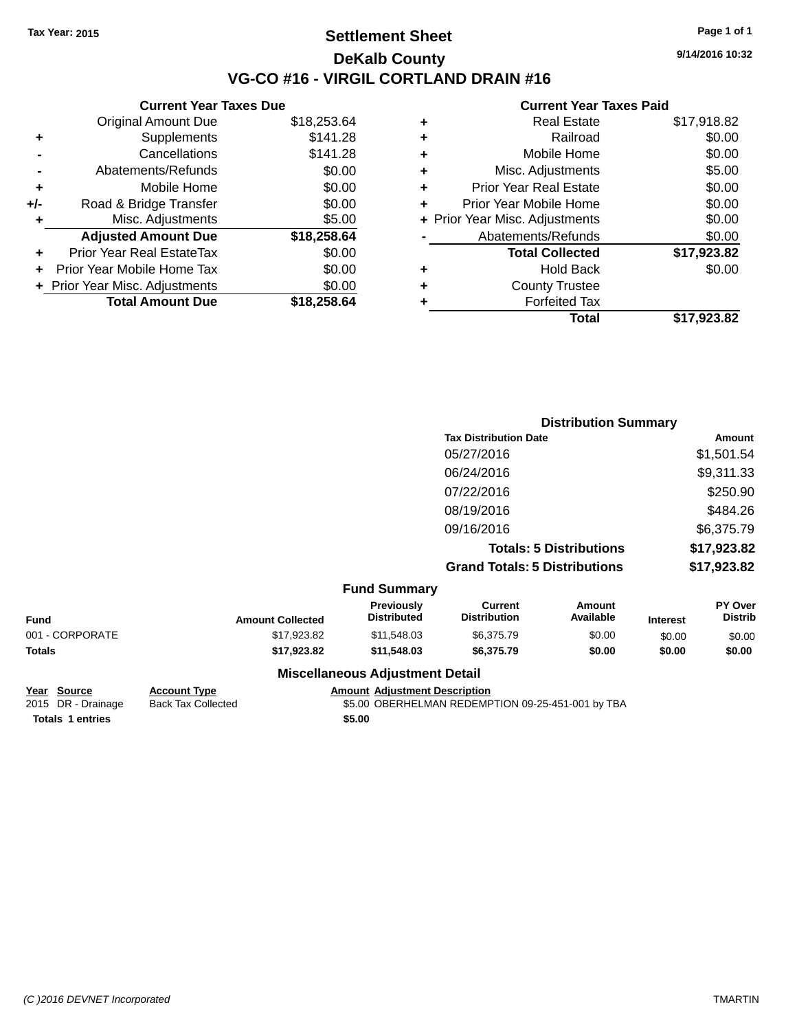### **Settlement Sheet Tax Year: 2015 Page 1 of 1 DeKalb County VG-CO #16 - VIRGIL CORTLAND DRAIN #16**

**9/14/2016 10:32**

### **Current Year Taxes Paid**

|       | Current fear laxes Due         |             |
|-------|--------------------------------|-------------|
|       | <b>Original Amount Due</b>     | \$18,253.64 |
| ٠     | Supplements                    | \$141.28    |
|       | Cancellations                  | \$141.28    |
|       | Abatements/Refunds             | \$0.00      |
| ÷     | Mobile Home                    | \$0.00      |
| $+/-$ | Road & Bridge Transfer         | \$0.00      |
| ٠     | Misc. Adjustments              | \$5.00      |
|       | <b>Adjusted Amount Due</b>     | \$18,258.64 |
| ٠     | Prior Year Real EstateTax      | \$0.00      |
|       | Prior Year Mobile Home Tax     | \$0.00      |
|       | + Prior Year Misc. Adjustments | \$0.00      |
|       | <b>Total Amount Due</b>        | \$18,258.64 |
|       |                                |             |

**Current Year Taxes Due**

|   | Total                          | \$17,923.82 |
|---|--------------------------------|-------------|
| ٠ | <b>Forfeited Tax</b>           |             |
| ٠ | <b>County Trustee</b>          |             |
| ٠ | Hold Back                      | \$0.00      |
|   | <b>Total Collected</b>         | \$17,923.82 |
|   | Abatements/Refunds             | \$0.00      |
|   | + Prior Year Misc. Adjustments | \$0.00      |
| ٠ | Prior Year Mobile Home         | \$0.00      |
| ÷ | <b>Prior Year Real Estate</b>  | \$0.00      |
| ٠ | Misc. Adjustments              | \$5.00      |
| ٠ | Mobile Home                    | \$0.00      |
| ٠ | Railroad                       | \$0.00      |
| ٠ | Real Estate                    | \$17,918.82 |
|   |                                |             |

|                     |                                      | <b>Distribution Summary</b> |  |  |  |
|---------------------|--------------------------------------|-----------------------------|--|--|--|
|                     | <b>Tax Distribution Date</b>         | Amount                      |  |  |  |
|                     | 05/27/2016                           | \$1,501.54                  |  |  |  |
|                     | 06/24/2016                           | \$9,311.33                  |  |  |  |
|                     | 07/22/2016                           | \$250.90                    |  |  |  |
|                     | 08/19/2016                           | \$484.26                    |  |  |  |
|                     | 09/16/2016                           | \$6,375.79                  |  |  |  |
|                     | <b>Totals: 5 Distributions</b>       | \$17,923.82                 |  |  |  |
|                     | <b>Grand Totals: 5 Distributions</b> | \$17,923.82                 |  |  |  |
| <b>Fund Summary</b> |                                      |                             |  |  |  |

| Fund            | <b>Amount Collected</b> | <b>Previously</b><br><b>Distributed</b> | Current<br><b>Distribution</b> | Amount<br>Available | <b>Interest</b> | <b>PY Over</b><br><b>Distrib</b> |
|-----------------|-------------------------|-----------------------------------------|--------------------------------|---------------------|-----------------|----------------------------------|
| 001 - CORPORATE | \$17.923.82             | \$11.548.03                             | \$6,375.79                     | \$0.00              | \$0.00          | \$0.00                           |
| Totals          | \$17.923.82             | \$11,548.03                             | \$6,375.79                     | \$0.00              | \$0.00          | \$0.00                           |
|                 |                         | Missellanesse Adioatorant Datail        |                                |                     |                 |                                  |

### **Year Source Account Type Amount Adjustment Description Totals 1 entries** \$5.00

### **Miscellaneous Adjustment Detail**

Back Tax Collected **2015 SEADING A SEADING DR - DRAINING DR - DRAINING DR - DRAINING BACK TAX Collected**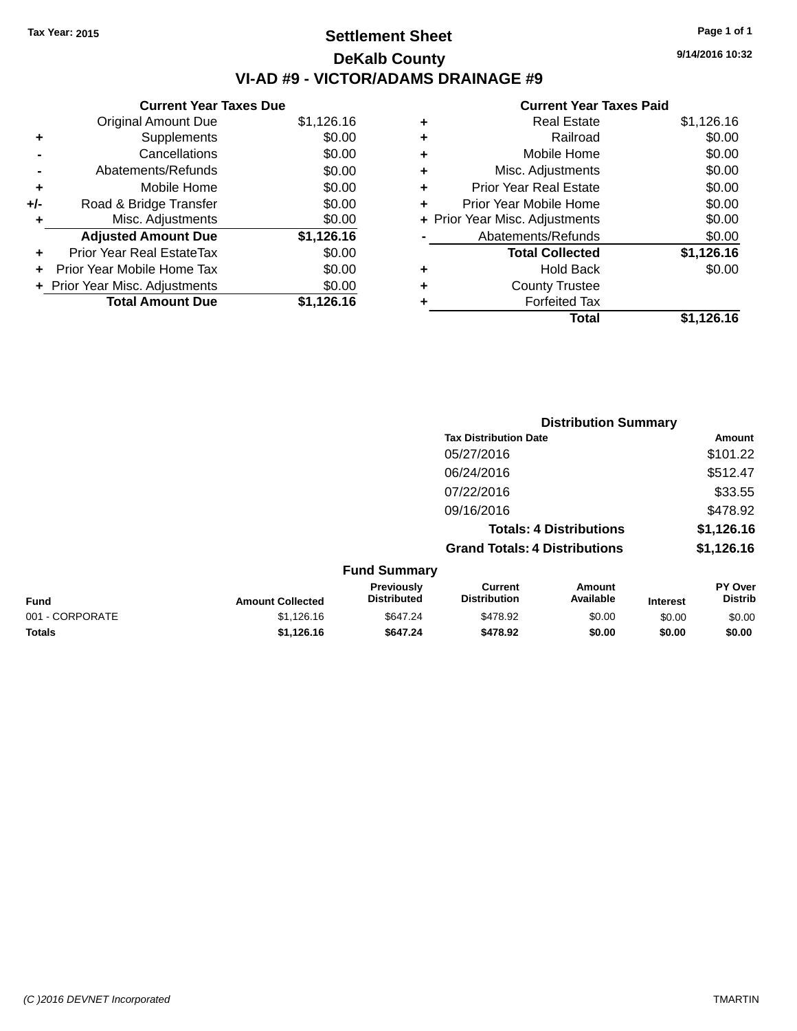### **Settlement Sheet Tax Year: 2015 Page 1 of 1 DeKalb County VI-AD #9 - VICTOR/ADAMS DRAINAGE #9**

|     | <b>Current Year Taxes Due</b>    |            |
|-----|----------------------------------|------------|
|     | <b>Original Amount Due</b>       | \$1,126.16 |
| ٠   | Supplements                      | \$0.00     |
|     | Cancellations                    | \$0.00     |
|     | Abatements/Refunds               | \$0.00     |
| ٠   | Mobile Home                      | \$0.00     |
| +/- | Road & Bridge Transfer           | \$0.00     |
| ۰   | Misc. Adjustments                | \$0.00     |
|     | <b>Adjusted Amount Due</b>       | \$1,126.16 |
| ٠   | <b>Prior Year Real EstateTax</b> | \$0.00     |
|     | Prior Year Mobile Home Tax       | \$0.00     |
|     | + Prior Year Misc. Adjustments   | \$0.00     |
|     | <b>Total Amount Due</b>          | \$1,126.16 |

|   | <b>Real Estate</b>             | \$1,126.16 |
|---|--------------------------------|------------|
| ٠ | Railroad                       | \$0.00     |
| ٠ | Mobile Home                    | \$0.00     |
| ٠ | Misc. Adjustments              | \$0.00     |
| ٠ | <b>Prior Year Real Estate</b>  | \$0.00     |
| ٠ | Prior Year Mobile Home         | \$0.00     |
|   | + Prior Year Misc. Adjustments | \$0.00     |
|   | Abatements/Refunds             | \$0.00     |
|   | <b>Total Collected</b>         | \$1,126.16 |
| ٠ | <b>Hold Back</b>               | \$0.00     |
| ٠ | <b>County Trustee</b>          |            |
|   | <b>Forfeited Tax</b>           |            |
|   | Total                          | \$1,126.16 |
|   |                                |            |

|                 |                         |                                  | <b>Distribution Summary</b>           |                                |                 |                           |
|-----------------|-------------------------|----------------------------------|---------------------------------------|--------------------------------|-----------------|---------------------------|
|                 |                         |                                  | <b>Tax Distribution Date</b>          |                                |                 | Amount                    |
|                 |                         |                                  | 05/27/2016                            |                                |                 | \$101.22                  |
|                 |                         |                                  | 06/24/2016                            |                                |                 | \$512.47                  |
|                 |                         |                                  | 07/22/2016                            |                                |                 | \$33.55                   |
|                 |                         |                                  | 09/16/2016                            |                                |                 | \$478.92                  |
|                 |                         |                                  |                                       | <b>Totals: 4 Distributions</b> |                 | \$1,126.16                |
|                 |                         |                                  | <b>Grand Totals: 4 Distributions</b>  |                                |                 | \$1,126.16                |
|                 |                         | <b>Fund Summary</b>              |                                       |                                |                 |                           |
| Fund            | <b>Amount Collected</b> | Previously<br><b>Distributed</b> | <b>Current</b><br><b>Distribution</b> | <b>Amount</b><br>Available     | <b>Interest</b> | PY Over<br><b>Distrib</b> |
| 001 - CORPORATE | \$1,126.16              | \$647.24                         | \$478.92                              | \$0.00                         | \$0.00          | \$0.00                    |
| <b>Totals</b>   | \$1,126.16              | \$647.24                         | \$478.92                              | \$0.00                         | \$0.00          | \$0.00                    |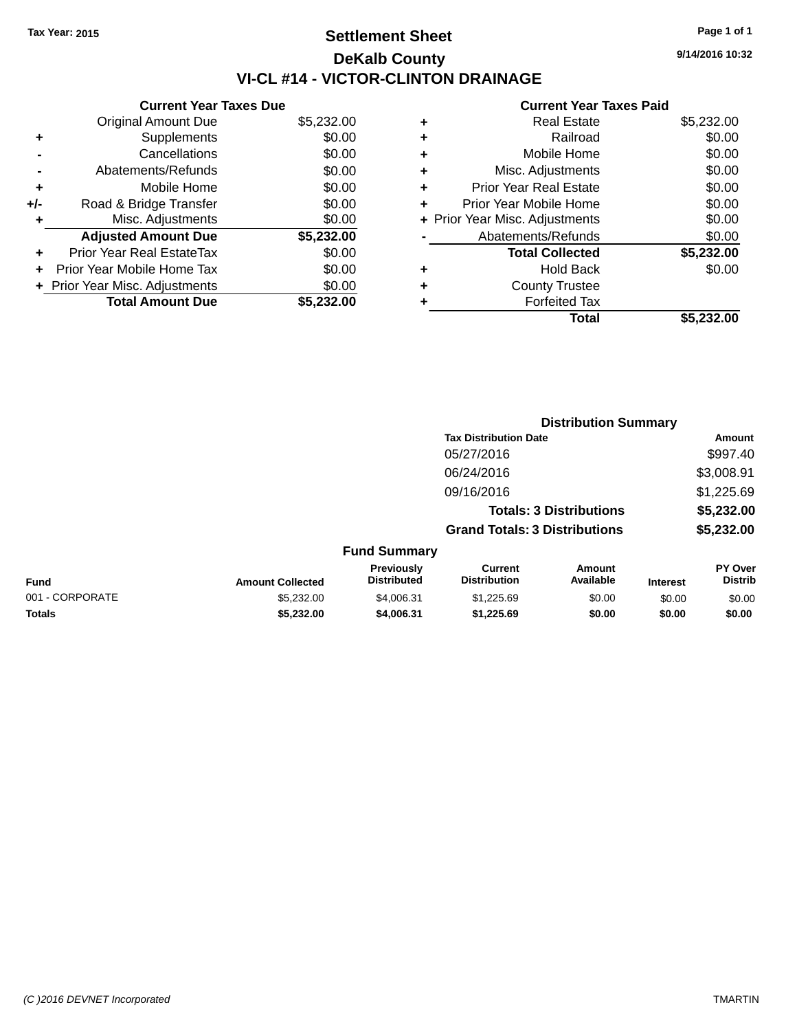### **Settlement Sheet Tax Year: 2015 Page 1 of 1 DeKalb County VI-CL #14 - VICTOR-CLINTON DRAINAGE**

**9/14/2016 10:32**

|     | <b>Current Year Taxes Due</b>  |            |
|-----|--------------------------------|------------|
|     | <b>Original Amount Due</b>     | \$5,232.00 |
| ٠   | Supplements                    | \$0.00     |
|     | Cancellations                  | \$0.00     |
|     | Abatements/Refunds             | \$0.00     |
| ٠   | Mobile Home                    | \$0.00     |
| +/- | Road & Bridge Transfer         | \$0.00     |
| ٠   | Misc. Adjustments              | \$0.00     |
|     | <b>Adjusted Amount Due</b>     | \$5,232.00 |
| ÷   | Prior Year Real EstateTax      | \$0.00     |
| ÷   | Prior Year Mobile Home Tax     | \$0.00     |
|     | + Prior Year Misc. Adjustments | \$0.00     |
|     | <b>Total Amount Due</b>        | \$5.232.00 |
|     |                                |            |

| ٠ | <b>Real Estate</b>             | \$5,232.00 |
|---|--------------------------------|------------|
| ٠ | Railroad                       | \$0.00     |
| ٠ | Mobile Home                    | \$0.00     |
| ٠ | Misc. Adjustments              | \$0.00     |
| ٠ | <b>Prior Year Real Estate</b>  | \$0.00     |
| ÷ | Prior Year Mobile Home         | \$0.00     |
|   | + Prior Year Misc. Adjustments | \$0.00     |
|   | Abatements/Refunds             | \$0.00     |
|   | <b>Total Collected</b>         | \$5,232.00 |
| ٠ | <b>Hold Back</b>               | \$0.00     |
| ٠ | <b>County Trustee</b>          |            |
| ٠ | <b>Forfeited Tax</b>           |            |
|   | Total                          | \$5,232.00 |
|   |                                |            |

|                 | <b>Distribution Summary</b> |                                  |                                       |                                |                 |                                  |
|-----------------|-----------------------------|----------------------------------|---------------------------------------|--------------------------------|-----------------|----------------------------------|
|                 |                             |                                  | <b>Tax Distribution Date</b>          |                                |                 | Amount                           |
|                 |                             |                                  | 05/27/2016                            |                                |                 | \$997.40                         |
|                 |                             |                                  | 06/24/2016                            |                                |                 | \$3,008.91                       |
|                 |                             |                                  | 09/16/2016                            |                                |                 | \$1,225.69                       |
|                 |                             |                                  |                                       | <b>Totals: 3 Distributions</b> |                 | \$5,232.00                       |
|                 |                             |                                  | <b>Grand Totals: 3 Distributions</b>  |                                |                 | \$5,232.00                       |
|                 |                             | <b>Fund Summary</b>              |                                       |                                |                 |                                  |
| Fund            | <b>Amount Collected</b>     | Previously<br><b>Distributed</b> | <b>Current</b><br><b>Distribution</b> | Amount<br>Available            | <b>Interest</b> | <b>PY Over</b><br><b>Distrib</b> |
| 001 - CORPORATE | \$5,232.00                  | \$4,006.31                       | \$1,225.69                            | \$0.00                         | \$0.00          | \$0.00                           |
| <b>Totals</b>   | \$5,232.00                  | \$4,006.31                       | \$1,225.69                            | \$0.00                         | \$0.00          | \$0.00                           |